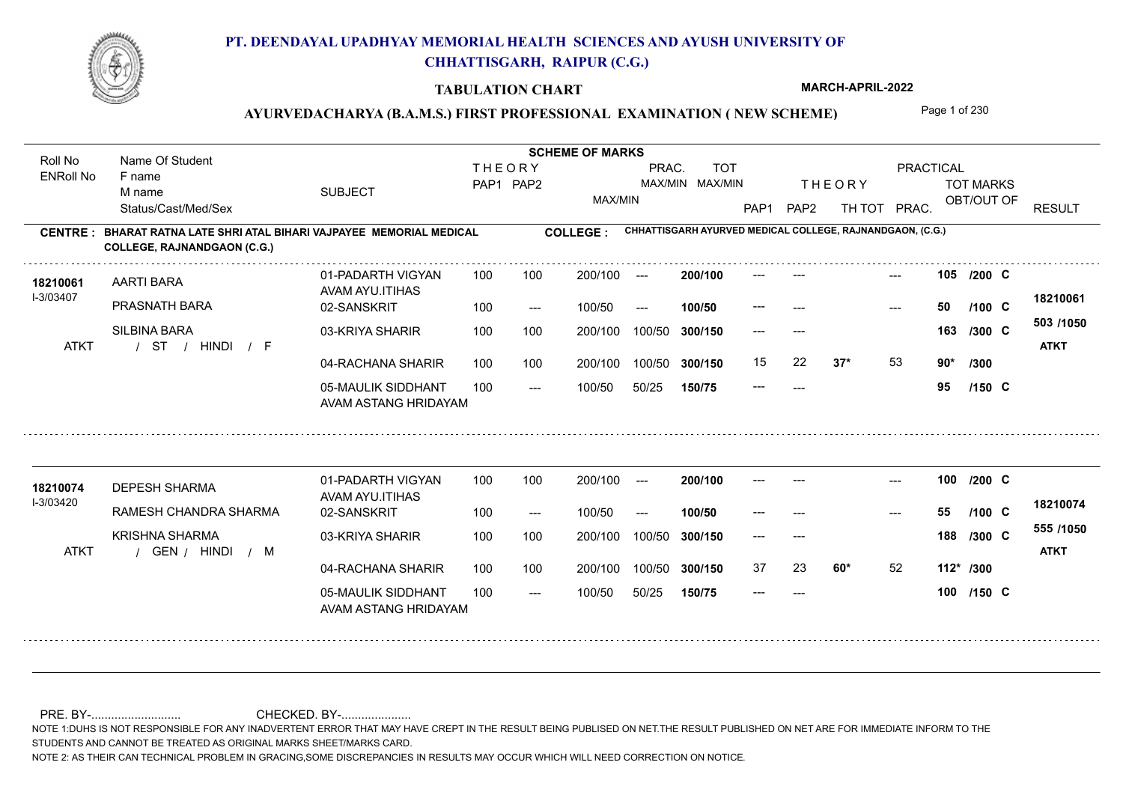

### **TABULATION CHART**

**MARCH-APRIL-2022**

# AYURVEDACHARYA (B.A.M.S.) FIRST PROFESSIONAL EXAMINATION (NEW SCHEME) Page 1 of 230

| Roll No               | Name Of Student                                                                                    |                                            |                                                                      | <b>SCHEME OF MARKS</b> |                 |         |         |                  |                                                |                                                           |       |           |            |  |                          |
|-----------------------|----------------------------------------------------------------------------------------------------|--------------------------------------------|----------------------------------------------------------------------|------------------------|-----------------|---------|---------|------------------|------------------------------------------------|-----------------------------------------------------------|-------|-----------|------------|--|--------------------------|
| <b>ENRoll No</b>      | F name                                                                                             |                                            | <b>THEORY</b><br>PRAC.<br><b>TOT</b><br>MAX/MIN MAX/MIN<br>PAP1 PAP2 |                        |                 |         |         |                  | PRACTICAL<br><b>THEORY</b><br><b>TOT MARKS</b> |                                                           |       |           |            |  |                          |
|                       | M name<br>Status/Cast/Med/Sex                                                                      | <b>SUBJECT</b>                             |                                                                      |                        |                 | MAX/MIN |         | PAP <sub>1</sub> | PAP <sub>2</sub>                               | TH TOT                                                    | PRAC. |           | OBT/OUT OF |  | <b>RESULT</b>            |
| <b>CENTRE:</b>        | BHARAT RATNA LATE SHRI ATAL BIHARI VAJPAYEE MEMORIAL MEDICAL<br><b>COLLEGE, RAJNANDGAON (C.G.)</b> |                                            |                                                                      |                        | <b>COLLEGE:</b> |         |         |                  |                                                | CHHATTISGARH AYURVED MEDICAL COLLEGE, RAJNANDGAON, (C.G.) |       |           |            |  |                          |
| 18210061<br>I-3/03407 | <b>AARTI BARA</b>                                                                                  | 01-PADARTH VIGYAN<br>AVAM AYU.ITIHAS       | 100                                                                  | 100                    | 200/100         | $---$   | 200/100 |                  |                                                |                                                           |       |           | 105 /200 C |  | 18210061                 |
|                       | PRASNATH BARA                                                                                      | 02-SANSKRIT                                | 100                                                                  | $---$                  | 100/50          | $---$   | 100/50  |                  |                                                |                                                           | ---   | 50        | $/100$ C   |  |                          |
| <b>ATKT</b>           | SILBINA BARA<br>/ HINDI<br>ST<br>$\sqrt{F}$                                                        | 03-KRIYA SHARIR                            | 100                                                                  | 100                    | 200/100         | 100/50  | 300/150 | ---              | $---$                                          |                                                           |       | 163       | /300 C     |  | 503 /1050<br><b>ATKT</b> |
|                       |                                                                                                    | 04-RACHANA SHARIR                          | 100                                                                  | 100                    | 200/100         | 100/50  | 300/150 | 15               | 22                                             | $37*$                                                     | 53    | $90*$     | /300       |  |                          |
|                       |                                                                                                    | 05-MAULIK SIDDHANT<br>AVAM ASTANG HRIDAYAM | 100                                                                  | $---$                  | 100/50          | 50/25   | 150/75  | $---$            | $---$                                          |                                                           |       | 95        | $/150$ C   |  |                          |
|                       |                                                                                                    |                                            |                                                                      |                        |                 |         |         |                  |                                                |                                                           |       |           |            |  |                          |
| 18210074              | <b>DEPESH SHARMA</b>                                                                               | 01-PADARTH VIGYAN<br>AVAM AYU.ITIHAS       | 100                                                                  | 100                    | 200/100         | $-$     | 200/100 |                  |                                                |                                                           | $---$ |           | 100 /200 C |  |                          |
| I-3/03420             | RAMESH CHANDRA SHARMA                                                                              | 02-SANSKRIT                                | 100                                                                  | $---$                  | 100/50          | $---$   | 100/50  |                  |                                                |                                                           | ---   | 55        | $/100$ C   |  | 18210074                 |
|                       | <b>KRISHNA SHARMA</b>                                                                              | 03-KRIYA SHARIR                            | 100                                                                  | 100                    | 200/100         | 100/50  | 300/150 | ---              | $---$                                          |                                                           |       | 188       | /300 C     |  | 555 /1050                |
| <b>ATKT</b>           | GEN / HINDI<br>$/$ M                                                                               |                                            |                                                                      |                        |                 |         |         |                  |                                                |                                                           |       |           |            |  | <b>ATKT</b>              |
|                       |                                                                                                    | 04-RACHANA SHARIR                          | 100                                                                  | 100                    | 200/100         | 100/50  | 300/150 | 37               | 23                                             | $60*$                                                     | 52    | 112* /300 |            |  |                          |
|                       |                                                                                                    | 05-MAULIK SIDDHANT<br>AVAM ASTANG HRIDAYAM | 100                                                                  | $---$                  | 100/50          | 50/25   | 150/75  | ---              | $---$                                          |                                                           |       |           | 100 /150 C |  |                          |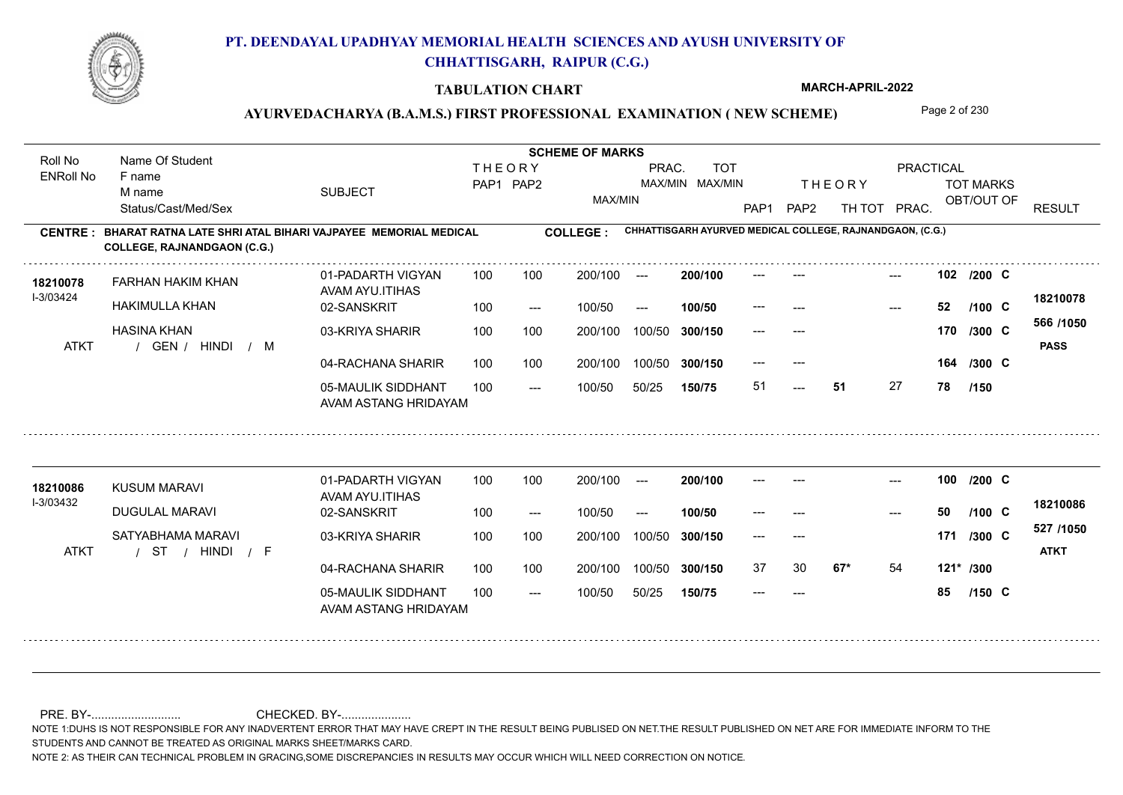

#### **TABULATION CHART**

**MARCH-APRIL-2022**

### AYURVEDACHARYA (B.A.M.S.) FIRST PROFESSIONAL EXAMINATION (NEW SCHEME) Page 2 of 230

**Name Of Student Contract of Student Act of Student SCHEME OF MARKS** Roll No Name Of Student **THEORY** PRAC. TOT PRACTICAL ENRoll No F name SUBJECT TOT MARKS PAP1 PAP2 MAX/MIN MAX/MIN THE ORY TOT MARKS M name MAX/MIN OBT/OUT OF RESULT Status/Cast/Med/Sex PAP1 PAP2 TH TOT PRAC. **CHHATTISGARH AYURVED MEDICAL COLLEGE, RAJNANDGAON, (C.G.) CENTRE : COLLEGE : BHARAT RATNA LATE SHRI ATAL BIHARI VAJPAYEE MEMORIAL MEDICAL COLLEGE, RAJNANDGAON (C.G.)** --- **102** --- --- **C /200** 01-PADARTH VIGYAN 100 200/100 ---**200/100** FARHAN HAKIM KHAN **18210078** AVAM AYU.ITIHAS I-3/03424 **18210078** HAKIMULLA KHAN 02-SANSKRIT --- **52 C /100**  $- - 52$  $100/50$ 100/50 --- **100/50** --- **566 /1050** HASINA KHAN 03-KRIYA SHARIR 100 100 100 100 200/100 100/50 300/150 **300/150** 100/50 --- --- **170 C /300** / / / ATKT GEN HINDI M **PASS** 04-RACHANA SHARIR 100 100 200/100 100/50 --- --- 164 /300 C **164 /300** 200/100 100/50 **300/150** 05-MAULIK SIDDHANT 51 **51** 27 **78** 51 **/150**  $- -$  100/50 100/50 50/25 **150/75** AVAM ASTANG HRIDAYAM 01-PADARTH VIGYAN 100 200/100 ------ **100** --- --- **C /200 200/100** KUSUM MARAVI **18210086** AVAM AYU.ITIHAS I-3/03432 **18210086** DUGULAL MARAVI 02-SANSKRIT **100/50** --- **50 C** --- **/100** 100 --- 100/50 --- --- **527 /1050** SATYABHAMA MARAVI 03-KRIYA SHARIR 200/100 100/50 **300/150** 100/50 200/100 --- --- **171 /300 C** / / / ATKT ST HINDI F **ATKT** 04-RACHANA SHARIR 100 100 200/100 100/50 37 30 **67\*** 54 **67\*** 54 **121\* /300** 100/50 **300/150** 05-MAULIK SIDDHANT 100 --- **85 C /150**  $- -$  100/50 100/50 50/25 **150/75** --- AVAM ASTANG HRIDAYAM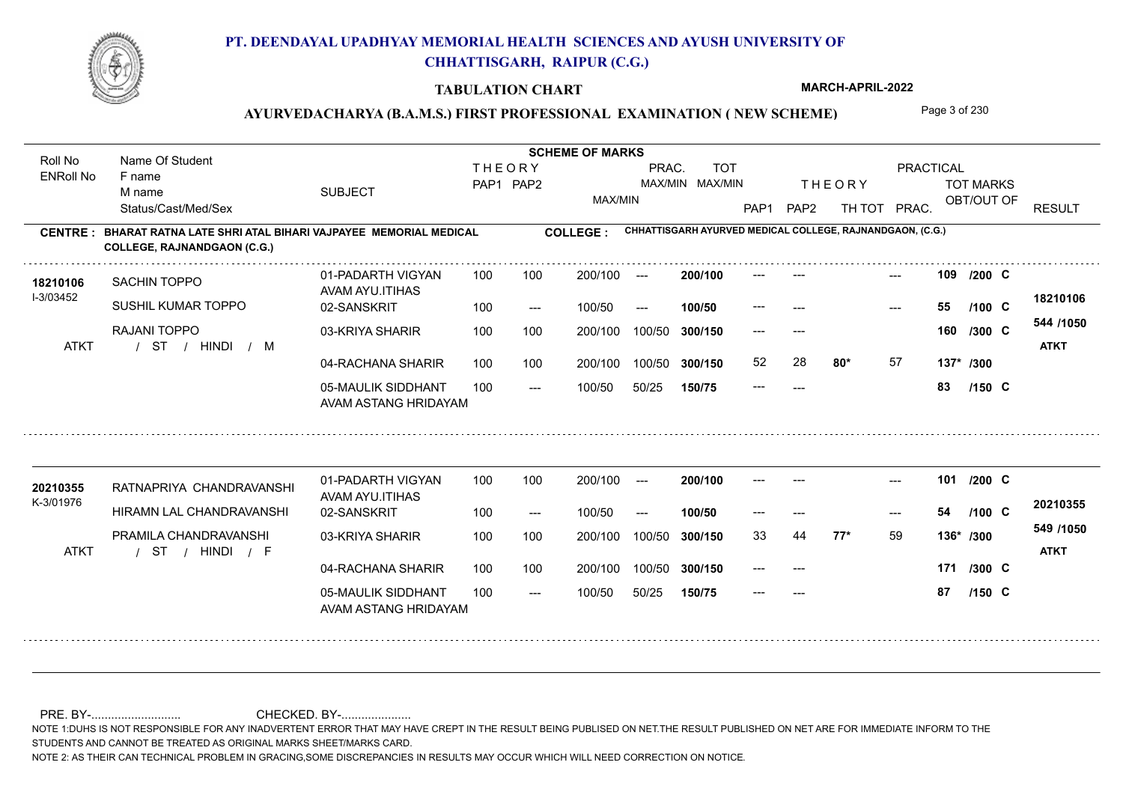

#### **TABULATION CHART**

**MARCH-APRIL-2022**

### AYURVEDACHARYA (B.A.M.S.) FIRST PROFESSIONAL EXAMINATION (NEW SCHEME) Page 3 of 230

**Name Of Student Contract of Student Act of Student SCHEME OF MARKS** Roll No Name Of Student **THEORY** PRAC. TOT PRACTICAL ENRoll No F name SUBJECT TOT MARKS PAP1 PAP2 MAX/MIN MAX/MIN THE ORY TOT MARKS M name MAX/MIN OBT/OUT OF RESULT Status/Cast/Med/Sex PAP1 PAP2 TH TOT PRAC. **CHHATTISGARH AYURVED MEDICAL COLLEGE, RAJNANDGAON, (C.G.) CENTRE : COLLEGE : BHARAT RATNA LATE SHRI ATAL BIHARI VAJPAYEE MEMORIAL MEDICAL COLLEGE, RAJNANDGAON (C.G.)** --- **109** --- --- **C /200** 01-PADARTH VIGYAN 100 200/100 ---**200/100 18210106** SACHIN TOPPO AVAM AYU.ITIHAS I-3/03452 **18210106** SUSHIL KUMAR TOPPO 02-SANSKRIT --- **55 C /100**  $100/50$ 100/50 --- **100/50** --- --- **544 /1050** RAJANI TOPPO 03-KRIYA SHARIR 100 100 100 100 200/100 100/50 300/150 **300/150** 100/50 --- --- **160 C /300** / / / ATKT ST HINDI M **ATKT** 04-RACHANA SHARIR 100 100 52 28 **80\*** 57 **80\*** 57 **137\* /300** 100 100 200/100 100/50 300/150 100/50 **300/150** 05-MAULIK SIDDHANT --- **83 C /150**  $- -$  100/50 100/50 50/25 **150/75** --- AVAM ASTANG HRIDAYAM 01-PADARTH VIGYAN 100 200/100 ------ **101** --- --- **C /200 200/100** RATNAPRIYA CHANDRAVANSHI **20210355** AVAM AYU.ITIHAS K-3/01976 **20210355** HIRAMN LAL CHANDRAVANSHI 02-SANSKRIT --- **54 C** --- **/100** 100 --- 100/50 --- **100/50** --- **549 /1050** PRAMILA CHANDRAVANSHI 03-KRIYA SHARIR 200/100 100/50 **300/150** 100/50 200/100 **77\*** 59 33 44 **136\* /300** / / / ATKT ST HINDI F **ATKT** 04-RACHANA SHARIR 100 100 200/100 100/50 **171** --- --- **C /300** 100/50 **300/150** 05-MAULIK SIDDHANT 100  $- -$  100/50 --- **87 C /150** 100/50 50/25 **150/75** --- AVAM ASTANG HRIDAYAM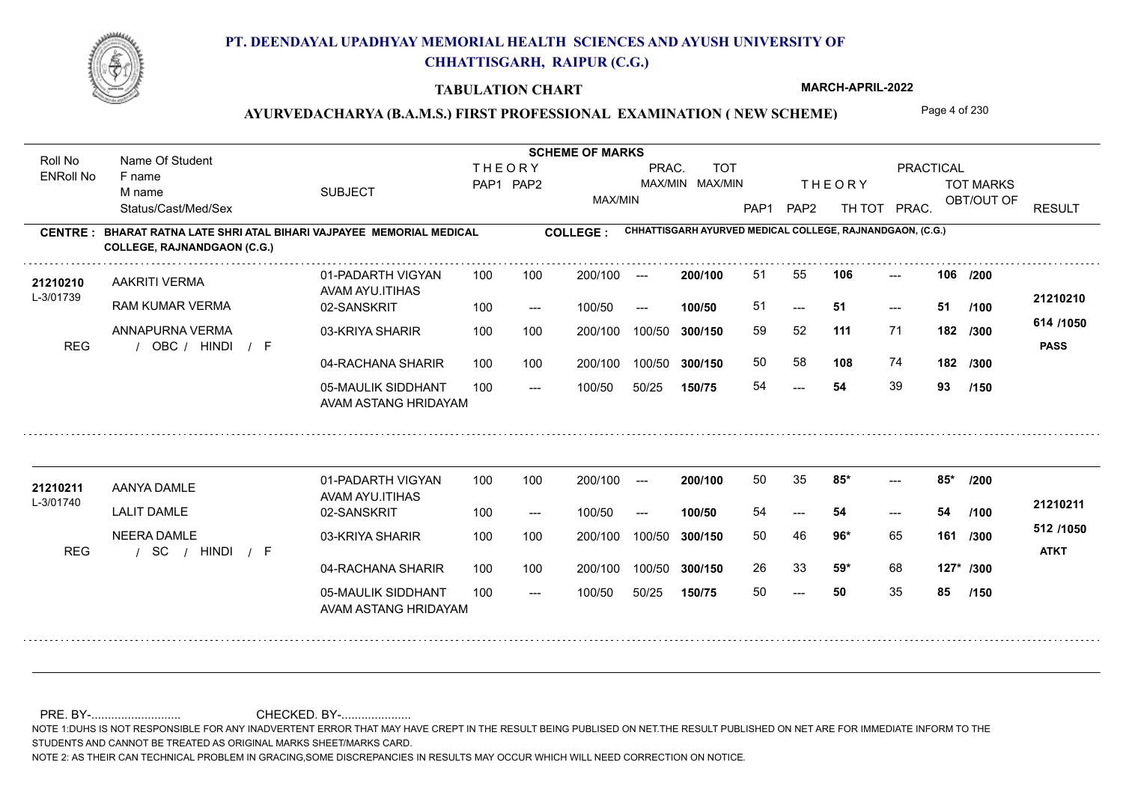

#### **TABULATION CHART**

**MARCH-APRIL-2022**

### **AYURVEDACHARYA (B.A.M.S.) FIRST PROFESSIONAL EXAMINATION ( NEW SCHEME)** Page 4 of 230

**Name Of Student Contract of Student Act of Student SCHEME OF MARKS** Roll No Name Of Student **THEORY** PRAC. TOT **PRACTICAL** ENRoll No F name SUBJECT TOT MARKS PAP1 PAP2 MAX/MIN MAX/MIN THE ORY TOT MARKS M name MAX/MIN OBT/OUT OF RESULT Status/Cast/Med/Sex PAP1 PAP2 TH TOT PRAC. **CHHATTISGARH AYURVED MEDICAL COLLEGE, RAJNANDGAON, (C.G.) CENTRE : COLLEGE : BHARAT RATNA LATE SHRI ATAL BIHARI VAJPAYEE MEMORIAL MEDICAL COLLEGE, RAJNANDGAON (C.G.)** 21210210 AAKRITI VERMA 01-PADARTH VIGYAN 100 100 200/100 --- **200/100** 51 55 **106** ---**200/100 106 106** --- 01-PADARTH VIGYAN 100 200/100 ---**/200** AAKRITI VERMA AVAM AYU.ITIHAS L-3/01739 **21210210** RAM KUMAR VERMA 02-SANSKRIT **100/50** 51 **51 51**  $-51$  $- - 51$ 100 --- 100/50 --- **/100 614 /1050** ANNAPURNA VERMA 03-KRIYA SHARIR 100 100 100 100 200/100 100/50 300/150 **300/150** 100/50 **111** 71 59 52 **182 /300** REG / OBC / HINDI / F HINDI F **PASS** 04-RACHANA SHARIR 100 100 50 58 **108** 74 **182 /300** 100 100 200/100 100/50 300/150 100/50 **300/150** 05-MAULIK SIDDHANT 54 **54** 39 **93** 54  $- -$  100/50 100/50 50/25 **150/75 /150** AVAM ASTANG HRIDAYAM 21210211 AANYA DAMLE 01-PADARTH VIGYAN 100 100 200/100 --- **200/100** 50 35 85\* ----01-PADARTH VIGYAN 100 200/100 ---**200/100 85\* 85\* /200**  $-2$  85\* AANYA DAMLE AVAM AYU.ITIHAS L-3/01740 **21210211** LALIT DAMLE 02-SANSKRIT **100/50** 54 **54 54** --- --- **/100** 100 --- 100/50 --- **512 /1050** NEERA DAMLE 03-KRIYA SHARIR 200/100 100/50 **300/150** 100/50 200/100 50 46 **161 96\*** 65 **/300** / / / REG SC HINDI F **ATKT** 04-RACHANA SHARIR 100 100 200/100 100/50 26 33 **59\*** 68 **59\*** 68 **127\* /300** 200/100 100/50 **300/150** 05-MAULIK SIDDHANT 100  $- -$  100/50 50 **50** 35 **85**  $- - 50$ 100/50 50/25 **150/75 /150** AVAM ASTANG HRIDAYAM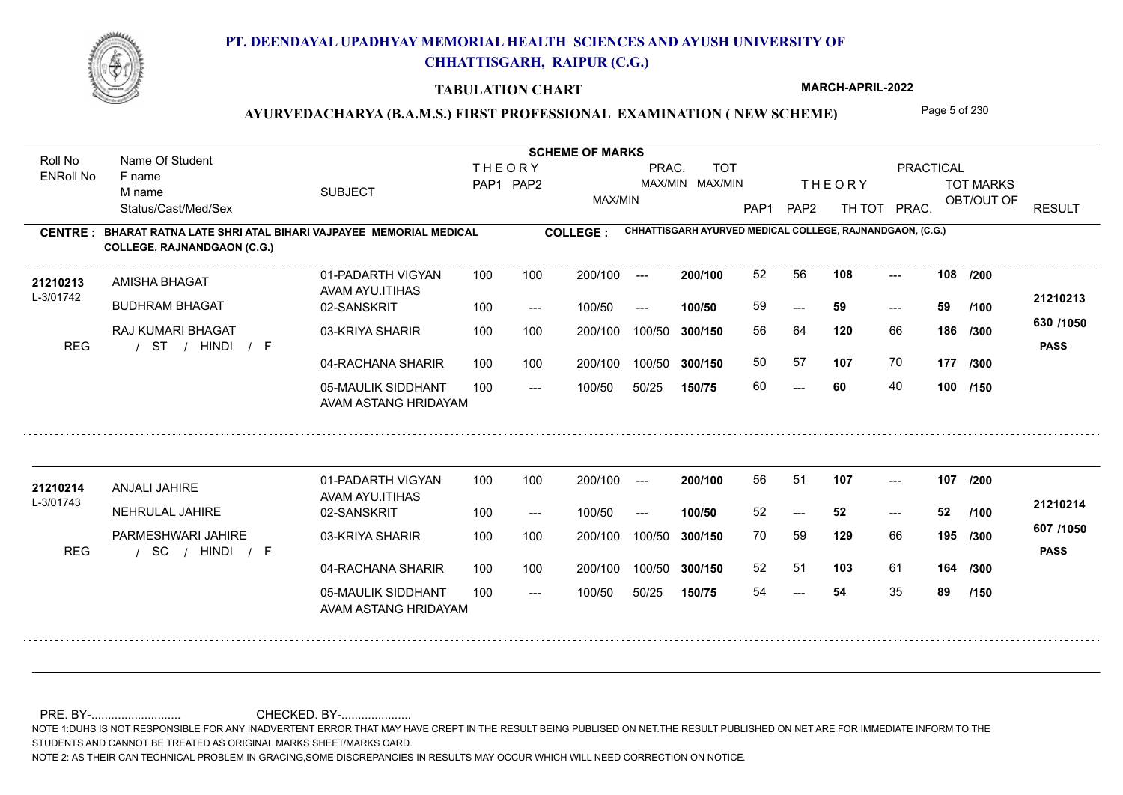

### **TABULATION CHART**

**MARCH-APRIL-2022**

# AYURVEDACHARYA (B.A.M.S.) FIRST PROFESSIONAL EXAMINATION (NEW SCHEME) Page 5 of 230

| Roll No               | Name Of Student                                                                                    |                                            |                                                                      |       | <b>SCHEME OF MARKS</b> |        |         |                  |                           |                                                           |       |             |                          |
|-----------------------|----------------------------------------------------------------------------------------------------|--------------------------------------------|----------------------------------------------------------------------|-------|------------------------|--------|---------|------------------|---------------------------|-----------------------------------------------------------|-------|-------------|--------------------------|
| <b>ENRoll No</b>      | F name<br>M name                                                                                   | <b>SUBJECT</b>                             | <b>THEORY</b><br>PRAC.<br><b>TOT</b><br>PAP1 PAP2<br>MAX/MIN MAX/MIN |       |                        |        |         |                  | <b>THEORY</b>             | PRACTICAL<br><b>TOT MARKS</b>                             |       |             |                          |
|                       | Status/Cast/Med/Sex                                                                                |                                            |                                                                      |       | MAX/MIN                |        |         | PAP <sub>1</sub> | PAP <sub>2</sub>          | TH TOT                                                    | PRAC. | OBT/OUT OF  | <b>RESULT</b>            |
| <b>CENTRE:</b>        | BHARAT RATNA LATE SHRI ATAL BIHARI VAJPAYEE MEMORIAL MEDICAL<br><b>COLLEGE, RAJNANDGAON (C.G.)</b> |                                            |                                                                      |       | <b>COLLEGE:</b>        |        |         |                  |                           | CHHATTISGARH AYURVED MEDICAL COLLEGE, RAJNANDGAON, (C.G.) |       |             |                          |
| 21210213<br>L-3/01742 | AMISHA BHAGAT                                                                                      | 01-PADARTH VIGYAN<br>AVAM AYU.ITIHAS       | 100                                                                  | 100   | 200/100                | $---$  | 200/100 | 52               | 56                        | 108                                                       | ---   | 108<br>/200 | 21210213                 |
|                       | <b>BUDHRAM BHAGAT</b>                                                                              | 02-SANSKRIT                                | 100                                                                  | $---$ | 100/50                 | $---$  | 100/50  | 59               | $\qquad \qquad -\qquad -$ | 59                                                        | ---   | 59<br>1100  |                          |
| <b>REG</b>            | <b>RAJ KUMARI BHAGAT</b><br>/ F<br>ST / HINDI                                                      | 03-KRIYA SHARIR                            | 100                                                                  | 100   | 200/100                | 100/50 | 300/150 | 56               | 64                        | 120                                                       | 66    | 186<br>/300 | 630 /1050<br><b>PASS</b> |
|                       |                                                                                                    | 04-RACHANA SHARIR                          | 100                                                                  | 100   | 200/100                | 100/50 | 300/150 | 50               | 57                        | 107                                                       | 70    | 177 /300    |                          |
|                       |                                                                                                    | 05-MAULIK SIDDHANT<br>AVAM ASTANG HRIDAYAM | 100                                                                  | $---$ | 100/50                 | 50/25  | 150/75  | 60               | $\qquad \qquad -\qquad$   | 60                                                        | 40    | 100 /150    |                          |
|                       |                                                                                                    | 01-PADARTH VIGYAN                          | 100                                                                  | 100   | 200/100                | $---$  | 200/100 | 56               | 51                        | 107                                                       | $---$ | 107<br>1200 |                          |
| 21210214<br>L-3/01743 | <b>ANJALI JAHIRE</b>                                                                               | AVAM AYU.ITIHAS                            |                                                                      |       |                        |        |         |                  |                           |                                                           |       |             | 21210214                 |
|                       | NEHRULAL JAHIRE                                                                                    | 02-SANSKRIT                                | 100                                                                  | $---$ | 100/50                 | $---$  | 100/50  | 52               | $---$                     | 52                                                        | $---$ | 52<br>/100  |                          |
| <b>REG</b>            | PARMESHWARI JAHIRE<br><b>SC</b><br>/ HINDI<br>/ F                                                  | 03-KRIYA SHARIR                            | 100                                                                  | 100   | 200/100                | 100/50 | 300/150 | 70               | 59                        | 129                                                       | 66    | 195 /300    | 607 /1050<br><b>PASS</b> |
|                       |                                                                                                    | 04-RACHANA SHARIR                          | 100                                                                  | 100   | 200/100                | 100/50 | 300/150 | 52               | 51                        | 103                                                       | 61    | 164<br>/300 |                          |
|                       |                                                                                                    | 05-MAULIK SIDDHANT<br>AVAM ASTANG HRIDAYAM | 100                                                                  | $---$ | 100/50                 | 50/25  | 150/75  | 54               | $---$                     | 54                                                        | 35    | 89<br>/150  |                          |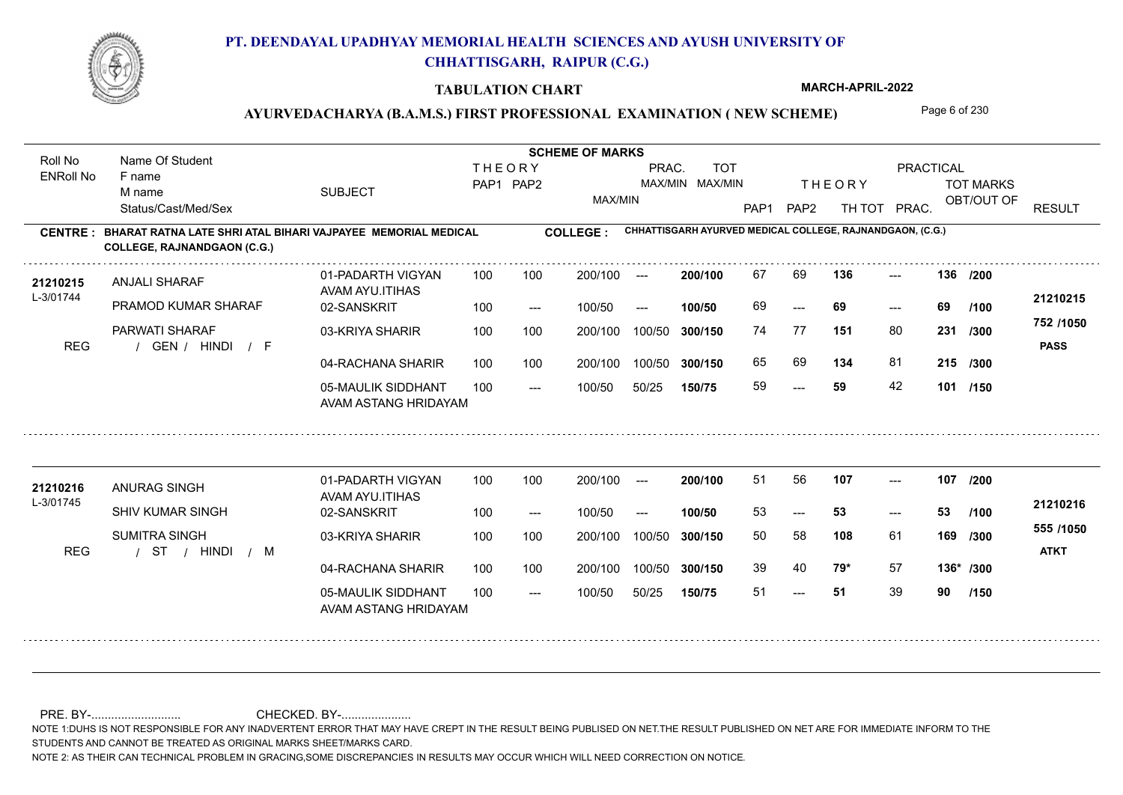

### **TABULATION CHART**

**MARCH-APRIL-2022**

# AYURVEDACHARYA (B.A.M.S.) FIRST PROFESSIONAL EXAMINATION (NEW SCHEME) Page 6 of 230

| Roll No               | Name Of Student                                                                                    |                                            |                                                                      |                     | <b>SCHEME OF MARKS</b> |        |         |                  |                  |                                                           |       |             |                          |
|-----------------------|----------------------------------------------------------------------------------------------------|--------------------------------------------|----------------------------------------------------------------------|---------------------|------------------------|--------|---------|------------------|------------------|-----------------------------------------------------------|-------|-------------|--------------------------|
| <b>ENRoll No</b>      | F name<br>M name                                                                                   | <b>SUBJECT</b>                             | <b>TOT</b><br><b>THEORY</b><br>PRAC.<br>MAX/MIN MAX/MIN<br>PAP1 PAP2 |                     |                        |        |         |                  | <b>THEORY</b>    | <b>PRACTICAL</b><br><b>TOT MARKS</b>                      |       |             |                          |
|                       | Status/Cast/Med/Sex                                                                                |                                            |                                                                      |                     | MAX/MIN                |        |         | PAP <sub>1</sub> | PAP <sub>2</sub> | TH TOT                                                    | PRAC. | OBT/OUT OF  | <b>RESULT</b>            |
| <b>CENTRE:</b>        | BHARAT RATNA LATE SHRI ATAL BIHARI VAJPAYEE MEMORIAL MEDICAL<br><b>COLLEGE, RAJNANDGAON (C.G.)</b> |                                            |                                                                      |                     | <b>COLLEGE:</b>        |        |         |                  |                  | CHHATTISGARH AYURVED MEDICAL COLLEGE, RAJNANDGAON, (C.G.) |       |             |                          |
| 21210215              | <b>ANJALI SHARAF</b>                                                                               | 01-PADARTH VIGYAN<br>AVAM AYU.ITIHAS       | 100                                                                  | 100                 | 200/100                | $---$  | 200/100 | 67               | 69               | 136                                                       | $---$ | 136 /200    |                          |
| L-3/01744             | PRAMOD KUMAR SHARAF                                                                                | 02-SANSKRIT                                | 100                                                                  | $---$               | 100/50                 | $---$  | 100/50  | 69               | $---$            | 69                                                        | $---$ | 69<br>/100  | 21210215                 |
| <b>REG</b>            | PARWATI SHARAF<br>GEN / HINDI / F                                                                  | 03-KRIYA SHARIR                            | 100                                                                  | 100                 | 200/100                | 100/50 | 300/150 | 74               | 77               | 151                                                       | 80    | 231<br>/300 | 752 /1050<br><b>PASS</b> |
|                       |                                                                                                    | 04-RACHANA SHARIR                          | 100                                                                  | 100                 | 200/100                | 100/50 | 300/150 | 65               | 69               | 134                                                       | 81    | 215 /300    |                          |
|                       |                                                                                                    | 05-MAULIK SIDDHANT<br>AVAM ASTANG HRIDAYAM | 100                                                                  | $\qquad \qquad - -$ | 100/50                 | 50/25  | 150/75  | 59               | $---$            | 59                                                        | 42    | 101 /150    |                          |
|                       |                                                                                                    |                                            |                                                                      |                     |                        |        |         | 51               | 56               | 107                                                       |       | 107         |                          |
| 21210216<br>L-3/01745 | ANURAG SINGH                                                                                       | 01-PADARTH VIGYAN<br>AVAM AYU.ITIHAS       | 100                                                                  | 100                 | 200/100                | $---$  | 200/100 |                  |                  |                                                           | $---$ | 1200        |                          |
|                       | SHIV KUMAR SINGH                                                                                   | 02-SANSKRIT                                | 100                                                                  | $---$               | 100/50                 | $---$  | 100/50  | 53               | $---$            | 53                                                        | $---$ | 53<br>/100  | 21210216                 |
| <b>REG</b>            | <b>SUMITRA SINGH</b><br>/ HINDI<br>- ST<br>$/$ M                                                   | 03-KRIYA SHARIR                            | 100                                                                  | 100                 | 200/100                | 100/50 | 300/150 | 50               | 58               | 108                                                       | 61    | 169<br>/300 | 555 /1050<br><b>ATKT</b> |
|                       |                                                                                                    | 04-RACHANA SHARIR                          | 100                                                                  | 100                 | 200/100                | 100/50 | 300/150 | 39               | 40               | 79*                                                       | 57    | 136* /300   |                          |
|                       |                                                                                                    | 05-MAULIK SIDDHANT                         | 100                                                                  | $---$               | 100/50                 | 50/25  | 150/75  | 51               | ---              | 51                                                        | 39    | 90<br>/150  |                          |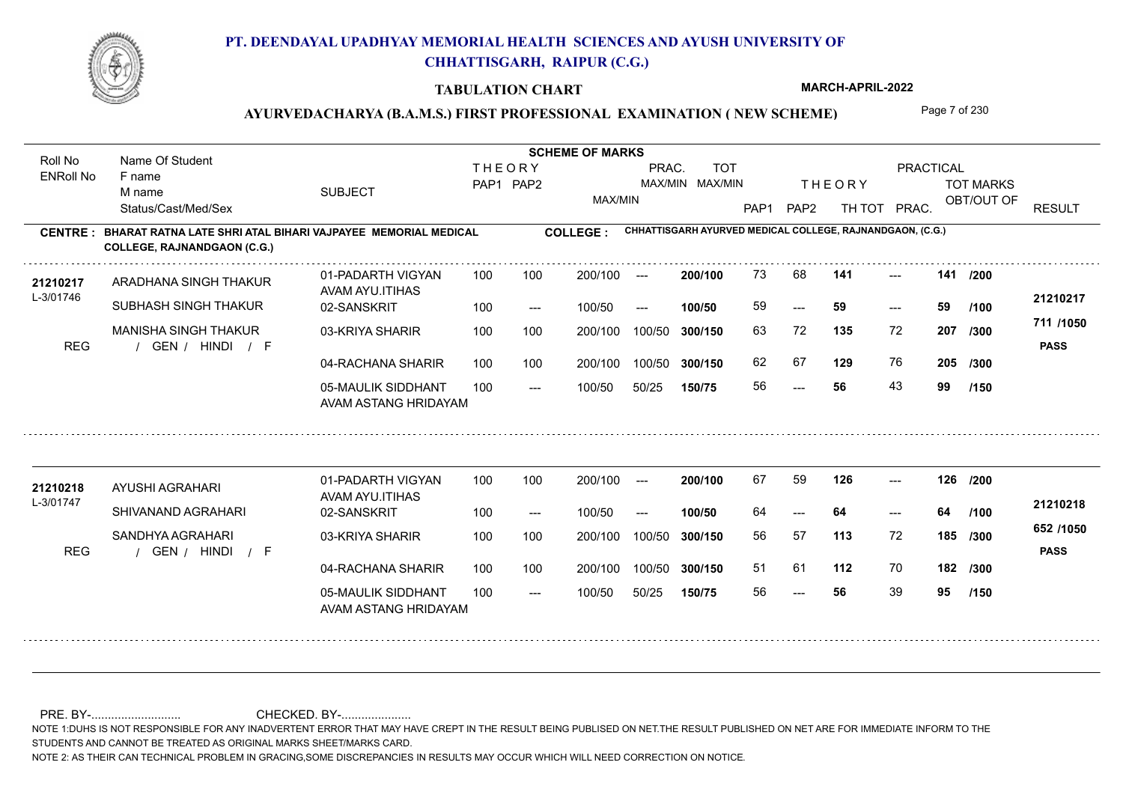

### **TABULATION CHART**

**MARCH-APRIL-2022**

# AYURVEDACHARYA (B.A.M.S.) FIRST PROFESSIONAL EXAMINATION (NEW SCHEME) Page 7 of 230

| Roll No               | Name Of Student                                                                                    |                                            |                                                                      |       | <b>SCHEME OF MARKS</b> |        |         |      |                                     |                                                           |       |             |                          |
|-----------------------|----------------------------------------------------------------------------------------------------|--------------------------------------------|----------------------------------------------------------------------|-------|------------------------|--------|---------|------|-------------------------------------|-----------------------------------------------------------|-------|-------------|--------------------------|
| <b>ENRoll No</b>      | F name<br>M name                                                                                   | <b>SUBJECT</b>                             | <b>THEORY</b><br>PRAC.<br><b>TOT</b><br>PAP1 PAP2<br>MAX/MIN MAX/MIN |       |                        |        |         |      | <b>THEORY</b>                       | PRACTICAL<br><b>TOT MARKS</b>                             |       |             |                          |
|                       | Status/Cast/Med/Sex                                                                                |                                            |                                                                      |       | MAX/MIN                |        |         | PAP1 | PAP <sub>2</sub>                    | TH TOT                                                    | PRAC. | OBT/OUT OF  | <b>RESULT</b>            |
| <b>CENTRE:</b>        | BHARAT RATNA LATE SHRI ATAL BIHARI VAJPAYEE MEMORIAL MEDICAL<br><b>COLLEGE, RAJNANDGAON (C.G.)</b> |                                            |                                                                      |       | <b>COLLEGE:</b>        |        |         |      |                                     | CHHATTISGARH AYURVED MEDICAL COLLEGE, RAJNANDGAON, (C.G.) |       |             |                          |
| 21210217<br>L-3/01746 | ARADHANA SINGH THAKUR                                                                              | 01-PADARTH VIGYAN<br>AVAM AYU.ITIHAS       | 100                                                                  | 100   | 200/100                | $---$  | 200/100 | 73   | 68                                  | 141                                                       | ---   | 141<br>/200 |                          |
|                       | SUBHASH SINGH THAKUR                                                                               | 02-SANSKRIT                                | 100                                                                  | $---$ | 100/50                 | $---$  | 100/50  | 59   | $\hspace{0.05cm}---\hspace{0.05cm}$ | 59                                                        | ---   | 59<br>1100  | 21210217                 |
| <b>REG</b>            | <b>MANISHA SINGH THAKUR</b><br>GEN / HINDI<br>/ F                                                  | 03-KRIYA SHARIR                            | 100                                                                  | 100   | 200/100                | 100/50 | 300/150 | 63   | 72                                  | 135                                                       | 72    | 207<br>/300 | 711 /1050<br><b>PASS</b> |
|                       |                                                                                                    | 04-RACHANA SHARIR                          | 100                                                                  | 100   | 200/100                | 100/50 | 300/150 | 62   | 67                                  | 129                                                       | 76    | 205 /300    |                          |
|                       |                                                                                                    | 05-MAULIK SIDDHANT<br>AVAM ASTANG HRIDAYAM | 100                                                                  | $---$ | 100/50                 | 50/25  | 150/75  | 56   | $\qquad \qquad -\qquad$             | 56                                                        | 43    | 99<br>/150  |                          |
|                       |                                                                                                    | 01-PADARTH VIGYAN                          | 100                                                                  | 100   | 200/100                | $---$  | 200/100 | 67   | 59                                  | 126                                                       | $---$ | 126 /200    |                          |
| 21210218<br>L-3/01747 | AYUSHI AGRAHARI                                                                                    | AVAM AYU.ITIHAS                            |                                                                      |       |                        |        |         |      |                                     |                                                           |       |             | 21210218                 |
|                       | SHIVANAND AGRAHARI                                                                                 | 02-SANSKRIT                                | 100                                                                  | $---$ | 100/50                 | $---$  | 100/50  | 64   | $---$                               | 64                                                        | $---$ | 64<br>/100  |                          |
| <b>REG</b>            | SANDHYA AGRAHARI<br>GEN / HINDI<br>/ F                                                             | 03-KRIYA SHARIR                            | 100                                                                  | 100   | 200/100                | 100/50 | 300/150 | 56   | 57                                  | 113                                                       | 72    | 185<br>/300 | 652 /1050<br><b>PASS</b> |
|                       |                                                                                                    | 04-RACHANA SHARIR                          | 100                                                                  | 100   | 200/100                | 100/50 | 300/150 | 51   | 61                                  | 112                                                       | 70    | 182<br>/300 |                          |
|                       |                                                                                                    | 05-MAULIK SIDDHANT<br>AVAM ASTANG HRIDAYAM | 100                                                                  | $---$ | 100/50                 | 50/25  | 150/75  | 56   | $\qquad \qquad -\qquad$             | 56                                                        | 39    | 95<br>/150  |                          |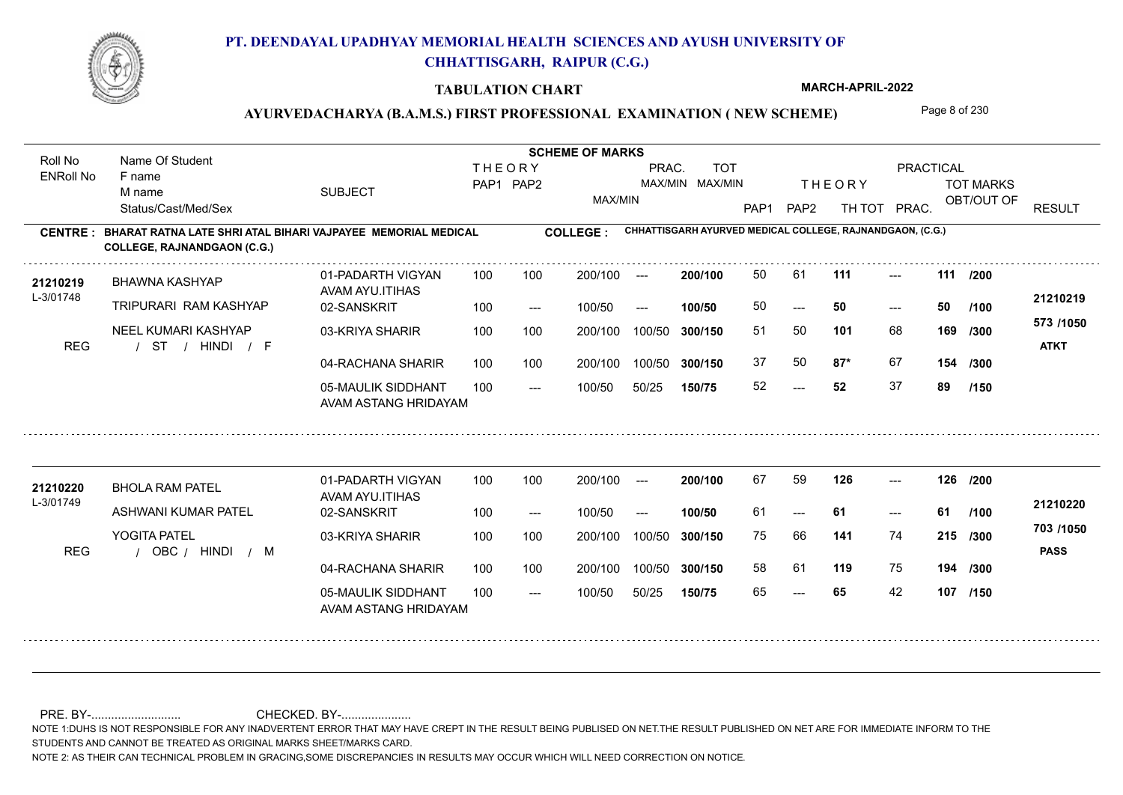

#### **TABULATION CHART**

**MARCH-APRIL-2022**

### AYURVEDACHARYA (B.A.M.S.) FIRST PROFESSIONAL EXAMINATION (NEW SCHEME) Page 8 of 230

**Name Of Student Contract of Student Act of Student SCHEME OF MARKS** Roll No Name Of Student **THEORY** PRAC. TOT **PRACTICAL** ENRoll No F name SUBJECT TOT MARKS PAP1 PAP2 MAX/MIN MAX/MIN THE ORY TOT MARKS M name MAX/MIN OBT/OUT OF RESULT Status/Cast/Med/Sex PAP1 PAP2 TH TOT PRAC. **CHHATTISGARH AYURVED MEDICAL COLLEGE, RAJNANDGAON, (C.G.) CENTRE : COLLEGE : BHARAT RATNA LATE SHRI ATAL BIHARI VAJPAYEE MEMORIAL MEDICAL COLLEGE, RAJNANDGAON (C.G.) <sup>21210219</sup>** <sup>50</sup> <sup>61</sup> **200/100** --- **111 111 /200** 01-PADARTH VIGYAN 100 200/100 ---BHAWNA KASHYAP AVAM AYU.ITIHAS L-3/01748 **21210219** TRIPURARI RAM KASHYAP 02-SANSKRIT **100/50** 50 **50 50**  $- - 50$  $- - 50$ 100 --- 100/50 --- **/100 573 /1050** NEEL KUMARI KASHYAP 03-KRIYA SHARIR 100 100 100 100 200/100 100/50 300/150 **300/150** 100/50 51 50 **169 101** 68 **/300** / / / REG ST HINDI F **ATKT** 04-RACHANA SHARIR 100 100 37 50 **87\*** 67 **87\*** 67 **154 /300** 100 100 200/100 100/50 300/150 100/50 **300/150** 05-MAULIK SIDDHANT 52 **52** 37 **89**  $-52$  $- -$  100/50 100/50 50/25 **150/75 /150** AVAM ASTANG HRIDAYAM **<sup>21210220</sup>** <sup>67</sup> <sup>59</sup> 01-PADARTH VIGYAN 100 200/100 ---**200/100** --- **126 126 /200** BHOLA RAM PATEL AVAM AYU.ITIHAS L-3/01749 **21210220** ASHWANI KUMAR PATEL 02-SANSKRIT **100/50** 61 **61 61** --- --- **/100** 100 --- 100/50 --- **703 /1050** YOGITA PATEL 03-KRIYA SHARIR 200/100 100/50 **300/150** 100/50 200/100 **141** 74 75 66 **215 /300** REG / OBC / HINDI / M HINDI M **PASS** 04-RACHANA SHARIR 100 100 200/100 100/50 58 61 **119** 75 **194 /300** 100/50 **300/150** 05-MAULIK SIDDHANT 100  $- -$  100/50 65 **65** 42 **107 /150** --- 100/50 50/25 **150/75** AVAM ASTANG HRIDAYAM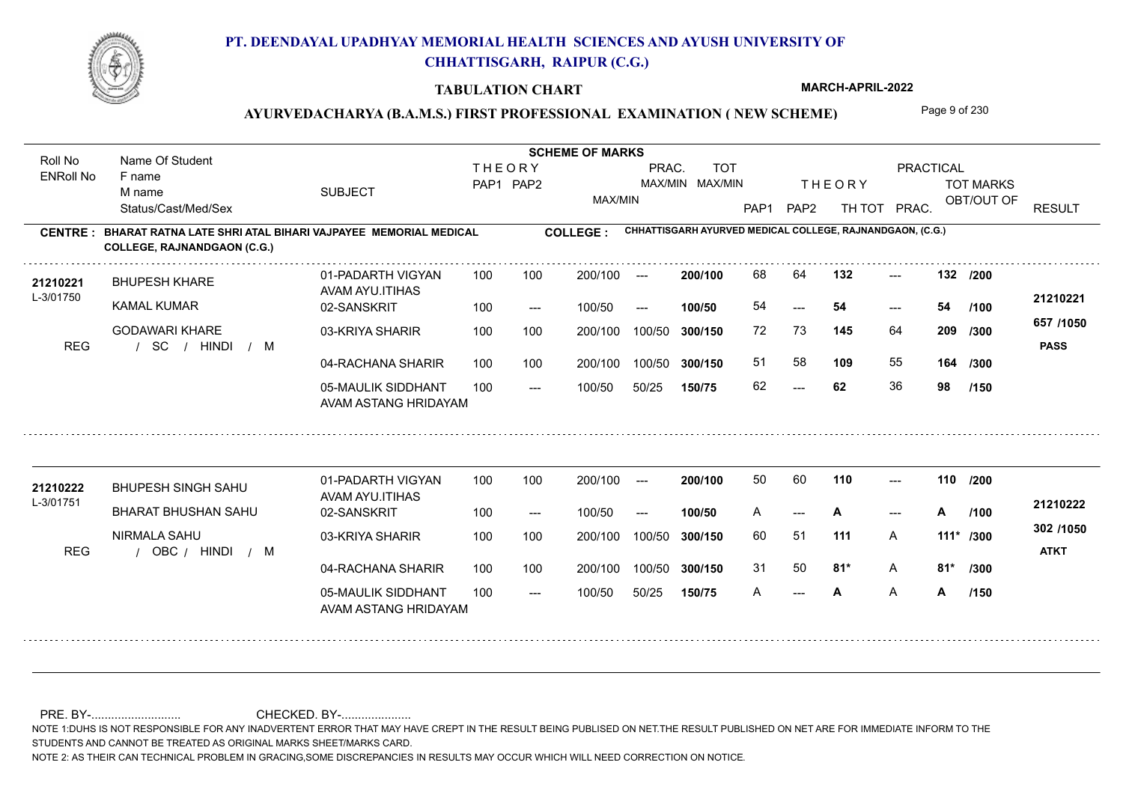

### **TABULATION CHART**

**MARCH-APRIL-2022**

# AYURVEDACHARYA (B.A.M.S.) FIRST PROFESSIONAL EXAMINATION (NEW SCHEME) Page 9 of 230

| Roll No               | Name Of Student                                                                                    |                                            |                                                                      |       |                 |        |         |      |                         |                                                           |       |               |                          |
|-----------------------|----------------------------------------------------------------------------------------------------|--------------------------------------------|----------------------------------------------------------------------|-------|-----------------|--------|---------|------|-------------------------|-----------------------------------------------------------|-------|---------------|--------------------------|
| <b>ENRoll No</b>      | F name<br>M name                                                                                   | <b>SUBJECT</b>                             | <b>TOT</b><br><b>THEORY</b><br>PRAC.<br>PAP1 PAP2<br>MAX/MIN MAX/MIN |       |                 |        |         |      | <b>THEORY</b>           | PRACTICAL<br><b>TOT MARKS</b>                             |       |               |                          |
|                       | Status/Cast/Med/Sex                                                                                |                                            |                                                                      |       | MAX/MIN         |        |         | PAP1 | PAP <sub>2</sub>        | TH TOT                                                    | PRAC. | OBT/OUT OF    | <b>RESULT</b>            |
| <b>CENTRE:</b>        | BHARAT RATNA LATE SHRI ATAL BIHARI VAJPAYEE MEMORIAL MEDICAL<br><b>COLLEGE, RAJNANDGAON (C.G.)</b> |                                            |                                                                      |       | <b>COLLEGE:</b> |        |         |      |                         | CHHATTISGARH AYURVED MEDICAL COLLEGE, RAJNANDGAON, (C.G.) |       |               |                          |
| 21210221<br>L-3/01750 | <b>BHUPESH KHARE</b>                                                                               | 01-PADARTH VIGYAN<br>AVAM AYU.ITIHAS       | 100                                                                  | 100   | 200/100         | $---$  | 200/100 | 68   | 64                      | 132                                                       | $---$ | 132 /200      |                          |
|                       | <b>KAMAL KUMAR</b>                                                                                 | 02-SANSKRIT                                | 100                                                                  | $---$ | 100/50          | $---$  | 100/50  | 54   | ---                     | 54                                                        | $---$ | 54<br>1100    | 21210221                 |
| <b>REG</b>            | <b>GODAWARI KHARE</b><br><b>SC</b><br><b>HINDI</b><br>/ M<br>$\sqrt{ }$                            | 03-KRIYA SHARIR                            | 100                                                                  | 100   | 200/100         | 100/50 | 300/150 | 72   | 73                      | 145                                                       | 64    | 209<br>/300   | 657 /1050<br><b>PASS</b> |
|                       |                                                                                                    | 04-RACHANA SHARIR                          | 100                                                                  | 100   | 200/100         | 100/50 | 300/150 | 51   | 58                      | 109                                                       | 55    | 164 /300      |                          |
|                       |                                                                                                    | 05-MAULIK SIDDHANT<br>AVAM ASTANG HRIDAYAM | 100                                                                  | $---$ | 100/50          | 50/25  | 150/75  | 62   | $\qquad \qquad -\qquad$ | 62                                                        | 36    | 98<br>/150    |                          |
|                       |                                                                                                    | 01-PADARTH VIGYAN                          | 100                                                                  | 100   | 200/100         | $---$  | 200/100 | 50   | 60                      | 110                                                       | $---$ | 110 /200      |                          |
| 21210222              | <b>BHUPESH SINGH SAHU</b>                                                                          | AVAM AYU.ITIHAS                            |                                                                      |       |                 |        |         |      |                         |                                                           |       |               |                          |
| L-3/01751             | <b>BHARAT BHUSHAN SAHU</b>                                                                         | 02-SANSKRIT                                | 100                                                                  | $---$ | 100/50          | $---$  | 100/50  | A    | ---                     | A                                                         | $---$ | A<br>/100     | 21210222                 |
| <b>REG</b>            | NIRMALA SAHU<br>OBC / HINDI<br>/ M                                                                 | 03-KRIYA SHARIR                            | 100                                                                  | 100   | 200/100         | 100/50 | 300/150 | 60   | 51                      | 111                                                       | A     | 111* /300     | 302 /1050<br><b>ATKT</b> |
|                       |                                                                                                    | 04-RACHANA SHARIR                          | 100                                                                  | 100   | 200/100         | 100/50 | 300/150 | 31   | 50                      | $81*$                                                     | Α     | $81*$<br>/300 |                          |
|                       |                                                                                                    | 05-MAULIK SIDDHANT<br>AVAM ASTANG HRIDAYAM | 100                                                                  | $---$ | 100/50          | 50/25  | 150/75  | A    | $---$                   | A                                                         | Α     | Α<br>/150     |                          |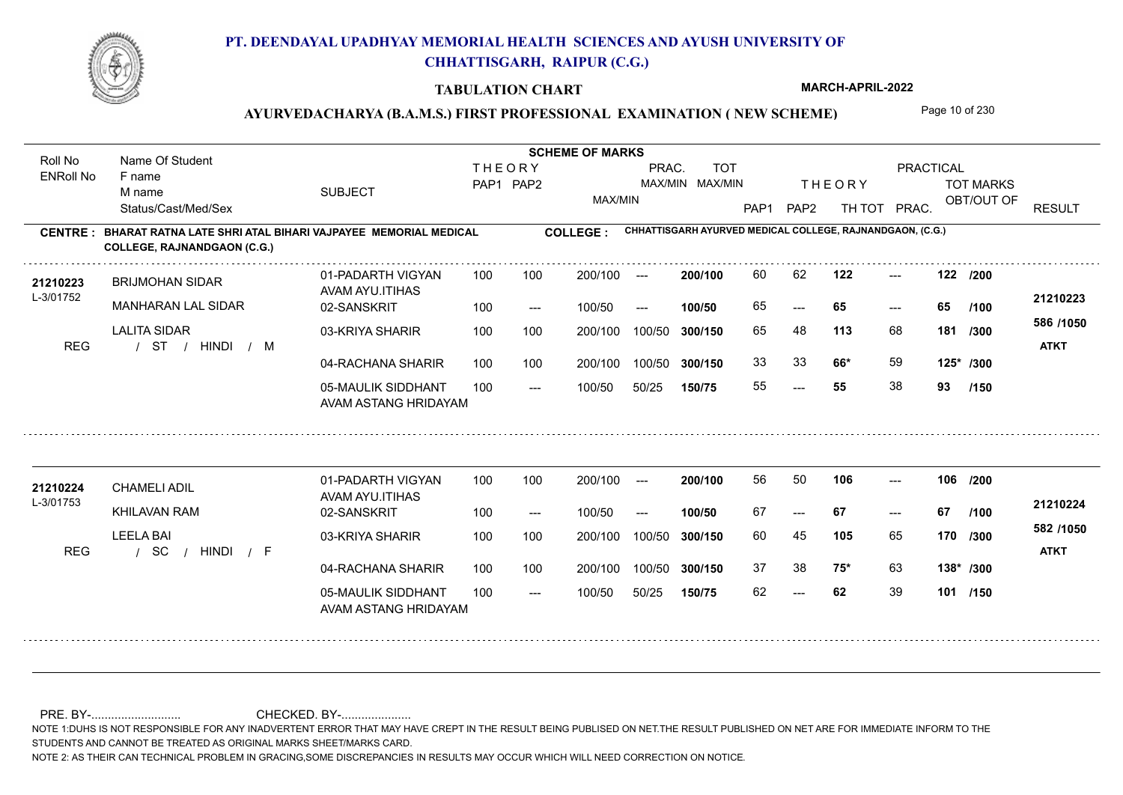

#### **TABULATION CHART**

**MARCH-APRIL-2022**

### AYURVEDACHARYA (B.A.M.S.) FIRST PROFESSIONAL EXAMINATION (NEW SCHEME) Page 10 of 230

**Name Of Student Contract of Student Act of Student SCHEME OF MARKS** Roll No Name Of Student **THEORY** PRAC. TOT PRACTICAL ENRoll No F name SUBJECT TOT MARKS PAP1 PAP2 MAX/MIN MAX/MIN THE ORY TOT MARKS M name MAX/MIN OBT/OUT OF RESULT Status/Cast/Med/Sex PAP1 PAP2 TH TOT PRAC. **CHHATTISGARH AYURVED MEDICAL COLLEGE, RAJNANDGAON, (C.G.) CENTRE : COLLEGE : BHARAT RATNA LATE SHRI ATAL BIHARI VAJPAYEE MEMORIAL MEDICAL COLLEGE, RAJNANDGAON (C.G.)** 21210223 BRIJMOHAN SIDAR 01-PADARTH VIGYAN 100 100 200/100 --- **200/100** 60 62 **122** ---**200/100** --- **122 122 /200** 01-PADARTH VIGYAN 100 200/100 ---BRIJMOHAN SIDAR AVAM AYU.ITIHAS L-3/01752 **21210223** MANHARAN LAL SIDAR 02-SANSKRIT **100/50** 65 **65 65** ---  $- - 65$ 100 --- 100/50 --- **/100 586 /1050** LALITA SIDAR 03-KRIYA SHARIR 100 100 200/100 100/50 300/150 **300/150** 100/50 **113** 68 65 48 **181 /300** / / / REG ST HINDI M **ATKT** 04-RACHANA SHARIR 100 100 33 **66\*** 59 **66\*** 59 **125\* /300** 100 100 200/100 100/50 300/150 100/50 **300/150** 05-MAULIK SIDDHANT 55 **55** 38 **93** ---  $- -$  100/50 100/50 50/25 **150/75 /150** AVAM ASTANG HRIDAYAM **<sup>21210224</sup>** <sup>56</sup> <sup>50</sup> 01-PADARTH VIGYAN 100 200/100 ---**200/100** --- **106 106 /200** CHAMELI ADIL AVAM AYU.ITIHAS L-3/01753 **21210224** KHILAVAN RAM 02-SANSKRIT **100/50** 67 **67 67** --- --- **/100** 100 --- 100/50 --- **582 /1050** LEELA BAI 03-KRIYA SHARIR 200/100 100/50 **300/150** 100/50 200/100 **105** 65 60 45 **170 /300** / / / REG SC HINDI F **ATKT** 04-RACHANA SHARIR 100 100 200/100 100/50 37 38 **75\*** 63 **75\*** 63 **138\* /300** 100/50 **300/150** 05-MAULIK SIDDHANT 100  $- -$  100/50 62 **62** 39 **101 /150** --- 100/50 50/25 **150/75** AVAM ASTANG HRIDAYAM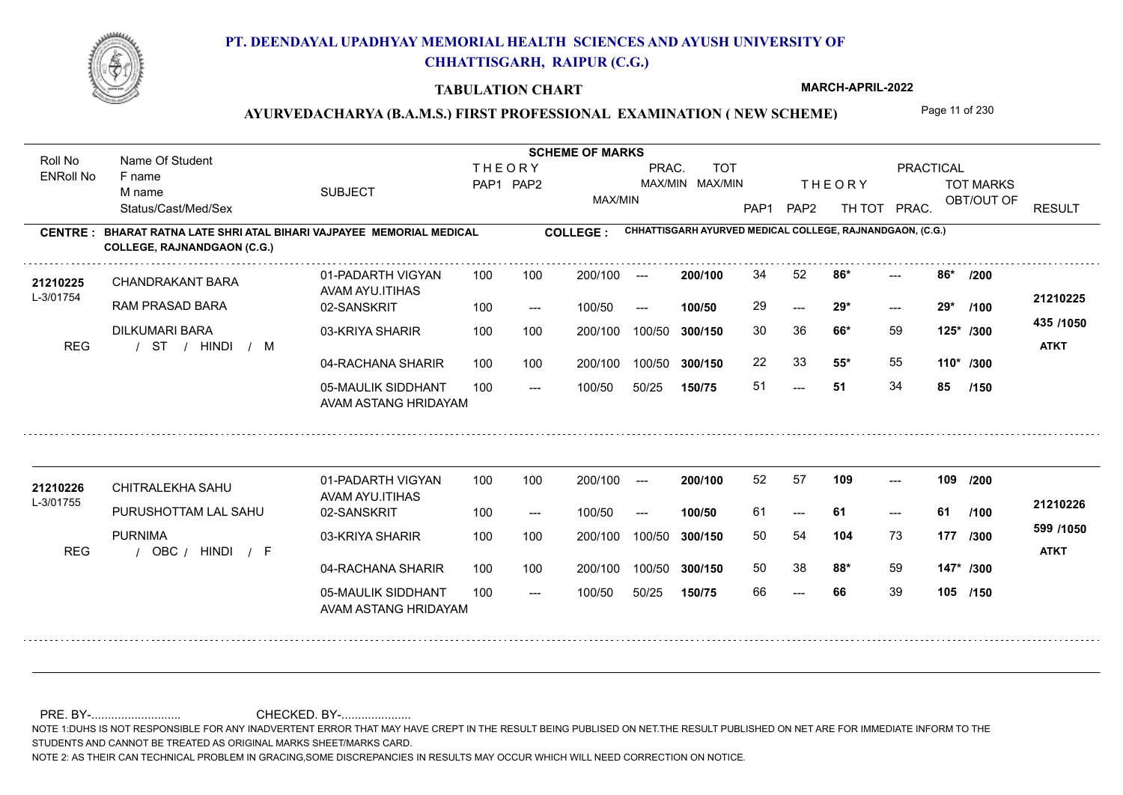

### **TABULATION CHART**

**MARCH-APRIL-2022**

# AYURVEDACHARYA (B.A.M.S.) FIRST PROFESSIONAL EXAMINATION (NEW SCHEME) Page 11 of 230

| Roll No               | Name Of Student                                                                                    |                                            |     |           | PRACTICAL       |                      |                 |                  |                  |                                                           |       |             |                                |                          |
|-----------------------|----------------------------------------------------------------------------------------------------|--------------------------------------------|-----|-----------|-----------------|----------------------|-----------------|------------------|------------------|-----------------------------------------------------------|-------|-------------|--------------------------------|--------------------------|
| <b>ENRoll No</b>      | F name                                                                                             |                                            |     | PRAC.     | <b>TOT</b>      |                      |                 |                  |                  |                                                           |       |             |                                |                          |
|                       | M name<br>Status/Cast/Med/Sex                                                                      | <b>SUBJECT</b>                             |     | PAP1 PAP2 | MAX/MIN         |                      | MAX/MIN MAX/MIN | PAP <sub>1</sub> | PAP <sub>2</sub> | <b>THEORY</b><br>TH TOT PRAC.                             |       |             | <b>TOT MARKS</b><br>OBT/OUT OF | <b>RESULT</b>            |
| <b>CENTRE:</b>        | BHARAT RATNA LATE SHRI ATAL BIHARI VAJPAYEE MEMORIAL MEDICAL<br><b>COLLEGE, RAJNANDGAON (C.G.)</b> |                                            |     |           | <b>COLLEGE:</b> |                      |                 |                  |                  | CHHATTISGARH AYURVED MEDICAL COLLEGE, RAJNANDGAON, (C.G.) |       |             |                                |                          |
| 21210225<br>L-3/01754 | <b>CHANDRAKANT BARA</b>                                                                            | 01-PADARTH VIGYAN<br>AVAM AYU.ITIHAS       | 100 | 100       | 200/100         | $---$                | 200/100         | 34               | 52               | 86*                                                       |       | 86*         | /200                           | 21210225                 |
|                       | RAM PRASAD BARA                                                                                    | 02-SANSKRIT                                | 100 | $---$     | 100/50          | $\hspace{0.05cm}---$ | 100/50          | 29               | $---$            | $29*$                                                     | $---$ | $29*$       | /100                           |                          |
| <b>REG</b>            | DILKUMARI BARA<br>/ HINDI<br>ST<br>$/$ M                                                           | 03-KRIYA SHARIR                            | 100 | 100       | 200/100         | 100/50               | 300/150         | 30               | 36               | 66*                                                       | 59    | 125* /300   |                                | 435 /1050<br><b>ATKT</b> |
|                       |                                                                                                    | 04-RACHANA SHARIR                          | 100 | 100       | 200/100         | 100/50               | 300/150         | 22               | 33               | $55*$                                                     | 55    | $110*$ /300 |                                |                          |
|                       |                                                                                                    | 05-MAULIK SIDDHANT<br>AVAM ASTANG HRIDAYAM | 100 | $---$     | 100/50          | 50/25                | 150/75          | 51               | $---$            | 51                                                        | 34    | 85          | /150                           |                          |
|                       | CHITRALEKHA SAHU                                                                                   | 01-PADARTH VIGYAN                          | 100 | 100       | 200/100         | $\sim$ $\sim$        | 200/100         | 52               | 57               | 109                                                       | $---$ | 109 /200    |                                |                          |
| 21210226<br>L-3/01755 |                                                                                                    | AVAM AYU.ITIHAS                            |     |           |                 |                      |                 |                  |                  |                                                           |       |             |                                | 21210226                 |
|                       | PURUSHOTTAM LAL SAHU                                                                               | 02-SANSKRIT                                | 100 | $---$     | 100/50          | $---$                | 100/50          | 61               | $---$            | -61                                                       | $---$ | 61          | /100                           | 599 /1050                |
| <b>REG</b>            | <b>PURNIMA</b><br>HINDI / F<br>OBC /                                                               | 03-KRIYA SHARIR                            | 100 | 100       | 200/100         | 100/50               | 300/150         | 50               | 54               | 104                                                       | 73    | 177         | /300                           | <b>ATKT</b>              |
|                       |                                                                                                    | 04-RACHANA SHARIR                          | 100 | 100       | 200/100         | 100/50               | 300/150         | 50               | 38               | $88*$                                                     | 59    | 147* /300   |                                |                          |
|                       |                                                                                                    | 05-MAULIK SIDDHANT<br>AVAM ASTANG HRIDAYAM | 100 | $---$     | 100/50          | 50/25                | 150/75          | 66               |                  | 66                                                        | 39    | 105 /150    |                                |                          |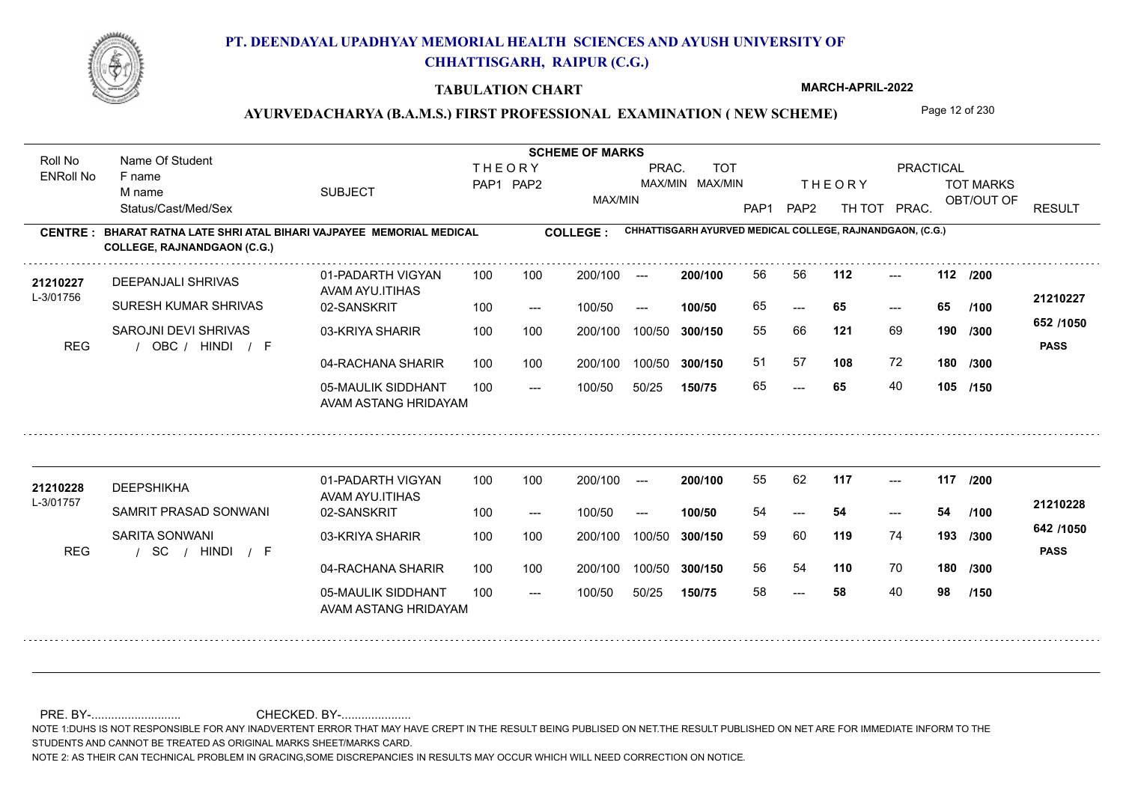

#### **TABULATION CHART**

**MARCH-APRIL-2022**

### AYURVEDACHARYA (B.A.M.S.) FIRST PROFESSIONAL EXAMINATION (NEW SCHEME) Page 12 of 230

**Name Of Student Contract of Student Act of Student SCHEME OF MARKS** Roll No Name Of Student **THEORY** PRAC. TOT PRACTICAL ENRoll No F name SUBJECT TOT MARKS PAP1 PAP2 MAX/MIN MAX/MIN THE ORY TOT MARKS M name MAX/MIN OBT/OUT OF RESULT Status/Cast/Med/Sex PAP1 PAP2 TH TOT PRAC. **CHHATTISGARH AYURVED MEDICAL COLLEGE, RAJNANDGAON, (C.G.) CENTRE : COLLEGE : BHARAT RATNA LATE SHRI ATAL BIHARI VAJPAYEE MEMORIAL MEDICAL COLLEGE, RAJNANDGAON (C.G.) <sup>21210227</sup>** <sup>56</sup> <sup>56</sup> **200/100** --- **112 112 /200** 01-PADARTH VIGYAN 100 200/100 ---DEEPANJALI SHRIVAS AVAM AYU.ITIHAS L-3/01756 **21210227** SURESH KUMAR SHRIVAS 02-SANSKRIT **100/50** 65 **65 65** ---  $- - 65$ 100 --- 100/50 --- **/100 652 /1050** SAROJNI DEVI SHRIVAS 03-KRIYA SHARIR 100 100 200/100 100/50 300/150 **300/150** 100/50 55 66 **190 121** 69 **/300** REG / OBC / HINDI / F HINDI F **PASS** 04-RACHANA SHARIR 100 100 51 57 **108** 72 **108** 72 **180 /300** 100 100 200/100 100/50 300/150 100/50 **300/150** 05-MAULIK SIDDHANT 65 **65** 40 **105 /150** ---  $- -$  100/50 100/50 50/25 **150/75** AVAM ASTANG HRIDAYAM **<sup>21210228</sup>** <sup>55</sup> <sup>62</sup> 01-PADARTH VIGYAN 100 200/100 ---**200/100** --- **117 117 /200** DEEPSHIKHA AVAM AYU.ITIHAS L-3/01757 **21210228** SAMRIT PRASAD SONWANI 02-SANSKRIT **100/50** 54 **54 54** --- --- **/100** 100 --- 100/50 --- **642 /1050** SARITA SONWANI 03-KRIYA SHARIR 200/100 100/50 **300/150** 100/50 200/100 **119** 74 59 60 **193 /300** / / / REG SC HINDI F **PASS** 04-RACHANA SHARIR 100 100 200/100 100/50 56 54 **110** 70 **180 /300** 200/100 100/50 **300/150** 05-MAULIK SIDDHANT 100  $- -$  100/50 58 **58** 40 **98** --- 100/50 50/25 **150/75 /150** AVAM ASTANG HRIDAYAM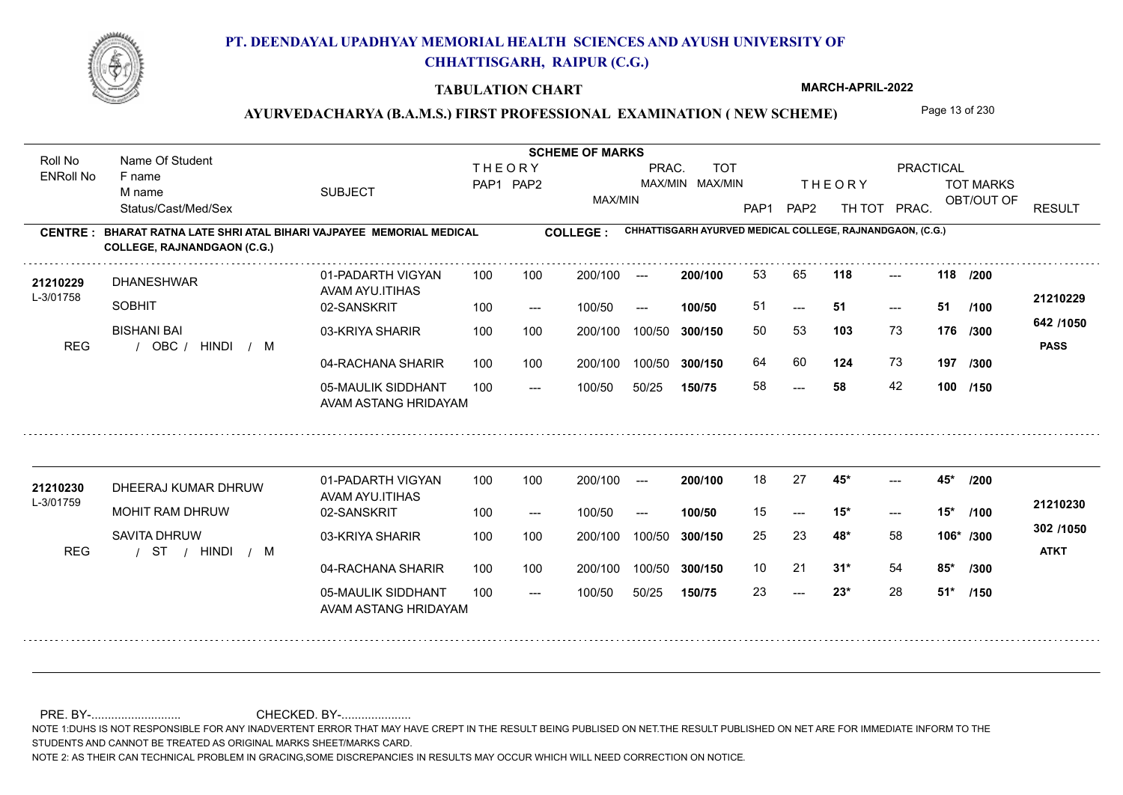

### **TABULATION CHART**

**MARCH-APRIL-2022**

# AYURVEDACHARYA (B.A.M.S.) FIRST PROFESSIONAL EXAMINATION (NEW SCHEME) Page 13 of 230

| Roll No               | Name Of Student                                                                                    |                                            | <b>SCHEME OF MARKS</b> |                            |                 |                      |                               |                  |                  |                                                           |                     |                  |                          |
|-----------------------|----------------------------------------------------------------------------------------------------|--------------------------------------------|------------------------|----------------------------|-----------------|----------------------|-------------------------------|------------------|------------------|-----------------------------------------------------------|---------------------|------------------|--------------------------|
| <b>ENRoll No</b>      | F name<br>M name                                                                                   | <b>SUBJECT</b>                             |                        | <b>THEORY</b><br>PAP1 PAP2 |                 | PRAC.                | <b>TOT</b><br>MAX/MIN MAX/MIN |                  |                  | <b>THEORY</b>                                             | <b>PRACTICAL</b>    | <b>TOT MARKS</b> |                          |
|                       | Status/Cast/Med/Sex                                                                                |                                            |                        |                            | MAX/MIN         |                      |                               | PAP <sub>1</sub> | PAP <sub>2</sub> | TH TOT                                                    | PRAC.               | OBT/OUT OF       | <b>RESULT</b>            |
| <b>CENTRE:</b>        | BHARAT RATNA LATE SHRI ATAL BIHARI VAJPAYEE MEMORIAL MEDICAL<br><b>COLLEGE, RAJNANDGAON (C.G.)</b> |                                            |                        |                            | <b>COLLEGE:</b> |                      |                               |                  |                  | CHHATTISGARH AYURVED MEDICAL COLLEGE, RAJNANDGAON, (C.G.) |                     |                  |                          |
| 21210229<br>L-3/01758 | <b>DHANESHWAR</b>                                                                                  | 01-PADARTH VIGYAN<br>AVAM AYU.ITIHAS       | 100                    | 100                        | 200/100         | $---$                | 200/100                       | 53               | 65               | 118                                                       | $---$               | 118 /200         |                          |
|                       | <b>SOBHIT</b>                                                                                      | 02-SANSKRIT                                | 100                    | $---$                      | 100/50          | $---$                | 100/50                        | 51               | $---$            | 51                                                        | $\qquad \qquad - -$ | 51<br>/100       | 21210229                 |
| <b>REG</b>            | <b>BISHANI BAI</b><br>OBC / HINDI<br>$/$ M                                                         | 03-KRIYA SHARIR                            | 100                    | 100                        | 200/100         | 100/50               | 300/150                       | 50               | 53               | 103                                                       | 73                  | 176<br>/300      | 642 /1050<br><b>PASS</b> |
|                       |                                                                                                    | 04-RACHANA SHARIR                          | 100                    | 100                        | 200/100         | 100/50               | 300/150                       | 64               | 60               | 124                                                       | 73                  | 197 /300         |                          |
|                       |                                                                                                    | 05-MAULIK SIDDHANT<br>AVAM ASTANG HRIDAYAM | 100                    | $---$                      | 100/50          | 50/25                | 150/75                        | 58               | ---              | 58                                                        | 42                  | 100 /150         |                          |
|                       |                                                                                                    | 01-PADARTH VIGYAN                          | 100                    | 100                        | 200/100         | $\sim$ $\sim$        | 200/100                       | 18               | 27               | $45*$                                                     | $---$               | 45*<br>/200      |                          |
| 21210230              | DHEERAJ KUMAR DHRUW                                                                                | AVAM AYU.ITIHAS                            |                        |                            |                 |                      |                               |                  |                  |                                                           |                     |                  |                          |
| L-3/01759             | MOHIT RAM DHRUW                                                                                    | 02-SANSKRIT                                | 100                    | $---$                      | 100/50          | $\hspace{0.05cm}---$ | 100/50                        | 15               | ---              | $15*$                                                     | $---$               | $15*$<br>1100    | 21210230                 |
| <b>REG</b>            | <b>SAVITA DHRUW</b><br>$/$ ST $/$ HINDI $/$ M                                                      | 03-KRIYA SHARIR                            | 100                    | 100                        | 200/100         | 100/50               | 300/150                       | 25               | 23               | 48*                                                       | 58                  | 106* /300        | 302 /1050<br><b>ATKT</b> |
|                       |                                                                                                    | 04-RACHANA SHARIR                          | 100                    | 100                        | 200/100         | 100/50               | 300/150                       | 10 <sup>°</sup>  | 21               | $31*$                                                     | 54                  | $85*$<br>/300    |                          |
|                       |                                                                                                    | 05-MAULIK SIDDHANT<br>AVAM ASTANG HRIDAYAM | 100                    | $---$                      | 100/50          | 50/25                | 150/75                        | 23               | $---$            | $23*$                                                     | 28                  | $51*$<br>/150    |                          |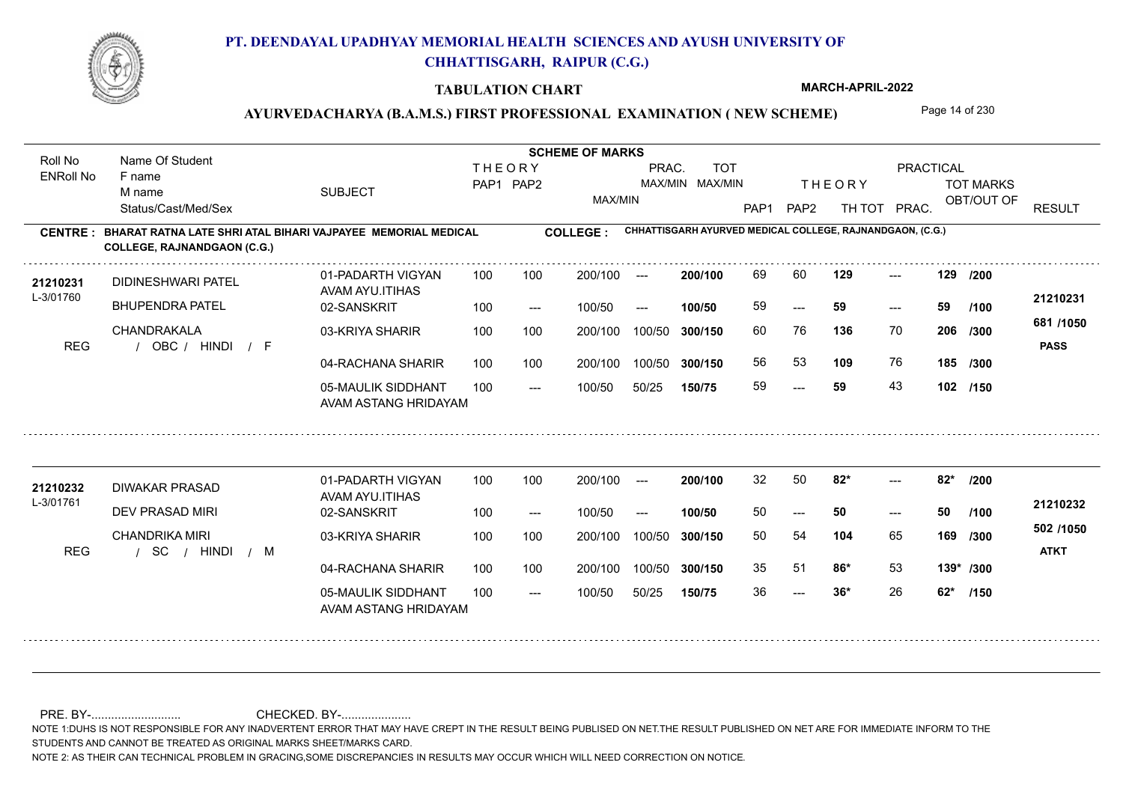

#### **TABULATION CHART**

**MARCH-APRIL-2022**

### AYURVEDACHARYA (B.A.M.S.) FIRST PROFESSIONAL EXAMINATION (NEW SCHEME) Page 14 of 230

**Name Of Student Contract of Student Act of Student SCHEME OF MARKS** Roll No Name Of Student **THEORY** PRAC. TOT PRACTICAL ENRoll No F name SUBJECT TOT MARKS PAP1 PAP2 MAX/MIN MAX/MIN THE ORY TOT MARKS M name MAX/MIN OBT/OUT OF RESULT Status/Cast/Med/Sex PAP1 PAP2 TH TOT PRAC. **CHHATTISGARH AYURVED MEDICAL COLLEGE, RAJNANDGAON, (C.G.) CENTRE : COLLEGE : BHARAT RATNA LATE SHRI ATAL BIHARI VAJPAYEE MEMORIAL MEDICAL COLLEGE, RAJNANDGAON (C.G.)** 21**210231** DIDINESHWARI PATEL 01-PADARTH VIGYAN 100 100 200/100 --- **200/100** 69 60 **129** ---**200/100 129 129** --- 01-PADARTH VIGYAN 100 200/100 ---**/200** DIDINESHWARI PATEL AVAM AYU.ITIHAS L-3/01760 **21210231** BHUPENDRA PATEL 02-SANSKRIT **100/50** 59 **59 59** ---  $- - 59$ 100 --- 100/50 --- **/100 681 /1050** CHANDRAKALA 03-KRIYA SHARIR
100 100 100 100 200/100 100/50 300/150 **300/150** 100/50 **136** 70 60 76 **206 /300** REG / OBC / HINDI / F HINDI F **PASS** 04-RACHANA SHARIR 100 100 56 53 **109** 76 **109** 76 **185 /300** 100 100 200/100 100/50 300/150 100/50 **300/150** 05-MAULIK SIDDHANT 59 **59** 43 **102 /150** ---  $- -$  100/50 100/50 50/25 **150/75** AVAM ASTANG HRIDAYAM **<sup>21210232</sup>** <sup>32</sup> <sup>50</sup> 01-PADARTH VIGYAN 100 200/100 ---**200/100 82\* 82\* /200**  $-2$  82\* DIWAKAR PRASAD AVAM AYU.ITIHAS L-3/01761 **21210232** DEV PRASAD MIRI 02-SANSKRIT **100/50** 50 **50 50** --- --- **/100** 100 --- 100/50 --- **502 /1050** CHANDRIKA MIRI 03-KRIYA SHARIR
100 100 200/100 100/50 **300/150** 100/50 200/100 50 54 **169 104** 65 **/300** / / / REG SC HINDI M **ATKT** 04-RACHANA SHARIR 100 100 200/100 100/50 35 51 **86\*** 53 **86\*** 53 **139\* /300** 200/100 100/50 **300/150** 05-MAULIK SIDDHANT 100  $- -$  100/50 36 **36\*** 26 **62\***  $- - 36*$ 100/50 50/25 **150/75 /150** AVAM ASTANG HRIDAYAM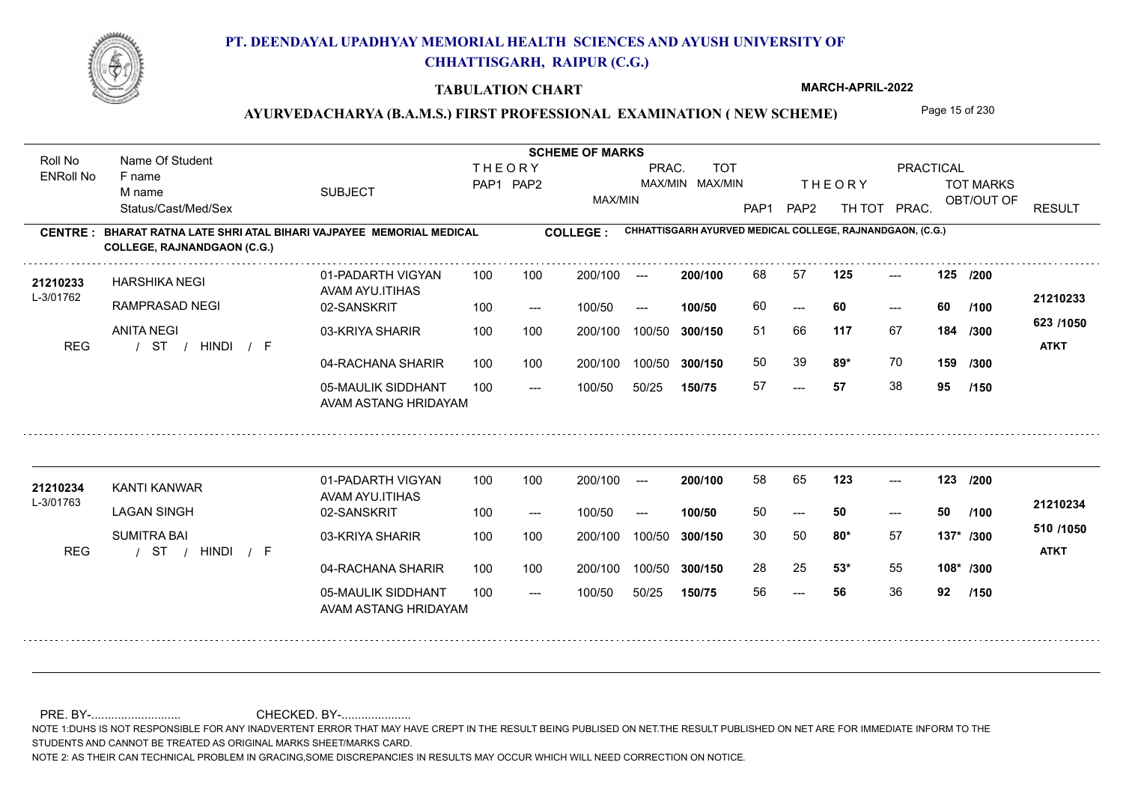

#### **TABULATION CHART**

**MARCH-APRIL-2022**

### AYURVEDACHARYA (B.A.M.S.) FIRST PROFESSIONAL EXAMINATION (NEW SCHEME) Page 15 of 230

**Name Of Student Contract of Student Act of Student SCHEME OF MARKS** Roll No Name Of Student **THEORY** PRAC. TOT PRACTICAL ENRoll No F name SUBJECT TOT MARKS PAP1 PAP2 MAX/MIN MAX/MIN THE ORY TOT MARKS M name MAX/MIN OBT/OUT OF RESULT Status/Cast/Med/Sex PAP1 PAP2 TH TOT PRAC. **CHHATTISGARH AYURVED MEDICAL COLLEGE, RAJNANDGAON, (C.G.) CENTRE : COLLEGE : BHARAT RATNA LATE SHRI ATAL BIHARI VAJPAYEE MEMORIAL MEDICAL COLLEGE, RAJNANDGAON (C.G.) <sup>21210233</sup>** <sup>68</sup> <sup>57</sup> **200/100** --- **125 125 /200** 01-PADARTH VIGYAN 100 200/100 ---HARSHIKA NEGI AVAM AYU.ITIHAS L-3/01762 **21210233** RAMPRASAD NEGI 02-SANSKRIT 60 **60 60** ---  $- - 60$  $100/50$ 100/50 --- **100/50 /100 623 /1050** ANITA NEGI 03-KRIYA SHARIR
100 100 100 100 200/100 100/50 300/150 **300/150** 100/50 **117** 67 51 66 **184 /300** / / / REG ST HINDI F **ATKT** 04-RACHANA SHARIR 100 100 50 39 **89\*** 70 **89\*** 70 **159 /300** 100 100 200/100 100/50 300/150 100/50 **300/150** 05-MAULIK SIDDHANT 57 **57** 38 **95** ---  $- -$  100/50 100/50 50/25 **150/75 /150** AVAM ASTANG HRIDAYAM **<sup>21210234</sup>** <sup>58</sup> <sup>65</sup> 01-PADARTH VIGYAN 100 200/100 ---**200/100** --- **123 123 /200** KANTI KANWAR AVAM AYU.ITIHAS L-3/01763 **21210234** LAGAN SINGH 02-SANSKRIT **100/50** 50 **50 50** --- --- **/100** 100 --- 100/50 --- **510 /1050** SUMITRA BAI 03-KRIYA SHARIR
100 100 200/100 100/50 **300/150** 100/50 200/100 **80\*** 57 30 50 **137\* /300** / / / REG ST HINDI F **ATKT** 04-RACHANA SHARIR 100 100 200/100 100/50 28 25 **53\*** 55 **53\*** 55 **108\* /300** 200/100 100/50 **300/150** 05-MAULIK SIDDHANT 100  $- -$  100/50 56 **56** 36 **92** --- 100/50 50/25 **150/75 /150** AVAM ASTANG HRIDAYAM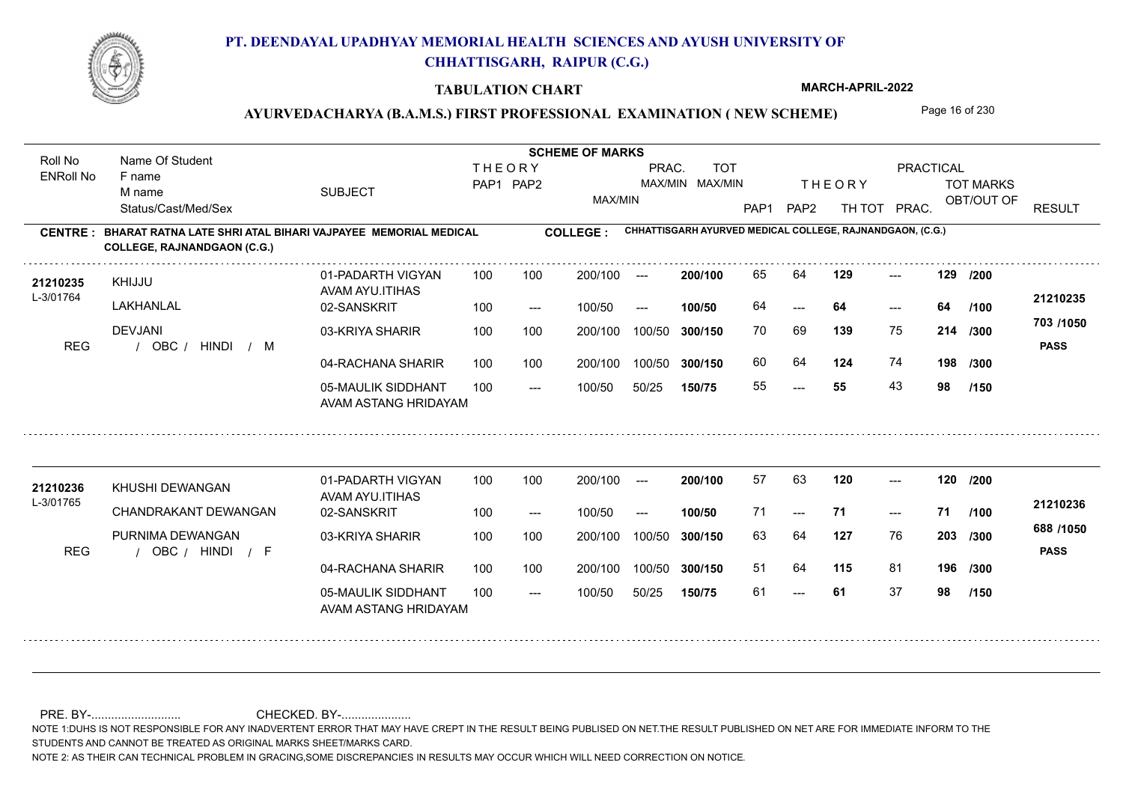

#### **TABULATION CHART**

**MARCH-APRIL-2022**

### AYURVEDACHARYA (B.A.M.S.) FIRST PROFESSIONAL EXAMINATION (NEW SCHEME) Page 16 of 230

**Name Of Student Contract of Student Act of Student SCHEME OF MARKS** Roll No Name Of Student **THEORY** PRAC. TOT PRACTICAL ENRoll No F name SUBJECT TOT MARKS PAP1 PAP2 MAX/MIN MAX/MIN THE ORY TOT MARKS M name MAX/MIN OBT/OUT OF RESULT Status/Cast/Med/Sex PAP1 PAP2 TH TOT PRAC. **CHHATTISGARH AYURVED MEDICAL COLLEGE, RAJNANDGAON, (C.G.) CENTRE : COLLEGE : BHARAT RATNA LATE SHRI ATAL BIHARI VAJPAYEE MEMORIAL MEDICAL COLLEGE, RAJNANDGAON (C.G.) <sup>21210235</sup>** <sup>65</sup> <sup>64</sup> **200/100 129 129** --- 01-PADARTH VIGYAN 100 200/100 ---**/200** KHIJJU AVAM AYU.ITIHAS L-3/01764 **21210235** LAKHANLAL 02-SANSKRIT **100/50** 64 **64 64** ---  $- - 64$ 100 --- 100/50 --- **/100 703 /1050** DEVJANI 03-KRIYA SHARIR 100 100 200/100 100/50 300/150 **300/150** 100/50 **139** 75 70 69 **214 /300** REG / OBC / HINDI / M HINDI M **PASS** 04-RACHANA SHARIR 100 100 60 64 **124** 74 **198 /300** 100 100 200/100 100/50 300/150 100/50 **300/150** 05-MAULIK SIDDHANT 55 **55** 43 **98** ---  $- -$  100/50 100/50 50/25 **150/75 /150** AVAM ASTANG HRIDAYAM **<sup>21210236</sup>** <sup>57</sup> <sup>63</sup> 01-PADARTH VIGYAN 100 200/100 ---**200/100 120 120 /200** --- KHUSHI DEWANGAN AVAM AYU.ITIHAS L-3/01765 **21210236** CHANDRAKANT DEWANGAN 02-SANSKRIT **100/50** 71 **71 71** --- --- **/100** 100 --- 100/50 --- **688 /1050** PURNIMA DEWANGAN 03-KRIYA SHARIR
100 100 200/100 100/50 **300/150** 100/50 200/100 63 64 **203 127** 76 **203** /300 REG / OBC / HINDI / F HINDI F **PASS** 04-RACHANA SHARIR 100 100 200/100 100/50 51 64 **115** 81 **196 /300** 200/100 100/50 **300/150** 05-MAULIK SIDDHANT 100  $- -$  100/50 61 **61** 37 **98** --- 100/50 50/25 **150/75 /150** AVAM ASTANG HRIDAYAM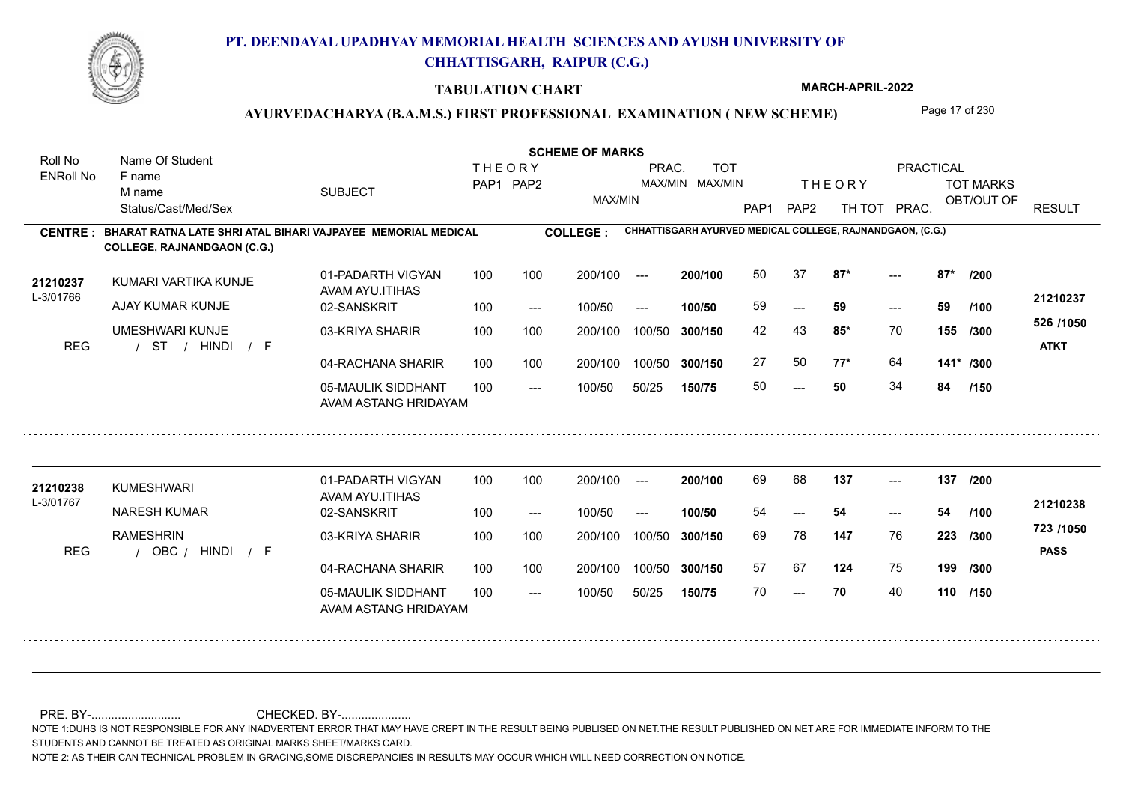

#### **TABULATION CHART**

**MARCH-APRIL-2022**

### AYURVEDACHARYA (B.A.M.S.) FIRST PROFESSIONAL EXAMINATION (NEW SCHEME) Page 17 of 230

**Name Of Student Contract of Student Act of Student SCHEME OF MARKS** Roll No Name Of Student **THEORY** PRAC. TOT PRACTICAL ENRoll No F name SUBJECT TOT MARKS PAP1 PAP2 MAX/MIN MAX/MIN THE ORY TOT MARKS M name MAX/MIN OBT/OUT OF RESULT Status/Cast/Med/Sex PAP1 PAP2 TH TOT PRAC. **CHHATTISGARH AYURVED MEDICAL COLLEGE, RAJNANDGAON, (C.G.) CENTRE : COLLEGE : BHARAT RATNA LATE SHRI ATAL BIHARI VAJPAYEE MEMORIAL MEDICAL COLLEGE, RAJNANDGAON (C.G.)** 21210237 KUMARI VARTIKA KUNJE 01-PADARTH VIGYAN 100 100 200/100 --- 200/100 50 37 87\* ---**200/100 87\* 87\* /200**  $-2$  87\* 01-PADARTH VIGYAN 100 200/100 ---KUMARI VARTIKA KUNJE AVAM AYU.ITIHAS L-3/01766 **21210237** AJAY KUMAR KUNJE 02-SANSKRIT **100/50** 59 **59 59** ---  $- - 59$ 100 --- 100/50 --- **/100 526 /1050** UMESHWARI KUNJE 03-KRIYA SHARIR 100 100 200/100 100/50 300/150 **300/150** 100/50 **85\*** 70 42 43 **155 /300** / / / REG ST HINDI F **ATKT** 04-RACHANA SHARIR 100 100 27 50 **77\*** 64 **77\*** 64 **141\* /300** 100 100 200/100 100/50 300/150 100/50 **300/150** 05-MAULIK SIDDHANT 50 **50** 34 **84**  $- - 50$  $- -$  100/50 100/50 50/25 **150/75 /150** AVAM ASTANG HRIDAYAM 21210238 KUMESHWARI 01-PADARTH VIGYAN 100 100 200/100 --- 200/100 69 68 137 ---01-PADARTH VIGYAN 100 200/100 ---**200/100** --- **137 137 /200** KUMESHWARI AVAM AYU.ITIHAS L-3/01767 **21210238** NARESH KUMAR 02-SANSKRIT **100/50** 54 **54 54** --- --- **/100** 100 --- 100/50 --- **723 /1050** RAMESHRIN 03-KRIYA SHARIR
100 100 200/100 100/50 **300/150** 100/50 200/100 69 78 **223 147** 76 **223** /300 REG / OBC / HINDI / F HINDI F **PASS** 04-RACHANA SHARIR 100 100 200/100 100/50 57 67 124 75 **124** 75 **199 /300** 200/100 100/50 **300/150** 05-MAULIK SIDDHANT 100  $- -$  100/50 70 **70** 40 **110 /150** --- 100/50 50/25 **150/75** AVAM ASTANG HRIDAYAM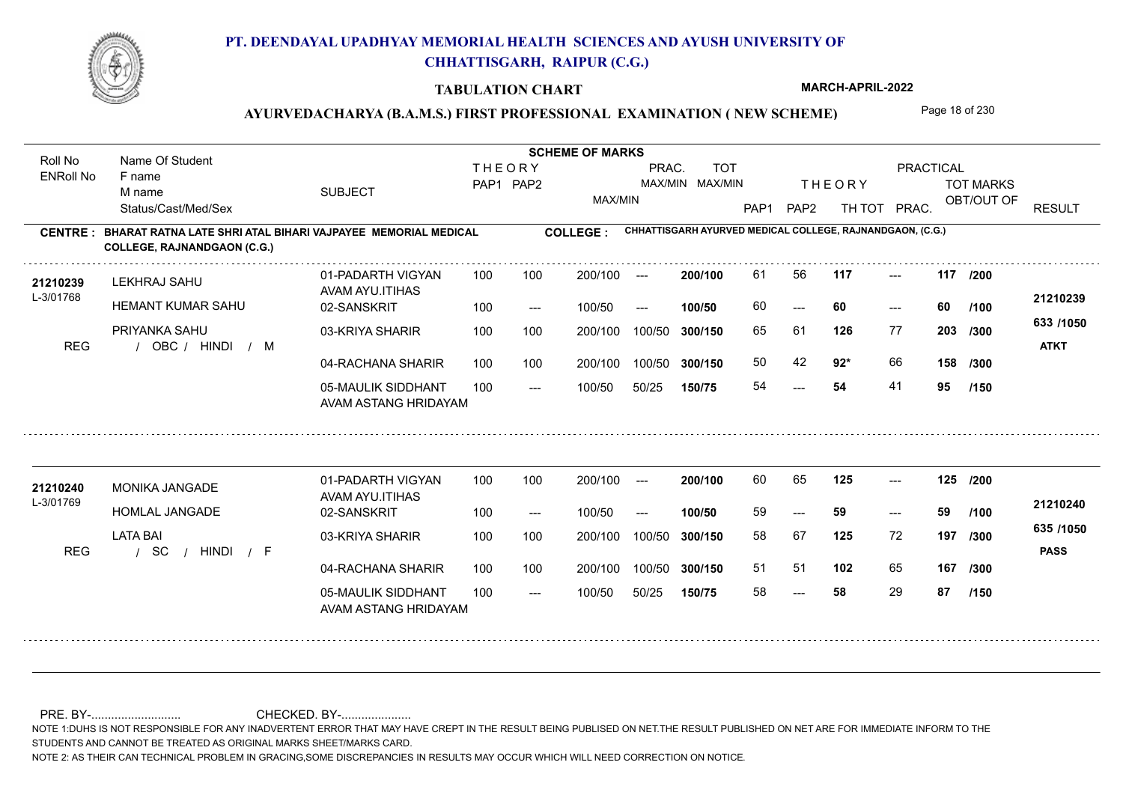

#### **TABULATION CHART**

**MARCH-APRIL-2022**

### AYURVEDACHARYA (B.A.M.S.) FIRST PROFESSIONAL EXAMINATION (NEW SCHEME) Page 18 of 230

**Name Of Student Contract of Student Act of Student SCHEME OF MARKS** Roll No Name Of Student **THEORY** PRAC. TOT PRACTICAL ENRoll No F name SUBJECT TOT MARKS PAP1 PAP2 MAX/MIN MAX/MIN THE ORY TOT MARKS M name MAX/MIN OBT/OUT OF RESULT Status/Cast/Med/Sex PAP1 PAP2 TH TOT PRAC. **CHHATTISGARH AYURVED MEDICAL COLLEGE, RAJNANDGAON, (C.G.) CENTRE : COLLEGE : BHARAT RATNA LATE SHRI ATAL BIHARI VAJPAYEE MEMORIAL MEDICAL COLLEGE, RAJNANDGAON (C.G.) <sup>21210239</sup>** <sup>61</sup> <sup>56</sup> **200/100** --- **117 117 /200** 01-PADARTH VIGYAN 100 200/100 ---LEKHRAJ SAHU AVAM AYU.ITIHAS L-3/01768 **21210239** HEMANT KUMAR SAHU 02-SANSKRIT **100/50** 60 **60 60** ---  $- - 60$ 100 --- 100/50 --- **/100 633 /1050** PRIYANKA SAHU 03-KRIYA SHARIR 100 100 200/100 100/50 300/150 **300/150** 100/50 65 61 **203 126** 77 **/300** REG / OBC / HINDI / M HINDI M **ATKT** 04-RACHANA SHARIR 100 100 50 42 **92**\* 66 **92\*** 66 **158 /300** 100 100 200/100 100/50 300/150 100/50 **300/150** 05-MAULIK SIDDHANT 54 **54** 41 **95** 54  $- -$  100/50 100/50 50/25 **150/75 /150** AVAM ASTANG HRIDAYAM **<sup>21210240</sup>** <sup>60</sup> <sup>65</sup> 01-PADARTH VIGYAN 100 200/100 ---**200/100** --- **125 125 /200** MONIKA JANGADE AVAM AYU.ITIHAS L-3/01769 **21210240** HOMLAL JANGADE 02-SANSKRIT **100/50** 59 **59 59** --- --- **/100** 100 --- 100/50 --- **635 /1050** LATA BAI 03-KRIYA SHARIR
100 100 200/100 100/50 **300/150** 100/50 200/100 58 67 **197 125** 72 **/300** / / / REG SC HINDI F **PASS** 04-RACHANA SHARIR 100 100 200/100 100/50 51 51 **102** 65 **167 /300** 200/100 100/50 **300/150** 05-MAULIK SIDDHANT 100  $- -$  100/50 58 **58** 29 **87** --- 100/50 50/25 **150/75 /150** AVAM ASTANG HRIDAYAM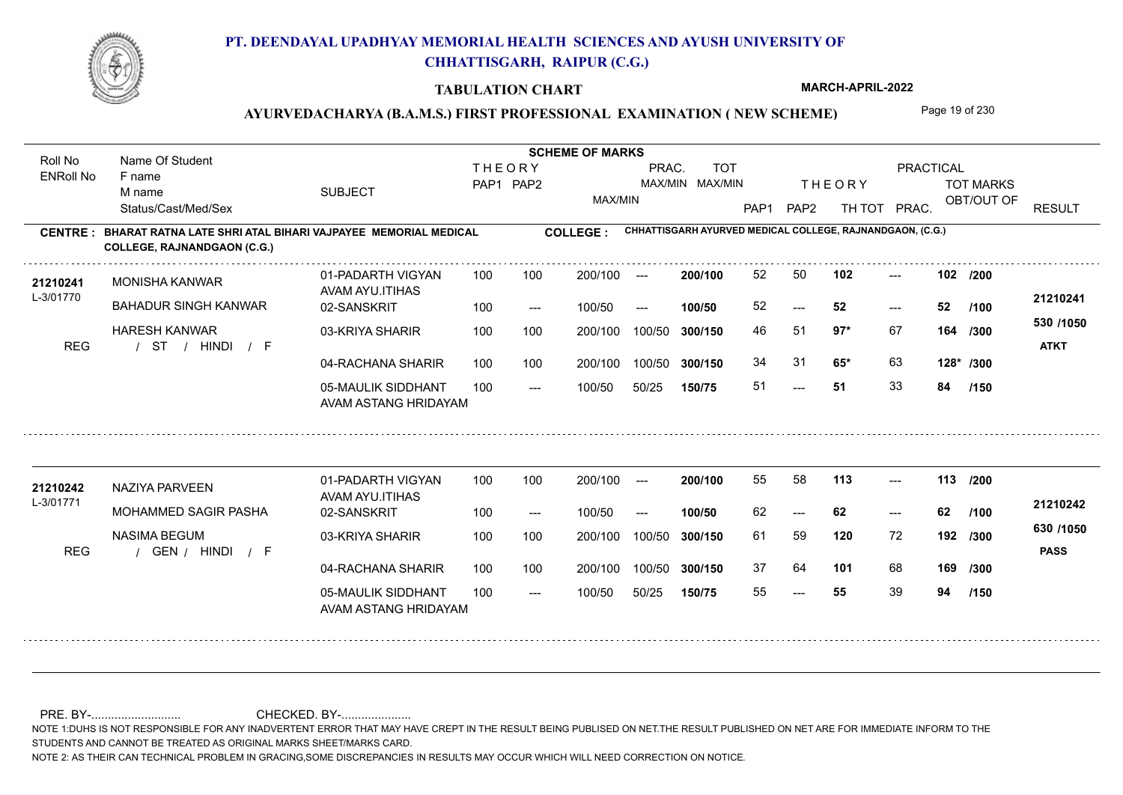

#### **TABULATION CHART**

**MARCH-APRIL-2022**

### AYURVEDACHARYA (B.A.M.S.) FIRST PROFESSIONAL EXAMINATION (NEW SCHEME) Page 19 of 230

**Name Of Student Contract of Student Act of Student SCHEME OF MARKS** Roll No Name Of Student **THEORY** PRAC. TOT PRACTICAL ENRoll No F name SUBJECT TOT MARKS PAP1 PAP2 MAX/MIN MAX/MIN THE ORY TOT MARKS M name MAX/MIN OBT/OUT OF RESULT Status/Cast/Med/Sex PAP1 PAP2 TH TOT PRAC. **CHHATTISGARH AYURVED MEDICAL COLLEGE, RAJNANDGAON, (C.G.) CENTRE : COLLEGE : BHARAT RATNA LATE SHRI ATAL BIHARI VAJPAYEE MEMORIAL MEDICAL COLLEGE, RAJNANDGAON (C.G.) <sup>21210241</sup>** <sup>52</sup> <sup>50</sup> **200/100** --- **102 102 /200** 01-PADARTH VIGYAN 100 200/100 ---MONISHA KANWAR AVAM AYU.ITIHAS L-3/01770 **21210241** BAHADUR SINGH KANWAR 02-SANSKRIT **100/50** 52 **52 52**  $-52$  $- - 52$ 100 --- 100/50 --- **/100 530 /1050** HARESH KANWAR 03-KRIYA SHARIR 100 100 200/100 100/50 300/150 **300/150** 100/50 **97\*** 67 46 51 **164 /300** / / / REG ST HINDI F **ATKT** 04-RACHANA SHARIR 100 100 34 31 **65\*** 63 **65\*** 63 **128\* /300** 100 100 200/100 100/50 300/150 100/50 **300/150** 05-MAULIK SIDDHANT 51 **51** 33 **84** ---  $- -$  100/50 100/50 50/25 **150/75 /150** AVAM ASTANG HRIDAYAM **<sup>21210242</sup>** <sup>55</sup> <sup>58</sup> 01-PADARTH VIGYAN 100 200/100 ---**200/100** --- **113 113 /200** NAZIYA PARVEEN AVAM AYU.ITIHAS L-3/01771 **21210242** MOHAMMED SAGIR PASHA 02-SANSKRIT **100/50** 62 **62 62** --- --- **/100** 100 --- 100/50 --- **630 /1050** NASIMA BEGUM 03-KRIYA SHARIR
100 100 200/100 100/50 **300/150** 100/50 200/100 **120** 72 61 59 **192 /300** REG / GEN / HINDI / F HINDI F **PASS** 04-RACHANA SHARIR 100 100 200/100 100/50 37 64 **101** 68 **101** 68 **169 /300** 200/100 100/50 **300/150** 05-MAULIK SIDDHANT 100  $- -$  100/50 55 **55** 39 **94** --- 100/50 50/25 **150/75 /150** AVAM ASTANG HRIDAYAM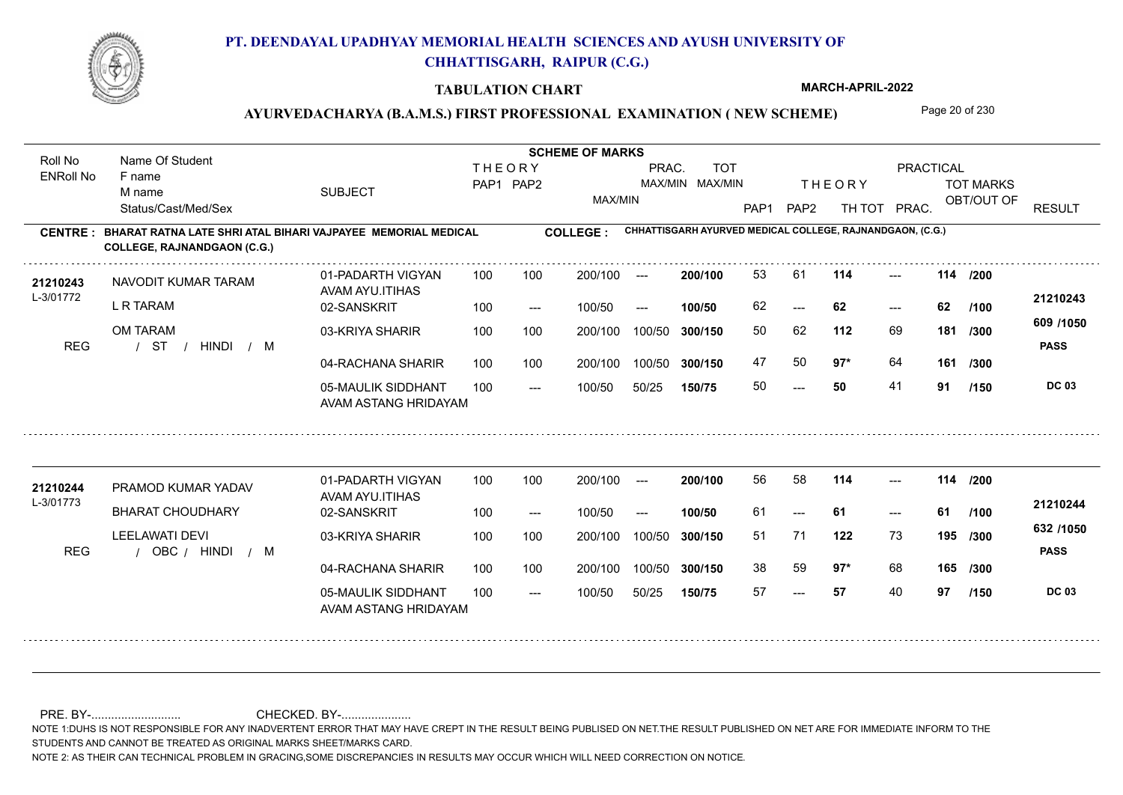

#### **TABULATION CHART**

**MARCH-APRIL-2022**

### AYURVEDACHARYA (B.A.M.S.) FIRST PROFESSIONAL EXAMINATION (NEW SCHEME) Page 20 of 230

**Name Of Student Contract of Student Act of Student SCHEME OF MARKS** Roll No Name Of Student **THEORY** PRAC. TOT PRACTICAL ENRoll No F name SUBJECT TOT MARKS PAP1 PAP2 MAX/MIN MAX/MIN THE ORY TOT MARKS M name MAX/MIN OBT/OUT OF RESULT Status/Cast/Med/Sex PAP1 PAP2 TH TOT PRAC. **CHHATTISGARH AYURVED MEDICAL COLLEGE, RAJNANDGAON, (C.G.) CENTRE : COLLEGE : BHARAT RATNA LATE SHRI ATAL BIHARI VAJPAYEE MEMORIAL MEDICAL COLLEGE, RAJNANDGAON (C.G.) <sup>21210243</sup>** <sup>53</sup> <sup>61</sup> **200/100** --- **114 114 /200** 01-PADARTH VIGYAN 100 200/100 ---NAVODIT KUMAR TARAM AVAM AYU.ITIHAS L-3/01772 **21210243** L R TARAM 02-SANSKRIT **100/50** 62 **62 62** ---  $- - 62$ 100 --- 100/50 --- **/100 609 /1050** OM TARAM 03-KRIYA SHARIR 100 100 200/100 100/50 300/150 **300/150** 100/50 **112** 69 50 62 **181 /300** / / / REG ST HINDI M **PASS** 04-RACHANA SHARIR 100 100 47 50 **97**\* 64 **97\*** 64 **161 /300** 100 100 200/100 100/50 300/150 100/50 **300/150** 05-MAULIK SIDDHANT 50 **50** 41 **91**  $- - 50$  $- -$  100/50 100/50 50/25 **150/75 DC 03 /150** AVAM ASTANG HRIDAYAM **<sup>21210244</sup>** <sup>56</sup> <sup>58</sup> 01-PADARTH VIGYAN 100 200/100 ---**200/100** --- **114 114 /200** PRAMOD KUMAR YADAV AVAM AYU.ITIHAS L-3/01773 **21210244** BHARAT CHOUDHARY 02-SANSKRIT **100/50** 61 **61 61** --- --- **/100** 100 --- 100/50 --- **632 /1050** LEELAWATI DEVI 03-KRIYA SHARIR
100 100 200/100 100/50 **300/150** 100/50 200/100 **122** 73 51 71 **195 /300** REG / OBC / HINDI / M **PASS** 04-RACHANA SHARIR 100 100 200/100 100/50 38 59 **97**\* 68 **97\*** 68 **165 /300** 200/100 100/50 **300/150** 05-MAULIK SIDDHANT 100  $- -$  100/50 57 **57** 40 **97** --- 100/50 50/25 **150/75 DC 03 /150** AVAM ASTANG HRIDAYAM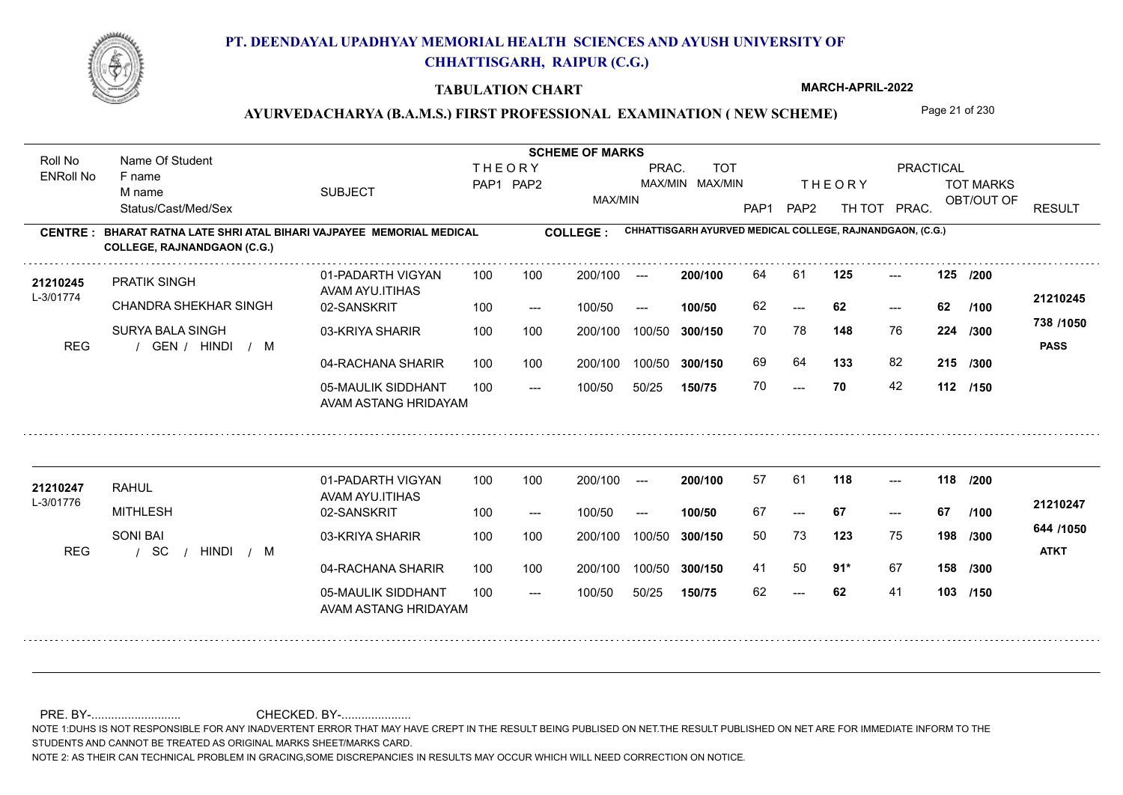

#### **TABULATION CHART**

**MARCH-APRIL-2022**

### AYURVEDACHARYA (B.A.M.S.) FIRST PROFESSIONAL EXAMINATION (NEW SCHEME) Page 21 of 230

**Name Of Student Contract of Student Act of Student SCHEME OF MARKS** Roll No Name Of Student **THEORY** PRAC. TOT PRACTICAL ENRoll No F name SUBJECT TOT MARKS PAP1 PAP2 MAX/MIN MAX/MIN THE ORY TOT MARKS M name MAX/MIN OBT/OUT OF RESULT Status/Cast/Med/Sex PAP1 PAP2 TH TOT PRAC. **CHHATTISGARH AYURVED MEDICAL COLLEGE, RAJNANDGAON, (C.G.) CENTRE : COLLEGE : BHARAT RATNA LATE SHRI ATAL BIHARI VAJPAYEE MEMORIAL MEDICAL COLLEGE, RAJNANDGAON (C.G.)** 21210245 PRATIK SINGH 01-PADARTH VIGYAN 100 100 200/100 --- **200/100 64 61 125 ---**-**200/100** --- **125 125 /200** 01-PADARTH VIGYAN 100 200/100 ---PRATIK SINGH AVAM AYU.ITIHAS L-3/01774 **21210245** CHANDRA SHEKHAR SINGH 02-SANSKRIT **100/50** 62 **62 62** ---  $- - 62$ 100 --- 100/50 --- **/100 738 /1050** SURYA BALA SINGH 03-KRIYA SHARIR 100 100 200/100 100/50 300/150 **300/150** 100/50 **148** 76 70 78 **224 /300** REG / GEN / HINDI / M HINDI M **PASS** 04-RACHANA SHARIR 100 100 69 64 **133** 82 **215 /300** 100 100 200/100 100/50 300/150 100/50 **300/150** 05-MAULIK SIDDHANT 70 **70** 42 **112 /150**  $- - 70$  $- -$  100/50 100/50 50/25 **150/75** AVAM ASTANG HRIDAYAM **<sup>21210247</sup>** <sup>57</sup> <sup>61</sup> 01-PADARTH VIGYAN 100 200/100 ---**200/100** --- **118 118 /200** RAHUL AVAM AYU.ITIHAS L-3/01776 **21210247** MITHLESH 02-SANSKRIT **100/50** 67 **67 67** --- --- **/100** 100 --- 100/50 --- **644 /1050** SONI BAI 03-KRIYA SHARIR
100 100 200/100 100/50 **300/150** 100/50 200/100 50 73 **198 123** 75 **/300** / / / REG SC HINDI M **ATKT** 04-RACHANA SHARIR 100 100 200/100 100/50 41 50 **91**\* 67 **91\*** 67 **158 /300** 100/50 **300/150** 05-MAULIK SIDDHANT 100  $- -$  100/50 62 **62** 41 **103 /150** --- 100/50 50/25 **150/75** AVAM ASTANG HRIDAYAM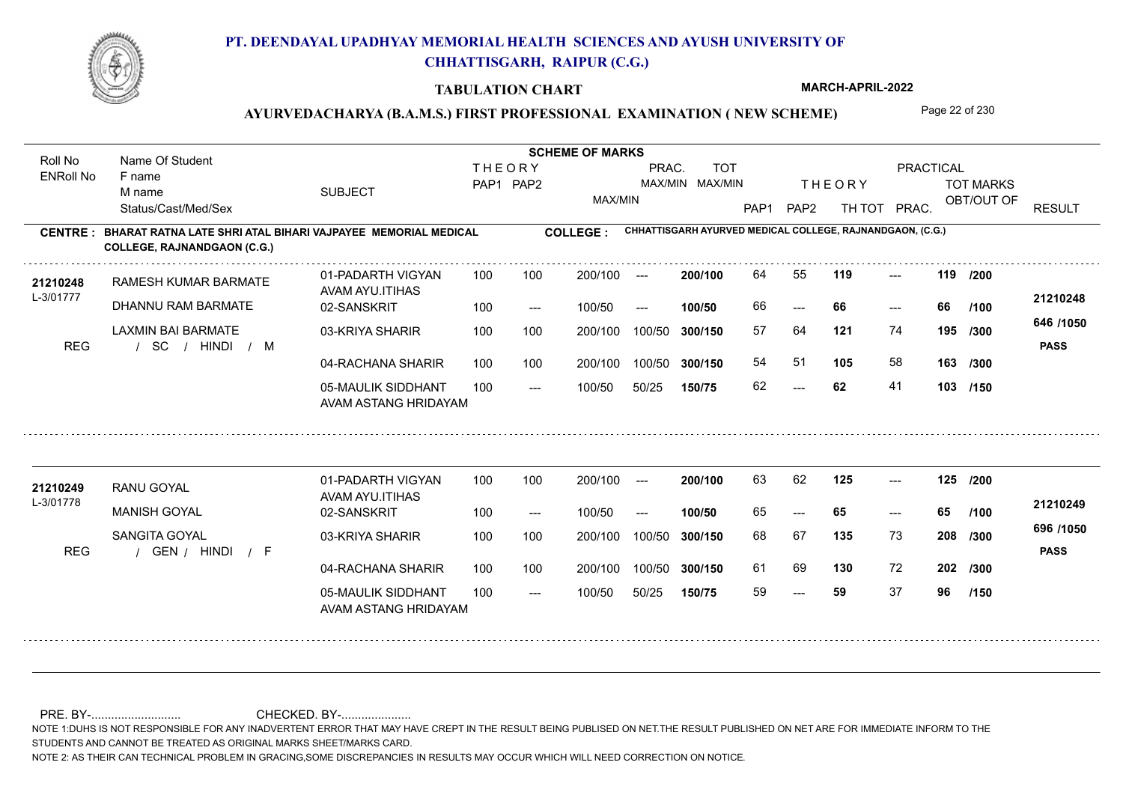

#### **TABULATION CHART**

**MARCH-APRIL-2022**

### AYURVEDACHARYA (B.A.M.S.) FIRST PROFESSIONAL EXAMINATION (NEW SCHEME) Page 22 of 230

**Name Of Student Contract of Student Act of Student SCHEME OF MARKS** Roll No Name Of Student **THEORY** PRAC. TOT PRACTICAL ENRoll No F name SUBJECT TOT MARKS PAP1 PAP2 MAX/MIN MAX/MIN THE ORY TOT MARKS M name MAX/MIN OBT/OUT OF RESULT Status/Cast/Med/Sex PAP1 PAP2 TH TOT PRAC. **CHHATTISGARH AYURVED MEDICAL COLLEGE, RAJNANDGAON, (C.G.) CENTRE : COLLEGE : BHARAT RATNA LATE SHRI ATAL BIHARI VAJPAYEE MEMORIAL MEDICAL COLLEGE, RAJNANDGAON (C.G.)** 21210248 RAMESH KUMAR BARMATE 01-PADARTH VIGYAN 100 100 200/100 --- 200/100 64 55 **119** ---**200/100 119 119** --- 01-PADARTH VIGYAN 100 200/100 ---**/200** RAMESH KUMAR BARMATE AVAM AYU.ITIHAS L-3/01777 **21210248** DHANNU RAM BARMATE 02-SANSKRIT **100/50** 66 **66 66** --- --- 100 --- 100/50 --- **/100 646 /1050** LAXMIN BAI BARMATE 03-KRIYA SHARIR 100 100 100 100 200/100 100/50 300/150 **300/150** 100/50 **121** 74 57 64 **195 /300** / / / REG SC HINDI M **PASS** 04-RACHANA SHARIR 100 100 54 51 **105** 58 **105** 58 **163 /300** 100 100 200/100 100/50 300/150 100/50 **300/150** 05-MAULIK SIDDHANT 62 **62** 41 **103 /150**  $- - 62$  $- -$  100/50 100/50 50/25 **150/75** AVAM ASTANG HRIDAYAM **<sup>21210249</sup>** <sup>63</sup> <sup>62</sup> 01-PADARTH VIGYAN 100 200/100 ---**200/100** --- **125 125 /200** RANU GOYAL AVAM AYU.ITIHAS L-3/01778 **21210249** MANISH GOYAL 02-SANSKRIT **100/50** 65 **65 65** --- --- **/100** 100 --- 100/50 --- **696 /1050** SANGITA GOYAL 03-KRIYA SHARIR
100 100 200/100 100/50 **300/150** 100/50 200/100 68 67 **208 135** 73 **/300** REG / GEN / HINDI / F HINDI F **PASS** 04-RACHANA SHARIR 100 100 200/100 100/50 61 69 130 72 **130** 72 **202 /300** 200/100 100/50 **300/150** 05-MAULIK SIDDHANT 100  $- -$  100/50 59 **59** 37 **96** --- 100/50 50/25 **150/75 /150** AVAM ASTANG HRIDAYAM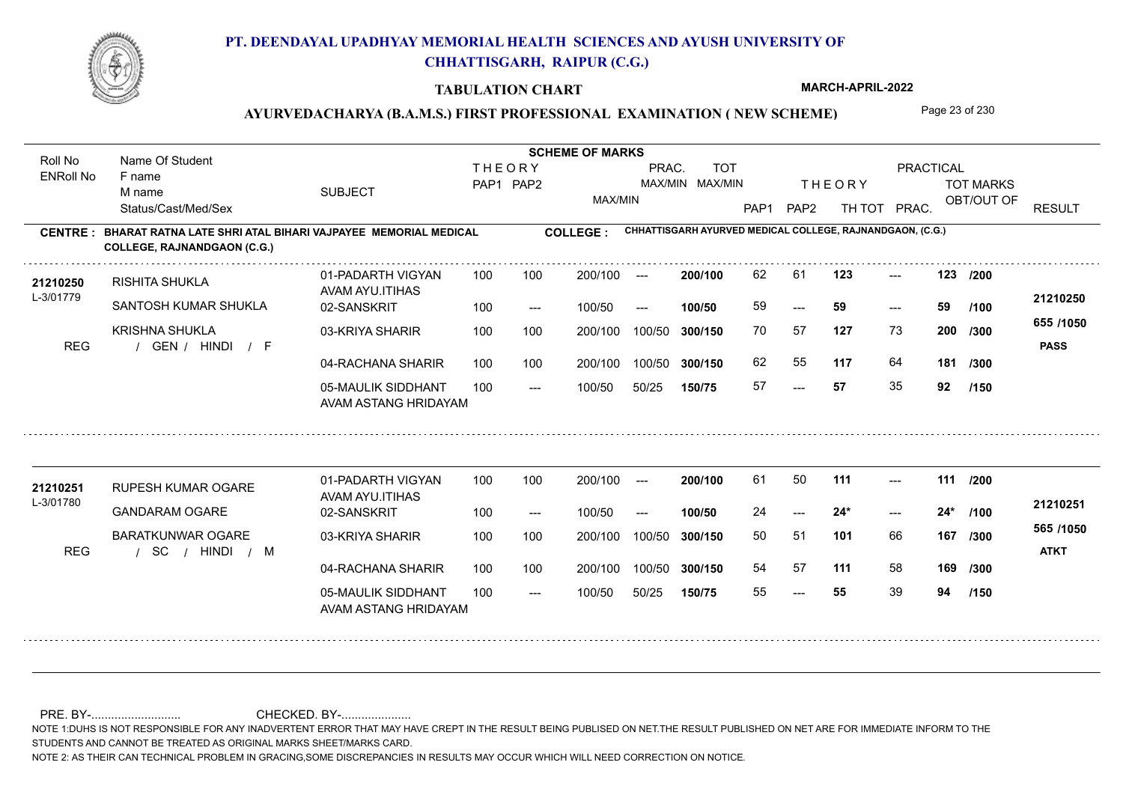

#### **TABULATION CHART**

**MARCH-APRIL-2022**

### AYURVEDACHARYA (B.A.M.S.) FIRST PROFESSIONAL EXAMINATION (NEW SCHEME) Page 23 of 230

**Name Of Student Contract of Student Act of Student SCHEME OF MARKS** Roll No Name Of Student **THEORY** PRAC. TOT PRACTICAL ENRoll No F name SUBJECT TOT MARKS PAP1 PAP2 MAX/MIN MAX/MIN THE ORY TOT MARKS M name MAX/MIN OBT/OUT OF RESULT Status/Cast/Med/Sex PAP1 PAP2 TH TOT PRAC. **CHHATTISGARH AYURVED MEDICAL COLLEGE, RAJNANDGAON, (C.G.) CENTRE : COLLEGE : BHARAT RATNA LATE SHRI ATAL BIHARI VAJPAYEE MEMORIAL MEDICAL COLLEGE, RAJNANDGAON (C.G.)** 21**210250** RISHITA SHUKLA 01-PADARTH VIGYAN 100 100 200/100 --- **200/100 62 61 123** ---**200/100 123 123 /200** --- 123 01-PADARTH VIGYAN 100 200/100 ---RISHITA SHUKLA AVAM AYU.ITIHAS L-3/01779 **21210250** SANTOSH KUMAR SHUKLA 02-SANSKRIT **100/50** 59 **59 59** ---  $- - 59$ 100 --- 100/50 --- **/100 655 /1050** KRISHNA SHUKLA 03-KRIYA SHARIR 100 100 100 100 200/100 100/50 300/150 **300/150** 100/50 70 57 **200 127** 73 **200** /300 **127** REG / GEN / HINDI / F HINDI F **PASS** 04-RACHANA SHARIR 100 100 62 55 **117** 64 **117** 64 **181 /300** 100 100 200/100 100/50 300/150 100/50 **300/150** 05-MAULIK SIDDHANT 57 **57** 35 **92** ---  $- -$  100/50 100/50 50/25 **150/75 /150** AVAM ASTANG HRIDAYAM **<sup>21210251</sup>** <sup>61</sup> <sup>50</sup> 01-PADARTH VIGYAN 100 200/100 ---**200/100** --- **111 111 /200** RUPESH KUMAR OGARE AVAM AYU.ITIHAS L-3/01780 **21210251** GANDARAM OGARE 02-SANSKRIT **100/50** 24 **24\* 24\***  $-24*$  $-24*$ **/100** 100 --- 100/50 --- **565 /1050** BARATKUNWAR OGARE 03-KRIYA SHARIR
100 100 200/100 100/50 **300/150** 100/50 200/100 **101** 66 50 51 **167 /300** / / / REG SC HINDI M **ATKT** 04-RACHANA SHARIR 100 100 200/100 100/50 54 57 **111** 58 **169 /300** 100/50 **300/150** 05-MAULIK SIDDHANT 100  $- -$  100/50 55 **55** 39 **94** --- 100/50 50/25 **150/75 /150** AVAM ASTANG HRIDAYAM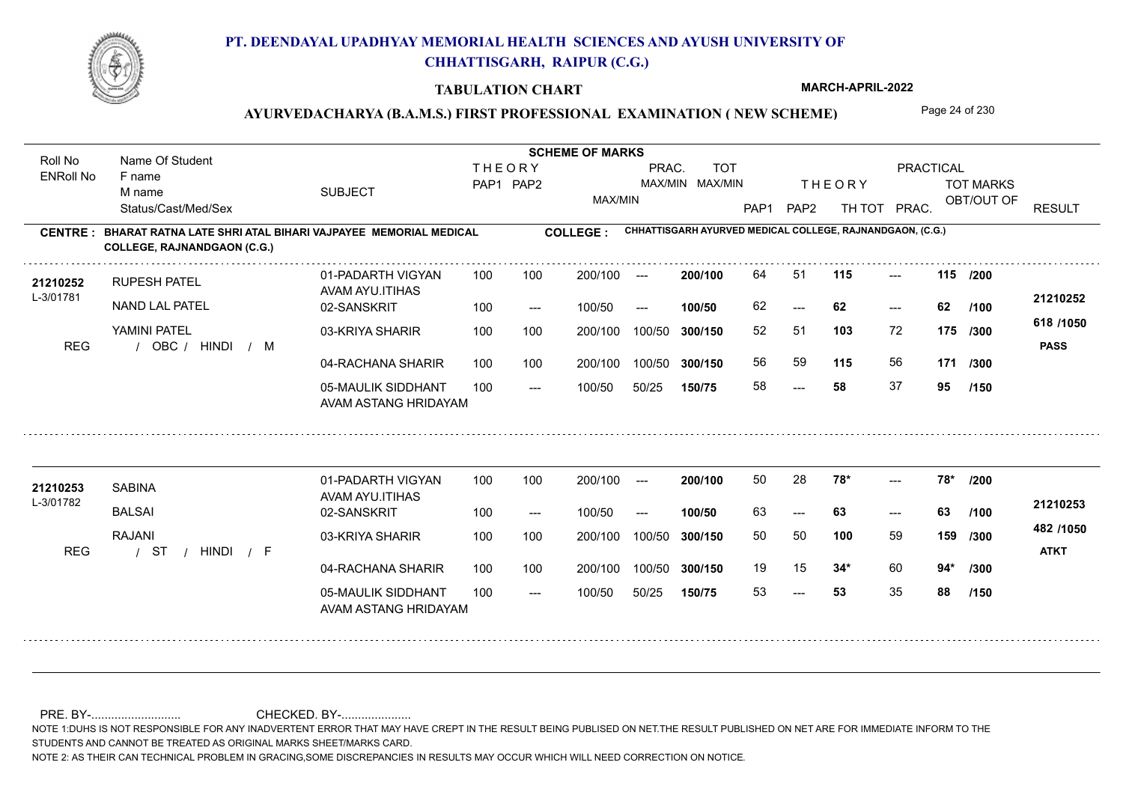

#### **TABULATION CHART**

**MARCH-APRIL-2022**

### AYURVEDACHARYA (B.A.M.S.) FIRST PROFESSIONAL EXAMINATION (NEW SCHEME) Page 24 of 230

**Name Of Student Contract of Student Act of Student SCHEME OF MARKS** Roll No Name Of Student **THEORY** PRAC. TOT PRACTICAL ENRoll No F name SUBJECT TOT MARKS PAP1 PAP2 MAX/MIN MAX/MIN THE ORY TOT MARKS M name MAX/MIN OBT/OUT OF RESULT Status/Cast/Med/Sex PAP1 PAP2 TH TOT PRAC. **CHHATTISGARH AYURVED MEDICAL COLLEGE, RAJNANDGAON, (C.G.) CENTRE : COLLEGE : BHARAT RATNA LATE SHRI ATAL BIHARI VAJPAYEE MEMORIAL MEDICAL COLLEGE, RAJNANDGAON (C.G.) <sup>21210252</sup>** <sup>64</sup> <sup>51</sup> **200/100** --- **115 115 /200** 01-PADARTH VIGYAN 100 200/100 ---RUPESH PATEL AVAM AYU.ITIHAS L-3/01781 **21210252** NAND LAL PATEL 02-SANSKRIT **100/50** 62 **62 62** ---  $- - 62$ 100 --- 100/50 --- **/100 618 /1050** YAMINI PATEL 03-KRIYA SHARIR 100 100 100 100 200/100 100/50 300/150 **300/150** 100/50 **103** 72 52 51 **175 /300** REG / OBC / HINDI / M HINDI M **PASS** 04-RACHANA SHARIR 100 100 56 59 **115** 56 **115** 56 **171 /300** 100 100 200/100 100/50 300/150 100/50 **300/150** 05-MAULIK SIDDHANT 58 **58** 37 **95** ---  $- -$  100/50 100/50 50/25 **150/75 /150** AVAM ASTANG HRIDAYAM 21210253 SABINA 01-PADARTH VIGYAN 100 100 200/100 --- **200/100** 50 28 **78\*** ---01-PADARTH VIGYAN 100 200/100 ---**200/100 78\* 78\* /200**  $-28$ \* SABINA AVAM AYU.ITIHAS L-3/01782 **21210253** BALSAI 02-SANSKRIT **100/50** 63 **63 63** --- --- **/100** 100 --- 100/50 --- **482 /1050** RAJANI 03-KRIYA SHARIR
100 100 200/100 100/50 **300/150** 100/50 200/100 50 50 **159 100** 59 **/300** / / / REG ST HINDI F **ATKT** 04-RACHANA SHARIR 100 100 200/100 100/50 19 15 **34\*** 60 **34\*** 60 **94\* /300** 200/100 100/50 **300/150** 05-MAULIK SIDDHANT 100  $- -$  100/50 53 **53** 35 **88** --- 53 100/50 50/25 **150/75 /150** AVAM ASTANG HRIDAYAM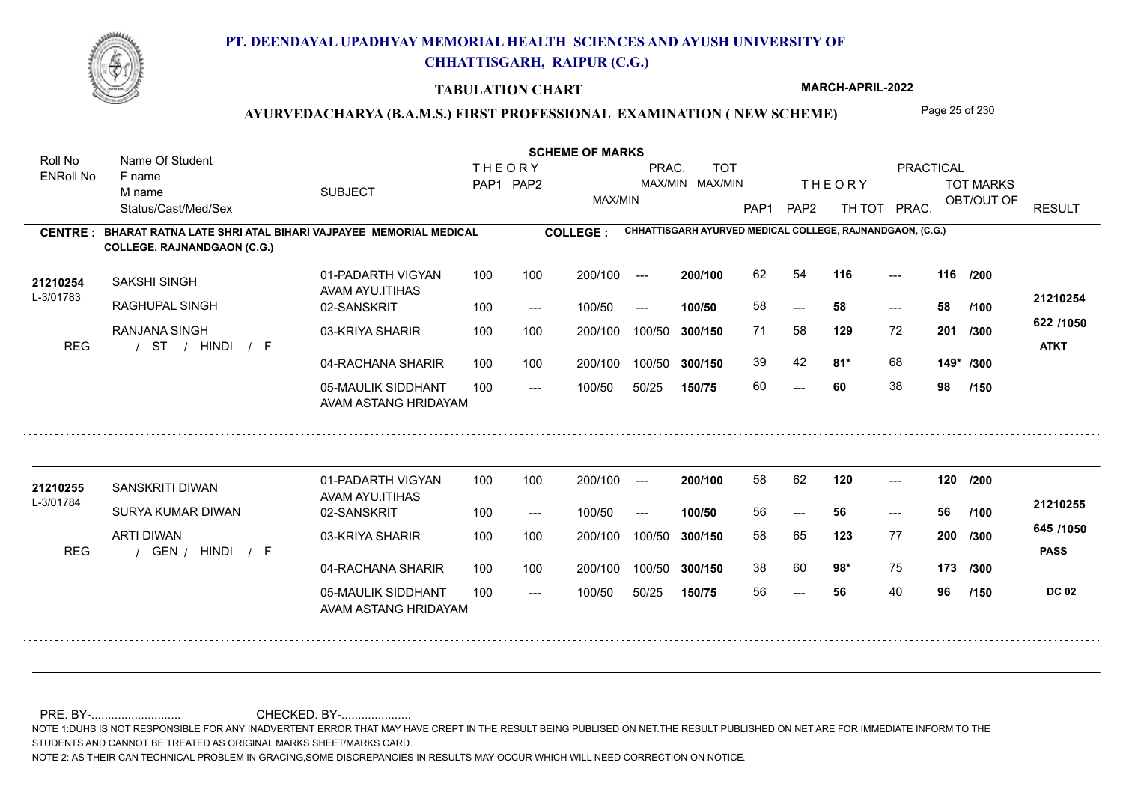

#### **TABULATION CHART**

**MARCH-APRIL-2022**

### AYURVEDACHARYA (B.A.M.S.) FIRST PROFESSIONAL EXAMINATION (NEW SCHEME) Page 25 of 230

**Name Of Student Contract of Student Act of Student SCHEME OF MARKS** Roll No Name Of Student **THEORY** PRAC. TOT PRACTICAL ENRoll No F name SUBJECT TOT MARKS PAP1 PAP2 MAX/MIN MAX/MIN THE ORY TOT MARKS M name MAX/MIN OBT/OUT OF RESULT Status/Cast/Med/Sex PAP1 PAP2 TH TOT PRAC. **CHHATTISGARH AYURVED MEDICAL COLLEGE, RAJNANDGAON, (C.G.) CENTRE : COLLEGE : BHARAT RATNA LATE SHRI ATAL BIHARI VAJPAYEE MEMORIAL MEDICAL COLLEGE, RAJNANDGAON (C.G.) <sup>21210254</sup>** <sup>62</sup> <sup>54</sup> **200/100** --- **116 116 /200** 01-PADARTH VIGYAN 100 200/100 ---SAKSHI SINGH AVAM AYU.ITIHAS L-3/01783 **21210254** RAGHUPAL SINGH 02-SANSKRIT **100/50** 58 **58 58** ---  $- - 58$ 100 --- 100/50 --- **/100 622 /1050** RANJANA SINGH 03-KRIYA SHARIR 100 100 100 100 200/100 100/50 300/150 **300/150** 100/50 **129** 72 71 58 **201 /300** / / / REG ST HINDI F **ATKT** 04-RACHANA SHARIR 100 100 39 42 **81\*** 68 **81\*** 68 **149\* /300** 100 100 200/100 100/50 300/150 100/50 **300/150** 05-MAULIK SIDDHANT 60 **60** 38 **98** ---  $- -$  100/50 100/50 50/25 **150/75 /150** AVAM ASTANG HRIDAYAM **<sup>21210255</sup>** <sup>58</sup> <sup>62</sup> 01-PADARTH VIGYAN 100 200/100 ---**200/100 120 120 /200** --- SANSKRITI DIWAN AVAM AYU.ITIHAS L-3/01784 **21210255** SURYA KUMAR DIWAN 02-SANSKRIT **100/50** 56 **56 56** --- --- **/100** 100 --- 100/50 --- **645 /1050** ARTI DIWAN 03-KRIYA SHARIR 200/100 100/50 **300/150** 100/50 200/100 58 65 **200 123** 77 **/300** REG / GEN / HINDI / F **PASS** 04-RACHANA SHARIR 100 100 200/100 100/50 38 60 **98\*** 75 **98\*** 75 **173 /300** 200/100 100/50 **300/150** 05-MAULIK SIDDHANT 100  $- -$  100/50 56 **56** 40 **96** --- 100/50 50/25 **150/75 DC 02 /150** AVAM ASTANG HRIDAYAM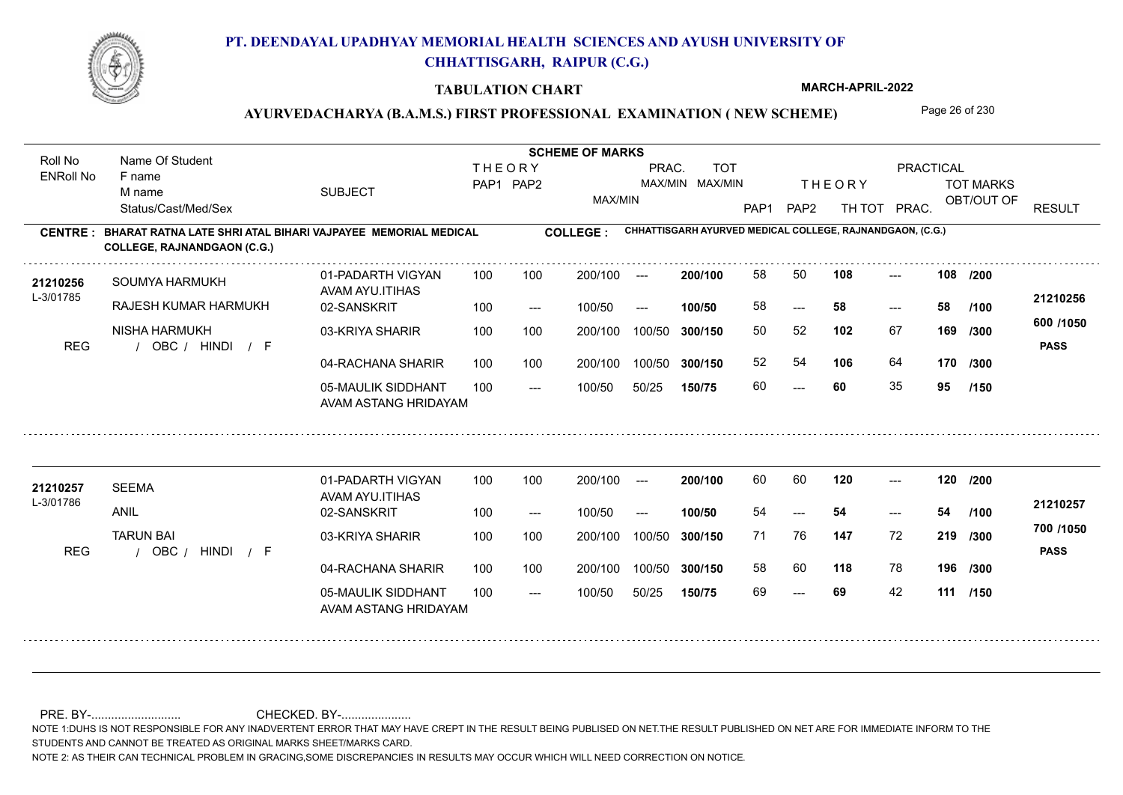

#### **TABULATION CHART**

**MARCH-APRIL-2022**

### AYURVEDACHARYA (B.A.M.S.) FIRST PROFESSIONAL EXAMINATION (NEW SCHEME) Page 26 of 230

**Name Of Student Contract of Student Act of Student SCHEME OF MARKS** Roll No Name Of Student **THEORY** PRAC. TOT PRACTICAL ENRoll No F name SUBJECT TOT MARKS PAP1 PAP2 MAX/MIN MAX/MIN THE ORY TOT MARKS M name MAX/MIN OBT/OUT OF RESULT Status/Cast/Med/Sex PAP1 PAP2 TH TOT PRAC. **CHHATTISGARH AYURVED MEDICAL COLLEGE, RAJNANDGAON, (C.G.) CENTRE : COLLEGE : BHARAT RATNA LATE SHRI ATAL BIHARI VAJPAYEE MEMORIAL MEDICAL COLLEGE, RAJNANDGAON (C.G.) <sup>21210256</sup>** <sup>58</sup> <sup>50</sup> **200/100 108 108** --- 01-PADARTH VIGYAN 100 200/100 ---**/200** SOUMYA HARMUKH AVAM AYU.ITIHAS L-3/01785 **21210256** RAJESH KUMAR HARMUKH 02-SANSKRIT **100/50** 58 **58 58** ---  $- - 58$ 100 --- 100/50 --- **/100 600 /1050** NISHA HARMUKH 03-KRIYA SHARIR 100 100 100 100 200/100 100/50 300/150 **300/150** 100/50 50 52 **169 102** 67 **/300** REG / OBC / HINDI / F HINDI F **PASS** 04-RACHANA SHARIR 100 100 52 54 **106** 64 **170 /300** 100 100 200/100 100/50 300/150 100/50 **300/150** 05-MAULIK SIDDHANT 60 **60** 35 **95** ---  $- -$  100/50 100/50 50/25 **150/75 /150** AVAM ASTANG HRIDAYAM 21**210257** SEEMA 01-PADARTH VIGYAN 100 100 200/100 --- **200/100** 60 60 **120** ---01-PADARTH VIGYAN 100 200/100 ---**200/100 120 120 /200** --- SEEMA AVAM AYU.ITIHAS L-3/01786 **21210257** ANIL 02-SANSKRIT **100/50** 54 **54 54** --- --- **/100** 100 --- 100/50 --- **700 /1050** TARUN BAI 03-KRIYA SHARIR 200/100 100/50 **300/150** 100/50 200/100 **147** 72 71 76 **219 /300** REG / OBC / HINDI / F HINDI F **PASS** 04-RACHANA SHARIR 100 100 200/100 100/50 58 60 **118** 78 **196 /300** 200/100 100/50 **300/150** 05-MAULIK SIDDHANT 100 69 **69** 42 **111 /150** ---  $- -$  100/50 100/50 50/25 **150/75** AVAM ASTANG HRIDAYAM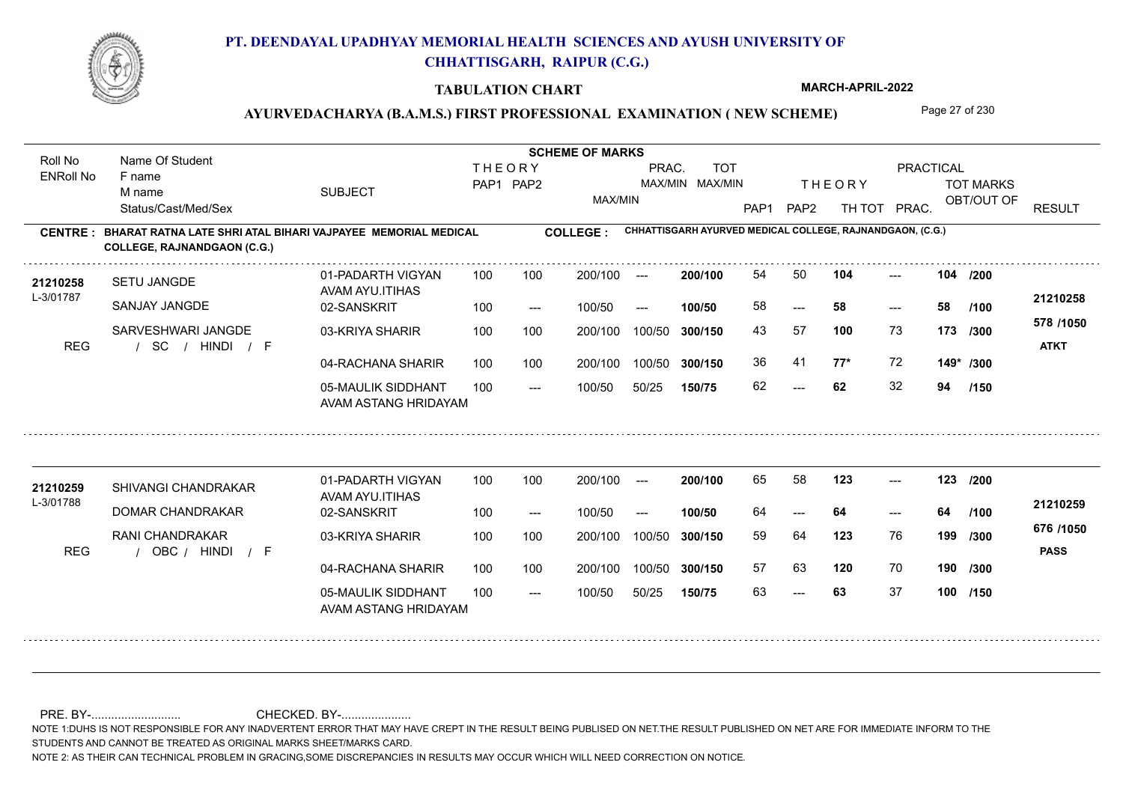

#### **TABULATION CHART**

**MARCH-APRIL-2022**

### AYURVEDACHARYA (B.A.M.S.) FIRST PROFESSIONAL EXAMINATION (NEW SCHEME) Page 27 of 230

**Name Of Student Contract of Student Act of Student SCHEME OF MARKS** Roll No Name Of Student **THEORY** PRAC. TOT PRACTICAL ENRoll No F name SUBJECT TOT MARKS PAP1 PAP2 MAX/MIN MAX/MIN THE ORY TOT MARKS M name MAX/MIN OBT/OUT OF RESULT Status/Cast/Med/Sex PAP1 PAP2 TH TOT PRAC. **CHHATTISGARH AYURVED MEDICAL COLLEGE, RAJNANDGAON, (C.G.) CENTRE : COLLEGE : BHARAT RATNA LATE SHRI ATAL BIHARI VAJPAYEE MEMORIAL MEDICAL COLLEGE, RAJNANDGAON (C.G.) <sup>21210258</sup>** <sup>54</sup> <sup>50</sup> **200/100 104 104** 01-PADARTH VIGYAN 100 200/100 ------ **/200** SETU JANGDE AVAM AYU.ITIHAS L-3/01787 **21210258** SANJAY JANGDE 02-SANSKRIT **100/50** 58 **58 58** ---  $- - 58$ 100 --- 100/50 --- **/100 578 /1050** SARVESHWARI JANGDE 03-KRIYA SHARIR 100 100 100 100 200/100 100/50 300/150 **300/150** 100/50 **100** 73 43 57 **173 /300** / / / REG SC HINDI F **ATKT** 04-RACHANA SHARIR 100 100 36 41 **77\*** 72 **149\* /300** 100 100 200/100 100/50 300/150 100/50 **300/150** 05-MAULIK SIDDHANT 62 **62** 32 **94**  $- - 62$  $- -$  100/50 100/50 50/25 **150/75 /150** AVAM ASTANG HRIDAYAM **<sup>21210259</sup>** <sup>65</sup> <sup>58</sup> 01-PADARTH VIGYAN 100 200/100 ---**200/100** --- **123 123 /200** SHIVANGI CHANDRAKAR AVAM AYU.ITIHAS L-3/01788 **21210259** DOMAR CHANDRAKAR 02-SANSKRIT **100/50** 64 **64 64** --- --- **/100** 100 --- 100/50 --- **676 /1050** RANI CHANDRAKAR 03-KRIYA SHARIR 200/100 100/50 **300/150** 100/50 200/100 59 64 **199 123** 76 **/300** REG / OBC / HINDI / F HINDI F **PASS** 04-RACHANA SHARIR 100 100 200/100 100/50 57 63 **120** 70 **190 /300** 200/100 100/50 **300/150** 05-MAULIK SIDDHANT 100  $- -$  100/50 63 **63** 37 **100** --- 63 100/50 50/25 **150/75 /150** AVAM ASTANG HRIDAYAM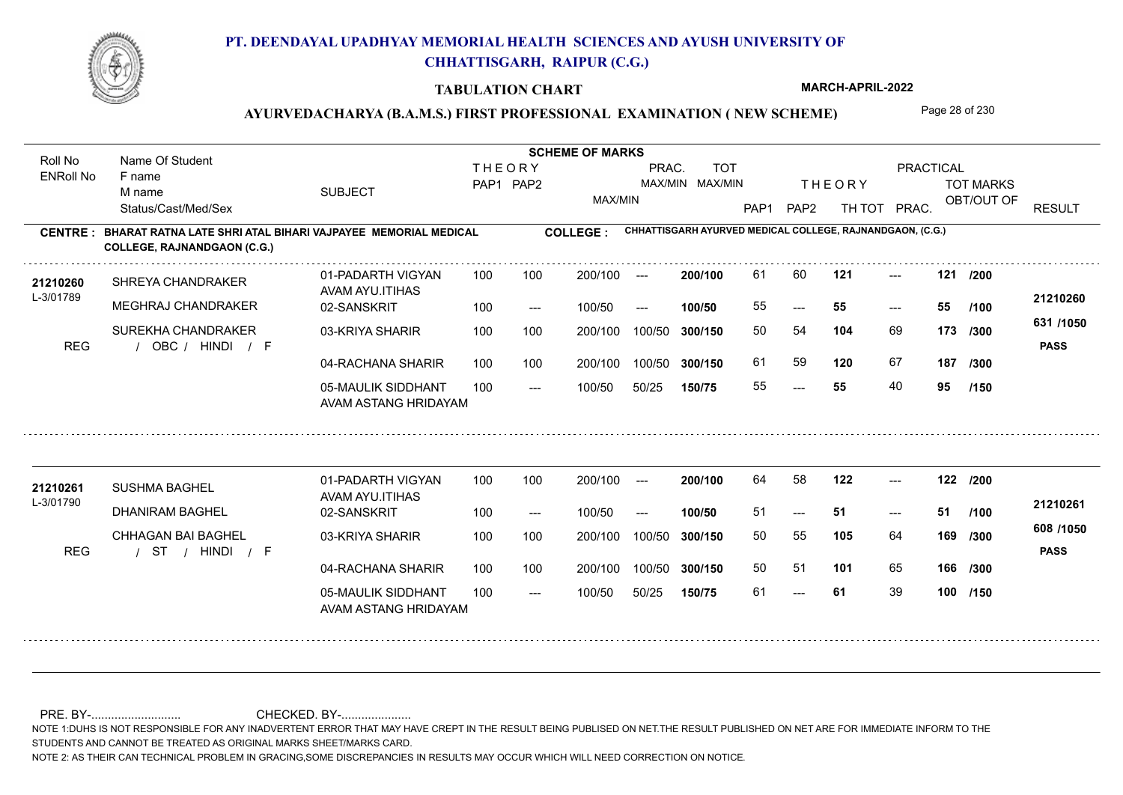

#### **TABULATION CHART**

**MARCH-APRIL-2022**

### AYURVEDACHARYA (B.A.M.S.) FIRST PROFESSIONAL EXAMINATION (NEW SCHEME) Page 28 of 230

**Name Of Student Contract of Student Act of Student SCHEME OF MARKS** Roll No Name Of Student **THEORY** PRAC. TOT PRACTICAL ENRoll No F name SUBJECT TOT MARKS PAP1 PAP2 MAX/MIN MAX/MIN THE ORY TOT MARKS M name MAX/MIN OBT/OUT OF RESULT Status/Cast/Med/Sex PAP1 PAP2 TH TOT PRAC. **CHHATTISGARH AYURVED MEDICAL COLLEGE, RAJNANDGAON, (C.G.) CENTRE : COLLEGE : BHARAT RATNA LATE SHRI ATAL BIHARI VAJPAYEE MEMORIAL MEDICAL COLLEGE, RAJNANDGAON (C.G.) <sup>21210260</sup>** <sup>61</sup> <sup>60</sup> **200/100** --- **121 121 /200** 01-PADARTH VIGYAN 100 200/100 ---SHREYA CHANDRAKER AVAM AYU.ITIHAS L-3/01789 **21210260** MEGHRAJ CHANDRAKER 02-SANSKRIT **100/50** 55 **55 55** ---  $- - 55$ 100 --- 100/50 --- **/100 631 /1050** SUREKHA CHANDRAKER 03-KRIYA SHARIR 100 100 100 100 200/100 100/50 300/150 **300/150** 100/50 **104** 69 50 54 **173 /300** REG / OBC / HINDI / F HINDI F **PASS** 04-RACHANA SHARIR 100 100 61 59 **120** 67 **120** 67 **187 /300** 100 100 200/100 100/50 300/150 100/50 **300/150** 05-MAULIK SIDDHANT 55 **55** 40 **95** ---  $- -$  100/50 100/50 50/25 **150/75 /150** AVAM ASTANG HRIDAYAM **<sup>21210261</sup>** <sup>64</sup> <sup>58</sup> 01-PADARTH VIGYAN 100 200/100 ---**200/100** --- **122 122 /200** SUSHMA BAGHEL AVAM AYU.ITIHAS L-3/01790 **21210261** DHANIRAM BAGHEL 02-SANSKRIT **100/50** 51 **51 51** ---  $- - 51$ **/100** 100 --- 100/50 --- **608 /1050** CHHAGAN BAI BAGHEL 03-KRIYA SHARIR 200/100 100/50 **300/150** 100/50 200/100 50 55 **169 105** 64 **/300** / / / REG ST HINDI F **PASS** 04-RACHANA SHARIR 100 100 200/100 100/50 50 51 **101** 65 **166 /300** 200/100 100/50 **300/150** 05-MAULIK SIDDHANT 100  $- -$  100/50 61 **61** 39 **100** --- 100/50 50/25 **150/75 /150** AVAM ASTANG HRIDAYAM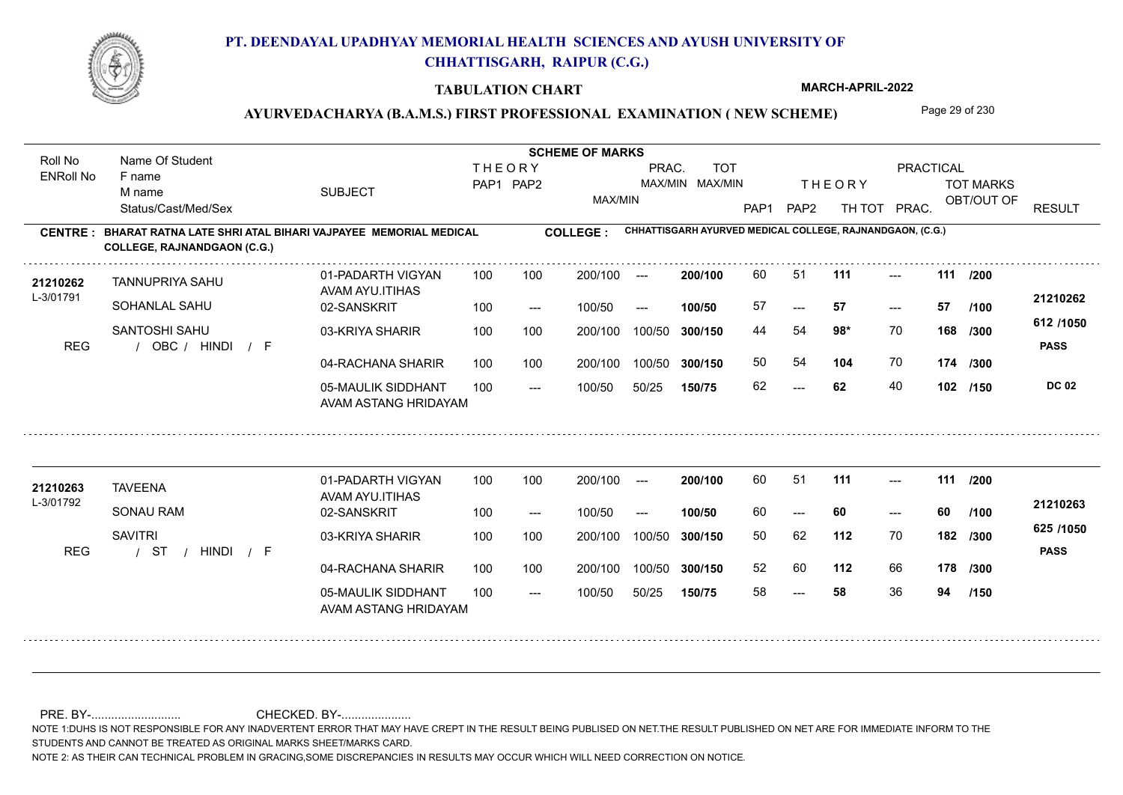

#### **TABULATION CHART**

**MARCH-APRIL-2022**

### AYURVEDACHARYA (B.A.M.S.) FIRST PROFESSIONAL EXAMINATION (NEW SCHEME) Page 29 of 230

**Name Of Student Contract of Student Act of Student SCHEME OF MARKS** Roll No Name Of Student **THEORY** PRAC. TOT PRACTICAL ENRoll No F name SUBJECT TOT MARKS PAP1 PAP2 MAX/MIN MAX/MIN THE ORY TOT MARKS M name MAX/MIN OBT/OUT OF RESULT Status/Cast/Med/Sex PAP1 PAP2 TH TOT PRAC. **CHHATTISGARH AYURVED MEDICAL COLLEGE, RAJNANDGAON, (C.G.) CENTRE : COLLEGE : BHARAT RATNA LATE SHRI ATAL BIHARI VAJPAYEE MEMORIAL MEDICAL COLLEGE, RAJNANDGAON (C.G.)** 21**210262** TANNUPRIYA SAHU 01-PADARTH VIGYAN 100 100 200/100 --- **200/100** 60 51 **111** ---**200/100** --- **111 111 /200** 01-PADARTH VIGYAN 100 200/100 ---TANNUPRIYA SAHU AVAM AYU.ITIHAS L-3/01791 **21210262** SOHANLAL SAHU 02-SANSKRIT **100/50** 57 **57 57** ---  $- - 57$ 100 --- 100/50 --- **/100 612 /1050** SANTOSHI SAHU 03-KRIYA SHARIR 100 100 200/100 100/50 300/150 **300/150** 100/50 44 54 **168 98\*** 70 **/300** REG / OBC / HINDI / F **PASS** 04-RACHANA SHARIR 100 100 50 54 **104** 70 **104** 70 **174 /300** 100 100 200/100 100/50 300/150 100/50 **300/150** 05-MAULIK SIDDHANT 62 **62** 40 **102**  $- - 62$  $- -$  100/50 100/50 50/25 **150/75 DC 02 /150** AVAM ASTANG HRIDAYAM 21**210263** TAVEENA 01-PADARTH VIGYAN 100 100 200/100 --- **200/100** 60 51 **111** ---01-PADARTH VIGYAN 100 200/100 ---**200/100** --- **111 111 /200** TAVEENA AVAM AYU.ITIHAS L-3/01792 **21210263** SONAU RAM 02-SANSKRIT **100/50** 60 **60 60** --- --- **/100** 100 --- 100/50 --- **625 /1050 SAVITRI** 03-KRIYA SHARIR 200/100 100/50 **300/150** 100/50 200/100 **112** 70 50 62 **182 /300** / / / REG ST HINDI F **PASS** 04-RACHANA SHARIR 100 100 200/100 100/50 52 60 **112** 66 **178 /300** 200/100 100/50 **300/150** 05-MAULIK SIDDHANT 100  $- -$  100/50 58 **58** 36 **94** --- 100/50 50/25 **150/75 /150** AVAM ASTANG HRIDAYAM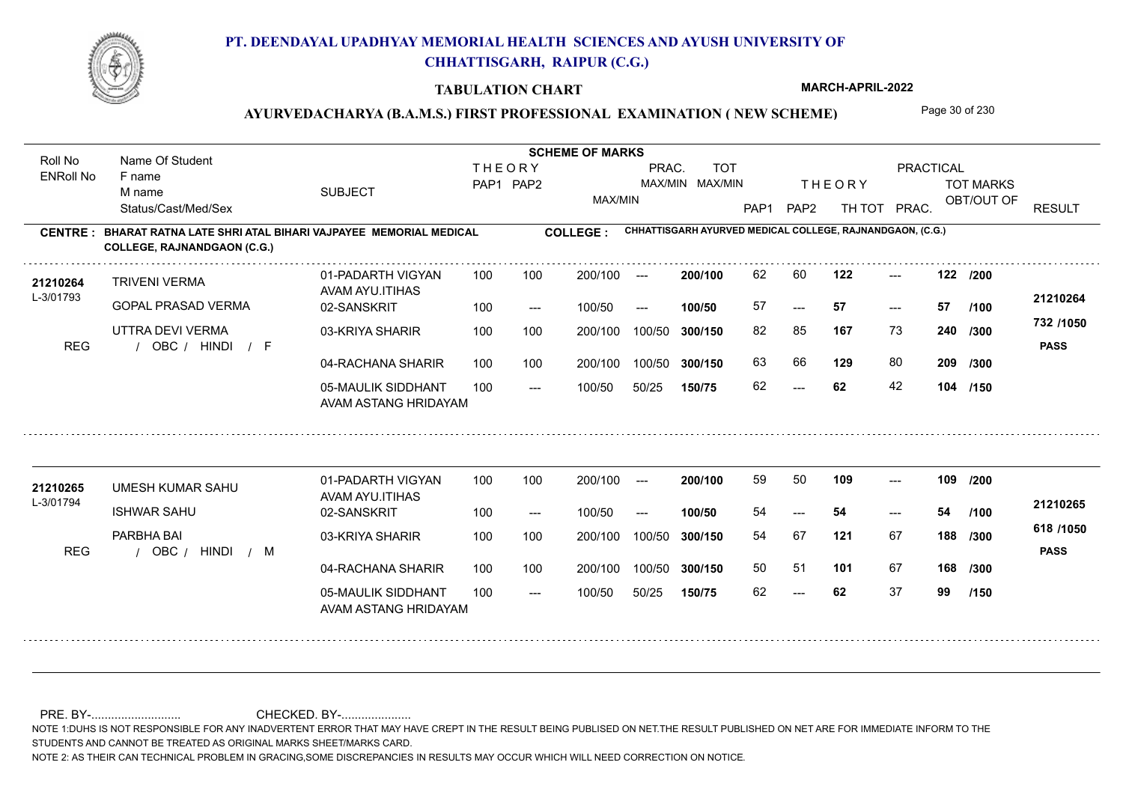

#### **TABULATION CHART**

**MARCH-APRIL-2022**

### AYURVEDACHARYA (B.A.M.S.) FIRST PROFESSIONAL EXAMINATION (NEW SCHEME) Page 30 of 230

**Name Of Student Contract of Student Act of Student SCHEME OF MARKS** Roll No Name Of Student **THEORY** PRAC. TOT PRACTICAL ENRoll No F name SUBJECT TOT MARKS PAP1 PAP2 MAX/MIN MAX/MIN THE ORY TOT MARKS M name MAX/MIN OBT/OUT OF RESULT Status/Cast/Med/Sex PAP1 PAP2 TH TOT PRAC. **CHHATTISGARH AYURVED MEDICAL COLLEGE, RAJNANDGAON, (C.G.) CENTRE : COLLEGE : BHARAT RATNA LATE SHRI ATAL BIHARI VAJPAYEE MEMORIAL MEDICAL COLLEGE, RAJNANDGAON (C.G.)** 21**210264** TRIVENI VERMA 01-PADARTH VIGYAN 100 100 200/100 --- **200/100 62 60 122 ---**-**200/100** --- **122 122 /200** 01-PADARTH VIGYAN 100 200/100 ---TRIVENI VERMA AVAM AYU.ITIHAS L-3/01793 **21210264** GOPAL PRASAD VERMA 02-SANSKRIT **100/50** 57 **57 57** ---  $- - 57$ 100 --- 100/50 --- **/100 732 /1050** UTTRA DEVI VERMA 03-KRIYA SHARIR 100 100 100 100 200/100 100/50 300/150 **300/150** 100/50 82 85 **167** 73 **240** /**300** <sup>102</sup> 1100 **167** 73 **/300** REG / OBC / HINDI / F HINDI F **PASS** 04-RACHANA SHARIR 100 100 63 66 **129** 80 **129** 80 **209 /300** 100 100 200/100 100/50 300/150 100/50 **300/150** 05-MAULIK SIDDHANT 62 **62** 42 **104 /150**  $- - 62$  $- -$  100/50 100/50 50/25 **150/75** AVAM ASTANG HRIDAYAM 21**210265** UMESH KUMAR SAHU 01-PADARTH VIGYAN 100 100 200/100 --- **200/100** 59 50 **109** ---01-PADARTH VIGYAN 100 200/100 ---**200/100 109 109 /200** --- UMESH KUMAR SAHU AVAM AYU.ITIHAS L-3/01794 **21210265** ISHWAR SAHU 02-SANSKRIT **100/50** 54 **54 54** --- --- **/100** 100 --- 100/50 --- **618 /1050** PARBHA BAI 03-KRIYA SHARIR 200/100 100/50 **300/150** 100/50 200/100 54 67 **188 121** 67 **/300** REG / OBC / HINDI / M HINDI M **PASS** 04-RACHANA SHARIR 100 100 200/100 100/50 50 51 **101** 67 **168 /300** 200/100 100/50 **300/150** 05-MAULIK SIDDHANT 100  $- -$  100/50 62 **62** 37 **99** --- 100/50 50/25 **150/75 /150** AVAM ASTANG HRIDAYAM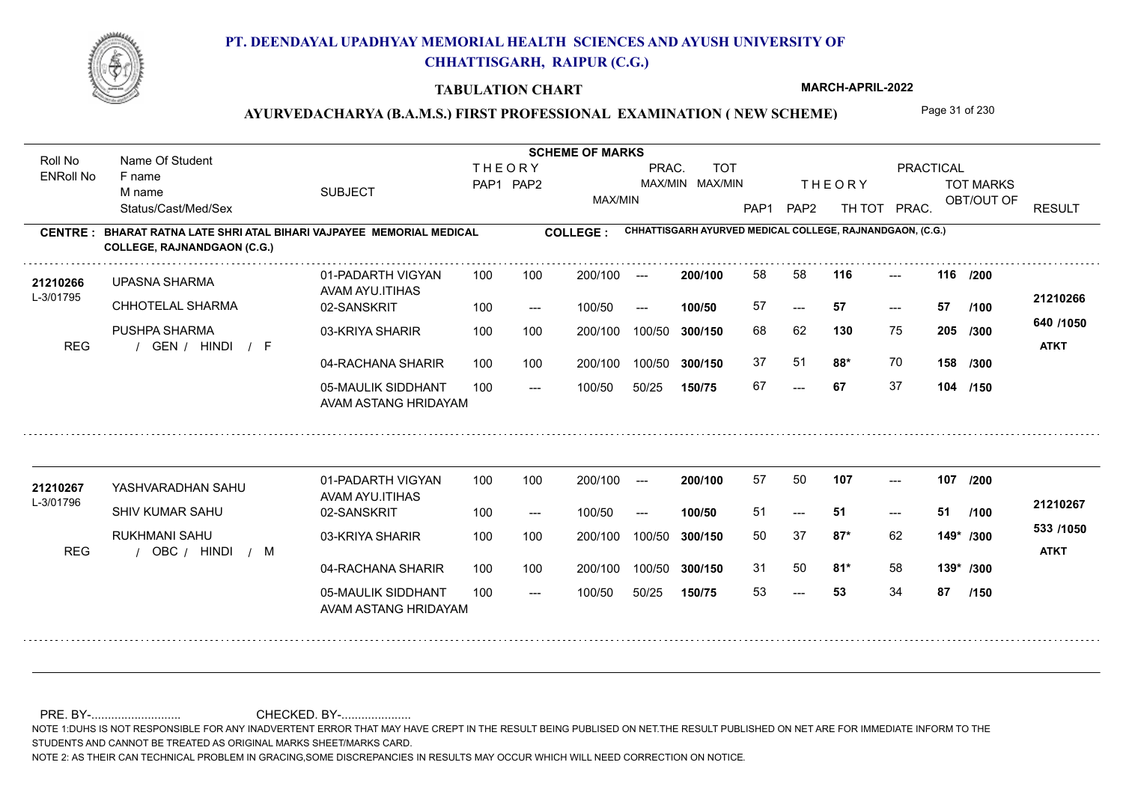

### **TABULATION CHART**

**MARCH-APRIL-2022**

# AYURVEDACHARYA (B.A.M.S.) FIRST PROFESSIONAL EXAMINATION (NEW SCHEME) Page 31 of 230

| Roll No               | Name Of Student                                                                                    |                                            | <b>SCHEME OF MARKS</b>     |       |                 |        |                               |                  |                  |                                                           |                                     |                  |                          |
|-----------------------|----------------------------------------------------------------------------------------------------|--------------------------------------------|----------------------------|-------|-----------------|--------|-------------------------------|------------------|------------------|-----------------------------------------------------------|-------------------------------------|------------------|--------------------------|
| <b>ENRoll No</b>      | F name<br>M name                                                                                   | <b>SUBJECT</b>                             | <b>THEORY</b><br>PAP1 PAP2 |       |                 | PRAC.  | <b>TOT</b><br>MAX/MIN MAX/MIN |                  |                  | <b>THEORY</b>                                             | PRACTICAL                           | <b>TOT MARKS</b> |                          |
|                       | Status/Cast/Med/Sex                                                                                |                                            |                            |       | MAX/MIN         |        |                               | PAP <sub>1</sub> | PAP <sub>2</sub> | TH TOT PRAC.                                              |                                     | OBT/OUT OF       | <b>RESULT</b>            |
| <b>CENTRE</b>         | BHARAT RATNA LATE SHRI ATAL BIHARI VAJPAYEE MEMORIAL MEDICAL<br><b>COLLEGE, RAJNANDGAON (C.G.)</b> |                                            |                            |       | <b>COLLEGE:</b> |        |                               |                  |                  | CHHATTISGARH AYURVED MEDICAL COLLEGE, RAJNANDGAON, (C.G.) |                                     |                  |                          |
| 21210266<br>L-3/01795 | <b>UPASNA SHARMA</b>                                                                               | 01-PADARTH VIGYAN<br>AVAM AYU.ITIHAS       | 100                        | 100   | 200/100         | $---$  | 200/100                       | 58               | 58               | 116                                                       | $---$                               | 116 /200         |                          |
|                       | CHHOTELAL SHARMA                                                                                   | 02-SANSKRIT                                | 100                        | $---$ | 100/50          | $---$  | 100/50                        | 57               | $---$            | 57                                                        | $\hspace{0.05cm}---\hspace{0.05cm}$ | 57<br>/100       | 21210266                 |
| <b>REG</b>            | PUSHPA SHARMA<br>/ GEN / HINDI / F                                                                 | 03-KRIYA SHARIR                            | 100                        | 100   | 200/100         | 100/50 | 300/150                       | 68               | 62               | 130                                                       | 75                                  | 205<br>/300      | 640 /1050<br><b>ATKT</b> |
|                       |                                                                                                    | 04-RACHANA SHARIR                          | 100                        | 100   | 200/100         | 100/50 | 300/150                       | 37               | 51               | 88*                                                       | 70                                  | 158 /300         |                          |
|                       |                                                                                                    | 05-MAULIK SIDDHANT<br>AVAM ASTANG HRIDAYAM | 100                        | $---$ | 100/50          | 50/25  | 150/75                        | 67               | $---$            | 67                                                        | 37                                  | 104 /150         |                          |
|                       |                                                                                                    | 01-PADARTH VIGYAN                          | 100                        | 100   | 200/100         | $---$  | 200/100                       | 57               | 50               | 107                                                       | $---$                               | 107<br>/200      |                          |
| 21210267<br>L-3/01796 | YASHVARADHAN SAHU                                                                                  | AVAM AYU.ITIHAS                            |                            |       |                 |        |                               |                  |                  |                                                           |                                     |                  | 21210267                 |
|                       | SHIV KUMAR SAHU                                                                                    | 02-SANSKRIT                                | 100                        | $---$ | 100/50          | $---$  | 100/50                        | 51               | $---$            | 51                                                        | $---$                               | 51<br>/100       |                          |
| <b>REG</b>            | <b>RUKHMANI SAHU</b><br>OBC / HINDI / M                                                            | 03-KRIYA SHARIR                            | 100                        | 100   | 200/100         | 100/50 | 300/150                       | 50               | 37               | $87*$                                                     | 62                                  | 149* /300        | 533 /1050<br><b>ATKT</b> |
|                       |                                                                                                    | 04-RACHANA SHARIR                          | 100                        | 100   | 200/100         | 100/50 | 300/150                       | 31               | 50               | $81*$                                                     | 58                                  | 139* /300        |                          |
|                       |                                                                                                    | 05-MAULIK SIDDHANT<br>AVAM ASTANG HRIDAYAM | 100                        | $---$ | 100/50          | 50/25  | 150/75                        | 53               | $---$            | 53                                                        | 34                                  | 87<br>/150       |                          |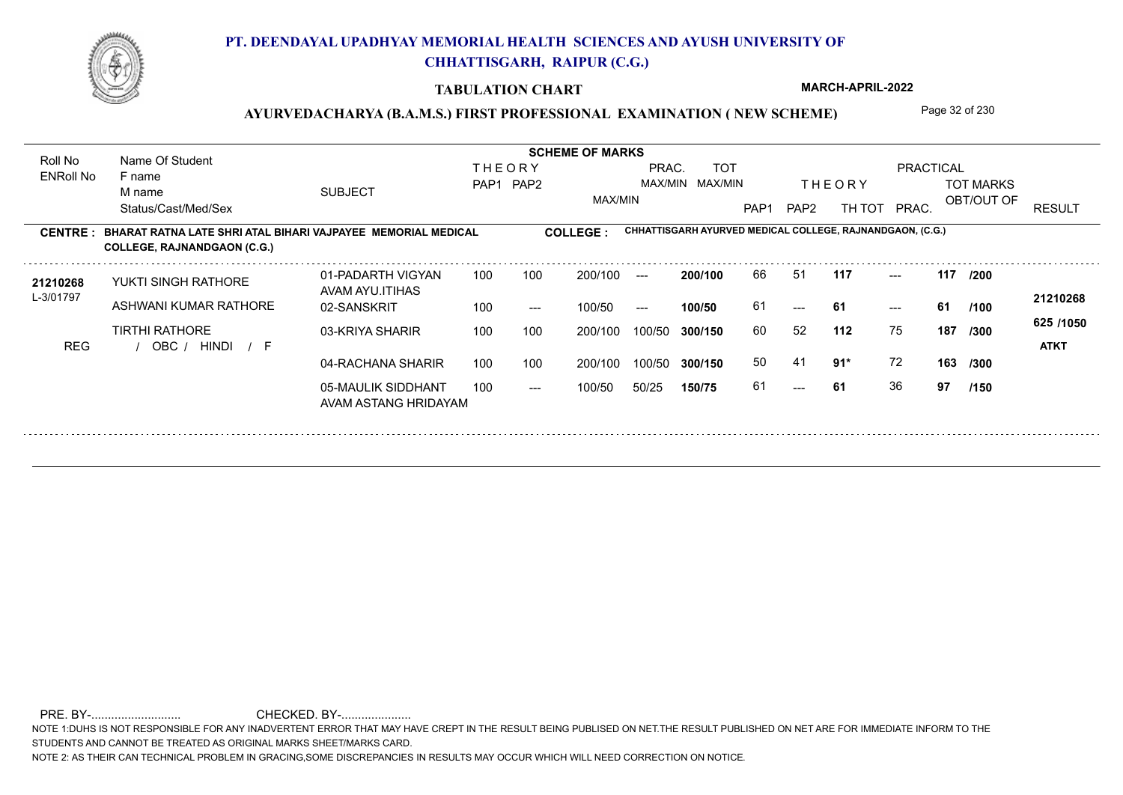

#### **TABULATION CHART**

**MARCH-APRIL-2022**

### AYURVEDACHARYA (B.A.M.S.) FIRST PROFESSIONAL EXAMINATION (NEW SCHEME) Page 32 of 230

**Name Of Student Contract of Student Act of Student SCHEME OF MARKS** Roll No Name Of Student **THEORY** PRAC. TOT PRACTICAL ENRoll No F name SUBJECT TOT MARKS PAP1 PAP2 MAX/MIN MAX/MIN THE ORY TOT MARKS M name MAX/MIN OBT/OUT OF RESULT Status/Cast/Med/Sex PAP1 PAP2 TH TOT PRAC. **CHHATTISGARH AYURVED MEDICAL COLLEGE, RAJNANDGAON, (C.G.) CENTRE : COLLEGE : BHARAT RATNA LATE SHRI ATAL BIHARI VAJPAYEE MEMORIAL MEDICAL COLLEGE, RAJNANDGAON (C.G.)** 21210268 YUKTI SINGH RATHORE 01-PADARTH VIGYAN 100 100 200/100 --- **200/100** 66 51 **117** ---**200/100** --- **117 117 /200** 01-PADARTH VIGYAN 100 200/100 ---YUKTI SINGH RATHORE AVAM AYU.ITIHAS L-3/01797 **21210268** ASHWANI KUMAR RATHORE 02-SANSKRIT **100/50** 61 **61 61**  $-$  61 100 --- 100/50 --- --- **/100 625 /1050** TIRTHI RATHORE 03-KRIYA SHARIR 100 100 200/100 100/50 **300/150** 60 52 **11 112** 75 60 52 **187 /300** REG / OBC / HINDI / F HINDI F **ATKT** 50 41 04-RACHANA SHARIR 100 100 **91\*** 72 **163 /300** 100 100 200/100 100/50 300/150 100/50 **300/150** 05-MAULIK SIDDHANT 61 **61** 36 **97** --- 61 **/150**  $- -$  100/50 100/50 50/25 **150/75** AVAM ASTANG HRIDAYAM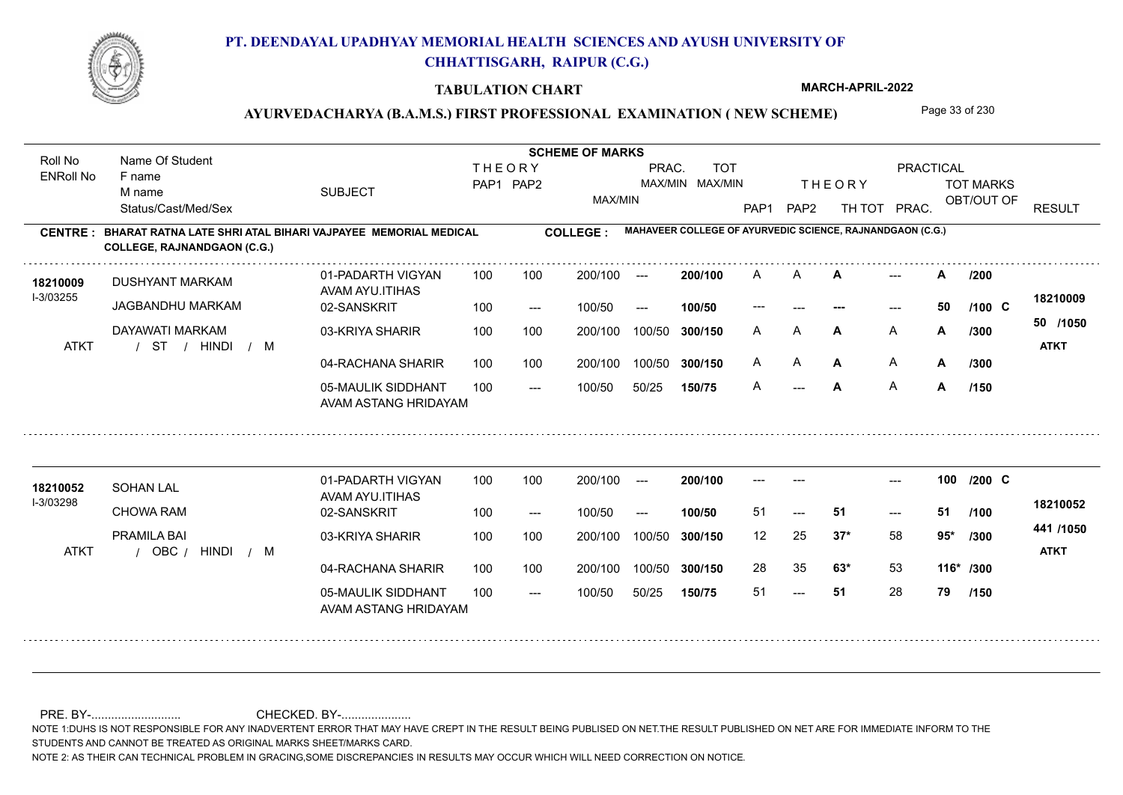

#### **TABULATION CHART**

**MARCH-APRIL-2022**

### AYURVEDACHARYA (B.A.M.S.) FIRST PROFESSIONAL EXAMINATION (NEW SCHEME) Page 33 of 230

**Name Of Student Contract of Student Act of Student SCHEME OF MARKS** Roll No Name Of Student **THEORY** PRAC. TOT PRACTICAL ENRoll No F name SUBJECT TOT MARKS PAP1 PAP2 MAX/MIN MAX/MIN THE ORY TOT MARKS M name MAX/MIN OBT/OUT OF RESULT Status/Cast/Med/Sex PAP1 PAP2 TH TOT PRAC. **MAHAVEER COLLEGE OF AYURVEDIC SCIENCE, RAJNANDGAON (C.G.) CENTRE : COLLEGE : BHARAT RATNA LATE SHRI ATAL BIHARI VAJPAYEE MEMORIAL MEDICAL COLLEGE, RAJNANDGAON (C.G.) 200/100** A **A A** --- **A A**  $\rightarrow$  **A**  $/200$ 01-PADARTH VIGYAN 100 200/100 --- $\mathsf{A}$ **/200** 18210009 DUSHYANT MARKAM AVAM AYU.ITIHAS I-3/03255 **18210009** JAGBANDHU MARKAM 02-SANSKRIT --- **--- 50 C /100**  $- - 50$ 100 --- 100/50 --- **100/50** --- **50 /1050** 03-KRIYA SHARIR DAYAWATI MARKAM 100 100 200/100 100/50 300/150 **300/150** 100/50 A **A A A A /300 A** A **/300** / / / ATKT ST HINDI M **ATKT** 04-RACHANA SHARIR 100 100 200/100 100/50 A A **A A** A **A** A **A /300** 200/100 100/50 **300/150** 05-MAULIK SIDDHANT A **A** A **A**  $- -$  100/50 100/50 50/25 **150/75** --- **A /150** AVAM ASTANG HRIDAYAM 01-PADARTH VIGYAN 100 200/100 ------ **100** --- --- **C /200 200/100 18210052** SOHAN LAL AVAM AYU.ITIHAS I-3/03298 **18210052** CHOWA RAM 02-SANSKRIT **100/50** 51 **51 51** --- 51 --- **/100** 100 --- 100/50 --- **441 /1050** PRAMILA BAI 03-KRIYA SHARIR 200/100 100/50 **300/150** 100/50 200/100 12 25 **95\* 37\*** 58 **/300** / / ATKT OBC HINDI M **ATKT** / 04-RACHANA SHARIR 100 100 200/100 100/50 28 35 **63\*** 53 **63\*** 53 **116\* /300** 200/100 100/50 **300/150** 05-MAULIK SIDDHANT 100 51 **51** 28 **79** --- 51  $- -$  100/50 100/50 50/25 **150/75 /150** AVAM ASTANG HRIDAYAM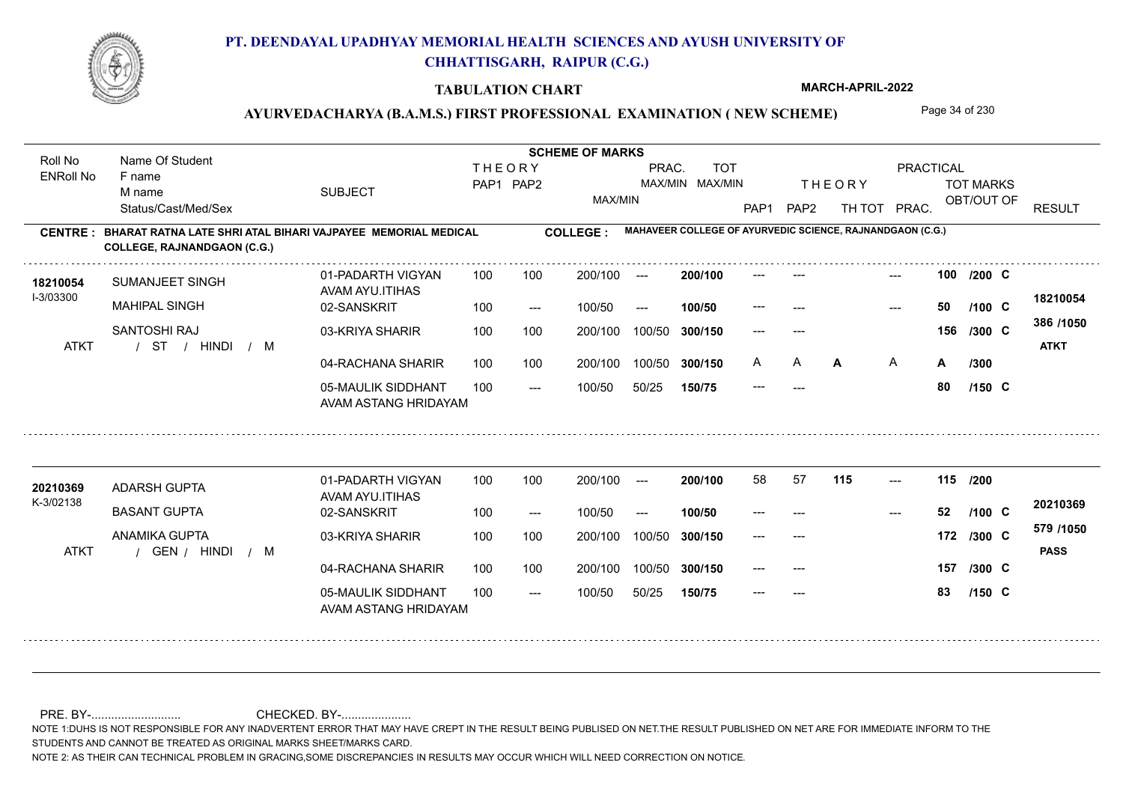

#### **TABULATION CHART**

**MARCH-APRIL-2022**

### AYURVEDACHARYA (B.A.M.S.) FIRST PROFESSIONAL EXAMINATION (NEW SCHEME) Page 34 of 230

**Name Of Student Contract of Student Act of Student SCHEME OF MARKS** Roll No Name Of Student **THEORY** PRAC. TOT PRACTICAL ENRoll No F name SUBJECT TOT MARKS PAP1 PAP2 MAX/MIN MAX/MIN THE ORY TOT MARKS M name MAX/MIN OBT/OUT OF RESULT Status/Cast/Med/Sex PAP1 PAP2 TH TOT PRAC. **MAHAVEER COLLEGE OF AYURVEDIC SCIENCE, RAJNANDGAON (C.G.) CENTRE : COLLEGE : BHARAT RATNA LATE SHRI ATAL BIHARI VAJPAYEE MEMORIAL MEDICAL COLLEGE, RAJNANDGAON (C.G.)** --- **100** --- --- **C /200** 01-PADARTH VIGYAN 100 200/100 ---**200/100** 18210054 SUMANJEET SINGH AVAM AYU.ITIHAS I-3/03300 **18210054** MAHIPAL SINGH 02-SANSKRIT --- **50 C /100**  $100/50$ 100/50 --- **100/50** ---  $- - 50$ **386 /1050** SANTOSHI RAJ 03-KRIYA SHARIR 100 100 100 100 200/100 100/50 300/150 **300/150** 100/50 --- --- **156 C /300** / / / ATKT ST HINDI M **ATKT** 04-RACHANA SHARIR 100 100 200/100 100/50 A A **A A** A **A** A **A /300** 200/100 100/50 **300/150** 05-MAULIK SIDDHANT --- **80 C /150**  $- -$  100/50 100/50 50/25 **150/75** --- AVAM ASTANG HRIDAYAM **<sup>20210369</sup>** <sup>58</sup> <sup>57</sup> 01-PADARTH VIGYAN 100 200/100 ---**200/100** --- **115 115 /200** ADARSH GUPTA AVAM AYU.ITIHAS K-3/02138 **20210369** BASANT GUPTA 02-SANSKRIT **100/50** --- **52 C /100** --- 100 --- 100/50 --- --- **579 /1050** ANAMIKA GUPTA 03-KRIYA SHARIR 200/100 100/50 **300/150** 100/50 200/100 --- --- **172 C /300** / / / ATKT GEN HINDI M **PASS** 04-RACHANA SHARIR 100 100 200/100 100/50 **157** --- --- **C /300** 100/50 **300/150** 05-MAULIK SIDDHANT 100 --- **83 C /150**  $- -$  100/50 100/50 50/25 **150/75** --- AVAM ASTANG HRIDAYAM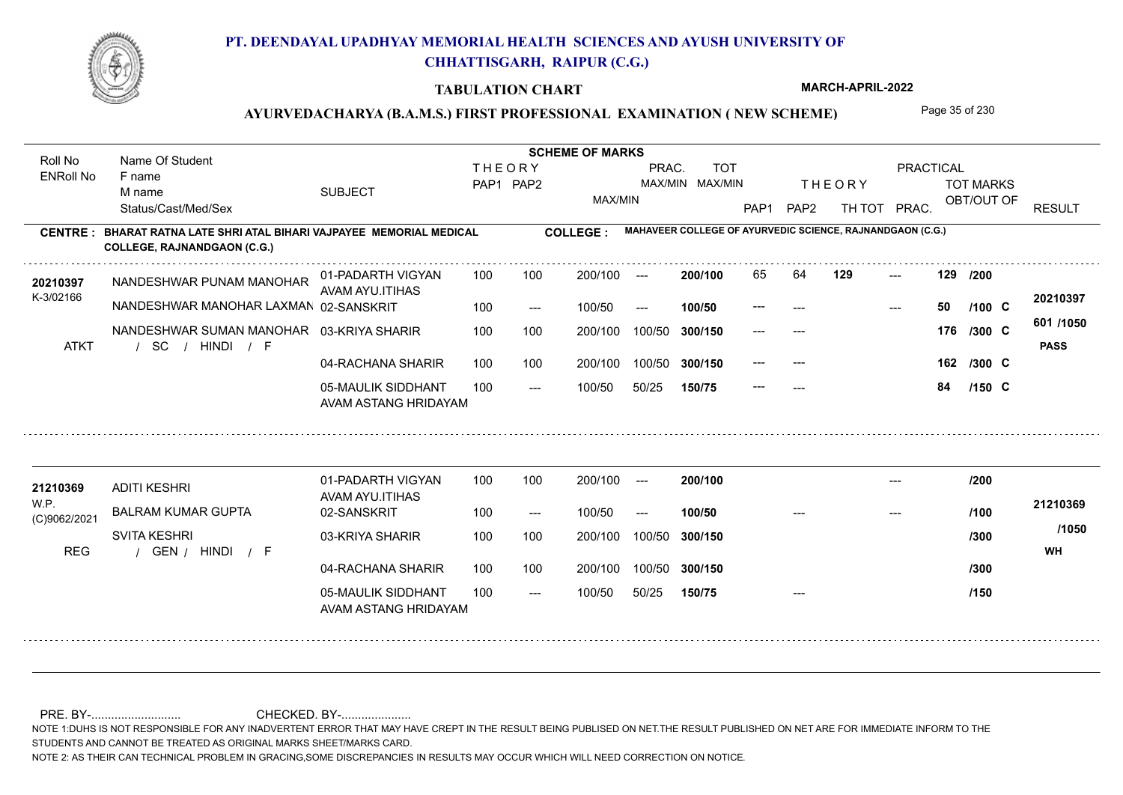

#### **TABULATION CHART**

**MARCH-APRIL-2022**

### AYURVEDACHARYA (B.A.M.S.) FIRST PROFESSIONAL EXAMINATION (NEW SCHEME) Page 35 of 230

**Name Of Student Contract of Student Act of Student SCHEME OF MARKS** Roll No Name Of Student **THEORY** PRAC. TOT PRACTICAL ENRoll No F name SUBJECT TOT MARKS PAP1 PAP2 MAX/MIN MAX/MIN THE ORY TOT MARKS M name MAX/MIN OBT/OUT OF RESULT Status/Cast/Med/Sex PAP1 PAP2 TH TOT PRAC. **MAHAVEER COLLEGE OF AYURVEDIC SCIENCE, RAJNANDGAON (C.G.) CENTRE : COLLEGE : BHARAT RATNA LATE SHRI ATAL BIHARI VAJPAYEE MEMORIAL MEDICAL COLLEGE, RAJNANDGAON (C.G.)** NANDESHWAR PUNAM MANOHAR **<sup>20210397</sup>** <sup>65</sup> <sup>64</sup> **200/100 129 129 /200** 129 01-PADARTH VIGYAN 100 200/100 ---AVAM AYU.ITIHAS 02-SANSKRIT K-3/02166 NANDESHWAR MANOHAR LAXMAN **20210397** --- **50 C /100** 100 --- 100/50 --- **100/50** ---  $- - 50$ **601 /1050** 03-KRIYA SHARIR NANDESHWAR SUMAN MANOHAR 100 100 200/100 100/50 300/150 **300/150** 100/50 --- --- **176 C /300** / / / ATKT SC HINDI F **PASS** 04-RACHANA SHARIR 100 100 200/100 100/50 --- --- 162 /300 C **162 /300** 200/100 100/50 **300/150** 05-MAULIK SIDDHANT --- **84 C /150**  $- -$  100/50 100/50 50/25 **150/75** --- AVAM ASTANG HRIDAYAM 01-PADARTH VIGYAN 100 200/100 ---**200/100 <sup>21210369</sup> /200** --- ADITI KESHRI AVAM AYU.ITIHAS W.P. **21210369** BALRAM KUMAR GUPTA 02-SANSKRIT **100/50 /100** 100 --- 100/50 --- --- --- (C)9062/2021 **/1050** SVITA KESHRI 03-KRIYA SHARIR 200/100 100/50 **300/150** 100/50 200/100 **/300** / / / REG GEN HINDI F **WH** 04-RACHANA SHARIR 100 100 100/50 200/100 100/50 **300/150 /300** 05-MAULIK SIDDHANT 100  $- -$  100/50 100/50 50/25 **150/75** --- **/150** AVAM ASTANG HRIDAYAM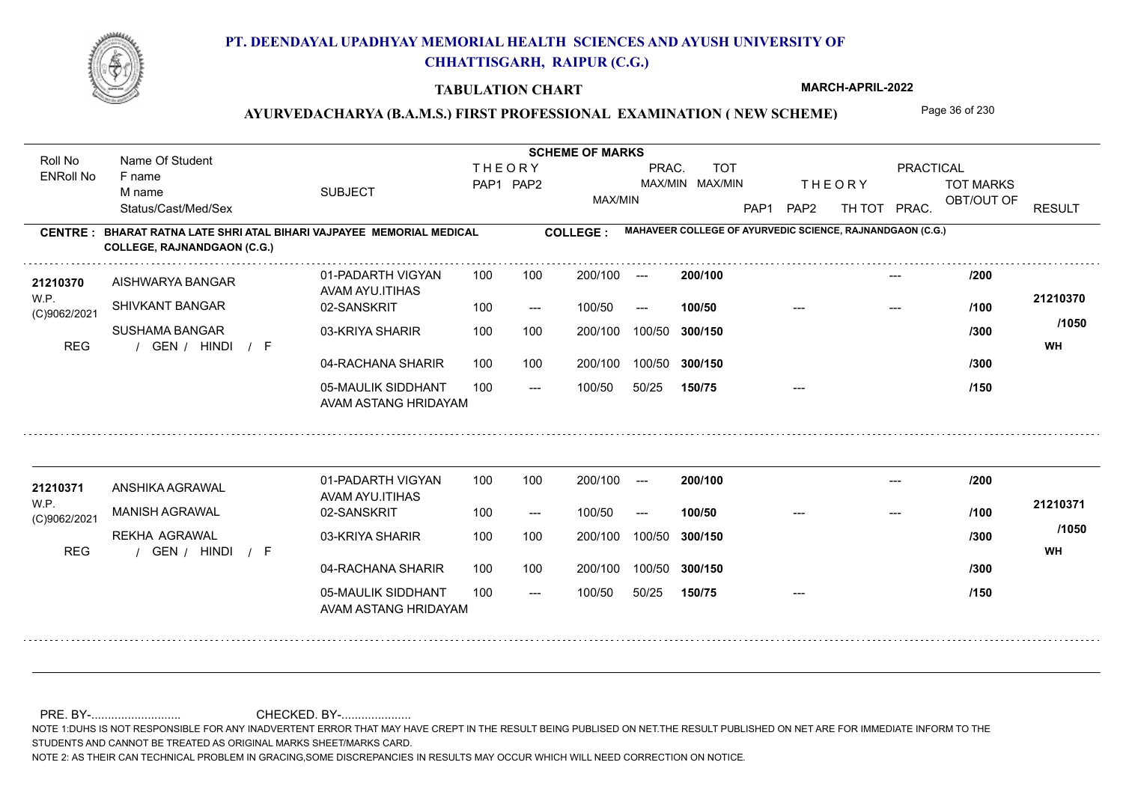

#### **TABULATION CHART**

**MARCH-APRIL-2022**

### AYURVEDACHARYA (B.A.M.S.) FIRST PROFESSIONAL EXAMINATION (NEW SCHEME) Page 36 of 230

**Name Of Student Contract of Student Act of Student SCHEME OF MARKS** Roll No Name Of Student **THEORY** PRAC. TOT PRACTICAL ENRoll No F name SUBJECT TOT MARKS PAP1 PAP2 MAX/MIN MAX/MIN THE ORY TOT MARKS M name MAX/MIN OBT/OUT OF RESULT Status/Cast/Med/Sex PAP1 PAP2 TH TOT PRAC. **MAHAVEER COLLEGE OF AYURVEDIC SCIENCE, RAJNANDGAON (C.G.) CENTRE : COLLEGE : BHARAT RATNA LATE SHRI ATAL BIHARI VAJPAYEE MEMORIAL MEDICAL COLLEGE, RAJNANDGAON (C.G.) <sup>21210370</sup> /200** 01-PADARTH VIGYAN 100 200/100 ---**200/100** --- AISHWARYA BANGAR AVAM AYU.ITIHAS W.P. **21210370** SHIVKANT BANGAR 02-SANSKRIT  $100/50$ 100/50 --- **100/50** --- --- **/100** (C)9062/2021 **/1050** SUSHAMA BANGAR 03-KRIYA SHARIR 100 100 200/100 100/50 300/150 **300/150** 100/50 **/300** / / / REG GEN HINDI F **WH** 04-RACHANA SHARIR 100 100 200/100 100/50 200/100 100/50 **300/150 /300** 05-MAULIK SIDDHANT  $- -$  100/50 100/50 50/25 **150/75** --- **/150** AVAM ASTANG HRIDAYAM 01-PADARTH VIGYAN 100 200/100 ---**<sup>21210371</sup> /200 200/100** --- ANSHIKA AGRAWAL AVAM AYU.ITIHAS W.P. **21210371** MANISH AGRAWAL 02-SANSKRIT **100/50 /100** 100 --- 100/50 --- --- --- (C)9062/2021 **/1050** REKHA AGRAWAL 03-KRIYA SHARIR 200/100 100/50 **300/150** 100/50 200/100 **/300** / / / REG GEN HINDI F **WH** 04-RACHANA SHARIR 100 100 100/50 200/100 100/50 **300/150 /300** 05-MAULIK SIDDHANT 100  $- -$  100/50 100/50 50/25 **150/75** --- **/150** AVAM ASTANG HRIDAYAM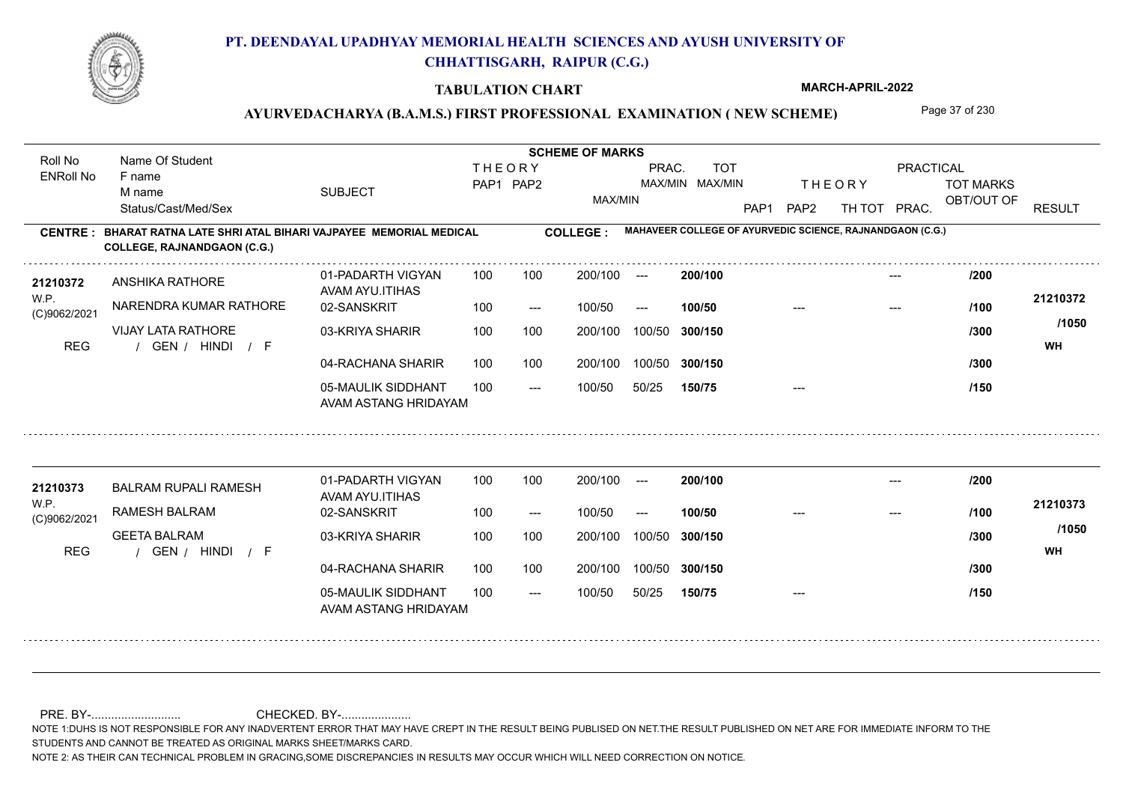

#### **TABULATION CHART**

**MARCH-APRIL-2022**

### AYURVEDACHARYA (B.A.M.S.) FIRST PROFESSIONAL EXAMINATION (NEW SCHEME) Page 37 of 230

**Name Of Student Contract of Student Act of Student SCHEME OF MARKS** Roll No Name Of Student **THEORY** PRAC. TOT PRACTICAL ENRoll No F name SUBJECT TOT MARKS PAP1 PAP2 MAX/MIN MAX/MIN THE ORY TOT MARKS M name MAX/MIN OBT/OUT OF RESULT Status/Cast/Med/Sex PAP1 PAP2 TH TOT PRAC. **MAHAVEER COLLEGE OF AYURVEDIC SCIENCE, RAJNANDGAON (C.G.) CENTRE : COLLEGE : BHARAT RATNA LATE SHRI ATAL BIHARI VAJPAYEE MEMORIAL MEDICAL COLLEGE, RAJNANDGAON (C.G.) <sup>21210372</sup> /200** 01-PADARTH VIGYAN 100 200/100 ---**200/100** --- ANSHIKA RATHORE AVAM AYU.ITIHAS W.P. **21210372** NARENDRA KUMAR RATHORE 02-SANSKRIT  $100/50$ 100/50 --- **100/50** --- --- **/100** (C)9062/2021 **/1050** VIJAY LATA RATHORE 03-KRIYA SHARIR 100 100 200/100 100/50 300/150 **300/150** 100/50 **/300** / / / REG GEN HINDI F **WH** 04-RACHANA SHARIR 100 100 200/100 100/50 200/100 100/50 **300/150 /300** 05-MAULIK SIDDHANT  $- -$  100/50 100/50 50/25 **150/75** --- **/150** AVAM ASTANG HRIDAYAM 01-PADARTH VIGYAN 100 200/100 ---**<sup>21210373</sup> /200 200/100** --- BALRAM RUPALI RAMESH AVAM AYU.ITIHAS W.P. **21210373** RAMESH BALRAM 02-SANSKRIT **100/50 /100** 100 --- 100/50 --- --- --- (C)9062/2021 **/1050** GEETA BALRAM 03-KRIYA SHARIR 200/100 100/50 **300/150** 100/50 200/100 **/300** / / / REG GEN HINDI F **WH** 04-RACHANA SHARIR 100 100 200/100 100/50 100/50 **300/150 /300** 05-MAULIK SIDDHANT 100  $- -$  100/50 100/50 50/25 **150/75** --- **/150** AVAM ASTANG HRIDAYAM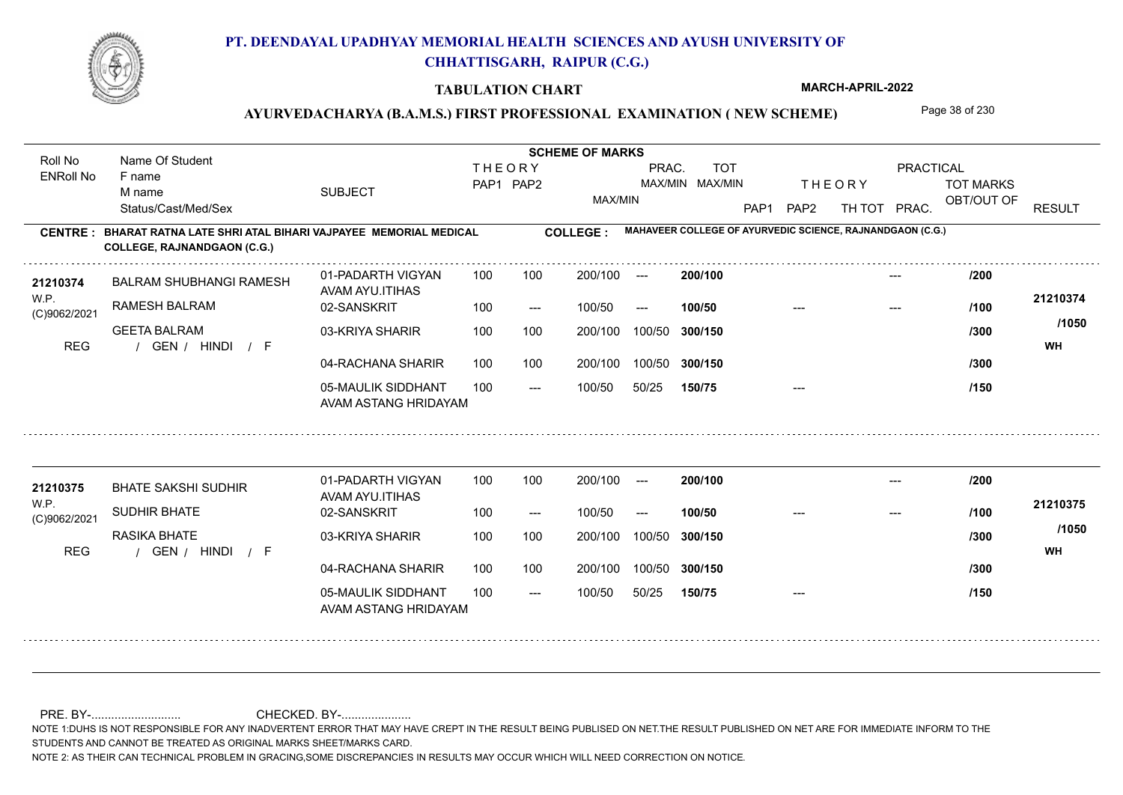

#### **TABULATION CHART**

**MARCH-APRIL-2022**

## AYURVEDACHARYA (B.A.M.S.) FIRST PROFESSIONAL EXAMINATION (NEW SCHEME) Page 38 of 230

**Name Of Student Contract of Student Act of Student SCHEME OF MARKS** Roll No Name Of Student **THEORY** PRAC. TOT PRACTICAL ENRoll No F name SUBJECT TOT MARKS PAP1 PAP2 MAX/MIN MAX/MIN THE ORY TOT MARKS M name MAX/MIN OBT/OUT OF RESULT Status/Cast/Med/Sex PAP1 PAP2 TH TOT PRAC. **MAHAVEER COLLEGE OF AYURVEDIC SCIENCE, RAJNANDGAON (C.G.) CENTRE : COLLEGE : BHARAT RATNA LATE SHRI ATAL BIHARI VAJPAYEE MEMORIAL MEDICAL COLLEGE, RAJNANDGAON (C.G.) <sup>21210374</sup> /200** 01-PADARTH VIGYAN 100 200/100 ---**200/100** --- BALRAM SHUBHANGI RAMESH AVAM AYU.ITIHAS W.P. **21210374** RAMESH BALRAM 02-SANSKRIT  $100/50$ 100/50 --- **100/50** --- --- **/100** (C)9062/2021 **/1050** GEETA BALRAM 03-KRIYA SHARIR 100 100 200/100 100/50 300/150 **300/150** 100/50 **/300** / / / REG GEN HINDI F **WH** 04-RACHANA SHARIR 100 100 200/100 100/50 200/100 100/50 **300/150 /300** 05-MAULIK SIDDHANT  $- -$  100/50 100/50 50/25 **150/75** --- **/150** AVAM ASTANG HRIDAYAM 01-PADARTH VIGYAN 100 200/100 ---**<sup>21210375</sup> /200 200/100** --- BHATE SAKSHI SUDHIR AVAM AYU.ITIHAS W.P. **21210375** SUDHIR BHATE 02-SANSKRIT **100/50 /100** 100 --- 100/50 --- --- --- (C)9062/2021 **/1050** RASIKA BHATE 03-KRIYA SHARIR 200/100 100/50 **300/150** 100/50 200/100 **/300** / / / REG GEN HINDI F **WH** 04-RACHANA SHARIR 100 100 200/100 100/50 100/50 **300/150 /300** 05-MAULIK SIDDHANT 100  $- -$  100/50 100/50 50/25 **150/75** --- **/150** AVAM ASTANG HRIDAYAM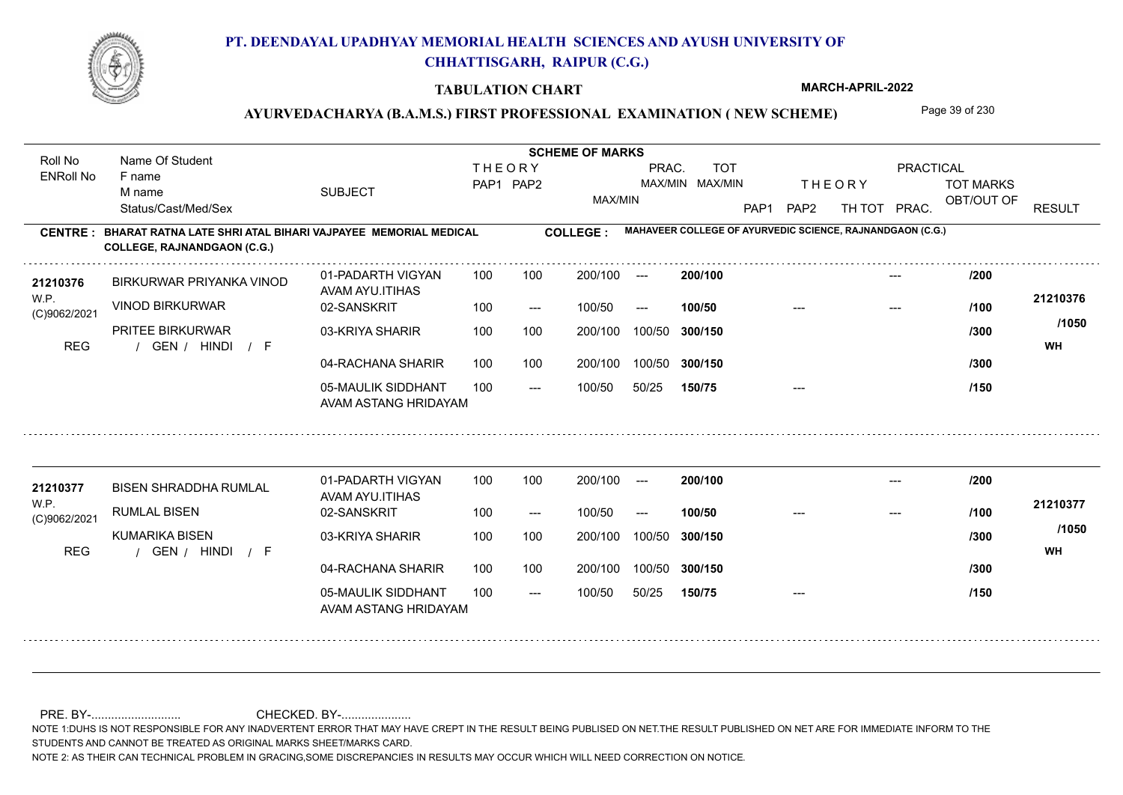

#### **TABULATION CHART**

**MARCH-APRIL-2022**

## AYURVEDACHARYA (B.A.M.S.) FIRST PROFESSIONAL EXAMINATION (NEW SCHEME) Page 39 of 230

**Name Of Student Contract of Student Act of Student SCHEME OF MARKS** Roll No Name Of Student **THEORY** PRAC. TOT PRACTICAL ENRoll No F name SUBJECT TOT MARKS PAP1 PAP2 MAX/MIN MAX/MIN THE ORY TOT MARKS M name MAX/MIN OBT/OUT OF RESULT Status/Cast/Med/Sex PAP1 PAP2 TH TOT PRAC. **MAHAVEER COLLEGE OF AYURVEDIC SCIENCE, RAJNANDGAON (C.G.) CENTRE : COLLEGE : BHARAT RATNA LATE SHRI ATAL BIHARI VAJPAYEE MEMORIAL MEDICAL COLLEGE, RAJNANDGAON (C.G.) <sup>21210376</sup> /200** 01-PADARTH VIGYAN 100 200/100 ---**200/100** --- BIRKURWAR PRIYANKA VINOD AVAM AYU.ITIHAS W.P. **21210376** VINOD BIRKURWAR 02-SANSKRIT  $100/50$ 100/50 --- **100/50** --- --- **/100** (C)9062/2021 **/1050** PRITEE BIRKURWAR 03-KRIYA SHARIR 100 100 200/100 100/50 300/150 **300/150** 100/50 **/300** / / / REG GEN HINDI F **WH** 04-RACHANA SHARIR 100 100 200/100 100/50 200/100 100/50 **300/150 /300** 05-MAULIK SIDDHANT  $- -$  100/50 100/50 50/25 **150/75** --- **/150** AVAM ASTANG HRIDAYAM 01-PADARTH VIGYAN 100 200/100 ---**200/100 <sup>21210377</sup> /200** --- BISEN SHRADDHA RUMLAL AVAM AYU.ITIHAS W.P. **21210377** RUMLAL BISEN 02-SANSKRIT **100/50 /100** 100 --- 100/50 --- --- --- (C)9062/2021 **/1050** KUMARIKA BISEN 03-KRIYA SHARIR 200/100 100/50 **300/150** 100/50 200/100 **/300** / / / REG GEN HINDI F **WH** 04-RACHANA SHARIR 100 100 200/100 100/50 100/50 **300/150 /300** 05-MAULIK SIDDHANT 100  $- -$  100/50 100/50 50/25 **150/75** --- **/150** AVAM ASTANG HRIDAYAM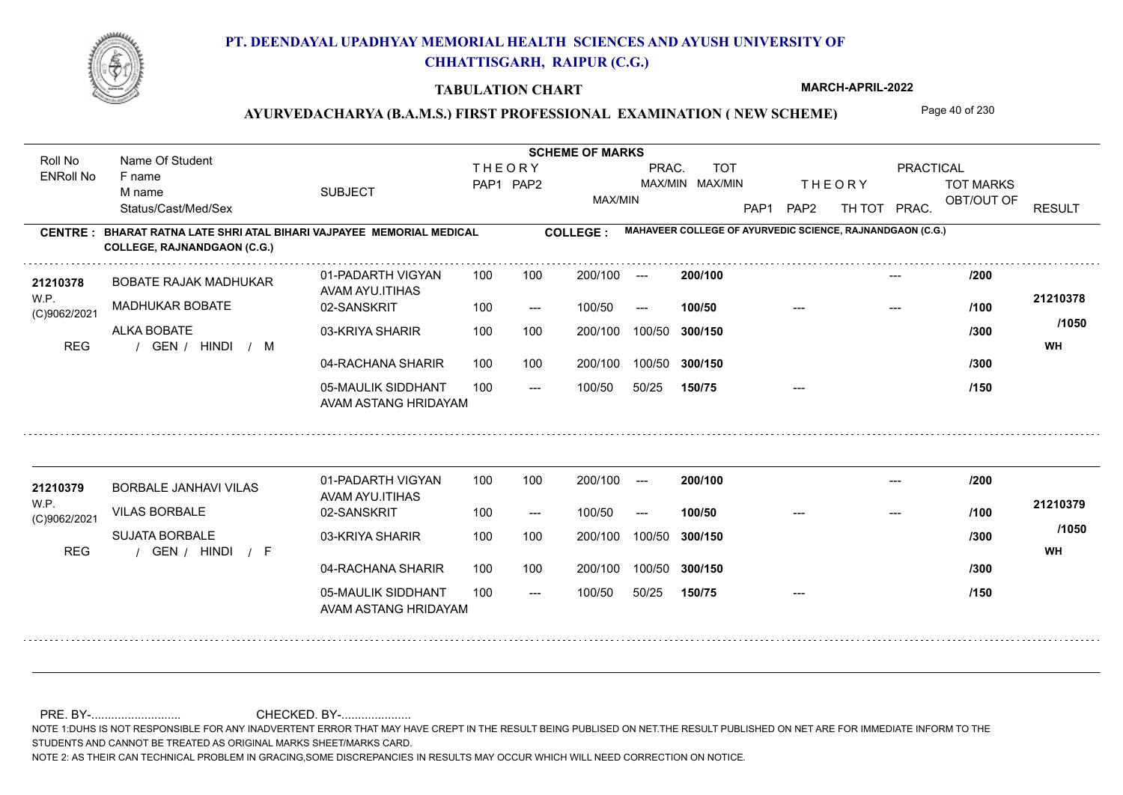

#### **TABULATION CHART**

**MARCH-APRIL-2022**

## AYURVEDACHARYA (B.A.M.S.) FIRST PROFESSIONAL EXAMINATION (NEW SCHEME) Page 40 of 230

**Name Of Student Contract of Student Act of Student SCHEME OF MARKS** Roll No Name Of Student **THEORY** PRAC. TOT PRACTICAL ENRoll No F name SUBJECT TOT MARKS PAP1 PAP2 MAX/MIN MAX/MIN THE ORY TOT MARKS M name MAX/MIN OBT/OUT OF RESULT Status/Cast/Med/Sex PAP1 PAP2 TH TOT PRAC. **MAHAVEER COLLEGE OF AYURVEDIC SCIENCE, RAJNANDGAON (C.G.) CENTRE : COLLEGE : BHARAT RATNA LATE SHRI ATAL BIHARI VAJPAYEE MEMORIAL MEDICAL COLLEGE, RAJNANDGAON (C.G.) <sup>21210378</sup> /200** 01-PADARTH VIGYAN 100 200/100 ---**200/100** --- BOBATE RAJAK MADHUKAR AVAM AYU.ITIHAS W.P. **21210378** MADHUKAR BOBATE 02-SANSKRIT  $100/50$ 100/50 --- **100/50** --- --- **/100** (C)9062/2021 **/1050** ALKA BOBATE 03-KRIYA SHARIR 100 100 100 100 200/100 100/50 300/150 **300/150** 100/50 **/300** REG the second of the second of the second of the second of the second of the second of the second of the second of the second of the second of the second of the second of the second of the second of the second of the seco 04-RACHANA SHARIR 100 100 200/100 100/50 200/100 100/50 **300/150 /300** 05-MAULIK SIDDHANT  $- -$  100/50 100/50 50/25 **150/75** --- **/150** AVAM ASTANG HRIDAYAM 01-PADARTH VIGYAN 100 200/100 ---**<sup>21210379</sup> /200 200/100** --- BORBALE JANHAVI VILAS AVAM AYU.ITIHAS W.P. **21210379** VILAS BORBALE 02-SANSKRIT **100/50 /100** 100 --- 100/50 --- --- --- (C)9062/2021 **/1050** SUJATA BORBALE 03-KRIYA SHARIR 200/100 100/50 **300/150** 100/50 200/100 **/300** / / / REG GEN HINDI F **WH** 04-RACHANA SHARIR 100 100 200/100 100/50 100/50 **300/150 /300** 05-MAULIK SIDDHANT 100  $- -$  100/50 100/50 50/25 **150/75** --- **/150** AVAM ASTANG HRIDAYAM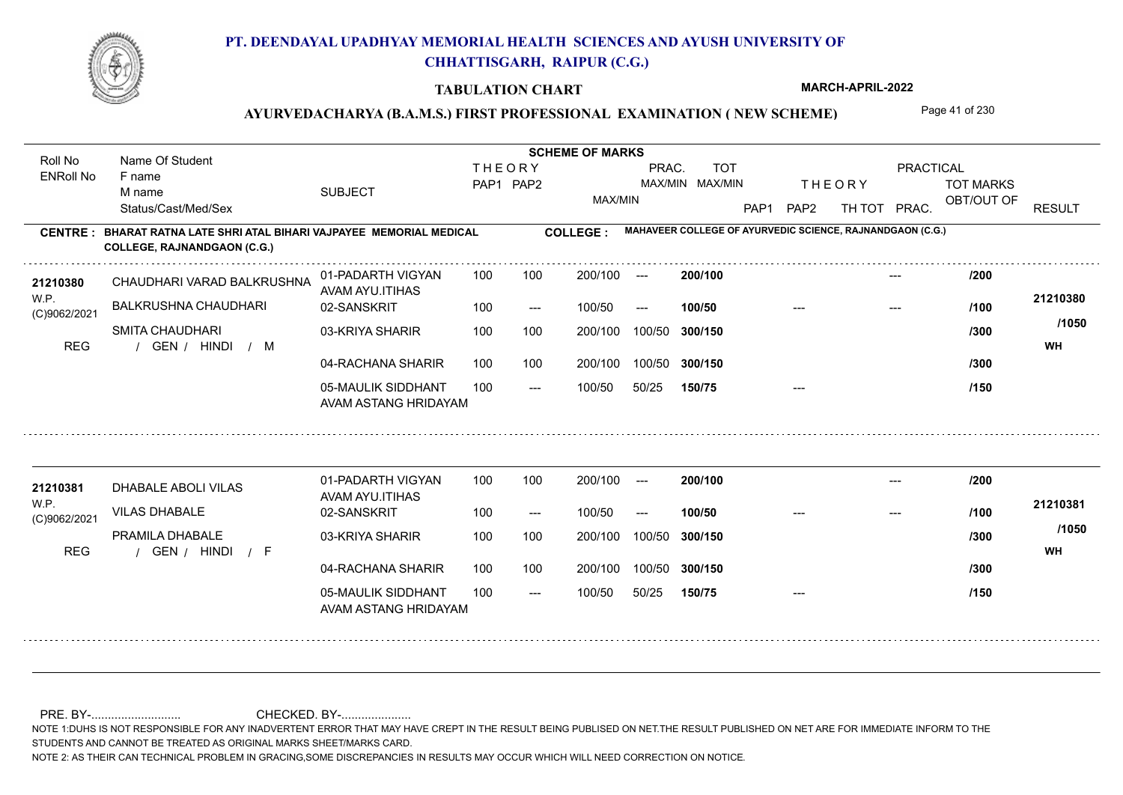

Roll No Name Of Student

F name M name

ENRoll No

Status/Cast/Med/Sex

**COLLEGE, RAJNANDGAON (C.G.)**

# **PT. DEENDAYAL UPADHYAY MEMORIAL HEALTH SCIENCES AND AYUSH UNIVERSITY OF CHHATTISGARH, RAIPUR (C.G.)**

#### **TABULATION CHART**

**MARCH-APRIL-2022**

## AYURVEDACHARYA (B.A.M.S.) FIRST PROFESSIONAL EXAMINATION (NEW SCHEME) Page 41 of 230

SUBJECT TOT MARKS OBT/OUT OF PRACTICAL THE ORY TOT MARKS PAP1 PAP2 TH TOT PRAC. **CENTRE : COLLEGE : BHARAT RATNA LATE SHRI ATAL BIHARI VAJPAYEE MEMORIAL MEDICAL THEORY** PAP1 PAP2 MAX/MIN PRAC. MAX/MIN MAX/MIN TOT RESULT **Name Of Student Contract of Student Act of Student SCHEME OF MARKS MAHAVEER COLLEGE OF AYURVEDIC SCIENCE, RAJNANDGAON (C.G.)** --- 100 100 200/100 --- 200/100 **200/100**

| 21210380<br>W.P.<br>(C)9062/2021<br><b>REG</b> | CHAUDHARI VARAD BALKRUSHNA<br><b>BALKRUSHNA CHAUDHARI</b> | 01-PADARTH VIGYAN<br>AVAM AYU.ITIHAS<br>02-SANSKRIT                                | 100<br>100        | 100<br>$---$        | 200/100<br>100/50            | $---$<br>$---$            | 200/100<br>100/50            |       | ---<br>--- | /200<br>/100         | 21210380           |
|------------------------------------------------|-----------------------------------------------------------|------------------------------------------------------------------------------------|-------------------|---------------------|------------------------------|---------------------------|------------------------------|-------|------------|----------------------|--------------------|
|                                                | <b>SMITA CHAUDHARI</b><br>GEN / HINDI<br>$/$ M            | 03-KRIYA SHARIR<br>04-RACHANA SHARIR<br>05-MAULIK SIDDHANT<br>AVAM ASTANG HRIDAYAM | 100<br>100<br>100 | 100<br>100<br>$---$ | 200/100<br>200/100<br>100/50 | 100/50<br>100/50<br>50/25 | 300/150<br>300/150<br>150/75 | $---$ |            | /300<br>/300<br>/150 | /1050<br><b>WH</b> |
| 21210381<br>WP.<br>(C)9062/2021                | DHABALE ABOLI VILAS<br><b>VILAS DHABALE</b>               | 01-PADARTH VIGYAN<br>AVAM AYU.ITIHAS<br>02-SANSKRIT                                | 100<br>100        | 100<br>$---$        | 200/100<br>100/50            | $\frac{1}{2}$<br>$---$    | 200/100<br>100/50            |       |            | /200<br>/100         | 21210381<br>/1050  |
| <b>REG</b>                                     | PRAMILA DHABALE<br>GEN / HINDI<br>$\sqrt{F}$              | 03-KRIYA SHARIR<br>04-RACHANA SHARIR<br>05-MAULIK SIDDHANT<br>AVAM ASTANG HRIDAYAM | 100<br>100<br>100 | 100<br>100<br>$---$ | 200/100<br>200/100<br>100/50 | 100/50<br>100/50<br>50/25 | 300/150<br>300/150<br>150/75 |       |            | /300<br>/300<br>/150 | <b>WH</b>          |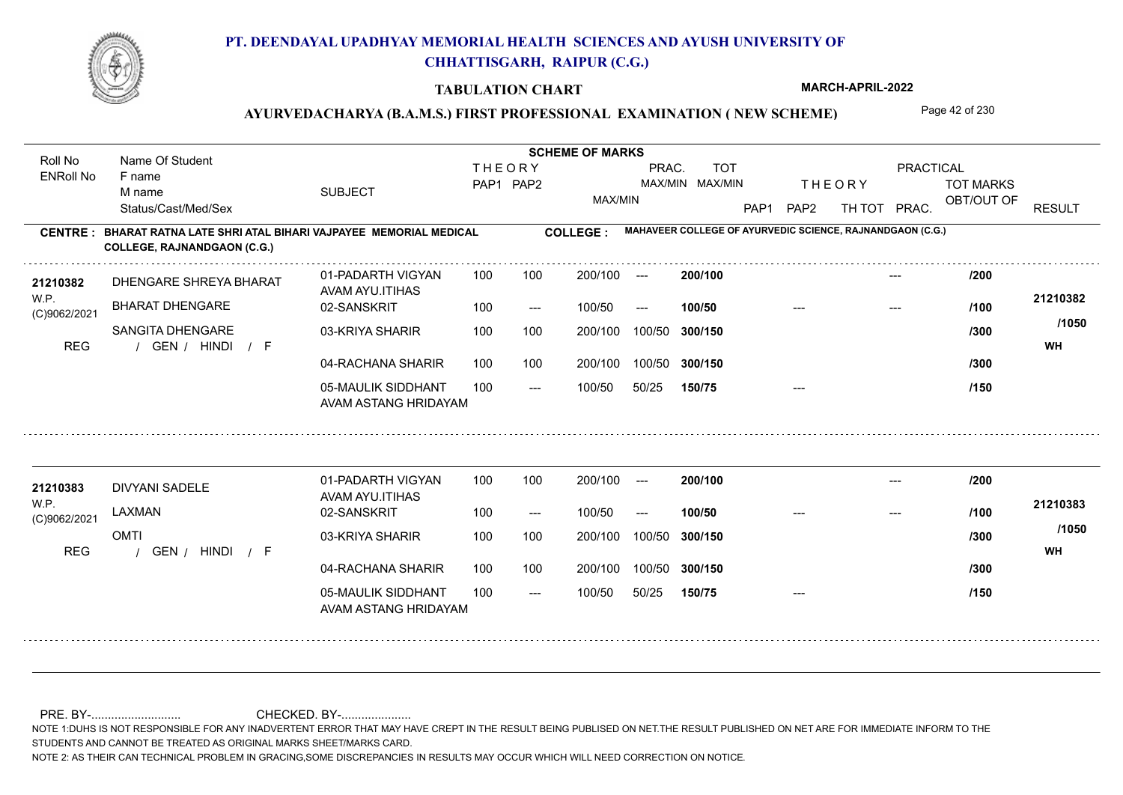

#### **TABULATION CHART**

**MARCH-APRIL-2022**

## AYURVEDACHARYA (B.A.M.S.) FIRST PROFESSIONAL EXAMINATION (NEW SCHEME) Page 42 of 230

**Name Of Student Contract of Student Act of Student SCHEME OF MARKS** Roll No Name Of Student **THEORY** PRAC. TOT PRACTICAL ENRoll No F name SUBJECT TOT MARKS PAP1 PAP2 MAX/MIN MAX/MIN THE ORY TOT MARKS M name MAX/MIN OBT/OUT OF RESULT Status/Cast/Med/Sex PAP1 PAP2 TH TOT PRAC. **MAHAVEER COLLEGE OF AYURVEDIC SCIENCE, RAJNANDGAON (C.G.) CENTRE : COLLEGE : BHARAT RATNA LATE SHRI ATAL BIHARI VAJPAYEE MEMORIAL MEDICAL COLLEGE, RAJNANDGAON (C.G.) <sup>21210382</sup> /200** 01-PADARTH VIGYAN 100 200/100 ---**200/100** --- DHENGARE SHREYA BHARAT AVAM AYU.ITIHAS W.P. **21210382** BHARAT DHENGARE 02-SANSKRIT  $100/50$ 100/50 --- **100/50** --- --- **/100** (C)9062/2021 **/1050** SANGITA DHENGARE 03-KRIYA SHARIR 100 100 100 100 200/100 100/50 300/150 **300/150** 100/50 **/300** / / / REG GEN HINDI F **WH** 04-RACHANA SHARIR 100 100 200/100 100/50 200/100 100/50 **300/150 /300** 05-MAULIK SIDDHANT  $- -$  100/50 100/50 50/25 **150/75** --- **/150** AVAM ASTANG HRIDAYAM 01-PADARTH VIGYAN 100 200/100 ---**<sup>21210383</sup> /200 200/100** --- DIVYANI SADELE AVAM AYU.ITIHAS W.P. **21210383** LAXMAN 02-SANSKRIT **100/50 /100** 100 --- 100/50 --- --- --- (C)9062/2021 **/1050** OMTI 03-KRIYA SHARIR 200/100 100/50 **300/150** 100/50 200/100 **/300** / / / REG GEN HINDI F **WH** 04-RACHANA SHARIR 100 100 200/100 100/50 100/50 **300/150 /300** 05-MAULIK SIDDHANT 100  $- -$  100/50 100/50 50/25 **150/75** --- **/150** AVAM ASTANG HRIDAYAM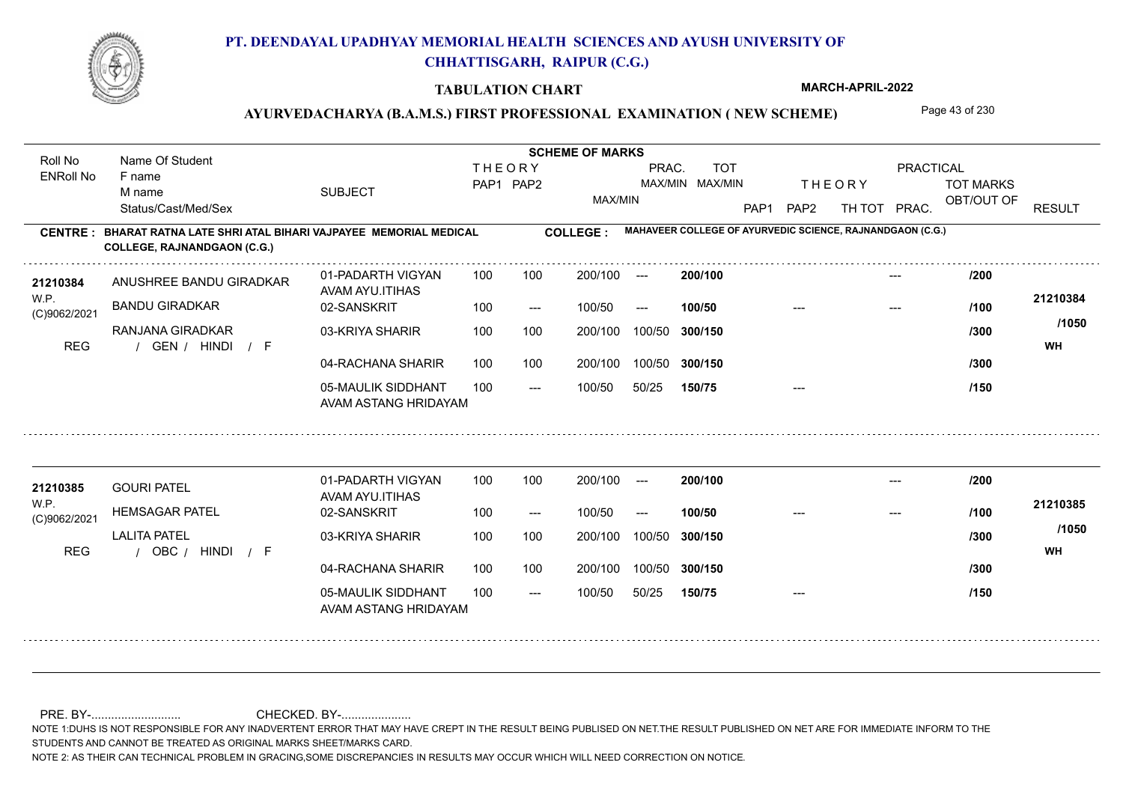

#### **TABULATION CHART**

**MARCH-APRIL-2022**

## AYURVEDACHARYA (B.A.M.S.) FIRST PROFESSIONAL EXAMINATION (NEW SCHEME) Page 43 of 230

**Name Of Student Contract of Student Act of Student SCHEME OF MARKS** Roll No Name Of Student **THEORY** PRAC. TOT PRACTICAL ENRoll No F name SUBJECT TOT MARKS PAP1 PAP2 MAX/MIN MAX/MIN THE ORY TOT MARKS M name MAX/MIN OBT/OUT OF RESULT Status/Cast/Med/Sex PAP1 PAP2 TH TOT PRAC. **MAHAVEER COLLEGE OF AYURVEDIC SCIENCE, RAJNANDGAON (C.G.) CENTRE : COLLEGE : BHARAT RATNA LATE SHRI ATAL BIHARI VAJPAYEE MEMORIAL MEDICAL COLLEGE, RAJNANDGAON (C.G.)** ANUSHREE BANDU GIRADKAR **<sup>21210384</sup> /200** 01-PADARTH VIGYAN 100 200/100 ---**200/100** --- AVAM AYU.ITIHAS W.P. **21210384** BANDU GIRADKAR 02-SANSKRIT  $100/50$ 100/50 --- **100/50** --- --- **/100** (C)9062/2021 **/1050** RANJANA GIRADKAR 03-KRIYA SHARIR 100 100 100 100 200/100 100/50 300/150 **300/150** 100/50 **/300** / / / REG GEN HINDI F **WH** 04-RACHANA SHARIR 100 100 200/100 100/50 200/100 100/50 **300/150 /300** 05-MAULIK SIDDHANT  $- -$  100/50 100/50 50/25 **150/75** --- **/150** AVAM ASTANG HRIDAYAM 01-PADARTH VIGYAN 100 200/100 ---**<sup>21210385</sup> /200 200/100** --- GOURI PATEL AVAM AYU.ITIHAS W.P. **21210385** HEMSAGAR PATEL 02-SANSKRIT **100/50 /100** 100 --- 100/50 --- --- --- (C)9062/2021 **/1050** LALITA PATEL 03-KRIYA SHARIR 200/100 100/50 **300/150** 100/50 200/100 **/300** / / / REG OBC HINDI F **WH** 04-RACHANA SHARIR 100 100 200/100 100/50 100/50 **300/150 /300** 05-MAULIK SIDDHANT 100  $- -$  100/50 100/50 50/25 **150/75** --- **/150** AVAM ASTANG HRIDAYAM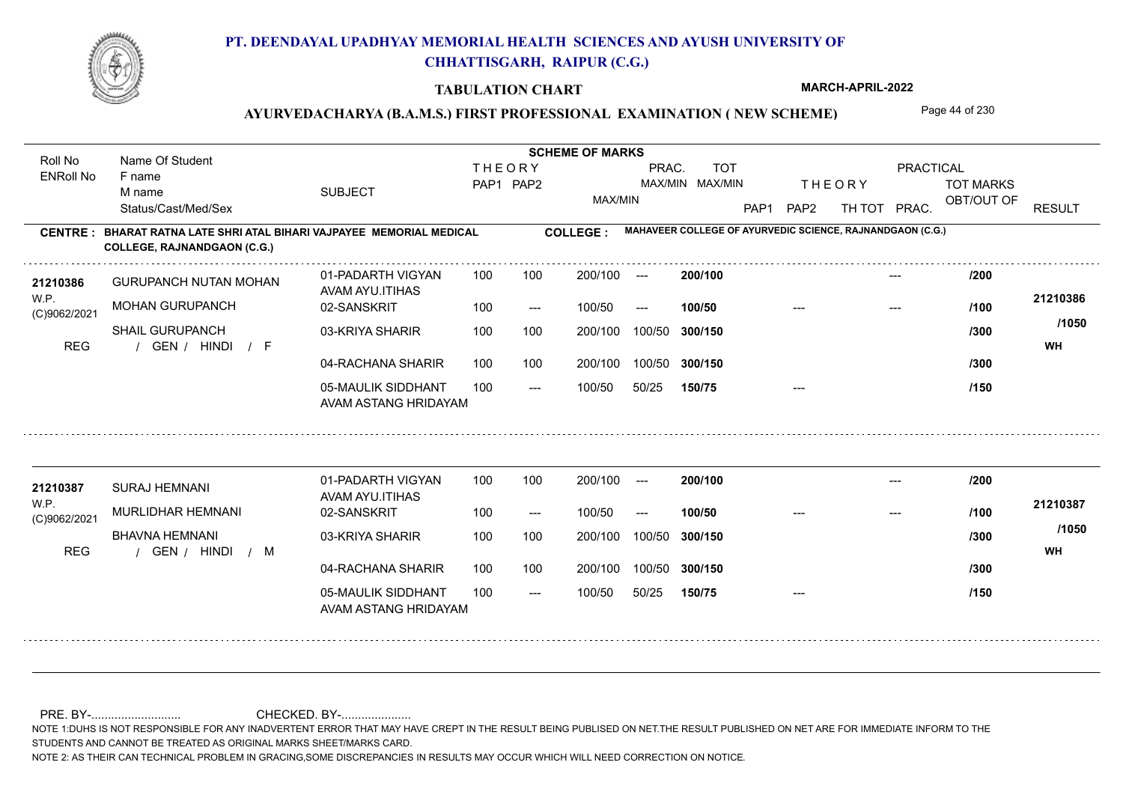

#### **TABULATION CHART**

**MARCH-APRIL-2022**

## AYURVEDACHARYA (B.A.M.S.) FIRST PROFESSIONAL EXAMINATION (NEW SCHEME) Page 44 of 230

**Name Of Student Contract of Student Act of Student SCHEME OF MARKS** Roll No Name Of Student **THEORY** PRAC. TOT PRACTICAL ENRoll No F name SUBJECT TOT MARKS PAP1 PAP2 MAX/MIN MAX/MIN THE ORY TOT MARKS M name MAX/MIN OBT/OUT OF RESULT Status/Cast/Med/Sex PAP1 PAP2 TH TOT PRAC. **MAHAVEER COLLEGE OF AYURVEDIC SCIENCE, RAJNANDGAON (C.G.) CENTRE : COLLEGE : BHARAT RATNA LATE SHRI ATAL BIHARI VAJPAYEE MEMORIAL MEDICAL COLLEGE, RAJNANDGAON (C.G.) <sup>21210386</sup> /200** 01-PADARTH VIGYAN 100 200/100 ---**200/100** --- GURUPANCH NUTAN MOHAN AVAM AYU.ITIHAS W.P. **21210386** MOHAN GURUPANCH 02-SANSKRIT  $100/50$ 100/50 --- **100/50** --- --- **/100** (C)9062/2021 **/1050** SHAIL GURUPANCH 03-KRIYA SHARIR 100 100 100 100 200/100 100/50 300/150 **300/150** 100/50 **/300** / / / REG GEN HINDI F **WH** 04-RACHANA SHARIR 100 100 200/100 100/50 200/100 100/50 **300/150 /300** 05-MAULIK SIDDHANT  $- -$  100/50 100/50 50/25 **150/75** --- **/150** AVAM ASTANG HRIDAYAM 01-PADARTH VIGYAN 100 200/100 ---**<sup>21210387</sup> /200 200/100** --- SURAJ HEMNANI AVAM AYU.ITIHAS W.P. **21210387** MURLIDHAR HEMNANI 02-SANSKRIT **100/50 /100** 100 --- 100/50 --- --- --- (C)9062/2021 **/1050** BHAVNA HEMNANI 03-KRIYA SHARIR 200/100 100/50 **300/150** 100/50 200/100 **/300** REG the second of the second of the second of the second of the second of the second of the second of the second of the second of the second of the second of the second of the second of the second of the second of the seco 04-RACHANA SHARIR 100 100 200/100 100/50 100/50 **300/150 /300** 05-MAULIK SIDDHANT 100  $- -$  100/50 100/50 50/25 **150/75** --- **/150** AVAM ASTANG HRIDAYAM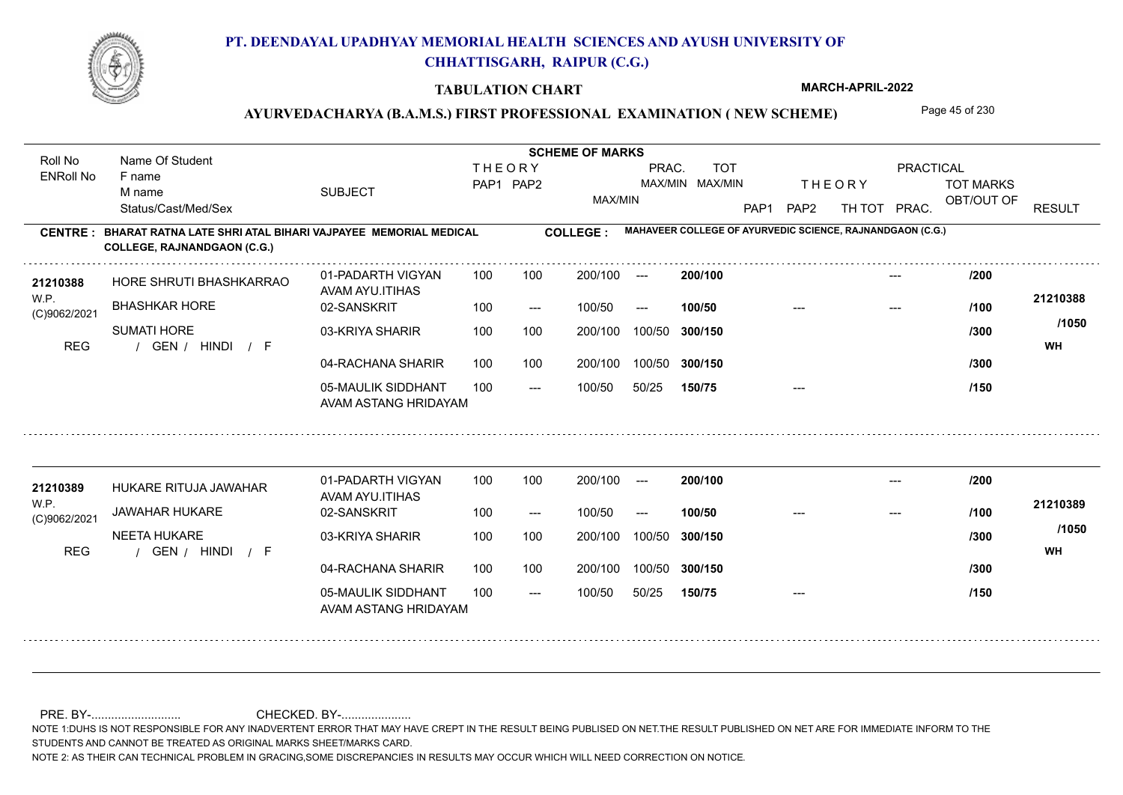

#### **TABULATION CHART**

**MARCH-APRIL-2022**

## AYURVEDACHARYA (B.A.M.S.) FIRST PROFESSIONAL EXAMINATION (NEW SCHEME) Page 45 of 230

**Name Of Student Contract of Student Act of Student SCHEME OF MARKS** Roll No Name Of Student **THEORY** PRAC. TOT PRACTICAL ENRoll No F name SUBJECT TOT MARKS PAP1 PAP2 MAX/MIN MAX/MIN THE ORY TOT MARKS M name MAX/MIN OBT/OUT OF RESULT Status/Cast/Med/Sex PAP1 PAP2 TH TOT PRAC. **MAHAVEER COLLEGE OF AYURVEDIC SCIENCE, RAJNANDGAON (C.G.) CENTRE : COLLEGE : BHARAT RATNA LATE SHRI ATAL BIHARI VAJPAYEE MEMORIAL MEDICAL COLLEGE, RAJNANDGAON (C.G.) <sup>21210388</sup> /200** 01-PADARTH VIGYAN 100 200/100 ---**200/100** --- HORE SHRUTI BHASHKARRAO AVAM AYU.ITIHAS W.P. **21210388** BHASHKAR HORE 02-SANSKRIT  $100/50$ 100/50 --- **100/50** --- --- **/100** (C)9062/2021 **/1050** SUMATI HORE 03-KRIYA SHARIR 100 100 100 100 200/100 100/50 300/150 **300/150** 100/50 **/300** / / / REG GEN HINDI F **WH** 04-RACHANA SHARIR 100 100 200/100 100/50 200/100 100/50 **300/150 /300** 05-MAULIK SIDDHANT  $- -$  100/50 100/50 50/25 **150/75** --- **/150** AVAM ASTANG HRIDAYAM 01-PADARTH VIGYAN 100 200/100 ---**<sup>21210389</sup> /200 200/100** --- HUKARE RITUJA JAWAHAR AVAM AYU.ITIHAS W.P. **21210389** JAWAHAR HUKARE 02-SANSKRIT **100/50 /100** 100 --- 100/50 --- --- --- (C)9062/2021 **/1050** NEETA HUKARE 03-KRIYA SHARIR 200/100 100/50 **300/150** 100/50 200/100 **/300** / / / REG GEN HINDI F **WH** 04-RACHANA SHARIR 100 100 200/100 100/50 100/50 **300/150 /300** 05-MAULIK SIDDHANT 100  $- -$  100/50 100/50 50/25 **150/75** --- **/150** AVAM ASTANG HRIDAYAM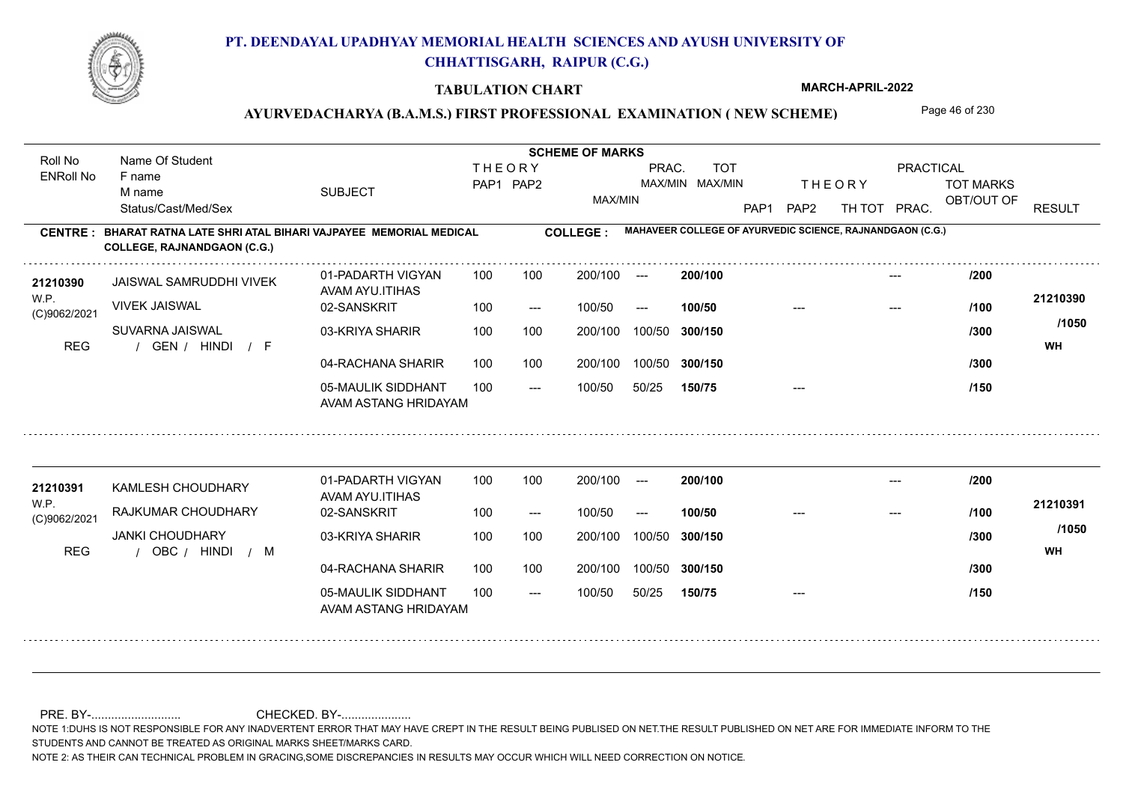

#### **TABULATION CHART**

**MARCH-APRIL-2022**

## AYURVEDACHARYA (B.A.M.S.) FIRST PROFESSIONAL EXAMINATION (NEW SCHEME) Page 46 of 230

**Name Of Student Contract of Student Act of Student SCHEME OF MARKS** Roll No Name Of Student **THEORY** PRAC. TOT PRACTICAL ENRoll No F name SUBJECT TOT MARKS PAP1 PAP2 MAX/MIN MAX/MIN THE ORY TOT MARKS M name MAX/MIN OBT/OUT OF RESULT Status/Cast/Med/Sex PAP1 PAP2 TH TOT PRAC. **MAHAVEER COLLEGE OF AYURVEDIC SCIENCE, RAJNANDGAON (C.G.) CENTRE : COLLEGE : BHARAT RATNA LATE SHRI ATAL BIHARI VAJPAYEE MEMORIAL MEDICAL COLLEGE, RAJNANDGAON (C.G.) <sup>21210390</sup> /200** 01-PADARTH VIGYAN 100 200/100 ---**200/100** --- JAISWAL SAMRUDDHI VIVEK AVAM AYU.ITIHAS W.P. **21210390** VIVEK JAISWAL 02-SANSKRIT  $100/50$ 100/50 --- **100/50** --- --- **/100** (C)9062/2021 **/1050** SUVARNA JAISWAL 03-KRIYA SHARIR 100 100 100 100 200/100 100/50 300/150 **300/150** 100/50 **/300** / / / REG GEN HINDI F **WH** 04-RACHANA SHARIR 100 100 200/100 100/50 200/100 100/50 **300/150 /300** 05-MAULIK SIDDHANT  $- -$  100/50 100/50 50/25 **150/75** --- **/150** AVAM ASTANG HRIDAYAM 01-PADARTH VIGYAN 100 200/100 ---**<sup>21210391</sup> /200 200/100** --- KAMLESH CHOUDHARY AVAM AYU.ITIHAS W.P. **21210391** RAJKUMAR CHOUDHARY 02-SANSKRIT **100/50 /100** 100 --- 100/50 --- --- --- (C)9062/2021 **/1050** JANKI CHOUDHARY 03-KRIYA SHARIR 200/100 100/50 **300/150** 100/50 200/100 **/300** / / / REG OBC HINDI M **WH** 04-RACHANA SHARIR 100 100 200/100 100/50 100/50 **300/150 /300** 05-MAULIK SIDDHANT 100  $- -$  100/50 100/50 50/25 **150/75** --- **/150** AVAM ASTANG HRIDAYAM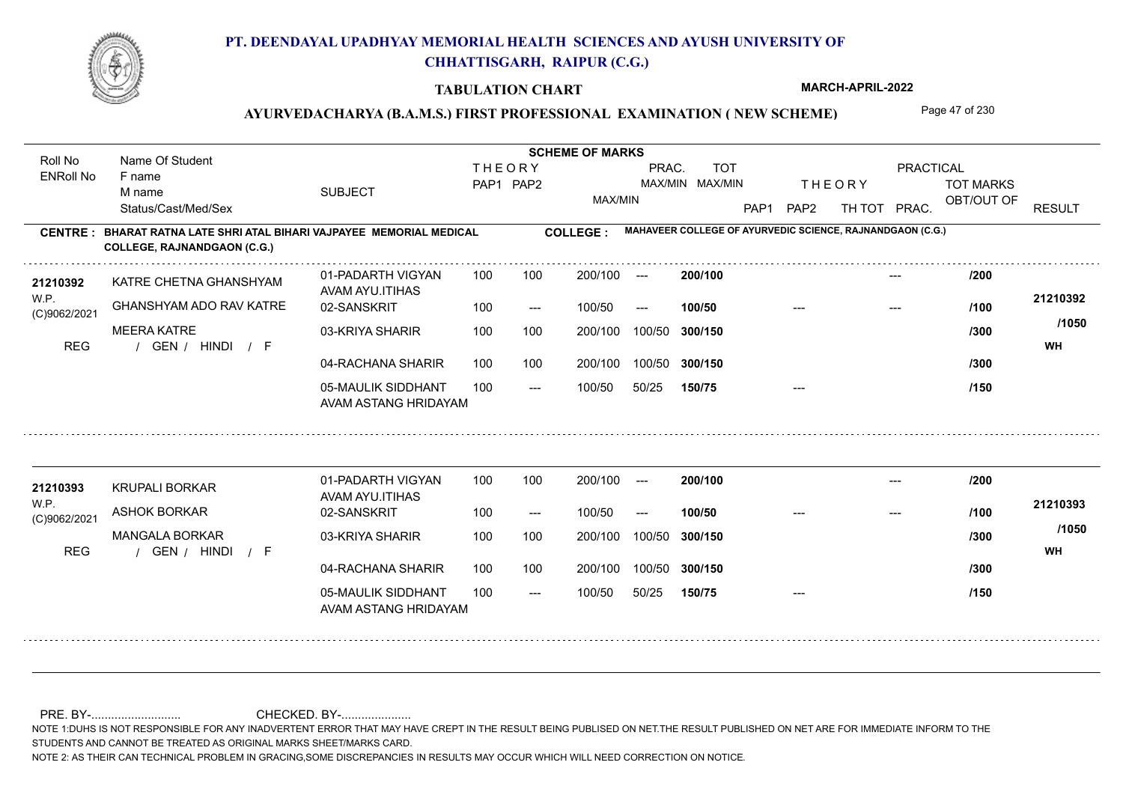

#### **TABULATION CHART**

**MARCH-APRIL-2022**

## AYURVEDACHARYA (B.A.M.S.) FIRST PROFESSIONAL EXAMINATION (NEW SCHEME) Page 47 of 230

**Name Of Student Contract of Student Act of Student SCHEME OF MARKS** Roll No Name Of Student **THEORY** PRAC. TOT PRACTICAL ENRoll No F name SUBJECT TOT MARKS PAP1 PAP2 MAX/MIN MAX/MIN THE ORY TOT MARKS M name MAX/MIN OBT/OUT OF RESULT Status/Cast/Med/Sex PAP1 PAP2 TH TOT PRAC. **MAHAVEER COLLEGE OF AYURVEDIC SCIENCE, RAJNANDGAON (C.G.) CENTRE : COLLEGE : BHARAT RATNA LATE SHRI ATAL BIHARI VAJPAYEE MEMORIAL MEDICAL COLLEGE, RAJNANDGAON (C.G.) <sup>21210392</sup> /200** 01-PADARTH VIGYAN 100 200/100 ---**200/100** --- KATRE CHETNA GHANSHYAM AVAM AYU.ITIHAS W.P. **21210392** GHANSHYAM ADO RAV KATRE 02-SANSKRIT  $100/50$ 100/50 --- **100/50** --- --- **/100** (C)9062/2021 **/1050** MEERA KATRE 03-KRIYA SHARIR 100 100 100 100 200/100 100/50 300/150 **300/150** 100/50 **/300** / / / REG GEN HINDI F **WH** 04-RACHANA SHARIR 100 100 200/100 100/50 200/100 100/50 **300/150 /300** 05-MAULIK SIDDHANT  $- -$  100/50 100/50 50/25 **150/75** --- **/150** AVAM ASTANG HRIDAYAM 01-PADARTH VIGYAN 100 200/100 ---**<sup>21210393</sup> /200 200/100** --- KRUPALI BORKAR AVAM AYU.ITIHAS W.P. **21210393** ASHOK BORKAR 02-SANSKRIT **100/50 /100** 100 --- 100/50 --- --- --- (C)9062/2021 **/1050** MANGALA BORKAR 03-KRIYA SHARIR 200/100 100/50 **300/150** 100/50 200/100 **/300** / / / REG GEN HINDI F **WH** 04-RACHANA SHARIR 100 100 200/100 100/50 100/50 **300/150 /300** 05-MAULIK SIDDHANT 100  $- -$  100/50 100/50 50/25 **150/75** --- **/150** AVAM ASTANG HRIDAYAM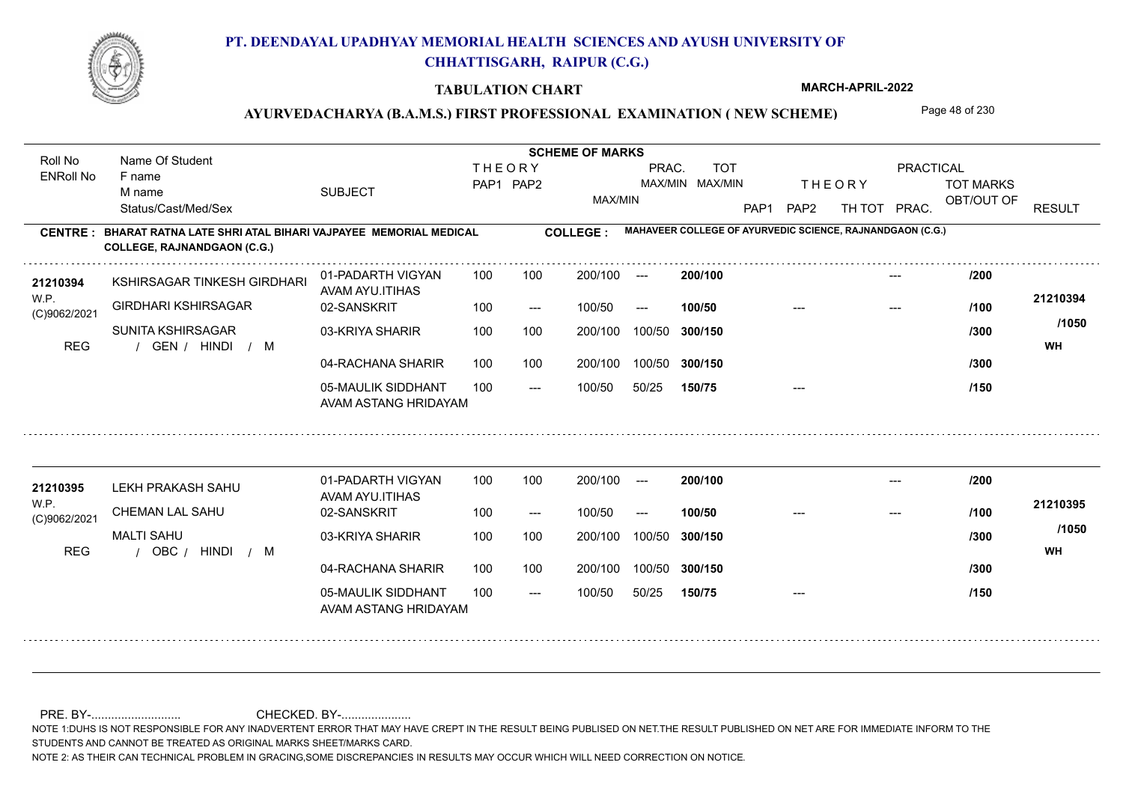

#### **TABULATION CHART**

**MARCH-APRIL-2022**

## AYURVEDACHARYA (B.A.M.S.) FIRST PROFESSIONAL EXAMINATION (NEW SCHEME) Page 48 of 230

**Name Of Student Contract of Student Act of Student SCHEME OF MARKS** Roll No Name Of Student **THEORY** PRAC. TOT PRACTICAL ENRoll No F name SUBJECT TOT MARKS PAP1 PAP2 MAX/MIN MAX/MIN THE ORY TOT MARKS M name MAX/MIN OBT/OUT OF RESULT Status/Cast/Med/Sex PAP1 PAP2 TH TOT PRAC. **MAHAVEER COLLEGE OF AYURVEDIC SCIENCE, RAJNANDGAON (C.G.) CENTRE : COLLEGE : BHARAT RATNA LATE SHRI ATAL BIHARI VAJPAYEE MEMORIAL MEDICAL COLLEGE, RAJNANDGAON (C.G.)** KSHIRSAGAR TINKESH GIRDHARI **<sup>21210394</sup> /200** 01-PADARTH VIGYAN 100 200/100 ---**200/100** --- AVAM AYU.ITIHAS W.P. **21210394** GIRDHARI KSHIRSAGAR 02-SANSKRIT  $100/50$ 100/50 --- **100/50** --- --- **/100** (C)9062/2021 **/1050** SUNITA KSHIRSAGAR 03-KRIYA SHARIR 100 100 100 100 200/100 100/50 300/150 **300/150** 100/50 **/300** REG the second of the second of the second of the second of the second of the second of the second of the second of the second of the second of the second of the second of the second of the second of the second of the seco 04-RACHANA SHARIR 100 100 200/100 100/50 200/100 100/50 **300/150 /300** 05-MAULIK SIDDHANT  $- -$  100/50 100/50 50/25 **150/75** --- **/150** AVAM ASTANG HRIDAYAM 01-PADARTH VIGYAN 100 200/100 ---**<sup>21210395</sup> /200 200/100** --- LEKH PRAKASH SAHU AVAM AYU.ITIHAS W.P. **21210395** CHEMAN LAL SAHU 02-SANSKRIT **100/50 /100** 100 --- 100/50 --- --- --- (C)9062/2021 **/1050** MALTI SAHU 03-KRIYA SHARIR 200/100 100/50 **300/150** 100/50 200/100 **/300** / / / REG OBC HINDI M **WH** 04-RACHANA SHARIR 100 100 100/50 200/100 100/50 **300/150 /300** 05-MAULIK SIDDHANT 100  $- -$  100/50 100/50 50/25 **150/75** --- **/150** AVAM ASTANG HRIDAYAM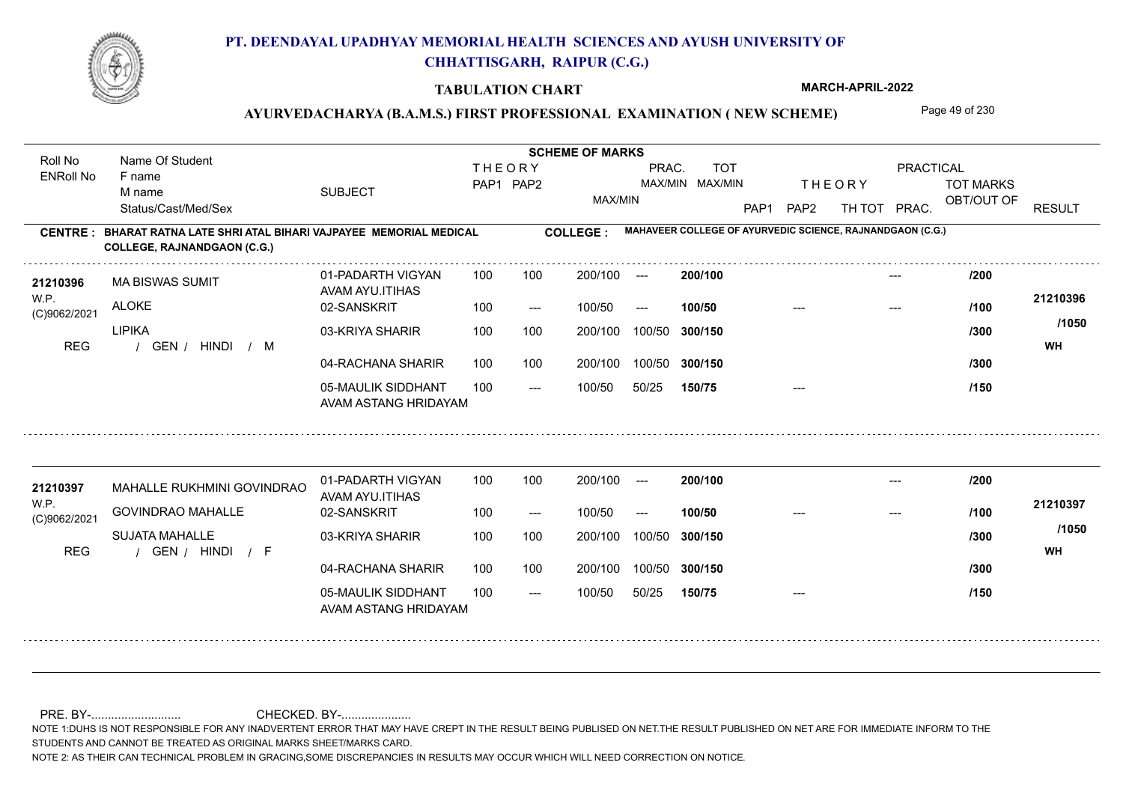

#### **TABULATION CHART**

**MARCH-APRIL-2022**

## AYURVEDACHARYA (B.A.M.S.) FIRST PROFESSIONAL EXAMINATION (NEW SCHEME) Page 49 of 230

**Name Of Student Contract of Student Act of Student SCHEME OF MARKS** Roll No Name Of Student **THEORY** PRAC. TOT PRACTICAL ENRoll No F name SUBJECT TOT MARKS PAP1 PAP2 MAX/MIN MAX/MIN THE ORY TOT MARKS M name MAX/MIN OBT/OUT OF RESULT Status/Cast/Med/Sex PAP1 PAP2 TH TOT PRAC. **MAHAVEER COLLEGE OF AYURVEDIC SCIENCE, RAJNANDGAON (C.G.) CENTRE : COLLEGE : BHARAT RATNA LATE SHRI ATAL BIHARI VAJPAYEE MEMORIAL MEDICAL COLLEGE, RAJNANDGAON (C.G.)** 21210396 MA BISWAS SUMIT 01-PADARTH VIGYAN 100 100 200/100 --- **200/100** /200 01-PADARTH VIGYAN 100 200/100 ---**200/100** --- MA BISWAS SUMIT AVAM AYU.ITIHAS W.P. **21210396 ALOKE** 02-SANSKRIT  $100/50$ 100/50 --- **100/50** --- --- **/100** (C)9062/2021 **/1050** LIPIKA 03-KRIYA SHARIR 100 100 100 100 200/100 100/50 300/150 **300/150** 100/50 **/300** REG the second of the second of the second of the second of the second of the second of the second of the second of the second of the second of the second of the second of the second of the second of the second of the seco / GEN / HINDI / M 04-RACHANA SHARIR 100 100 200/100 100/50 **/300** 200/100 100/50 **300/150** 05-MAULIK SIDDHANT  $- -$  100/50 100/50 50/25 **150/75** --- **/150** AVAM ASTANG HRIDAYAM 01-PADARTH VIGYAN 100 200/100 ---MAHALLE RUKHMINI GOVINDRAO **<sup>21210397</sup> /200 200/100** --- AVAM AYU.ITIHAS W.P. **21210397** GOVINDRAO MAHALLE 02-SANSKRIT **100/50 /100** 100 --- 100/50 --- --- --- (C)9062/2021 **/1050** SUJATA MAHALLE 03-KRIYA SHARIR 200/100 100/50 **300/150** 100/50 200/100 **/300** / / / REG GEN HINDI F **WH** 04-RACHANA SHARIR 100 100 200/100 100/50 100/50 **300/150 /300** 05-MAULIK SIDDHANT 100  $- -$  100/50 100/50 50/25 **150/75** --- **/150** AVAM ASTANG HRIDAYAM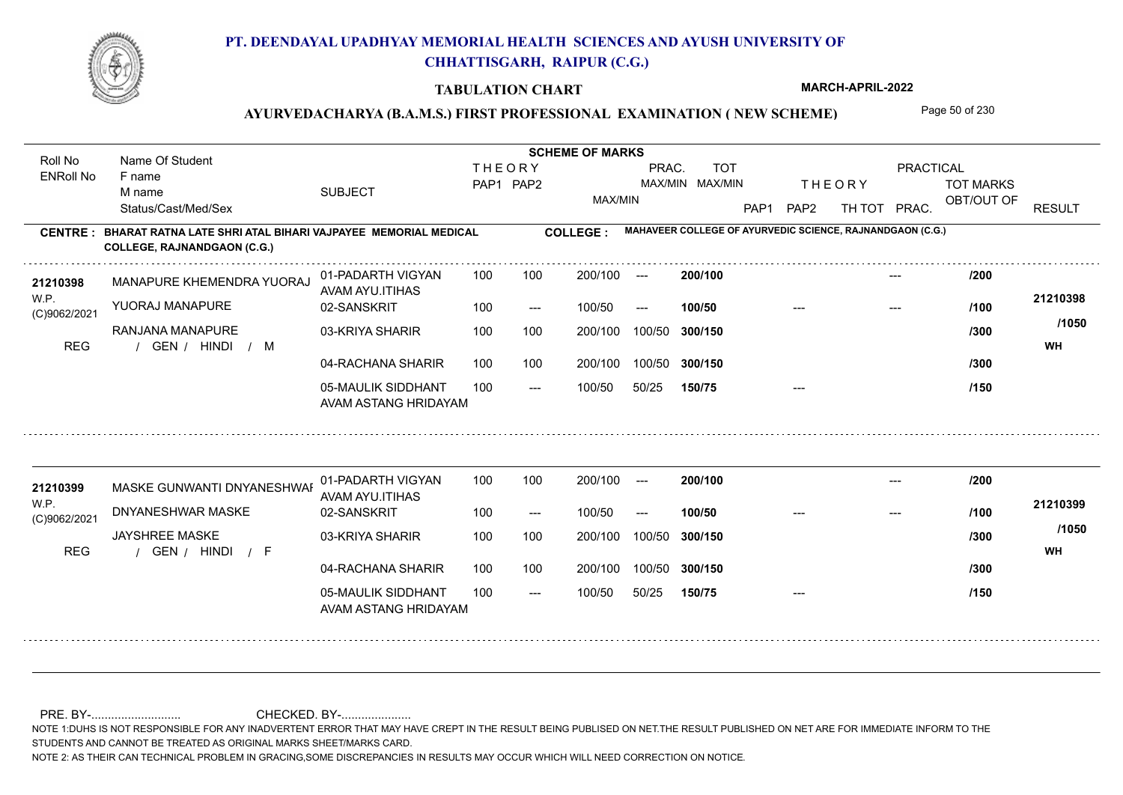

#### **TABULATION CHART**

**MARCH-APRIL-2022**

## AYURVEDACHARYA (B.A.M.S.) FIRST PROFESSIONAL EXAMINATION (NEW SCHEME) Page 50 of 230

**Name Of Student Contract of Student Act of Student SCHEME OF MARKS** Roll No Name Of Student **THEORY** PRAC. TOT PRACTICAL ENRoll No F name SUBJECT TOT MARKS PAP1 PAP2 MAX/MIN MAX/MIN THE ORY TOT MARKS M name MAX/MIN OBT/OUT OF RESULT Status/Cast/Med/Sex PAP1 PAP2 TH TOT PRAC. **MAHAVEER COLLEGE OF AYURVEDIC SCIENCE, RAJNANDGAON (C.G.) CENTRE : COLLEGE : BHARAT RATNA LATE SHRI ATAL BIHARI VAJPAYEE MEMORIAL MEDICAL COLLEGE, RAJNANDGAON (C.G.)** MANAPURE KHEMENDRA YUORAJ **<sup>21210398</sup> /200** 01-PADARTH VIGYAN 100 200/100 ---**200/100** --- AVAM AYU.ITIHAS W.P. **21210398** YUORAJ MANAPURE 02-SANSKRIT  $100/50$ 100/50 --- **100/50** --- --- **/100** (C)9062/2021 **/1050** RANJANA MANAPURE 03-KRIYA SHARIR 100 100 100 100 200/100 100/50 300/150 **300/150** 100/50 **/300** REG the second of the second of the second of the second of the second of the second of the second of the second of the second of the second of the second of the second of the second of the second of the second of the seco 04-RACHANA SHARIR 100 100 200/100 100/50 200/100 100/50 **300/150 /300** 05-MAULIK SIDDHANT  $- -$  100/50 100/50 50/25 **150/75** --- **/150** AVAM ASTANG HRIDAYAM 01-PADARTH VIGYAN 100 200/100 ---MASKE GUNWANTI DNYANESHWAR **<sup>21210399</sup> /200 200/100** --- AVAM AYU.ITIHAS W.P. **21210399** DNYANESHWAR MASKE 02-SANSKRIT **100/50** 100 --- 100/50 --- --- --- **/100** (C)9062/2021 **/1050** JAYSHREE MASKE 03-KRIYA SHARIR 200/100 100/50 **300/150** 100/50 200/100 **/300** / / / REG GEN HINDI F **WH** 04-RACHANA SHARIR 100 100 100/50 200/100 100/50 **300/150 /300** 05-MAULIK SIDDHANT 100  $- -$  100/50 100/50 50/25 **150/75** --- **/150** AVAM ASTANG HRIDAYAM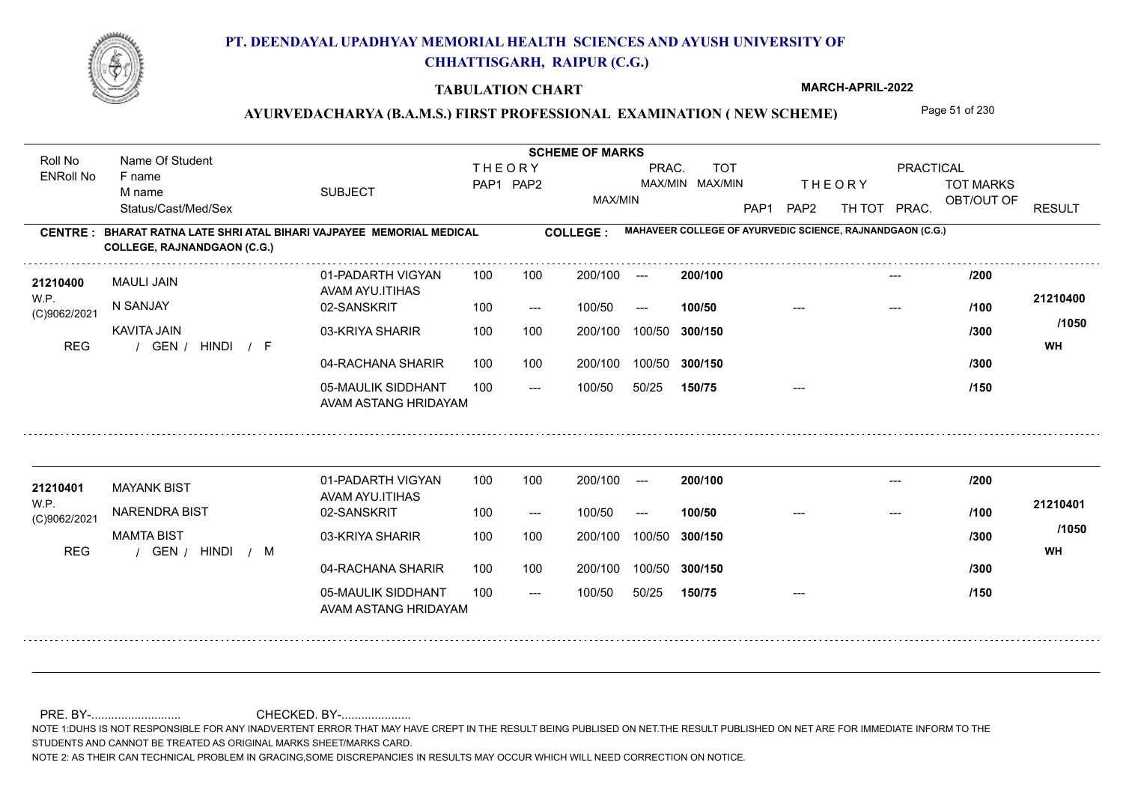

#### **TABULATION CHART**

**MARCH-APRIL-2022**

### AYURVEDACHARYA (B.A.M.S.) FIRST PROFESSIONAL EXAMINATION (NEW SCHEME) Page 51 of 230

**Name Of Student Contract of Student Act of Student SCHEME OF MARKS** Roll No Name Of Student **THEORY** PRAC. TOT PRACTICAL ENRoll No F name SUBJECT TOT MARKS PAP1 PAP2 MAX/MIN MAX/MIN THE ORY TOT MARKS M name MAX/MIN OBT/OUT OF RESULT Status/Cast/Med/Sex PAP1 PAP2 TH TOT PRAC. **MAHAVEER COLLEGE OF AYURVEDIC SCIENCE, RAJNANDGAON (C.G.) CENTRE : COLLEGE : BHARAT RATNA LATE SHRI ATAL BIHARI VAJPAYEE MEMORIAL MEDICAL COLLEGE, RAJNANDGAON (C.G.) <sup>21210400</sup> /200** 01-PADARTH VIGYAN 100 200/100 ---**200/100** --- MAULI JAIN AVAM AYU.ITIHAS W.P. **21210400** N SANJAY 02-SANSKRIT  $100/50$ 100/50 --- **100/50** --- --- **/100** (C)9062/2021 **/1050** KAVITA JAIN 03-KRIYA SHARIR 100 100 200/100 100/50 300/150 **300/150** 100/50 **/300** REG the second of the second of the second of the second of the second of the second of the second of the second of the second of the second of the second of the second of the second of the second of the second of the seco / GEN / HINDI / F 04-RACHANA SHARIR 100 100 200/100 100/50 200/100 100/50 **300/150 /300** 05-MAULIK SIDDHANT  $- -$  100/50 100/50 50/25 **150/75** --- **/150** AVAM ASTANG HRIDAYAM 01-PADARTH VIGYAN 100 200/100 ---**<sup>21210401</sup> /200 200/100** --- MAYANK BIST AVAM AYU.ITIHAS W.P. **21210401** NARENDRA BIST 02-SANSKRIT **100/50 /100** 100 --- 100/50 --- --- --- (C)9062/2021 **/1050** MAMTA BIST 03-KRIYA SHARIR 200/100 100/50 **300/150** 100/50 200/100 **/300** REG the second of the second of the second of the second of the second of the second of the second of the second of the second of the second of the second of the second of the second of the second of the second of the seco 04-RACHANA SHARIR 100 100 200/100 100/50 100/50 **300/150 /300** 05-MAULIK SIDDHANT 100  $- -$  100/50 100/50 50/25 **150/75** --- **/150** AVAM ASTANG HRIDAYAM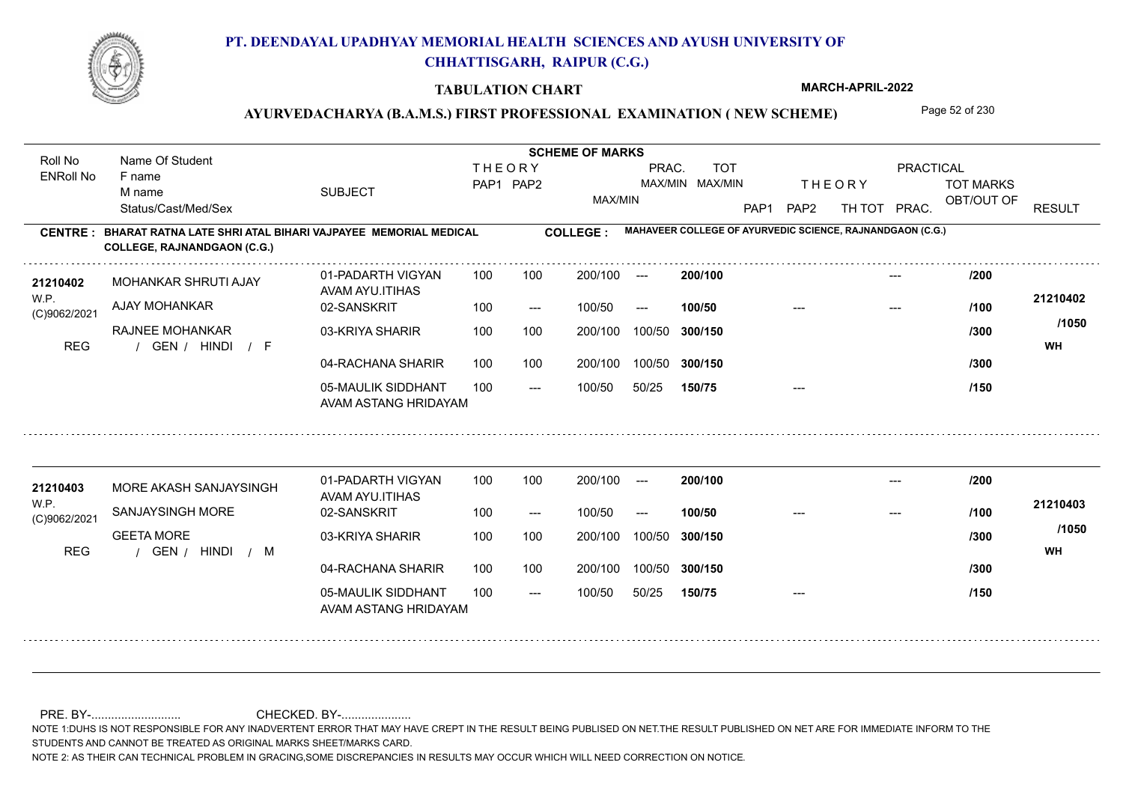

#### **TABULATION CHART**

**MARCH-APRIL-2022**

## AYURVEDACHARYA (B.A.M.S.) FIRST PROFESSIONAL EXAMINATION (NEW SCHEME) Page 52 of 230

**Name Of Student Contract of Student Act of Student SCHEME OF MARKS** Roll No Name Of Student **THEORY** PRAC. TOT PRACTICAL ENRoll No F name SUBJECT TOT MARKS PAP1 PAP2 MAX/MIN MAX/MIN THE ORY TOT MARKS M name MAX/MIN OBT/OUT OF RESULT Status/Cast/Med/Sex PAP1 PAP2 TH TOT PRAC. **MAHAVEER COLLEGE OF AYURVEDIC SCIENCE, RAJNANDGAON (C.G.) CENTRE : COLLEGE : BHARAT RATNA LATE SHRI ATAL BIHARI VAJPAYEE MEMORIAL MEDICAL COLLEGE, RAJNANDGAON (C.G.) <sup>21210402</sup> /200** 01-PADARTH VIGYAN 100 200/100 ---**200/100** --- MOHANKAR SHRUTI AJAY AVAM AYU.ITIHAS W.P. **21210402** AJAY MOHANKAR 02-SANSKRIT  $100/50$ 100/50 --- **100/50** --- --- **/100** (C)9062/2021 **/1050** RAJNEE MOHANKAR 03-KRIYA SHARIR 100 100 100 100 200/100 100/50 300/150 **300/150** 100/50 **/300** / / / REG GEN HINDI F **WH** 04-RACHANA SHARIR 100 100 200/100 100/50 200/100 100/50 **300/150 /300** 05-MAULIK SIDDHANT  $- -$  100/50 100/50 50/25 **150/75** --- **/150** AVAM ASTANG HRIDAYAM 01-PADARTH VIGYAN 100 200/100 ---**<sup>21210403</sup> /200 200/100** --- MORE AKASH SANJAYSINGH AVAM AYU.ITIHAS W.P. **21210403** SANJAYSINGH MORE 02-SANSKRIT **100/50 /100** 100 --- 100/50 --- --- --- (C)9062/2021 **/1050** GEETA MORE 03-KRIYA SHARIR 200/100 100/50 **300/150** 100/50 200/100 **/300** REG the second of the second of the second of the second of the second of the second of the second of the second of the second of the second of the second of the second of the second of the second of the second of the seco 04-RACHANA SHARIR 100 100 100/50 200/100 100/50 **300/150 /300** 05-MAULIK SIDDHANT 100  $- -$  100/50 100/50 50/25 **150/75** --- **/150** AVAM ASTANG HRIDAYAM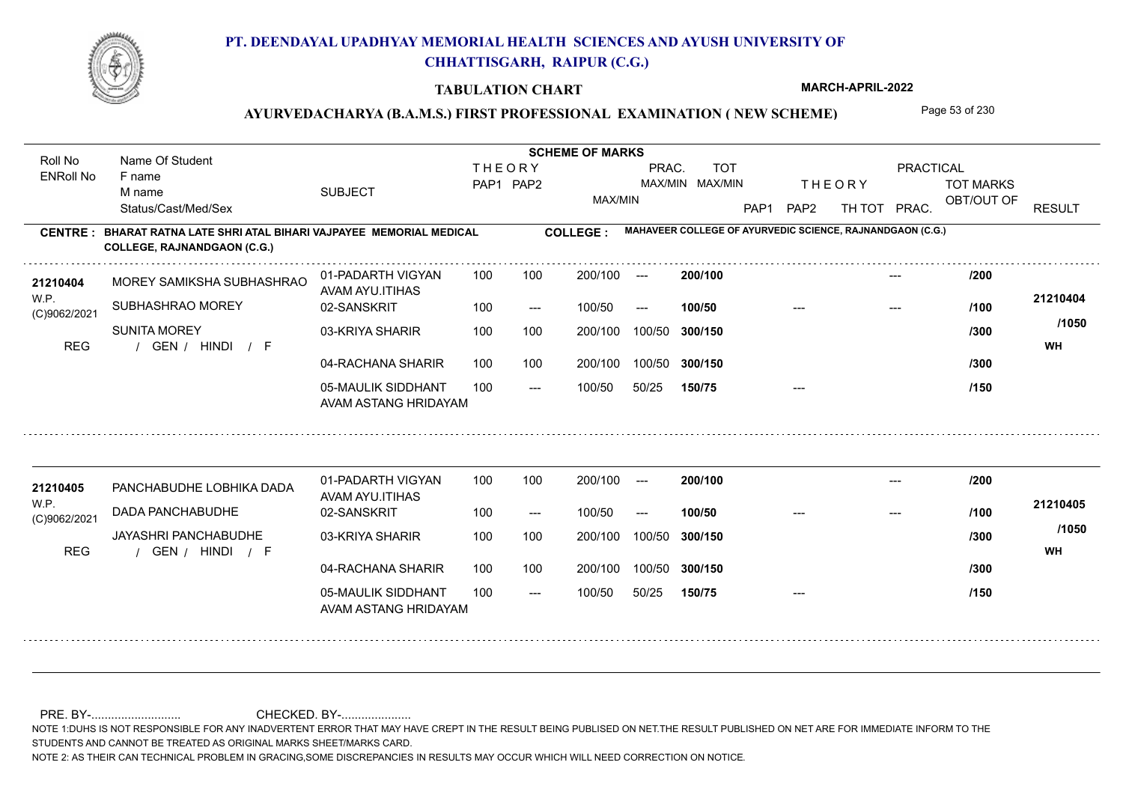

#### **TABULATION CHART**

**MARCH-APRIL-2022**

## AYURVEDACHARYA (B.A.M.S.) FIRST PROFESSIONAL EXAMINATION (NEW SCHEME) Page 53 of 230

**Name Of Student Contract of Student Act of Student SCHEME OF MARKS** Roll No Name Of Student **THEORY** PRAC. TOT PRACTICAL ENRoll No F name SUBJECT TOT MARKS PAP1 PAP2 MAX/MIN MAX/MIN THE ORY TOT MARKS M name MAX/MIN OBT/OUT OF RESULT Status/Cast/Med/Sex PAP1 PAP2 TH TOT PRAC. **MAHAVEER COLLEGE OF AYURVEDIC SCIENCE, RAJNANDGAON (C.G.) CENTRE : COLLEGE : BHARAT RATNA LATE SHRI ATAL BIHARI VAJPAYEE MEMORIAL MEDICAL COLLEGE, RAJNANDGAON (C.G.)** 21210404 MOREY SAMIKSHA SUBHASHRAO 01-PADARTH VIGYAN 100 100 200/100 --- **200/100 /200**<br>21210404 MOREY SAMIKSHA SUBHASHRAO 100 100 200/100 --- /200 01-PADARTH VIGYAN 100 200/100 ---**200/100** --- MOREY SAMIKSHA SUBHASHRAO AVAM AYU.ITIHAS W.P. **21210404** SUBHASHRAO MOREY 02-SANSKRIT  $100/50$ 100/50 --- **100/50** --- --- **/100** (C)9062/2021 **/1050** SUNITA MOREY 03-KRIYA SHARIR 100 100 100 100 200/100 100/50 300/150 **300/150** 100/50 **/300** / / / REG GEN HINDI F **WH** 04-RACHANA SHARIR 100 100 200/100 100/50 200/100 100/50 **300/150 /300** 05-MAULIK SIDDHANT  $- -$  100/50 100/50 50/25 **150/75** --- **/150** AVAM ASTANG HRIDAYAM 01-PADARTH VIGYAN 100 200/100 ---**<sup>21210405</sup> /200 200/100** --- PANCHABUDHE LOBHIKA DADA AVAM AYU.ITIHAS W.P. **21210405** DADA PANCHABUDHE 02-SANSKRIT **100/50 /100** 100 --- 100/50 --- --- --- (C)9062/2021 **/1050** JAYASHRI PANCHABUDHE 03-KRIYA SHARIR 200/100 100/50 **300/150** 100/50 200/100 **/300** / / / REG GEN HINDI F **WH** 04-RACHANA SHARIR 100 100 100/50 200/100 100/50 **300/150 /300** 05-MAULIK SIDDHANT 100  $- -$  100/50 100/50 50/25 **150/75** --- **/150** AVAM ASTANG HRIDAYAM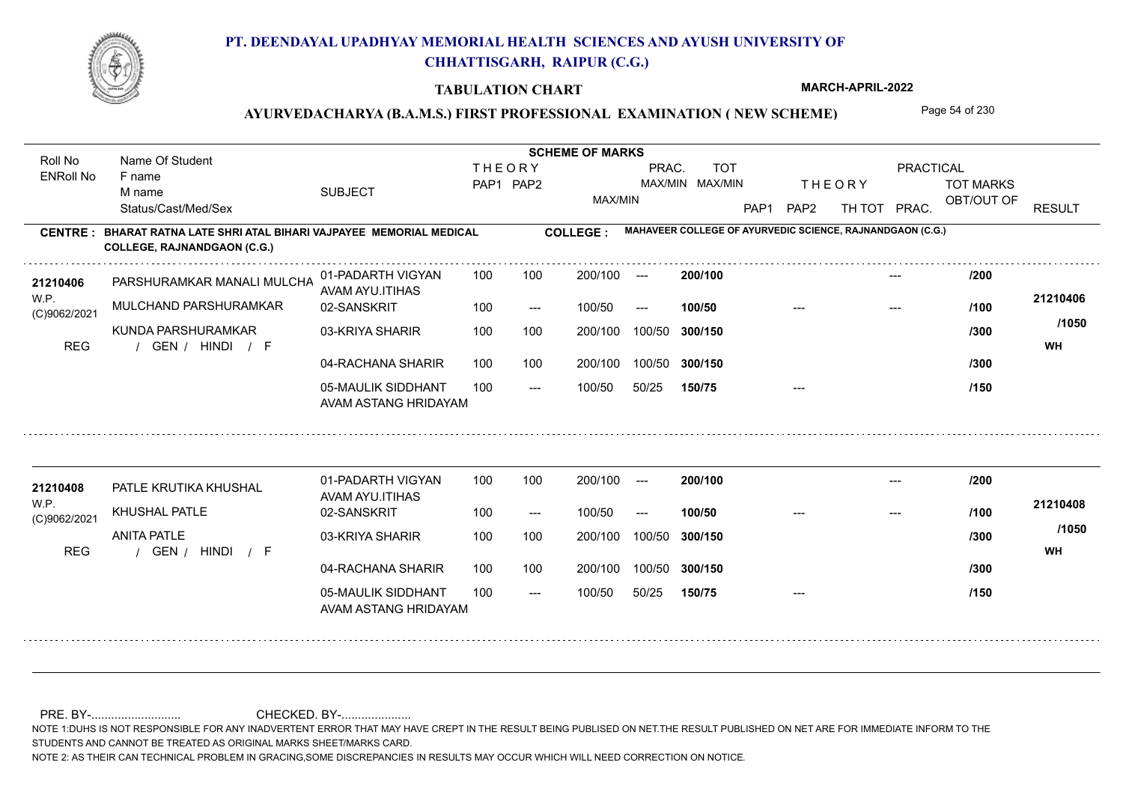

#### **TABULATION CHART**

**MARCH-APRIL-2022**

## AYURVEDACHARYA (B.A.M.S.) FIRST PROFESSIONAL EXAMINATION (NEW SCHEME) Page 54 of 230

**Name Of Student Contract of Student Act of Student SCHEME OF MARKS** Roll No Name Of Student **THEORY** PRAC. TOT PRACTICAL ENRoll No F name SUBJECT TOT MARKS PAP1 PAP2 MAX/MIN MAX/MIN THE ORY TOT MARKS M name MAX/MIN OBT/OUT OF RESULT Status/Cast/Med/Sex PAP1 PAP2 TH TOT PRAC. **MAHAVEER COLLEGE OF AYURVEDIC SCIENCE, RAJNANDGAON (C.G.) CENTRE : COLLEGE : BHARAT RATNA LATE SHRI ATAL BIHARI VAJPAYEE MEMORIAL MEDICAL COLLEGE, RAJNANDGAON (C.G.)** PARSHURAMKAR MANALI MULCHAND **<sup>21210406</sup> /200** 01-PADARTH VIGYAN 100 200/100 ---**200/100** --- AVAM AYU.ITIHAS W.P. **21210406** MULCHAND PARSHURAMKAR 02-SANSKRIT  $100/50$ 100/50 --- **100/50** --- --- **/100** (C)9062/2021 **/1050** KUNDA PARSHURAMKAR 03-KRIYA SHARIR 100 100 100 100 200/100 100/50 300/150 **300/150** 100/50 **/300** / / / REG GEN HINDI F **WH** 04-RACHANA SHARIR 100 100 200/100 100/50 200/100 100/50 **300/150 /300** 05-MAULIK SIDDHANT  $- -$  100/50 100/50 50/25 **150/75** --- **/150** AVAM ASTANG HRIDAYAM 01-PADARTH VIGYAN 100 200/100 ---**<sup>21210408</sup> /200 200/100** --- PATLE KRUTIKA KHUSHAL AVAM AYU.ITIHAS W.P. **21210408** KHUSHAL PATLE 02-SANSKRIT **100/50 /100** 100 --- 100/50 --- --- --- (C)9062/2021 **/1050 ANITA PATLE** 03-KRIYA SHARIR 200/100 100/50 **300/150** 100/50 200/100 **/300** / / / REG GEN HINDI F **WH** 04-RACHANA SHARIR 100 100 100/50 200/100 100/50 **300/150 /300** 05-MAULIK SIDDHANT 100  $- -$  100/50 100/50 50/25 **150/75** --- **/150** AVAM ASTANG HRIDAYAM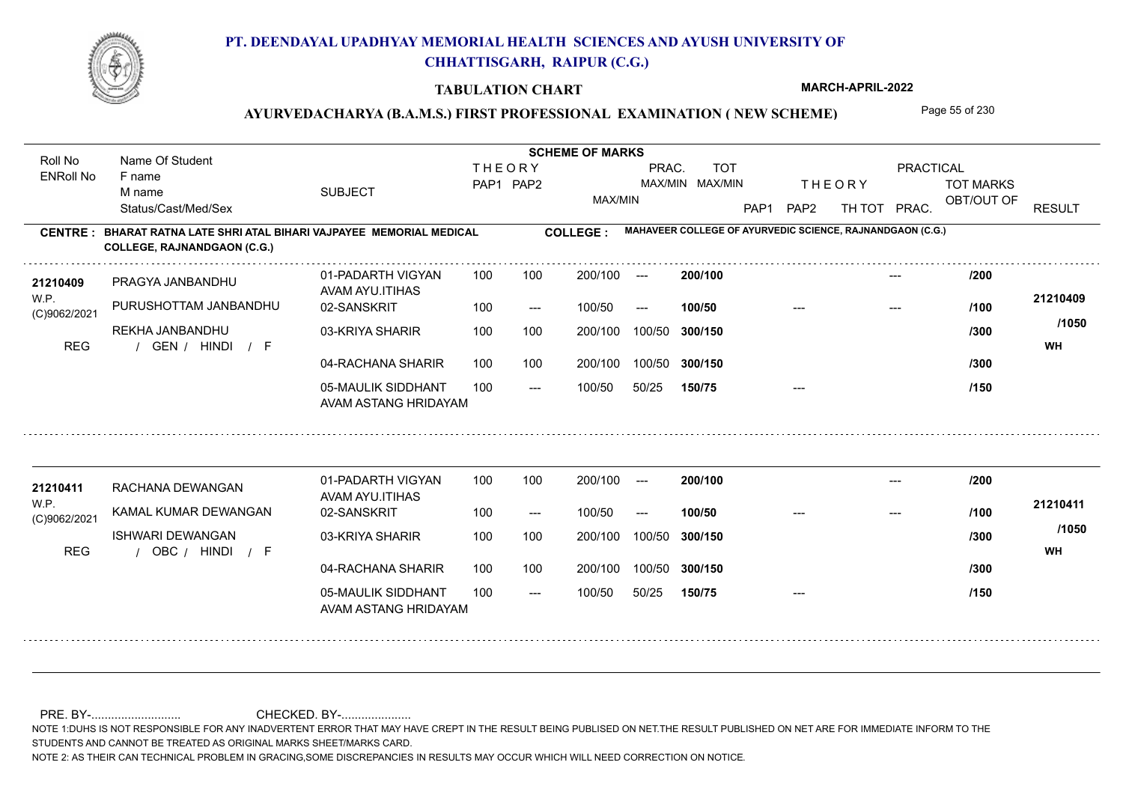

#### **TABULATION CHART**

**MARCH-APRIL-2022**

## AYURVEDACHARYA (B.A.M.S.) FIRST PROFESSIONAL EXAMINATION (NEW SCHEME) Page 55 of 230

**Name Of Student Contract of Student Act of Student SCHEME OF MARKS** Roll No Name Of Student **THEORY** PRAC. TOT PRACTICAL ENRoll No F name SUBJECT TOT MARKS PAP1 PAP2 MAX/MIN MAX/MIN THE ORY TOT MARKS M name MAX/MIN OBT/OUT OF RESULT Status/Cast/Med/Sex PAP1 PAP2 TH TOT PRAC. **MAHAVEER COLLEGE OF AYURVEDIC SCIENCE, RAJNANDGAON (C.G.) CENTRE : COLLEGE : BHARAT RATNA LATE SHRI ATAL BIHARI VAJPAYEE MEMORIAL MEDICAL COLLEGE, RAJNANDGAON (C.G.) <sup>21210409</sup> /200** 01-PADARTH VIGYAN 100 200/100 ---**200/100** --- PRAGYA JANBANDHU AVAM AYU.ITIHAS W.P. **21210409** PURUSHOTTAM JANBANDHU 02-SANSKRIT  $100/50$ 100/50 --- **100/50** --- --- **/100** (C)9062/2021 **/1050** REKHA JANBANDHU 03-KRIYA SHARIR 100 100 200/100 100/50 300/150 **300/150** 100/50 **/300** / / / REG GEN HINDI F **WH** 04-RACHANA SHARIR 100 100 200/100 100/50 200/100 100/50 **300/150 /300** 05-MAULIK SIDDHANT  $- -$  100/50 100/50 50/25 **150/75** --- **/150** AVAM ASTANG HRIDAYAM 01-PADARTH VIGYAN 100 200/100 ---**<sup>21210411</sup> /200 200/100** --- RACHANA DEWANGAN AVAM AYU.ITIHAS W.P. **21210411** KAMAL KUMAR DEWANGAN 02-SANSKRIT **100/50 /100** 100 --- 100/50 --- --- --- (C)9062/2021 **/1050** ISHWARI DEWANGAN 03-KRIYA SHARIR 200/100 100/50 **300/150** 100/50 200/100 **/300** / / / REG OBC HINDI F **WH** 04-RACHANA SHARIR 100 100 200/100 100/50 100/50 **300/150 /300** 05-MAULIK SIDDHANT 100  $- -$  100/50 100/50 50/25 **150/75** --- **/150** AVAM ASTANG HRIDAYAM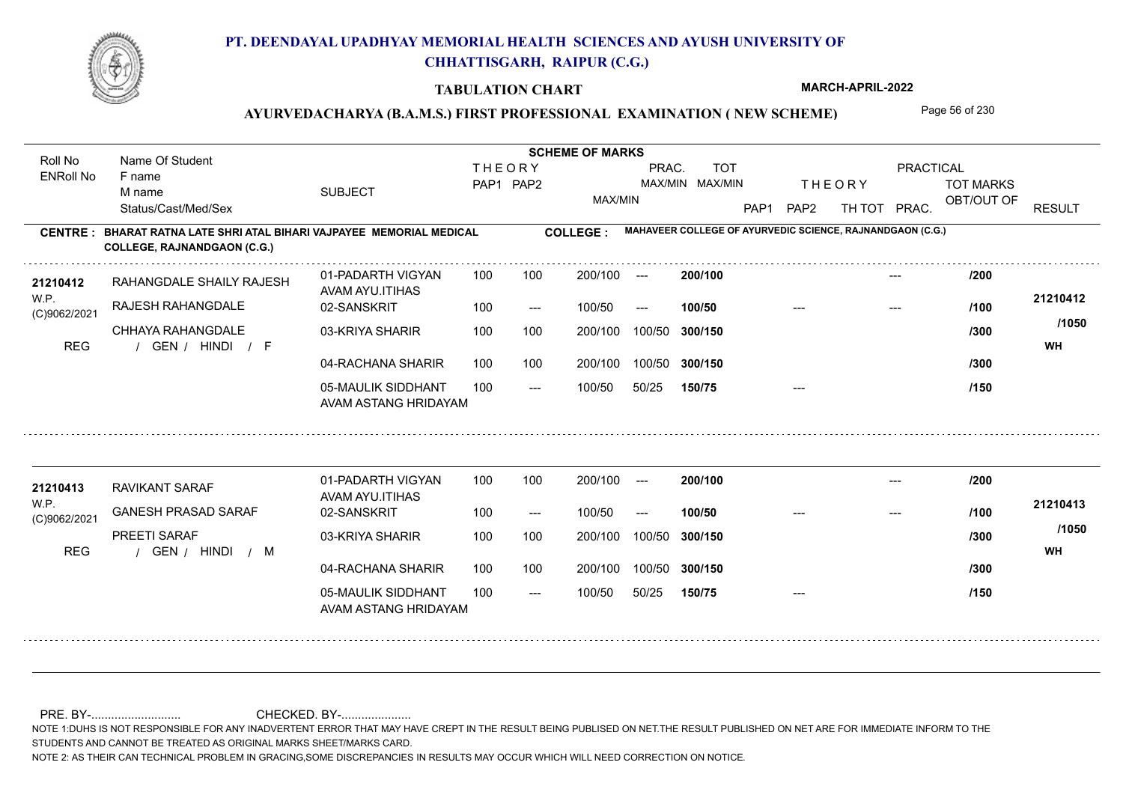

#### **TABULATION CHART**

**MARCH-APRIL-2022**

## AYURVEDACHARYA (B.A.M.S.) FIRST PROFESSIONAL EXAMINATION (NEW SCHEME) Page 56 of 230

**Name Of Student Contract of Student Act of Student SCHEME OF MARKS** Roll No Name Of Student **THEORY** PRAC. TOT PRACTICAL ENRoll No F name SUBJECT TOT MARKS PAP1 PAP2 MAX/MIN MAX/MIN THE ORY TOT MARKS M name MAX/MIN OBT/OUT OF RESULT Status/Cast/Med/Sex PAP1 PAP2 TH TOT PRAC. **MAHAVEER COLLEGE OF AYURVEDIC SCIENCE, RAJNANDGAON (C.G.) CENTRE : COLLEGE : BHARAT RATNA LATE SHRI ATAL BIHARI VAJPAYEE MEMORIAL MEDICAL COLLEGE, RAJNANDGAON (C.G.) <sup>21210412</sup> /200** 01-PADARTH VIGYAN 100 200/100 ---**200/100** --- RAHANGDALE SHAILY RAJESH AVAM AYU.ITIHAS W.P. **21210412** RAJESH RAHANGDALE 02-SANSKRIT  $100/50$ 100/50 --- **100/50** --- --- **/100** (C)9062/2021 **/1050** CHHAYA RAHANGDAI F 03-KRIYA SHARIR 100 100 200/100 100/50 300/150 **300/150** 100/50 **/300** / / / REG GEN HINDI F **WH** 04-RACHANA SHARIR 100 100 200/100 100/50 200/100 100/50 **300/150 /300** 05-MAULIK SIDDHANT  $- -$  100/50 100/50 50/25 **150/75** --- **/150** AVAM ASTANG HRIDAYAM 01-PADARTH VIGYAN 100 200/100 ---**<sup>21210413</sup> /200 200/100** --- RAVIKANT SARAF AVAM AYU.ITIHAS W.P. **21210413** GANESH PRASAD SARAF 02-SANSKRIT **100/50 /100** 100 --- 100/50 --- --- --- (C)9062/2021 **/1050** PREETI SARAF 03-KRIYA SHARIR 200/100 100/50 **300/150** 100/50 200/100 **/300** REG the second of the second of the second of the second of the second of the second of the second of the second of the second of the second of the second of the second of the second of the second of the second of the seco 04-RACHANA SHARIR 100 100 100/50 200/100 100/50 **300/150 /300** 05-MAULIK SIDDHANT 100  $- -$  100/50 100/50 50/25 **150/75** --- **/150** AVAM ASTANG HRIDAYAM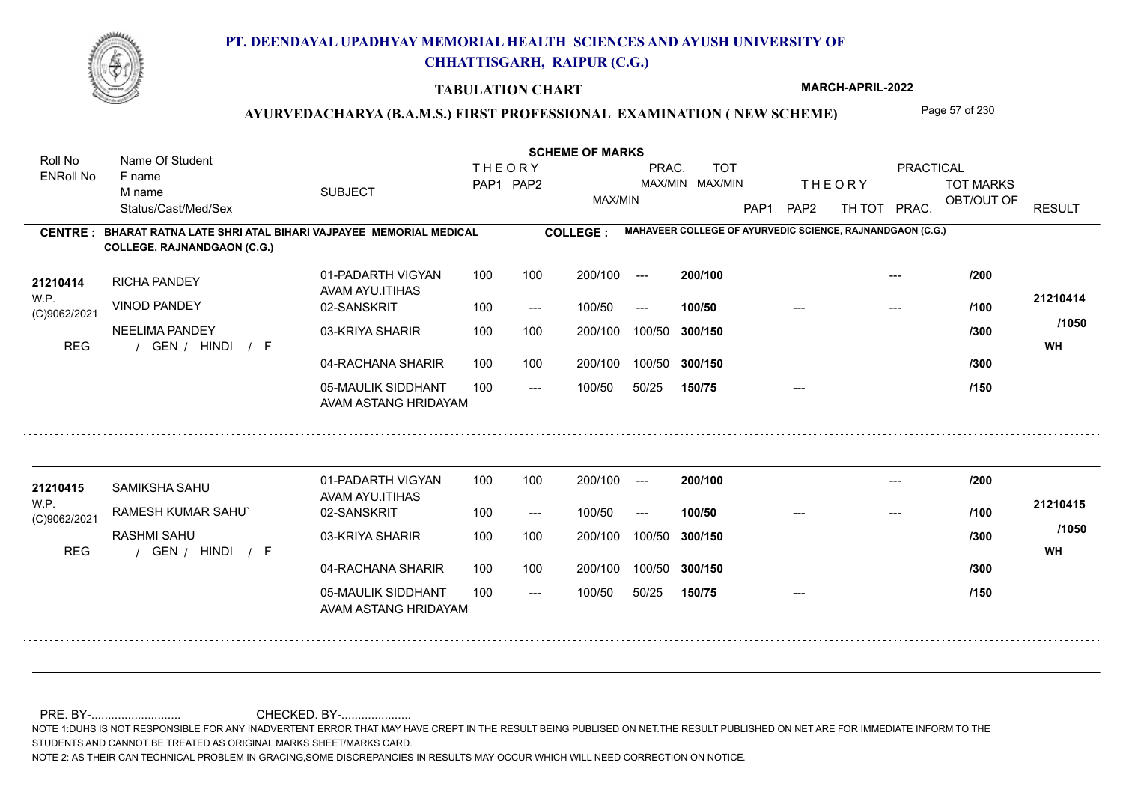

#### **TABULATION CHART**

**MARCH-APRIL-2022**

### AYURVEDACHARYA (B.A.M.S.) FIRST PROFESSIONAL EXAMINATION (NEW SCHEME) Page 57 of 230

**Name Of Student Contract of Student Act of Student SCHEME OF MARKS** Roll No Name Of Student **THEORY** PRAC. TOT PRACTICAL ENRoll No F name SUBJECT TOT MARKS PAP1 PAP2 MAX/MIN MAX/MIN THE ORY TOT MARKS M name MAX/MIN OBT/OUT OF RESULT Status/Cast/Med/Sex PAP1 PAP2 TH TOT PRAC. **MAHAVEER COLLEGE OF AYURVEDIC SCIENCE, RAJNANDGAON (C.G.) CENTRE : COLLEGE : BHARAT RATNA LATE SHRI ATAL BIHARI VAJPAYEE MEMORIAL MEDICAL COLLEGE, RAJNANDGAON (C.G.) <sup>21210414</sup> /200** 01-PADARTH VIGYAN 100 200/100 ---**200/100** --- RICHA PANDEY AVAM AYU.ITIHAS W.P. **21210414** VINOD PANDEY 02-SANSKRIT  $100/50$ 100/50 --- **100/50** --- --- **/100** (C)9062/2021 **/1050** NEELIMA PANDEY 03-KRIYA SHARIR 100 100 200/100 100/50 300/150 **300/150** 100/50 **/300** / / / REG GEN HINDI F **WH** 04-RACHANA SHARIR 100 100 200/100 100/50 200/100 100/50 **300/150 /300** 05-MAULIK SIDDHANT  $- -$  100/50 100/50 50/25 **150/75** --- **/150** AVAM ASTANG HRIDAYAM 01-PADARTH VIGYAN 100 200/100 ---**<sup>21210415</sup> /200 200/100** --- SAMIKSHA SAHU AVAM AYU.ITIHAS W.P. **21210415** RAMESH KUMAR SAHU` 02-SANSKRIT **100/50 /100** 100 --- 100/50 --- --- --- (C)9062/2021 **/1050** RASHMI SAHU 03-KRIYA SHARIR 200/100 100/50 **300/150** 100/50 200/100 **/300** / / / REG GEN HINDI F **WH** 04-RACHANA SHARIR 100 100 200/100 100/50 100/50 **300/150 /300** 05-MAULIK SIDDHANT 100  $- -$  100/50 100/50 50/25 **150/75** --- **/150** AVAM ASTANG HRIDAYAM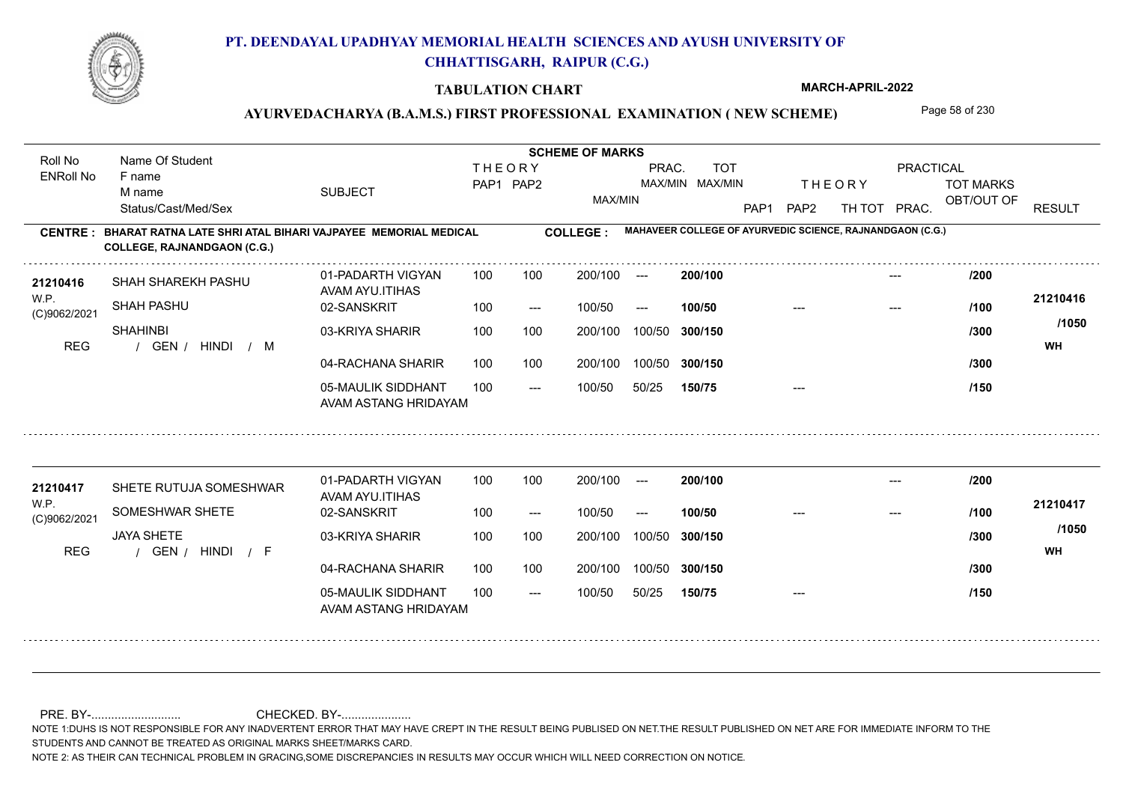

#### **TABULATION CHART**

**MARCH-APRIL-2022**

## AYURVEDACHARYA (B.A.M.S.) FIRST PROFESSIONAL EXAMINATION (NEW SCHEME) Page 58 of 230

**Name Of Student Contract of Student Act of Student SCHEME OF MARKS** Roll No Name Of Student **THEORY** PRAC. TOT PRACTICAL ENRoll No F name SUBJECT TOT MARKS PAP1 PAP2 MAX/MIN MAX/MIN THE ORY TOT MARKS M name MAX/MIN OBT/OUT OF RESULT Status/Cast/Med/Sex PAP1 PAP2 TH TOT PRAC. **MAHAVEER COLLEGE OF AYURVEDIC SCIENCE, RAJNANDGAON (C.G.) CENTRE : COLLEGE : BHARAT RATNA LATE SHRI ATAL BIHARI VAJPAYEE MEMORIAL MEDICAL COLLEGE, RAJNANDGAON (C.G.) <sup>21210416</sup> /200** 01-PADARTH VIGYAN 100 200/100 ---**200/100** --- SHAH SHAREKH PASHU AVAM AYU.ITIHAS W.P. **21210416** SHAH PASHU 02-SANSKRIT  $100/50$ 100/50 --- **100/50** --- --- **/100** (C)9062/2021 **/1050 SHAHINBI** 03-KRIYA SHARIR 100 100 200/100 100/50 300/150 **300/150** 100/50 **/300** REG the second of the second of the second of the second of the second of the second of the second of the second of the second of the second of the second of the second of the second of the second of the second of the seco 04-RACHANA SHARIR 100 100 200/100 100/50 200/100 100/50 **300/150 /300** 05-MAULIK SIDDHANT  $- -$  100/50 100/50 50/25 **150/75** --- **/150** AVAM ASTANG HRIDAYAM 01-PADARTH VIGYAN 100 200/100 ---**<sup>21210417</sup> /200 200/100** --- SHETE RUTUJA SOMESHWAR AVAM AYU.ITIHAS W.P. **21210417** SOMESHWAR SHETE 02-SANSKRIT **100/50 /100** 100 --- 100/50 --- --- --- (C)9062/2021 **/1050** JAYA SHETE 03-KRIYA SHARIR 200/100 100/50 **300/150** 100/50 200/100 **/300** / / / REG GEN HINDI F **WH** 04-RACHANA SHARIR 100 100 200/100 100/50 100/50 **300/150 /300** 05-MAULIK SIDDHANT 100  $- -$  100/50 100/50 50/25 **150/75** --- **/150** AVAM ASTANG HRIDAYAM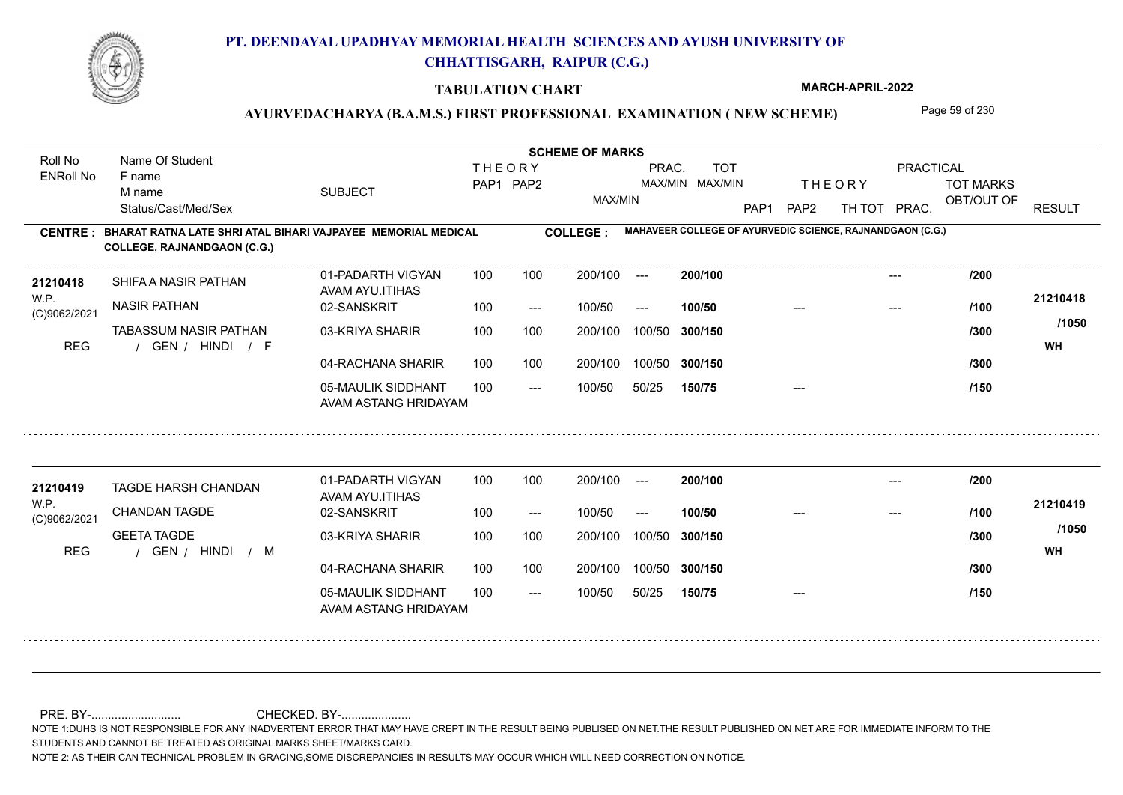

#### **TABULATION CHART**

**MARCH-APRIL-2022**

## AYURVEDACHARYA (B.A.M.S.) FIRST PROFESSIONAL EXAMINATION (NEW SCHEME) Page 59 of 230

**Name Of Student Contract of Student Act of Student SCHEME OF MARKS** Roll No Name Of Student **THEORY** PRAC. TOT PRACTICAL ENRoll No F name SUBJECT TOT MARKS PAP1 PAP2 MAX/MIN MAX/MIN THE ORY TOT MARKS M name MAX/MIN OBT/OUT OF RESULT Status/Cast/Med/Sex PAP1 PAP2 TH TOT PRAC. **MAHAVEER COLLEGE OF AYURVEDIC SCIENCE, RAJNANDGAON (C.G.) CENTRE : COLLEGE : BHARAT RATNA LATE SHRI ATAL BIHARI VAJPAYEE MEMORIAL MEDICAL COLLEGE, RAJNANDGAON (C.G.) <sup>21210418</sup> /200** 01-PADARTH VIGYAN 100 200/100 ---**200/100** --- SHIFA A NASIR PATHAN AVAM AYU.ITIHAS W.P. **21210418** NASIR PATHAN 02-SANSKRIT  $100/50$ 100/50 --- **100/50** --- --- **/100** (C)9062/2021 **/1050** TABASSUM NASIR PATHAN 03-KRIYA SHARIR 100 100 200/100 100/50 300/150 **300/150** 100/50 **/300** / / / REG GEN HINDI F **WH** 04-RACHANA SHARIR 100 100 200/100 100/50 200/100 100/50 **300/150 /300** 05-MAULIK SIDDHANT  $- -$  100/50 100/50 50/25 **150/75** --- **/150** AVAM ASTANG HRIDAYAM 01-PADARTH VIGYAN 100 200/100 ---**<sup>21210419</sup> /200 200/100** --- TAGDE HARSH CHANDAN AVAM AYU.ITIHAS W.P. **21210419** CHANDAN TAGDE 02-SANSKRIT **100/50 /100** 100 --- 100/50 --- --- --- (C)9062/2021 **/1050** GEETA TAGDE 03-KRIYA SHARIR
100 100 200/100 100/50 **300/150** 100/50 200/100 **/300** REG the second of the second of the second of the second of the second of the second of the second of the second of the second of the second of the second of the second of the second of the second of the second of the seco 04-RACHANA SHARIR 100 100 100/50 200/100 100/50 **300/150 /300** 05-MAULIK SIDDHANT 100  $- -$  100/50 100/50 50/25 **150/75** --- **/150** AVAM ASTANG HRIDAYAM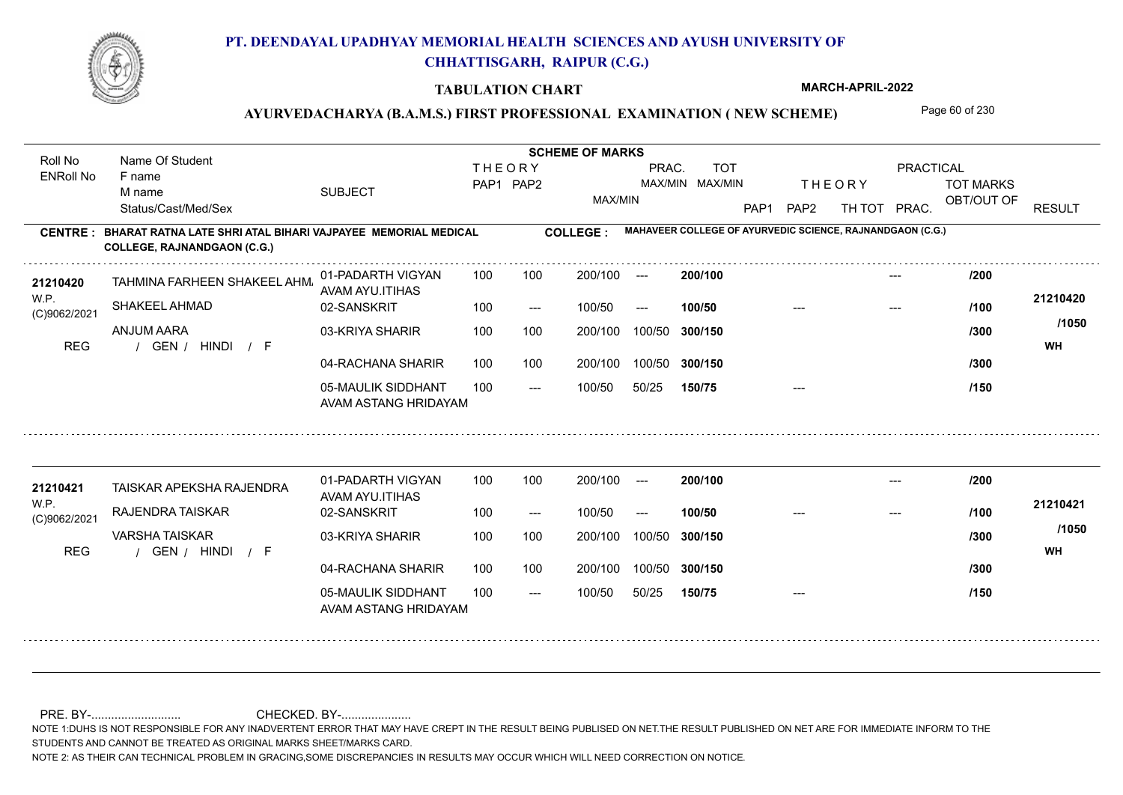

#### **TABULATION CHART**

**MARCH-APRIL-2022**

## AYURVEDACHARYA (B.A.M.S.) FIRST PROFESSIONAL EXAMINATION (NEW SCHEME) Page 60 of 230

**Name Of Student Contract of Student SCHEME OF MARKS**<br>
THE OR Y Roll No Name Of Student **THEORY** PRAC. TOT PRACTICAL ENRoll No F name SUBJECT TOT MARKS PAP1 PAP2 MAX/MIN MAX/MIN THE ORY TOT MARKS M name MAX/MIN OBT/OUT OF RESULT Status/Cast/Med/Sex PAP1 PAP2 TH TOT PRAC. **MAHAVEER COLLEGE OF AYURVEDIC SCIENCE, RAJNANDGAON (C.G.) CENTRE : COLLEGE : BHARAT RATNA LATE SHRI ATAL BIHARI VAJPAYEE MEMORIAL MEDICAL COLLEGE, RAJNANDGAON (C.G.)** TAHMINA FARHEEN SHAKEEL AHMAD **<sup>21210420</sup> /200** 01-PADARTH VIGYAN 100 200/100 ---**200/100** --- AVAM AYU.ITIHAS W.P. **21210420** SHAKEEL AHMAD 02-SANSKRIT  $100/50$ 100/50 --- **100/50** --- --- **/100** (C)9062/2021 **/1050** ANJUM AARA 03-KRIYA SHARIR 100 100 200/100 100/50 300/150 **300/150** 100/50 **/300** / / / REG GEN HINDI F **WH** 04-RACHANA SHARIR 100 100 200/100 100/50 **/300** 200/100 100/50 **300/150** 05-MAULIK SIDDHANT  $- -$  100/50 100/50 50/25 **150/75** --- **/150** AVAM ASTANG HRIDAYAM 01-PADARTH VIGYAN 100 200/100 ---**200/100 <sup>21210421</sup> /200** --- TAISKAR APEKSHA RAJENDRA AVAM AYU.ITIHAS W.P. **21210421** RAJENDRA TAISKAR 02-SANSKRIT **100/50 /100** 100 --- 100/50 --- --- --- (C)9062/2021 **/1050** VARSHA TAISKAR 03-KRIYA SHARIR
100 100 200/100 100/50 **300/150** 100/50 200/100 **/300** / / / REG GEN HINDI F **WH** 04-RACHANA SHARIR 100 100 100/50 200/100 100/50 **300/150 /300** 05-MAULIK SIDDHANT 100  $- -$  100/50 100/50 50/25 **150/75** --- **/150** AVAM ASTANG HRIDAYAM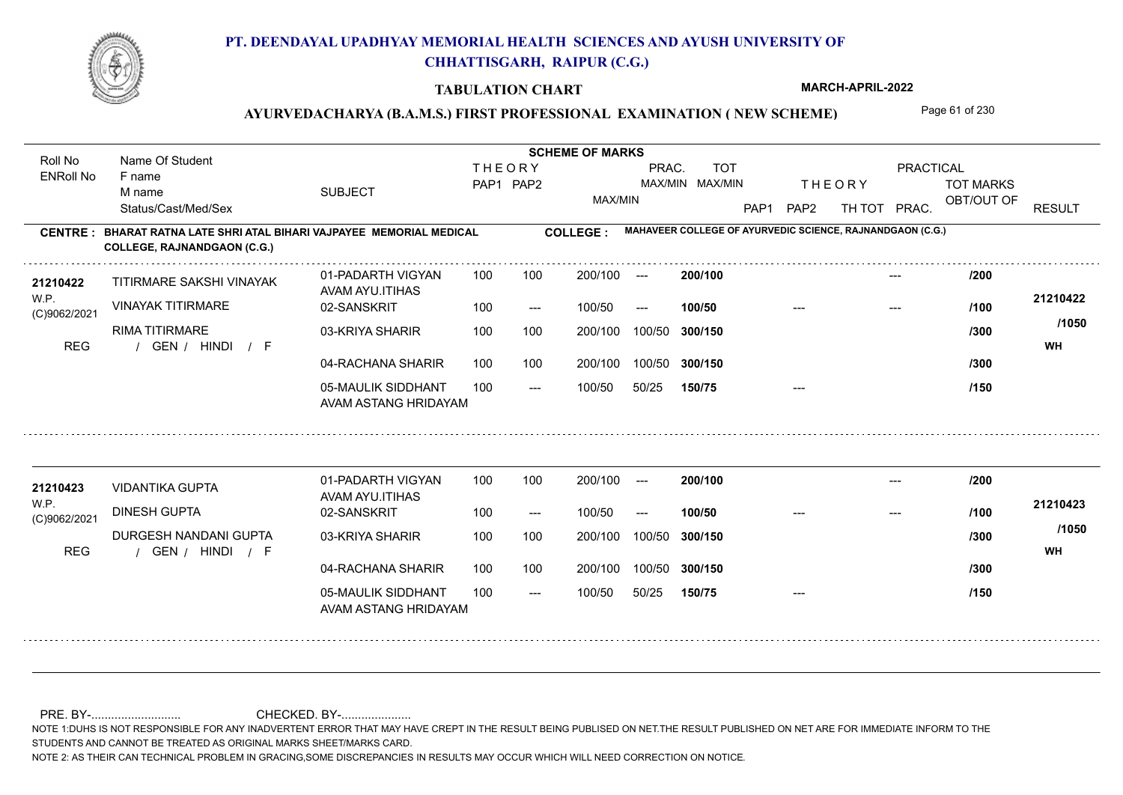

#### **TABULATION CHART**

**MARCH-APRIL-2022**

## AYURVEDACHARYA (B.A.M.S.) FIRST PROFESSIONAL EXAMINATION (NEW SCHEME) Page 61 of 230

**Name Of Student Contract of Student SCHEME OF MARKS**<br>
THE OR Y Roll No Name Of Student **THEORY** PRAC. TOT PRACTICAL ENRoll No F name SUBJECT TOT MARKS PAP1 PAP2 MAX/MIN MAX/MIN THE ORY TOT MARKS M name MAX/MIN OBT/OUT OF RESULT Status/Cast/Med/Sex PAP1 PAP2 TH TOT PRAC. **MAHAVEER COLLEGE OF AYURVEDIC SCIENCE, RAJNANDGAON (C.G.) CENTRE : COLLEGE : BHARAT RATNA LATE SHRI ATAL BIHARI VAJPAYEE MEMORIAL MEDICAL COLLEGE, RAJNANDGAON (C.G.) <sup>21210422</sup> /200** 01-PADARTH VIGYAN 100 200/100 ---**200/100** --- TITIRMARE SAKSHI VINAYAK AVAM AYU.ITIHAS W.P. **21210422** VINAYAK TITIRMARE 02-SANSKRIT  $100/50$ 100/50 --- **100/50** --- --- **/100** (C)9062/2021 **/1050** RIMA TITIRMARE 03-KRIYA SHARIR 100 100 200/100 100/50 300/150 **300/150** 100/50 **/300** / / / REG GEN HINDI F **WH** 04-RACHANA SHARIR 100 100 200/100 100/50 200/100 100/50 **300/150 /300** 05-MAULIK SIDDHANT  $- -$  100/50 100/50 50/25 **150/75** --- **/150** AVAM ASTANG HRIDAYAM 01-PADARTH VIGYAN 100 200/100 ---**<sup>21210423</sup> /200 200/100** --- VIDANTIKA GUPTA AVAM AYU.ITIHAS W.P. **21210423** DINESH GUPTA 02-SANSKRIT **100/50 /100** 100 --- 100/50 --- --- --- (C)9062/2021 **/1050** DURGESH NANDANI GUPTA 03-KRIYA SHARIR
100 100 200/100 100/50 **300/150** 100/50 200/100 **/300** / / / REG GEN HINDI F **WH** 04-RACHANA SHARIR 100 100 100/50 200/100 100/50 **300/150 /300** 05-MAULIK SIDDHANT 100  $- -$  100/50 100/50 50/25 **150/75** --- **/150** AVAM ASTANG HRIDAYAM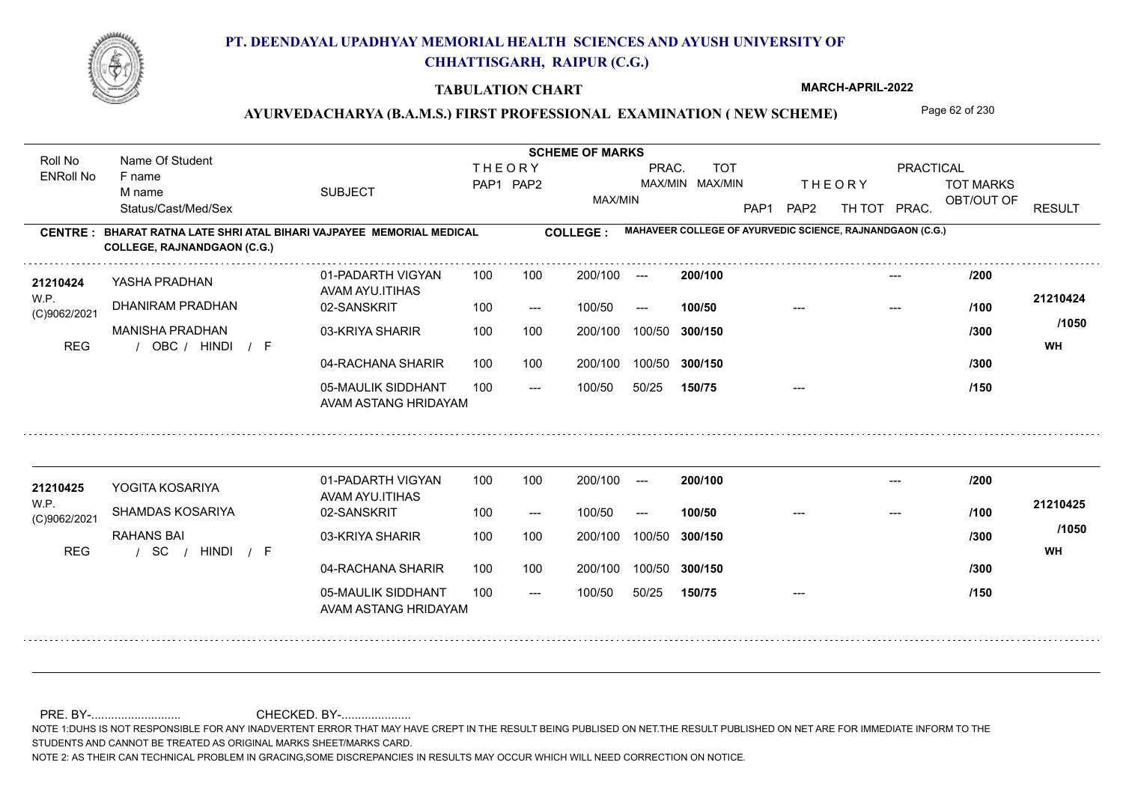

#### **TABULATION CHART**

**MARCH-APRIL-2022**

## AYURVEDACHARYA (B.A.M.S.) FIRST PROFESSIONAL EXAMINATION (NEW SCHEME) Page 62 of 230

**Name Of Student Contract of Student SCHEME OF MARKS**<br>
THE OR Y Roll No Name Of Student **THEORY** PRAC. TOT PRACTICAL ENRoll No F name SUBJECT TOT MARKS PAP1 PAP2 MAX/MIN MAX/MIN THE ORY TOT MARKS M name MAX/MIN OBT/OUT OF RESULT Status/Cast/Med/Sex PAP1 PAP2 TH TOT PRAC. **MAHAVEER COLLEGE OF AYURVEDIC SCIENCE, RAJNANDGAON (C.G.) CENTRE : COLLEGE : BHARAT RATNA LATE SHRI ATAL BIHARI VAJPAYEE MEMORIAL MEDICAL COLLEGE, RAJNANDGAON (C.G.) <sup>21210424</sup> /200** 01-PADARTH VIGYAN 100 200/100 ---**200/100** --- YASHA PRADHAN AVAM AYU.ITIHAS W.P. **21210424** DHANIRAM PRADHAN 02-SANSKRIT  $100/50$ 100/50 --- **100/50** --- --- **/100** (C)9062/2021 **/1050** MANISHA PRADHAN 03-KRIYA SHARIR 100 100 200/100 100/50 300/150 **300/150** 100/50 **/300** / / / REG OBC HINDI F **WH** 04-RACHANA SHARIR 100 100 200/100 100/50 200/100 100/50 **300/150 /300** 05-MAULIK SIDDHANT  $- -$  100/50 100/50 50/25 **150/75** --- **/150** AVAM ASTANG HRIDAYAM 01-PADARTH VIGYAN 100 200/100 ---**<sup>21210425</sup> /200 200/100** --- YOGITA KOSARIYA AVAM AYU.ITIHAS W.P. **21210425** SHAMDAS KOSARIYA 02-SANSKRIT **100/50 /100** 100 --- 100/50 --- --- --- (C)9062/2021 **/1050** RAHANS BAI 03-KRIYA SHARIR
100 100 200/100 100/50 **300/150** 100/50 200/100 **/300** REG / SC / HINDI / F **WH** 04-RACHANA SHARIR 100 100 200/100 100/50 100/50 **300/150 /300** 05-MAULIK SIDDHANT 100  $- -$  100/50 100/50 50/25 **150/75** --- **/150** AVAM ASTANG HRIDAYAM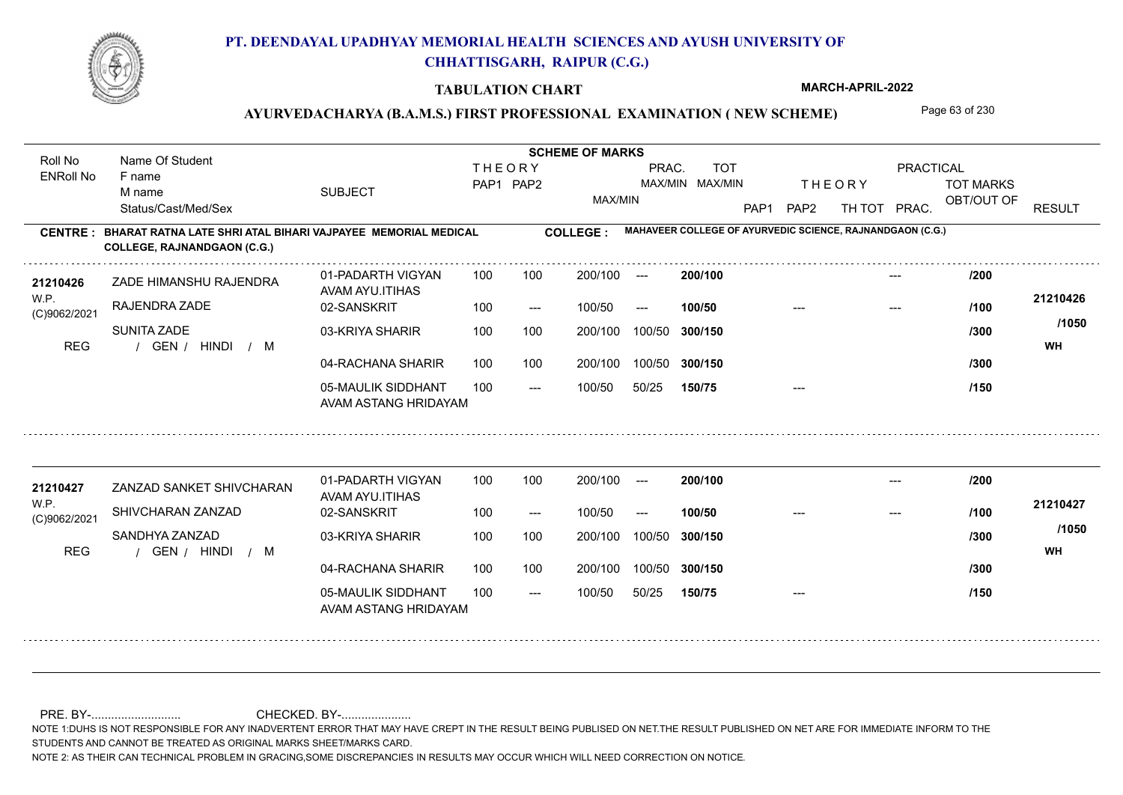

#### **TABULATION CHART**

**MARCH-APRIL-2022**

## AYURVEDACHARYA (B.A.M.S.) FIRST PROFESSIONAL EXAMINATION (NEW SCHEME) Page 63 of 230

**Name Of Student Contract of Student SCHEME OF MARKS**<br>
THE OR Y Roll No Name Of Student **THEORY** PRAC. TOT PRACTICAL ENRoll No F name SUBJECT TOT MARKS PAP1 PAP2 MAX/MIN MAX/MIN THE ORY TOT MARKS M name MAX/MIN OBT/OUT OF RESULT Status/Cast/Med/Sex PAP1 PAP2 TH TOT PRAC. **MAHAVEER COLLEGE OF AYURVEDIC SCIENCE, RAJNANDGAON (C.G.) CENTRE : COLLEGE : BHARAT RATNA LATE SHRI ATAL BIHARI VAJPAYEE MEMORIAL MEDICAL COLLEGE, RAJNANDGAON (C.G.) <sup>21210426</sup> /200** 01-PADARTH VIGYAN 100 200/100 ---**200/100** --- ZADE HIMANSHU RAJENDRA AVAM AYU.ITIHAS W.P. **21210426** RAJENDRA ZADE 02-SANSKRIT  $100/50$ 100/50 --- **100/50** --- --- **/100** (C)9062/2021 **/1050** SUNITA ZADE 03-KRIYA SHARIR 100 100 200/100 100/50 300/150 **300/150** 100/50 **/300** REG the second of the second of the second of the second of the second of the second of the second of the second of the second of the second of the second of the second of the second of the second of the second of the seco 04-RACHANA SHARIR 100 100 200/100 100/50 200/100 100/50 **300/150 /300** 05-MAULIK SIDDHANT  $- -$  100/50 100/50 50/25 **150/75** --- **/150** AVAM ASTANG HRIDAYAM 01-PADARTH VIGYAN 100 200/100 ---**<sup>21210427</sup> /200 200/100** --- ZANZAD SANKET SHIVCHARAN AVAM AYU.ITIHAS W.P. **21210427** SHIVCHARAN ZANZAD 02-SANSKRIT **100/50 /100** 100 --- 100/50 --- --- --- (C)9062/2021 **/1050** SANDHYA ZANZAD 03-KRIYA SHARIR
100 100 200/100 100/50 **300/150** 100/50 200/100 **/300** REG the second of the second of the second of the second of the second of the second of the second of the second of the second of the second of the second of the second of the second of the second of the second of the seco 04-RACHANA SHARIR 100 100 200/100 100/50 100/50 **300/150 /300** 05-MAULIK SIDDHANT 100  $- -$  100/50 100/50 50/25 **150/75** --- **/150** AVAM ASTANG HRIDAYAM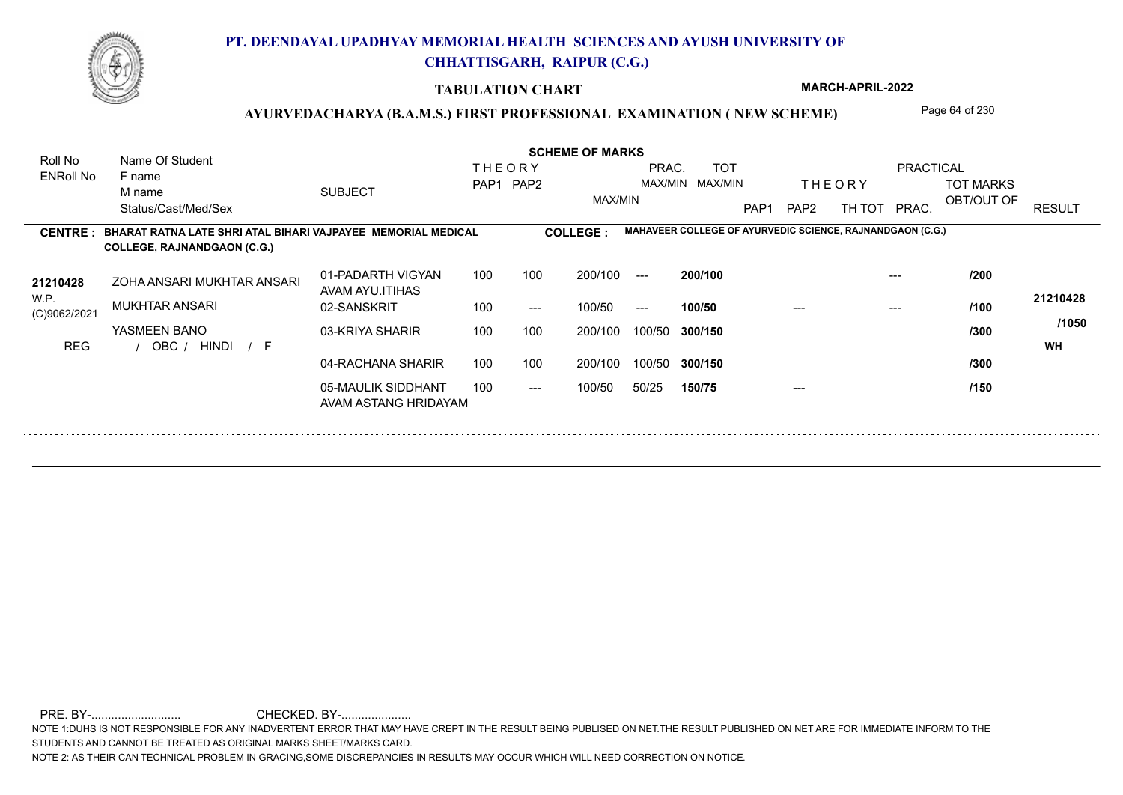

### **TABULATION CHART**

**MARCH-APRIL-2022**

## AYURVEDACHARYA (B.A.M.S.) FIRST PROFESSIONAL EXAMINATION (NEW SCHEME) Page 64 of 230

**Name Of Student Contract of Student SCHEME OF MARKS**<br>
THE OR Y Roll No Name Of Student **THEORY** PRAC. TOT PRACTICAL ENRoll No F name SUBJECT TOT MARKS PAP1 PAP2 MAX/MIN MAX/MIN THE ORY TOT MARKS M name MAX/MIN OBT/OUT OF RESULT Status/Cast/Med/Sex PAP1 PAP2 TH TOT PRAC. **MAHAVEER COLLEGE OF AYURVEDIC SCIENCE, RAJNANDGAON (C.G.) CENTRE : COLLEGE : BHARAT RATNA LATE SHRI ATAL BIHARI VAJPAYEE MEMORIAL MEDICAL COLLEGE, RAJNANDGAON (C.G.)** ZOHA ANSARI MUKHTAR ANSARI **<sup>21210428</sup> /200** 01-PADARTH VIGYAN 100 200/100 ---**200/100** --- AVAM AYU.ITIHAS W.P. **21210428** MUKHTAR ANSARI 02-SANSKRIT 100 --- 100/50 --- **100/50** --- --- **/100** (C)9062/2021 **/1050** YASMEEN BANO 03-KRIYA SHARIR **300/150** 100/50 200/100 100 100 **/300** / / / REG OBC HINDI F **WH** 04-RACHANA SHARIR 100 100 200/100 100/50 **/300** 200/100 100/50 **300/150** 05-MAULIK SIDDHANT  $- -$  100/50 100/50 50/25 **150/75** --- **/150** AVAM ASTANG HRIDAYAM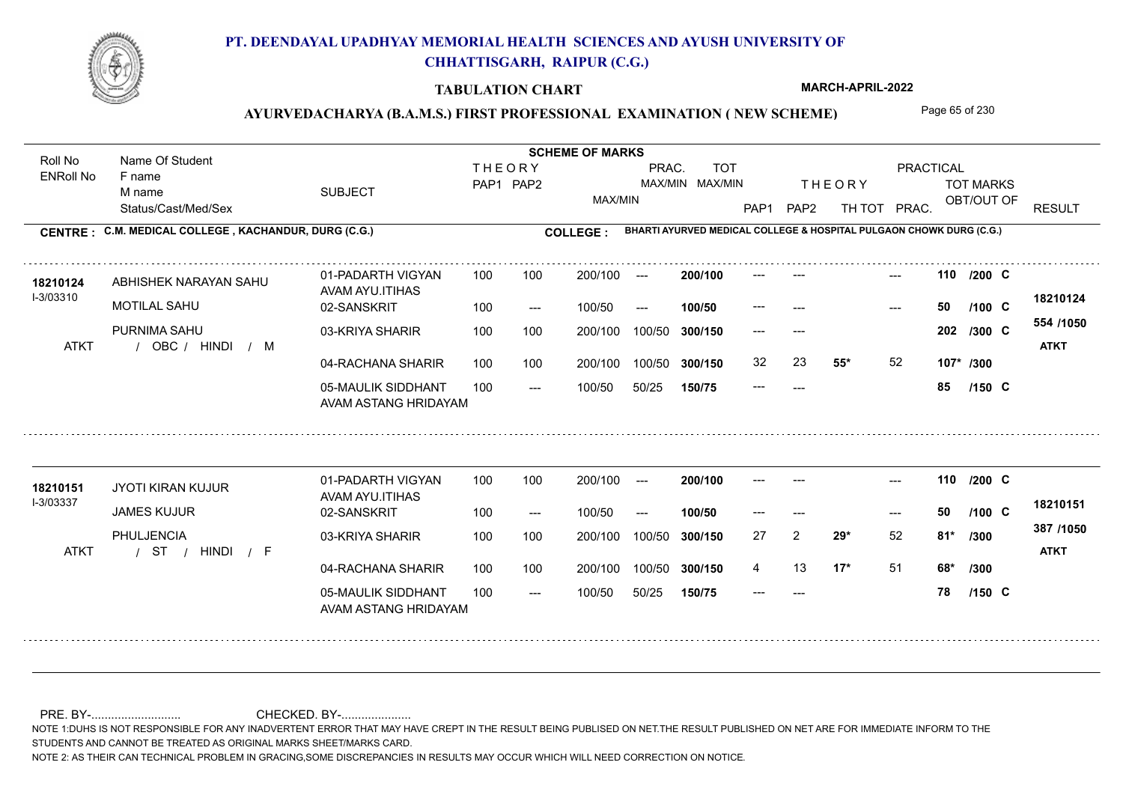

#### **TABULATION CHART**

**MARCH-APRIL-2022**

## AYURVEDACHARYA (B.A.M.S.) FIRST PROFESSIONAL EXAMINATION (NEW SCHEME) Page 65 of 230

Status/Cast/Med/Sex SUBJECT TOT MARKS OBT/OUT OF PRACTICAL THE ORY TOT MARKS PAP1 PAP2 TH TOT PRAC. Roll No Name Of Student ENRoll No **CENTRE : C.M. MEDICAL COLLEGE ; KACHANDUR, DURG (C.G.) COLLEGE : THEORY** PAP1 PAP2 MAX/MIN PRAC. MAX/MIN MAX/MIN TOT RESULT **Name Of Student Contract of Student SCHEME OF MARKS**<br>
THE OR Y **BHARTI AYURVED MEDICAL COLLEGE & HOSPITAL PULGAON CHOWK DURG (C.G.)** F name M name 01-PADARTH VIGYAN AVAM AYU.ITIHAS 05-MAULIK SIDDHANT AVAM ASTANG HRIDAYAM 04-RACHANA SHARIR 100 100 03-KRIYA SHARIR / / / ATKT OBC --- --- --- **110** --- --- **C /200** 02-SANSKRIT  $100/50$ 100 100 200/100 100/50 300/150 100/50 50/25 **150/75 300/150** 100/50 100 200/100 ---100/50 --- **100/50** 100/50 **300/150 200/100** 100 100 200/100 100/50 300/150  $- - 50$  $- -$  100/50 I-3/03310 ABHISHEK NARAYAN SAHU **18210124** MOTILAL SAHU PURNIMA SAHU **55\*** 52 **107\* /300 554 /1050** HINDI M **ATKT 18210124** --- **50 C /100** --- --- **202 C /300** 32 23 **55\*** 52 --- **85 C /150** 01-PADARTH VIGYAN AVAM AYU.ITIHAS 05-MAULIK SIDDHANT 100 AVAM ASTANG HRIDAYAM 04-RACHANA SHARIR 100 100 03-KRIYA SHARIR / / / ATKT ST --- --- --- **110** --- --- **C /200** 02-SANSKRIT 100 --- 100/50 --- 200/100 100/50 **300/150** 100/50 50/25 **150/75 300/150** 100/50 200/100 100 200/100 ---**200/100 100/50** --- 200/100 100/50 200/100 100/50  $- -$  100/50 I-3/03337 JYOTI KIRAN KUJUR **18210151** JAMES KUJUR PHULJENCIA **29\*** 52 **/300 17\*** 51 **68\* /300 387 /1050** HINDI F **ATKT 18210151** --- **50 C** 27 2 29\* 52 81\* /300 4 13 **17**\* 51 --- **78 C /100 /150**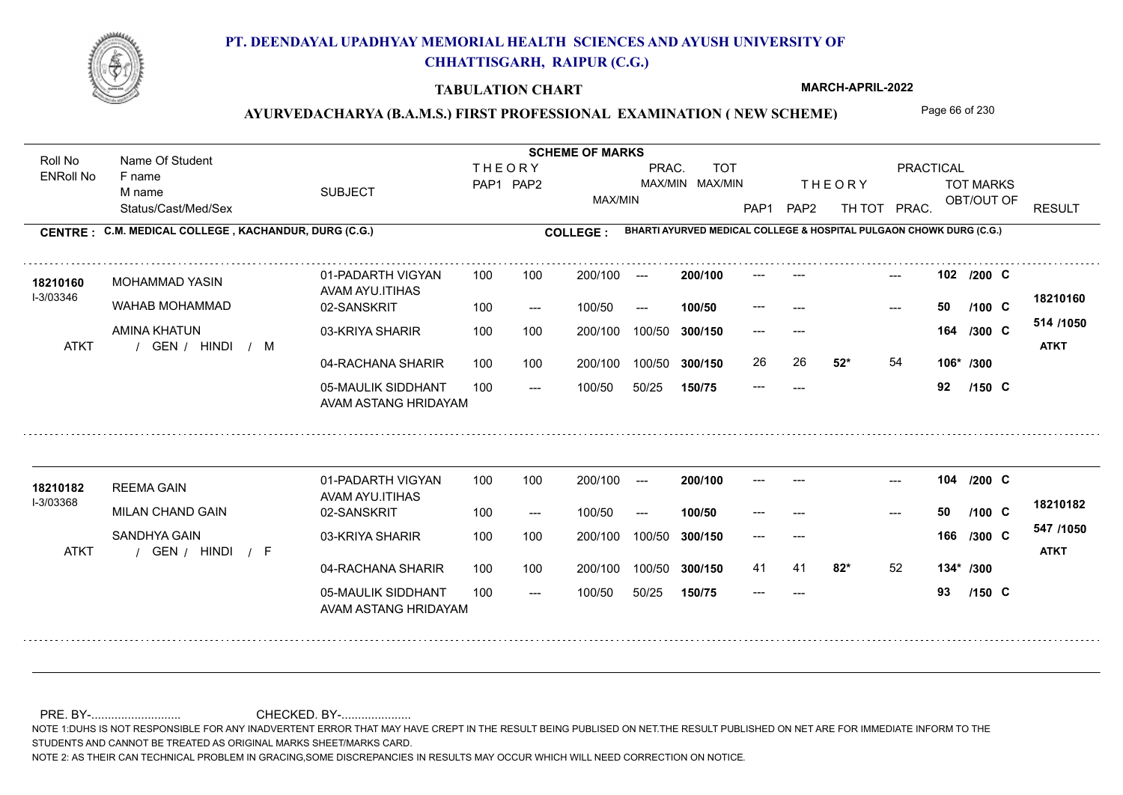

#### **TABULATION CHART**

**MARCH-APRIL-2022**

## AYURVEDACHARYA (B.A.M.S.) FIRST PROFESSIONAL EXAMINATION (NEW SCHEME) Page 66 of 230

Status/Cast/Med/Sex SUBJECT TOT MARKS OBT/OUT OF PRACTICAL THE ORY TOT MARKS PAP1 PAP2 TH TOT PRAC. Roll No Name Of Student ENRoll No **CENTRE : C.M. MEDICAL COLLEGE ; KACHANDUR, DURG (C.G.) COLLEGE : THEORY** PAP1 PAP2 MAX/MIN PRAC. MAX/MIN MAX/MIN TOT RESULT **Name Of Student Contract of Student SCHEME OF MARKS**<br>
THE OR Y **BHARTI AYURVED MEDICAL COLLEGE & HOSPITAL PULGAON CHOWK DURG (C.G.)** F name M name 01-PADARTH VIGYAN AVAM AYU.ITIHAS 05-MAULIK SIDDHANT AVAM ASTANG HRIDAYAM 04-RACHANA SHARIR 100 100 03-KRIYA SHARIR / / / ATKT GEN --- --- --- **102** --- --- **C /200** 02-SANSKRIT  $100/50$ 100 100 200/100 100/50 300/150 100/50 50/25 **150/75 300/150** 100/50 100 200/100 ---100/50 --- **100/50** 100/50 **300/150 200/100** 100 100 200/100 100/50 300/150  $- - 50$  $- -$  100/50 I-3/03346 **18210160 MOHAMMAD YASIN 18210160** MOHAMMAD YASIN WAHAB MOHAMMAD AMINA KHATUN **52\*** 54 **106\* /300 514 /1050** HINDI M **ATKT 18210160** --- **50 C /100** --- --- **164 C /300** 26 **52<sup>\*</sup> 54** --- **92 C /150** 01-PADARTH VIGYAN AVAM AYU.ITIHAS 05-MAULIK SIDDHANT 100 AVAM ASTANG HRIDAYAM 04-RACHANA SHARIR 100 100 03-KRIYA SHARIR / / / ATKT GEN --- --- --- **104** --- --- **C /200** 02-SANSKRIT 100 --- 100/50 --- 200/100 100/50 **300/150** 100/50 50/25 **150/75 300/150** 100/50 200/100 100 200/100 ---**200/100 100/50** --- 200/100 100/50 200/100 100/50  $- -$  100/50 I-3/03368 REEMA GAIN **18210182** MILAN CHAND GAIN SANDHYA GAIN **82\*** 52 **134\* /300 547 /1050** HINDI F **ATKT 18210182** --- **50 C** --- --- **166 C /300** 41 41 **82\*** 52 --- **93 C /100 /150**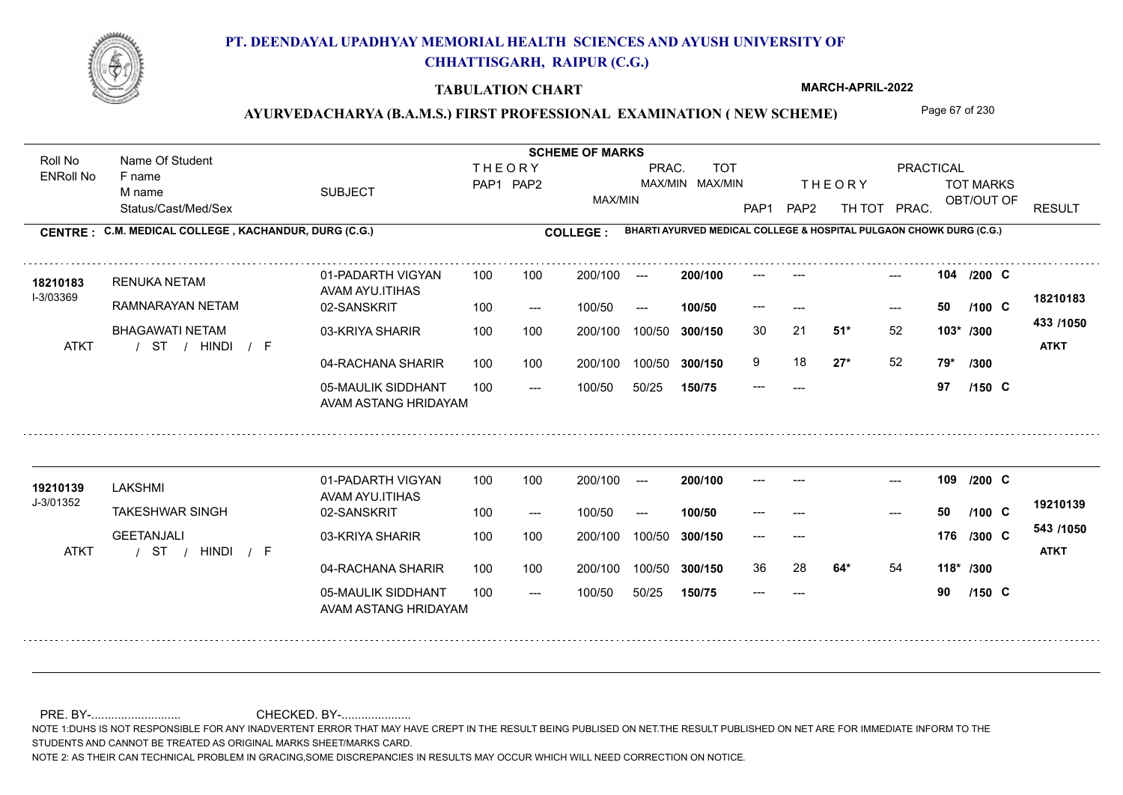

#### **TABULATION CHART**

**MARCH-APRIL-2022**

## AYURVEDACHARYA (B.A.M.S.) FIRST PROFESSIONAL EXAMINATION (NEW SCHEME) Page 67 of 230

Status/Cast/Med/Sex SUBJECT TOT MARKS OBT/OUT OF PRACTICAL THE ORY TOT MARKS PAP1 PAP2 TH TOT PRAC. Roll No Name Of Student ENRoll No **CENTRE : C.M. MEDICAL COLLEGE ; KACHANDUR, DURG (C.G.) COLLEGE : THEORY** PAP1 PAP2 MAX/MIN PRAC. MAX/MIN MAX/MIN TOT RESULT **Name Of Student Contract of Student SCHEME OF MARKS**<br>
THE OR Y **BHARTI AYURVED MEDICAL COLLEGE & HOSPITAL PULGAON CHOWK DURG (C.G.)** F name M name 01-PADARTH VIGYAN AVAM AYU.ITIHAS 05-MAULIK SIDDHANT AVAM ASTANG HRIDAYAM 04-RACHANA SHARIR 100 100 03-KRIYA SHARIR BHAGAWATI NETAM / / / ATKT ST --- --- --- **104** --- --- **C /200** 02-SANSKRIT  $100/50$ 100 100 200/100 100/50 300/150 100/50 50/25 **150/75 300/150** 100/50 100 200/100 ---100/50 --- **100/50** 100/50 **300/150 200/100** 100 100 200/100 100/50 300/150  $- - 50$  $- -$  100/50 I-3/03369 RENUKA NETAM **18210183** RAMNARAYAN NETAM **51\*** 52 30 21 **103\* /300 27\*** 52 **79\* /300 433 /1050** HINDI F **ATKT 18210183** --- **50 C /100** 9 18 **27\*** 52 --- **97 C /150** 01-PADARTH VIGYAN AVAM AYU.ITIHAS 05-MAULIK SIDDHANT 100 AVAM ASTANG HRIDAYAM 04-RACHANA SHARIR 100 100 03-KRIYA SHARIR / / / ATKT ST --- --- --- **109** --- --- **C /200** 02-SANSKRIT 100 --- 100/50 --- 200/100 100/50 **300/150** 100/50 50/25 **150/75 300/150** 100/50 200/100 100 200/100 ---**200/100 100/50** --- 200/100 100/50 200/100 100/50  $- -$  100/50 J-3/01352 LAKSHMI **19210139** TAKESHWAR SINGH GEETANJALI **64\*** 54 **118\* /300 543 /1050** HINDI F **ATKT 19210139** --- **50 C** --- --- **176 C /300** 36 28 **64\*** 54 --- **90 C /100 /150**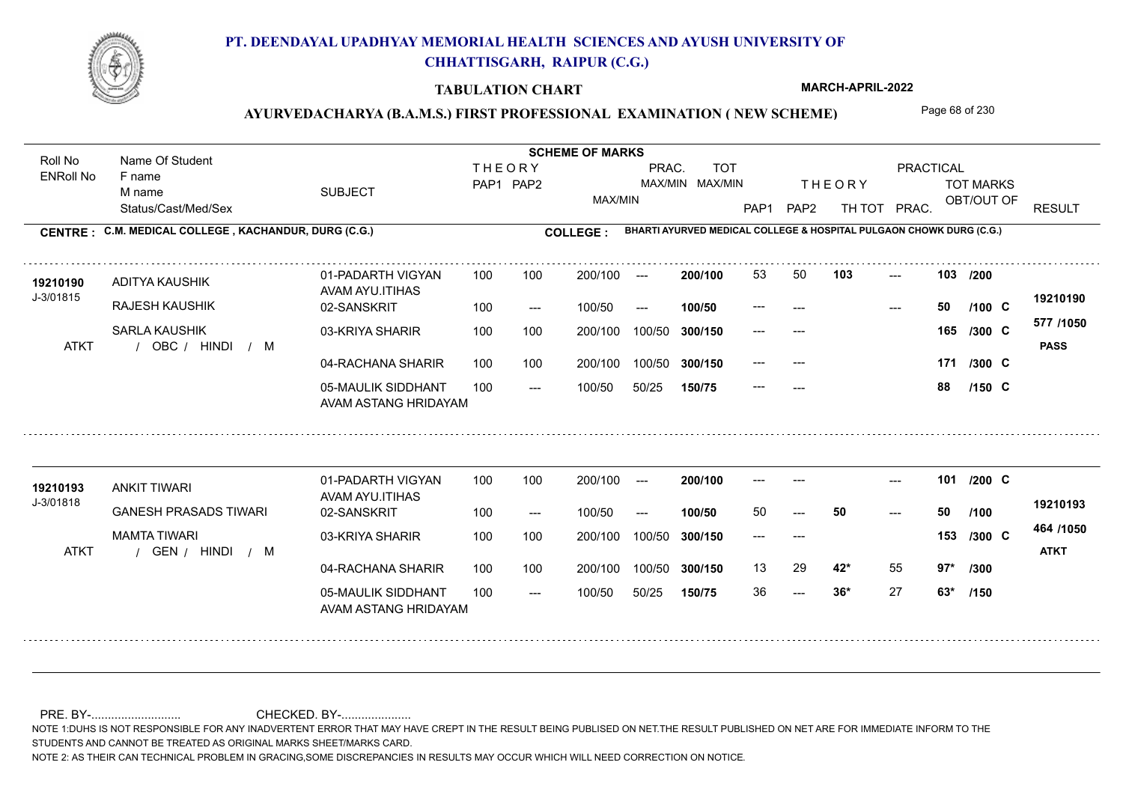

#### **TABULATION CHART**

**MARCH-APRIL-2022**

## AYURVEDACHARYA (B.A.M.S.) FIRST PROFESSIONAL EXAMINATION (NEW SCHEME) Page 68 of 230

Status/Cast/Med/Sex SUBJECT TOT MARKS OBT/OUT OF PRACTICAL THE ORY TOT MARKS PAP1 PAP2 TH TOT PRAC. Roll No Name Of Student ENRoll No **CENTRE : C.M. MEDICAL COLLEGE ; KACHANDUR, DURG (C.G.) COLLEGE : THEORY** PAP1 PAP2 MAX/MIN PRAC. MAX/MIN MAX/MIN TOT RESULT **Name Of Student Contract of Student SCHEME OF MARKS**<br>
THE OR Y **BHARTI AYURVED MEDICAL COLLEGE & HOSPITAL PULGAON CHOWK DURG (C.G.)** F name M name 01-PADARTH VIGYAN AVAM AYU.ITIHAS 05-MAULIK SIDDHANT AVAM ASTANG HRIDAYAM 04-RACHANA SHARIR 100 100 03-KRIYA SHARIR 100 100 / / / ATKT OBC --- --- --- **103 103 /200** 02-SANSKRIT 100 --- 100/50 --- 200/100 100/50 **300/150** 100/50 50/25 **150/75 300/150** 100/50 100 200/100 ---**200/100 100/50** 100 100 200/100 100/50 300/150  $- - 50$ 200/100 100/50  $- -$  100/50 J-3/01815 ADITYA KAUSHIK RAJESH KAUSHIK SARLA KAUSHIK **171 /300 577 /1050** HINDI M **PASS 19210190 <sup>19210190</sup>** <sup>53</sup> <sup>50</sup> --- **50 C /100** --- --- **165 C /300** --- --- 171 /300 C --- **88 C /150** 01-PADARTH VIGYAN AVAM AYU.ITIHAS 05-MAULIK SIDDHANT 100 AVAM ASTANG HRIDAYAM 04-RACHANA SHARIR 100 100 03-KRIYA SHARIR / / / ATKT GEN  $- - 36*$ --- --- **101** --- --- **C /200** 02-SANSKRIT 100 --- 100/50 --- 200/100 100/50 **300/150** 100/50 50/25 **150/75 300/150** 100/50 200/100 100 200/100 ---**200/100 100/50** --- 200/100 100/50 200/100 100/50  $- -$  100/50 J-3/01818 ANKIT TIWARI **19210193** GANESH PRASADS TIWARI MAMTA TIWARI **42\*** 55 **97\* /300 464 /1050** HINDI M **ATKT 19210193** 50 **50 50** --- --- **153 C /300** 13 29 **42**\* 55 36 **36\*** 27 **63\* /100 /150**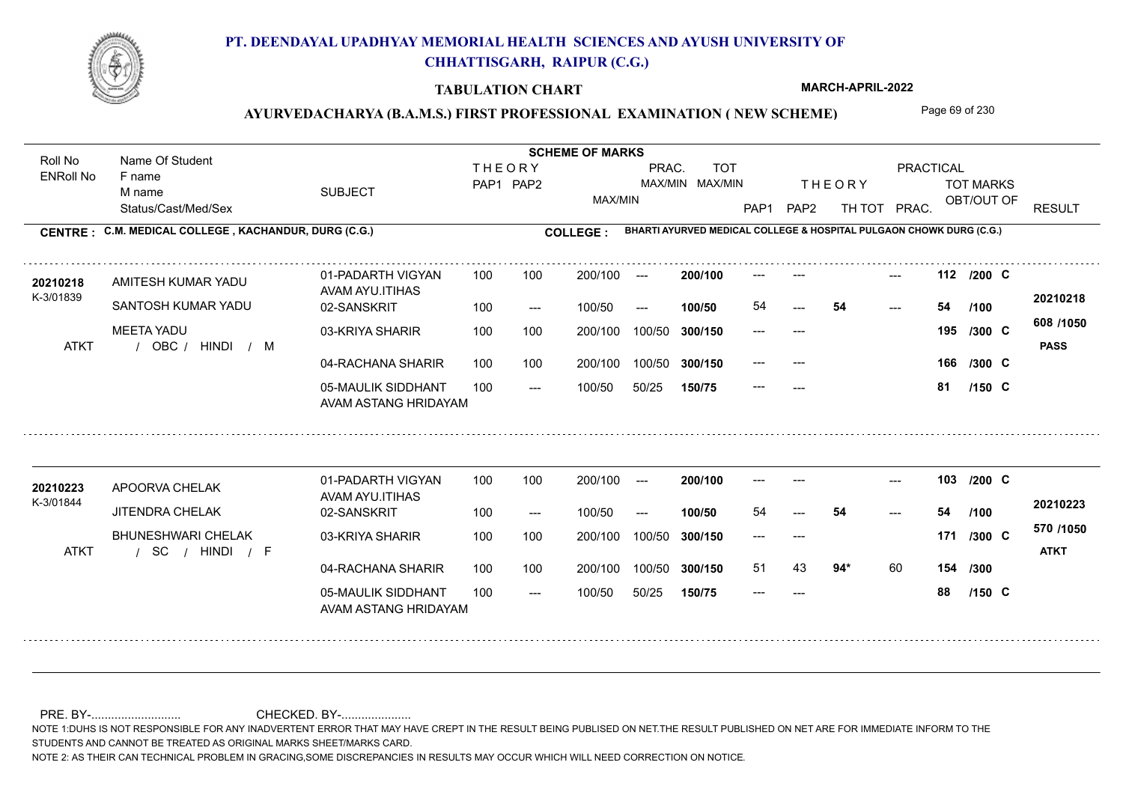

#### **TABULATION CHART**

**MARCH-APRIL-2022**

## AYURVEDACHARYA (B.A.M.S.) FIRST PROFESSIONAL EXAMINATION (NEW SCHEME) Page 69 of 230

Status/Cast/Med/Sex SUBJECT TOT MARKS OBT/OUT OF PRACTICAL THE ORY TOT MARKS PAP1 PAP2 TH TOT PRAC. Roll No Name Of Student ENRoll No **CENTRE : C.M. MEDICAL COLLEGE ; KACHANDUR, DURG (C.G.) COLLEGE : THEORY** PAP1 PAP2 MAX/MIN PRAC. MAX/MIN MAX/MIN TOT RESULT **Name Of Student Contract of Student SCHEME OF MARKS**<br>
THE OR Y **BHARTI AYURVED MEDICAL COLLEGE & HOSPITAL PULGAON CHOWK DURG (C.G.)** F name M name 01-PADARTH VIGYAN AVAM AYU.ITIHAS 05-MAULIK SIDDHANT AVAM ASTANG HRIDAYAM 04-RACHANA SHARIR 100 100 03-KRIYA SHARIR 100 100 / / / ATKT OBC --- --- --- **112** --- --- **C /200** 02-SANSKRIT  $100/50$ 200/100 100/50 **300/150** 100/50 50/25 **150/75 300/150** 100/50 100 200/100 ---100/50 --- **100/50 200/100** 100 100 200/100 100/50 300/150 54 200/100 100/50  $- -$  100/50 K-3/01839 AMITESH KUMAR YADU **20210218** SANTOSH KUMAR YADU MEETA YADU **166 /300 608 /1050** HINDI M **PASS 20210218** 54 **54 54** --- --- **195 C /300** --- --- 166 /300 C --- **81 C /100 /150** 01-PADARTH VIGYAN AVAM AYU.ITIHAS 05-MAULIK SIDDHANT 100 AVAM ASTANG HRIDAYAM 04-RACHANA SHARIR 100 100 03-KRIYA SHARIR / / / ATKT SC --- --- --- **103** --- --- **C /200** 02-SANSKRIT 100 --- 100/50 --- 200/100 100/50 **300/150** 100/50 50/25 **150/75 300/150** 100/50 200/100 100 200/100 ---**200/100 100/50** --- 200/100 100/50 200/100 100/50  $- -$  100/50 K-3/01844 APOORVA CHELAK **20210223** JITENDRA CHELAK BHUNESHWARI CHELAK **94\*** 60 **154 /300 570 /1050** HINDI F **ATKT 20210223** 54 **54 54** --- --- **171 C /300** 51 43 **94**\* 60 --- **88 C /100 /150**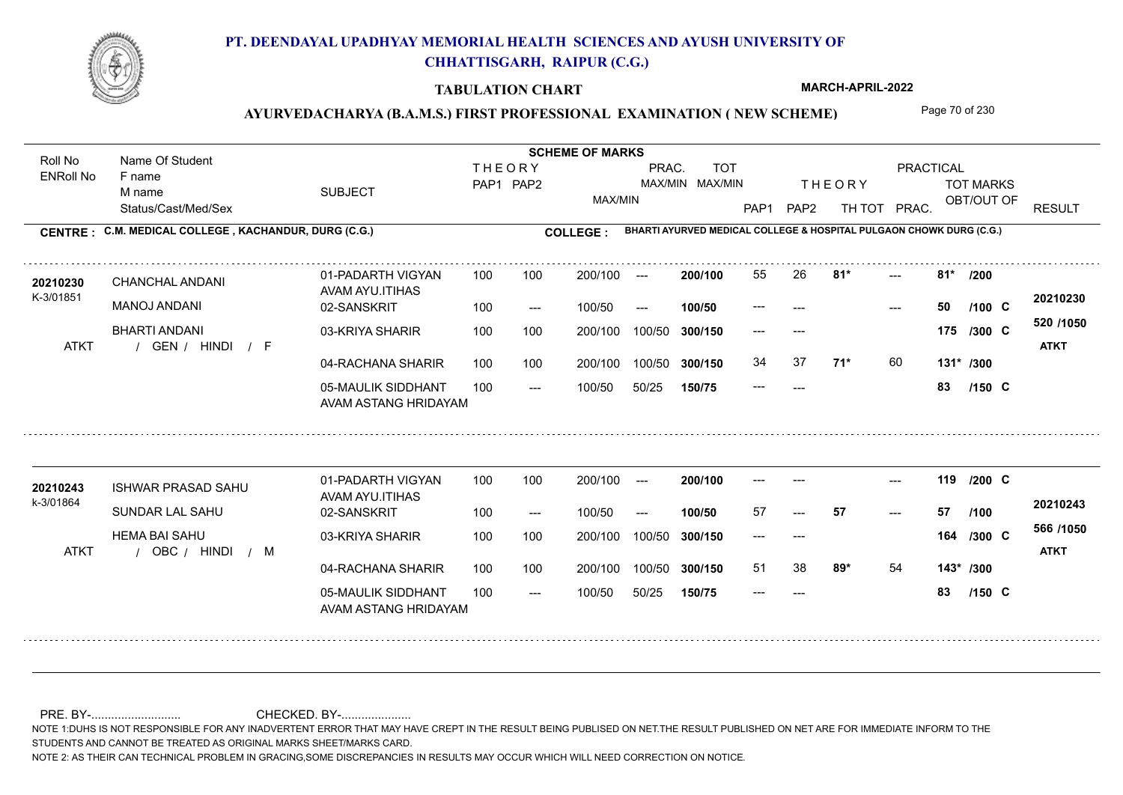

#### **TABULATION CHART**

**MARCH-APRIL-2022**

## AYURVEDACHARYA (B.A.M.S.) FIRST PROFESSIONAL EXAMINATION (NEW SCHEME) Page 70 of 230

Status/Cast/Med/Sex SUBJECT TOT MARKS OBT/OUT OF PRACTICAL THE ORY TOT MARKS PAP1 PAP2 TH TOT PRAC. Roll No Name Of Student ENRoll No **CENTRE : C.M. MEDICAL COLLEGE ; KACHANDUR, DURG (C.G.) COLLEGE : THEORY** PAP1 PAP2 MAX/MIN PRAC. MAX/MIN MAX/MIN TOT RESULT **Name Of Student Contract of Student SCHEME OF MARKS**<br>
THE OR Y **BHARTI AYURVED MEDICAL COLLEGE & HOSPITAL PULGAON CHOWK DURG (C.G.)** F name M name 01-PADARTH VIGYAN AVAM AYU.ITIHAS 05-MAULIK SIDDHANT AVAM ASTANG HRIDAYAM 04-RACHANA SHARIR 100 100 03-KRIYA SHARIR 100 100 / / / ATKT GEN --- ---  $81*$ 02-SANSKRIT 100 --- 100/50 --- 100 100 200/100 100/50 300/150 100/50 50/25 **150/75 300/150** 100/50 100 200/100 ---100/50 **300/150 200/100 100/50** 100 100 200/100 100/50 300/150  $- - 50$  $- -$  100/50 K-3/01851 CHANCHAL ANDANI MANOJ ANDANI BHARTI ANDANI **81\* 81\* /200 71\*** 60 **131\* /300 520 /1050** HINDI F **ATKT 20210230 <sup>20210230</sup>** <sup>55</sup> <sup>26</sup> --- **50 C /100** --- --- **175 C /300** 34 37 **71**\* 60 --- **83 C /150** 01-PADARTH VIGYAN AVAM AYU.ITIHAS 05-MAULIK SIDDHANT 100 AVAM ASTANG HRIDAYAM 04-RACHANA SHARIR 100 100 03-KRIYA SHARIR
100 100 / / / ATKT OBC --- --- --- **119** --- --- **C /200** 02-SANSKRIT 100 --- 100/50 --- 200/100 100/50 **300/150** 100/50 50/25 **150/75 300/150** 100/50 200/100 100 200/100 ---**200/100 100/50** --- 200/100 100/50 200/100 100/50  $- -$  100/50 k-3/01864 ISHWAR PRASAD SAHU **20210243** SUNDAR LAL SAHU HEMA BAI SAHU **89\*** 54 **143\* /300 566 /1050** HINDI M **ATKT 20210243** 57 **57 57** --- --- **164 C /300** 51 38 **89\*** 54 --- **83 C /100 /150**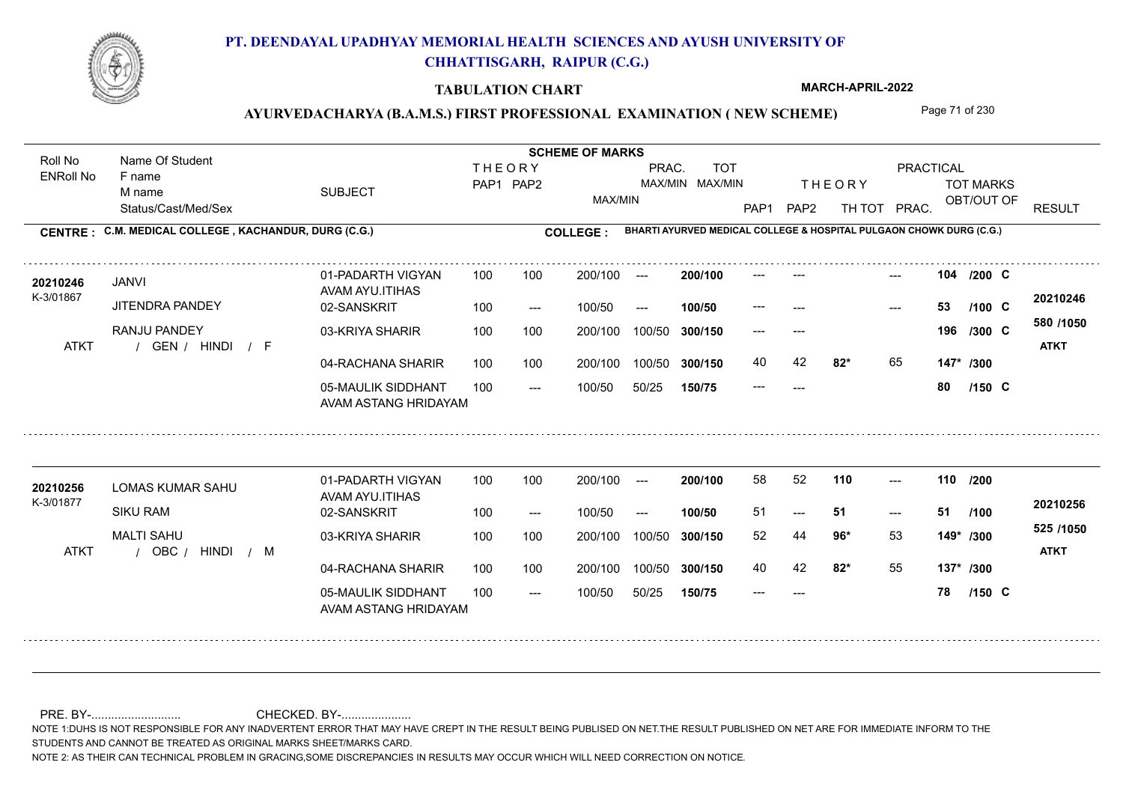

#### **TABULATION CHART**

**MARCH-APRIL-2022**

### AYURVEDACHARYA (B.A.M.S.) FIRST PROFESSIONAL EXAMINATION (NEW SCHEME) Page 71 of 230

Status/Cast/Med/Sex SUBJECT TOT MARKS OBT/OUT OF PRACTICAL THE ORY TOT MARKS PAP1 PAP2 TH TOT PRAC. Roll No Name Of Student ENRoll No **CENTRE : C.M. MEDICAL COLLEGE ; KACHANDUR, DURG (C.G.) COLLEGE : THEORY** PAP1 PAP2 MAX/MIN PRAC. MAX/MIN MAX/MIN TOT RESULT **Name Of Student Contract of Student SCHEME OF MARKS**<br>
THE OR Y **BHARTI AYURVED MEDICAL COLLEGE & HOSPITAL PULGAON CHOWK DURG (C.G.)** F name M name 01-PADARTH VIGYAN AVAM AYU.ITIHAS 05-MAULIK SIDDHANT AVAM ASTANG HRIDAYAM 04-RACHANA SHARIR 100 100 03-KRIYA SHARIR 100 100 / / / ATKT GEN --- --- --- **104** --- --- **C /200** 02-SANSKRIT  $100/50$ 100 100 200/100 100/50 300/150 100/50 50/25 **150/75 300/150** 100/50 100 200/100 ---100/50 --- **100/50** 100/50 **300/150 200/100** 100 100 200/100 100/50 300/150  $-$  53  $- -$  100/50 K-3/01867 JANVI JITENDRA PANDEY RANJU PANDEY **82\*** 65 **147\* /300 580 /1050** HINDI F **ATKT 20210246 20210246** --- **53 C /100** --- --- **196 C /300** 40 42 **82**\* 65 --- **80 C /150** 01-PADARTH VIGYAN AVAM AYU.ITIHAS 05-MAULIK SIDDHANT 100 AVAM ASTANG HRIDAYAM 04-RACHANA SHARIR 100 100 03-KRIYA SHARIR
100 100 / / / ATKT OBC ---  $-51$ --- **110 110 /200** 02-SANSKRIT 100 --- 100/50 --- 200/100 100/50 **300/150** 100/50 50/25 **150/75 300/150** 100/50 200/100 100 200/100 ---**200/100 100/50** --- 200/100 100/50 200/100 100/50  $- -$  100/50 K-3/01877 LOMAS KUMAR SAHU SIKU RAM MAI TI SAHU **96\*** 53 52 44 **149\* /300 82\*** 55 **137\* /300 525 /1050** HINDI M **ATKT 20210256** 20210256 LOMAS KUMAR SAHU 01-PADARTH VIGYAN 100 100 200/100 --- **200/100** 58 52 **110** ---51 **51 51** 40 42 **82\*** 55 --- **78 C /100 /150**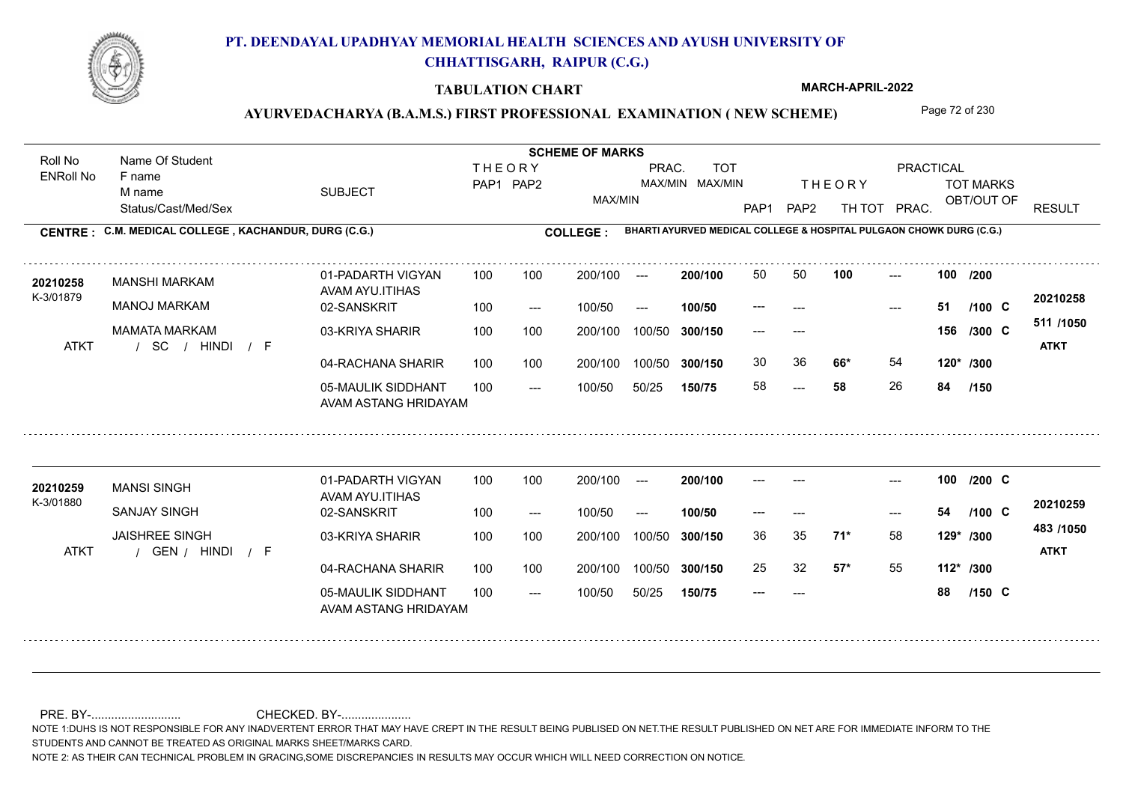

#### **TABULATION CHART**

**MARCH-APRIL-2022**

## AYURVEDACHARYA (B.A.M.S.) FIRST PROFESSIONAL EXAMINATION (NEW SCHEME) Page 72 of 230

Status/Cast/Med/Sex SUBJECT TOT MARKS OBT/OUT OF PRACTICAL THE ORY TOT MARKS PAP1 PAP2 TH TOT PRAC. Roll No Name Of Student ENRoll No **CENTRE : C.M. MEDICAL COLLEGE ; KACHANDUR, DURG (C.G.) COLLEGE : THEORY** PAP1 PAP2 MAX/MIN PRAC. MAX/MIN MAX/MIN TOT RESULT **Name Of Student Contract of Student SCHEME OF MARKS**<br>
THE OR Y **BHARTI AYURVED MEDICAL COLLEGE & HOSPITAL PULGAON CHOWK DURG (C.G.)** F name M name 01-PADARTH VIGYAN AVAM AYU.ITIHAS 05-MAULIK SIDDHANT AVAM ASTANG HRIDAYAM 04-RACHANA SHARIR 100 100 03-KRIYA SHARIR MAMATA MARKAM / / / ATKT SC 58 --- --- **100 100 /200** 02-SANSKRIT 100 --- 100/50 --- 200/100 100/50 **300/150** 100/50 50/25 **150/75 300/150** 100/50 100 200/100 ---**200/100 100/50** 100 100 200/100 100/50 300/150  $- - 51$ 200/100 100/50  $- -$  100/50 K-3/01879 MANSHI MARKAM MANOJ MARKAM **66\*** 54 **120\* /300 511 /1050** HINDI F **ATKT 20210258 <sup>20210258</sup>** <sup>50</sup> <sup>50</sup> --- **51 C /100** --- --- **156 C /300** 30 36 **66\*** 54 58 **58** 26 **84 /150** 01-PADARTH VIGYAN AVAM AYU.ITIHAS 05-MAULIK SIDDHANT 100 AVAM ASTANG HRIDAYAM 04-RACHANA SHARIR 100 100 03-KRIYA SHARIR
100 100 / / / ATKT GEN --- --- --- **100** --- --- **C /200** 02-SANSKRIT 100 --- 100/50 --- 200/100 100/50 **300/150** 100/50 50/25 **150/75 300/150** 100/50 200/100 100 200/100 ---**200/100 100/50** --- 200/100 100/50 200/100 100/50  $- -$  100/50 K-3/01880 MANSI SINGH **20210259** SANJAY SINGH JAISHREE SINGH **71\*** 58 36 35 **129\* /300 57\*** 55 **112\* /300 483 /1050** HINDI F **ATKT 20210259** --- **54 C** 25 32 **57\*** 55 --- **88 C /100 /150**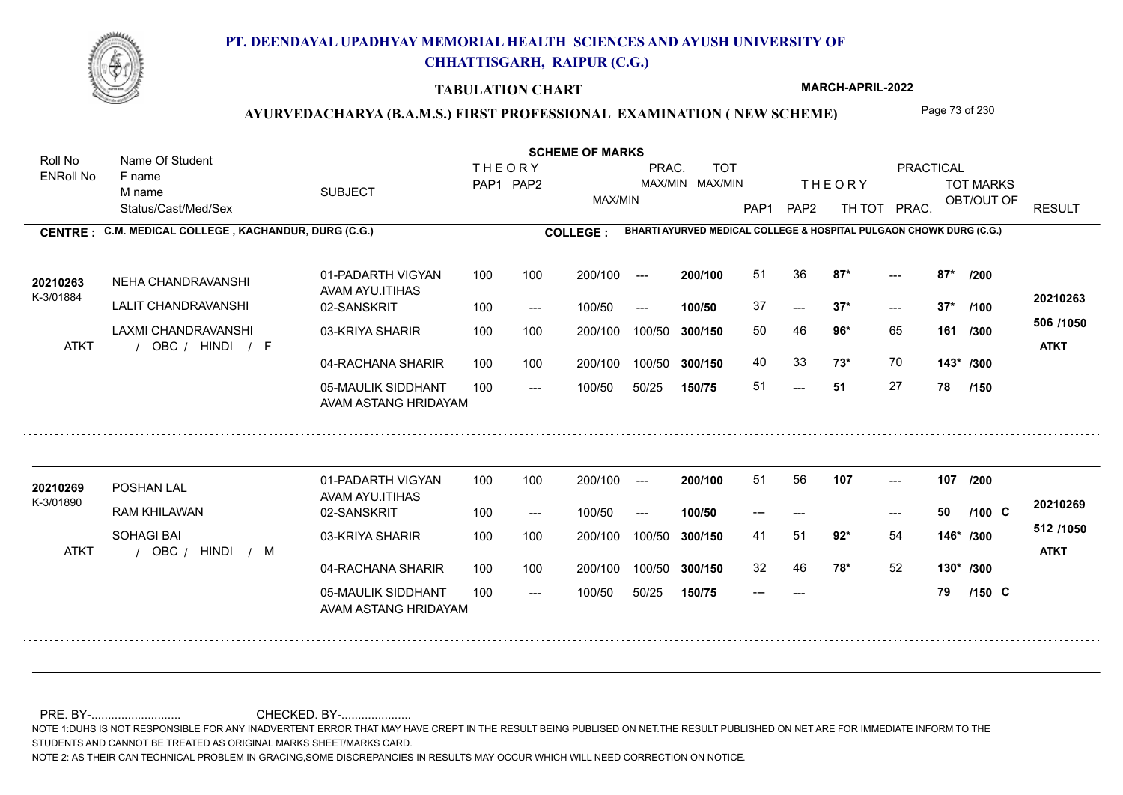

### **TABULATION CHART**

**MARCH-APRIL-2022**

### AYURVEDACHARYA (B.A.M.S.) FIRST PROFESSIONAL EXAMINATION (NEW SCHEME) Page 73 of 230

Status/Cast/Med/Sex SUBJECT TOT MARKS OBT/OUT OF PRACTICAL THE ORY TOT MARKS PAP1 PAP2 TH TOT PRAC. Roll No Name Of Student ENRoll No **CENTRE : C.M. MEDICAL COLLEGE ; KACHANDUR, DURG (C.G.) <b>COLLEGE : THEORY** PAP1 PAP2 MAX/MIN PRAC. MAX/MIN MAX/MIN TOT RESULT **Name Of Student Contract of Student Act of Student SCHEME OF MARKS BHARTI AYURVED MEDICAL COLLEGE & HOSPITAL PULGAON CHOWK DURG (C.G.)** F name M name 01-PADARTH VIGYAN AVAM AYU.ITIHAS 05-MAULIK SIDDHANT AVAM ASTANG HRIDAYAM 04-RACHANA SHARIR 100 100 03-KRIYA SHARIR 100 100 / / / ATKT OBC ---  $- - 37*$  $-2$  87\* 02-SANSKRIT 100 --- 100/50 --- 100 100 200/100 100/50 300/150 100/50 50/25 **150/75 300/150** 100/50 100 200/100 ---100/50 **300/150 200/100 100/50** 100 100 200/100 100/50 300/150  $- - 37*$  $- -$  100/50 K-3/01884 NEHA CHANDRAVANSHI LALIT CHANDRAVANSHI LAXMI CHANDRAVANSHI **87\* 87\* /200 96\*** 65 50 46 **161 /300 73\*** 70 **143\* /300 506 /1050** HINDI F **ATKT 20210263** 20210263 NEHA CHANDRAVANSHI 01-PADARTH VIGYAN 100 100 200/100 --- 200/100 51 36 87\* ---37 **37\* 37\*** 40 33 **73\*** 70 51 **51** 27 **78 /100 /150** 01-PADARTH VIGYAN AVAM AYU.ITIHAS 05-MAULIK SIDDHANT 100 AVAM ASTANG HRIDAYAM 04-RACHANA SHARIR 100 100 03-KRIYA SHARIR / / ATKT OBC --- --- --- **107 107 /200** 02-SANSKRIT / 100 --- 100/50 --- 200/100 100/50 **300/150** 100/50 50/25 **150/75 300/150** 100/50 200/100 100 200/100 ---**200/100 100/50** --- 200/100 100/50 200/100 100/50  $- -$  100/50 K-3/01890 POSHAN LAL RAM KHILAWAN SOHAGI BAI **92\*** 54 41 51 **146\* /300 78\*** 52 **130\* /300 512 /1050** HINDI M **ATKT 20210269 <sup>20210269</sup>** <sup>51</sup> <sup>56</sup> --- **50 C /100** 32 46 **78\*** 52 --- **79 C /150**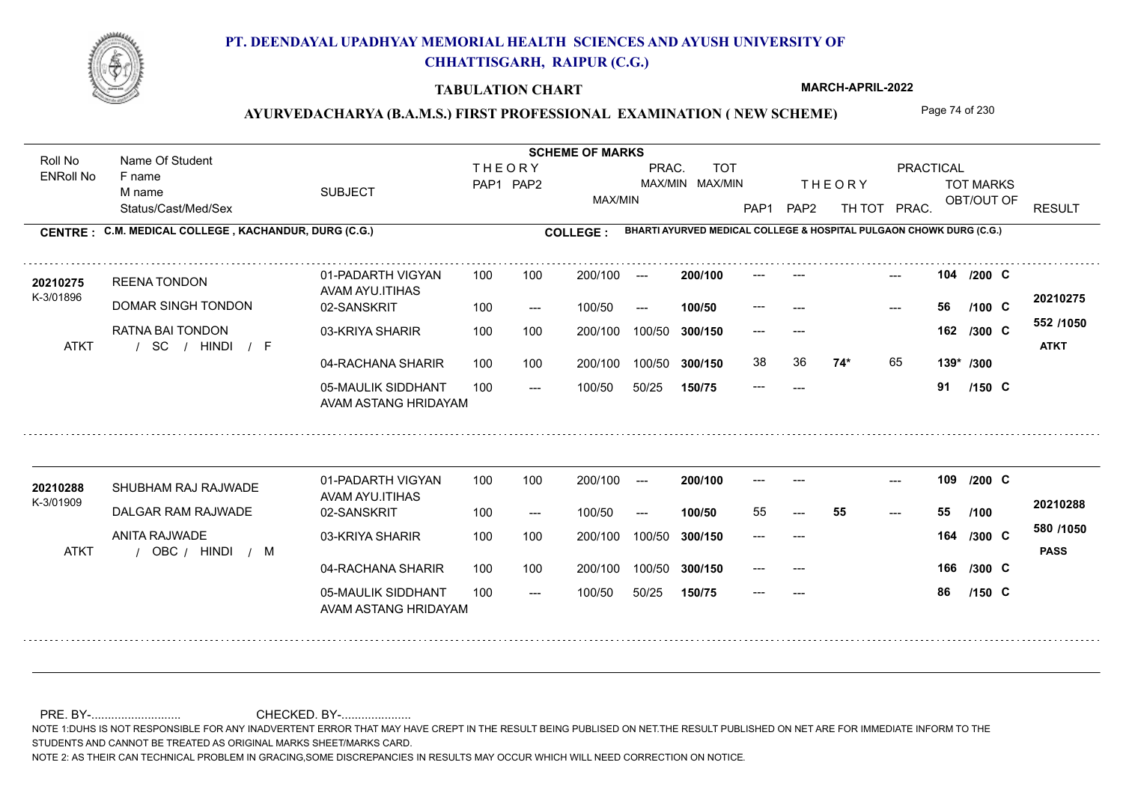

### **TABULATION CHART**

**MARCH-APRIL-2022**

### AYURVEDACHARYA (B.A.M.S.) FIRST PROFESSIONAL EXAMINATION (NEW SCHEME) Page 74 of 230

Status/Cast/Med/Sex SUBJECT TOT MARKS OBT/OUT OF PRACTICAL THE ORY TOT MARKS PAP1 PAP2 TH TOT PRAC. Roll No Name Of Student ENRoll No **CENTRE : C.M. MEDICAL COLLEGE ; KACHANDUR, DURG (C.G.) <b>COLLEGE : THEORY** PAP1 PAP2 MAX/MIN PRAC. MAX/MIN MAX/MIN TOT RESULT **Name Of Student Contract of Student Act of Student SCHEME OF MARKS BHARTI AYURVED MEDICAL COLLEGE & HOSPITAL PULGAON CHOWK DURG (C.G.)** F name M name 01-PADARTH VIGYAN AVAM AYU.ITIHAS 05-MAULIK SIDDHANT AVAM ASTANG HRIDAYAM 04-RACHANA SHARIR 100 100 03-KRIYA SHARIR 100 100 / / / ATKT SC --- --- --- **104** --- --- **C /200** 02-SANSKRIT  $100/50$ 100 100 200/100 100/50 300/150 100/50 50/25 **150/75 300/150** 100/50 100 200/100 ---100/50 --- **100/50** 100/50 **300/150 200/100** 100 100 200/100 100/50 300/150  $- - 56$  $- -$  100/50 K-3/01896 REENA TONDON **20210275** DOMAR SINGH TONDON RATNA BAI TONDON **74\*** 65 **139\* /300 552 /1050** HINDI F **ATKT 20210275** --- **56 C /100** --- --- **162 C /300** 38 36 **74\*** 65 --- **91 C /150** 01-PADARTH VIGYAN AVAM AYU.ITIHAS 05-MAULIK SIDDHANT 100 AVAM ASTANG HRIDAYAM 04-RACHANA SHARIR 100 100 03-KRIYA SHARIR / / / ATKT OBC --- --- --- **109** --- --- **C /200** 02-SANSKRIT 100 --- 100/50 --- 200/100 100/50 **300/150** 100/50 50/25 **150/75 300/150** 100/50 200/100 100 200/100 ---**200/100 100/50** --- 200/100 100/50 200/100 100/50  $- -$  100/50 K-3/01909 SHUBHAM RAJ RAJWADE **20210288** DALGAR RAM RAJWADE ANITA RAJWADE --- --- 166 /300 C **580 /1050** HINDI M **PASS 20210288** 55 **55 55** --- --- **164 C /300** --- **86 C /100 /150**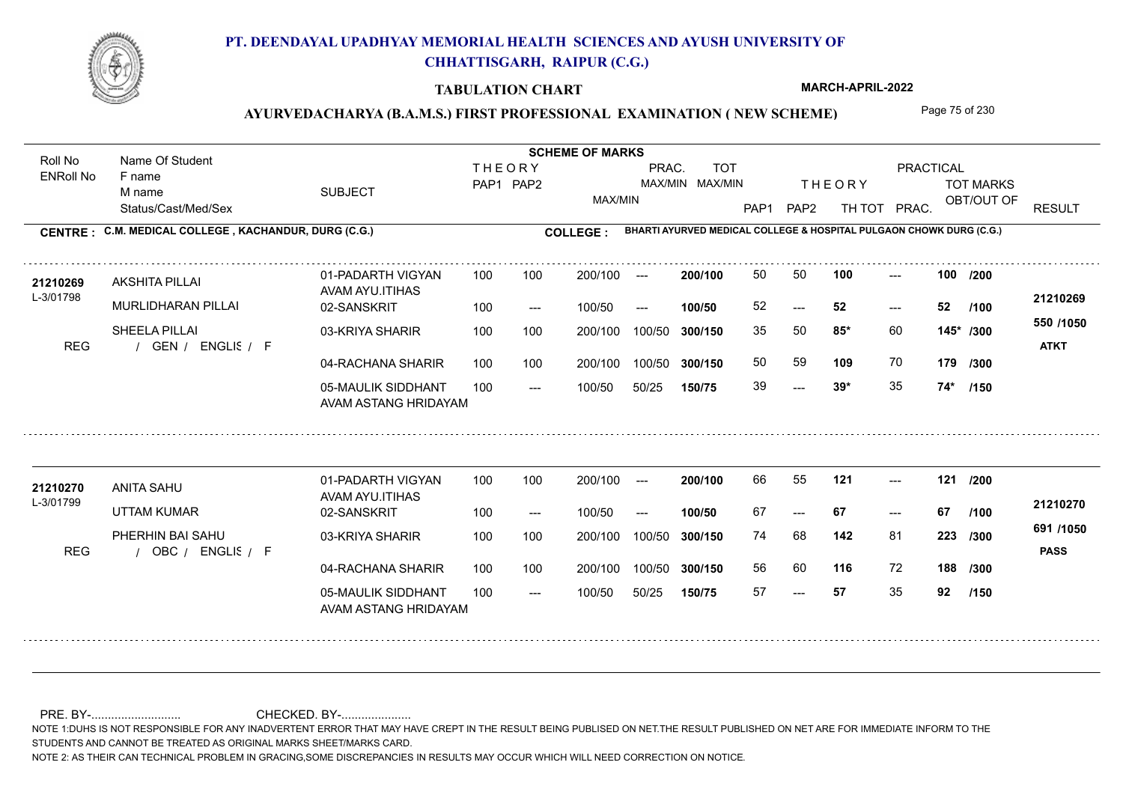

### **TABULATION CHART**

**MARCH-APRIL-2022**

### AYURVEDACHARYA (B.A.M.S.) FIRST PROFESSIONAL EXAMINATION (NEW SCHEME) Page 75 of 230

Status/Cast/Med/Sex SUBJECT TOT MARKS OBT/OUT OF PRACTICAL THE ORY TOT MARKS PAP1 PAP2 TH TOT PRAC. Roll No Name Of Student ENRoll No **CENTRE : C.M. MEDICAL COLLEGE ; KACHANDUR, DURG (C.G.) <b>COLLEGE : THEORY** PAP1 PAP2 MAX/MIN PRAC. MAX/MIN MAX/MIN TOT RESULT **Name Of Student Contract of Student Act of Student SCHEME OF MARKS BHARTI AYURVED MEDICAL COLLEGE & HOSPITAL PULGAON CHOWK DURG (C.G.)** F name M name 01-PADARTH VIGYAN AVAM AYU.ITIHAS 05-MAULIK SIDDHANT AVAM ASTANG HRIDAYAM 04-RACHANA SHARIR 100 100 03-KRIYA SHARIR 100 100 REG / GEN / ENGLIS / F  $-2.39*$ --- --- **100 100 /200** 02-SANSKRIT 100 --- 100/50 --- 100 100 200/100 100/50 300/150 100/50 50/25 **150/75 300/150** 100/50 100 200/100 ---100/50 **300/150 200/100 100/50** 100 100 200/100 100/50 300/150  $- - 52$  $- -$  100/50 L-3/01798 **AKSHITA PILLAI** MURLIDHARAN PILLAI SHEELA PILLAI **85\*** 60 35 50 **145\* /300 109** 70 **179 /300 550 /1050** ENGLISH F **ATKT 21210269 <sup>21210269</sup>** <sup>50</sup> <sup>50</sup> 52 **52 52** 50 59 **109** 70 39 **39\*** 35 **74\* /100 /150** 01-PADARTH VIGYAN AVAM AYU.ITIHAS 05-MAULIK SIDDHANT 100 AVAM ASTANG HRIDAYAM 04-RACHANA SHARIR 100 100 03-KRIYA SHARIR REG / OBC / ENGLIS / F --- --- --- **121 121 /200** 02-SANSKRIT 100 --- 100/50 --- 200/100 100/50 **300/150** 100/50 50/25 **150/75 300/150** 100/50 200/100 100 200/100 ---**200/100 100/50** --- 200/100 100/50 200/100 100/50  $- -$  100/50 L-3/01799 ANITA SAHU UTTAM KUMAR PHERHIN BAI SAHU **142** 81 **/300 116** 72 **188 /300 691 /1050** ENGLISH F **PASS 21210270 <sup>21210270</sup>** <sup>66</sup> <sup>55</sup> 67 **67 67** 74 68 **223** 56 60 57 **57** 35 **92 /100 /150**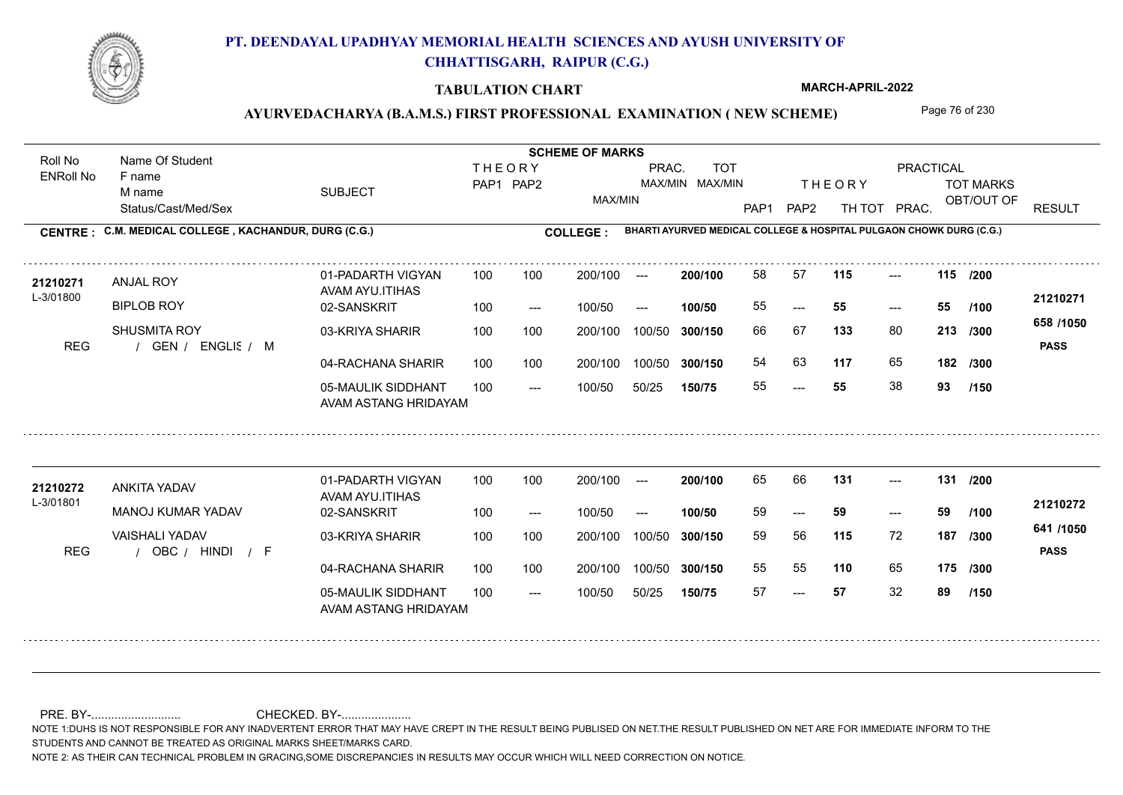

### **TABULATION CHART**

**MARCH-APRIL-2022**

# AYURVEDACHARYA (B.A.M.S.) FIRST PROFESSIONAL EXAMINATION (NEW SCHEME) Page 76 of 230

Status/Cast/Med/Sex SUBJECT TOT MARKS OBT/OUT OF PRACTICAL THE ORY TOT MARKS PAP1 PAP2 TH TOT PRAC. Roll No Name Of Student ENRoll No **CENTRE : C.M. MEDICAL COLLEGE ; KACHANDUR, DURG (C.G.) <b>COLLEGE : THEORY** PAP1 PAP2 MAX/MIN PRAC. MAX/MIN MAX/MIN TOT RESULT **Name Of Student Contract of Student Act of Student SCHEME OF MARKS BHARTI AYURVED MEDICAL COLLEGE & HOSPITAL PULGAON CHOWK DURG (C.G.)** F name M name 01-PADARTH VIGYAN AVAM AYU.ITIHAS 05-MAULIK SIDDHANT AVAM ASTANG HRIDAYAM 04-RACHANA SHARIR 100 100 03-KRIYA SHARIR 100 100 REG / GEN / ENGLIS / M --- --- --- **115 115 /200** 02-SANSKRIT 100 --- 100/50 --- 100 100 200/100 100/50 300/150 100/50 50/25 **150/75 300/150** 100/50 100 200/100 ---100/50 **300/150 200/100 100/50** 100 100 200/100 100/50 300/150  $- - 55$  $- -$  100/50 L-3/01800 ANJAL ROY **BIPLOB ROY** SHUSMITA ROY **133** 80 66 67 **213 /300 117** 65 **182 658 /1050** ENGLISH M **PASS 21210271 <sup>21210271</sup>** <sup>58</sup> <sup>57</sup> 55 **55 55** 54 63 **117** 65 55 **55** 38 **93 /100 /300 /150** 01-PADARTH VIGYAN AVAM AYU.ITIHAS 05-MAULIK SIDDHANT 100 AVAM ASTANG HRIDAYAM 04-RACHANA SHARIR 100 100 03-KRIYA SHARIR REG / OBC / HINDI / F --- --- --- **131 131 /200** 02-SANSKRIT 100 --- 100/50 --- 200/100 100/50 **300/150** 100/50 50/25 **150/75 300/150** 100/50 200/100 100 200/100 ---**200/100 100/50** --- 200/100 100/50 200/100 100/50  $- -$  100/50 L-3/01801 ANKITA YADAV MANOJ KUMAR YADAV VAISHALI YADAV **115** 72 **/300 110** 65 **175 /300 641 /1050** HINDI F **PASS 21210272** 21210272 ANKITA YADAV 01-PADARTH VIGYAN 100 100 200/100 --- **200/100** 65 66 **131** ---59 **59 59** 59 56 **187** 55 55 57 **57** 32 **89 /100 /150**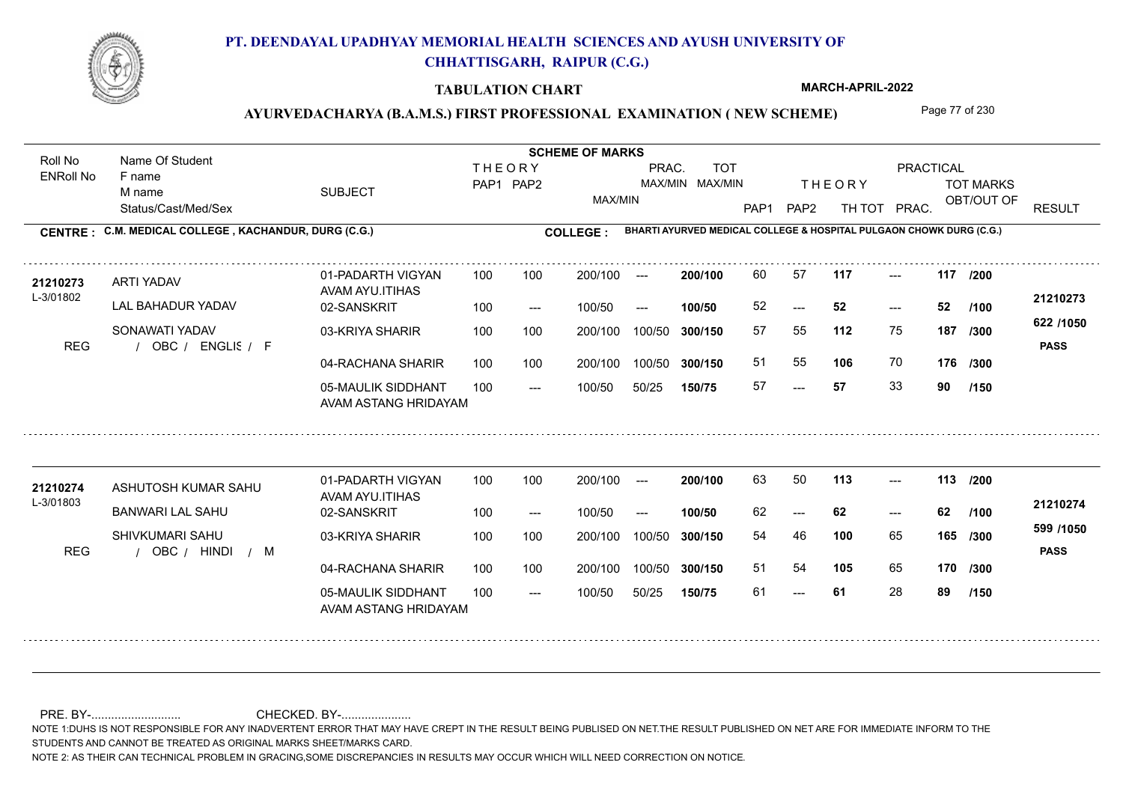

### **TABULATION CHART**

**MARCH-APRIL-2022**

### AYURVEDACHARYA (B.A.M.S.) FIRST PROFESSIONAL EXAMINATION (NEW SCHEME) Page 77 of 230

Status/Cast/Med/Sex SUBJECT TOT MARKS OBT/OUT OF PRACTICAL THE ORY TOT MARKS PAP1 PAP2 TH TOT PRAC. Roll No Name Of Student ENRoll No **CENTRE : C.M. MEDICAL COLLEGE ; KACHANDUR, DURG (C.G.) <b>COLLEGE : THEORY** PAP1 PAP2 MAX/MIN PRAC. MAX/MIN MAX/MIN TOT RESULT **Name Of Student Contract of Student Act of Student SCHEME OF MARKS BHARTI AYURVED MEDICAL COLLEGE & HOSPITAL PULGAON CHOWK DURG (C.G.)** F name M name 01-PADARTH VIGYAN AVAM AYU.ITIHAS 05-MAULIK SIDDHANT AVAM ASTANG HRIDAYAM 04-RACHANA SHARIR 100 100 03-KRIYA SHARIR 100 100 REG / OBC / ENGLIS / F --- --- --- **117 117 /200** 02-SANSKRIT 100 --- 100/50 --- 100 100 200/100 100/50 300/150 100/50 50/25 **150/75 300/150** 100/50 100 200/100 ---100/50 **300/150 200/100 100/50** 100 100 200/100 100/50 300/150  $- - 52$  $- -$  100/50 L-3/01802 ARTI YADAV LAL BAHADUR YADAV SONAWATI YADAV **112** 75 57 55 **187 /300 106** 70 **176 622 /1050** ENGLISH F **PASS 21210273 <sup>21210273</sup>** <sup>60</sup> <sup>57</sup> 52 **52 52** 51 55 **106** 70 57 **57** 33 **90 /100 /300 /150** 01-PADARTH VIGYAN AVAM AYU.ITIHAS 05-MAULIK SIDDHANT 100 AVAM ASTANG HRIDAYAM 04-RACHANA SHARIR 100 100 03-KRIYA SHARIR REG / OBC / HINDI / M --- --- --- **113 113 /200** 02-SANSKRIT 100 --- 100/50 --- 200/100 100/50 **300/150** 100/50 50/25 **150/75 300/150** 100/50 200/100 100 200/100 ---**200/100 100/50** --- 200/100 100/50 200/100 100/50  $- -$  100/50 L-3/01803 ASHUTOSH KUMAR SAHU BANWARI LAL SAHU SHIVKUMARI SAHU **100** 65 54 46 **165 /300 105** 65 **170 /300 599 /1050** HINDI M **PASS 21210274** 21**210274** ASHUTOSH KUMAR SAHU 01-PADARTH VIGYAN 100 100 200/100 --- **200/100** 63 50 **113** ---62 **62 62** 51 54 61 **61** 28 **89 /100 /150**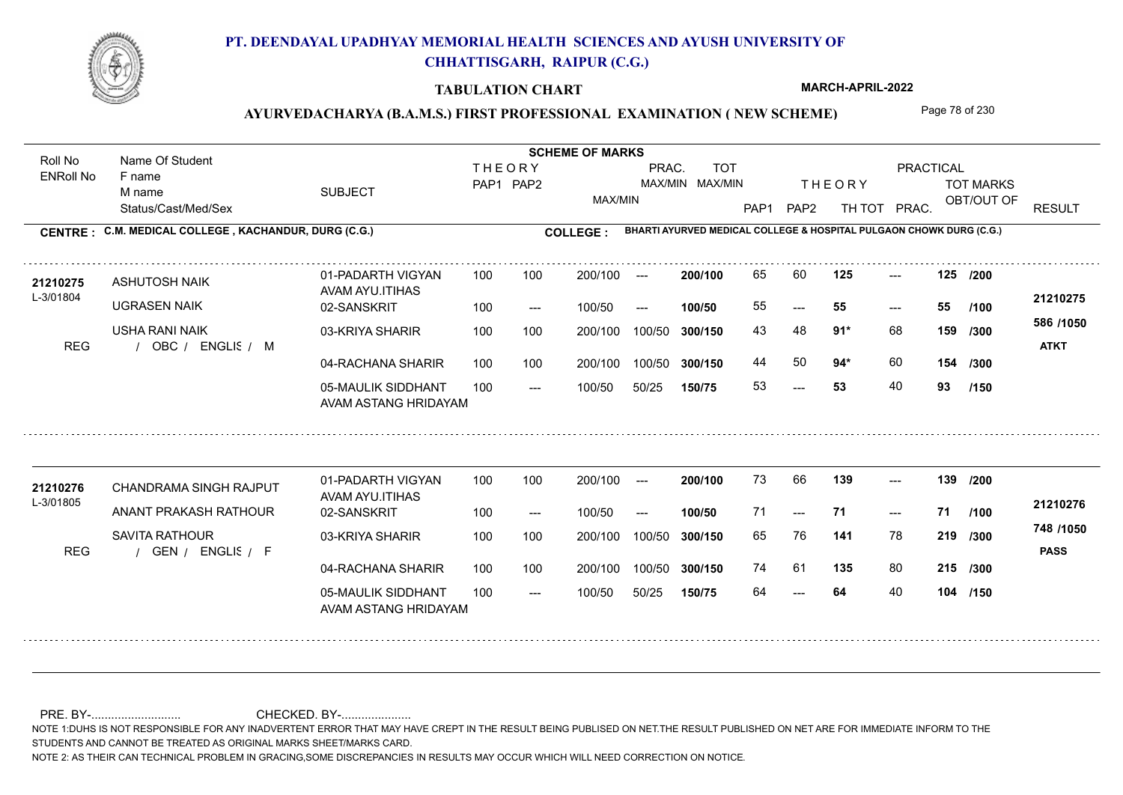

### **TABULATION CHART**

**MARCH-APRIL-2022**

### AYURVEDACHARYA (B.A.M.S.) FIRST PROFESSIONAL EXAMINATION (NEW SCHEME) Page 78 of 230

Status/Cast/Med/Sex SUBJECT TOT MARKS OBT/OUT OF PRACTICAL THE ORY TOT MARKS PAP1 PAP2 TH TOT PRAC. Roll No Name Of Student ENRoll No **CENTRE : C.M. MEDICAL COLLEGE ; KACHANDUR, DURG (C.G.) <b>COLLEGE : THEORY** PAP1 PAP2 MAX/MIN PRAC. MAX/MIN MAX/MIN TOT RESULT **Name Of Student Contract of Student Act of Student SCHEME OF MARKS BHARTI AYURVED MEDICAL COLLEGE & HOSPITAL PULGAON CHOWK DURG (C.G.)** F name M name 01-PADARTH VIGYAN AVAM AYU.ITIHAS 05-MAULIK SIDDHANT AVAM ASTANG HRIDAYAM 04-RACHANA SHARIR 100 100 03-KRIYA SHARIR 100 100 REG / OBC / ENGLIS / M --- --- --- **125 125 /200** 02-SANSKRIT 100 --- 100/50 --- 100 100 200/100 100/50 300/150 100/50 50/25 **150/75 300/150** 100/50 100 200/100 ---100/50 **300/150 200/100 100/50** 100 100 200/100 100/50 300/150  $- - 55$  $- -$  100/50 L-3/01804 ASHUTOSH NAIK UGRASEN NAIK USHA RANI NAIK **91\*** 68 **/300 94\*** 60 **154 586 /1050** ENGLISH M **ATKT 21210275** 21**210275** ASHUTOSH NAIK 01-PADARTH VIGYAN 100 100 200/100 --- **200/100** 65 60 **125** ---55 **55 55** 43 48 **159** 44 50 **94**\* 60 53 **53** 40 **93 /100 /300 /150** 01-PADARTH VIGYAN AVAM AYU.ITIHAS 05-MAULIK SIDDHANT 100 AVAM ASTANG HRIDAYAM 04-RACHANA SHARIR 100 100 03-KRIYA SHARIR REG / GEN / ENGLIS / F 64 --- --- **139 139 /200** 02-SANSKRIT 100 --- 100/50 --- 200/100 100/50 **300/150** 100/50 50/25 **150/75 300/150** 100/50 200/100 100 200/100 ---**200/100 100/50** --- 200/100 100/50 200/100 100/50  $- -$  100/50 L-3/01805 CHANDRAMA SINGH RAJPUT ANANT PRAKASH RATHOUR SAVITA RATHOUR **141** 78 65 76 **219 /300 135** 80 **215 /300 748 /1050** ENGLISH F **PASS 21210276** 21210276 CHANDRAMA SINGH RAJPUT 01-PADARTH VIGYAN 100 100 200/100 --- **200/100 73 66 139** ---71 **71 71** 74 61 135 80 64 **64** 40 **104 /150 /100**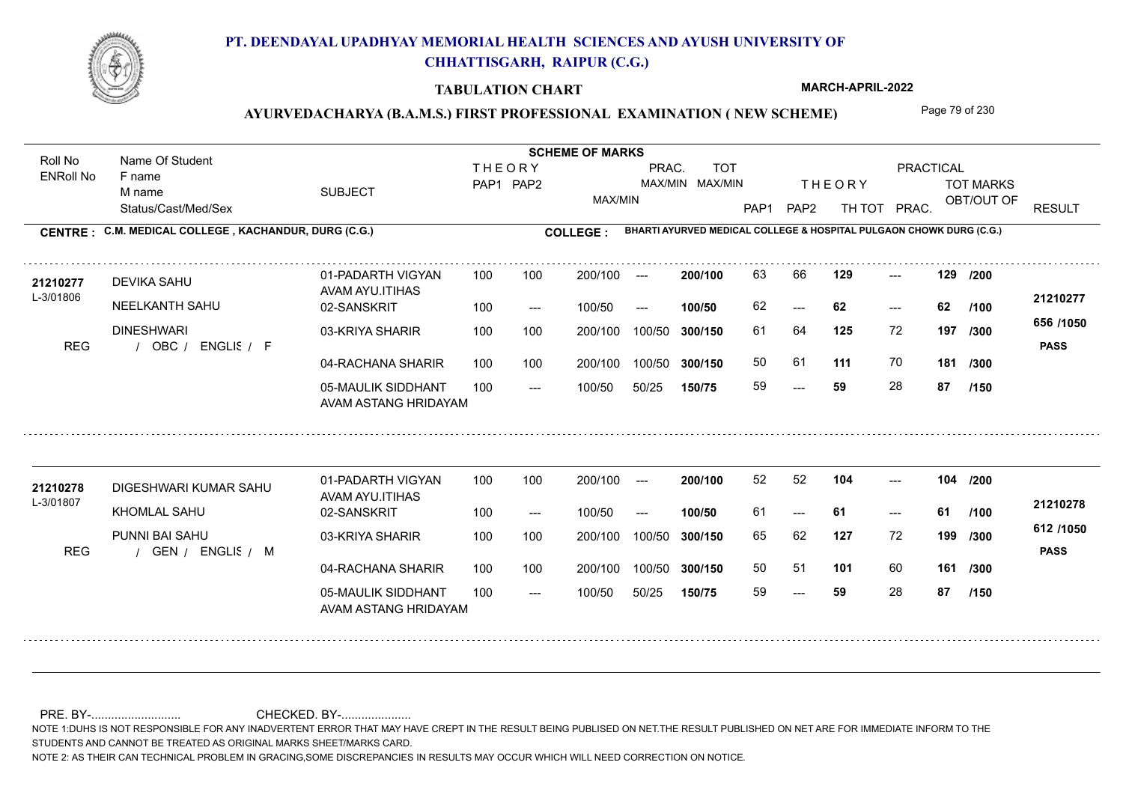

### **TABULATION CHART**

**MARCH-APRIL-2022**

### AYURVEDACHARYA (B.A.M.S.) FIRST PROFESSIONAL EXAMINATION (NEW SCHEME) Page 79 of 230

Status/Cast/Med/Sex SUBJECT TOT MARKS OBT/OUT OF PRACTICAL THE ORY TOT MARKS PAP1 PAP2 TH TOT PRAC. Roll No Name Of Student ENRoll No **CENTRE : C.M. MEDICAL COLLEGE ; KACHANDUR, DURG (C.G.) <b>COLLEGE : THEORY** PAP1 PAP2 MAX/MIN PRAC. MAX/MIN MAX/MIN TOT RESULT **Name Of Student Contract of Student Act of Student SCHEME OF MARKS BHARTI AYURVED MEDICAL COLLEGE & HOSPITAL PULGAON CHOWK DURG (C.G.)** F name M name 01-PADARTH VIGYAN AVAM AYU.ITIHAS 05-MAULIK SIDDHANT AVAM ASTANG HRIDAYAM 04-RACHANA SHARIR 100 100 03-KRIYA SHARIR 100 100 REG / OBC / ENGLIS / F --- --- --- **129 129 /200** 02-SANSKRIT 100 --- 100/50 --- 100 100 200/100 100/50 300/150 100/50 50/25 **150/75 300/150** 100/50 100 200/100 ---100/50 **300/150 200/100 100/50** 100 100 200/100 100/50 300/150  $- - 62$  $- -$  100/50 L-3/01806 DEVIKA SAHU NEELKANTH SAHU DINESHWARI **125** 72 61 64 **197 /300 111** 70 **181 656 /1050** ENGLISH F **PASS 21210277 <sup>21210277</sup>** <sup>63</sup> <sup>66</sup> 62 **62 62** 50 61 59 **59** 28 **87 /100 /300 /150** 01-PADARTH VIGYAN AVAM AYU.ITIHAS 05-MAULIK SIDDHANT 100 AVAM ASTANG HRIDAYAM 04-RACHANA SHARIR 100 100 03-KRIYA SHARIR REG / GEN / ENGLIS / M --- --- --- **104 104 /200** 02-SANSKRIT 100 --- 100/50 --- 200/100 100/50 **300/150** 100/50 50/25 **150/75 300/150** 100/50 200/100 100 200/100 ---**200/100 100/50** --- 200/100 100/50 200/100 100/50  $- -$  100/50 L-3/01807 DIGESHWARI KUMAR SAHU KHOMLAL SAHU PUNNI BAI SAHU **127** 72 **/300 101** 60 **161 /300 612 /1050** ENGLISH M **PASS 21210278 <sup>21210278</sup>** <sup>52</sup> <sup>52</sup> 61 **61 61** 65 62 **199** 50 51 59 **59** 28 **87 /100 /150**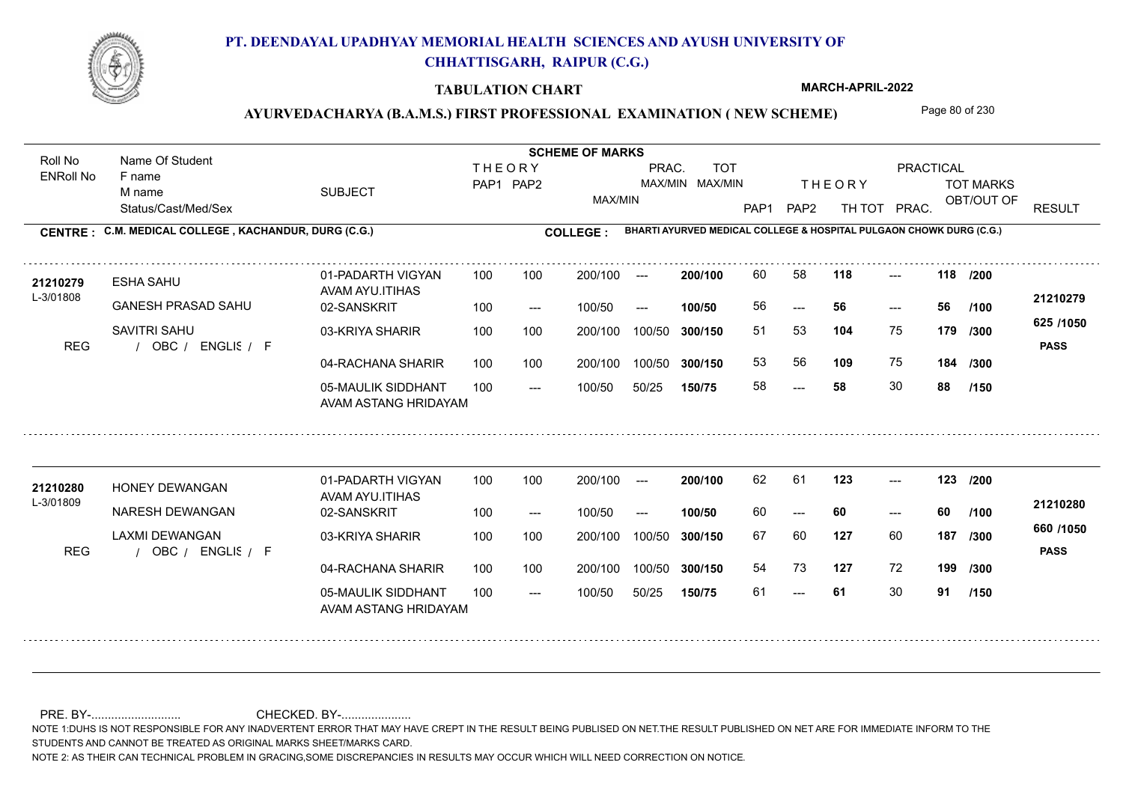

### **TABULATION CHART**

**MARCH-APRIL-2022**

### AYURVEDACHARYA (B.A.M.S.) FIRST PROFESSIONAL EXAMINATION (NEW SCHEME) Page 80 of 230

Status/Cast/Med/Sex SUBJECT TOT MARKS OBT/OUT OF PRACTICAL THE ORY TOT MARKS PAP1 PAP2 TH TOT PRAC. Roll No Name Of Student ENRoll No **CENTRE : C.M. MEDICAL COLLEGE ; KACHANDUR, DURG (C.G.) <b>COLLEGE : THEORY** PAP1 PAP2 MAX/MIN PRAC. MAX/MIN MAX/MIN TOT RESULT **Name Of Student Contract of Student Act of Student SCHEME OF MARKS BHARTI AYURVED MEDICAL COLLEGE & HOSPITAL PULGAON CHOWK DURG (C.G.)** F name M name 01-PADARTH VIGYAN AVAM AYU.ITIHAS 05-MAULIK SIDDHANT AVAM ASTANG HRIDAYAM 04-RACHANA SHARIR 100 100 03-KRIYA SHARIR 100 100 REG / OBC / ENGLIS / F --- --- --- **118 118 /200** 02-SANSKRIT 100 --- 100/50 --- 100 100 200/100 100/50 300/150 100/50 50/25 **150/75 300/150** 100/50 100 200/100 ---100/50 **300/150 200/100 100/50** 100 100 200/100 100/50 300/150  $- - 56$  $- -$  100/50 L-3/01808 ESHA SAHU GANESH PRASAD SAHU SAVITRI SAHU **104** 75 51 53 **179 /300 109** 75 **184 625 /1050** ENGLISH F **PASS 21210279** 21**210279** ESHA SAHU 01-PADARTH VIGYAN 100 100 200/100 --- **200/100** 60 58 118 ---56 **56 56** 53 56 **109** 75 58 **58** 30 **88 /100 /300 /150** 01-PADARTH VIGYAN AVAM AYU.ITIHAS 05-MAULIK SIDDHANT 100 AVAM ASTANG HRIDAYAM 04-RACHANA SHARIR 100 100 03-KRIYA SHARIR
100 100 REG / OBC / ENGLIS / F --- --- --- **123 123 /200** 02-SANSKRIT 100 --- 100/50 --- 200/100 100/50 **300/150** 100/50 50/25 **150/75 300/150** 100/50 200/100 100 200/100 ---**200/100 100/50** --- 200/100 100/50 200/100 100/50  $- -$  100/50 L-3/01809 HONEY DEWANGAN NARESH DEWANGAN LAXMI DEWANGAN **127** 60 **187** /300 **<sup>coo</sup>** /1000 **127** 72 **199 /300 660 /1050** ENGLISH F **PASS 21210280 <sup>21210280</sup>** <sup>62</sup> <sup>61</sup> 60 **60 60** 67 60 **187** 54 73 **127** 72 61 **61** 30 **91 /100 /150**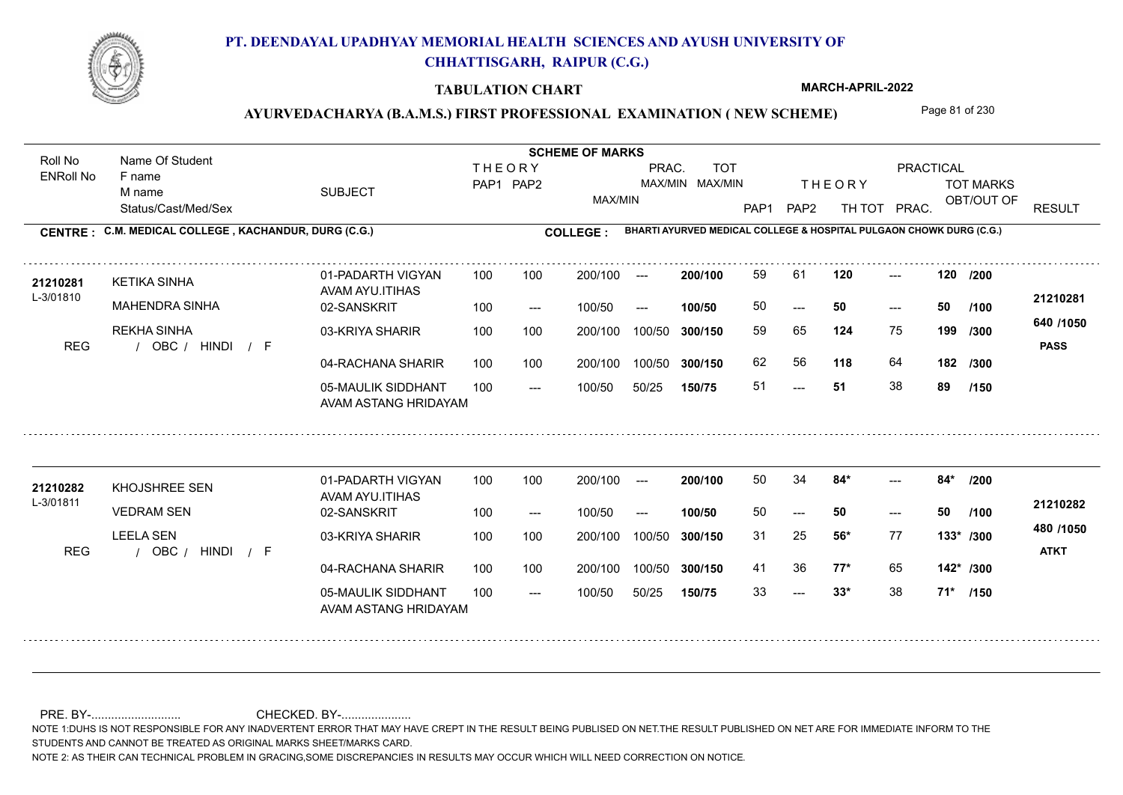

### **TABULATION CHART**

**MARCH-APRIL-2022**

### AYURVEDACHARYA (B.A.M.S.) FIRST PROFESSIONAL EXAMINATION (NEW SCHEME) Page 81 of 230

Status/Cast/Med/Sex SUBJECT TOT MARKS OBT/OUT OF PRACTICAL THE ORY TOT MARKS PAP1 PAP2 TH TOT PRAC. Roll No Name Of Student ENRoll No **CENTRE : C.M. MEDICAL COLLEGE ; KACHANDUR, DURG (C.G.) <b>COLLEGE : THEORY** PAP1 PAP2 MAX/MIN PRAC. MAX/MIN MAX/MIN TOT RESULT **Name Of Student Contract of Student Act of Student SCHEME OF MARKS BHARTI AYURVED MEDICAL COLLEGE & HOSPITAL PULGAON CHOWK DURG (C.G.)** F name M name 01-PADARTH VIGYAN AVAM AYU.ITIHAS 05-MAULIK SIDDHANT AVAM ASTANG HRIDAYAM 04-RACHANA SHARIR 100 100 03-KRIYA SHARIR 100 100 REG / OBC / HINDI / F ---  $- - 50$ --- **120 120 /200** 02-SANSKRIT 100 --- 100/50 --- 100 100 200/100 100/50 300/150 100/50 50/25 **150/75 300/150** 100/50 100 200/100 ---100/50 **300/150 200/100 100/50** 100 100 200/100 100/50 300/150  $- - 50$  $- -$  100/50 L-3/01810 KETIKA SINHA MAHENDRA SINHA REKHA SINHA **124** 75 **/300 118** 64 **182 640 /1050** HINDI F **PASS 21210281 <sup>21210281</sup>** <sup>59</sup> <sup>61</sup> 50 **50 50** 59 65 **199** 62 56 51 **51** 38 **89 /100 /300 /150** 01-PADARTH VIGYAN AVAM AYU.ITIHAS 05-MAULIK SIDDHANT 100 AVAM ASTANG HRIDAYAM 04-RACHANA SHARIR 100 100 03-KRIYA SHARIR
100 100 REG / OBC / HINDI / F  $-2$  33\* ---  $-2$  84\* 02-SANSKRIT 100 --- 100/50 --- 200/100 100/50 **300/150** 100/50 50/25 **150/75 300/150** 100/50 200/100 100 200/100 ---**200/100 100/50** --- 200/100 100/50 200/100 100/50  $- -$  100/50 L-3/01811 KHOJSHREE SEN VEDRAM SEN LEELA SEN **84\* 84\* /200 56\*** 77 31 25 **133\* /300 77\*** 65 **142\* /300 480 /1050** HINDI F **ATKT 21210282 <sup>21210282</sup>** <sup>50</sup> <sup>34</sup> 50 **50 50** 41 36 **77\*** 65 33 **33\*** 38 **71\* /100 /150**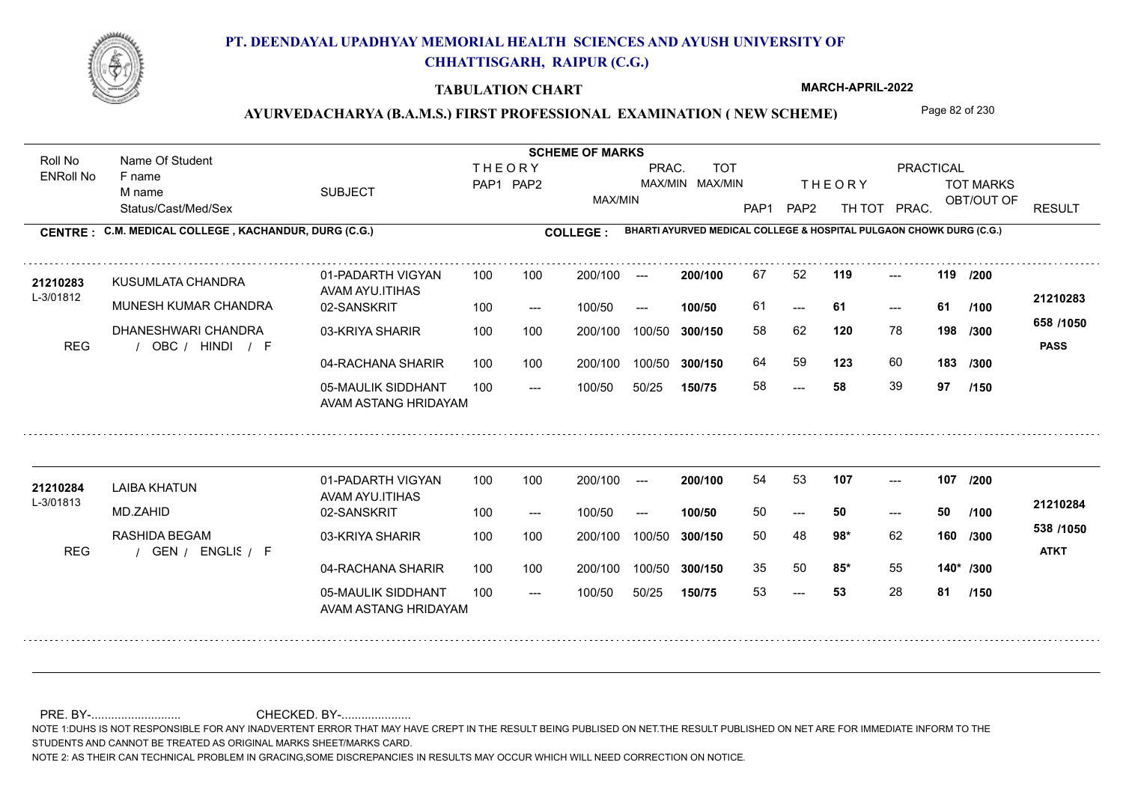

### **TABULATION CHART**

**MARCH-APRIL-2022**

### AYURVEDACHARYA (B.A.M.S.) FIRST PROFESSIONAL EXAMINATION (NEW SCHEME) Page 82 of 230

Status/Cast/Med/Sex SUBJECT TOT MARKS OBT/OUT OF PRACTICAL THE ORY TOT MARKS PAP1 PAP2 TH TOT PRAC. Roll No Name Of Student ENRoll No **CENTRE : C.M. MEDICAL COLLEGE ; KACHANDUR, DURG (C.G.) <b>COLLEGE : THEORY** PAP1 PAP2 MAX/MIN PRAC. MAX/MIN MAX/MIN TOT RESULT **Name Of Student Contract of Student Act of Student SCHEME OF MARKS BHARTI AYURVED MEDICAL COLLEGE & HOSPITAL PULGAON CHOWK DURG (C.G.)** F name M name 01-PADARTH VIGYAN AVAM AYU.ITIHAS 05-MAULIK SIDDHANT AVAM ASTANG HRIDAYAM 04-RACHANA SHARIR 100 100 03-KRIYA SHARIR 100 100 REG / OBC / HINDI / F ---  $- - 61$ --- **119 119 /200** 02-SANSKRIT 100 --- 100/50 --- 100 100 200/100 100/50 300/150 100/50 50/25 **150/75 300/150** 100/50 100 200/100 ---100/50 **300/150 200/100 100/50** 100 100 200/100 100/50 300/150  $- - 61$  $- -$  100/50 L-3/01812 KUSUMLATA CHANDRA MUNESH KUMAR CHANDRA DHANESHWARI CHANDRA **120** 78 **/300 123** 60 **183 658 /1050** HINDI F **PASS 21210283 <sup>21210283</sup>** <sup>67</sup> <sup>52</sup> 61 **61 61** 58 62 **198** 64 59 **123** 60 58 **58** 39 **97 /100 /300 /150** 01-PADARTH VIGYAN AVAM AYU.ITIHAS 05-MAULIK SIDDHANT 100 AVAM ASTANG HRIDAYAM 04-RACHANA SHARIR 100 100 03-KRIYA SHARIR RASHIDA BEGAM REG / GEN / ENGLIS / F --- 53 --- --- **107 107 /200** 02-SANSKRIT 100 --- 100/50 --- 200/100 100/50 **300/150** 100/50 50/25 **150/75 300/150** 100/50 200/100 100 200/100 ---**200/100 100/50** --- 100 200/100 100/50 200/100 100/50  $- -$  100/50 L-3/01813 LAIBA KHATUN MD.ZAHID **98\*** 62 **/300 85\*** 55 **140\* /300 538 /1050** ENGLISH F **ATKT 21210284 <sup>21210284</sup>** <sup>54</sup> <sup>53</sup> 50 **50 50** 50 48 **160** 35 50 **85\*** 55 53 **53** 28 **81 /100 /150**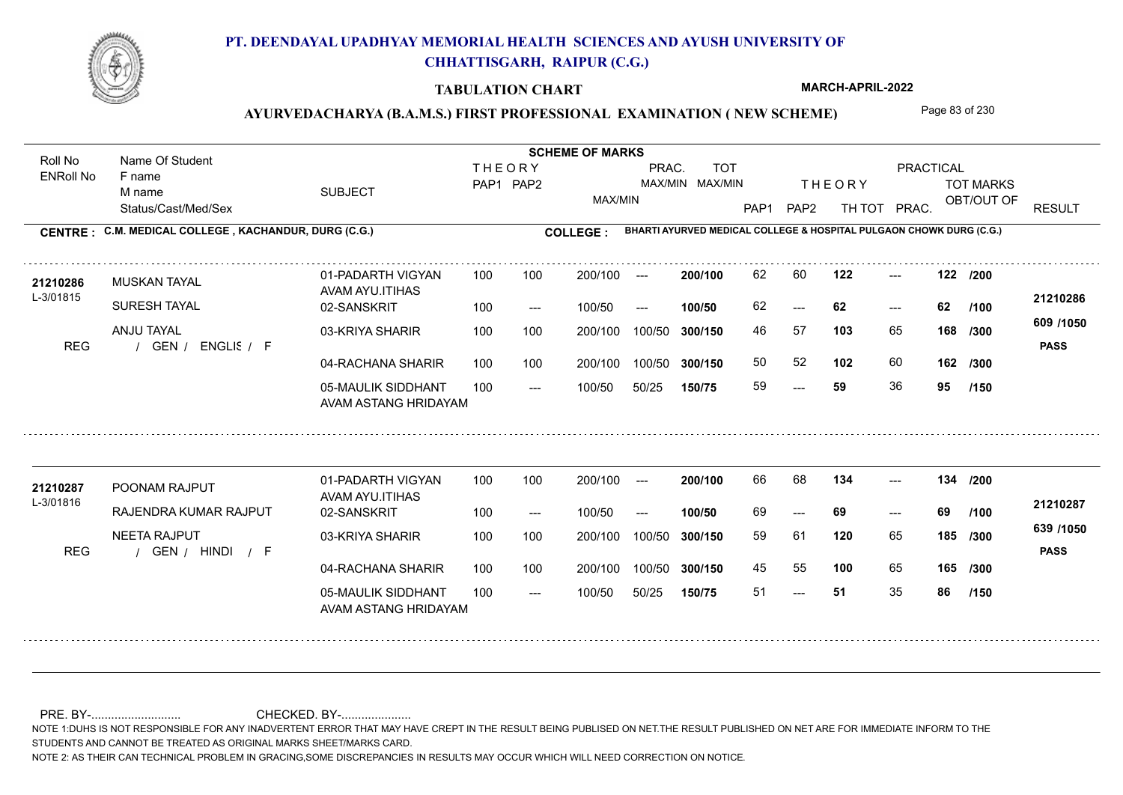

### **TABULATION CHART**

**MARCH-APRIL-2022**

### AYURVEDACHARYA (B.A.M.S.) FIRST PROFESSIONAL EXAMINATION (NEW SCHEME) Page 83 of 230

Status/Cast/Med/Sex SUBJECT TOT MARKS OBT/OUT OF PRACTICAL THE ORY TOT MARKS PAP1 PAP2 TH TOT PRAC. Roll No Name Of Student ENRoll No **CENTRE : C.M. MEDICAL COLLEGE ; KACHANDUR, DURG (C.G.) <b>COLLEGE : THEORY** PAP1 PAP2 MAX/MIN PRAC. MAX/MIN MAX/MIN TOT RESULT **Name Of Student Contract of Student Act of Student SCHEME OF MARKS BHARTI AYURVED MEDICAL COLLEGE & HOSPITAL PULGAON CHOWK DURG (C.G.)** F name M name 01-PADARTH VIGYAN AVAM AYU.ITIHAS 05-MAULIK SIDDHANT AVAM ASTANG HRIDAYAM 04-RACHANA SHARIR 100 100 03-KRIYA SHARIR 100 100 REG / GEN / ENGLIS / F --- --- --- **122 122 /200** 02-SANSKRIT 100 --- 100/50 --- 100 100 200/100 100/50 300/150 100/50 50/25 **150/75 300/150** 100/50 100 200/100 ---100/50 **300/150 200/100 100/50** 100 100 200/100 100/50 300/150  $- - 62$  $- -$  100/50 L-3/01815 MUSKAN TAYAL SURESH TAYAL ANJU TAYAL **103** 65 **/300 102** 60 **162 609 /1050** ENGLISH F **PASS 21210286 <sup>21210286</sup>** <sup>62</sup> <sup>60</sup> 62 **62 62** 46 57 **168** 50 52 59 **59** 36 **95 /100 /300 /150** 01-PADARTH VIGYAN AVAM AYU.ITIHAS 05-MAULIK SIDDHANT 100 AVAM ASTANG HRIDAYAM 04-RACHANA SHARIR 100 100 03-KRIYA SHARIR
100 100 REG / GEN / HINDI / F --- 51 --- --- **134 134 /200** 02-SANSKRIT 100 --- 100/50 --- 200/100 100/50 **300/150** 100/50 50/25 **150/75 300/150** 100/50 200/100 100 200/100 ---**200/100 100/50** --- 200/100 100/50 200/100 100/50  $- -$  100/50 L-3/01816 POONAM RAJPUT RAJENDRA KUMAR RAJPUT NEETA RAJPUT **120** 65 59 61 **185 /300 100** 65 **165 /300 639 /1050** HINDI F **PASS 21210287** 21210287 POONAM RAJPUT 01-PADARTH VIGYAN 100 100 200/100 --- 200/100 66 68 **134** ---69 **69 69** 45 55 **100** 65 51 **51** 35 **86 /100 /150**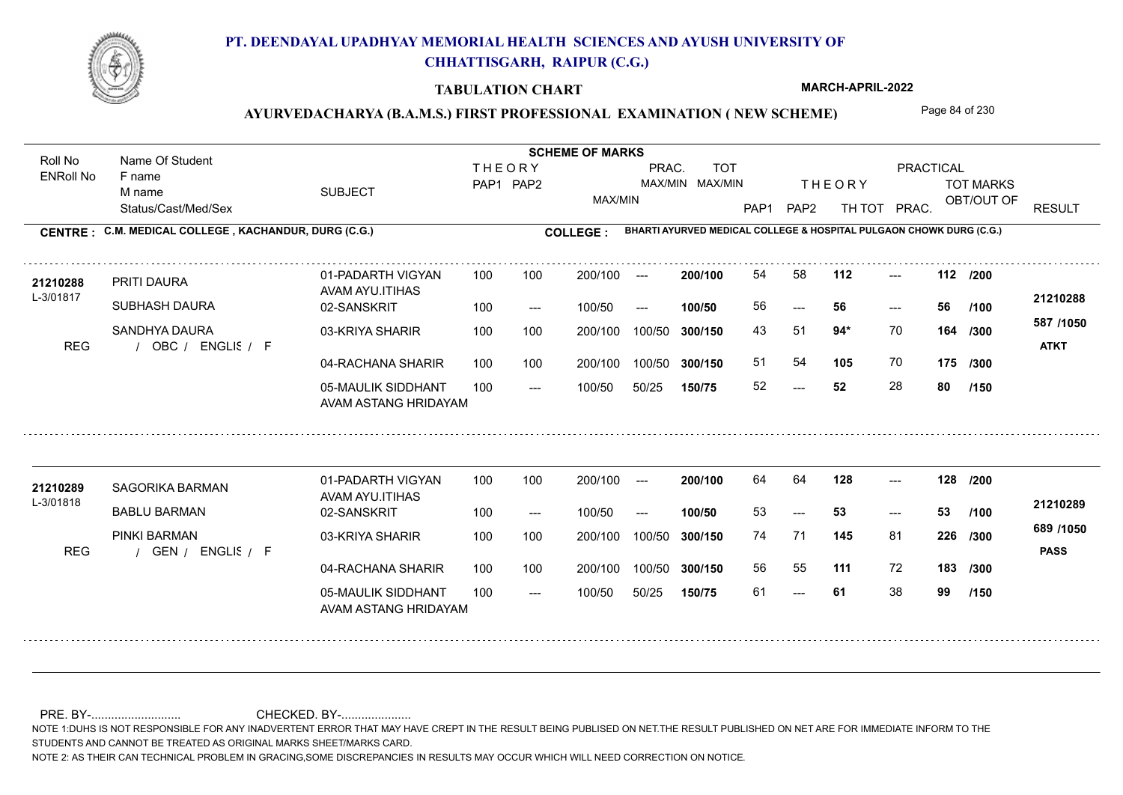

### **TABULATION CHART**

**MARCH-APRIL-2022**

# AYURVEDACHARYA (B.A.M.S.) FIRST PROFESSIONAL EXAMINATION (NEW SCHEME) Page 84 of 230

Status/Cast/Med/Sex SUBJECT TOT MARKS OBT/OUT OF PRACTICAL THE ORY TOT MARKS PAP1 PAP2 TH TOT PRAC. Roll No Name Of Student ENRoll No **CENTRE : C.M. MEDICAL COLLEGE ; KACHANDUR, DURG (C.G.) <b>COLLEGE : THEORY** PAP1 PAP2 MAX/MIN PRAC. MAX/MIN MAX/MIN TOT RESULT **Name Of Student Contract of Student Act of Student SCHEME OF MARKS BHARTI AYURVED MEDICAL COLLEGE & HOSPITAL PULGAON CHOWK DURG (C.G.)** F name M name 01-PADARTH VIGYAN AVAM AYU.ITIHAS 05-MAULIK SIDDHANT AVAM ASTANG HRIDAYAM 04-RACHANA SHARIR 100 100 03-KRIYA SHARIR 100 100 REG / OBC / ENGLIS / F  $-52$ --- --- **112 112 /200** 02-SANSKRIT 100 --- 100/50 --- 100 100 200/100 100/50 300/150 100/50 50/25 **150/75 300/150** 100/50 100 200/100 ---100/50 **300/150 200/100 100/50** 100 100 200/100 100/50 300/150  $- - 56$  $- -$  100/50 L-3/01817 PRITI DAURA SUBHASH DAURA SANDHYA DAURA **94\*** 70 43 51 **164 /300 105** 70 **175 /300 587 /1050** ENGLISH F **ATKT 21210288 <sup>21210288</sup>** <sup>54</sup> <sup>58</sup> 56 **56 56** 51 54 **105** 70 52 **52** 28 **80 /100 /150** 01-PADARTH VIGYAN AVAM AYU.ITIHAS 05-MAULIK SIDDHANT 100 AVAM ASTANG HRIDAYAM 04-RACHANA SHARIR 100 100 03-KRIYA SHARIR
100 100 REG / GEN / ENGLIS / F --- 61 --- --- **128 128 /200** 02-SANSKRIT 100 --- 100/50 --- 200/100 100/50 **300/150** 100/50 50/25 **150/75 300/150** 100/50 200/100 100 200/100 ---**200/100 100/50**  $-53$ 200/100 100/50 200/100 100/50  $- -$  100/50 L-3/01818 SAGORIKA BARMAN BABLU BARMAN PINKI BARMAN **145** 81 74 71 **226 /300 111** 72 **183 /300 689 /1050** ENGLISH F **PASS 21210289 <sup>21210289</sup>** <sup>64</sup> <sup>64</sup> 53 **53 53** 56 55 61 **61** 38 **99 /100 /150**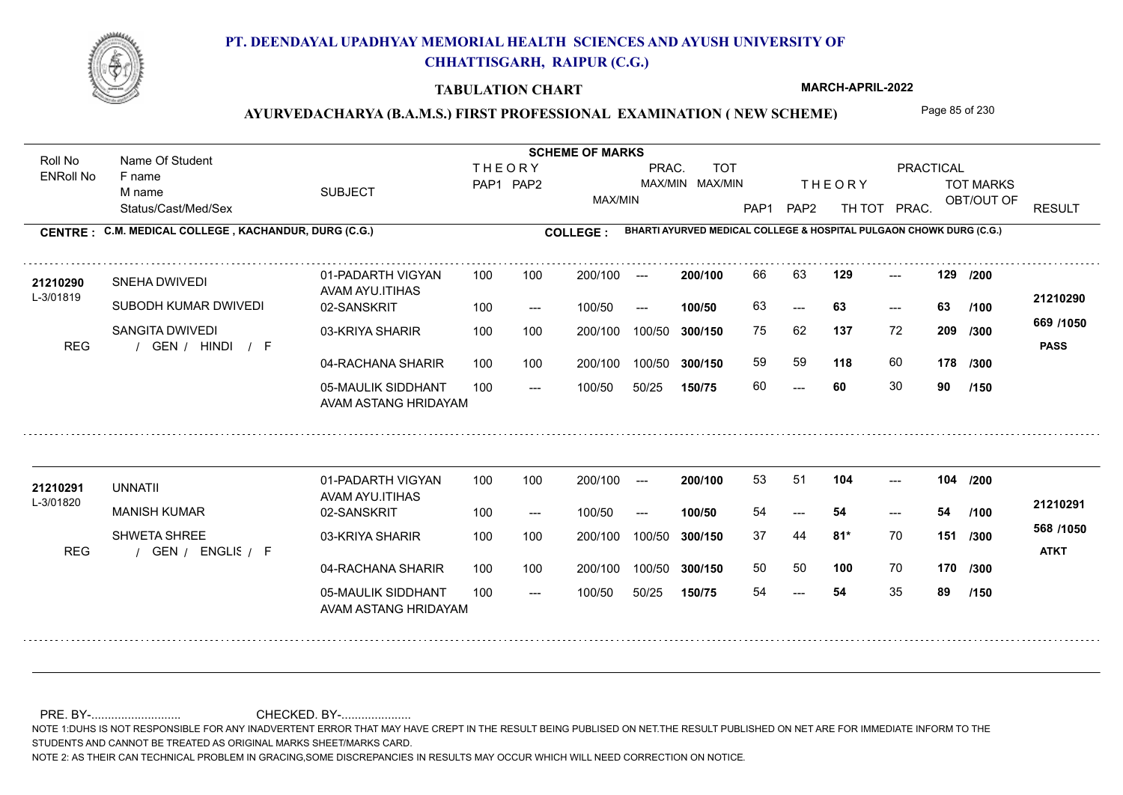

### **TABULATION CHART**

**MARCH-APRIL-2022**

### AYURVEDACHARYA (B.A.M.S.) FIRST PROFESSIONAL EXAMINATION (NEW SCHEME) Page 85 of 230

Status/Cast/Med/Sex SUBJECT TOT MARKS OBT/OUT OF PRACTICAL THE ORY TOT MARKS PAP1 PAP2 TH TOT PRAC. Roll No Name Of Student ENRoll No **CENTRE : C.M. MEDICAL COLLEGE ; KACHANDUR, DURG (C.G.) <b>COLLEGE : THEORY** PAP1 PAP2 MAX/MIN PRAC. MAX/MIN MAX/MIN TOT RESULT **Name Of Student Contract of Student Act of Student SCHEME OF MARKS BHARTI AYURVED MEDICAL COLLEGE & HOSPITAL PULGAON CHOWK DURG (C.G.)** F name M name 01-PADARTH VIGYAN AVAM AYU.ITIHAS 05-MAULIK SIDDHANT AVAM ASTANG HRIDAYAM 04-RACHANA SHARIR 100 100 03-KRIYA SHARIR 100 100 REG / GEN / HINDI / F ---  $- - 63$ --- 02-SANSKRIT 100 --- 100/50 --- 100 100 200/100 100/50 300/150 100/50 50/25 **150/75 300/150** 100/50 100 200/100 ---100/50 **300/150 200/100 100/50** 100 100 200/100 100/50 300/150  $-$  63  $- -$  100/50 L-3/01819 SNEHA DWIVEDI SUBODH KUMAR DWIVEDI SANGITA DWIVEDI **129 129 /200 137** 72 **/300 118** 60 **178 669 /1050** HINDI F **PASS 21210290 <sup>21210290</sup>** <sup>66</sup> <sup>63</sup> 63 **63 63** 75 62 **209** 59 59 60 **60** 30 **90 /100 /300 /150** 01-PADARTH VIGYAN AVAM AYU.ITIHAS 05-MAULIK SIDDHANT 100 AVAM ASTANG HRIDAYAM 04-RACHANA SHARIR 100 100 03-KRIYA SHARIR
100 100 REG / GEN / ENGLIS / F --- --- --- **104 104 /200** 02-SANSKRIT 100 --- 100/50 --- 200/100 100/50 **300/150** 100/50 50/25 **150/75 300/150** 100/50 200/100 100 200/100 ---**200/100 100/50** --- 200/100 100/50 200/100 100/50  $- -$  100/50 L-3/01820 UNNATII MANISH KUMAR SHWETA SHREE **81\*** 70 **/300 100** 70 **170 /300 568 /1050** ENGLISH F **ATKT 21210291 <sup>21210291</sup>** <sup>53</sup> <sup>51</sup> 54 **54 54** 37 44 **151** 50 50 **100** 70 54 **54** 35 **89 /100 /150**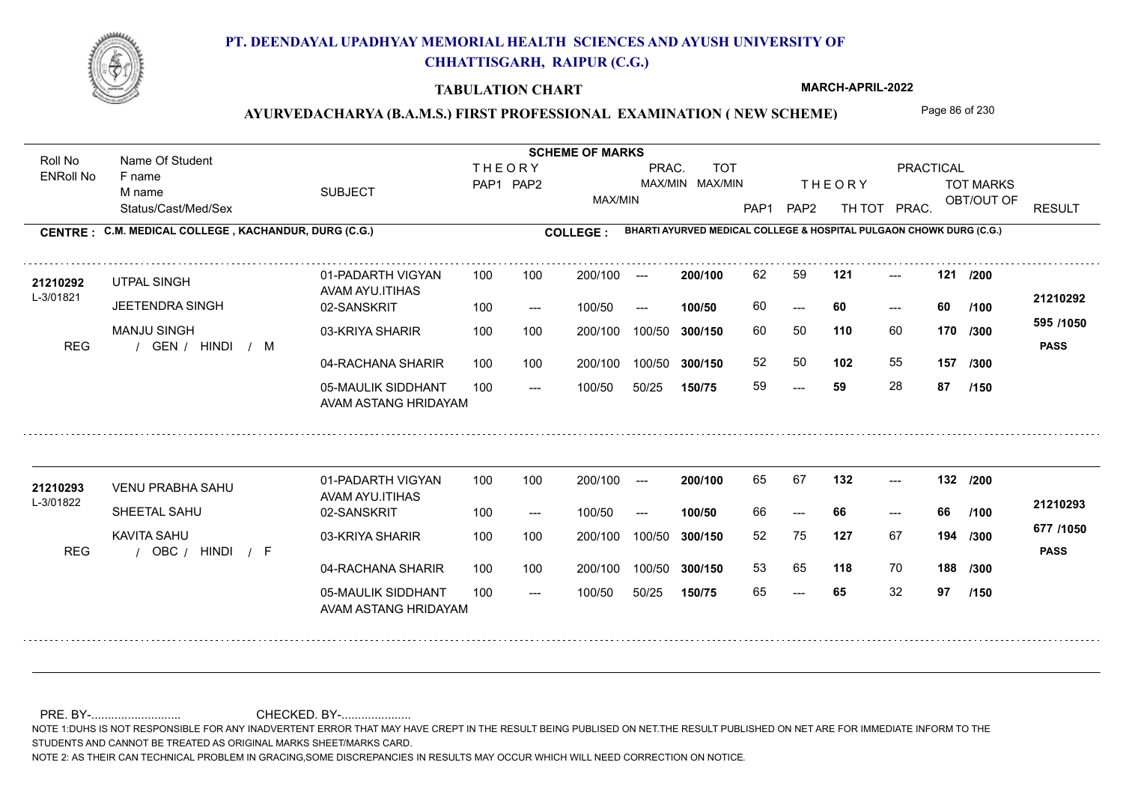

### **TABULATION CHART**

**MARCH-APRIL-2022**

### AYURVEDACHARYA (B.A.M.S.) FIRST PROFESSIONAL EXAMINATION (NEW SCHEME) Page 86 of 230

Status/Cast/Med/Sex SUBJECT TOT MARKS OBT/OUT OF PRACTICAL THE ORY TOT MARKS PAP1 PAP2 TH TOT PRAC. Roll No Name Of Student ENRoll No **CENTRE : C.M. MEDICAL COLLEGE ; KACHANDUR, DURG (C.G.) <b>COLLEGE : THEORY** PAP1 PAP2 MAX/MIN PRAC. MAX/MIN MAX/MIN TOT RESULT **Name Of Student Contract of Student Act of Student SCHEME OF MARKS BHARTI AYURVED MEDICAL COLLEGE & HOSPITAL PULGAON CHOWK DURG (C.G.)** F name M name 01-PADARTH VIGYAN AVAM AYU.ITIHAS 05-MAULIK SIDDHANT AVAM ASTANG HRIDAYAM 04-RACHANA SHARIR 100 100 03-KRIYA SHARIR 100 100 REG / GEN / HINDI / M --- --- --- **121 121 /200** 02-SANSKRIT 100 --- 100/50 --- 100 100 200/100 100/50 300/150 100/50 50/25 **150/75 300/150** 100/50 100 200/100 ---100/50 **300/150 200/100 100/50** 100 100 200/100 100/50 300/150  $- - 60$  $- -$  100/50 L-3/01821 UTPAL SINGH JEETENDRA SINGH MANJU SINGH **110** 60 **170** /300 **<sup>cool</sup>1000 102** 55 **157 595 /1050** HINDI M **PASS 21210292** 21**210292** UTPAL SINGH 01-PADARTH VIGYAN 100 100 200/100 --- **200/100** 62 59 **121** ---60 **60 60** 60 50 **170** 52 50 **102** 55 59 **59** 28 **87 /100 /300 /150** 01-PADARTH VIGYAN AVAM AYU.ITIHAS 05-MAULIK SIDDHANT 100 AVAM ASTANG HRIDAYAM 04-RACHANA SHARIR 100 100 03-KRIYA SHARIR
100 100 REG / OBC / HINDI / F --- --- --- **132 132 /200** 02-SANSKRIT 100 --- 100/50 --- 200/100 100/50 **300/150** 100/50 50/25 **150/75 300/150** 100/50 200/100 100 200/100 ---**200/100 100/50** --- 200/100 100/50 200/100 100/50  $- -$  100/50 L-3/01822 VENU PRABHA SAHU SHEETAL SAHU KAVITA SAHU **127** 67 52 75 **194 /300 118** 70 **188 /300 677 /1050** HINDI F **PASS 21210293** 21210293 VENU PRABHA SAHU 01-PADARTH VIGYAN 100 100 200/100 --- **200/100** 65 67 **132** ---66 **66 66** 53 65 65 **65** 32 **97 /100 /150**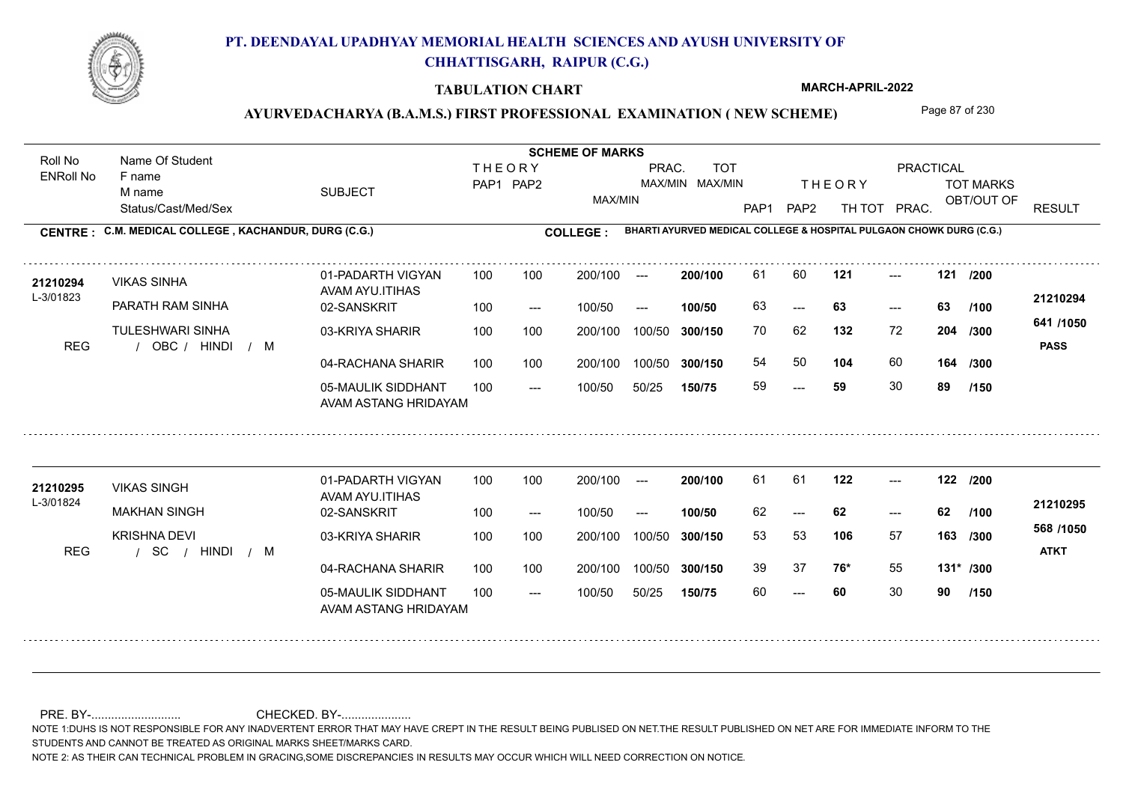

### **TABULATION CHART**

**MARCH-APRIL-2022**

### AYURVEDACHARYA (B.A.M.S.) FIRST PROFESSIONAL EXAMINATION (NEW SCHEME) Page 87 of 230

Status/Cast/Med/Sex SUBJECT TOT MARKS OBT/OUT OF PRACTICAL THE ORY TOT MARKS PAP1 PAP2 TH TOT PRAC. Roll No Name Of Student ENRoll No **CENTRE : C.M. MEDICAL COLLEGE ; KACHANDUR, DURG (C.G.) <b>COLLEGE : THEORY** PAP1 PAP2 MAX/MIN PRAC. MAX/MIN MAX/MIN TOT RESULT **Name Of Student Contract of Student Act of Student SCHEME OF MARKS BHARTI AYURVED MEDICAL COLLEGE & HOSPITAL PULGAON CHOWK DURG (C.G.)** F name M name 01-PADARTH VIGYAN AVAM AYU.ITIHAS 05-MAULIK SIDDHANT AVAM ASTANG HRIDAYAM 04-RACHANA SHARIR 100 100 03-KRIYA SHARIR 100 100 REG / OBC / HINDI / M ---  $- - 63$ --- **121 121 /200** 02-SANSKRIT  $100/50$ 100 100 200/100 100/50 300/150 100/50 50/25 **150/75 300/150** 100/50 100 200/100 ---100/50 --- **100/50** 100/50 **300/150 200/100** 100 100 200/100 100/50 300/150  $-$  63  $- -$  100/50 L-3/01823 VIKAS SINHA PARATH RAM SINHA **TULESHWARI SINHA** 132 72 204 /300 **104** 60 **164 641 /1050** HINDI M **PASS 21210294** 21**210294** VIKAS SINHA 01-PADARTH VIGYAN 100 100 200/100 --- **200/100** 61 60 **121** ---63 **63 63** 70 62 **204** 54 50 **104** 60 59 **59** 30 **89 /100 /300 /150** 01-PADARTH VIGYAN AVAM AYU.ITIHAS 05-MAULIK SIDDHANT 100 AVAM ASTANG HRIDAYAM 04-RACHANA SHARIR 100 100 03-KRIYA SHARIR
100 100 / / / REG SC --- --- --- **122 122 /200** 02-SANSKRIT 100 --- 100/50 --- 200/100 100/50 **300/150** 100/50 50/25 **150/75 300/150** 100/50 200/100 100 200/100 ---**200/100 100/50** --- 200/100 100/50 200/100 100/50  $- -$  100/50 L-3/01824 VIKAS SINGH MAKHAN SINGH KRISHNA DEVI **106** 57 53 53 **163 /300 76\*** 55 **131\* /300 568 /1050** HINDI M **ATKT 21210295** 21**210295** VIKAS SINGH 01-PADARTH VIGYAN 100 100 200/100 --- **200/100 61 61 122** ---62 **62 62** 39 37 **76\*** 55 60 **60** 30 **90 /100 /150**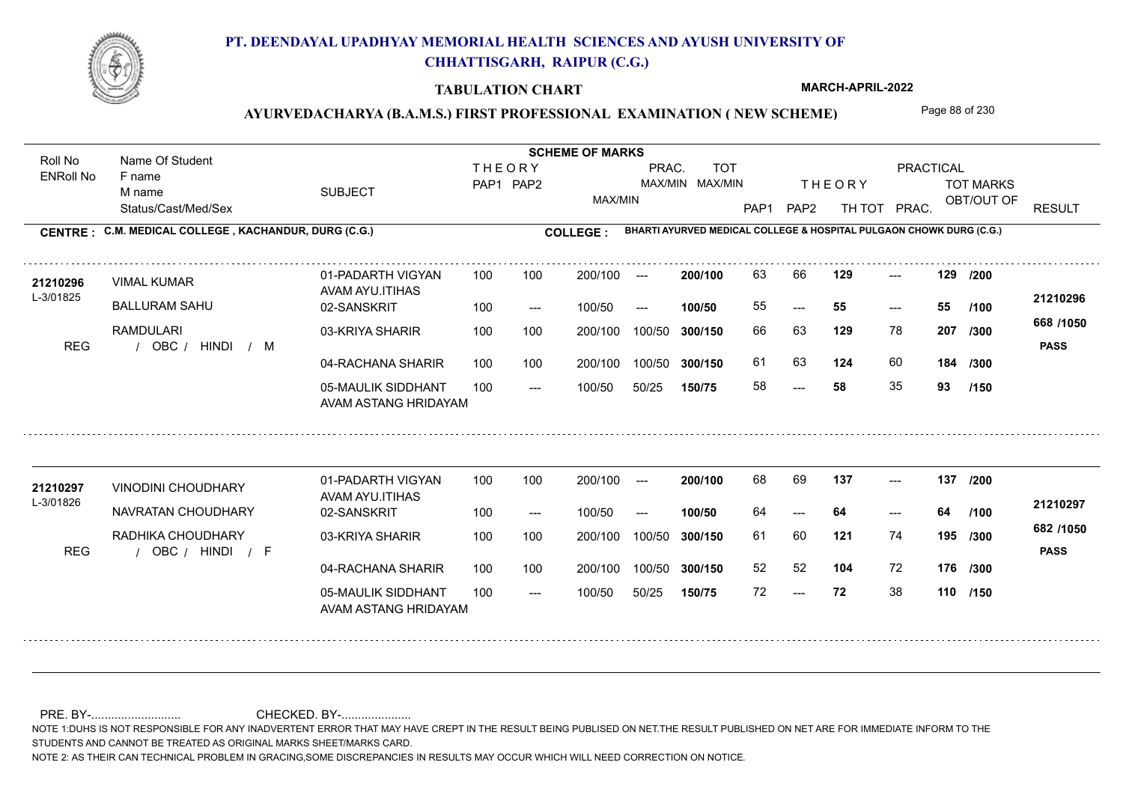

### **TABULATION CHART**

**MARCH-APRIL-2022**

### AYURVEDACHARYA (B.A.M.S.) FIRST PROFESSIONAL EXAMINATION (NEW SCHEME) Page 88 of 230

Status/Cast/Med/Sex SUBJECT TOT MARKS OBT/OUT OF PRACTICAL THE ORY TOT MARKS PAP1 PAP2 TH TOT PRAC. Roll No Name Of Student ENRoll No **CENTRE : C.M. MEDICAL COLLEGE ; KACHANDUR, DURG (C.G.) <b>COLLEGE : THEORY** PAP1 PAP2 MAX/MIN PRAC. MAX/MIN MAX/MIN TOT RESULT **Name Of Student Contract of Student Act of Student SCHEME OF MARKS BHARTI AYURVED MEDICAL COLLEGE & HOSPITAL PULGAON CHOWK DURG (C.G.)** F name M name 01-PADARTH VIGYAN AVAM AYU.ITIHAS 05-MAULIK SIDDHANT AVAM ASTANG HRIDAYAM 04-RACHANA SHARIR 100 100 03-KRIYA SHARIR 100 100 REG / OBC / HINDI / M --- --- --- 02-SANSKRIT 100 --- 100/50 --- 100 100 200/100 100/50 300/150 100/50 50/25 **150/75 300/150** 100/50 100 200/100 ---100/50 **300/150 200/100 100/50** 100 100 200/100 100/50 300/150  $- - 55$  $- -$  100/50 L-3/01825 VIMAL KUMAR BALLURAM SAHU RAMDULARI **129 129 /200 129** 78 **/300 124** 60 **184 668 /1050** HINDI M **PASS 21210296** 21210296 VIMAL KUMAR 01-PADARTH VIGYAN 100 100 200/100 --- **200/100 63 66 129** ---55 **55 55** 66 63 **207** 61 63 **124** 60 58 **58** 35 **93 /100 /300 /150** 01-PADARTH VIGYAN AVAM AYU.ITIHAS 05-MAULIK SIDDHANT 100 AVAM ASTANG HRIDAYAM 04-RACHANA SHARIR 100 100 03-KRIYA SHARIR
100 100 REG / OBC / HINDI / F --- --- --- **137 137 /200** 02-SANSKRIT 100 --- 100/50 --- 200/100 100/50 **300/150** 100/50 50/25 **150/75 300/150** 100/50 200/100 100 200/100 ---**200/100 100/50** --- 200/100 100/50 200/100 100/50  $- -$  100/50 L-3/01826 VINODINI CHOUDHARY NAVRATAN CHOUDHARY RADHIKA CHOUDHARY **121** 74 61 60 **195 /300 104** 72 **176 /300 682 /1050** HINDI F **PASS 21210297** 21210297 VINODINI CHOUDHARY 01-PADARTH VIGYAN 100 100 200/100 --- 200/100 68 69 137 ---64 **64 64** 52 52 72 **72** 38 **110 /150 /100**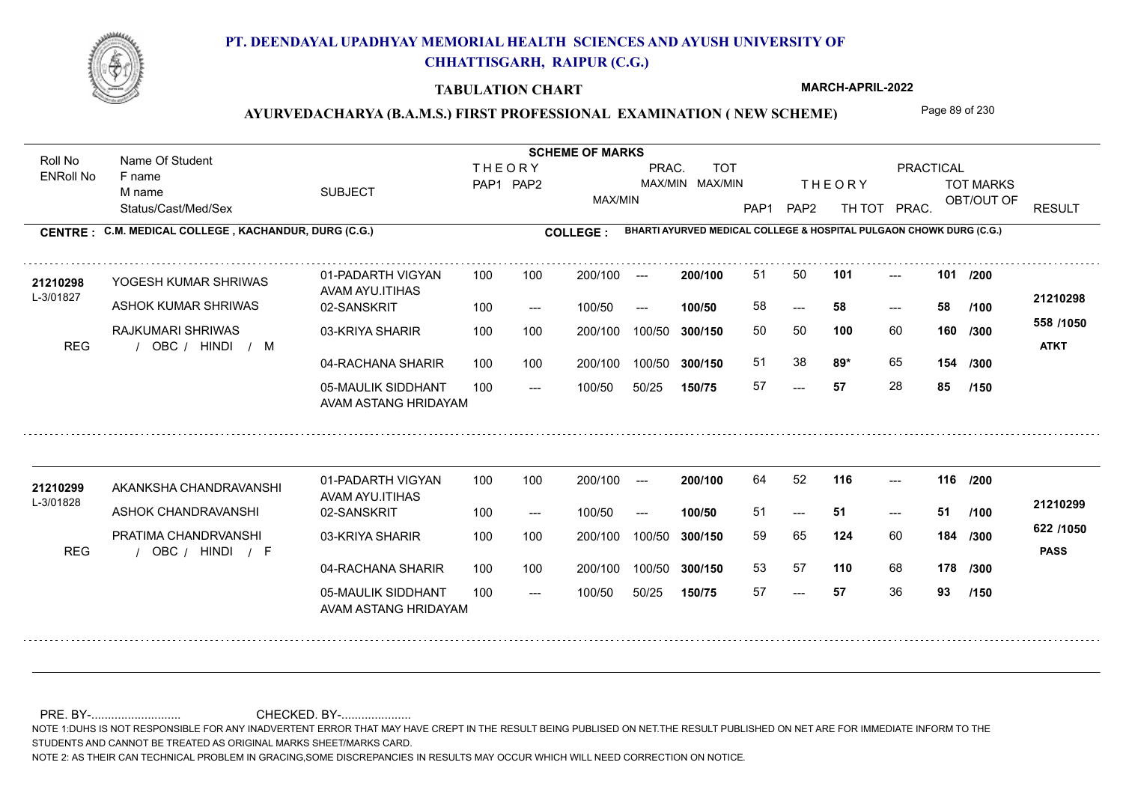

### **TABULATION CHART**

**MARCH-APRIL-2022**

### AYURVEDACHARYA (B.A.M.S.) FIRST PROFESSIONAL EXAMINATION (NEW SCHEME) Page 89 of 230

Status/Cast/Med/Sex SUBJECT TOT MARKS OBT/OUT OF PRACTICAL THE ORY TOT MARKS PAP1 PAP2 TH TOT PRAC. Roll No Name Of Student ENRoll No **CENTRE : C.M. MEDICAL COLLEGE ; KACHANDUR, DURG (C.G.) <b>COLLEGE : THEORY** PAP1 PAP2 MAX/MIN PRAC. MAX/MIN MAX/MIN TOT RESULT **Name Of Student Contract of Student Act of Student SCHEME OF MARKS BHARTI AYURVED MEDICAL COLLEGE & HOSPITAL PULGAON CHOWK DURG (C.G.)** F name M name 01-PADARTH VIGYAN AVAM AYU.ITIHAS 05-MAULIK SIDDHANT AVAM ASTANG HRIDAYAM 04-RACHANA SHARIR 100 100 03-KRIYA SHARIR 100 100 REG / OBC / HINDI / M --- --- --- **101 101 /200** 02-SANSKRIT 100 --- 100/50 --- 100 100 200/100 100/50 300/150 100/50 50/25 **150/75 300/150** 100/50 100 200/100 ---100/50 **300/150 200/100 100/50** 100 100 200/100 100/50 300/150  $- - 58$  $- -$  100/50 L-3/01827 YOGESH KUMAR SHRIWAS ASHOK KUMAR SHRIWAS RAJKUMARI SHRIWAS **100** 60 **/300 89\*** 65 **154 558 /1050** HINDI M **ATKT 21210298** 21**210298** YOGESH KUMAR SHRIWAS 01-PADARTH VIGYAN 100 100 200/100 --- **200/100** 51 50 **101** ---58 **58 58** 50 50 **160** 51 38 **89\*** 65 57 **57** 28 **85 /100 /300 /150** 01-PADARTH VIGYAN AVAM AYU.ITIHAS 05-MAULIK SIDDHANT 100 AVAM ASTANG HRIDAYAM 04-RACHANA SHARIR 100 100 03-KRIYA SHARIR
100 100 REG / OBC / HINDI / F --- --- --- **116 116 /200** 02-SANSKRIT 100 --- 100/50 --- 200/100 100/50 **300/150** 100/50 50/25 **150/75 300/150** 100/50 200/100 100 200/100 ---**200/100 100/50** --- 200/100 100/50 200/100 100/50  $- -$  100/50 L-3/01828 AKANKSHA CHANDRAVANSHI ASHOK CHANDRAVANSHI PRATIMA CHANDRVANSHI **124** 60 59 65 **184 /300 110** 68 **178 /300 622 /1050** HINDI F **PASS 21210299 <sup>21210299</sup>** <sup>64</sup> <sup>52</sup> 51 **51 51** 53 57 57 **57** 36 **93 /100 /150**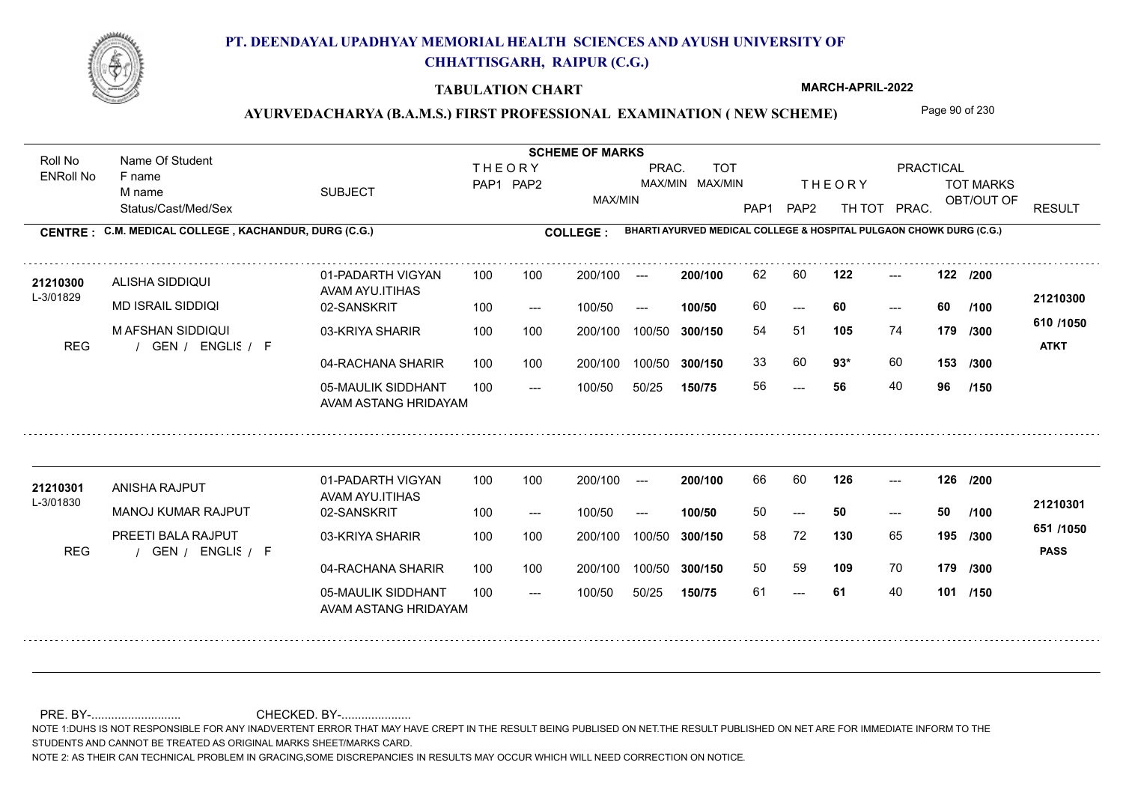

### **TABULATION CHART**

**MARCH-APRIL-2022**

### AYURVEDACHARYA (B.A.M.S.) FIRST PROFESSIONAL EXAMINATION (NEW SCHEME) Page 90 of 230

Status/Cast/Med/Sex SUBJECT TOT MARKS OBT/OUT OF PRACTICAL THE ORY TOT MARKS PAP1 PAP2 TH TOT PRAC. Roll No Name Of Student ENRoll No **CENTRE : C.M. MEDICAL COLLEGE ; KACHANDUR, DURG (C.G.) <b>COLLEGE : THEORY** PAP1 PAP2 MAX/MIN PRAC. MAX/MIN MAX/MIN TOT RESULT **Name Of Student Contract of Student Act of Student SCHEME OF MARKS BHARTI AYURVED MEDICAL COLLEGE & HOSPITAL PULGAON CHOWK DURG (C.G.)** F name M name 01-PADARTH VIGYAN AVAM AYU.ITIHAS 05-MAULIK SIDDHANT AVAM ASTANG HRIDAYAM 04-RACHANA SHARIR 100 100 03-KRIYA SHARIR 100 100 REG / GEN / ENGLIS / F --- --- --- **122 122 /200** 02-SANSKRIT 100 --- 100/50 --- 100 100 200/100 100/50 300/150 100/50 50/25 **150/75 300/150** 100/50 100 200/100 ---100/50 **300/150 200/100 100/50** 100 100 200/100 100/50 300/150  $- - 60$  $- -$  100/50 L-3/01829 ALISHA SIDDIQUI MD ISRAIL SIDDIQI M AFSHAN SIDDIQUI **105** 74 54 51 **179 /300 93\*** 60 **153 /300 610 /1050** ENGLISH F **ATKT 21210300 <sup>21210300</sup>** <sup>62</sup> <sup>60</sup> 60 **60 60** 33 60 **93**\* 60 56 **56** 40 **96 /100 /150** 01-PADARTH VIGYAN AVAM AYU.ITIHAS 05-MAULIK SIDDHANT 100 AVAM ASTANG HRIDAYAM 04-RACHANA SHARIR 100 100 03-KRIYA SHARIR
100 100 REG / GEN / ENGLIS / F --- 61 --- --- **126 126 /200** 02-SANSKRIT 100 --- 100/50 --- 200/100 100/50 **300/150** 100/50 50/25 **150/75 300/150** 100/50 200/100 100 200/100 ---**200/100 100/50** --- 200/100 100/50 200/100 100/50  $- -$  100/50 L-3/01830 ANISHA RAJPUT MANOJ KUMAR RAJPUT PREETI BALA RAJPUT **130** 65 58 72 **195 /300 109** 70 **179 /300 651 /1050** ENGLISH F **PASS 21210301 <sup>21210301</sup>** <sup>66</sup> <sup>60</sup> 50 **50 50** 50 59 **109** 70 61 **61** 40 **101 /150 /100**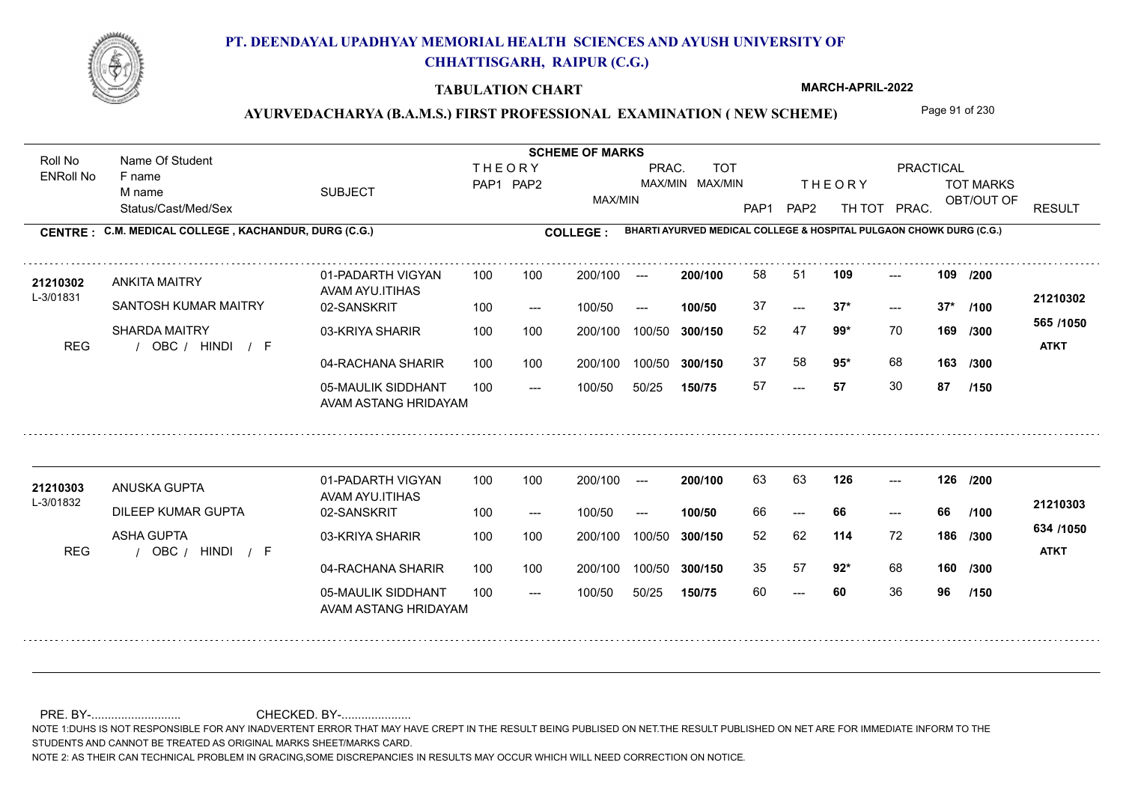

### **TABULATION CHART**

**MARCH-APRIL-2022**

### AYURVEDACHARYA (B.A.M.S.) FIRST PROFESSIONAL EXAMINATION (NEW SCHEME) Page 91 of 230

Status/Cast/Med/Sex SUBJECT TOT MARKS OBT/OUT OF PRACTICAL THE ORY TOT MARKS PAP1 PAP2 TH TOT PRAC. Roll No Name Of Student ENRoll No **CENTRE : C.M. MEDICAL COLLEGE ; KACHANDUR, DURG (C.G.) <b>COLLEGE : THEORY** PAP1 PAP2 MAX/MIN PRAC. MAX/MIN MAX/MIN TOT RESULT **Name Of Student Contract of Student Act of Student SCHEME OF MARKS BHARTI AYURVED MEDICAL COLLEGE & HOSPITAL PULGAON CHOWK DURG (C.G.)** F name M name 01-PADARTH VIGYAN AVAM AYU.ITIHAS 05-MAULIK SIDDHANT AVAM ASTANG HRIDAYAM 04-RACHANA SHARIR 100 100 03-KRIYA SHARIR 100 100 REG / OBC / HINDI / F ---  $- - 37*$ --- 02-SANSKRIT 100 --- 100/50 --- 100 100 200/100 100/50 300/150 100/50 50/25 **150/75 300/150** 100/50 100 200/100 ---100/50 **300/150 200/100 100/50** 100 100 200/100 100/50 300/150  $- - 37*$  $- -$  100/50 L-3/01831 ANKITA MAITRY SANTOSH KUMAR MAITRY SHARDA MAITRY **109 109 99\*** 70 **/300 95\*** 68 **163 565 /1050** HINDI F **ATKT 21210302** 21210302 ANKITA MAITRY 01-PADARTH VIGYAN 100 100 200/100 --- **200/100 58 51 109** ---37 **37\* 37\*** 52 47 **169** 37 58 **95**\* 68 57 **57** 30 **87 /200 /100 /300 /150** 01-PADARTH VIGYAN AVAM AYU.ITIHAS 05-MAULIK SIDDHANT 100 AVAM ASTANG HRIDAYAM 04-RACHANA SHARIR 100 100 03-KRIYA SHARIR
100 100 REG / OBC / HINDI / F --- --- --- **126 126 /200** 02-SANSKRIT 100 --- 100/50 --- 200/100 100/50 **300/150** 100/50 50/25 **150/75 300/150** 100/50 200/100 100 200/100 ---**200/100 100/50** --- 200/100 100/50 200/100 100/50  $- -$  100/50 L-3/01832 ANUSKA GUPTA DILEEP KUMAR GUPTA ASHA GUPTA **114** 72 **/300 92\*** 68 **160 /300 634 /1050** HINDI F **ATKT 21210303** 21210303 ANUSKA GUPTA 01-PADARTH VIGYAN 100 100 200/100 --- **200/100 63 63 126 ---**-66 **66 66** 52 62 **186** 35 57 **92**\* 68 60 **60** 36 **96 /100 /150**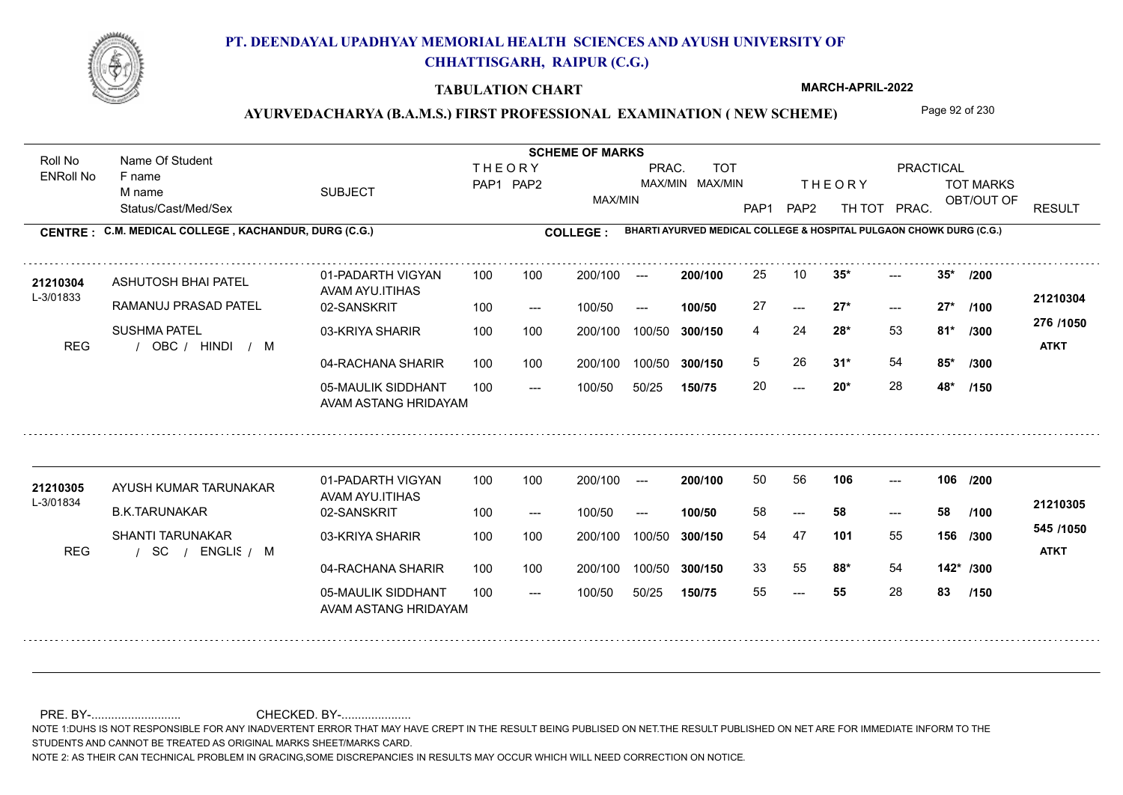

### **TABULATION CHART**

**MARCH-APRIL-2022**

### AYURVEDACHARYA (B.A.M.S.) FIRST PROFESSIONAL EXAMINATION (NEW SCHEME) Page 92 of 230

Status/Cast/Med/Sex SUBJECT TOT MARKS OBT/OUT OF PRACTICAL THE ORY TOT MARKS PAP1 PAP2 TH TOT PRAC. Roll No Name Of Student ENRoll No **CENTRE : C.M. MEDICAL COLLEGE ; KACHANDUR, DURG (C.G.) <b>COLLEGE : THEORY** PAP1 PAP2 MAX/MIN PRAC. MAX/MIN MAX/MIN TOT RESULT **Name Of Student Contract of Student Act of Student SCHEME OF MARKS BHARTI AYURVED MEDICAL COLLEGE & HOSPITAL PULGAON CHOWK DURG (C.G.)** F name M name 01-PADARTH VIGYAN AVAM AYU.ITIHAS 05-MAULIK SIDDHANT AVAM ASTANG HRIDAYAM 04-RACHANA SHARIR 100 100 03-KRIYA SHARIR 100 100 REG / OBC / HINDI / M  $-20*$  $-27*$  $-2$  35\* 02-SANSKRIT 100 --- 100/50 --- 100 100 200/100 100/50 300/150 100/50 50/25 **150/75 300/150** 100/50 100 200/100 ---100/50 **300/150 200/100 100/50** 100 100 200/100 100/50 300/150  $-27*$  $- -$  100/50 L-3/01833 ASHUTOSH BHAI PATEL RAMANUJ PRASAD PATEL SUSHMA PATEL **35\* 35\* /200 28\*** 53 **/300 31\*** 54 **85\* /300 276 /1050** HINDI M **ATKT 21210304 <sup>21210304</sup>** <sup>25</sup> <sup>10</sup> 27 **27\* 27\*** 4 24 **81\*** 5 26 **31\*** 54 20 **20\*** 28 **48\* /100 /150** 01-PADARTH VIGYAN AVAM AYU.ITIHAS 05-MAULIK SIDDHANT 100 AVAM ASTANG HRIDAYAM 04-RACHANA SHARIR 100 100 03-KRIYA SHARIR
100 100 / / / REG SC --- --- --- **106 106 /200** 02-SANSKRIT 100 --- 100/50 --- 200/100 100/50 **300/150** 100/50 50/25 **150/75 300/150** 100/50 200/100 100 200/100 ---**200/100 100/50** --- 200/100 100/50 200/100 100/50  $- -$  100/50 L-3/01834 AYUSH KUMAR TARUNAKAR B.K.TARUNAKAR SHANTI TARUNAKAR **101** 55 54 47 **156 /300 88\*** 54 **142\* /300 545 /1050** ENGLISH M **ATKT 21210305** 21210305 AYUSH KUMAR TARUNAKAR 01-PADARTH VIGYAN 100 100 200/100 --- **200/100 50 56 106 ---**-58 **58 58** 33 55 **88\*** 54 55 **55** 28 **83 /100 /150**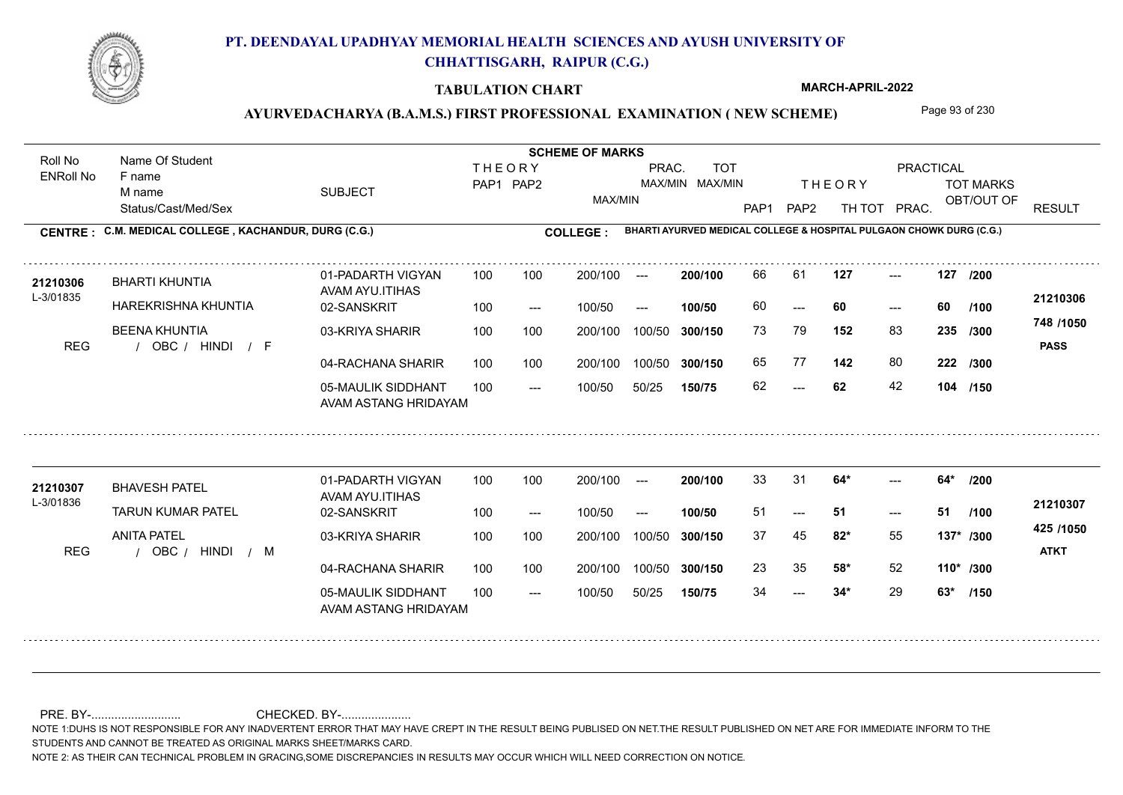

### **TABULATION CHART**

**MARCH-APRIL-2022**

### AYURVEDACHARYA (B.A.M.S.) FIRST PROFESSIONAL EXAMINATION (NEW SCHEME) Page 93 of 230

Status/Cast/Med/Sex SUBJECT TOT MARKS OBT/OUT OF PRACTICAL THE ORY TOT MARKS PAP1 PAP2 TH TOT PRAC. Roll No Name Of Student ENRoll No **CENTRE : C.M. MEDICAL COLLEGE ; KACHANDUR, DURG (C.G.) <b>COLLEGE : THEORY** PAP1 PAP2 MAX/MIN PRAC. MAX/MIN MAX/MIN TOT RESULT **Name Of Student Contract of Student Act of Student SCHEME OF MARKS BHARTI AYURVED MEDICAL COLLEGE & HOSPITAL PULGAON CHOWK DURG (C.G.)** F name M name 01-PADARTH VIGYAN AVAM AYU.ITIHAS 05-MAULIK SIDDHANT AVAM ASTANG HRIDAYAM 04-RACHANA SHARIR 100 100 03-KRIYA SHARIR 100 100 REG / OBC / HINDI / F  $- - 62$ --- --- **127 127 /200** 02-SANSKRIT 100 --- 100/50 --- 100 100 200/100 100/50 300/150 100/50 50/25 **150/75 300/150** 100/50 100 200/100 ---100/50 **300/150 200/100 100/50** 100 100 200/100 100/50 300/150  $- - 60$  $- -$  100/50 L-3/01835 BHARTI KHUNTIA HAREKRISHNA KHUNTIA BEENA KHUNTIA **152** 83 73 79 **235 /300 142** 80 **222 /300 748 /1050** HINDI F **PASS 21210306 <sup>21210306</sup>** <sup>66</sup> <sup>61</sup> 60 **60 60** 65 77 **142** 80 62 **62** 42 **104 /150 /100** 01-PADARTH VIGYAN AVAM AYU.ITIHAS 05-MAULIK SIDDHANT 100 AVAM ASTANG HRIDAYAM 04-RACHANA SHARIR 100 100 03-KRIYA SHARIR
100 100 REG / OBC / HINDI / M  $- - 34*$ --- 51  $- - 64*$ 02-SANSKRIT 100 --- 100/50 --- 200/100 100/50 **300/150** 100/50 50/25 **150/75 300/150** 100/50 200/100 100 200/100 ---**200/100 100/50** --- 200/100 100/50 200/100 100/50  $- -$  100/50 L-3/01836 BHAVESH PATEL TARUN KUMAR PATEL ANITA PATEL **64\* 64\* /200 82\*** 55 37 45 **137\* /300 58\*** 52 **110\* /300 425 /1050** HINDI M **ATKT 21210307 <sup>21210307</sup>** <sup>33</sup> <sup>31</sup> 51 **51 51** 23 35 **58\*** 52 34 **34\*** 29 **63\* /100 /150**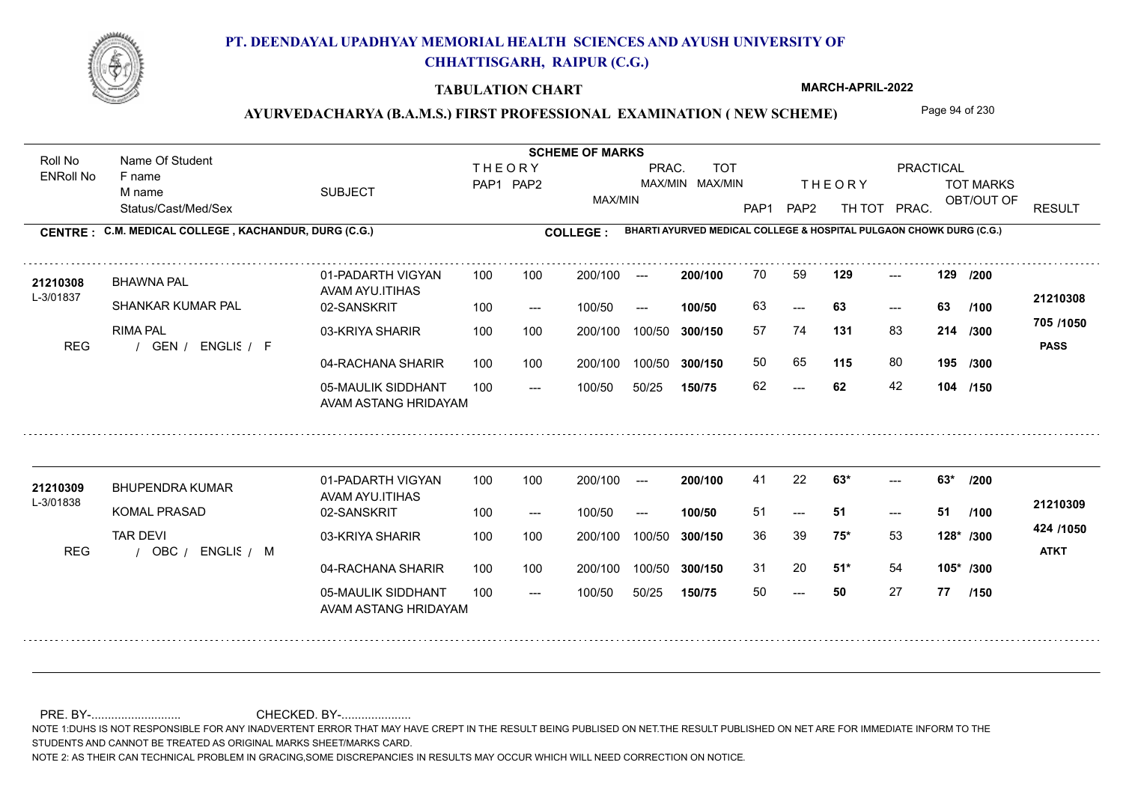

### **TABULATION CHART**

**MARCH-APRIL-2022**

### AYURVEDACHARYA (B.A.M.S.) FIRST PROFESSIONAL EXAMINATION (NEW SCHEME) Page 94 of 230

Status/Cast/Med/Sex SUBJECT TOT MARKS OBT/OUT OF PRACTICAL THE ORY TOT MARKS PAP1 PAP2 TH TOT PRAC. Roll No Name Of Student ENRoll No **CENTRE : C.M. MEDICAL COLLEGE ; KACHANDUR, DURG (C.G.) <b>COLLEGE : THEORY** PAP1 PAP2 MAX/MIN PRAC. MAX/MIN MAX/MIN TOT RESULT **Name Of Student Contract of Student Act of Student SCHEME OF MARKS BHARTI AYURVED MEDICAL COLLEGE & HOSPITAL PULGAON CHOWK DURG (C.G.)** F name M name 01-PADARTH VIGYAN AVAM AYU.ITIHAS 05-MAULIK SIDDHANT AVAM ASTANG HRIDAYAM 04-RACHANA SHARIR 100 100 03-KRIYA SHARIR REG / GEN / ENGLIS / F  $- - 62$  $- - 63$ --- **129 129 /200** 02-SANSKRIT  $100/50$ 100 100 200/100 100/50 300/150 100/50 50/25 **150/75 300/150** 100/50 100 200/100 ---100/50 --- **100/50** 100/50 **300/150 200/100** 100 100 200/100 100/50 300/150  $-$  63  $- -$  100/50 L-3/01837 BHAWNA PAL SHANKAR KUMAR PAL RIMA PAL **131** 83 57 74 **214 /300 115** 80 **195 /300 705 /1050** ENGLISH F **PASS 21210308 <sup>21210308</sup>** <sup>70</sup> <sup>59</sup> 63 **63 63** 50 65 **115** 80 62 **62** 42 **104 /150 /100** 01-PADARTH VIGYAN AVAM AYU.ITIHAS 05-MAULIK SIDDHANT 100 AVAM ASTANG HRIDAYAM 04-RACHANA SHARIR 100 100 03-KRIYA SHARIR
100 100 REG / OBC / ENGLIS / M --- ---  $- - 63*$ 02-SANSKRIT 100 --- 100/50 --- 200/100 100/50 **300/150** 100/50 50/25 **150/75 300/150** 100/50 200/100 100 200/100 ---**200/100 100/50**  $- - 51$ 200/100 100/50 200/100 100/50  $- -$  100/50 L-3/01838 BHUPENDRA KUMAR **21210309** KOMAL PRASAD TAR DEVI **63\* 63\* /200 75\*** 53 36 39 **128\* /300 51\*** 54 **105\* /300 424 /1050** ENGLISH M **ATKT 21210309** 41 22 **63\*** ---51 **51 51** 31 20 **51\*** 54 50 **50** 27 **77 /100 /150**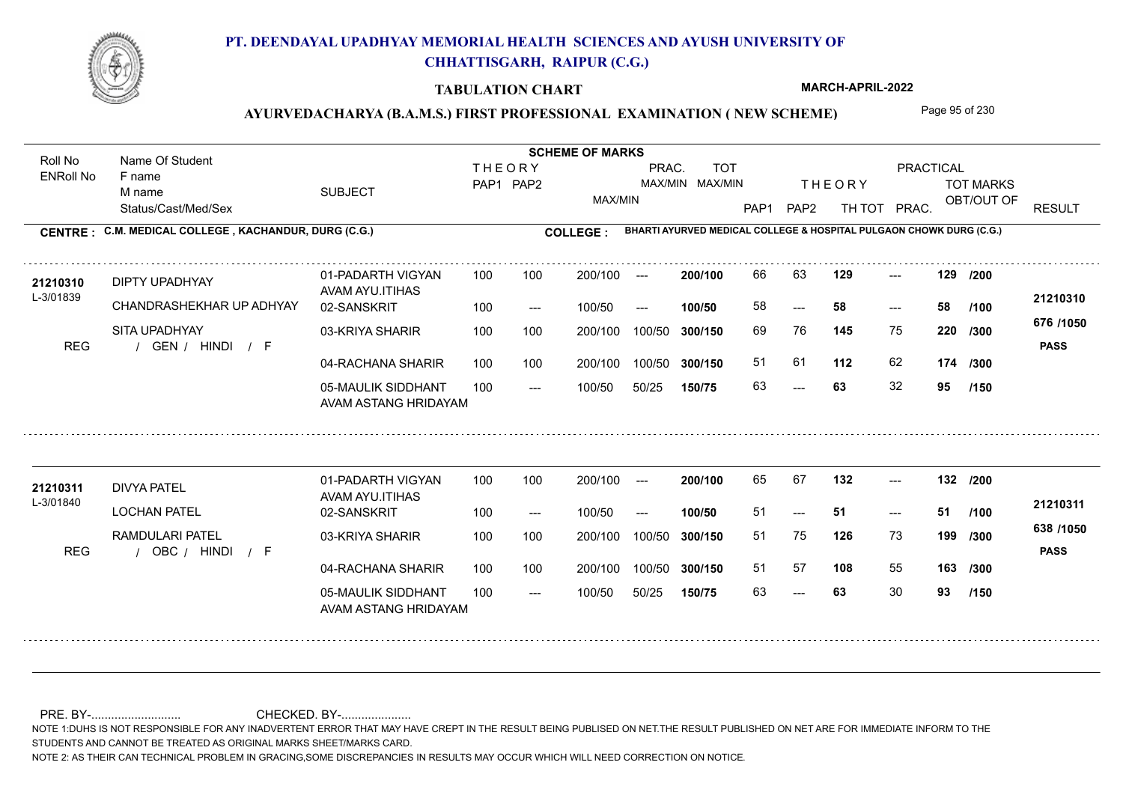

### **TABULATION CHART**

**MARCH-APRIL-2022**

### AYURVEDACHARYA (B.A.M.S.) FIRST PROFESSIONAL EXAMINATION (NEW SCHEME) Page 95 of 230

Status/Cast/Med/Sex SUBJECT TOT MARKS OBT/OUT OF PRACTICAL THE ORY TOT MARKS PAP1 PAP2 TH TOT PRAC. Roll No Name Of Student ENRoll No **CENTRE : C.M. MEDICAL COLLEGE ; KACHANDUR, DURG (C.G.) <b>COLLEGE : THEORY** PAP1 PAP2 MAX/MIN PRAC. MAX/MIN MAX/MIN TOT RESULT **Name Of Student Contract of Student SCHEME OF MARKS**<br>
THE OR Y **BHARTI AYURVED MEDICAL COLLEGE & HOSPITAL PULGAON CHOWK DURG (C.G.)** F name M name 01-PADARTH VIGYAN AVAM AYU.ITIHAS 05-MAULIK SIDDHANT AVAM ASTANG HRIDAYAM 04-RACHANA SHARIR 100 100 03-KRIYA SHARIR REG / GEN / HINDI / F  $- - 63$ --- --- **129 129 /200** 02-SANSKRIT 100 --- 100/50 --- 100 100 200/100 100/50 300/150 100/50 50/25 **150/75 300/150** 100/50 100 200/100 ---100/50 **300/150 200/100 100/50** 100 100 200/100 100/50 300/150  $- - 58$  $- -$  100/50 L-3/01839 DIPTY UPADHYAY CHANDRASHEKHAR UP ADHYAY SITA UPADHYAY **145** 75 **/300 112** 62 **174 676 /1050** HINDI F **PASS 21210310 21210310** DIPTY UPADHYAY 01-PADARTH VIGYAN 100 100 200/100 --- **200/100** 66 63 **129** ---58 **58 58** 69 76 **220** 51 61 63 **63** 32 **95 /100 /300 /150** 01-PADARTH VIGYAN AVAM AYU.ITIHAS 05-MAULIK SIDDHANT 100 AVAM ASTANG HRIDAYAM 04-RACHANA SHARIR 100 100 03-KRIYA SHARIR REG / OBC / HINDI / F --- 63 --- --- **132 132 /200** 02-SANSKRIT 100 --- 100/50 --- 200/100 100/50 **300/150** 100/50 50/25 **150/75 300/150** 100/50 200/100 100 200/100 ---**200/100 100/50**  $- - 51$ 200/100 100/50 200/100 100/50  $- -$  100/50 L-3/01840 DIVYA PATEL LOCHAN PATEL RAMDULARI PATEL **126** 73 **/300 108** 55 **163 /300 638 /1050** HINDI F **PASS 21210311 <sup>21210311</sup>** <sup>65</sup> <sup>67</sup> 51 **51 51** 51 75 **199** 51 57 **108** 55 63 **63** 30 **93 /100 /150**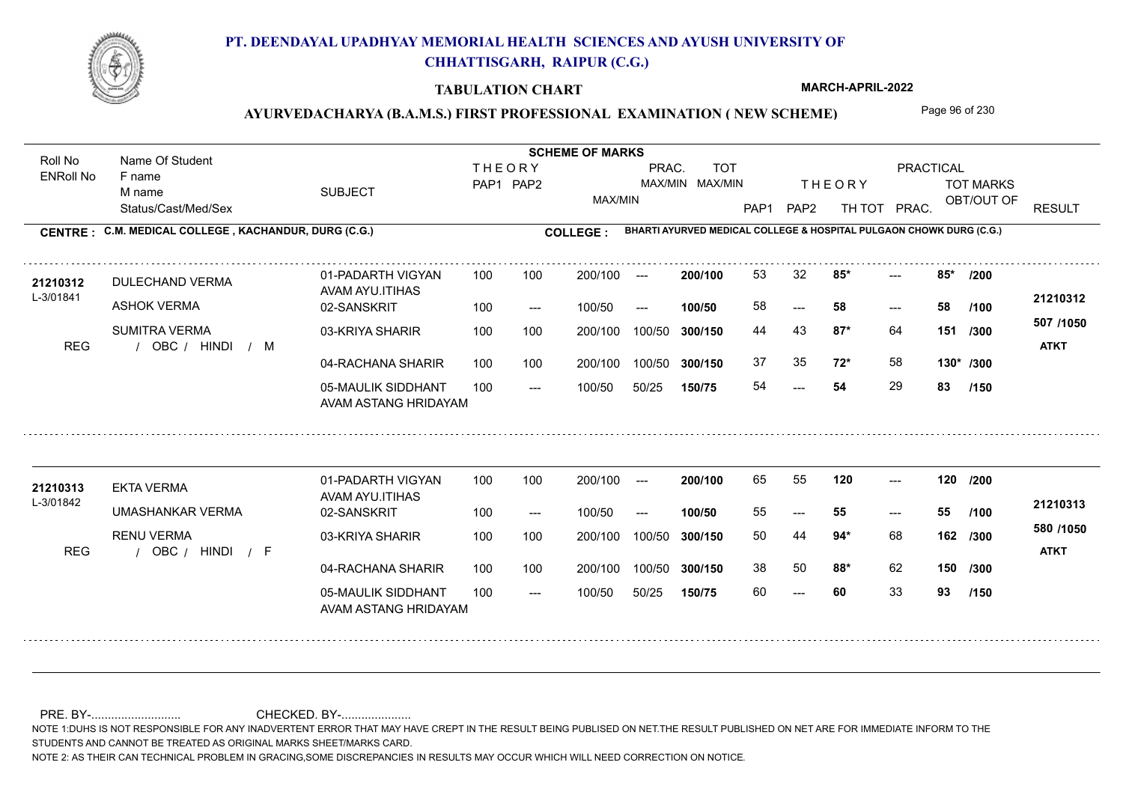

### **TABULATION CHART**

**MARCH-APRIL-2022**

### AYURVEDACHARYA (B.A.M.S.) FIRST PROFESSIONAL EXAMINATION (NEW SCHEME) Page 96 of 230

Status/Cast/Med/Sex SUBJECT TOT MARKS OBT/OUT OF PRACTICAL THE ORY TOT MARKS PAP1 PAP2 TH TOT PRAC. Roll No Name Of Student ENRoll No **CENTRE : C.M. MEDICAL COLLEGE ; KACHANDUR, DURG (C.G.) <b>COLLEGE : THEORY** PAP1 PAP2 MAX/MIN PRAC. MAX/MIN MAX/MIN TOT RESULT **Name Of Student Contract of Student SCHEME OF MARKS**<br>
THE OR Y **BHARTI AYURVED MEDICAL COLLEGE & HOSPITAL PULGAON CHOWK DURG (C.G.)** F name M name 01-PADARTH VIGYAN AVAM AYU.ITIHAS 05-MAULIK SIDDHANT AVAM ASTANG HRIDAYAM 04-RACHANA SHARIR 100 100 03-KRIYA SHARIR REG / OBC / HINDI / M 54 ---  $-2$  85\* 02-SANSKRIT 100 --- 100/50 --- 100 100 200/100 100/50 300/150 100/50 50/25 **150/75 300/150** 100/50 100 200/100 ---100/50 **300/150 200/100 100/50** 100 100 200/100 100/50 300/150  $- - 58$  $- -$  100/50 L-3/01841 DULECHAND VERMA ASHOK VERMA SUMITRA VERMA **85\* 85\* /200 87\*** 64 44 43 **151 /300 72\*** 58 **130\* /300 507 /1050** HINDI M **ATKT 21210312 <sup>21210312</sup>** <sup>53</sup> <sup>32</sup> 58 **58 58** 37 35 **72\*** 58 54 **54** 29 **83 /100 /150** 01-PADARTH VIGYAN AVAM AYU.ITIHAS 05-MAULIK SIDDHANT 100 AVAM ASTANG HRIDAYAM 04-RACHANA SHARIR 100 100 03-KRIYA SHARIR REG / OBC / HINDI / F --- --- --- 02-SANSKRIT 100 --- 100/50 --- 200/100 100/50 **300/150** 100/50 50/25 **150/75 300/150** 100/50 200/100 100 200/100 ---**200/100 100/50** --- 200/100 100/50 200/100 100/50  $- -$  100/50 L-3/01842 EKTA VERMA UMASHANKAR VERMA RENU VERMA **120 120 /200 94\*** 68 50 44 **162 /300 88\*** 62 **150 /300 580 /1050** HINDI F **ATKT 21210313 <sup>21210313</sup>** <sup>65</sup> <sup>55</sup> 55 **55 55** 38 50 **88\*** 62 60 **60** 33 **93 /100 /150**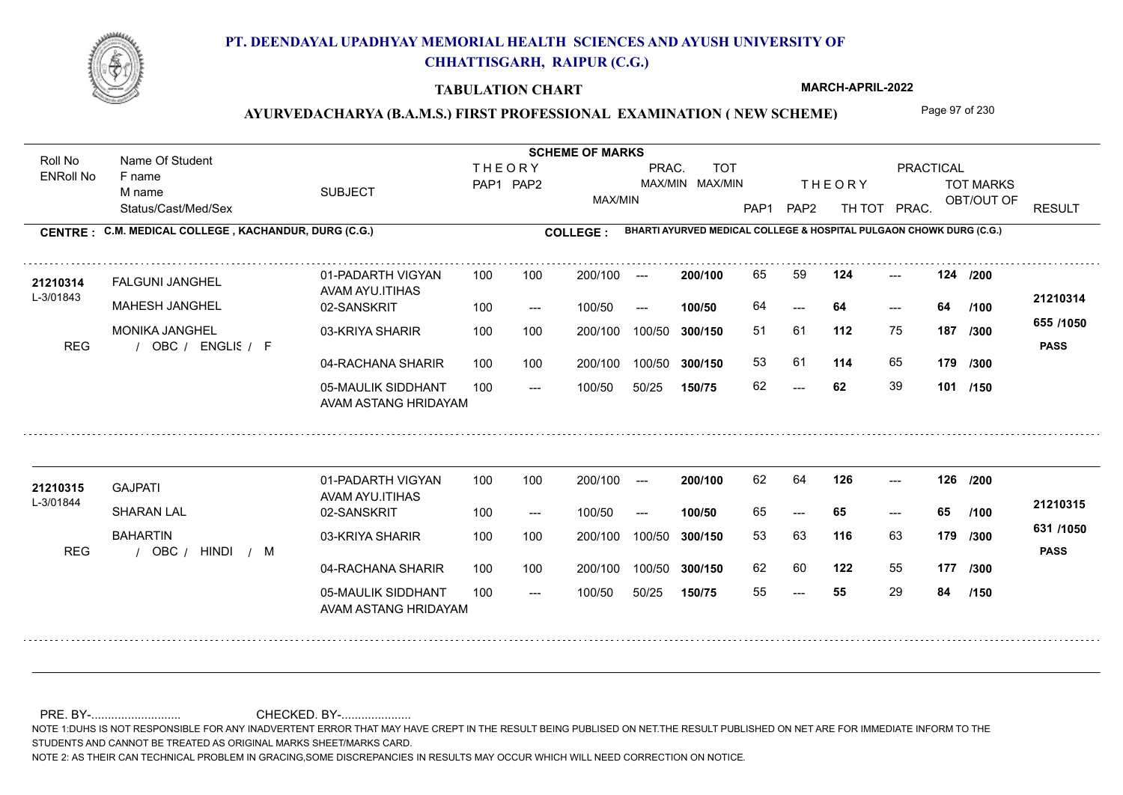

### **TABULATION CHART**

**MARCH-APRIL-2022**

### AYURVEDACHARYA (B.A.M.S.) FIRST PROFESSIONAL EXAMINATION (NEW SCHEME) Page 97 of 230

Status/Cast/Med/Sex SUBJECT TOT MARKS OBT/OUT OF PRACTICAL THE ORY TOT MARKS PAP1 PAP2 TH TOT PRAC. Roll No Name Of Student ENRoll No **CENTRE : C.M. MEDICAL COLLEGE ; KACHANDUR, DURG (C.G.) <b>COLLEGE : THEORY** PAP1 PAP2 MAX/MIN PRAC. MAX/MIN MAX/MIN TOT RESULT **Name Of Student Contract of Student SCHEME OF MARKS**<br>
THE OR Y **BHARTI AYURVED MEDICAL COLLEGE & HOSPITAL PULGAON CHOWK DURG (C.G.)** F name M name 01-PADARTH VIGYAN AVAM AYU.ITIHAS 05-MAULIK SIDDHANT AVAM ASTANG HRIDAYAM 04-RACHANA SHARIR 100 100 03-KRIYA SHARIR REG / OBC / ENGLIS / F  $- - 62$ --- --- **124 124 /200** 02-SANSKRIT 100 --- 100/50 --- 100 100 200/100 100/50 300/150 100/50 50/25 **150/75 300/150** 100/50 100 200/100 ---100/50 **300/150 200/100 100/50** 100 100 200/100 100/50 300/150  $- - 64$  $- -$  100/50 L-3/01843 FALGUNI JANGHEL MAHESH JANGHEL MONIKA JANGHEL **112** 75 51 61 **187 /300 114** 65 **179 /300 655 /1050** ENGLISH F **PASS 21210314 <sup>21210314</sup>** <sup>65</sup> <sup>59</sup> 64 **64 64** 53 61 62 **62** 39 **101 /150 /100** 01-PADARTH VIGYAN AVAM AYU.ITIHAS 05-MAULIK SIDDHANT 100 AVAM ASTANG HRIDAYAM 04-RACHANA SHARIR 100 100 03-KRIYA SHARIR REG / OBC / HINDI / M --- --- --- **126 126 /200** 02-SANSKRIT / 100 --- 100/50 --- 200/100 100/50 **300/150** 100/50 50/25 **150/75 300/150** 100/50 200/100 100 200/100 ---**200/100 100/50** --- 200/100 100/50 200/100 100/50  $- -$  100/50 L-3/01844 GAJPATI SHARAN LAL **BAHARTIN 116** 63 53 63 **179 /300 122** 55 **177 /300 631 /1050** HINDI M **PASS 21210315 <sup>21210315</sup>** <sup>62</sup> <sup>64</sup> 65 **65 65** 62 60 122 55 55 **55** 29 **84 /100 /150**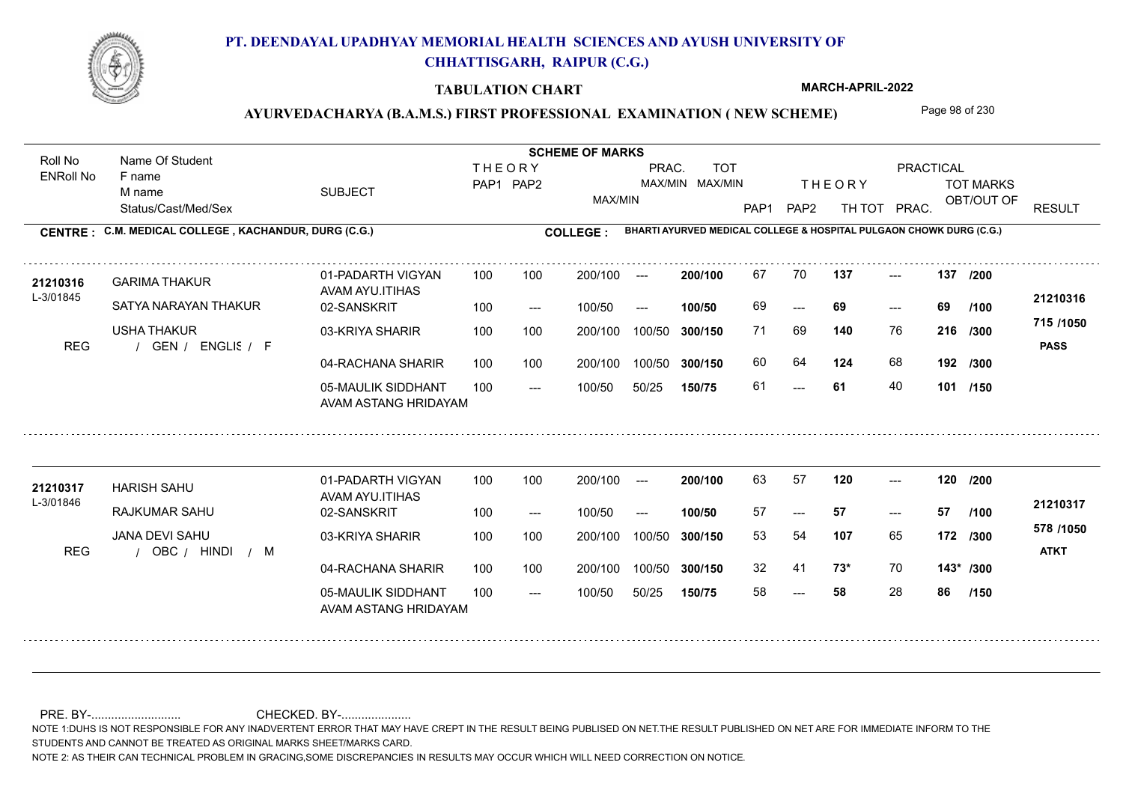

### **TABULATION CHART**

**MARCH-APRIL-2022**

### AYURVEDACHARYA (B.A.M.S.) FIRST PROFESSIONAL EXAMINATION (NEW SCHEME) Page 98 of 230

Status/Cast/Med/Sex SUBJECT TOT MARKS OBT/OUT OF PRACTICAL THE ORY TOT MARKS PAP1 PAP2 TH TOT PRAC. Roll No Name Of Student ENRoll No **CENTRE : C.M. MEDICAL COLLEGE ; KACHANDUR, DURG (C.G.) <b>COLLEGE : THEORY** PAP1 PAP2 MAX/MIN PRAC. MAX/MIN MAX/MIN TOT RESULT **Name Of Student Contract of Student SCHEME OF MARKS**<br>
THE OR Y **BHARTI AYURVED MEDICAL COLLEGE & HOSPITAL PULGAON CHOWK DURG (C.G.)** F name M name 01-PADARTH VIGYAN AVAM AYU.ITIHAS 05-MAULIK SIDDHANT AVAM ASTANG HRIDAYAM 04-RACHANA SHARIR 100 100 03-KRIYA SHARIR REG / GEN / ENGLIS / F --- --- --- **137 137 /200** 02-SANSKRIT 100 --- 100/50 --- 100 100 200/100 100/50 300/150 100/50 50/25 **150/75 300/150** 100/50 100 200/100 ---100/50 **300/150 200/100 100/50** 100 100 200/100 100/50 300/150 ---  $- -$  100/50 L-3/01845 GARIMA THAKUR SATYA NARAYAN THAKUR USHA THAKUR **140** 76 71 69 **216 /300 124** 68 **192 /300 715 /1050** ENGLISH F **PASS 21210316** 21210316 GARIMA THAKUR 01-PADARTH VIGYAN 100 100 200/100 --- 200/100 67 70 **137** ---69 **69 69** 60 64 **124** 68 61 **61** 40 **101 /150 /100** 01-PADARTH VIGYAN AVAM AYU.ITIHAS 05-MAULIK SIDDHANT 100 AVAM ASTANG HRIDAYAM 04-RACHANA SHARIR 100 100 03-KRIYA SHARIR REG / OBC / HINDI / M --- --- --- 02-SANSKRIT 100 --- 100/50 --- 200/100 100/50 **300/150** 100/50 50/25 **150/75 300/150** 100/50 200/100 100 200/100 ---**200/100 100/50** --- 200/100 100/50 200/100 100/50  $- -$  100/50 L-3/01846 HARISH SAHU RAJKUMAR SAHU JANA DEVI SAHU **120 120 /200 107** 65 53 54 **172 /300 73\*** 70 **143\* /300 578 /1050** HINDI M **ATKT 21210317** 21210317 HARISH SAHU 01-PADARTH VIGYAN 100 100 200/100 --- **200/100** 63 57 **120** ---57 **57 57** 32 41 **73\*** 70 58 **58** 28 **86 /100 /150**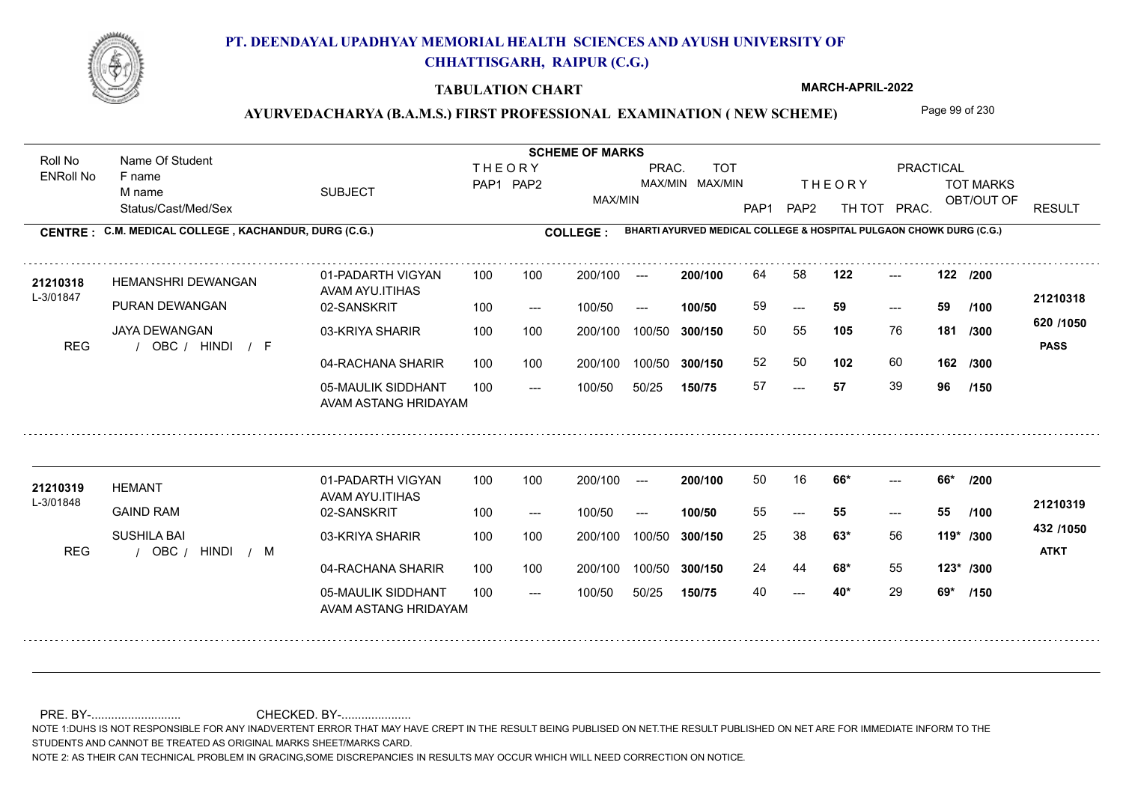

### **TABULATION CHART**

**MARCH-APRIL-2022**

### AYURVEDACHARYA (B.A.M.S.) FIRST PROFESSIONAL EXAMINATION (NEW SCHEME) Page 99 of 230

Status/Cast/Med/Sex SUBJECT TOT MARKS OBT/OUT OF PRACTICAL THE ORY TOT MARKS PAP1 PAP2 TH TOT PRAC. Roll No Name Of Student ENRoll No **CENTRE : C.M. MEDICAL COLLEGE ; KACHANDUR, DURG (C.G.) <b>COLLEGE : THEORY** PAP1 PAP2 MAX/MIN PRAC. MAX/MIN MAX/MIN TOT RESULT **Name Of Student Contract of Student SCHEME OF MARKS**<br>
THE OR Y **BHARTI AYURVED MEDICAL COLLEGE & HOSPITAL PULGAON CHOWK DURG (C.G.)** F name M name 01-PADARTH VIGYAN AVAM AYU.ITIHAS 05-MAULIK SIDDHANT AVAM ASTANG HRIDAYAM 04-RACHANA SHARIR 100 100 03-KRIYA SHARIR REG / OBC / HINDI / F --- --- --- **122 122 /200** 02-SANSKRIT 100 --- 100/50 --- 100 100 200/100 100/50 300/150 100/50 50/25 **150/75 300/150** 100/50 100 200/100 ---100/50 **300/150 200/100 100/50** 100 100 200/100 100/50 300/150 ---  $- -$  100/50 L-3/01847 HEMANSHRI DEWANGAN PURAN DEWANGAN JAYA DEWANGAN **105** 76 50 55 **181 /300 102** 60 **162 620 /1050** HINDI F **PASS 21210318** 21210318 HEMANSHRI DEWANGAN 01-PADARTH VIGYAN 100 100 200/100 --- 200/100 64 58 **122** ---59 **59 59** 52 50 57 **57** 39 **96 /100 /300 /150** 01-PADARTH VIGYAN AVAM AYU.ITIHAS 05-MAULIK SIDDHANT 100 AVAM ASTANG HRIDAYAM 04-RACHANA SHARIR 100 100 03-KRIYA SHARIR REG / OBC / HINDI / M  $- - 40*$ ---  $- -$  66\* 02-SANSKRIT / 100 --- 100/50 --- 200/100 100/50 **300/150** 100/50 50/25 **150/75 300/150** 100/50 200/100 100 200/100 ---**200/100 100/50** --- 200/100 100/50 200/100 100/50  $- -$  100/50 L-3/01848 HEMANT GAIND RAM SUSHILA BAI **66\* 66\* /200 63\*** 56 25 38 **119\* /300 68\*** 55 **123\* /300 432 /1050** HINDI M **ATKT 21210319 <sup>21210319</sup>** <sup>50</sup> <sup>16</sup> 55 **55 55** 24 44 **68\*** 55 40 **40\*** 29 **69\* /100 /150**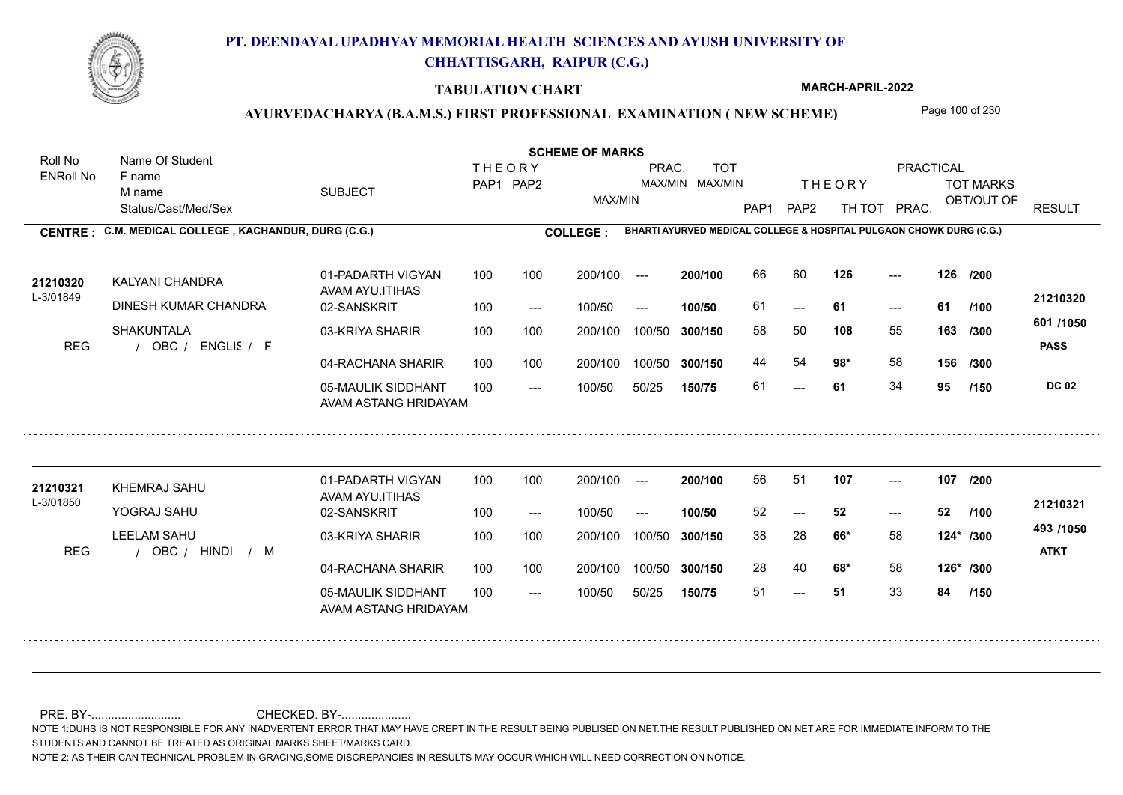

### **TABULATION CHART**

**MARCH-APRIL-2022**

### AYURVEDACHARYA (B.A.M.S.) FIRST PROFESSIONAL EXAMINATION (NEW SCHEME) Page 100 of 230

Status/Cast/Med/Sex SUBJECT TOT MARKS OBT/OUT OF PRACTICAL THE ORY TOT MARKS PAP1 PAP2 TH TOT PRAC. Roll No Name Of Student ENRoll No **CENTRE : C.M. MEDICAL COLLEGE ; KACHANDUR, DURG (C.G.) <b>COLLEGE : THEORY** PAP1 PAP2 MAX/MIN PRAC. MAX/MIN MAX/MIN TOT RESULT **Name Of Student Contract of Student SCHEME OF MARKS**<br>
THE OR Y **BHARTI AYURVED MEDICAL COLLEGE & HOSPITAL PULGAON CHOWK DURG (C.G.)** F name M name 01-PADARTH VIGYAN AVAM AYU.ITIHAS 05-MAULIK SIDDHANT AVAM ASTANG HRIDAYAM 04-RACHANA SHARIR 100 100 03-KRIYA SHARIR REG / OBC / ENGLIS / F ---  $- - 61$ --- **126 126 /200** 02-SANSKRIT 100 --- 100/50 --- 100 100 200/100 100/50 300/150 100/50 50/25 **150/75 300/150** 100/50 100 200/100 ---100/50 **300/150 200/100 100/50** 100 100 200/100 100/50 300/150  $- - 61$  $- -$  100/50 L-3/01849 KALYANI CHANDRA DINESH KUMAR CHANDRA SHAKUNTALA **108** 55 **/300 98\*** 58 **156 601 /1050 PASS DC 02 /150 21210320 <sup>21210320</sup>** <sup>66</sup> <sup>60</sup> 61 **61 61** 58 50 **163** 44 54 **98**\* 58 61 **61** 34 **95 /100 /300** 01-PADARTH VIGYAN AVAM AYU.ITIHAS 05-MAULIK SIDDHANT 100 AVAM ASTANG HRIDAYAM 04-RACHANA SHARIR 100 100 03-KRIYA SHARIR REG / OBC / HINDI / M --- 51 --- --- **107 107 /200** 02-SANSKRIT 100 --- 100/50 --- 200/100 100/50 **300/150** 100/50 50/25 **150/75 300/150** 100/50 200/100 100 200/100 ---**200/100 100/50** --- 200/100 100/50 200/100 100/50  $- -$  100/50 L-3/01850 KHEMRAJ SAHU YOGRAJ SAHU LEELAM SAHU **66\*** 58 38 28 **124\* /300 68\*** 58 **126\* /300 493 /1050** HINDI M **ATKT 21210321 <sup>21210321</sup>** <sup>56</sup> <sup>51</sup> 52 **52 52** 28 40 **68\*** 58 51 **51** 33 **84 /100 /150**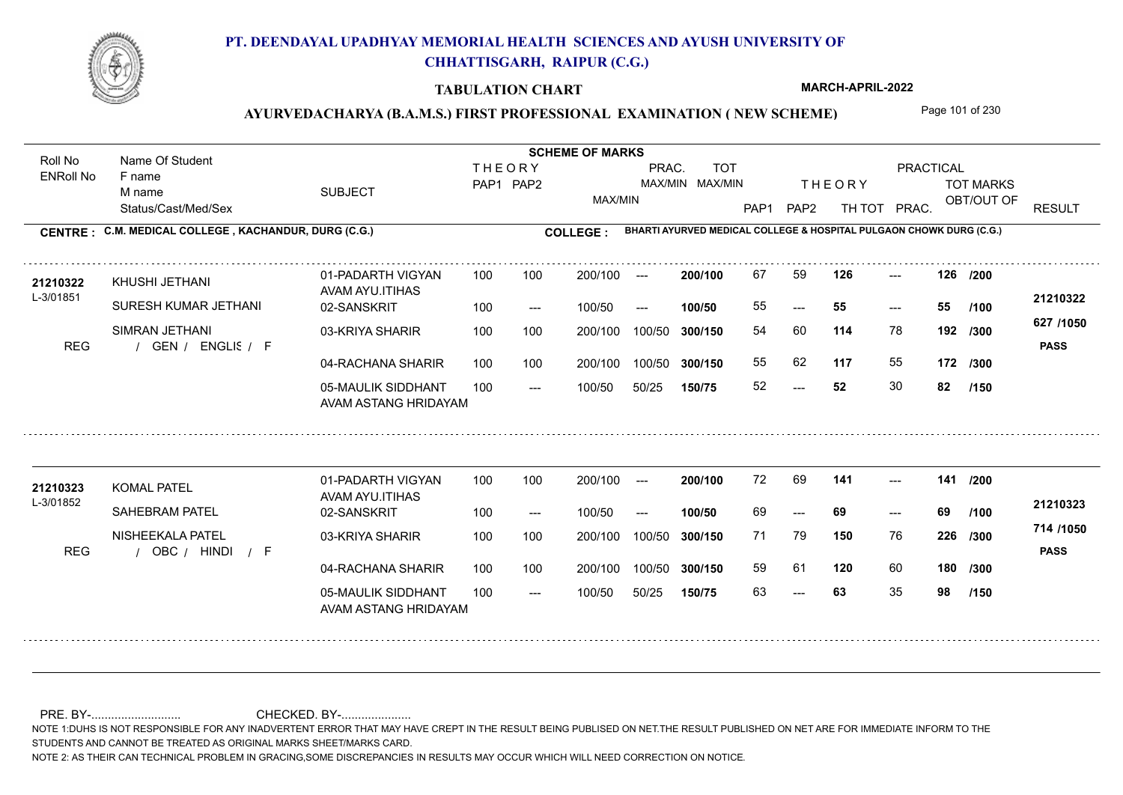

### **TABULATION CHART**

**MARCH-APRIL-2022**

### AYURVEDACHARYA (B.A.M.S.) FIRST PROFESSIONAL EXAMINATION (NEW SCHEME) Page 101 of 230

Status/Cast/Med/Sex SUBJECT TOT MARKS OBT/OUT OF PRACTICAL THE ORY TOT MARKS PAP1 PAP2 TH TOT PRAC. Roll No Name Of Student ENRoll No **CENTRE : C.M. MEDICAL COLLEGE ; KACHANDUR, DURG (C.G.) <b>COLLEGE : THEORY** PAP1 PAP2 MAX/MIN PRAC. MAX/MIN MAX/MIN TOT RESULT **Name Of Student Contract of Student SCHEME OF MARKS**<br>
THE OR Y **BHARTI AYURVED MEDICAL COLLEGE & HOSPITAL PULGAON CHOWK DURG (C.G.)** F name M name 01-PADARTH VIGYAN AVAM AYU.ITIHAS 05-MAULIK SIDDHANT AVAM ASTANG HRIDAYAM 04-RACHANA SHARIR 100 100 03-KRIYA SHARIR REG / GEN / ENGLIS / F  $-52$ --- --- **126 126 /200** 02-SANSKRIT 100 --- 100/50 --- 100 100 200/100 100/50 300/150 100/50 50/25 **150/75 300/150** 100/50 100 200/100 ---100/50 **300/150 200/100 100/50** 100 100 200/100 100/50 300/150  $- - 55$  $- -$  100/50 L-3/01851 KHUSHI JETHANI SURESH KUMAR JETHANI SIMRAN JETHANI **114** 78 54 60 **192 /300 117** 55 **172 /300 627 /1050** ENGLISH F **PASS 21210322** 21210322 KHUSHI JETHANI 01-PADARTH VIGYAN 100 100 200/100 --- 200/100 67 59 **126** ---55 **55 55** 55 62 52 **52** 30 **82 /100 /150** 01-PADARTH VIGYAN AVAM AYU.ITIHAS 05-MAULIK SIDDHANT 100 AVAM ASTANG HRIDAYAM 04-RACHANA SHARIR 100 100 03-KRIYA SHARIR
100 100 REG / OBC / HINDI / F --- 63 --- --- **141 141 /200** 02-SANSKRIT 100 --- 100/50 --- 200/100 100/50 **300/150** 100/50 50/25 **150/75 300/150** 100/50 200/100 100 200/100 ---**200/100 100/50** --- 200/100 100/50 200/100 100/50  $- -$  100/50 L-3/01852 KOMAL PATEL **21210323** SAHEBRAM PATEL NISHEEKALA PATEL **150** 76 **/300 120** 60 **180 /300 714 /1050** HINDI F **PASS 21210323** 72 69 **141** ---69 **69 69** 71 79 **226** 59 61 63 **63** 35 **98 /100 /150**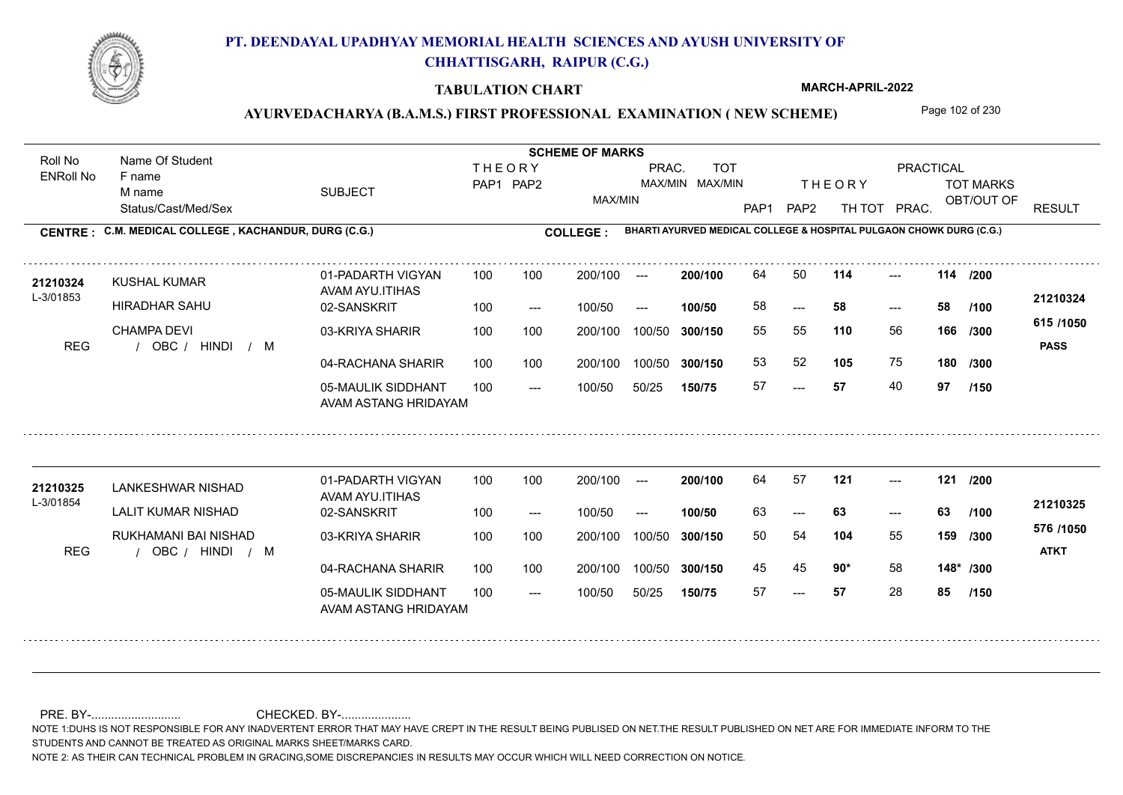

### **TABULATION CHART**

**MARCH-APRIL-2022**

### AYURVEDACHARYA (B.A.M.S.) FIRST PROFESSIONAL EXAMINATION (NEW SCHEME) Page 102 of 230

Status/Cast/Med/Sex SUBJECT TOT MARKS OBT/OUT OF PRACTICAL THE ORY TOT MARKS PAP1 PAP2 TH TOT PRAC. Roll No Name Of Student ENRoll No **CENTRE : C.M. MEDICAL COLLEGE ; KACHANDUR, DURG (C.G.) <b>COLLEGE : THEORY** PAP1 PAP2 MAX/MIN PRAC. MAX/MIN MAX/MIN TOT RESULT **Name Of Student Contract of Student SCHEME OF MARKS**<br>
THE OR Y **BHARTI AYURVED MEDICAL COLLEGE & HOSPITAL PULGAON CHOWK DURG (C.G.)** F name M name 01-PADARTH VIGYAN AVAM AYU.ITIHAS 05-MAULIK SIDDHANT AVAM ASTANG HRIDAYAM 04-RACHANA SHARIR 100 100 03-KRIYA SHARIR REG / OBC / HINDI / M --- --- --- **114 114 /200** 02-SANSKRIT 100 --- 100/50 --- 100 100 200/100 100/50 300/150 100/50 50/25 **150/75 300/150** 100/50 100 200/100 ---100/50 **300/150 200/100 100/50** 100 100 200/100 100/50 300/150  $- - 58$  $- -$  100/50 L-3/01853 KUSHAL KUMAR HIRADHAR SAHU CHAMPA DEVI **110** 56 55 55 **166 /300 105** 75 **180 615 /1050** HINDI M **PASS 21210324 <sup>21210324</sup>** <sup>64</sup> <sup>50</sup> 58 **58 58** 53 52 **105** 75 57 **57** 40 **97 /100 /300 /150** 01-PADARTH VIGYAN AVAM AYU.ITIHAS 05-MAULIK SIDDHANT 100 AVAM ASTANG HRIDAYAM 04-RACHANA SHARIR 100 100 03-KRIYA SHARIR
100 100 REG / OBC / HINDI / M --- --- --- **121 121 /200** 02-SANSKRIT 100 --- 100/50 --- 200/100 100/50 **300/150** 100/50 50/25 **150/75 300/150** 100/50 200/100 100 200/100 ---**200/100 100/50** --- 200/100 100/50 200/100 100/50  $- -$  100/50 L-3/01854 LANKESHWAR NISHAD LALIT KUMAR NISHAD RUKHAMANI BAI NISHAD **104** 55 **/300 90\*** 58 **148\* /300 576 /1050** HINDI M **ATKT 21210325** 21210325 LANKESHWAR NISHAD 01-PADARTH VIGYAN 100 100 200/100 --- **200/100** 64 57 **121** ---63 **63 63** 50 54 **159** 45 **45 90\*** 58 57 **57** 28 **85 /100 /150**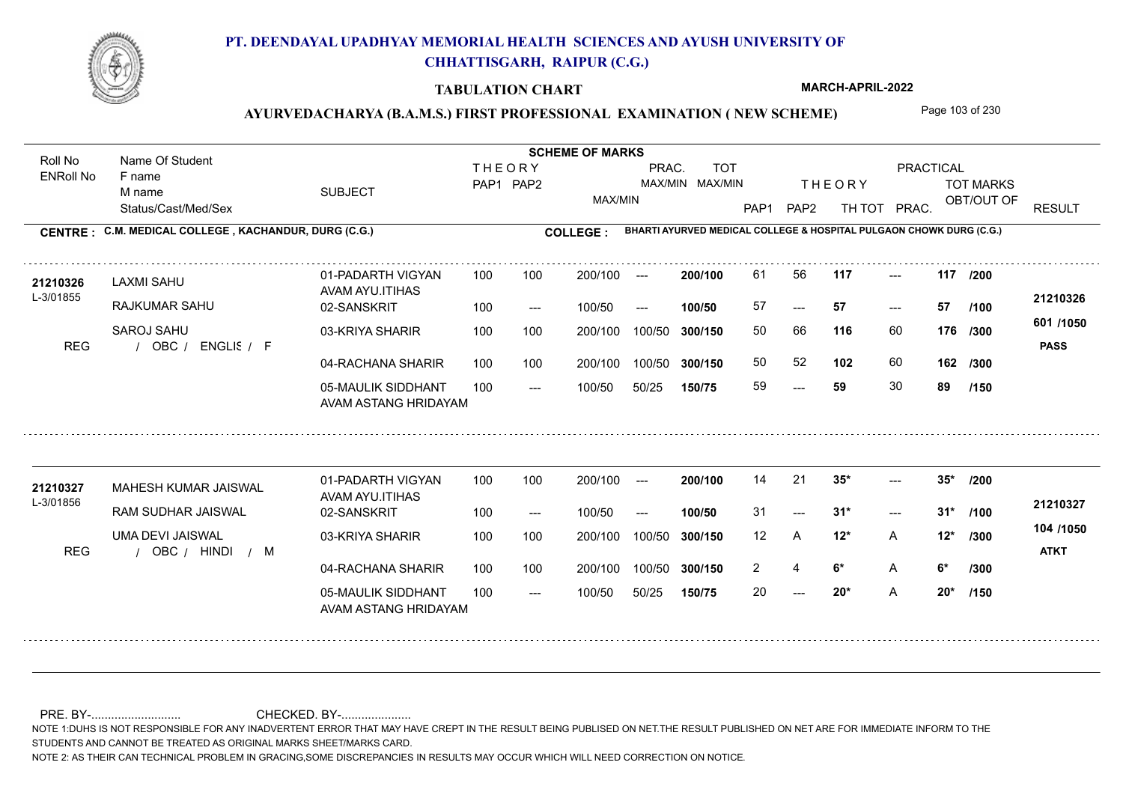

### **TABULATION CHART**

**MARCH-APRIL-2022**

### AYURVEDACHARYA (B.A.M.S.) FIRST PROFESSIONAL EXAMINATION (NEW SCHEME) Page 103 of 230

Status/Cast/Med/Sex SUBJECT TOT MARKS OBT/OUT OF PRACTICAL THE ORY TOT MARKS PAP1 PAP2 TH TOT PRAC. Roll No Name Of Student ENRoll No **CENTRE : C.M. MEDICAL COLLEGE ; KACHANDUR, DURG (C.G.) <b>COLLEGE : THEORY** PAP1 PAP2 MAX/MIN PRAC. MAX/MIN MAX/MIN TOT RESULT **Name Of Student Contract of Student SCHEME OF MARKS**<br>
THE OR Y **BHARTI AYURVED MEDICAL COLLEGE & HOSPITAL PULGAON CHOWK DURG (C.G.)** F name M name 01-PADARTH VIGYAN AVAM AYU.ITIHAS 05-MAULIK SIDDHANT AVAM ASTANG HRIDAYAM 04-RACHANA SHARIR 100 100 03-KRIYA SHARIR REG / OBC / ENGLIS / F --- --- --- **117 117 /200** 02-SANSKRIT 100 --- 100/50 --- 100 100 200/100 100/50 300/150 100/50 50/25 **150/75 300/150** 100/50 100 200/100 ---100/50 **300/150 200/100 100/50** 100 100 200/100 100/50 300/150  $- - 57$  $- -$  100/50 L-3/01855 LAXMI SAHU RAJKUMAR SAHU SAROJ SAHU **116** 60 50 66 **176 /300 102** 60 **162 601 /1050** ENGLISH F **PASS 21210326** 21**210326** LAXMI SAHU 01-PADARTH VIGYAN 100 100 200/100 --- **200/100** 61 56 **117** ---57 **57 57** 50 52 59 **59** 30 **89 /100 /300 /150** 01-PADARTH VIGYAN AVAM AYU.ITIHAS 05-MAULIK SIDDHANT 100 AVAM ASTANG HRIDAYAM 04-RACHANA SHARIR 100 100 03-KRIYA SHARIR
100 100 REG / OBC / HINDI / M  $-20*$  $-2$  31\*  $-2$  35\* 02-SANSKRIT 100 --- 100/50 --- 200/100 100/50 **300/150** 100/50 50/25 **150/75 300/150** 100/50 200/100 100 200/100 ---**200/100 100/50**  $-2$  31\* 200/100 100/50 200/100 100/50  $- -$  100/50 L-3/01856 MAHESH KUMAR JAISWAL **21210327** RAM SUDHAR JAISWAL UMA DEVI JAISWAL **35\* 35\* /200 12\*** A **/300 6\*** A **6\* /300 104 /1050** HINDI M **ATKT 21210327** 14 21 **35<sup>\*</sup>** ---31 **31\* 31\*** 12 A **12\*** 2 4 **6** A 20 **20\*** A **20\* /100 /150**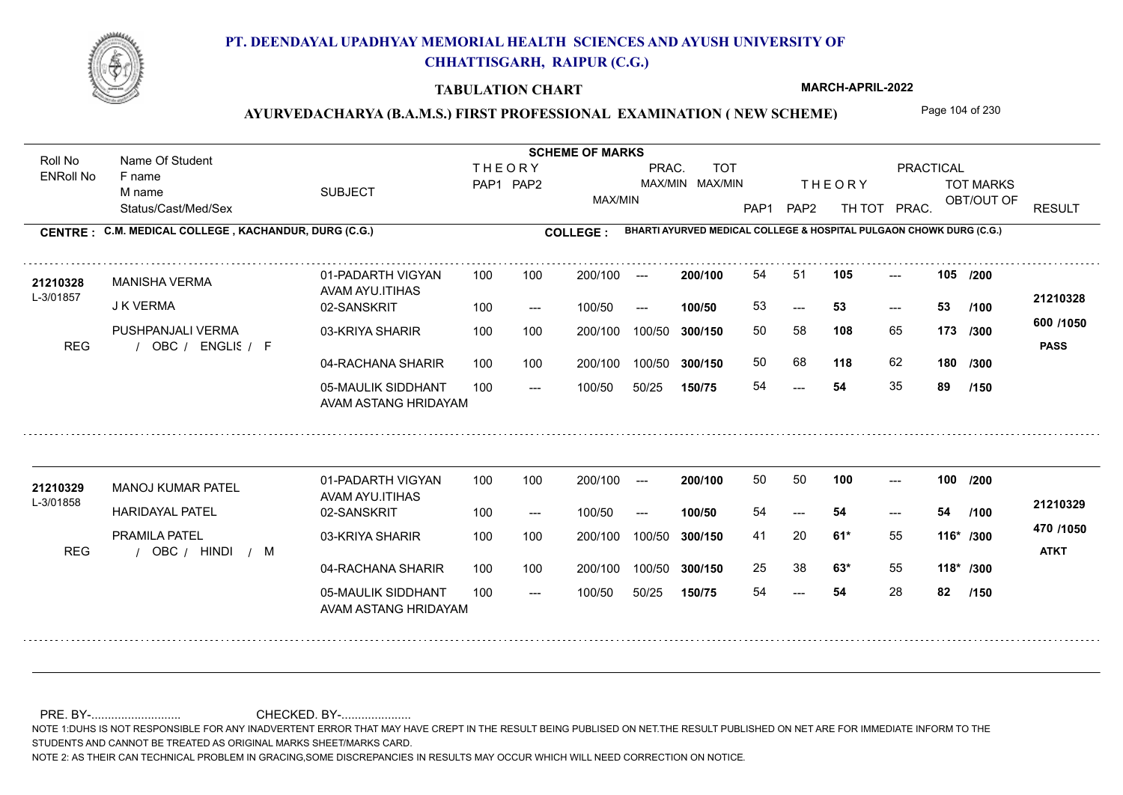

### **TABULATION CHART**

**MARCH-APRIL-2022**

### AYURVEDACHARYA (B.A.M.S.) FIRST PROFESSIONAL EXAMINATION (NEW SCHEME) Page 104 of 230

Status/Cast/Med/Sex SUBJECT TOT MARKS OBT/OUT OF PRACTICAL THE ORY TOT MARKS PAP1 PAP2 TH TOT PRAC. Roll No Name Of Student ENRoll No **CENTRE : C.M. MEDICAL COLLEGE ; KACHANDUR, DURG (C.G.) <b>COLLEGE : THEORY** PAP1 PAP2 MAX/MIN PRAC. MAX/MIN MAX/MIN TOT RESULT **Name Of Student Contract of Student SCHEME OF MARKS**<br>
THE OR Y **BHARTI AYURVED MEDICAL COLLEGE & HOSPITAL PULGAON CHOWK DURG (C.G.)** F name M name 01-PADARTH VIGYAN AVAM AYU.ITIHAS 05-MAULIK SIDDHANT AVAM ASTANG HRIDAYAM 04-RACHANA SHARIR 100 100 03-KRIYA SHARIR REG / OBC / ENGLIS / F ---  $-53$ --- **105 105 /200** 02-SANSKRIT 100 --- 100/50 --- 100 100 200/100 100/50 300/150 100/50 50/25 **150/75 300/150** 100/50 100 200/100 ---100/50 **300/150 200/100 100/50** 100 100 200/100 100/50 300/150  $-$  53  $- -$  100/50 L-3/01857 MANISHA VERMA J K VERMA PUSHPANJALI VERMA **108** 65 50 58 **173 /300 118** 62 **180 600 /1050** ENGLISH F **PASS 21210328** 21210328 MANISHA VERMA 01-PADARTH VIGYAN 100 100 200/100 --- **200/100** 54 51 **105** ---53 **53 53** 50 68 54 **54** 35 **89 /100 /300 /150** 01-PADARTH VIGYAN AVAM AYU.ITIHAS 05-MAULIK SIDDHANT 100 AVAM ASTANG HRIDAYAM 04-RACHANA SHARIR 100 100 03-KRIYA SHARIR
100 100 REG / OBC / HINDI / M --- --- --- 02-SANSKRIT 100 --- 100/50 --- 200/100 100/50 **300/150** 100/50 50/25 **150/75 300/150** 100/50 200/100 100 200/100 ---**200/100 100/50** --- 200/100 100/50 200/100 100/50  $- -$  100/50 L-3/01858 MANOJ KUMAR PATEL HARIDAYAL PATEL PRAMILA PATEL **100 100 /200 61\*** 55 41 20 **116\* /300 63\*** 55 **118\* /300 470 /1050** HINDI M **ATKT 21210329 <sup>21210329</sup>** <sup>50</sup> <sup>50</sup> 54 **54 54** 25 38 **63\*** 55 54 **54** 28 **82 /100 /150**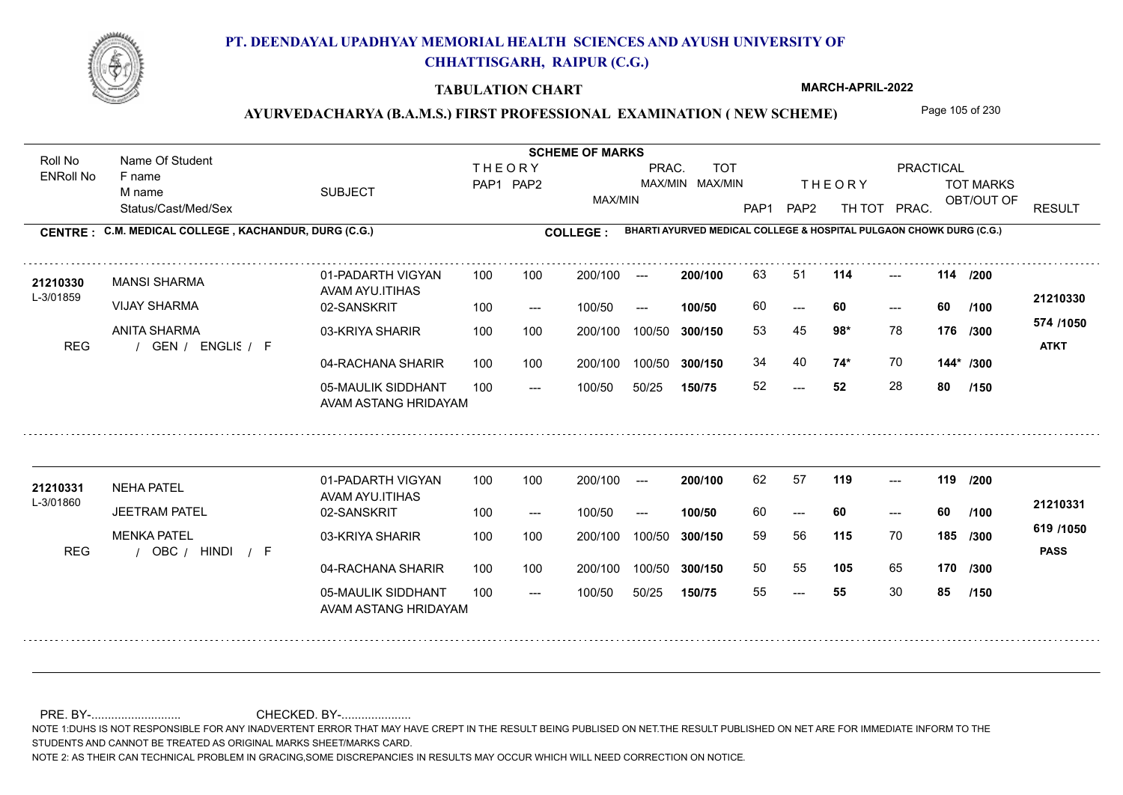

### **TABULATION CHART**

**MARCH-APRIL-2022**

### AYURVEDACHARYA (B.A.M.S.) FIRST PROFESSIONAL EXAMINATION (NEW SCHEME) Page 105 of 230

Status/Cast/Med/Sex SUBJECT TOT MARKS OBT/OUT OF PRACTICAL THE ORY TOT MARKS PAP1 PAP2 TH TOT PRAC. Roll No Name Of Student ENRoll No **CENTRE : C.M. MEDICAL COLLEGE ; KACHANDUR, DURG (C.G.) <b>COLLEGE : THEORY** PAP1 PAP2 MAX/MIN PRAC. MAX/MIN MAX/MIN TOT RESULT **Name Of Student Contract of Student SCHEME OF MARKS**<br>
THE OR Y **BHARTI AYURVED MEDICAL COLLEGE & HOSPITAL PULGAON CHOWK DURG (C.G.)** F name M name 01-PADARTH VIGYAN AVAM AYU.ITIHAS 05-MAULIK SIDDHANT AVAM ASTANG HRIDAYAM 04-RACHANA SHARIR 100 100 03-KRIYA SHARIR REG / GEN / ENGLIS / F  $-52$ --- --- **114 114 /200** 02-SANSKRIT 100 --- 100/50 --- 100 100 200/100 100/50 300/150 100/50 50/25 **150/75 300/150** 100/50 100 200/100 ---100/50 **300/150 200/100 100/50** 100 100 200/100 100/50 300/150  $- - 60$  $- -$  100/50 L-3/01859 MANSI SHARMA VIJAY SHARMA ANITA SHARMA **98\*** 78 53 45 **176 /300 74\*** 70 **144\* /300 574 /1050** ENGLISH F **ATKT 21210330** 21210330 MANSI SHARMA 01-PADARTH VIGYAN 100 100 200/100 --- **200/100** 63 51 **114** ---60 **60 60** 34 40 **74\*** 70 52 **52** 28 **80 /100 /150** 01-PADARTH VIGYAN AVAM AYU.ITIHAS 05-MAULIK SIDDHANT 100 AVAM ASTANG HRIDAYAM 04-RACHANA SHARIR 100 100 03-KRIYA SHARIR
100 100 REG / OBC / HINDI / F --- --- --- **119 119 /200** 02-SANSKRIT 100 --- 100/50 --- 200/100 100/50 **300/150** 100/50 50/25 **150/75 300/150** 100/50 200/100 100 200/100 ---**200/100 100/50** --- 200/100 100/50 200/100 100/50  $- -$  100/50 L-3/01860 NEHA PATEL JEETRAM PATEL MENKA PATEL **115** 70 59 56 **185 /300 105** 65 **170 /300 619 /1050** HINDI F **PASS 21210331 <sup>21210331</sup>** <sup>62</sup> <sup>57</sup> 60 **60 60** 50 55 **105** 65 55 **55** 30 **85 /100 /150**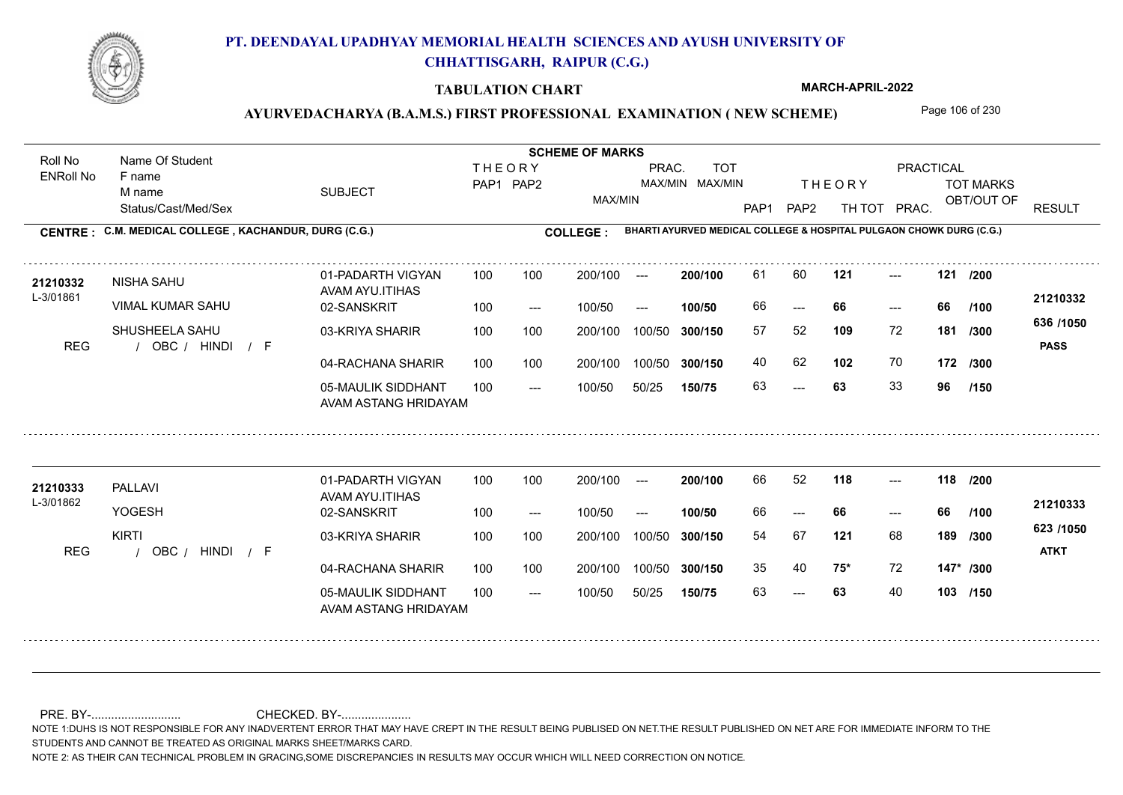

### **TABULATION CHART**

**MARCH-APRIL-2022**

### AYURVEDACHARYA (B.A.M.S.) FIRST PROFESSIONAL EXAMINATION (NEW SCHEME) Page 106 of 230

Status/Cast/Med/Sex SUBJECT TOT MARKS OBT/OUT OF PRACTICAL THE ORY TOT MARKS PAP1 PAP2 TH TOT PRAC. Roll No Name Of Student ENRoll No **CENTRE : C.M. MEDICAL COLLEGE ; KACHANDUR, DURG (C.G.) <b>COLLEGE : THEORY** PAP1 PAP2 MAX/MIN PRAC. MAX/MIN MAX/MIN TOT RESULT **Name Of Student Contract of Student SCHEME OF MARKS**<br>
THE OR Y **BHARTI AYURVED MEDICAL COLLEGE & HOSPITAL PULGAON CHOWK DURG (C.G.)** F name M name 01-PADARTH VIGYAN AVAM AYU.ITIHAS 05-MAULIK SIDDHANT AVAM ASTANG HRIDAYAM 04-RACHANA SHARIR 100 100 03-KRIYA SHARIR REG / OBC / HINDI / F  $- - 63$ --- --- **121 121 /200** 02-SANSKRIT  $100/50$ 100 100 200/100 100/50 300/150 100/50 50/25 **150/75 300/150** 100/50 100 200/100 ---100/50 --- **100/50** 100/50 **300/150 200/100** 100 100 200/100 100/50 300/150 ---  $- -$  100/50 L-3/01861 NISHA SAHU VIMAL KUMAR SAHU SHUSHEELA SAHU **109** 72 57 52 **181 /300 102** 70 **172 /300 636 /1050** HINDI F **PASS 21210332** 21210332 NISHA SAHU 01-PADARTH VIGYAN 100 100 200/100 --- **200/100** 61 60 **121** ---66 **66 66** 40 62 **102** 70 63 **63** 33 **96 /100 /150** 01-PADARTH VIGYAN AVAM AYU.ITIHAS 05-MAULIK SIDDHANT 100 AVAM ASTANG HRIDAYAM 04-RACHANA SHARIR 100 100 03-KRIYA SHARIR
100 100 REG / OBC / HINDI / F --- 63 --- --- **118 118 /200** 02-SANSKRIT 100 --- 100/50 --- 200/100 100/50 **300/150** 100/50 50/25 **150/75 300/150** 100/50 200/100 100 200/100 ---**200/100 100/50** --- 200/100 100/50 200/100 100/50  $- -$  100/50 L-3/01862 PALLAVI YOGESH KIRTI **121** 68 **/300 75\*** 72 **147\* /300 623 /1050** HINDI F **ATKT 21210333 <sup>21210333</sup>** <sup>66</sup> <sup>52</sup> 66 **66 66** 54 67 **189** 35 40 **75\*** 72 63 **63** 40 **103 /150 /100**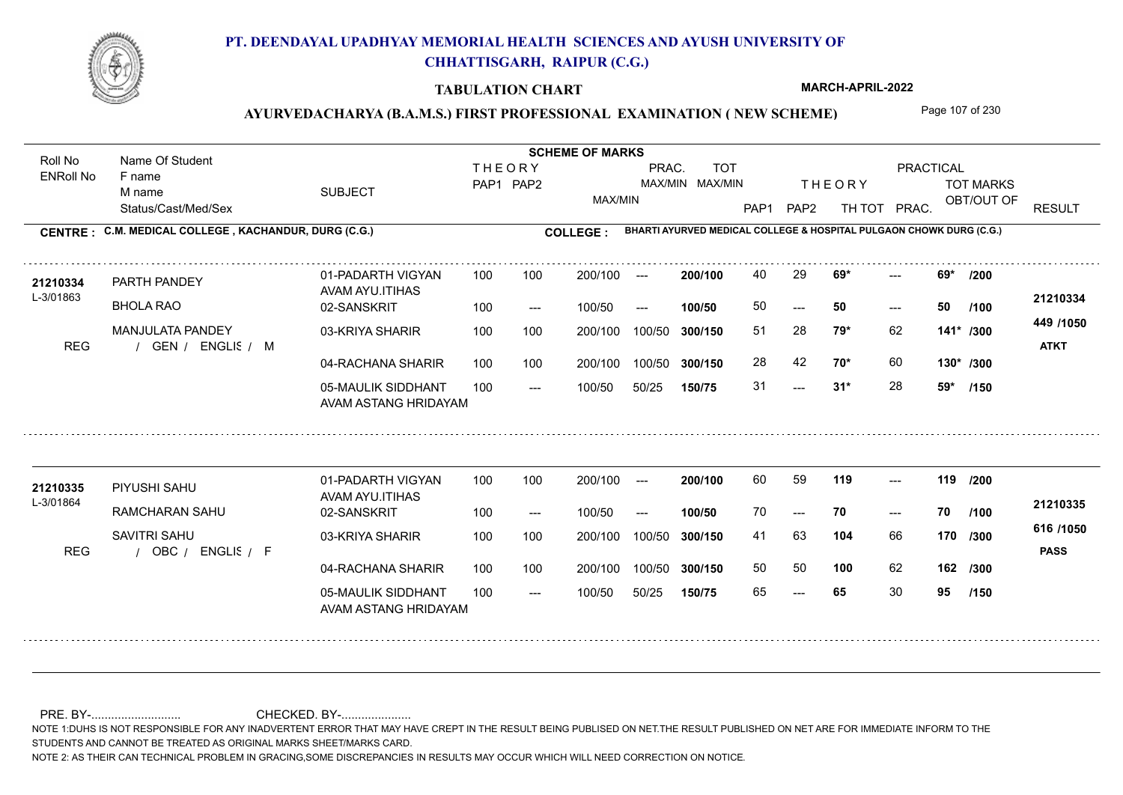

### **TABULATION CHART**

**MARCH-APRIL-2022**

### AYURVEDACHARYA (B.A.M.S.) FIRST PROFESSIONAL EXAMINATION (NEW SCHEME) Page 107 of 230

Status/Cast/Med/Sex SUBJECT TOT MARKS OBT/OUT OF PRACTICAL THE ORY TOT MARKS PAP1 PAP2 TH TOT PRAC. Roll No Name Of Student ENRoll No **CENTRE : C.M. MEDICAL COLLEGE ; KACHANDUR, DURG (C.G.) <b>COLLEGE : THEORY** PAP1 PAP2 MAX/MIN PRAC. MAX/MIN MAX/MIN TOT RESULT **Name Of Student Contract of Student SCHEME OF MARKS**<br>
THE OR Y **BHARTI AYURVED MEDICAL COLLEGE & HOSPITAL PULGAON CHOWK DURG (C.G.)** F name M name 01-PADARTH VIGYAN AVAM AYU.ITIHAS 05-MAULIK SIDDHANT AVAM ASTANG HRIDAYAM 04-RACHANA SHARIR 100 100 03-KRIYA SHARIR REG / GEN / ENGLIS / M  $-2$  31\*  $- - 50$  $- - 69*$ 02-SANSKRIT 100 --- 100/50 --- 100 100 200/100 100/50 300/150 100/50 50/25 **150/75 300/150** 100/50 100 200/100 ---100/50 **300/150 200/100 100/50** 100 100 200/100 100/50 300/150  $- - 50$  $- -$  100/50 L-3/01863 PARTH PANDEY BHOLA RAO MANJULATA PANDEY **69\* 69\* /200 79\*** 62 51 28 **141\* /300 70\*** 60 **130\* /300 449 /1050** ENGLISH M **ATKT 21210334 <sup>21210334</sup>** <sup>40</sup> <sup>29</sup> 50 **50 50** 28 42 31 **31\*** 28 **59\* /100 /150** 01-PADARTH VIGYAN AVAM AYU.ITIHAS 05-MAULIK SIDDHANT 100 AVAM ASTANG HRIDAYAM 04-RACHANA SHARIR 100 100 03-KRIYA SHARIR
100 100 REG / OBC / ENGLIS / F --- --- --- **119 119 /200** 02-SANSKRIT 100 --- 100/50 --- 200/100 100/50 **300/150** 100/50 50/25 **150/75 300/150** 100/50 200/100 100 200/100 ---**200/100 100/50** --- 200/100 100/50 200/100 100/50  $- -$  100/50 L-3/01864 PIYUSHI SAHU RAMCHARAN SAHU SAVITRI SAHU **104** 66 **/300 100** 62 **162 /300 616 /1050** ENGLISH F **PASS 21210335** 21210335 PIYUSHI SAHU 01-PADARTH VIGYAN 100 100 200/100 --- **200/100** 60 59 **119** ---70 **70 70** 41 63 **170** 50 50 65 **65** 30 **95 /100 /150**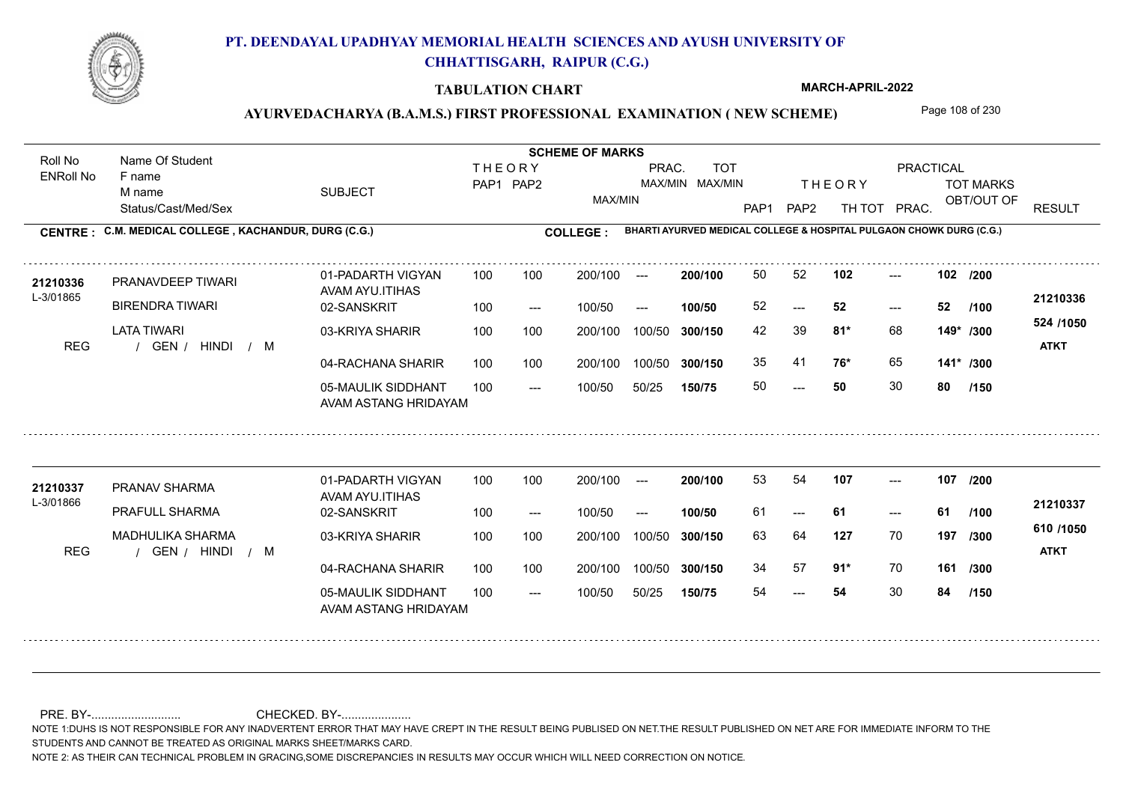

### **TABULATION CHART**

**MARCH-APRIL-2022**

### AYURVEDACHARYA (B.A.M.S.) FIRST PROFESSIONAL EXAMINATION (NEW SCHEME) Page 108 of 230

Status/Cast/Med/Sex SUBJECT TOT MARKS OBT/OUT OF PRACTICAL THE ORY TOT MARKS PAP1 PAP2 TH TOT PRAC. Roll No Name Of Student ENRoll No **CENTRE : C.M. MEDICAL COLLEGE ; KACHANDUR, DURG (C.G.) <b>COLLEGE : THEORY** PAP1 PAP2 MAX/MIN PRAC. MAX/MIN MAX/MIN TOT RESULT **Name Of Student Contract of Student SCHEME OF MARKS**<br>
THE OR Y **BHARTI AYURVED MEDICAL COLLEGE & HOSPITAL PULGAON CHOWK DURG (C.G.)** F name M name 01-PADARTH VIGYAN AVAM AYU.ITIHAS 05-MAULIK SIDDHANT AVAM ASTANG HRIDAYAM 04-RACHANA SHARIR 100 100 03-KRIYA SHARIR REG / GEN / HINDI / M  $- - 50$ --- --- **102 102 /200** 02-SANSKRIT 100 --- 100/50 --- 100 100 200/100 100/50 300/150 100/50 50/25 **150/75 300/150** 100/50 100 200/100 ---100/50 **300/150 200/100 100/50** 100 100 200/100 100/50 300/150  $- - 52$  $- -$  100/50 L-3/01865 PRANAVDEEP TIWARI BIRENDRA TIWARI LATA TIWARI **81\*** 68 42 39 **149\* /300 76\*** 65 **141\* /300 524 /1050** HINDI M **ATKT 21210336** 21210336 PRANAVDEEP TIWARI 01-PADARTH VIGYAN 100 100 200/100 --- **200/100 50 52 102 ---**-52 **52 52** 35 41 50 **50** 30 **80 /100 /150** 01-PADARTH VIGYAN AVAM AYU.ITIHAS 05-MAULIK SIDDHANT 100 AVAM ASTANG HRIDAYAM 04-RACHANA SHARIR 100 100 03-KRIYA SHARIR
100 100 REG / GEN / HINDI / M --- --- --- **107 107 /200** 02-SANSKRIT 100 --- 100/50 --- 200/100 100/50 **300/150** 100/50 50/25 **150/75 300/150** 100/50 200/100 100 200/100 ---**200/100 100/50** --- 200/100 100/50 200/100 100/50  $- -$  100/50 L-3/01866 PRANAV SHARMA PRAFULL SHARMA MADHULIKA SHARMA **127** 70 **/300 91\*** 70 **161 /300 610 /1050** HINDI M **ATKT 21210337 <sup>21210337</sup>** <sup>53</sup> <sup>54</sup> 61 **61 61** 63 64 **197** 34 57 **91**\* 70 54 **54** 30 **84 /100 /150**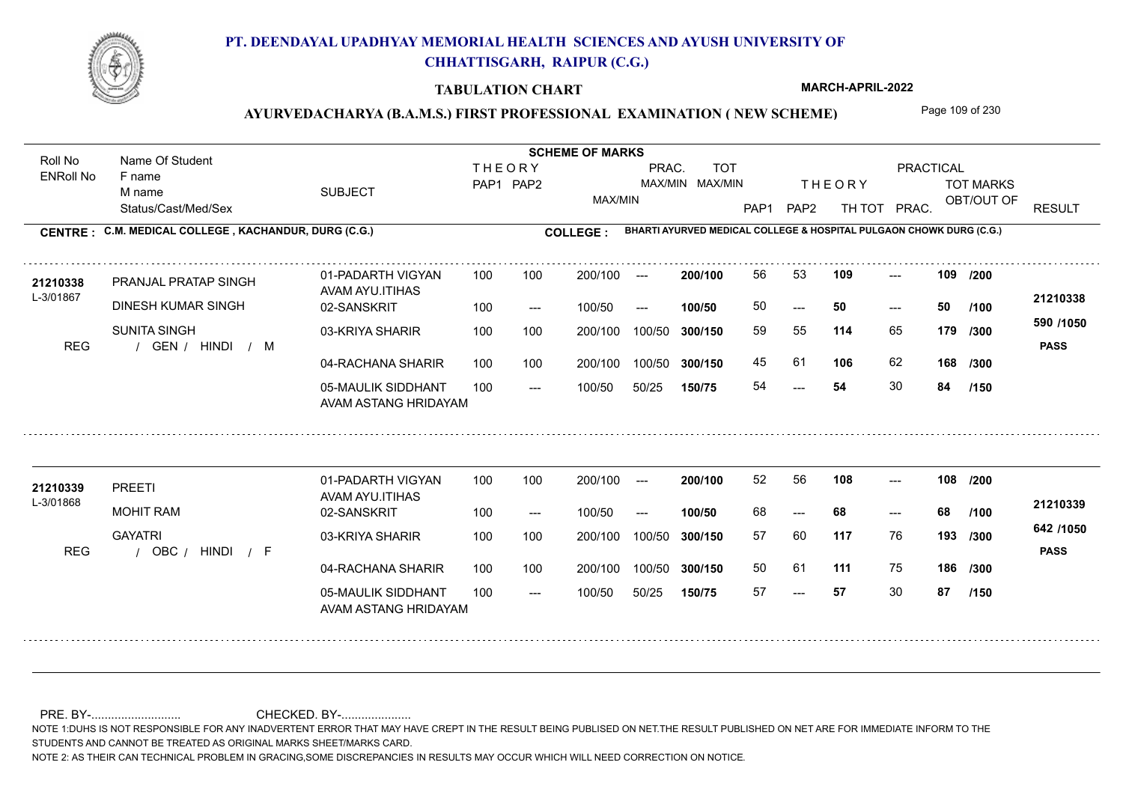

#### **TABULATION CHART**

**MARCH-APRIL-2022**

## AYURVEDACHARYA (B.A.M.S.) FIRST PROFESSIONAL EXAMINATION (NEW SCHEME) Page 109 of 230

Status/Cast/Med/Sex SUBJECT TOT MARKS OBT/OUT OF PRACTICAL THE ORY TOT MARKS PAP1 PAP2 TH TOT PRAC. Roll No Name Of Student ENRoll No **CENTRE : C.M. MEDICAL COLLEGE ; KACHANDUR, DURG (C.G.) <b>COLLEGE : THEORY** PAP1 PAP2 MAX/MIN PRAC. MAX/MIN MAX/MIN TOT RESULT **Name Of Student Contract of Student Act of Student SCHEME OF MARKS BHARTI AYURVED MEDICAL COLLEGE & HOSPITAL PULGAON CHOWK DURG (C.G.)** F name M name 01-PADARTH VIGYAN AVAM AYU.ITIHAS 05-MAULIK SIDDHANT AVAM ASTANG HRIDAYAM 04-RACHANA SHARIR 100 100 03-KRIYA SHARIR 100 100 REG / GEN / HINDI / M 54  $- - 50$ --- 02-SANSKRIT 100 --- 100/50 --- 100 100 200/100 100/50 300/150 100/50 50/25 **150/75 300/150** 100/50 100 200/100 ---100/50 **300/150 200/100 100/50** 100 100 200/100 100/50 300/150  $- - 50$  $- -$  100/50 L-3/01867 PRANJAL PRATAP SINGH DINESH KUMAR SINGH SUNITA SINGH **109 109 114** 65 59 55 **179 /300 106** 62 **168 590 /1050** HINDI M **PASS 21210338 <sup>21210338</sup>** <sup>56</sup> <sup>53</sup> 50 **50 50** 45 61 54 **54** 30 **84 /200 /100 /300 /150** 01-PADARTH VIGYAN AVAM AYU.ITIHAS 05-MAULIK SIDDHANT 100 AVAM ASTANG HRIDAYAM 04-RACHANA SHARIR 100 100 03-KRIYA SHARIR REG / OBC / HINDI / F --- --- --- 02-SANSKRIT 100 --- 100/50 --- 200/100 100/50 **300/150** 100/50 50/25 **150/75 300/150** 100/50 200/100 100 200/100 ---**200/100 100/50** --- 200/100 100/50 200/100 100/50  $- -$  100/50 L-3/01868 PREETI MOHIT RAM **GAYATRI 108 108 /200 117** 76 57 60 **193 /300 111** 75 **186 /300 642 /1050** HINDI F **PASS 21210339 <sup>21210339</sup>** <sup>52</sup> <sup>56</sup> 68 **68 68** 50 61 57 **57** 30 **87 /100 /150**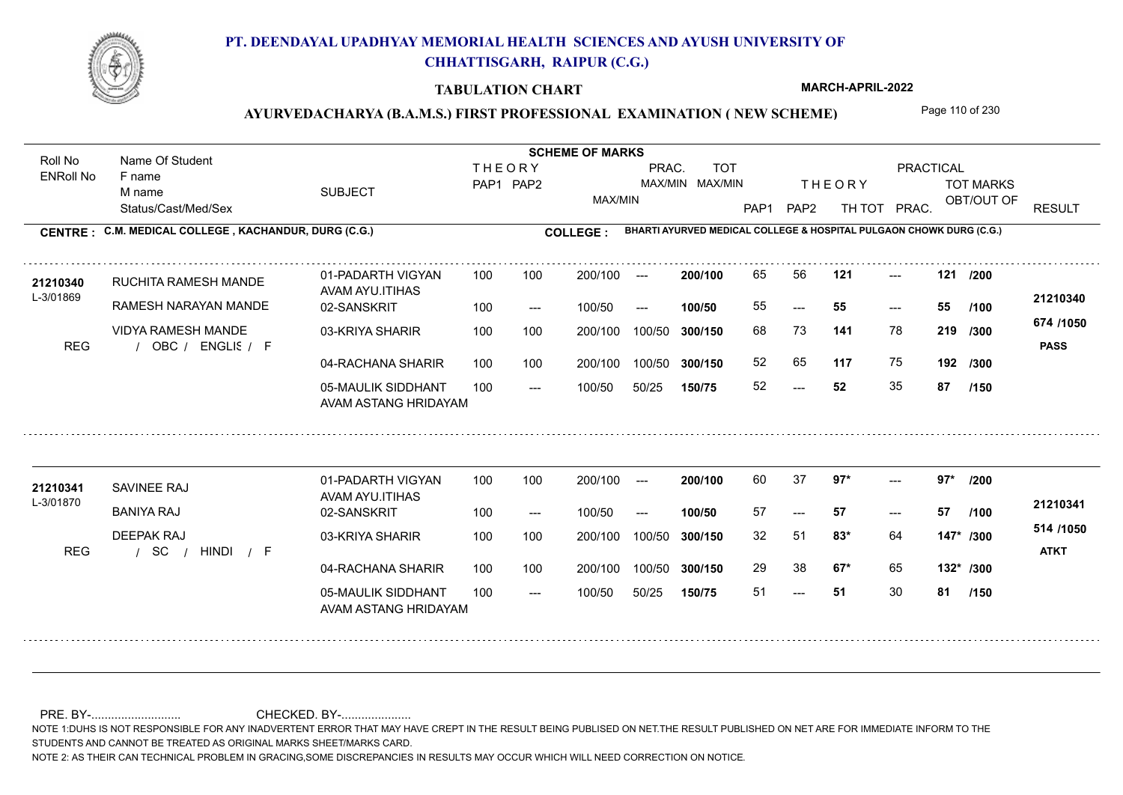

#### **TABULATION CHART**

**MARCH-APRIL-2022**

## AYURVEDACHARYA (B.A.M.S.) FIRST PROFESSIONAL EXAMINATION (NEW SCHEME) Page 110 of 230

Status/Cast/Med/Sex SUBJECT TOT MARKS OBT/OUT OF PRACTICAL THE ORY TOT MARKS PAP1 PAP2 TH TOT PRAC. Roll No Name Of Student ENRoll No **CENTRE : C.M. MEDICAL COLLEGE ; KACHANDUR, DURG (C.G.) <b>COLLEGE : THEORY** PAP1 PAP2 MAX/MIN PRAC. MAX/MIN MAX/MIN TOT RESULT **Name Of Student Contract of Student Act of Student SCHEME OF MARKS BHARTI AYURVED MEDICAL COLLEGE & HOSPITAL PULGAON CHOWK DURG (C.G.)** F name M name 01-PADARTH VIGYAN AVAM AYU.ITIHAS 05-MAULIK SIDDHANT AVAM ASTANG HRIDAYAM 04-RACHANA SHARIR 100 100 03-KRIYA SHARIR REG / OBC / ENGLIS / F  $-52$ --- --- **121 121 /200** 02-SANSKRIT 100 --- 100/50 --- 100 100 200/100 100/50 300/150 100/50 50/25 **150/75 300/150** 100/50 100 200/100 ---100/50 **300/150 200/100 100/50** 100 100 200/100 100/50 300/150  $- - 55$  $- -$  100/50 L-3/01869 RUCHITA RAMESH MANDE RAMESH NARAYAN MANDE VIDYA RAMESH MANDE **141** 78 68 73 **219 /300 117** 75 **192 /300 674 /1050** ENGLISH F **PASS 21210340 <sup>21210340</sup>** <sup>65</sup> <sup>56</sup> 55 **55 55** 52 65 52 **52** 35 **87 /100 /150** 01-PADARTH VIGYAN AVAM AYU.ITIHAS 05-MAULIK SIDDHANT 100 AVAM ASTANG HRIDAYAM 04-RACHANA SHARIR 100 100 03-KRIYA SHARIR / / / REG SC  $-51$ ---  $- -$  97\* 02-SANSKRIT 100 --- 100/50 --- 200/100 100/50 **300/150** 100/50 50/25 **150/75 300/150** 100/50 200/100 100 200/100 ---**200/100 100/50** --- 200/100 100/50 200/100 100/50  $- -$  100/50 L-3/01870 SAVINEE RAJ BANIYA RAJ DEEPAK RAJ **97\* 97\* /200 83\*** 64 32 51 **147\* /300 67\*** 65 **132\* /300 514 /1050** HINDI F **ATKT 21210341** 21210341 SAVINEE RAJ 01-PADARTH VIGYAN 100 100 200/100 --- **200/100 6**0 37 **97\*** ---57 **57 57** 29 38 **67\*** 65 51 **51** 30 **81 /100 /150**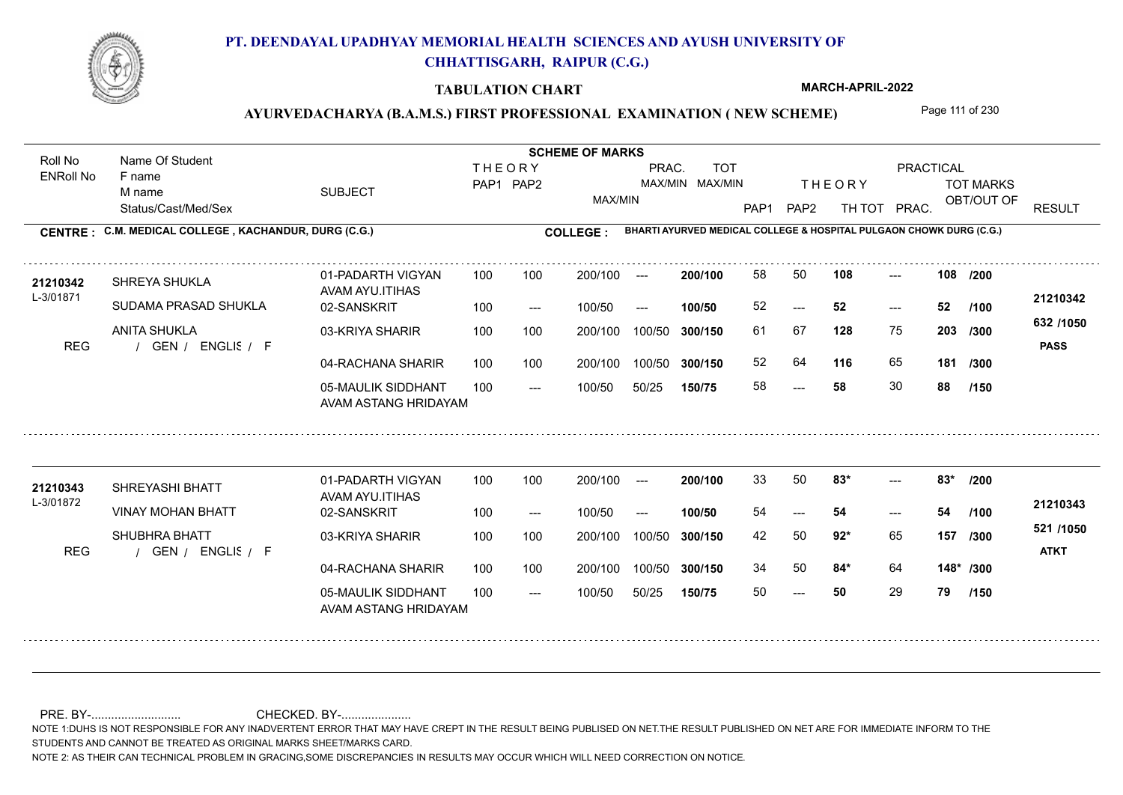

#### **TABULATION CHART**

**MARCH-APRIL-2022**

## AYURVEDACHARYA (B.A.M.S.) FIRST PROFESSIONAL EXAMINATION (NEW SCHEME) Page 111 of 230

Status/Cast/Med/Sex SUBJECT TOT MARKS OBT/OUT OF PRACTICAL THE ORY TOT MARKS PAP1 PAP2 TH TOT PRAC. Roll No Name Of Student ENRoll No **CENTRE : C.M. MEDICAL COLLEGE ; KACHANDUR, DURG (C.G.) <b>COLLEGE : THEORY** PAP1 PAP2 MAX/MIN PRAC. MAX/MIN MAX/MIN TOT RESULT **Name Of Student Contract of Student Act of Student SCHEME OF MARKS BHARTI AYURVED MEDICAL COLLEGE & HOSPITAL PULGAON CHOWK DURG (C.G.)** F name M name 01-PADARTH VIGYAN AVAM AYU.ITIHAS 05-MAULIK SIDDHANT AVAM ASTANG HRIDAYAM 04-RACHANA SHARIR 100 100 03-KRIYA SHARIR REG / GEN / ENGLIS / F --- --- --- **108 108 /200** 02-SANSKRIT 100 --- 100/50 --- 100 100 200/100 100/50 300/150 100/50 50/25 **150/75 300/150** 100/50 100 200/100 ---100/50 **300/150 200/100 100/50** 100 100 200/100 100/50 300/150  $- - 52$  $- -$  100/50 L-3/01871 SHREYA SHUKLA SUDAMA PRASAD SHUKLA ANITA SHUKLA **128** 75 **/300 116** 65 **181 632 /1050** ENGLISH F **PASS 21210342 <sup>21210342</sup>** <sup>58</sup> <sup>50</sup> 52 **52 52** 61 67 **203** 52 64 **116** 65 58 **58** 30 **88 /100 /300 /150** 01-PADARTH VIGYAN AVAM AYU.ITIHAS 05-MAULIK SIDDHANT 100 AVAM ASTANG HRIDAYAM 04-RACHANA SHARIR 100 100 03-KRIYA SHARIR REG / GEN / ENGLIS / F  $- - 50$ ---  $-283*$ 02-SANSKRIT 100 --- 100/50 --- 200/100 100/50 **300/150** 100/50 50/25 **150/75 300/150** 100/50 200/100 100 200/100 ---**200/100 100/50** --- 200/100 100/50 200/100 100/50  $- -$  100/50 L-3/01872 SHREYASHI BHATT VINAY MOHAN BHATT SHUBHRA BHATT **83\* 83\* /200 92\*** 65 **/300 84\*** 64 **148\* /300 521 /1050** ENGLISH F **ATKT 21210343 <sup>21210343</sup>** <sup>33</sup> <sup>50</sup> 54 **54 54** 42 50 **157** 34 50 **84**\* 64 50 **50** 29 **79 /100 /150**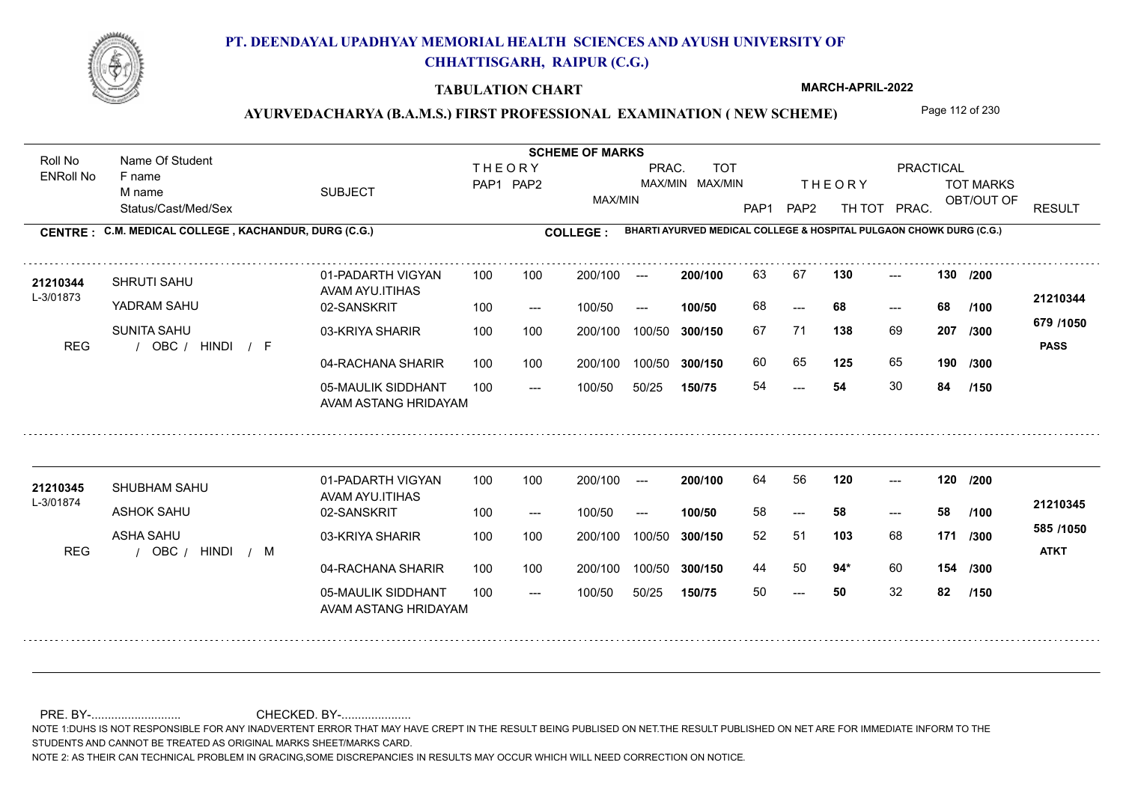

#### **TABULATION CHART**

**MARCH-APRIL-2022**

## AYURVEDACHARYA (B.A.M.S.) FIRST PROFESSIONAL EXAMINATION (NEW SCHEME) Page 112 of 230

Status/Cast/Med/Sex SUBJECT TOT MARKS OBT/OUT OF PRACTICAL THE ORY TOT MARKS PAP1 PAP2 TH TOT PRAC. Roll No Name Of Student ENRoll No **CENTRE : C.M. MEDICAL COLLEGE ; KACHANDUR, DURG (C.G.) <b>COLLEGE : THEORY** PAP1 PAP2 MAX/MIN PRAC. MAX/MIN MAX/MIN TOT RESULT **Name Of Student Contract of Student Act of Student SCHEME OF MARKS BHARTI AYURVED MEDICAL COLLEGE & HOSPITAL PULGAON CHOWK DURG (C.G.)** F name M name 01-PADARTH VIGYAN AVAM AYU.ITIHAS 05-MAULIK SIDDHANT AVAM ASTANG HRIDAYAM 04-RACHANA SHARIR 100 100 03-KRIYA SHARIR REG / OBC / HINDI / F 54 --- --- **130 130 /200** 02-SANSKRIT 100 --- 100/50 --- 100 100 200/100 100/50 300/150 100/50 50/25 **150/75 300/150** 100/50 100 200/100 ---100/50 **300/150 200/100 100/50** 100 100 200/100 100/50 300/150 ---  $- -$  100/50 L-3/01873 SHRUTI SAHU YADRAM SAHU SUNITA SAHU **138** 69 **207** /300 **11000 125** 65 **190 679 /1050** HINDI F **PASS 21210344** 21210344 SHRUTI SAHU 01-PADARTH VIGYAN 100 100 200/100 --- **200/100** 63 67 130 ---68 **68 68** 67 71 **207** 60 65 **125** 65 54 **54** 30 **84 /100 /300 /150** 01-PADARTH VIGYAN AVAM AYU.ITIHAS 05-MAULIK SIDDHANT 100 AVAM ASTANG HRIDAYAM 04-RACHANA SHARIR 100 100 03-KRIYA SHARIR REG / OBC / HINDI / M  $- - 50$ --- --- 02-SANSKRIT / 100 --- 100/50 --- 200/100 100/50 **300/150** 100/50 50/25 **150/75 300/150** 100/50 200/100 100 200/100 ---**200/100 100/50** --- 200/100 100/50 200/100 100/50  $- -$  100/50 L-3/01874 SHUBHAM SAHU ASHOK SAHU ASHA SAHU **120 120 /200 103** 68 **171** /**300 1000 94\*** 60 **154 /300 585 /1050** HINDI M **ATKT 21210345 <sup>21210345</sup>** <sup>64</sup> <sup>56</sup> 58 **58 58** 52 51 **171** 44 50 **94**\* 60 50 **50** 32 **82 /100 /150**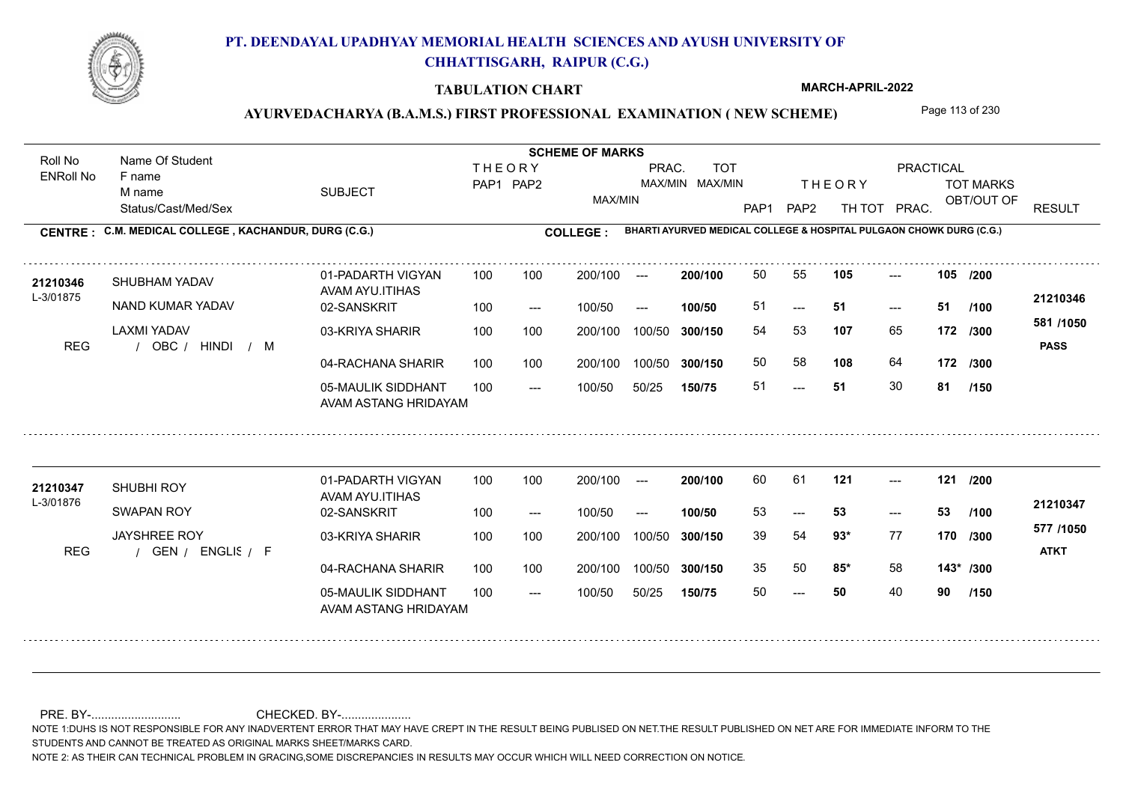

#### **TABULATION CHART**

**MARCH-APRIL-2022**

## AYURVEDACHARYA (B.A.M.S.) FIRST PROFESSIONAL EXAMINATION (NEW SCHEME) Page 113 of 230

Status/Cast/Med/Sex SUBJECT TOT MARKS OBT/OUT OF PRACTICAL THE ORY TOT MARKS PAP1 PAP2 TH TOT PRAC. Roll No Name Of Student ENRoll No **CENTRE : C.M. MEDICAL COLLEGE ; KACHANDUR, DURG (C.G.) <b>COLLEGE : THEORY** PAP1 PAP2 MAX/MIN PRAC. MAX/MIN MAX/MIN TOT RESULT **Name Of Student Contract of Student Act of Student SCHEME OF MARKS BHARTI AYURVED MEDICAL COLLEGE & HOSPITAL PULGAON CHOWK DURG (C.G.)** F name M name 01-PADARTH VIGYAN AVAM AYU.ITIHAS 05-MAULIK SIDDHANT AVAM ASTANG HRIDAYAM 04-RACHANA SHARIR 100 100 03-KRIYA SHARIR REG / OBC / HINDI / M ---  $-51$ --- **105 105 /200** 02-SANSKRIT  $100/50$ 100 100 200/100 100/50 300/150 100/50 50/25 **150/75 300/150** 100/50 100 200/100 ---100/50 --- **100/50** 100/50 **300/150 200/100** 100 100 200/100 100/50 300/150  $- - 51$  $- -$  100/50 L-3/01875 SHUBHAM YADAV NAND KUMAR YADAV LAXMI YADAV **107** 65 54 53 **172 /300 108** 64 **172 /300 581 /1050** HINDI M **PASS 21210346** 21210346 SHUBHAM YADAV 01-PADARTH VIGYAN 100 100 200/100 --- **200/100 50 55 105 ---**-51 **51 51** 50 58 51 **51** 30 **81 /100 /150** 01-PADARTH VIGYAN AVAM AYU.ITIHAS 05-MAULIK SIDDHANT 100 AVAM ASTANG HRIDAYAM 04-RACHANA SHARIR 100 100 03-KRIYA SHARIR REG / GEN / ENGLIS / F  $- - 50$ --- --- **121 121 /200** 02-SANSKRIT 100 --- 100/50 --- 200/100 100/50 **300/150** 100/50 50/25 **150/75 300/150** 100/50 200/100 100 200/100 ---**200/100 100/50**  $-53$ 200/100 100/50 200/100 100/50  $- -$  100/50 L-3/01876 SHUBHI ROY SWAPAN ROY JAYSHREE ROY **93\*** 77 39 54 **170 /300 85\*** 58 **143\* /300 577 /1050** ENGLISH F **ATKT 21210347** 21210347 SHUBHI ROY 01-PADARTH VIGYAN 100 100 200/100 --- **200/100** 60 61 **121** ---53 **53 53** 35 50 **85\*** 58 50 **50** 40 **90 /100 /150**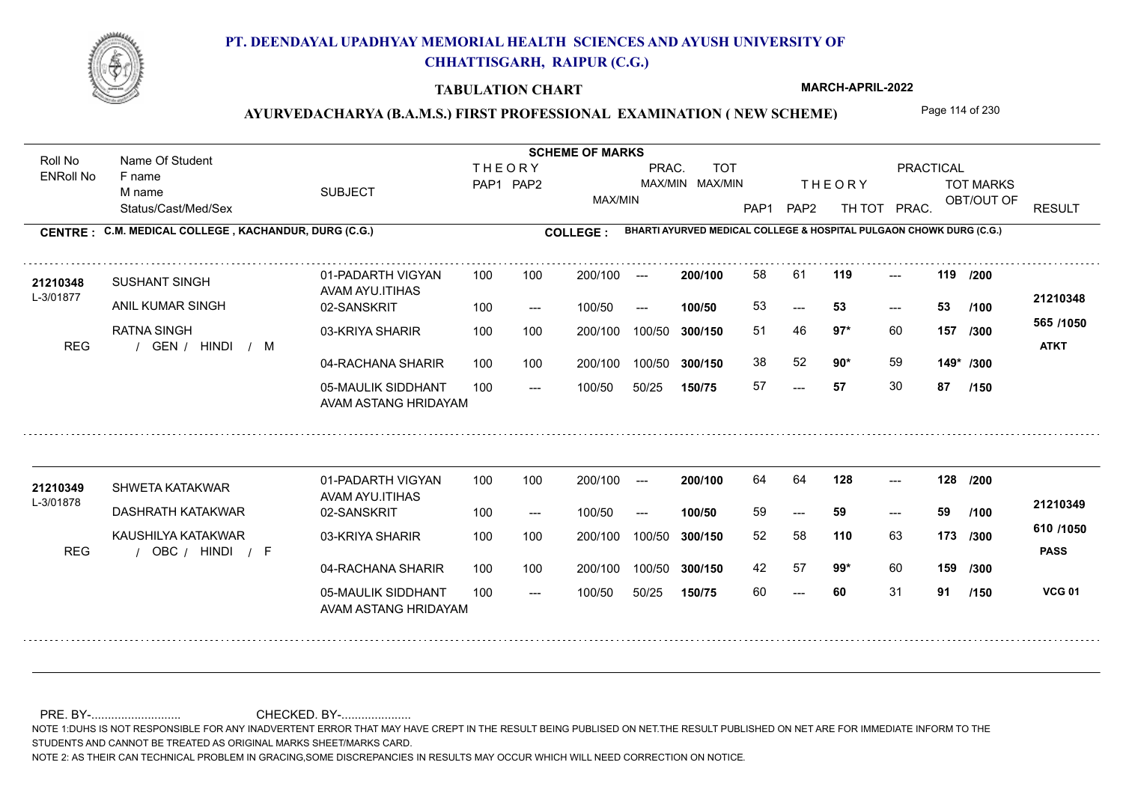

#### **TABULATION CHART**

**MARCH-APRIL-2022**

## AYURVEDACHARYA (B.A.M.S.) FIRST PROFESSIONAL EXAMINATION (NEW SCHEME) Page 114 of 230

Status/Cast/Med/Sex SUBJECT TOT MARKS OBT/OUT OF PRACTICAL THE ORY TOT MARKS PAP1 PAP2 TH TOT PRAC. Roll No Name Of Student ENRoll No **CENTRE : C.M. MEDICAL COLLEGE ; KACHANDUR, DURG (C.G.) <b>COLLEGE : THEORY** PAP1 PAP2 MAX/MIN PRAC. MAX/MIN MAX/MIN TOT RESULT **Name Of Student Contract of Student Act of Student SCHEME OF MARKS BHARTI AYURVED MEDICAL COLLEGE & HOSPITAL PULGAON CHOWK DURG (C.G.)** F name M name 01-PADARTH VIGYAN AVAM AYU.ITIHAS 05-MAULIK SIDDHANT AVAM ASTANG HRIDAYAM 04-RACHANA SHARIR 100 100 03-KRIYA SHARIR REG / GEN / HINDI / M ---  $-53$ --- **119 119 /200** 02-SANSKRIT 100 --- 100/50 --- 100 100 200/100 100/50 300/150 100/50 50/25 **150/75 300/150** 100/50 100 200/100 ---100/50 **300/150 200/100 100/50** 100 100 200/100 100/50 300/150  $-$  53  $- -$  100/50 L-3/01877 SUSHANT SINGH ANIL KUMAR SINGH RATNA SINGH **97\*** 60 51 46 **157 /300 90\*** 59 **149\* /300 565 /1050** HINDI M **ATKT 21210348 <sup>21210348</sup>** <sup>58</sup> <sup>61</sup> 53 **53 53** 38 52 **90**\* 59 57 **57** 30 **87 /100 /150** 01-PADARTH VIGYAN AVAM AYU.ITIHAS 05-MAULIK SIDDHANT 100 AVAM ASTANG HRIDAYAM 04-RACHANA SHARIR 100 100 03-KRIYA SHARIR
100 100 REG / OBC / HINDI / F --- --- --- **128 128 /200** 02-SANSKRIT 100 --- 100/50 --- 200/100 100/50 **300/150** 100/50 50/25 **150/75 300/150** 100/50 200/100 100 200/100 ---**200/100 100/50** --- 200/100 100/50 200/100 100/50  $- -$  100/50 L-3/01878 SHWETA KATAKWAR DASHRATH KATAKWAR KAUSHILYA KATAKWAR **110** 63 52 58 **173 /300 99\*** 60 **159 /300 610 /1050 PASS VCG 01 /150 21210349 <sup>21210349</sup>** <sup>64</sup> <sup>64</sup> 59 **59 59** 42 57 **99**\* 60 60 **60** 31 **91 /100**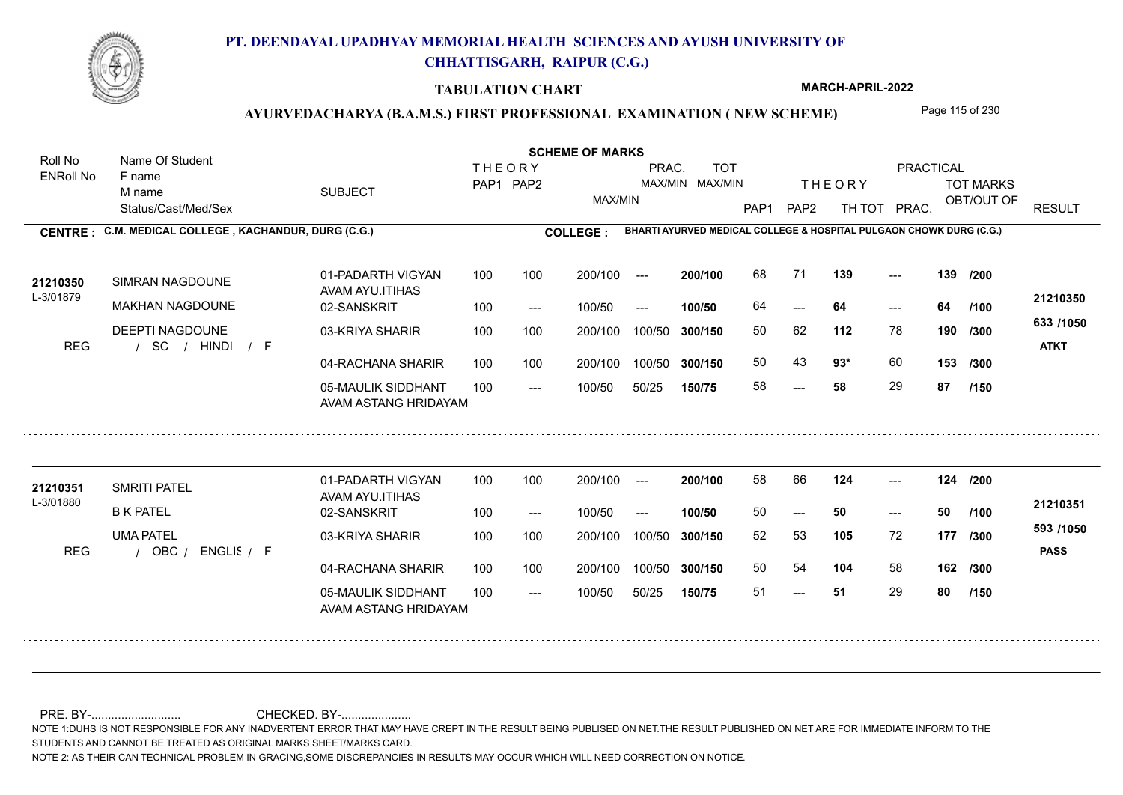

#### **TABULATION CHART**

**MARCH-APRIL-2022**

### AYURVEDACHARYA (B.A.M.S.) FIRST PROFESSIONAL EXAMINATION (NEW SCHEME) Page 115 of 230

Status/Cast/Med/Sex SUBJECT TOT MARKS OBT/OUT OF PRACTICAL THE ORY TOT MARKS PAP1 PAP2 TH TOT PRAC. Roll No Name Of Student ENRoll No **CENTRE : C.M. MEDICAL COLLEGE ; KACHANDUR, DURG (C.G.) <b>COLLEGE : THEORY** PAP1 PAP2 MAX/MIN PRAC. MAX/MIN MAX/MIN TOT RESULT **Name Of Student Contract of Student Act of Student SCHEME OF MARKS BHARTI AYURVED MEDICAL COLLEGE & HOSPITAL PULGAON CHOWK DURG (C.G.)** F name M name 01-PADARTH VIGYAN AVAM AYU.ITIHAS 05-MAULIK SIDDHANT AVAM ASTANG HRIDAYAM 04-RACHANA SHARIR 100 100 03-KRIYA SHARIR / / / REG SC --- --- --- **139 139 /200** 02-SANSKRIT 100 --- 100/50 --- 100 100 200/100 100/50 300/150 100/50 50/25 **150/75 300/150** 100/50 100 200/100 ---100/50 **300/150 200/100 100/50** 100 100 200/100 100/50 300/150  $- - 64$  $- -$  100/50 L-3/01879 SIMRAN NAGDOUNE MAKHAN NAGDOUNE DEEPTI NAGDOUNE **112** 78 **/300 93\*** 60 **153 633 /1050** HINDI F **ATKT 21210350 <sup>21210350</sup>** <sup>68</sup> <sup>71</sup> 64 **64 64** 50 62 **190** 50 43 **93**\* 60 58 **58** 29 **87 /100 /300 /150** 01-PADARTH VIGYAN AVAM AYU.ITIHAS 05-MAULIK SIDDHANT 100 AVAM ASTANG HRIDAYAM 04-RACHANA SHARIR 100 100 03-KRIYA SHARIR
100 100 REG / OBC / ENGLIS / F  $-51$ --- --- **124 124 /200** 02-SANSKRIT 100 --- 100/50 --- 200/100 100/50 **300/150** 100/50 50/25 **150/75 300/150** 100/50 200/100 100 200/100 ---**200/100 100/50** --- 200/100 100/50 200/100 100/50  $- -$  100/50 L-3/01880 SMRITI PATEL B K PATEL UMA PATEL **105** 72 52 53 **177 /300 104** 58 **162 /300 593 /1050** ENGLISH F **PASS 21210351 <sup>21210351</sup>** <sup>58</sup> <sup>66</sup> 50 **50 50** 50 54 **104** 58 51 **51** 29 **80 /100 /150**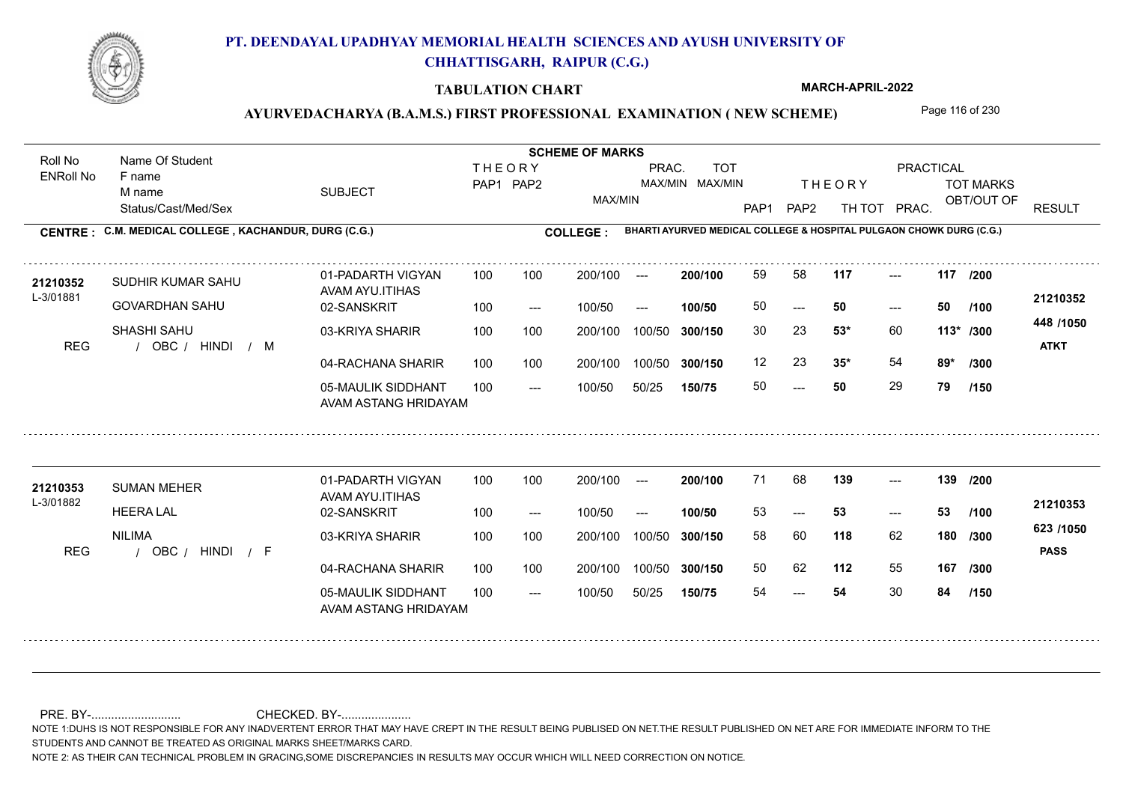

#### **TABULATION CHART**

**MARCH-APRIL-2022**

### AYURVEDACHARYA (B.A.M.S.) FIRST PROFESSIONAL EXAMINATION (NEW SCHEME) Page 116 of 230

Status/Cast/Med/Sex SUBJECT TOT MARKS OBT/OUT OF PRACTICAL THE ORY TOT MARKS PAP1 PAP2 TH TOT PRAC. Roll No Name Of Student ENRoll No **CENTRE : C.M. MEDICAL COLLEGE ; KACHANDUR, DURG (C.G.) <b>COLLEGE : THEORY** PAP1 PAP2 MAX/MIN PRAC. MAX/MIN MAX/MIN TOT RESULT **Name Of Student Contract of Student Act of Student SCHEME OF MARKS BHARTI AYURVED MEDICAL COLLEGE & HOSPITAL PULGAON CHOWK DURG (C.G.)** F name M name 01-PADARTH VIGYAN AVAM AYU.ITIHAS 05-MAULIK SIDDHANT AVAM ASTANG HRIDAYAM 04-RACHANA SHARIR 100 100 03-KRIYA SHARIR REG / OBC / HINDI / M  $- - 50$  $- - 50$ --- **117 117 /200** 02-SANSKRIT 100 --- 100/50 --- 100 100 200/100 100/50 300/150 100/50 50/25 **150/75 300/150** 100/50 100 200/100 ---100/50 **300/150 200/100 100/50** 100 100 200/100 100/50 300/150  $- - 50$  $- -$  100/50 L-3/01881 SUDHIR KUMAR SAHU GOVARDHAN SAHU SHASHI SAHU **53\*** 60 30 23 **113\* /300 35\*** 54 **89\* /300 448 /1050** HINDI M **ATKT 21210352 <sup>21210352</sup>** <sup>59</sup> <sup>58</sup> 50 **50 50** 12 23 **35<sup>\*</sup>** 54 50 **50** 29 **79 /100 /150** 01-PADARTH VIGYAN AVAM AYU.ITIHAS 05-MAULIK SIDDHANT 100 AVAM ASTANG HRIDAYAM 04-RACHANA SHARIR 100 100 03-KRIYA SHARIR
100 100 REG / OBC / HINDI / F --- --- --- **139 139 /200** 02-SANSKRIT 100 --- 100/50 --- 200/100 100/50 **300/150** 100/50 50/25 **150/75 300/150** 100/50 200/100 100 200/100 ---**200/100 100/50**  $-53$ 200/100 100/50 200/100 100/50  $- -$  100/50 L-3/01882 SUMAN MEHER **21210353** HEERA LAL NILIMA **118** 62 **/300 112** 55 **167 /300 623 /1050** HINDI F **PASS 21210353** 71 68 **139** ---53 **53 53** 58 60 **180** 50 62 54 **54** 30 **84 /100 /150**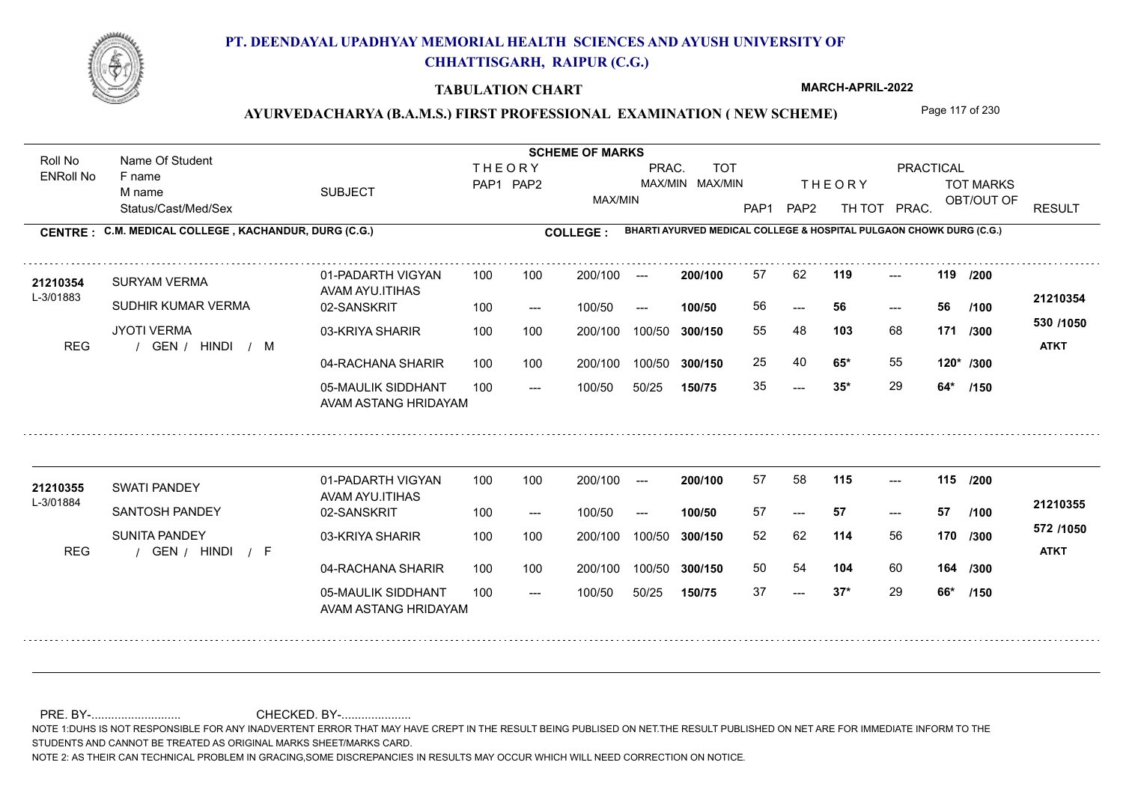

#### **TABULATION CHART**

**MARCH-APRIL-2022**

## AYURVEDACHARYA (B.A.M.S.) FIRST PROFESSIONAL EXAMINATION (NEW SCHEME) Page 117 of 230

Status/Cast/Med/Sex SUBJECT TOT MARKS OBT/OUT OF PRACTICAL THE ORY TOT MARKS PAP1 PAP2 TH TOT PRAC. Roll No Name Of Student ENRoll No **CENTRE : C.M. MEDICAL COLLEGE ; KACHANDUR, DURG (C.G.) <b>COLLEGE : THEORY** PAP1 PAP2 MAX/MIN PRAC. MAX/MIN MAX/MIN TOT RESULT **Name Of Student Contract of Student Act of Student SCHEME OF MARKS BHARTI AYURVED MEDICAL COLLEGE & HOSPITAL PULGAON CHOWK DURG (C.G.)** F name M name 01-PADARTH VIGYAN AVAM AYU.ITIHAS 05-MAULIK SIDDHANT AVAM ASTANG HRIDAYAM 04-RACHANA SHARIR 100 100 03-KRIYA SHARIR REG / GEN / HINDI / M  $-2$  35\* --- --- **119 119 /200** 02-SANSKRIT 100 --- 100/50 --- 100 100 200/100 100/50 300/150 100/50 50/25 **150/75 300/150** 100/50 100 200/100 ---100/50 **300/150 200/100 100/50** 100 100 200/100 100/50 300/150  $- - 56$  $- -$  100/50 L-3/01883 SURYAM VERMA SUDHIR KUMAR VERMA JYOTI VERMA **103** 68 55 48 **171 /300 65\*** 55 **120\* /300 530 /1050** HINDI M **ATKT 21210354 <sup>21210354</sup>** <sup>57</sup> <sup>62</sup> 56 **56 56** 25 40 **65\*** 55 35 **35\*** 29 **64\* /100 /150** 01-PADARTH VIGYAN AVAM AYU.ITIHAS 05-MAULIK SIDDHANT 100 AVAM ASTANG HRIDAYAM 04-RACHANA SHARIR 100 100 03-KRIYA SHARIR
100 100 REG / GEN / HINDI / F  $- - 37*$ --- --- **115 115 /200** 02-SANSKRIT 100 --- 100/50 --- 200/100 100/50 **300/150** 100/50 50/25 **150/75 300/150** 100/50 200/100 100 200/100 ---**200/100 100/50** --- 200/100 100/50 200/100 100/50  $- -$  100/50 L-3/01884 SWATI PANDEY SANTOSH PANDEY SUNITA PANDEY **114** 56 **/300 104** 60 **164 /300 572 /1050** HINDI F **ATKT 21210355 <sup>21210355</sup>** <sup>57</sup> <sup>58</sup> 57 **57 57** 52 62 **170** 50 54 **104** 60 37 **37\*** 29 **66\* /100 /150**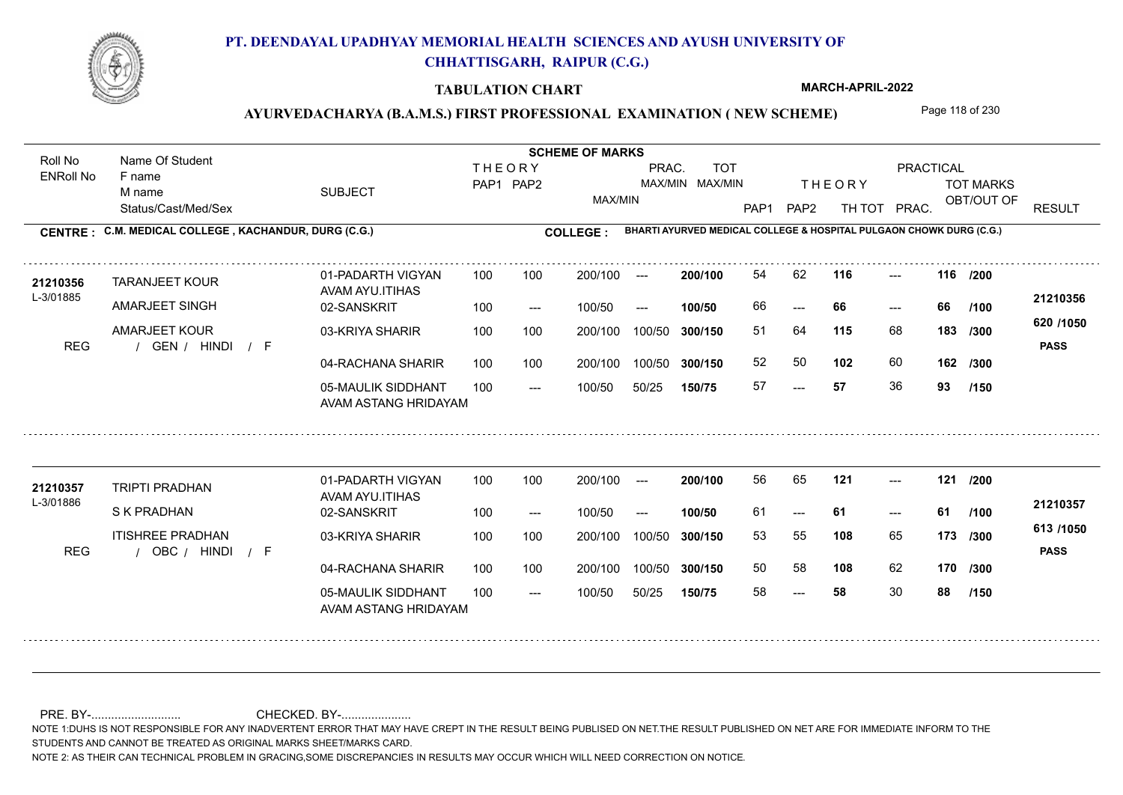

#### **TABULATION CHART**

**MARCH-APRIL-2022**

## AYURVEDACHARYA (B.A.M.S.) FIRST PROFESSIONAL EXAMINATION (NEW SCHEME) Page 118 of 230

Status/Cast/Med/Sex SUBJECT TOT MARKS OBT/OUT OF PRACTICAL THE ORY TOT MARKS PAP1 PAP2 TH TOT PRAC. Roll No Name Of Student ENRoll No **CENTRE : C.M. MEDICAL COLLEGE ; KACHANDUR, DURG (C.G.) <b>COLLEGE : THEORY** PAP1 PAP2 MAX/MIN PRAC. MAX/MIN MAX/MIN TOT RESULT **Name Of Student Contract of Student Act of Student SCHEME OF MARKS BHARTI AYURVED MEDICAL COLLEGE & HOSPITAL PULGAON CHOWK DURG (C.G.)** F name M name 01-PADARTH VIGYAN AVAM AYU.ITIHAS 05-MAULIK SIDDHANT AVAM ASTANG HRIDAYAM 04-RACHANA SHARIR 100 100 03-KRIYA SHARIR REG / GEN / HINDI / F --- --- --- **116 116 /200** 02-SANSKRIT 100 --- 100/50 --- 100 100 200/100 100/50 300/150 100/50 50/25 **150/75 300/150** 100/50 100 200/100 ---100/50 **300/150 200/100 100/50** 100 100 200/100 100/50 300/150 ---  $- -$  100/50 L-3/01885 TARANJEET KOUR AMARJEET SINGH AMARJEET KOUR **115** 68 **/300 102** 60 **162 620 /1050** HINDI F **PASS 21210356 <sup>21210356</sup>** <sup>54</sup> <sup>62</sup> 66 **66 66** 51 64 **183** 52 50 57 **57** 36 **93 /100 /300 /150** 01-PADARTH VIGYAN AVAM AYU.ITIHAS 05-MAULIK SIDDHANT 100 AVAM ASTANG HRIDAYAM 04-RACHANA SHARIR 100 100 03-KRIYA SHARIR
100 100 REG / OBC / HINDI / F --- --- --- **121 121 /200** 02-SANSKRIT 100 --- 100/50 --- 200/100 100/50 **300/150** 100/50 50/25 **150/75 300/150** 100/50 200/100 100 200/100 ---**200/100 100/50** --- 200/100 100/50 200/100 100/50  $- -$  100/50 L-3/01886 TRIPTI PRADHAN S K PRADHAN ITISHREE PRADHAN **108** 65 53 55 **173 /300 108** 62 **170 /300 613 /1050** HINDI F **PASS 21210357 <sup>21210357</sup>** <sup>56</sup> <sup>65</sup> 61 **61 61** 50 58 58 **58** 30 **88 /100 /150**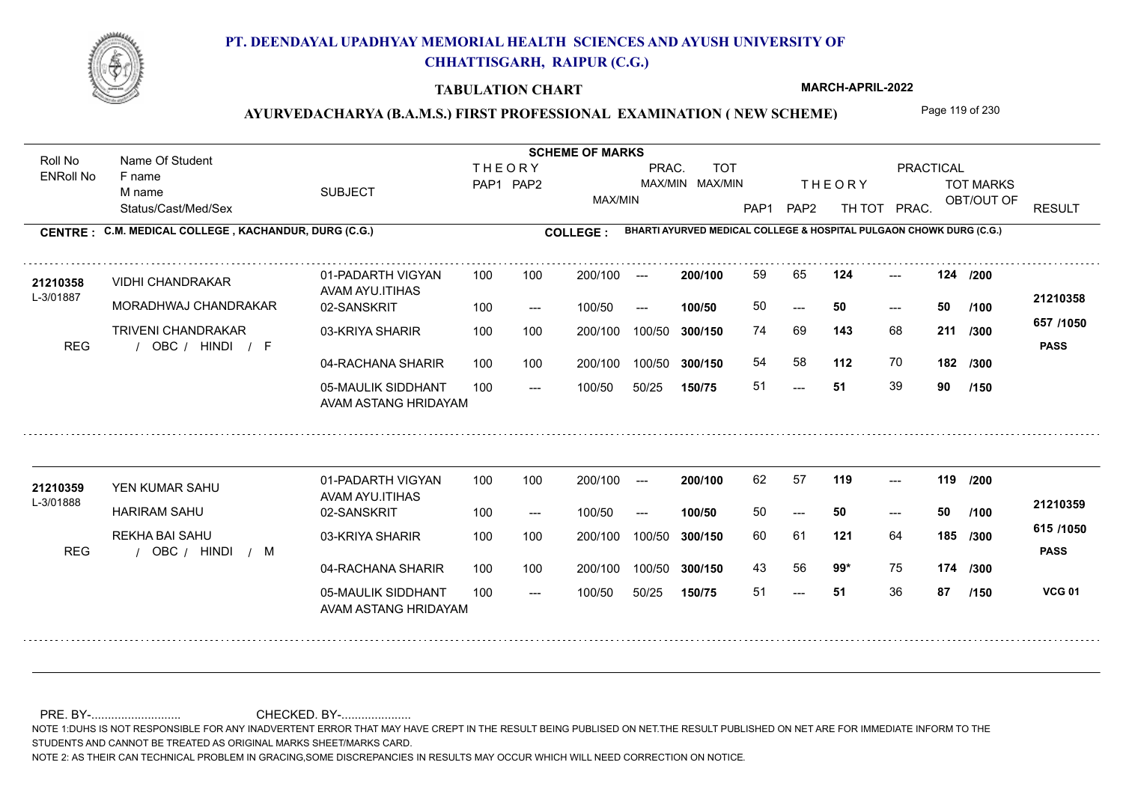

#### **TABULATION CHART**

**MARCH-APRIL-2022**

## AYURVEDACHARYA (B.A.M.S.) FIRST PROFESSIONAL EXAMINATION (NEW SCHEME) Page 119 of 230

Status/Cast/Med/Sex SUBJECT TOT MARKS OBT/OUT OF PRACTICAL THE ORY TOT MARKS PAP1 PAP2 TH TOT PRAC. Roll No Name Of Student ENRoll No **CENTRE : C.M. MEDICAL COLLEGE ; KACHANDUR, DURG (C.G.) <b>COLLEGE : THEORY** PAP1 PAP2 MAX/MIN PRAC. MAX/MIN MAX/MIN TOT RESULT **Name Of Student Contract of Student Act of Student SCHEME OF MARKS BHARTI AYURVED MEDICAL COLLEGE & HOSPITAL PULGAON CHOWK DURG (C.G.)** F name M name 01-PADARTH VIGYAN AVAM AYU.ITIHAS 05-MAULIK SIDDHANT AVAM ASTANG HRIDAYAM 04-RACHANA SHARIR 100 100 03-KRIYA SHARIR REG / OBC / HINDI / F ---  $- - 50$ --- **124 124 /200** 02-SANSKRIT 100 --- 100/50 --- 100 100 200/100 100/50 300/150 100/50 50/25 **150/75 300/150** 100/50 100 200/100 ---100/50 **300/150 200/100 100/50** 100 100 200/100 100/50 300/150  $- - 50$  $- -$  100/50 L-3/01887 VIDHI CHANDRAKAR MORADHWAJ CHANDRAKAR TRIVENI CHANDRAKAR **143** 68 **211** /300 **111 1300 112** 70 **182 657 /1050** HINDI F **PASS 21210358 <sup>21210358</sup>** <sup>59</sup> <sup>65</sup> 50 **50 50** 74 69 **211** 54 58 51 **51** 39 **90 /100 /300 /150** 01-PADARTH VIGYAN AVAM AYU.ITIHAS 05-MAULIK SIDDHANT 100 AVAM ASTANG HRIDAYAM 04-RACHANA SHARIR 100 100 03-KRIYA SHARIR
100 100 REG / OBC / HINDI / M  $-51$ --- --- **119 119 /200** 02-SANSKRIT 100 --- 100/50 --- 200/100 100/50 **300/150** 100/50 50/25 **150/75 300/150** 100/50 200/100 100 200/100 ---**200/100 100/50** --- 200/100 100/50 200/100 100/50  $- -$  100/50 L-3/01888 YEN KUMAR SAHU HARIRAM SAHU REKHA BAI SAHU **121** 64 60 61 **185 /300 99\*** 75 **174 /300 615 /1050 PASS VCG 01 /150 21210359 <sup>21210359</sup>** <sup>62</sup> <sup>57</sup> 50 **50 50** 43 56 **99\*** 75 51 **51** 36 **87 /100**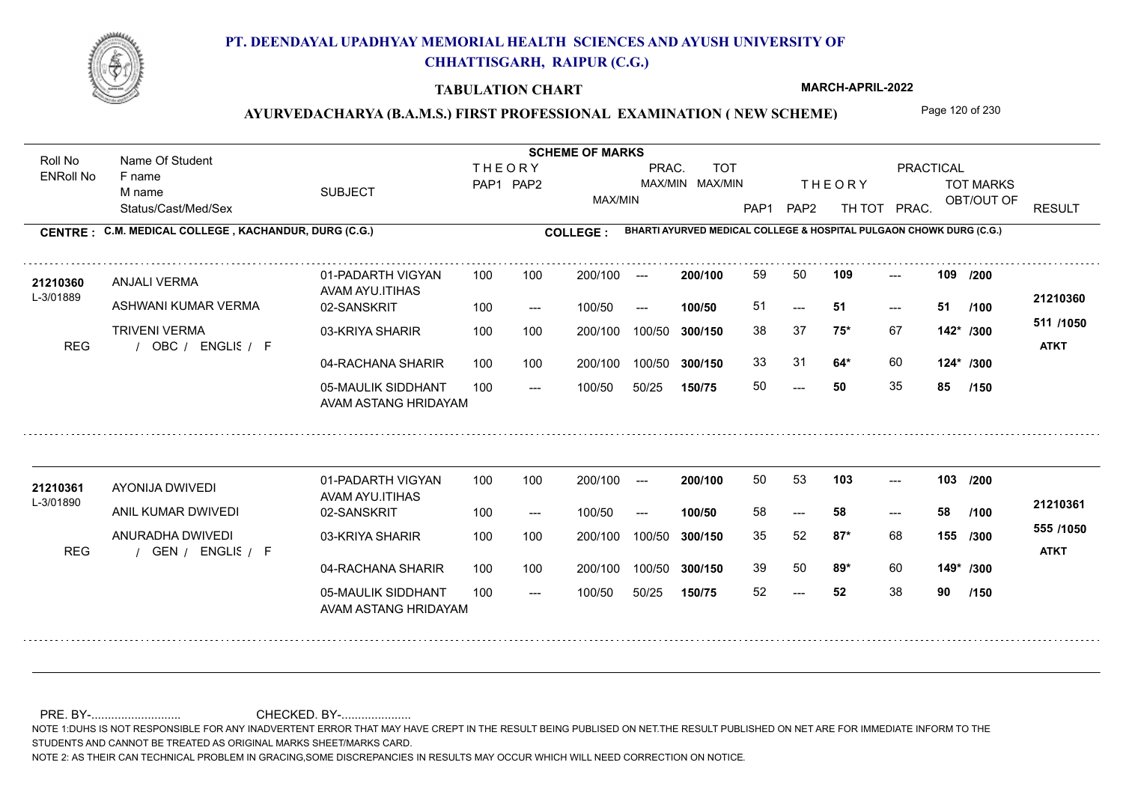

#### **TABULATION CHART**

**MARCH-APRIL-2022**

## AYURVEDACHARYA (B.A.M.S.) FIRST PROFESSIONAL EXAMINATION (NEW SCHEME) Page 120 of 230

Status/Cast/Med/Sex SUBJECT TOT MARKS OBT/OUT OF PRACTICAL THE ORY TOT MARKS PAP1 PAP2 TH TOT PRAC. Roll No Name Of Student ENRoll No **CENTRE : C.M. MEDICAL COLLEGE ; KACHANDUR, DURG (C.G.) <b>COLLEGE : THEORY** PAP1 PAP2 MAX/MIN PRAC. MAX/MIN MAX/MIN TOT RESULT **Name Of Student Contract of Student Act of Student SCHEME OF MARKS BHARTI AYURVED MEDICAL COLLEGE & HOSPITAL PULGAON CHOWK DURG (C.G.)** F name M name 01-PADARTH VIGYAN AVAM AYU.ITIHAS 05-MAULIK SIDDHANT AVAM ASTANG HRIDAYAM 04-RACHANA SHARIR 100 100 03-KRIYA SHARIR 100 100 REG / OBC / ENGLIS / F  $- - 50$  $-51$ --- 02-SANSKRIT 100 --- 100/50 --- 100 100 200/100 100/50 300/150 100/50 50/25 **150/75 300/150** 100/50 100 200/100 ---100/50 **300/150 200/100 100/50** 100 100 200/100 100/50 300/150  $- - 51$  $- -$  100/50 L-3/01889 ANJALI VERMA ASHWANI KUMAR VERMA TRIVENI VERMA **109 109 75\*** 67 38 37 **142\* /300 64\*** 60 **124\* /300 511 /1050** ENGLISH F **ATKT 21210360 <sup>21210360</sup>** <sup>59</sup> <sup>50</sup> 51 **51 51** 33 31 **64\*** 60 50 **50** 35 **85 /200 /100 /150** 01-PADARTH VIGYAN AVAM AYU.ITIHAS 05-MAULIK SIDDHANT 100 AVAM ASTANG HRIDAYAM 04-RACHANA SHARIR 100 100 03-KRIYA SHARIR
100 100 REG / GEN / ENGLIS / F --- --- --- **103 103 /200** 02-SANSKRIT 100 --- 100/50 --- 200/100 100/50 **300/150** 100/50 50/25 **150/75 300/150** 100/50 200/100 100 200/100 ---**200/100 100/50** --- 200/100 100/50 200/100 100/50  $- -$  100/50 L-3/01890 AYONIJA DWIVEDI ANIL KUMAR DWIVEDI ANURADHA DWIVEDI **87\*** 68 35 52 **155 /300 89\*** 60 **149\* /300 555 /1050** ENGLISH F **ATKT 21210361** 21**210361** AYONIJA DWIVEDI 01-PADARTH VIGYAN 100 100 200/100 --- **200/100** 50 53 1**03** ---58 **58 58** 39 50 **89**\* 60 52 **52** 38 **90 /100 /150**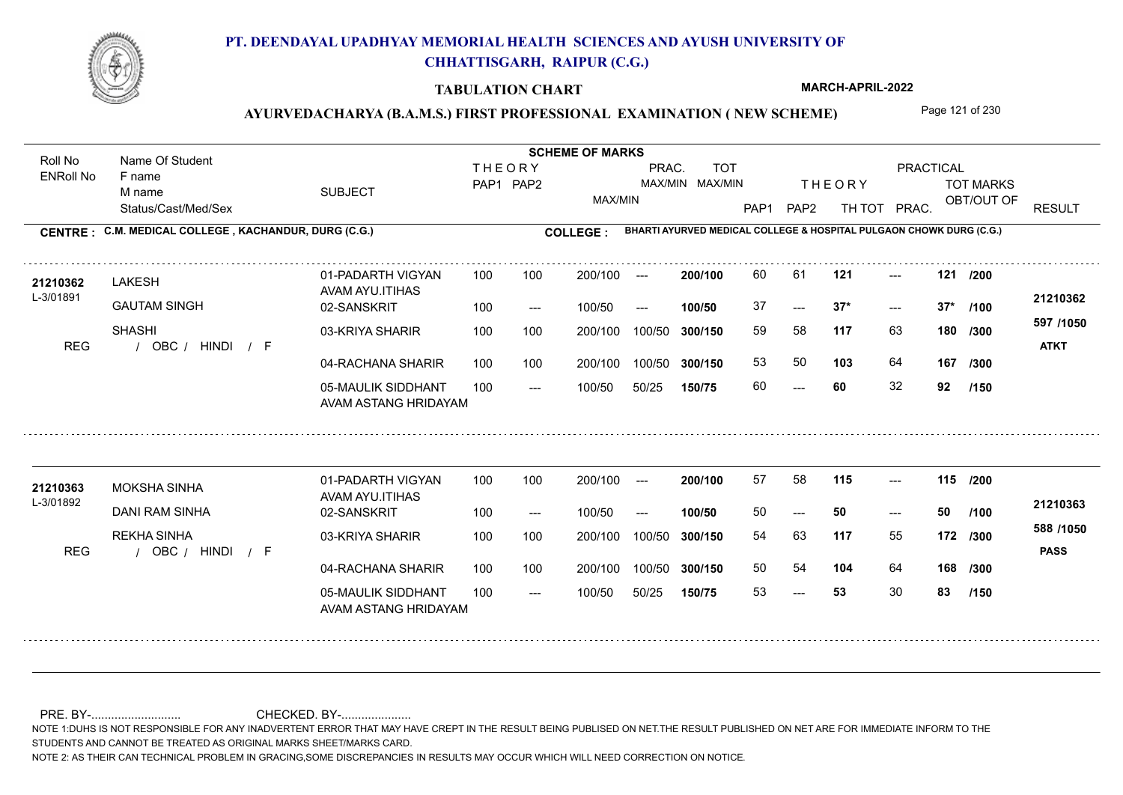

#### **TABULATION CHART**

**MARCH-APRIL-2022**

## AYURVEDACHARYA (B.A.M.S.) FIRST PROFESSIONAL EXAMINATION (NEW SCHEME) Page 121 of 230

Status/Cast/Med/Sex SUBJECT TOT MARKS OBT/OUT OF PRACTICAL THE ORY TOT MARKS PAP1 PAP2 TH TOT PRAC. Roll No Name Of Student ENRoll No **CENTRE : C.M. MEDICAL COLLEGE ; KACHANDUR, DURG (C.G.) <b>COLLEGE : THEORY** PAP1 PAP2 MAX/MIN PRAC. MAX/MIN MAX/MIN TOT RESULT **Name Of Student Contract of Student Act of Student SCHEME OF MARKS BHARTI AYURVED MEDICAL COLLEGE & HOSPITAL PULGAON CHOWK DURG (C.G.)** F name M name 01-PADARTH VIGYAN AVAM AYU.ITIHAS 05-MAULIK SIDDHANT AVAM ASTANG HRIDAYAM 04-RACHANA SHARIR 100 100 03-KRIYA SHARIR 100 100 REG / OBC / HINDI / F ---  $- - 37*$ --- **121 121 /200** 02-SANSKRIT 100 --- 100/50 --- 100 100 200/100 100/50 300/150 100/50 50/25 **150/75 300/150** 100/50 100 200/100 ---100/50 **300/150 200/100 100/50** 100 100 200/100 100/50 300/150  $-2$  37\*  $- -$  100/50 L-3/01891 **LAKESH** GAUTAM SINGH SHASHI **117** 63 **/300 103** 64 **167 597 /1050** HINDI F **ATKT 21210362** 21210362 LAKESH 01-PADARTH VIGYAN 100 100 200/100 --- **200/100** 60 61 **121** ---37 **37\* 37\*** 59 58 **180** 53 50 **103** 64 60 **60** 32 **92 /100 /300 /150** 01-PADARTH VIGYAN AVAM AYU.ITIHAS 05-MAULIK SIDDHANT 100 AVAM ASTANG HRIDAYAM 04-RACHANA SHARIR 100 100 03-KRIYA SHARIR
100 100 REG / OBC / HINDI / F --- 53 --- --- **115 115 /200** 02-SANSKRIT 100 --- 100/50 --- 200/100 100/50 **300/150** 100/50 50/25 **150/75 300/150** 100/50 200/100 100 200/100 ---**200/100 100/50** --- 200/100 100/50 200/100 100/50  $- -$  100/50 L-3/01892 MOKSHA SINHA DANI RAM SINHA REKHA SINHA **117** 55 54 63 **172 /300 104** 64 **168 /300 588 /1050** HINDI F **PASS 21210363 <sup>21210363</sup>** <sup>57</sup> <sup>58</sup> 50 **50 50** 50 54 **104** 64 53 **53** 30 **83 /100 /150**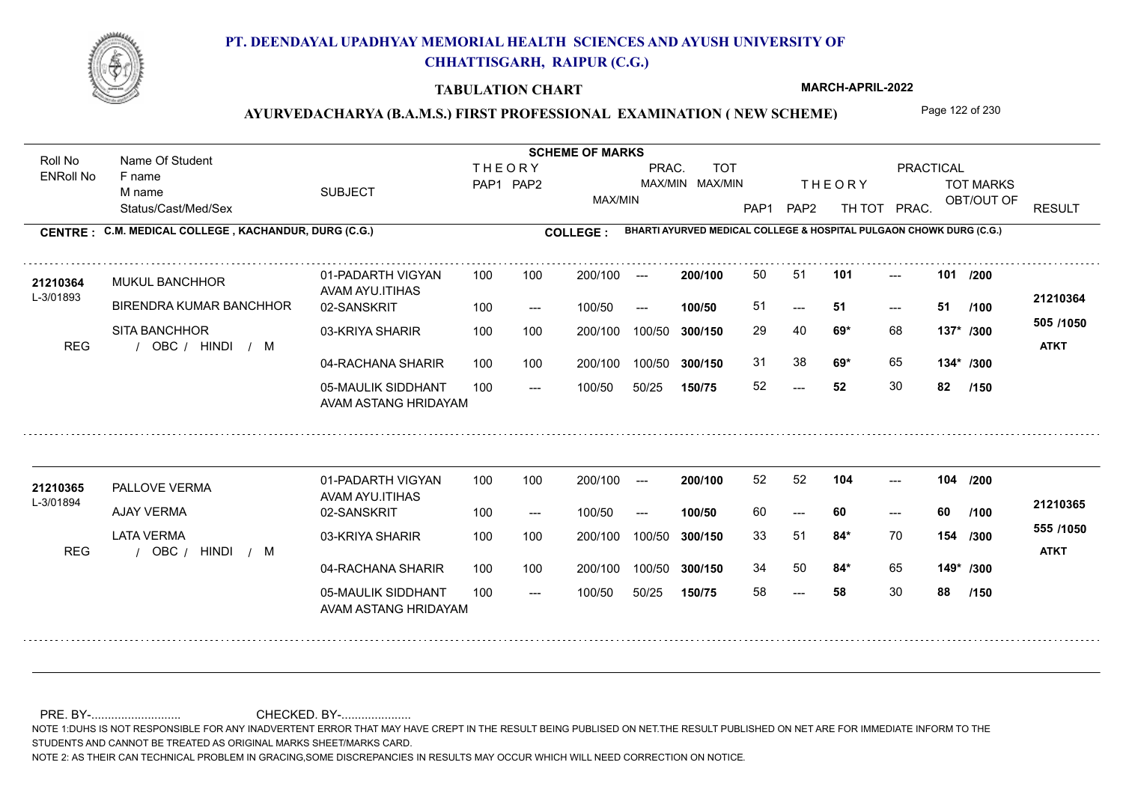

#### **TABULATION CHART**

**MARCH-APRIL-2022**

## AYURVEDACHARYA (B.A.M.S.) FIRST PROFESSIONAL EXAMINATION (NEW SCHEME) Page 122 of 230

Status/Cast/Med/Sex SUBJECT TOT MARKS OBT/OUT OF PRACTICAL THE ORY TOT MARKS PAP1 PAP2 TH TOT PRAC. Roll No Name Of Student ENRoll No **CENTRE : C.M. MEDICAL COLLEGE ; KACHANDUR, DURG (C.G.) <b>COLLEGE : THEORY** PAP1 PAP2 MAX/MIN PRAC. MAX/MIN MAX/MIN TOT RESULT **Name Of Student Contract of Student Act of Student SCHEME OF MARKS BHARTI AYURVED MEDICAL COLLEGE & HOSPITAL PULGAON CHOWK DURG (C.G.)** F name M name 01-PADARTH VIGYAN AVAM AYU.ITIHAS 05-MAULIK SIDDHANT AVAM ASTANG HRIDAYAM 04-RACHANA SHARIR 100 100 03-KRIYA SHARIR 100 100 REG / OBC / HINDI / M  $-52$  $-51$ --- **101 101 /200** 02-SANSKRIT 100 --- 100/50 --- 100 100 200/100 100/50 300/150 100/50 50/25 **150/75 300/150** 100/50 100 200/100 ---100/50 **300/150 200/100 100/50** 100 100 200/100 100/50 300/150  $- - 51$  $- -$  100/50 L-3/01893 MUKUL BANCHHOR BIRENDRA KUMAR BANCHHOR SITA BANCHHOR **69\*** 68 29 40 **137\* /300 69\*** 65 **134\* /300 505 /1050** HINDI M **ATKT 21210364** 21210364 MUKUL BANCHHOR 01-PADARTH VIGYAN 100 100 200/100 --- 200/100 50 51 **101** ---51 **51 51** 31 38 **69\*** 65 52 **52** 30 **82 /100 /150** 01-PADARTH VIGYAN AVAM AYU.ITIHAS 05-MAULIK SIDDHANT 100 AVAM ASTANG HRIDAYAM 04-RACHANA SHARIR 100 100 03-KRIYA SHARIR
100 100 REG / OBC / HINDI / M --- --- --- **104 104 /200** 02-SANSKRIT / 100 --- 100/50 --- 200/100 100/50 **300/150** 100/50 50/25 **150/75 300/150** 100/50 200/100 100 200/100 ---**200/100 100/50** --- 200/100 100/50 200/100 100/50  $- -$  100/50 L-3/01894 PALLOVE VERMA AJAY VERMA LATA VERMA **84\*** 70 33 51 **154 /300 84\*** 65 **149\* /300 555 /1050** HINDI M **ATKT 21210365 <sup>21210365</sup>** <sup>52</sup> <sup>52</sup> 60 **60 60** 34 50 **84**\* 65 58 **58** 30 **88 /100 /150**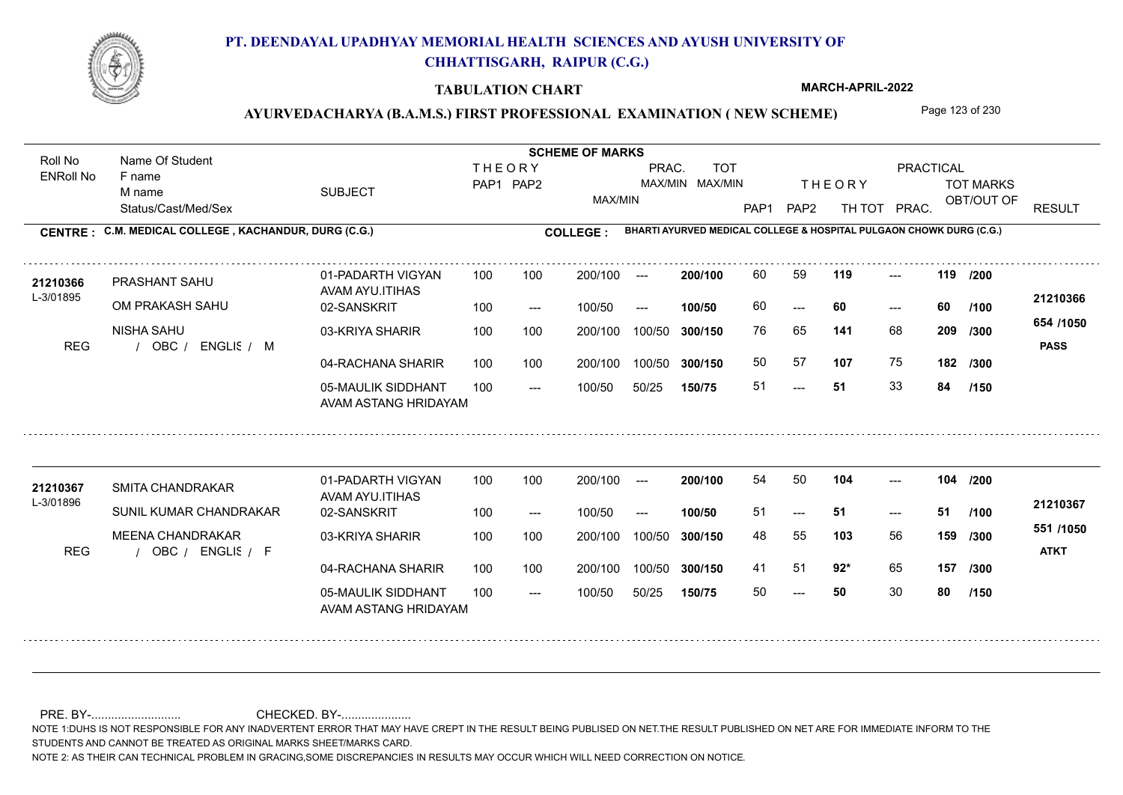

#### **TABULATION CHART**

**MARCH-APRIL-2022**

### AYURVEDACHARYA (B.A.M.S.) FIRST PROFESSIONAL EXAMINATION (NEW SCHEME) Page 123 of 230

Status/Cast/Med/Sex SUBJECT TOT MARKS OBT/OUT OF PRACTICAL THE ORY TOT MARKS PAP1 PAP2 TH TOT PRAC. Roll No Name Of Student ENRoll No **CENTRE : C.M. MEDICAL COLLEGE ; KACHANDUR, DURG (C.G.) <b>COLLEGE : THEORY** PAP1 PAP2 MAX/MIN PRAC. MAX/MIN MAX/MIN TOT RESULT **Name Of Student Contract of Student Act of Student SCHEME OF MARKS BHARTI AYURVED MEDICAL COLLEGE & HOSPITAL PULGAON CHOWK DURG (C.G.)** F name M name 01-PADARTH VIGYAN AVAM AYU.ITIHAS 05-MAULIK SIDDHANT AVAM ASTANG HRIDAYAM 04-RACHANA SHARIR 100 100 03-KRIYA SHARIR 100 100 REG / OBC / ENGLIS / M --- --- --- **119 119 /200** 02-SANSKRIT 100 --- 100/50 --- 100 100 200/100 100/50 300/150 100/50 50/25 **150/75 300/150** 100/50 100 200/100 ---100/50 **300/150 200/100 100/50** 100 100 200/100 100/50 300/150  $- - 60$  $- -$  100/50 L-3/01895 PRASHANT SAHU OM PRAKASH SAHU NISHA SAHU **141** 68 **/300 107** 75 **182 654 /1050** ENGLISH M **PASS 21210366 <sup>21210366</sup>** <sup>60</sup> <sup>59</sup> 60 **60 60** 76 65 **209** 50 57 51 **51** 33 **84 /100 /300 /150** 01-PADARTH VIGYAN AVAM AYU.ITIHAS 05-MAULIK SIDDHANT 100 AVAM ASTANG HRIDAYAM 04-RACHANA SHARIR 100 100 03-KRIYA SHARIR
100 100 REG / OBC / ENGLIS / F  $- - 50$ --- --- **104 104 /200** 02-SANSKRIT 100 --- 100/50 --- 200/100 100/50 **300/150** 100/50 50/25 **150/75 300/150** 100/50 200/100 100 200/100 ---**200/100 100/50** --- 200/100 100/50 200/100 100/50  $- -$  100/50 L-3/01896 SMITA CHANDRAKAR SUNIL KUMAR CHANDRAKAR MEENA CHANDRAKAR **103** 56 **/300 92\*** 65 **157 /300 551 /1050** ENGLISH F **ATKT 21210367 <sup>21210367</sup>** <sup>54</sup> <sup>50</sup> 51 **51 51** 48 55 **159** 41 51 **92**\* 65 50 **50** 30 **80 /100 /150**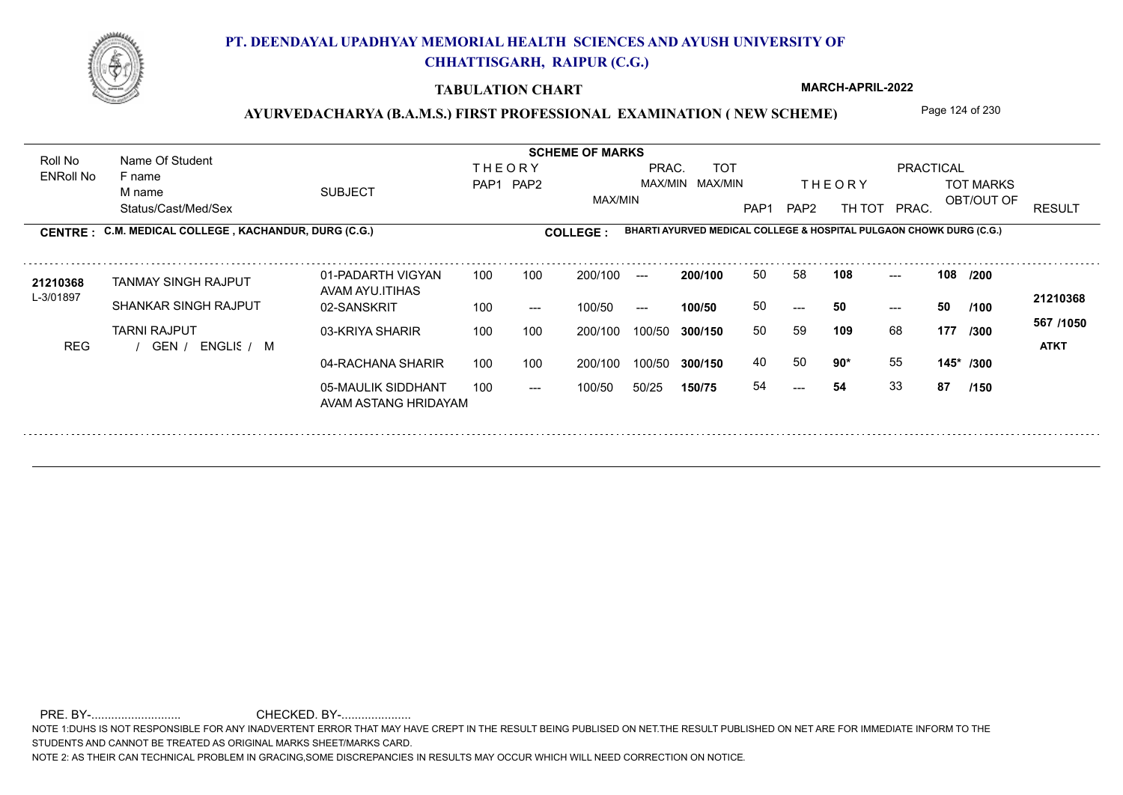

### **TABULATION CHART**

**MARCH-APRIL-2022**

# AYURVEDACHARYA (B.A.M.S.) FIRST PROFESSIONAL EXAMINATION (NEW SCHEME) Page 124 of 230

| <b>SUBJECT</b><br>CENTRE : C.M. MEDICAL COLLEGE, KACHANDUR, DURG (C.G.)<br>01-PADARTH VIGYAN<br>TANMAY SINGH RAJPUT<br>AVAM AYU.ITIHAS | 100 | <b>THEORY</b><br>PAP1 PAP2<br>100 | MAX/MIN<br><b>COLLEGE:</b> | PRAC.<br>$---$ | <b>TOT</b><br>MAX/MIN MAX/MIN<br>BHARTI AYURVED MEDICAL COLLEGE & HOSPITAL PULGAON CHOWK DURG (C.G.) | PAP <sub>1</sub> | PAP <sub>2</sub> | <b>THEORY</b><br>TH TOT | <b>PRACTICAL</b><br>PRAC. |             | <b>TOT MARKS</b><br>OBT/OUT OF | <b>RESULT</b>            |
|----------------------------------------------------------------------------------------------------------------------------------------|-----|-----------------------------------|----------------------------|----------------|------------------------------------------------------------------------------------------------------|------------------|------------------|-------------------------|---------------------------|-------------|--------------------------------|--------------------------|
|                                                                                                                                        |     |                                   |                            |                |                                                                                                      |                  |                  |                         |                           |             |                                |                          |
|                                                                                                                                        |     |                                   |                            |                |                                                                                                      |                  |                  |                         |                           |             |                                |                          |
|                                                                                                                                        |     |                                   |                            |                |                                                                                                      |                  |                  |                         |                           |             |                                |                          |
|                                                                                                                                        |     |                                   | 200/100                    |                | 200/100                                                                                              | 50               | 58               | 108                     | $---$                     | 108<br>/200 |                                |                          |
| <b>SHANKAR SINGH RAJPUT</b><br>02-SANSKRIT                                                                                             | 100 | $---$                             | 100/50                     | $---$          | 100/50                                                                                               | 50               | $---$            | 50                      | 50<br>$---$               |             | /100                           | 21210368                 |
| 03-KRIYA SHARIR<br>ENGLIS / M                                                                                                          | 100 | 100                               | 200/100                    | 100/50         | 300/150                                                                                              | 50               | 59               | 109                     | 68                        |             | /300                           | 567 /1050<br><b>ATKT</b> |
| 04-RACHANA SHARIR                                                                                                                      | 100 | 100                               | 200/100                    | 100/50         | 300/150                                                                                              | 40               | 50               |                         |                           |             |                                |                          |
| 05-MAULIK SIDDHANT                                                                                                                     | 100 | $---$                             | 100/50                     | 50/25          | 150/75                                                                                               | 54               | ---              | 54                      |                           |             | /150                           |                          |
|                                                                                                                                        |     | AVAM ASTANG HRIDAYAM              |                            |                |                                                                                                      |                  |                  |                         | 90*                       | 55<br>33    | 177<br>87                      | 145* /300                |

NOTE 1:DUHS IS NOT RESPONSIBLE FOR ANY INADVERTENT ERROR THAT MAY HAVE CREPT IN THE RESULT BEING PUBLISED ON NET.THE RESULT PUBLISHED ON NET ARE FOR IMMEDIATE INFORM TO THE STUDENTS AND CANNOT BE TREATED AS ORIGINAL MARKS SHEET/MARKS CARD. NOTE 1:DUHS IS NOT RESPONSIBLE FOR ANY INADVERTENT ERROR THAT MAY HAVE CREPT IN THE RESULT BEING PUBLISED ON NET.THE RESULT PUBL NOTE 1:DUHS IS NOT RESPONSIBLE FOR ANY INADVERTENT ERROR THAT MAY HAVE CREPT IN THE RESULT BE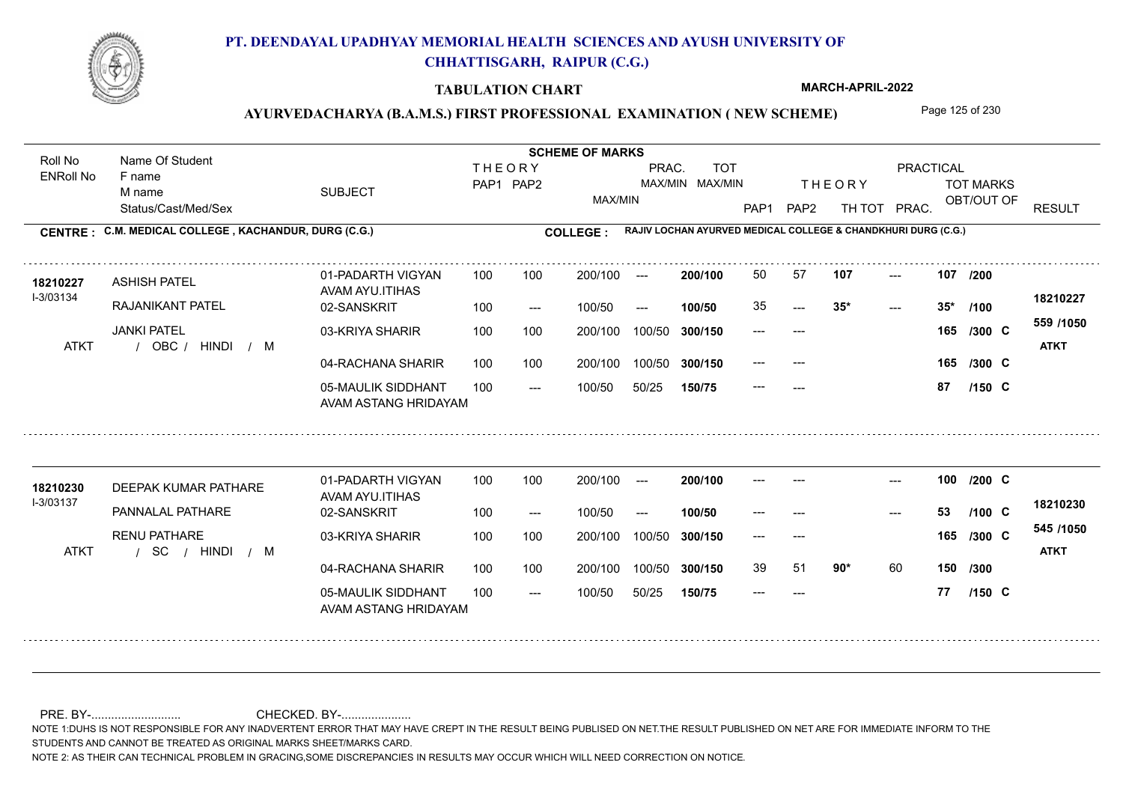

#### **TABULATION CHART**

**MARCH-APRIL-2022**

## AYURVEDACHARYA (B.A.M.S.) FIRST PROFESSIONAL EXAMINATION (NEW SCHEME) Page 125 of 230

Status/Cast/Med/Sex SUBJECT TOT MARKS OBT/OUT OF PRACTICAL THE ORY TOT MARKS PAP1 PAP2 TH TOT PRAC. Roll No Name Of Student ENRoll No **CENTRE : COLLEGE : C.M. MEDICAL COLLEGE , KACHANDUR, DURG (C.G.) RAJIV LOCHAN AYURVED MEDICAL COLLEGE & CHANDKHURI DURG (C.G.) THEORY** PAP1 PAP2 MAX/MIN PRAC. MAX/MIN MAX/MIN TOT RESULT **Name Of Student Contract of Student Act of Student SCHEME OF MARKS** F name M name 01-PADARTH VIGYAN AVAM AYU.ITIHAS 05-MAULIK SIDDHANT AVAM ASTANG HRIDAYAM 04-RACHANA SHARIR 100 100 03-KRIYA SHARIR 100 100 / / / ATKT OBC ---  $- - 35*$ --- **107 107 /200** 02-SANSKRIT 100 --- 100/50 --- 200/100 100/50 **300/150** 100/50 50/25 **150/75 300/150** 100/50 100 200/100 ---**200/100 100/50** 100 100 200/100 100/50 300/150  $35*$ 200/100 100/50  $- -$  100/50 I-3/03134 ASHISH PATEL RAJANIKANT PATEL JANKI PATEL **165 /300 559 /1050** HINDI M **ATKT 18210227 <sup>18210227</sup>** <sup>50</sup> <sup>57</sup> 35 **35\* 35\*** --- --- **165 C /300** --- --- 165 /300 C --- **87 C /100 /150** 01-PADARTH VIGYAN AVAM AYU.ITIHAS 05-MAULIK SIDDHANT 100 AVAM ASTANG HRIDAYAM 04-RACHANA SHARIR 100 100 03-KRIYA SHARIR
100 100 / / / ATKT SC --- --- --- **100** --- --- **C /200** 02-SANSKRIT 100 --- 100/50 --- 200/100 100/50 **300/150** 100/50 50/25 **150/75 300/150** 100/50 200/100 100 200/100 ---**200/100 100/50**  $-53$ 200/100 100/50 200/100 100/50  $- -$  100/50 I-3/03137 18210230 DEEPAK KUMAR PATHARE **18210230** PANNALAL PATHARE RENU PATHARE **90\*** 60 **150 /300 545 /1050** HINDI M **ATKT 18210230** --- **53 C** --- --- **165 C /300** 39 51 **90**\* 60 --- **77 C /100 /150**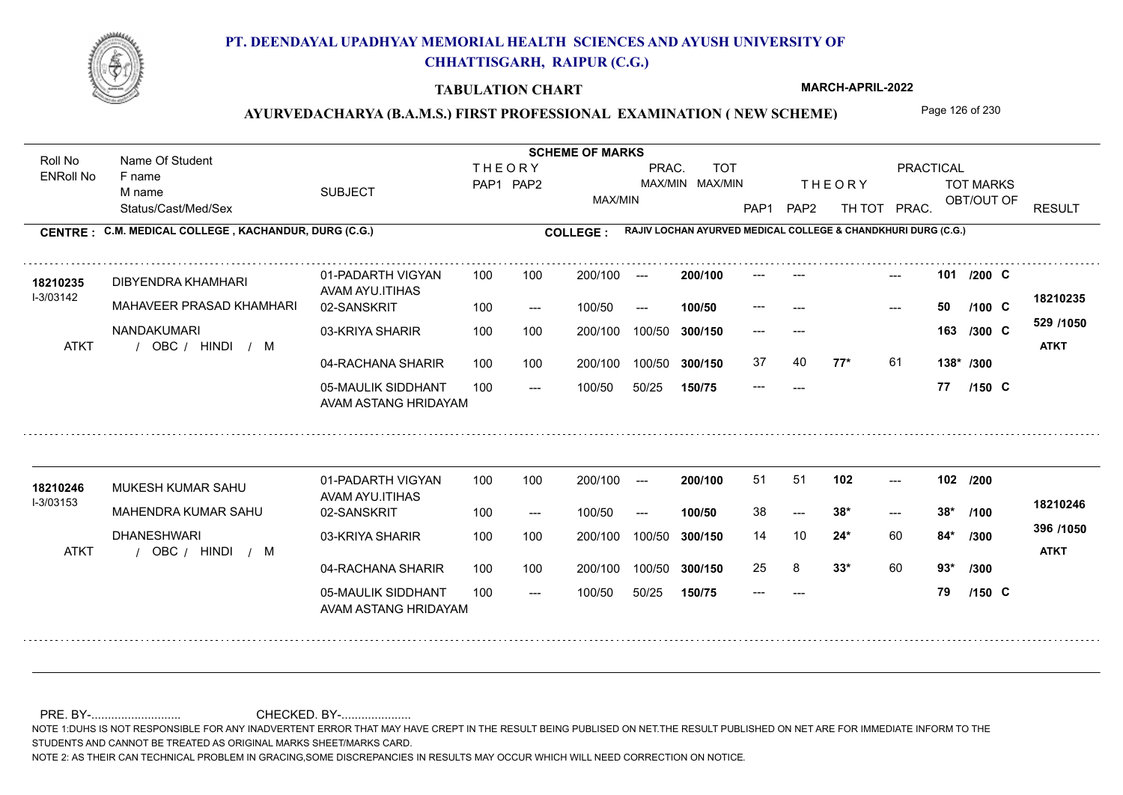

#### **TABULATION CHART**

**MARCH-APRIL-2022**

## AYURVEDACHARYA (B.A.M.S.) FIRST PROFESSIONAL EXAMINATION (NEW SCHEME) Page 126 of 230

Status/Cast/Med/Sex SUBJECT TOT MARKS OBT/OUT OF **PRACTICAL** THE ORY TOT MARKS PAP1 PAP2 TH TOT PRAC. Roll No Name Of Student ENRoll No **CENTRE : COLLEGE : C.M. MEDICAL COLLEGE , KACHANDUR, DURG (C.G.) RAJIV LOCHAN AYURVED MEDICAL COLLEGE & CHANDKHURI DURG (C.G.) THEORY** PAP1 PAP2 MAX/MIN PRAC. MAX/MIN MAX/MIN TOT RESULT **Name Of Student Contract of Student Act of Student SCHEME OF MARKS** F name M name 01-PADARTH VIGYAN AVAM AYU.ITIHAS 05-MAULIK SIDDHANT AVAM ASTANG HRIDAYAM 04-RACHANA SHARIR 100 100 03-KRIYA SHARIR 100 100 / / / ATKT OBC --- --- --- **101** --- --- **C /200** 02-SANSKRIT  $100/50$ 100 100 200/100 100/50 300/150 100/50 50/25 **150/75 300/150** 100/50 100 200/100 ---100/50 --- **100/50** 100/50 **300/150 200/100** 100 100 200/100 100/50 300/150  $- - 50$  $- -$  100/50 I-3/03142 DIBYENDRA KHAMHARI **18210235** MAHAVEER PRASAD KHAMHARI NANDAKUMARI **77\*** 61 **138\* /300 529 /1050** HINDI M **ATKT 18210235** --- **50 C /100** --- --- **163 C /300** 37 40 **77\*** 61 --- **77 C /150** 01-PADARTH VIGYAN AVAM AYU.ITIHAS 05-MAULIK SIDDHANT 100 AVAM ASTANG HRIDAYAM 04-RACHANA SHARIR 100 100 03-KRIYA SHARIR
100 100 / / / ATKT OBC ---  $-2$  38\* --- **102 102 /200** 02-SANSKRIT 100 --- 100/50 --- 200/100 100/50 **300/150** 100/50 50/25 **150/75 300/150** 100/50 200/100 100 200/100 ---**200/100 100/50**  $-28^*$ 200/100 100/50 200/100 100/50  $- -$  100/50 I-3/03153 MUKESH KUMAR SAHU MAHENDRA KUMAR SAHU DHANESHWARI **24\*** 60 **84\*** /300 **<sup>355</sup>** /1030 **33\*** 60 **93\* /300 396 /1050** HINDI M **ATKT 18210246 <sup>18210246</sup>** <sup>51</sup> <sup>51</sup> 38 **38\* 38\*** 14 10 **84\*** 25 8 **33\*** 60 --- **79 C /100 /150**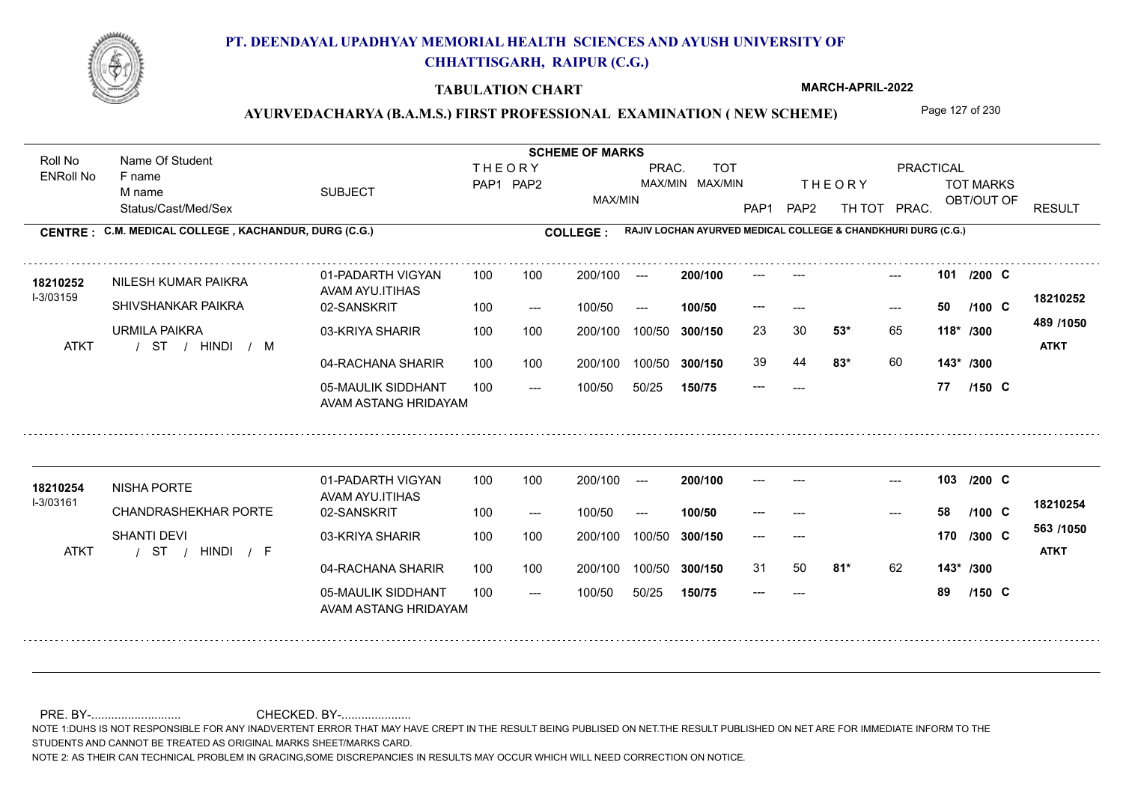

#### **TABULATION CHART**

**MARCH-APRIL-2022**

## AYURVEDACHARYA (B.A.M.S.) FIRST PROFESSIONAL EXAMINATION (NEW SCHEME) Page 127 of 230

Status/Cast/Med/Sex SUBJECT TOT MARKS OBT/OUT OF **PRACTICAL** THE ORY TOT MARKS PAP1 PAP2 TH TOT PRAC. Roll No Name Of Student ENRoll No **CENTRE : COLLEGE : C.M. MEDICAL COLLEGE , KACHANDUR, DURG (C.G.) RAJIV LOCHAN AYURVED MEDICAL COLLEGE & CHANDKHURI DURG (C.G.) THEORY** PAP1 PAP2 MAX/MIN PRAC. MAX/MIN MAX/MIN TOT RESULT **Name Of Student Contract of Student Act of Student SCHEME OF MARKS** F name M name 01-PADARTH VIGYAN AVAM AYU.ITIHAS 05-MAULIK SIDDHANT AVAM ASTANG HRIDAYAM 04-RACHANA SHARIR 100 100 03-KRIYA SHARIR 100 100 / / / ATKT ST --- --- --- **101** --- --- **C /200** 02-SANSKRIT  $100/50$ 100 100 200/100 100/50 300/150 100/50 50/25 **150/75 300/150** 100/50 100 200/100 ---100/50 --- **100/50** 100/50 **300/150 200/100** 100 100 200/100 100/50 300/150  $- - 50$  $- -$  100/50 I-3/03159 18210252 NILESH KUMAR PAIKRA<br>AMALAM ATTI SHIVSHANKAR PAIKRA URMILA PAIKRA **53\*** 65 23 30 **118\* /300 83\*** 60 **143\* /300 489 /1050** HINDI M **ATKT 18210252** --- **50 C /100** 39 44 **83\*** 60 --- **77 C /150** 01-PADARTH VIGYAN AVAM AYU.ITIHAS 05-MAULIK SIDDHANT 100 AVAM ASTANG HRIDAYAM 04-RACHANA SHARIR 100 100 03-KRIYA SHARIR
100 100 / / / ATKT ST --- --- --- **103** --- --- **C /200** 02-SANSKRIT 100 --- 100/50 --- 200/100 100/50 **300/150** 100/50 50/25 **150/75 300/150** 100/50 200/100 100 200/100 ---**200/100 100/50** --- 200/100 100/50 200/100 100/50  $- -$  100/50 I-3/03161 18210254 NISHA PORTE CHANDRASHEKHAR PORTE SHANTI DEVI **81\*** 62 **143\* /300 563 /1050** HINDI F **ATKT 18210254** --- **58 C** --- --- **170 C /300** 31 50 **81\*** 62 --- **89 C /100 /150**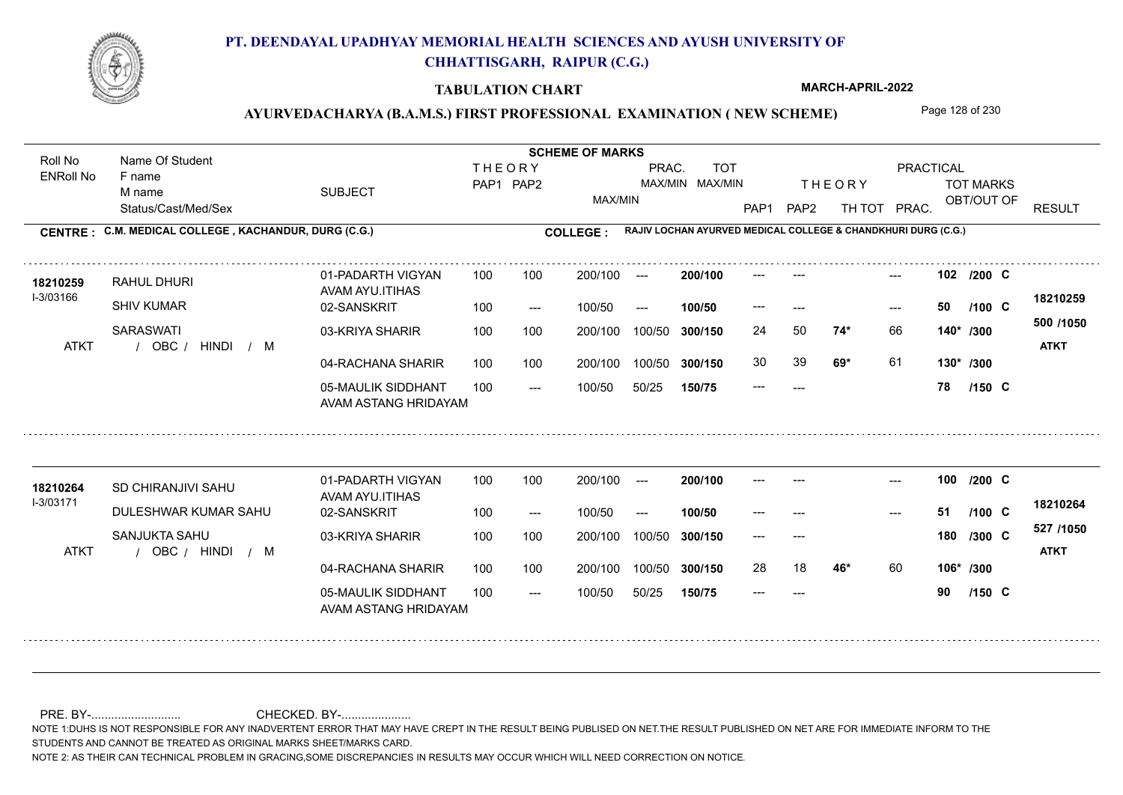

#### **TABULATION CHART**

**MARCH-APRIL-2022**

## AYURVEDACHARYA (B.A.M.S.) FIRST PROFESSIONAL EXAMINATION (NEW SCHEME) Page 128 of 230

Status/Cast/Med/Sex SUBJECT TOT MARKS OBT/OUT OF **PRACTICAL** THE ORY TOT MARKS PAP1 PAP2 TH TOT PRAC. Roll No Name Of Student ENRoll No **CENTRE : COLLEGE : C.M. MEDICAL COLLEGE , KACHANDUR, DURG (C.G.) RAJIV LOCHAN AYURVED MEDICAL COLLEGE & CHANDKHURI DURG (C.G.) THEORY** PAP1 PAP2 MAX/MIN PRAC. MAX/MIN MAX/MIN TOT RESULT **Name Of Student Contract of Student Act of Student SCHEME OF MARKS** F name M name 01-PADARTH VIGYAN AVAM AYU.ITIHAS 05-MAULIK SIDDHANT AVAM ASTANG HRIDAYAM 04-RACHANA SHARIR 100 100 03-KRIYA SHARIR 100 100 / / ATKT OBC --- --- --- **102** --- --- **C /200** 02-SANSKRIT  $/ M$  $100/50$ 100 100 200/100 100/50 300/150 100/50 50/25 **150/75 300/150** 100/50 100 200/100 ---100/50 --- **100/50** 100/50 **300/150 200/100** 100 100 200/100 100/50 300/150  $- - 50$  $- -$  100/50 I-3/03166 RAHUL DHURI **18210259** SHIV KUMAR **SARASWATI 74\*** 66 24 50 **140\* /300 69\*** 61 **130\* /300 500 /1050** HINDI M **ATKT 18210259** --- **50 C /100** 30 39 **69\*** 61 --- **78 C /150** 01-PADARTH VIGYAN AVAM AYU.ITIHAS 05-MAULIK SIDDHANT 100 AVAM ASTANG HRIDAYAM 04-RACHANA SHARIR 100 100 03-KRIYA SHARIR
100 100 / / / ATKT OBC --- --- --- **100** --- --- **C /200** 02-SANSKRIT 100 --- 100/50 --- 200/100 100/50 **300/150** 100/50 50/25 **150/75 300/150** 100/50 200/100 100 200/100 ---**200/100 100/50** --- 200/100 100/50 200/100 100/50  $- -$  100/50 I-3/03171 18210264 SD CHIRANJIVI SAHU DULESHWAR KUMAR SAHU SANJUKTA SAHU **46\*** 60 **106\* /300 527 /1050** HINDI M **ATKT 18210264** --- **51 C** --- --- **180 C /300** 28 18 **46**\* 60 --- **90 C /100 /150**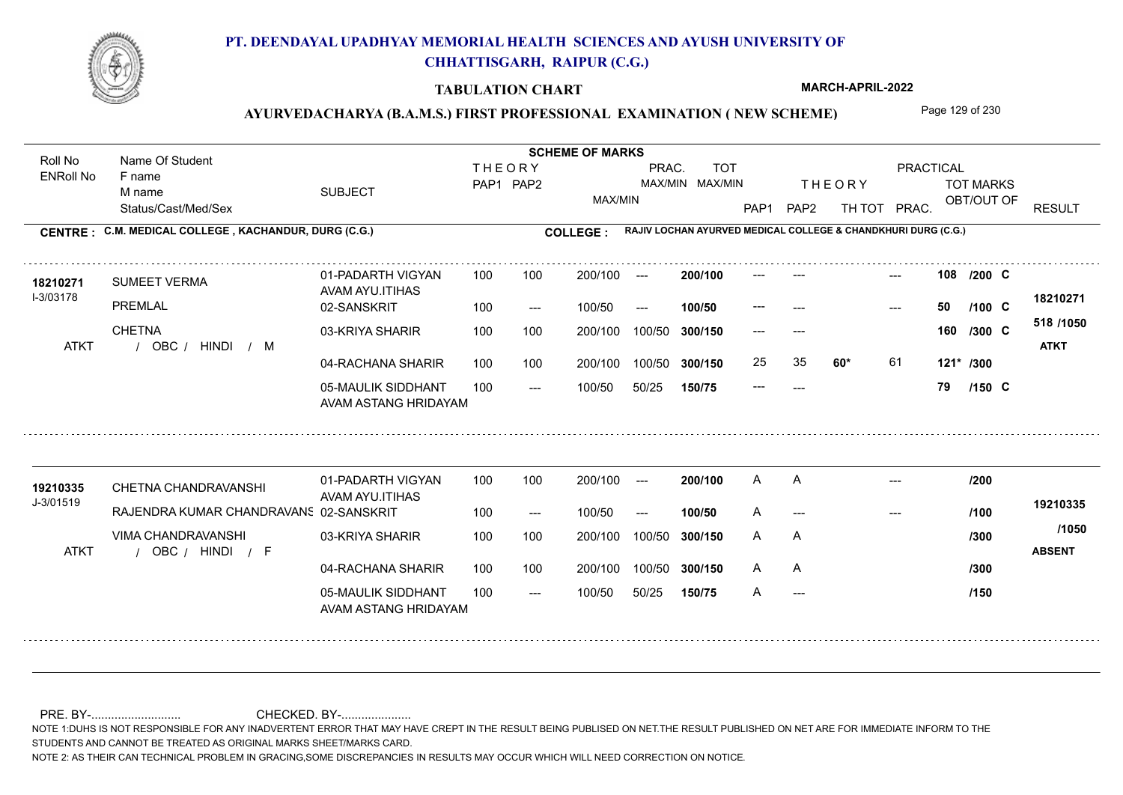

#### **TABULATION CHART**

**MARCH-APRIL-2022**

### AYURVEDACHARYA (B.A.M.S.) FIRST PROFESSIONAL EXAMINATION (NEW SCHEME) Page 129 of 230

Status/Cast/Med/Sex SUBJECT TOT MARKS OBT/OUT OF **PRACTICAL** THE ORY TOT MARKS PAP1 PAP2 TH TOT PRAC. Roll No Name Of Student ENRoll No **CENTRE : COLLEGE : C.M. MEDICAL COLLEGE , KACHANDUR, DURG (C.G.) RAJIV LOCHAN AYURVED MEDICAL COLLEGE & CHANDKHURI DURG (C.G.) THEORY** PAP1 PAP2 MAX/MIN PRAC. MAX/MIN MAX/MIN TOT RESULT **Name Of Student Contract of Student SCHEME OF MARKS**<br>
THE OR Y F name M name 01-PADARTH VIGYAN AVAM AYU.ITIHAS 05-MAULIK SIDDHANT AVAM ASTANG HRIDAYAM 04-RACHANA SHARIR 100 100 03-KRIYA SHARIR 100 100 / / / ATKT OBC --- --- --- **108** --- --- **C /200** 02-SANSKRIT  $100/50$ 100 100 200/100 100/50 300/150 100/50 50/25 **150/75 300/150** 100/50 100 200/100 ---100/50 --- **100/50** 100/50 **300/150 200/100** 100 100 200/100 100/50 300/150  $- - 50$  $- -$  100/50 I-3/03178 **18210271 SUMEET VERMA 18210271** PRFMI AI **CHETNA 60\*** 61 **121\* /300 518 /1050** HINDI M **ATKT 18210271** --- **50 C /100** --- --- **160 C /300** 25 35 **60\*** 61 --- **79 C /150** 01-PADARTH VIGYAN AVAM AYU.ITIHAS 05-MAULIK SIDDHANT 100 AVAM ASTANG HRIDAYAM 04-RACHANA SHARIR 100 100 03-KRIYA SHARIR
100 100 / / / ATKT OBC HINDI F **ABSENT** --- --- --- 02-SANSKRIT RAJENDRA KUMAR CHANDRAVANSHI 100 --- 100/50 --- 200/100 100/50 **300/150** 100/50 50/25 **150/75 300/150** 100/50 200/100 100 200/100 ---**200/100 100/50** --- 200/100 100/50 200/100 100/50  $- -$  100/50 J-3/01519 CHETNA CHANDRAVANSHI **19210335** VIMA CHANDRAVANSHI **19210335** A A A --- --- ---A A A A A --- A **/200 /100 /300 /300 /150 /1050**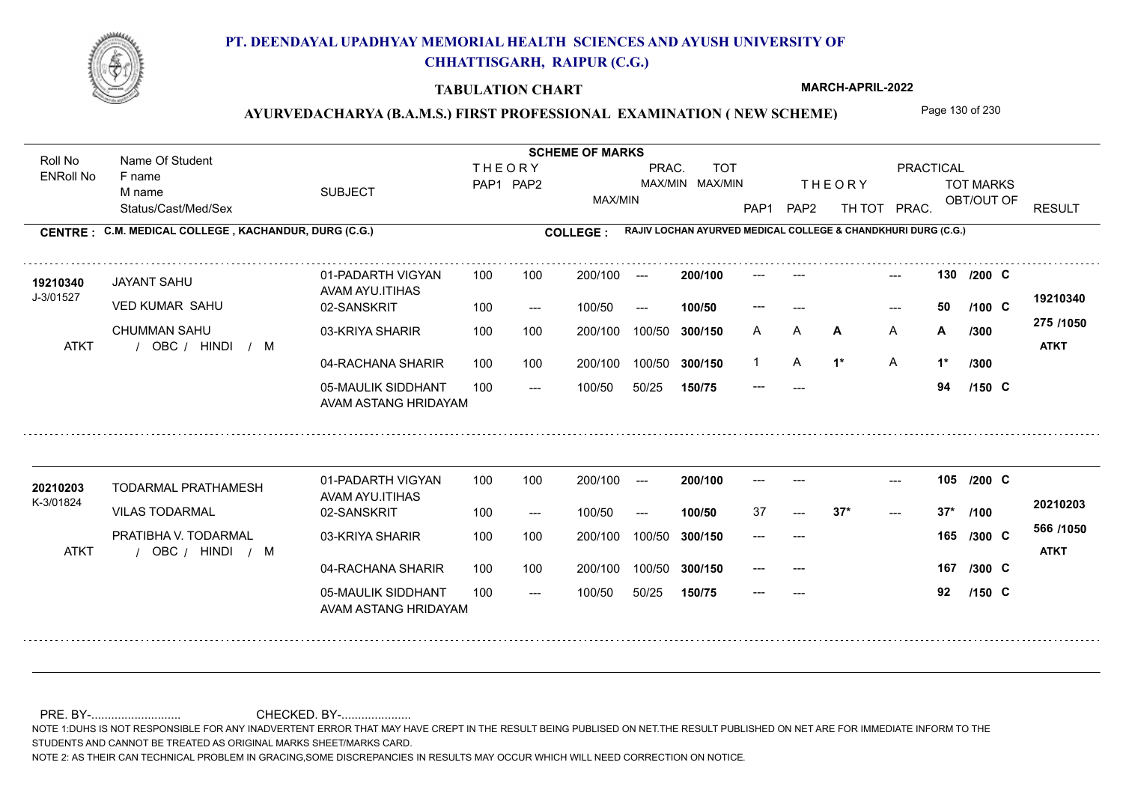

#### **TABULATION CHART**

**MARCH-APRIL-2022**

## AYURVEDACHARYA (B.A.M.S.) FIRST PROFESSIONAL EXAMINATION (NEW SCHEME) Page 130 of 230

Status/Cast/Med/Sex SUBJECT TOT MARKS OBT/OUT OF **PRACTICAL** THE ORY TOT MARKS PAP1 PAP2 TH TOT PRAC. Roll No Name Of Student ENRoll No **CENTRE : COLLEGE : C.M. MEDICAL COLLEGE , KACHANDUR, DURG (C.G.) RAJIV LOCHAN AYURVED MEDICAL COLLEGE & CHANDKHURI DURG (C.G.) THEORY** PAP1 PAP2 MAX/MIN PRAC. MAX/MIN MAX/MIN TOT RESULT **Name Of Student Contract of Student SCHEME OF MARKS**<br>
THE OR Y F name M name 01-PADARTH VIGYAN AVAM AYU.ITIHAS 05-MAULIK SIDDHANT AVAM ASTANG HRIDAYAM 04-RACHANA SHARIR 100 100 03-KRIYA SHARIR 100 100 / / / ATKT OBC --- --- 130 02-SANSKRIT  $100/50$ 200/100 100/50 **300/150** 100/50 50/25 **150/75 300/150** 100/50 100 200/100 ---100/50 --- **100/50 200/100** 100 100 200/100 100/50 300/150  $- - 50$ 200/100 100/50  $- -$  100/50 J-3/01527 JAYANT SAHU **19210340** VED KUMAR SAHU CHUMMAN SAHU **130** --- --- **C /200 A** A **/300 1\*** A **1\* 275 /1050** HINDI M **ATKT 19210340** --- **50 C /100** A A **A A A /300** A A /300 1 A 1<sup>\*</sup> A 1<sup>\*</sup> --- **94 C /150 /300** 01-PADARTH VIGYAN AVAM AYU.ITIHAS 05-MAULIK SIDDHANT 100 AVAM ASTANG HRIDAYAM 04-RACHANA SHARIR 100 100 03-KRIYA SHARIR
100 100 / / / ATKT OBC ---  $- - 37*$ --- **105** --- --- **C /200** 02-SANSKRIT 100 --- 100/50 --- 200/100 100/50 **300/150** 100/50 50/25 **150/75 300/150** 100/50 200/100 100 200/100 ---**200/100 100/50**  $-2$  37\* 200/100 100/50 200/100 100/50  $- -$  100/50 K-3/01824 TODARMAL PRATHAMESH **20210203** VILAS TODARMAL PRATIBHA V. TODARMAL --- --- **167** /300 C **566 /1050** HINDI M **ATKT 20210203** 37 **37\* 37\*** --- --- **165 C /300** --- **92 C /100 /150**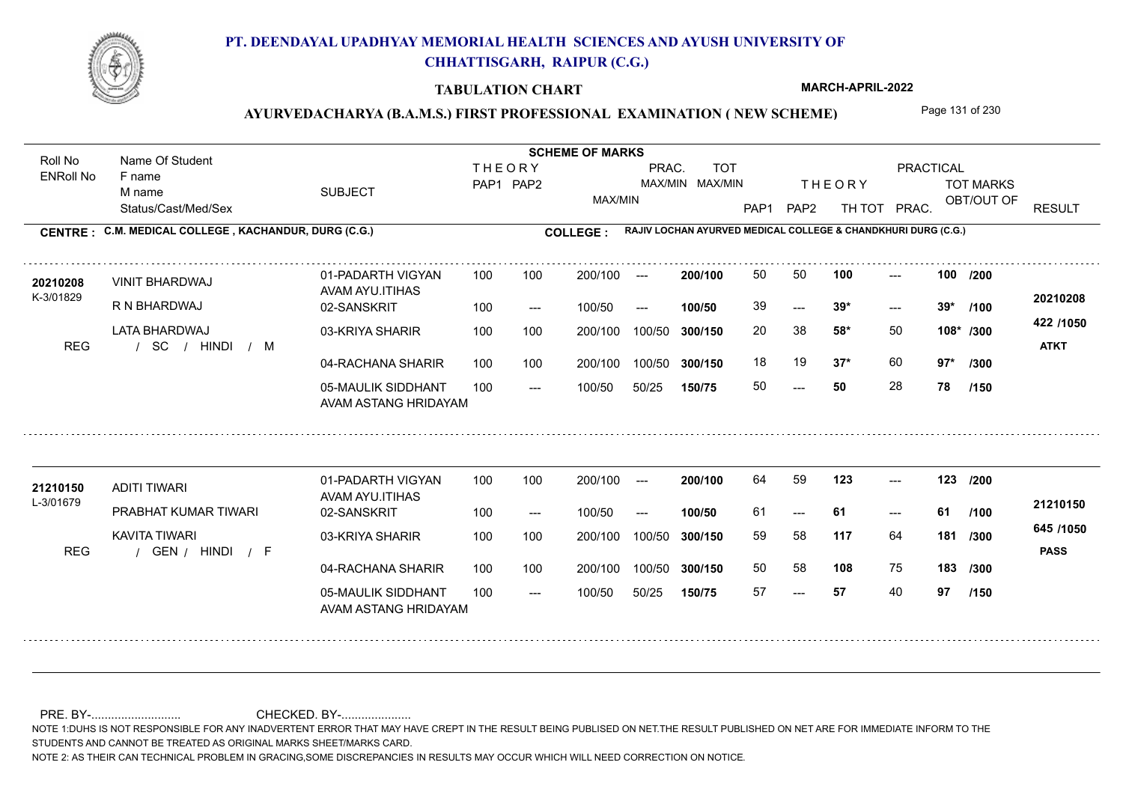

#### **TABULATION CHART**

**MARCH-APRIL-2022**

## AYURVEDACHARYA (B.A.M.S.) FIRST PROFESSIONAL EXAMINATION (NEW SCHEME) Page 131 of 230

Status/Cast/Med/Sex SUBJECT TOT MARKS OBT/OUT OF **PRACTICAL** THE ORY TOT MARKS PAP1 PAP2 TH TOT PRAC. Roll No Name Of Student ENRoll No **CENTRE : COLLEGE : C.M. MEDICAL COLLEGE , KACHANDUR, DURG (C.G.) RAJIV LOCHAN AYURVED MEDICAL COLLEGE & CHANDKHURI DURG (C.G.) THEORY** PAP1 PAP2 MAX/MIN PRAC. MAX/MIN MAX/MIN TOT RESULT **Name Of Student Contract of Student SCHEME OF MARKS**<br>
THE OR Y F name M name 01-PADARTH VIGYAN AVAM AYU.ITIHAS 05-MAULIK SIDDHANT AVAM ASTANG HRIDAYAM 04-RACHANA SHARIR 100 100 03-KRIYA SHARIR 100 100 / / / REG SC  $- - 50$  $- - 39*$ --- 02-SANSKRIT 100 --- 100/50 --- 100 100 200/100 100/50 300/150 100/50 50/25 **150/75 300/150** 100/50 100 200/100 ---100/50 **300/150 200/100 100/50** 100 100 200/100 100/50 300/150  $- - 39*$  $- -$  100/50 K-3/01829 VINIT BHARDWAJ R N BHARDWAJ LATA BHARDWAJ **100 100 58\*** 50 20 38 **108\* /300 37\*** 60 **97\* /300 422 /1050** HINDI M **ATKT 20210208** 20210208 VINIT BHARDWAJ 01-PADARTH VIGYAN 100 100 200/100 --- **200/100** 50 50 100 ---39 **39\* 39\*** 18 19 **37\*** 60 50 **50** 28 **78 /200 /100 /150** 01-PADARTH VIGYAN AVAM AYU.ITIHAS 05-MAULIK SIDDHANT 100 AVAM ASTANG HRIDAYAM 04-RACHANA SHARIR 100 100 03-KRIYA SHARIR
100 100 REG / GEN / HINDI / F --- --- --- **123 123 /200** 02-SANSKRIT 100 --- 100/50 --- 200/100 100/50 **300/150** 100/50 50/25 **150/75 300/150** 100/50 200/100 100 200/100 ---**200/100 100/50** --- 200/100 100/50 200/100 100/50  $- -$  100/50 L-3/01679 ADITI TIWARI PRABHAT KUMAR TIWARI KAVITA TIWARI **117** 64 **/300 108** 75 **183 /300 645 /1050** HINDI F **PASS 21210150 <sup>21210150</sup>** <sup>64</sup> <sup>59</sup> 61 **61 61** 59 58 **181** 50 58 57 **57** 40 **97 /100 /150**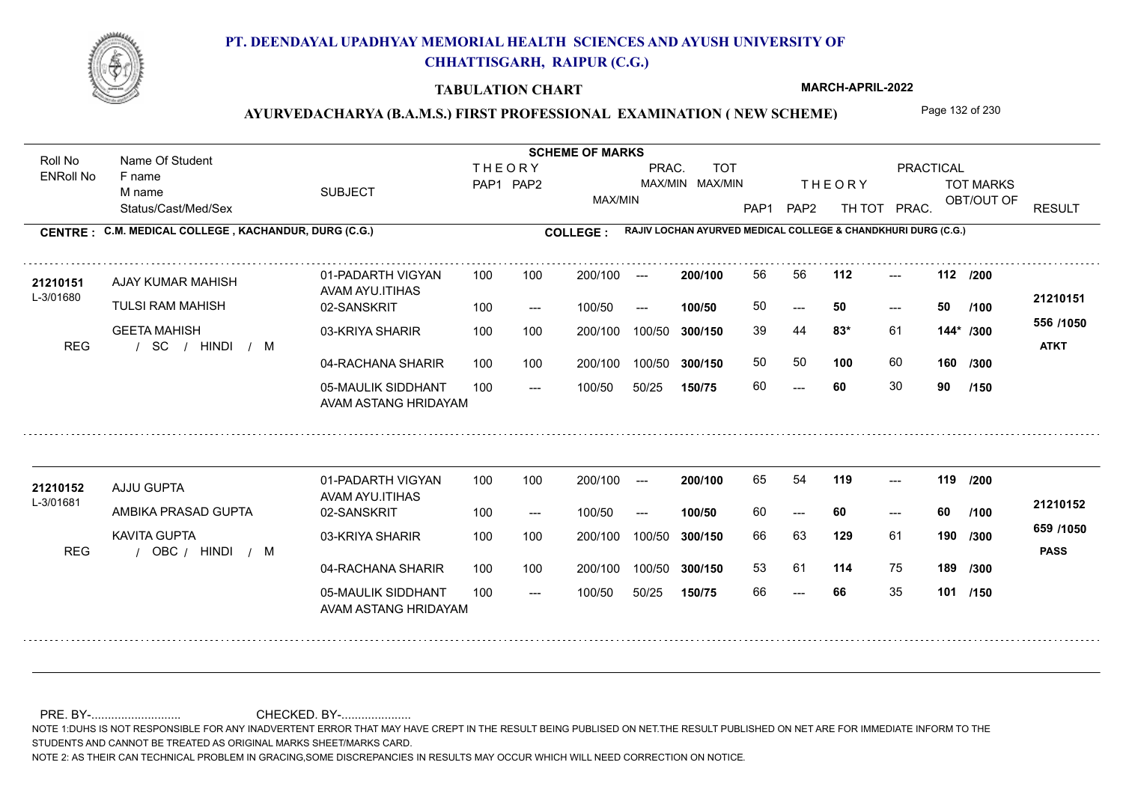

#### **TABULATION CHART**

**MARCH-APRIL-2022**

## AYURVEDACHARYA (B.A.M.S.) FIRST PROFESSIONAL EXAMINATION (NEW SCHEME) Page 132 of 230

Status/Cast/Med/Sex SUBJECT TOT MARKS OBT/OUT OF **PRACTICAL** THE ORY TOT MARKS PAP1 PAP2 TH TOT PRAC. Roll No Name Of Student ENRoll No **CENTRE : COLLEGE : C.M. MEDICAL COLLEGE , KACHANDUR, DURG (C.G.) RAJIV LOCHAN AYURVED MEDICAL COLLEGE & CHANDKHURI DURG (C.G.) THEORY** PAP1 PAP2 MAX/MIN PRAC. MAX/MIN MAX/MIN TOT RESULT **Name Of Student Contract of Student SCHEME OF MARKS**<br>
THE OR Y F name M name 01-PADARTH VIGYAN AVAM AYU.ITIHAS 05-MAULIK SIDDHANT AVAM ASTANG HRIDAYAM 04-RACHANA SHARIR 100 100 03-KRIYA SHARIR 100 100 / / / REG SC ---  $- - 50$ --- **112 112 /200** 02-SANSKRIT 100 --- 100/50 --- 100 100 200/100 100/50 300/150 100/50 50/25 **150/75 300/150** 100/50 100 200/100 ---100/50 **300/150 200/100 100/50** 100 100 200/100 100/50 300/150  $- - 50$  $- -$  100/50 L-3/01680 AJAY KUMAR MAHISH TULSI RAM MAHISH GEETA MAHISH **83\*** 61 39 44 **144\* /300 100** 60 **160 556 /1050** HINDI M **ATKT 21210151 <sup>21210151</sup>** <sup>56</sup> <sup>56</sup> 50 **50 50** 50 50 60 **60** 30 **90 /100 /300 /150** 01-PADARTH VIGYAN AVAM AYU.ITIHAS 05-MAULIK SIDDHANT 100 AVAM ASTANG HRIDAYAM 04-RACHANA SHARIR 100 100 03-KRIYA SHARIR
100 100 REG / OBC / HINDI / M --- --- --- **119 119 /200** 02-SANSKRIT 100 --- 100/50 --- 200/100 100/50 **300/150** 100/50 50/25 **150/75 300/150** 100/50 200/100 100 200/100 ---**200/100 100/50** --- 200/100 100/50 200/100 100/50  $- -$  100/50 L-3/01681 AJJU GUPTA AMBIKA PRASAD GUPTA KAVITA GUPTA **129** 61 **/300 114** 75 **189 /300 659 /1050** HINDI M **PASS 21210152 <sup>21210152</sup>** <sup>65</sup> <sup>54</sup> 60 **60 60** 66 63 **190** 53 61 66 **66** 35 **101 /150 /100**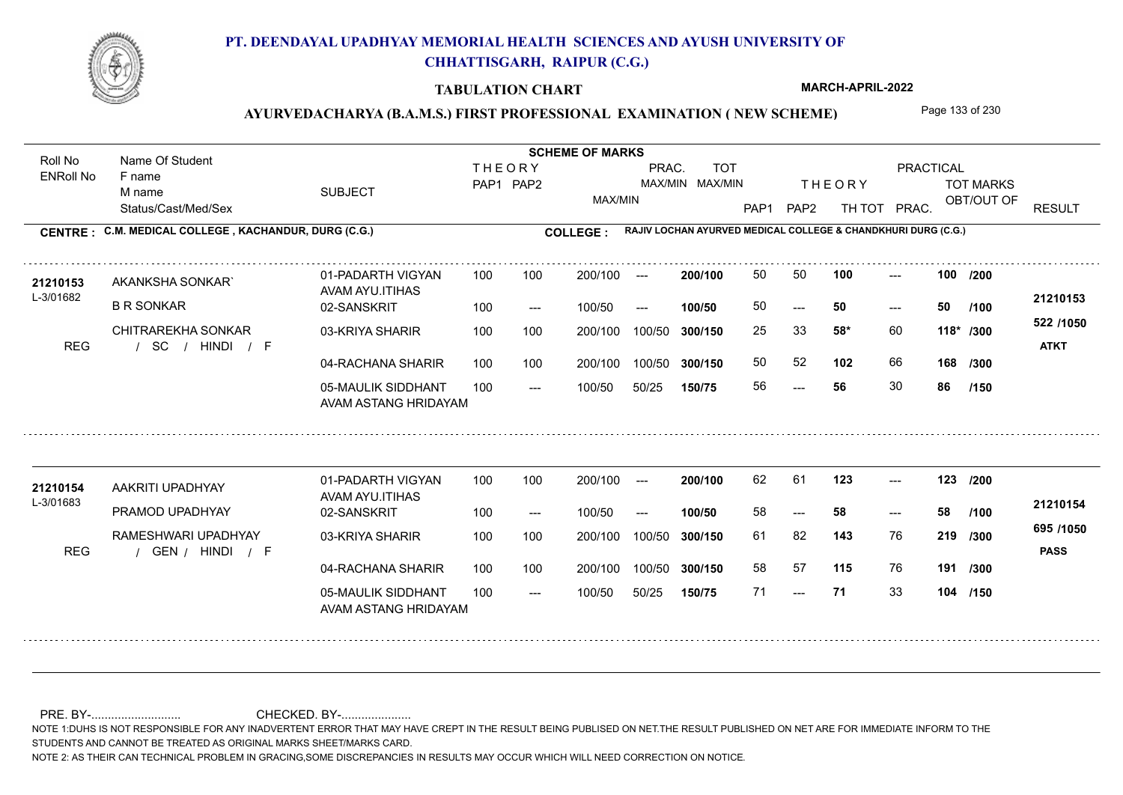

#### **TABULATION CHART**

**MARCH-APRIL-2022**

## AYURVEDACHARYA (B.A.M.S.) FIRST PROFESSIONAL EXAMINATION (NEW SCHEME) Page 133 of 230

Status/Cast/Med/Sex SUBJECT TOT MARKS OBT/OUT OF **PRACTICAL** THE ORY TOT MARKS PAP1 PAP2 TH TOT PRAC. Roll No Name Of Student ENRoll No **CENTRE : COLLEGE : C.M. MEDICAL COLLEGE , KACHANDUR, DURG (C.G.) RAJIV LOCHAN AYURVED MEDICAL COLLEGE & CHANDKHURI DURG (C.G.) THEORY** PAP1 PAP2 MAX/MIN PRAC. MAX/MIN MAX/MIN TOT RESULT **Name Of Student Contract of Student SCHEME OF MARKS**<br>
THE OR Y F name M name 01-PADARTH VIGYAN AVAM AYU.ITIHAS 05-MAULIK SIDDHANT AVAM ASTANG HRIDAYAM 04-RACHANA SHARIR 100 100 03-KRIYA SHARIR 100 100 / / / REG SC ---  $- - 50$ --- 02-SANSKRIT 100 --- 100/50 --- 100 100 200/100 100/50 300/150 100/50 50/25 **150/75 300/150** 100/50 100 200/100 ---100/50 **300/150 200/100 100/50** 100 100 200/100 100/50 300/150  $- - 50$  $- -$  100/50 L-3/01682 AKANKSHA SONKAR` B R SONKAR CHITRAREKHA SONKAR **100 100 58\*** 60 25 33 **118\* /300 102** 66 **168 522 /1050** HINDI F **ATKT 21210153** 21210153 AKANKSHA SONKAR` 01-PADARTH VIGYAN 100 100 200/100 --- **200/100** 50 50 100 ---50 **50 50** 50 52 56 **56** 30 **86 /200 /100 /300 /150** 01-PADARTH VIGYAN AVAM AYU.ITIHAS 05-MAULIK SIDDHANT 100 AVAM ASTANG HRIDAYAM 04-RACHANA SHARIR 100 100 03-KRIYA SHARIR
100 100 REG / GEN / HINDI / F --- --- --- **123 123 /200** 02-SANSKRIT 100 --- 100/50 --- 200/100 100/50 **300/150** 100/50 50/25 **150/75 300/150** 100/50 200/100 100 200/100 ---**200/100 100/50** --- 200/100 100/50 200/100 100/50  $- -$  100/50 L-3/01683 AAKRITI UPADHYAY PRAMOD UPADHYAY RAMESHWARI UPADHYAY **143** 76 61 82 **219 /300 115** 76 **191 /300 695 /1050** HINDI F **PASS 21210154 <sup>21210154</sup>** <sup>62</sup> <sup>61</sup> 58 **58 58** 58 57 71 **71** 33 **104 /150 /100**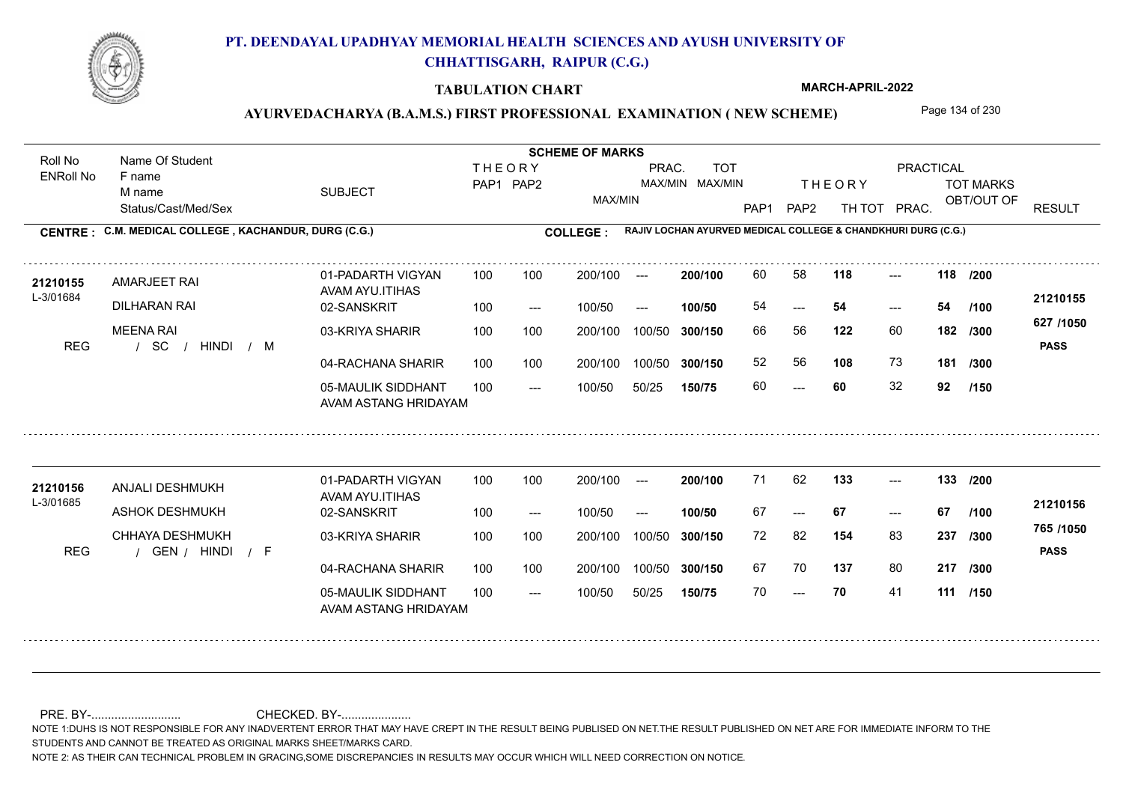

#### **TABULATION CHART**

**MARCH-APRIL-2022**

## AYURVEDACHARYA (B.A.M.S.) FIRST PROFESSIONAL EXAMINATION (NEW SCHEME) Page 134 of 230

Status/Cast/Med/Sex SUBJECT TOT MARKS OBT/OUT OF **PRACTICAL** THE ORY TOT MARKS PAP1 PAP2 TH TOT PRAC. Roll No Name Of Student ENRoll No **CENTRE : COLLEGE : C.M. MEDICAL COLLEGE , KACHANDUR, DURG (C.G.) RAJIV LOCHAN AYURVED MEDICAL COLLEGE & CHANDKHURI DURG (C.G.) THEORY** PAP1 PAP2 MAX/MIN PRAC. MAX/MIN MAX/MIN TOT RESULT **Name Of Student Contract of Student SCHEME OF MARKS**<br>
THE OR Y F name M name 01-PADARTH VIGYAN AVAM AYU.ITIHAS 05-MAULIK SIDDHANT AVAM ASTANG HRIDAYAM 04-RACHANA SHARIR 100 100 03-KRIYA SHARIR 100 100 / / / REG SC --- --- --- **118 118 /200** 02-SANSKRIT 100 --- 100/50 --- 100 100 200/100 100/50 300/150 100/50 50/25 **150/75 300/150** 100/50 100 200/100 ---100/50 **300/150 200/100 100/50** 100 100 200/100 100/50 300/150  $- - 54$  $- -$  100/50 L-3/01684 AMARJEET RAI DILHARAN RAI MEENA RAI **122** 60 66 56 **182 /300 108** 73 **181 627 /1050** HINDI M **PASS 21210155 <sup>21210155</sup>** <sup>60</sup> <sup>58</sup> 54 **54 54** 52 56 **108** 73 60 **60** 32 **92 /100 /300 /150** 01-PADARTH VIGYAN AVAM AYU.ITIHAS 05-MAULIK SIDDHANT 100 AVAM ASTANG HRIDAYAM 04-RACHANA SHARIR 100 100 03-KRIYA SHARIR
100 100 REG / GEN / HINDI / F --- --- --- **133 133 /200** 02-SANSKRIT 100 --- 100/50 --- 200/100 100/50 **300/150** 100/50 50/25 **150/75 300/150** 100/50 200/100 100 200/100 ---**200/100 100/50** --- 200/100 100/50 200/100 100/50  $- -$  100/50 L-3/01685 21210156 ANJALI DESHMUKH ASHOK DESHMUKH CHHAYA DESHMUKH **154** 83 **/300 137** 80 **217 /300 765 /1050** HINDI F **PASS 21210156**  $133 - -$ 67 **67 67** 72 82 **237** 67 70 137 80 70 **70** 41 **111 /150 /100**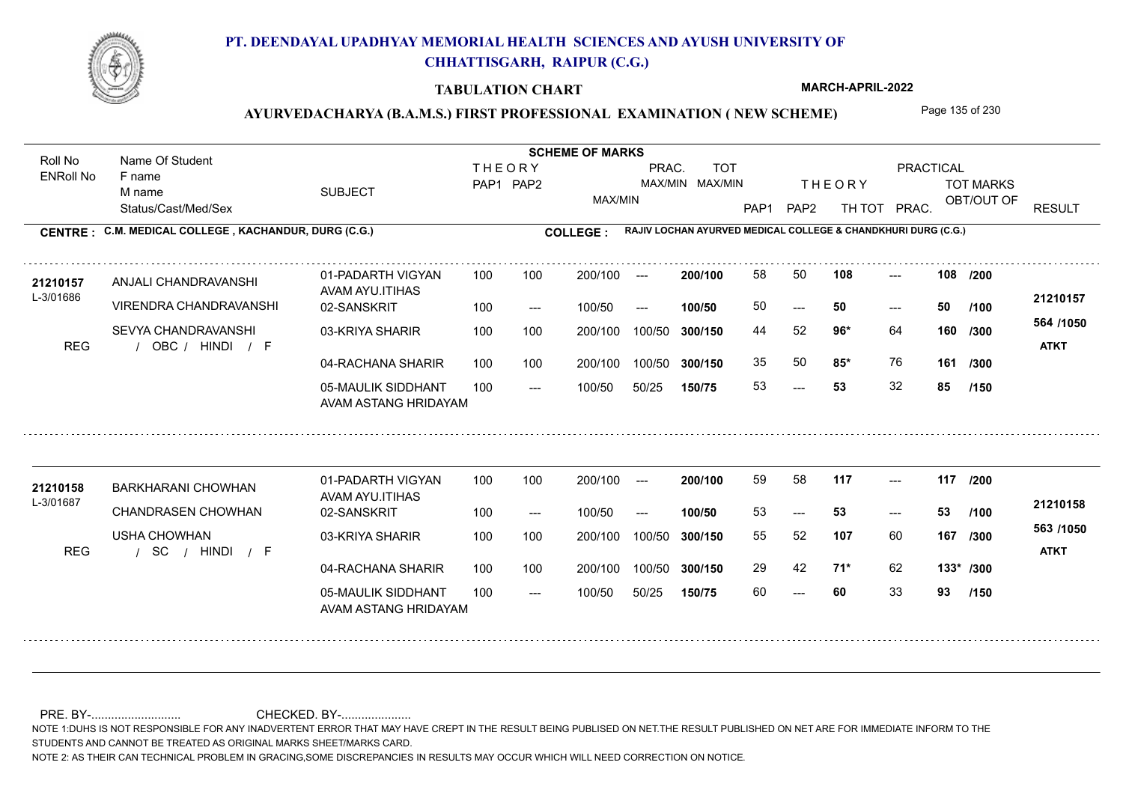

#### **TABULATION CHART**

**MARCH-APRIL-2022**

## AYURVEDACHARYA (B.A.M.S.) FIRST PROFESSIONAL EXAMINATION (NEW SCHEME) Page 135 of 230

Status/Cast/Med/Sex SUBJECT TOT MARKS OBT/OUT OF **PRACTICAL** THE ORY TOT MARKS PAP1 PAP2 TH TOT PRAC. Roll No Name Of Student ENRoll No **CENTRE : COLLEGE : C.M. MEDICAL COLLEGE , KACHANDUR, DURG (C.G.) RAJIV LOCHAN AYURVED MEDICAL COLLEGE & CHANDKHURI DURG (C.G.) THEORY** PAP1 PAP2 MAX/MIN PRAC. MAX/MIN MAX/MIN TOT RESULT **Name Of Student Contract of Student SCHEME OF MARKS**<br>
THE OR Y F name M name 01-PADARTH VIGYAN AVAM AYU.ITIHAS 05-MAULIK SIDDHANT AVAM ASTANG HRIDAYAM 04-RACHANA SHARIR 100 100 03-KRIYA SHARIR 100 100 REG / OBC / HINDI / F ---  $- - 50$ --- 02-SANSKRIT 100 --- 100/50 --- 100 100 200/100 100/50 300/150 100/50 50/25 **150/75 300/150** 100/50 100 200/100 ---100/50 **300/150 200/100 100/50** 100 100 200/100 100/50 300/150  $- - 50$  $- -$  100/50 L-3/01686 ANJALI CHANDRAVANSHI VIRENDRA CHANDRAVANSHI SEVYA CHANDRAVANSHI **108 108 96\*** 64 **/300 85\*** 76 **161 564 /1050** HINDI F **ATKT 21210157 <sup>21210157</sup>** <sup>58</sup> <sup>50</sup> 50 **50 50** 44 52 **160** 35 50 **85\*** 76 53 **53** 32 **85 /200 /100 /300 /150** 01-PADARTH VIGYAN AVAM AYU.ITIHAS 05-MAULIK SIDDHANT 100 AVAM ASTANG HRIDAYAM 04-RACHANA SHARIR 100 100 03-KRIYA SHARIR
100 100 / / / REG SC --- --- --- **117 117 /200** 02-SANSKRIT 100 --- 100/50 --- 200/100 100/50 **300/150** 100/50 50/25 **150/75 300/150** 100/50 200/100 100 200/100 ---**200/100 100/50**  $-53$ 200/100 100/50 200/100 100/50  $- -$  100/50 L-3/01687 BARKHARANI CHOWHAN CHANDRASEN CHOWHAN USHA CHOWHAN **107** 60 **167** /300 **<sup>300</sup> /1000 71\*** 62 **133\* /300 563 /1050** HINDI F **ATKT 21210158 <sup>21210158</sup>** <sup>59</sup> <sup>58</sup> 53 **53 53** 55 52 **167** 29 42 **71\*** 62 60 **60** 33 **93 /100 /150**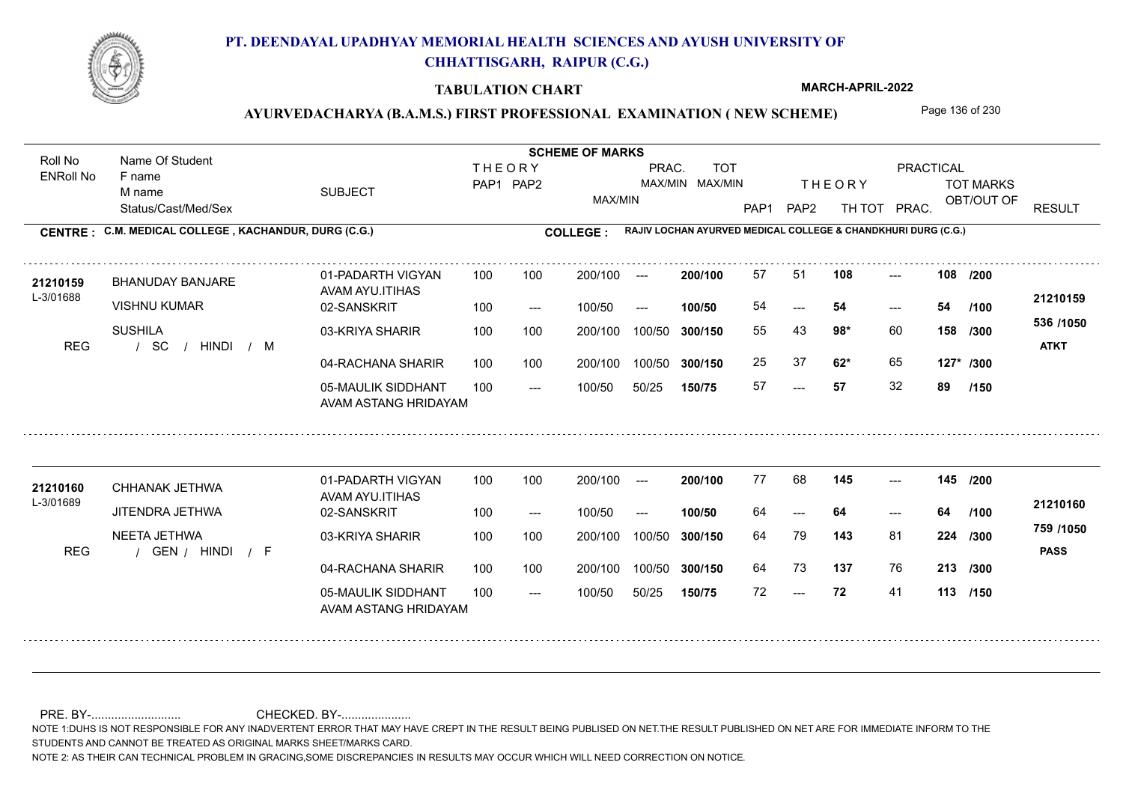

#### **TABULATION CHART**

**MARCH-APRIL-2022**

## AYURVEDACHARYA (B.A.M.S.) FIRST PROFESSIONAL EXAMINATION (NEW SCHEME) Page 136 of 230

Status/Cast/Med/Sex SUBJECT TOT MARKS OBT/OUT OF **PRACTICAL** THE ORY TOT MARKS PAP1 PAP2 TH TOT PRAC. Roll No Name Of Student ENRoll No **CENTRE : COLLEGE : C.M. MEDICAL COLLEGE , KACHANDUR, DURG (C.G.) RAJIV LOCHAN AYURVED MEDICAL COLLEGE & CHANDKHURI DURG (C.G.) THEORY** PAP1 PAP2 MAX/MIN PRAC. MAX/MIN MAX/MIN TOT RESULT **Name Of Student Contract of Student SCHEME OF MARKS**<br>
THE OR Y F name M name 01-PADARTH VIGYAN AVAM AYU.ITIHAS 05-MAULIK SIDDHANT AVAM ASTANG HRIDAYAM 04-RACHANA SHARIR 100 100 03-KRIYA SHARIR / / / REG SC --- --- --- 02-SANSKRIT 100 --- 100/50 --- 100 100 200/100 100/50 300/150 100/50 50/25 **150/75 300/150** 100/50 100 200/100 ---100/50 **300/150 200/100 100/50** 100 100 200/100 100/50 300/150  $- - 54$  $- -$  100/50 L-3/01688 BHANUDAY BANJARE VISHNU KUMAR SUSHILA **108 108 98\*** 60 **/300 62\*** 65 **127\* /300 536 /1050** HINDI M **ATKT 21210159 <sup>21210159</sup>** <sup>57</sup> <sup>51</sup> 54 **54 54** 55 43 **158** 25 37 **62\*** 65 57 **57** 32 **89 /200 /100 /150** 01-PADARTH VIGYAN AVAM AYU.ITIHAS 05-MAULIK SIDDHANT 100 AVAM ASTANG HRIDAYAM 04-RACHANA SHARIR 100 100 03-KRIYA SHARIR
100 100 REG / GEN / HINDI / F --- --- --- **145 145 /200** 02-SANSKRIT 100 --- 100/50 --- 200/100 100/50 **300/150** 100/50 50/25 **150/75 300/150** 100/50 200/100 100 200/100 ---**200/100 100/50** --- 200/100 100/50 200/100 100/50  $- -$  100/50 L-3/01689 CHHANAK JETHWA **21210160** JITENDRA JETHWA NEETA JETHWA **143** 81 64 79 **224 /300 137** 76 **213 /300 759 /1050** HINDI F **PASS 21210160**  $145$  ---64 **64 64** 64 73 137 76 72 **72** 41 **113 /150 /100**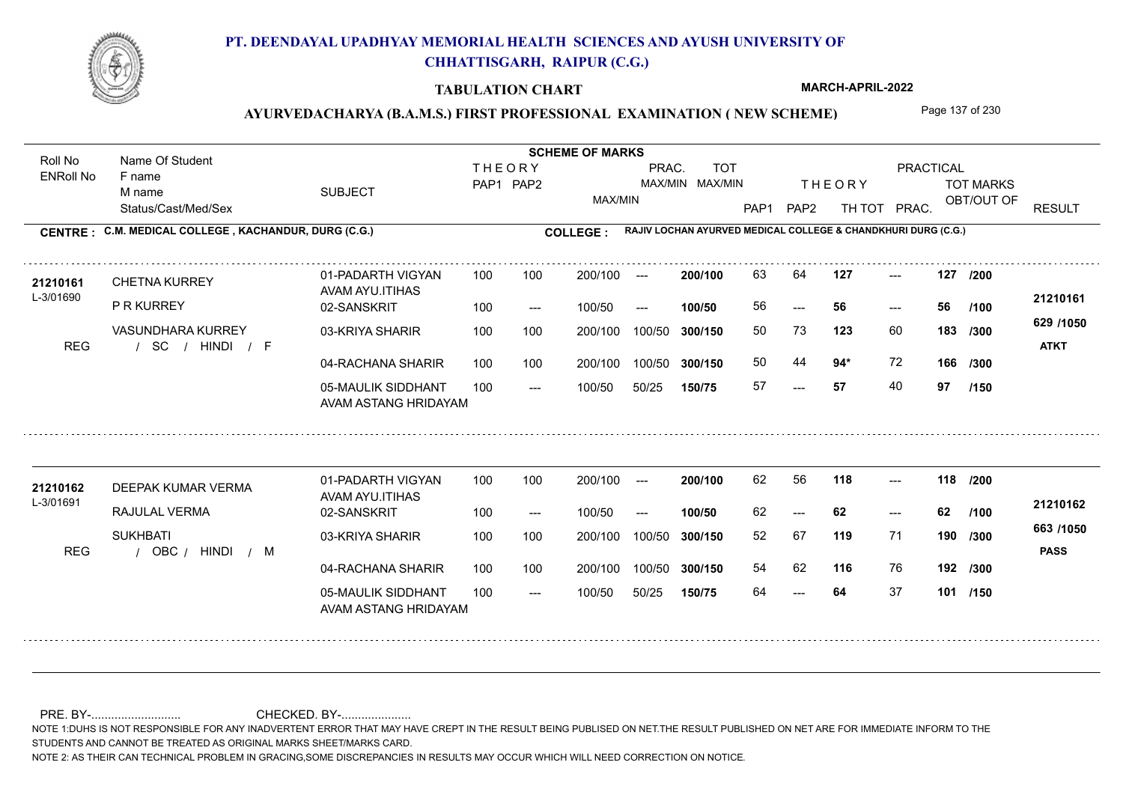

#### **TABULATION CHART**

**MARCH-APRIL-2022**

### AYURVEDACHARYA (B.A.M.S.) FIRST PROFESSIONAL EXAMINATION (NEW SCHEME) Page 137 of 230

Status/Cast/Med/Sex SUBJECT TOT MARKS OBT/OUT OF **PRACTICAL** THE ORY TOT MARKS PAP1 PAP2 TH TOT PRAC. Roll No Name Of Student ENRoll No **CENTRE : COLLEGE : C.M. MEDICAL COLLEGE , KACHANDUR, DURG (C.G.) RAJIV LOCHAN AYURVED MEDICAL COLLEGE & CHANDKHURI DURG (C.G.) THEORY** PAP1 PAP2 MAX/MIN PRAC. MAX/MIN MAX/MIN TOT RESULT **Name Of Student Contract of Student SCHEME OF MARKS**<br>
THE OR Y F name M name 01-PADARTH VIGYAN AVAM AYU.ITIHAS 05-MAULIK SIDDHANT AVAM ASTANG HRIDAYAM 04-RACHANA SHARIR 100 100 03-KRIYA SHARIR / / / REG SC --- --- --- **127 127 /200** 02-SANSKRIT 100 --- 100/50 --- 100 100 200/100 100/50 300/150 100/50 50/25 **150/75 300/150** 100/50 100 200/100 ---100/50 **300/150 200/100 100/50** 100 100 200/100 100/50 300/150  $- - 56$  $- -$  100/50 L-3/01690 CHETNA KURREY P R KURREY VASUNDHARA KURREY **123** 60 **183** /300 **125 94\*** 72 **166 629 /1050** HINDI F **ATKT 21210161 <sup>21210161</sup>** <sup>63</sup> <sup>64</sup> 56 **56 56** 50 73 **183** 50 44 57 **57** 40 **97 /100 /300 /150** 01-PADARTH VIGYAN AVAM AYU.ITIHAS 05-MAULIK SIDDHANT 100 AVAM ASTANG HRIDAYAM 04-RACHANA SHARIR 100 100 03-KRIYA SHARIR
100 100 REG / OBC / HINDI / M --- --- --- **118 118 /200** 02-SANSKRIT 100 --- 100/50 --- 200/100 100/50 **300/150** 100/50 50/25 **150/75 300/150** 100/50 200/100 100 200/100 ---**200/100 100/50** --- 200/100 100/50 200/100 100/50  $- -$  100/50 L-3/01691 DEEPAK KUMAR VERMA RAJULAL VERMA **SUKHBATI 119** 71 **/300 116** 76 **192 /300 663 /1050** HINDI M **PASS 21210162** 21210162 DEEPAK KUMAR VERMA 01-PADARTH VIGYAN 100 100 200/100 --- **200/100** 62 56 **118** ---62 **62 62** 52 67 **190** 54 62 64 **64** 37 **101 /150 /100**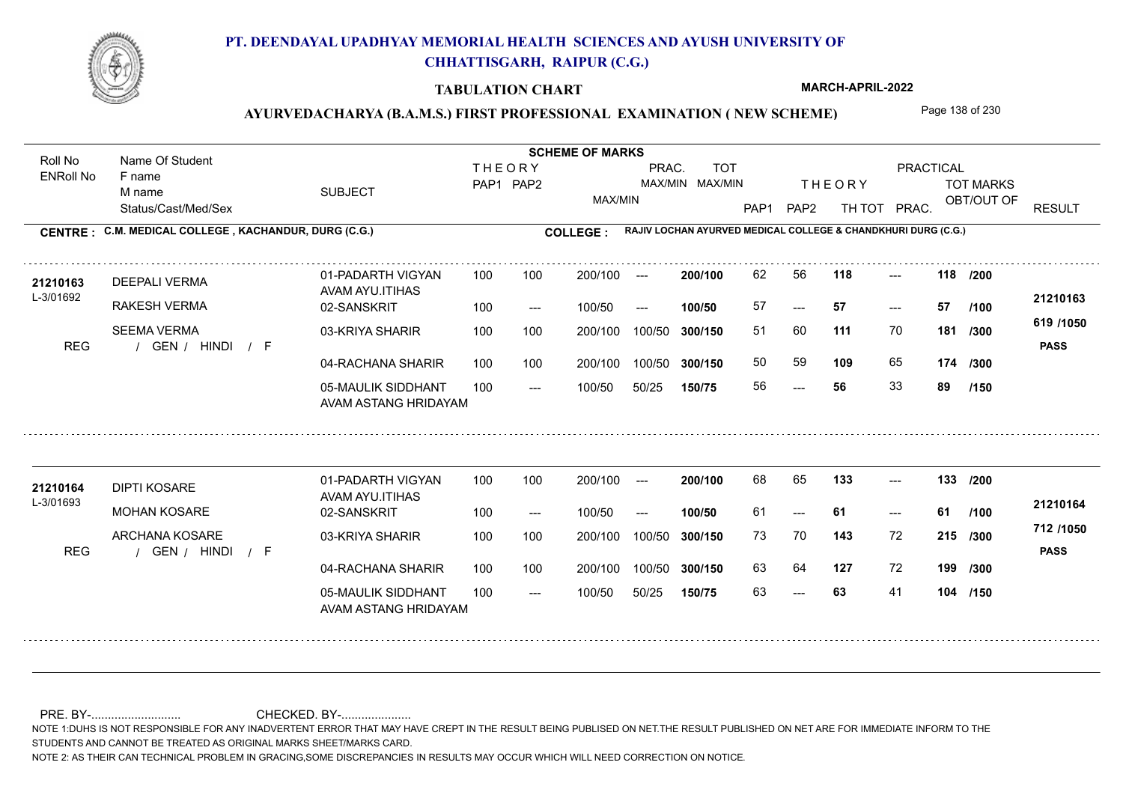

#### **TABULATION CHART**

**MARCH-APRIL-2022**

## AYURVEDACHARYA (B.A.M.S.) FIRST PROFESSIONAL EXAMINATION (NEW SCHEME) Page 138 of 230

Status/Cast/Med/Sex SUBJECT TOT MARKS OBT/OUT OF **PRACTICAL** THE ORY TOT MARKS PAP1 PAP2 TH TOT PRAC. Roll No Name Of Student ENRoll No **CENTRE : COLLEGE : C.M. MEDICAL COLLEGE , KACHANDUR, DURG (C.G.) RAJIV LOCHAN AYURVED MEDICAL COLLEGE & CHANDKHURI DURG (C.G.) THEORY** PAP1 PAP2 MAX/MIN PRAC. MAX/MIN MAX/MIN TOT RESULT **Name Of Student Contract of Student SCHEME OF MARKS**<br>
THE OR Y F name M name 01-PADARTH VIGYAN AVAM AYU.ITIHAS 05-MAULIK SIDDHANT AVAM ASTANG HRIDAYAM 04-RACHANA SHARIR 100 100 03-KRIYA SHARIR REG / GEN / HINDI / F --- --- --- **118 118 /200** 02-SANSKRIT 100 --- 100/50 --- 100 100 200/100 100/50 300/150 100/50 50/25 **150/75 300/150** 100/50 100 200/100 ---100/50 **300/150 200/100 100/50** 100 100 200/100 100/50 300/150  $- - 57$  $- -$  100/50 L-3/01692 DEEPALI VERMA RAKESH VERMA SEEMA VERMA **111** 70 **/300 109** 65 **174 619 /1050** HINDI F **PASS 21210163** 21210163 DEEPALI VERMA 01-PADARTH VIGYAN 100 100 200/100 --- **200/100 62 56 118** ---57 **57 57** 51 60 **181** 50 59 **109** 65 56 **56** 33 **89 /100 /300 /150** 01-PADARTH VIGYAN AVAM AYU.ITIHAS 05-MAULIK SIDDHANT 100 AVAM ASTANG HRIDAYAM 04-RACHANA SHARIR 100 100 03-KRIYA SHARIR
100 100 REG / GEN / HINDI / F --- 63 --- --- **133 133 /200** 02-SANSKRIT 100 --- 100/50 --- 200/100 100/50 **300/150** 100/50 50/25 **150/75 300/150** 100/50 200/100 100 200/100 ---**200/100 100/50** --- 200/100 100/50 200/100 100/50  $- -$  100/50 L-3/01693 DIPTI KOSARE MOHAN KOSARE ARCHANA KOSARE **143** 72 73 70 **215 /300 127** 72 **199 /300 712 /1050** HINDI F **PASS 21210164** 21210164 DIPTI KOSARE 01-PADARTH VIGYAN 100 100 200/100 --- **200/100** 68 65 133 ---61 **61 61** 63 64 127 72 63 **63** 41 **104 /150 /100**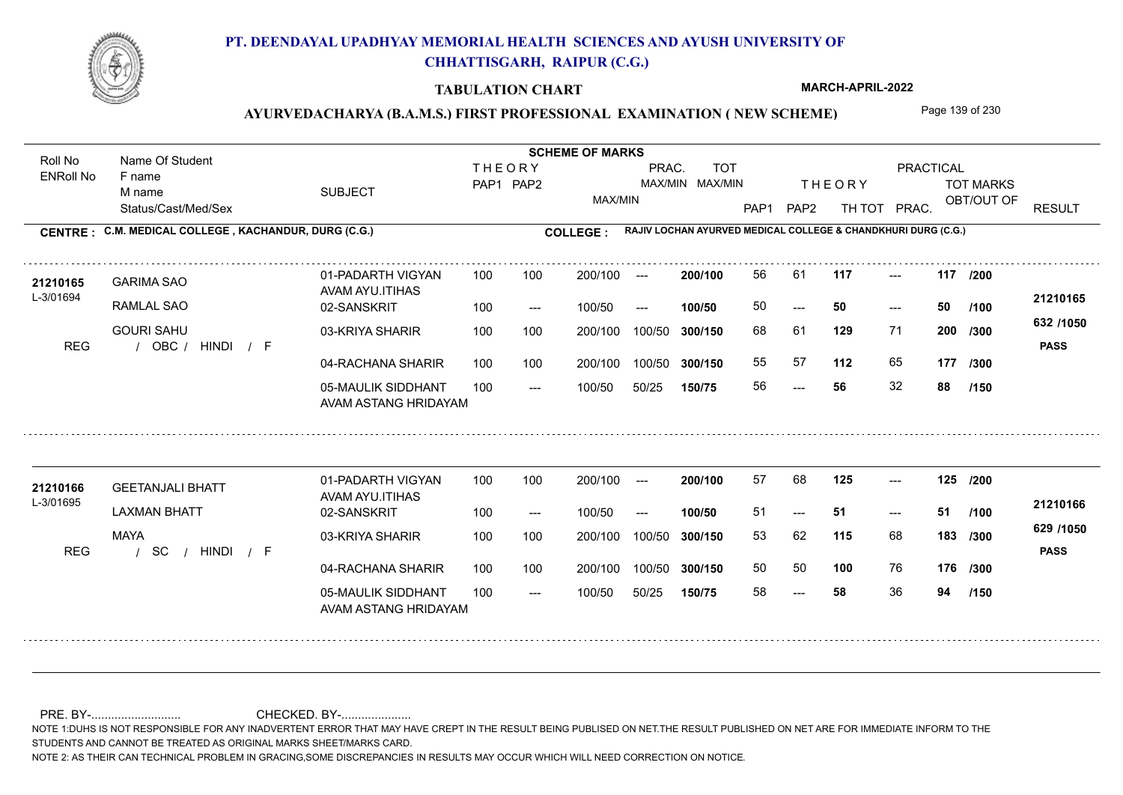

#### **TABULATION CHART**

**MARCH-APRIL-2022**

## AYURVEDACHARYA (B.A.M.S.) FIRST PROFESSIONAL EXAMINATION (NEW SCHEME) Page 139 of 230

Status/Cast/Med/Sex SUBJECT TOT MARKS OBT/OUT OF **PRACTICAL** THE ORY TOT MARKS PAP1 PAP2 TH TOT PRAC. Roll No Name Of Student ENRoll No **CENTRE : COLLEGE : C.M. MEDICAL COLLEGE , KACHANDUR, DURG (C.G.) RAJIV LOCHAN AYURVED MEDICAL COLLEGE & CHANDKHURI DURG (C.G.) THEORY** PAP1 PAP2 MAX/MIN PRAC. MAX/MIN MAX/MIN TOT RESULT **Name Of Student Contract of Student SCHEME OF MARKS**<br>
THE OR Y F name M name 01-PADARTH VIGYAN AVAM AYU.ITIHAS 05-MAULIK SIDDHANT AVAM ASTANG HRIDAYAM 04-RACHANA SHARIR 100 100 03-KRIYA SHARIR REG / OBC / HINDI / F ---  $- - 50$ --- **117 117 /200** 02-SANSKRIT 100 --- 100/50 --- 100 100 200/100 100/50 300/150 100/50 50/25 **150/75 300/150** 100/50 100 200/100 ---100/50 **300/150 200/100 100/50** 100 100 200/100 100/50 300/150  $- - 50$  $- -$  100/50 L-3/01694 GARIMA SAO RAMLAL SAO GOURI SAHU **129** 71 **/300 112** 65 **177 632 /1050** HINDI F **PASS 21210165 <sup>21210165</sup>** <sup>56</sup> <sup>61</sup> 50 **50 50** 68 61 **200** 55 57 **112** 65 56 **56** 32 **88 /100 /300 /150** 01-PADARTH VIGYAN AVAM AYU.ITIHAS 05-MAULIK SIDDHANT 100 AVAM ASTANG HRIDAYAM 04-RACHANA SHARIR 100 100 03-KRIYA SHARIR
100 100 / / / REG SC --- --- --- **125 125 /200** 02-SANSKRIT 100 --- 100/50 --- 200/100 100/50 **300/150** 100/50 50/25 **150/75 300/150** 100/50 200/100 100 200/100 ---**200/100 100/50**  $- - 51$ 200/100 100/50 200/100 100/50  $- -$  100/50 L-3/01695 GEETANJALI BHATT LAXMAN BHATT MAYA **115** 68 53 62 **183 /300 100** 76 **176 /300 629 /1050** HINDI F **PASS 21210166 <sup>21210166</sup>** <sup>57</sup> <sup>68</sup> 51 **51 51** 50 50 **100** 76 58 **58** 36 **94 /100 /150**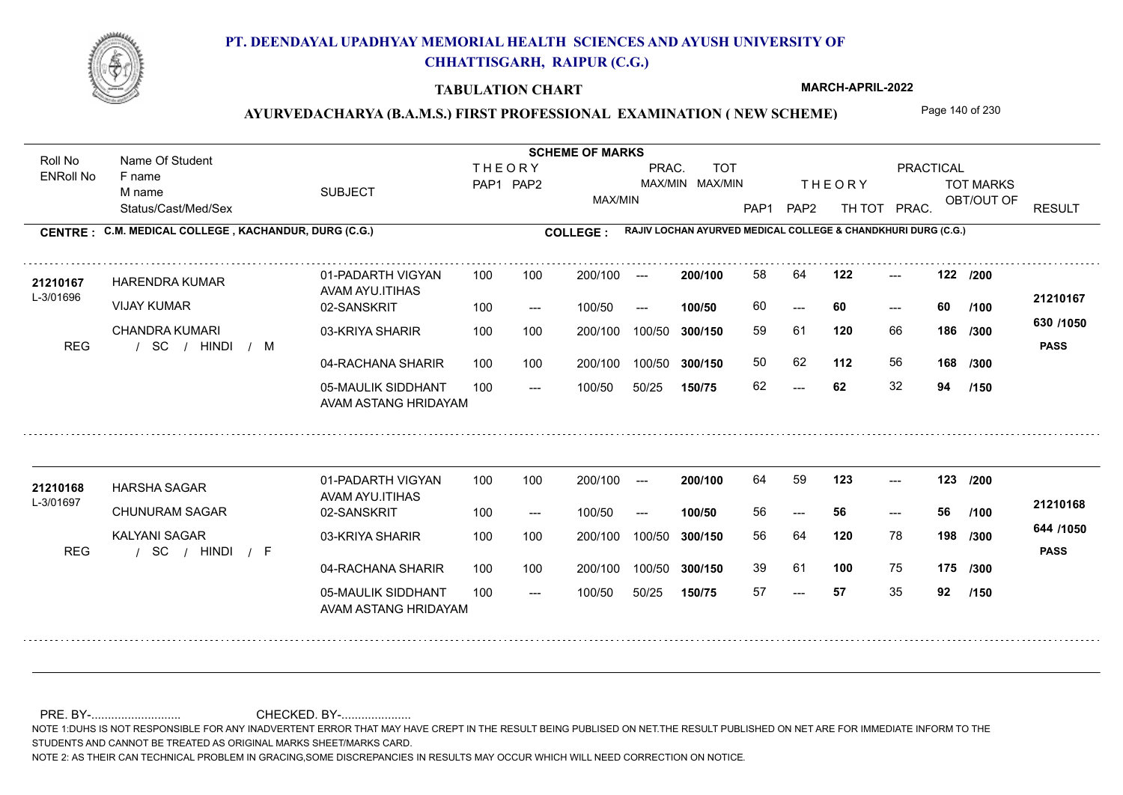

#### **TABULATION CHART**

**MARCH-APRIL-2022**

## AYURVEDACHARYA (B.A.M.S.) FIRST PROFESSIONAL EXAMINATION (NEW SCHEME) Page 140 of 230

Status/Cast/Med/Sex SUBJECT TOT MARKS OBT/OUT OF **PRACTICAL** THE ORY TOT MARKS PAP1 PAP2 TH TOT PRAC. Roll No Name Of Student ENRoll No **CENTRE : COLLEGE : C.M. MEDICAL COLLEGE , KACHANDUR, DURG (C.G.) RAJIV LOCHAN AYURVED MEDICAL COLLEGE & CHANDKHURI DURG (C.G.) THEORY** PAP1 PAP2 MAX/MIN PRAC. MAX/MIN MAX/MIN TOT RESULT **Name Of Student Contract of Student SCHEME OF MARKS**<br>
THE OR Y F name M name 01-PADARTH VIGYAN AVAM AYU.ITIHAS 05-MAULIK SIDDHANT AVAM ASTANG HRIDAYAM 04-RACHANA SHARIR 100 100 03-KRIYA SHARIR / / / REG SC  $- - 62$ --- --- **122 122 /200** 02-SANSKRIT 100 --- 100/50 --- 100 100 200/100 100/50 300/150 100/50 50/25 **150/75 300/150** 100/50 100 200/100 ---100/50 **300/150 200/100 100/50** 100 100 200/100 100/50 300/150  $- - 60$  $- -$  100/50 L-3/01696 HARENDRA KUMAR VIJAY KUMAR CHANDRA KUMARI **120** 66 **/300 112** 56 **168 630 /1050** HINDI M **PASS 21210167 <sup>21210167</sup>** <sup>58</sup> <sup>64</sup> 60 **60 60** 59 61 **186** 50 62 62 **62** 32 **94 /100 /300 /150** 01-PADARTH VIGYAN AVAM AYU.ITIHAS 05-MAULIK SIDDHANT 100 AVAM ASTANG HRIDAYAM 04-RACHANA SHARIR 100 100 03-KRIYA SHARIR
100 100 / / / REG SC --- --- --- **123 123 /200** 02-SANSKRIT 100 --- 100/50 --- 200/100 100/50 **300/150** 100/50 50/25 **150/75 300/150** 100/50 200/100 100 200/100 ---**200/100 100/50** --- 200/100 100/50 200/100 100/50  $- -$  100/50 L-3/01697 HARSHA SAGAR CHUNURAM SAGAR KALYANI SAGAR **120** 78 **/300 100** 75 **175 /300 644 /1050** HINDI F **PASS 21210168 <sup>21210168</sup>** <sup>64</sup> <sup>59</sup> 56 **56 56** 56 64 **198** 39 61 57 **57** 35 **92 /100 /150**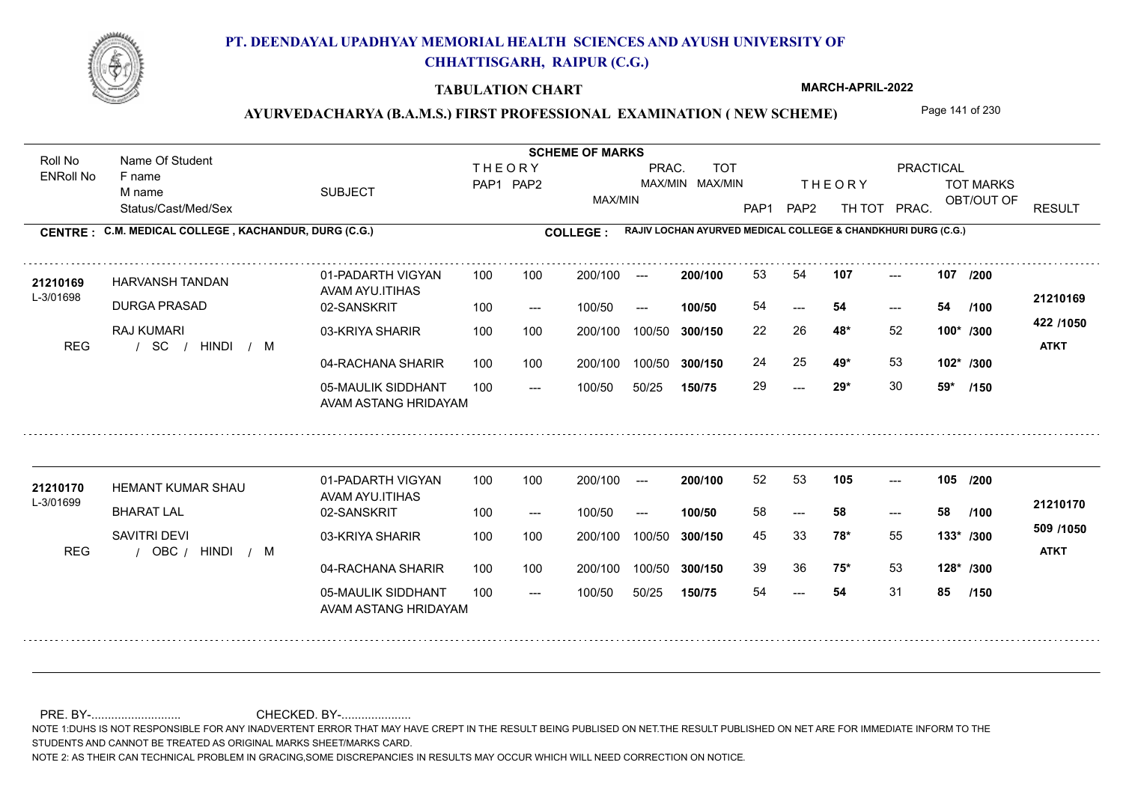

#### **TABULATION CHART**

**MARCH-APRIL-2022**

### AYURVEDACHARYA (B.A.M.S.) FIRST PROFESSIONAL EXAMINATION (NEW SCHEME) Page 141 of 230

Status/Cast/Med/Sex SUBJECT TOT MARKS OBT/OUT OF **PRACTICAL** THE ORY TOT MARKS PAP1 PAP2 TH TOT PRAC. Roll No Name Of Student ENRoll No **CENTRE : COLLEGE : C.M. MEDICAL COLLEGE , KACHANDUR, DURG (C.G.) RAJIV LOCHAN AYURVED MEDICAL COLLEGE & CHANDKHURI DURG (C.G.) THEORY** PAP1 PAP2 MAX/MIN PRAC. MAX/MIN MAX/MIN TOT RESULT **Name Of Student Contract of Student SCHEME OF MARKS**<br>
THE OR Y F name M name 01-PADARTH VIGYAN AVAM AYU.ITIHAS 05-MAULIK SIDDHANT AVAM ASTANG HRIDAYAM 04-RACHANA SHARIR 100 100 03-KRIYA SHARIR / / / REG SC  $-29*$ --- --- **107 107 /200** 02-SANSKRIT 100 --- 100/50 --- 100 100 200/100 100/50 300/150 100/50 50/25 **150/75 300/150** 100/50 100 200/100 ---100/50 **300/150 200/100 100/50** 100 100 200/100 100/50 300/150  $- - 54$  $- -$  100/50 L-3/01698 HARVANSH TANDAN DURGA PRASAD RAJ KUMARI **48\*** 52 22 26 **100\* /300 49\*** 53 **102\* /300 422 /1050** HINDI M **ATKT 21210169 <sup>21210169</sup>** <sup>53</sup> <sup>54</sup> 54 **54 54** 24 25 **49\*** 53 29 **29\*** 30 **59\* /100 /150** 01-PADARTH VIGYAN AVAM AYU.ITIHAS 05-MAULIK SIDDHANT 100 AVAM ASTANG HRIDAYAM 04-RACHANA SHARIR 100 100 03-KRIYA SHARIR
100 100 REG / OBC / HINDI / M --- --- --- **105 105 /200** 02-SANSKRIT 100 --- 100/50 --- 200/100 100/50 **300/150** 100/50 50/25 **150/75 300/150** 100/50 200/100 100 200/100 ---**200/100 100/50** --- 200/100 100/50 200/100 100/50  $- -$  100/50 L-3/01699 HEMANT KUMAR SHAU BHARAT LAL SAVITRI DEVI **78\*** 55 45 33 **133\* /300 75\*** 53 **128\* /300 509 /1050** HINDI M **ATKT 21210170 <sup>21210170</sup>** <sup>52</sup> <sup>53</sup> 58 **58 58** 39 36 **75\*** 53 54 **54** 31 **85 /100 /150**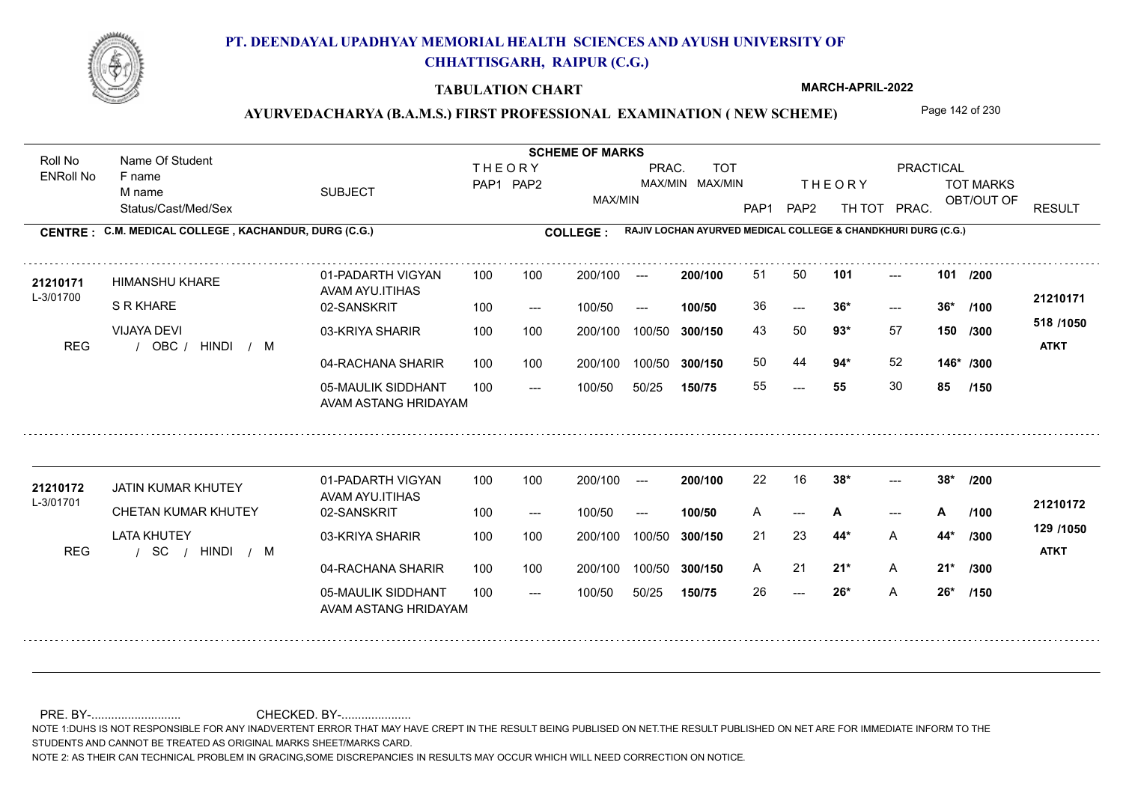

#### **TABULATION CHART**

**MARCH-APRIL-2022**

## AYURVEDACHARYA (B.A.M.S.) FIRST PROFESSIONAL EXAMINATION (NEW SCHEME) Page 142 of 230

Status/Cast/Med/Sex SUBJECT TOT MARKS OBT/OUT OF **PRACTICAL** THE ORY TOT MARKS PAP1 PAP2 TH TOT PRAC. Roll No Name Of Student ENRoll No **CENTRE : COLLEGE : C.M. MEDICAL COLLEGE , KACHANDUR, DURG (C.G.) RAJIV LOCHAN AYURVED MEDICAL COLLEGE & CHANDKHURI DURG (C.G.) THEORY** PAP1 PAP2 MAX/MIN PRAC. MAX/MIN MAX/MIN TOT RESULT **Name Of Student Contract of Student Act of Student SCHEME OF MARKS** F name M name 01-PADARTH VIGYAN AVAM AYU.ITIHAS 05-MAULIK SIDDHANT AVAM ASTANG HRIDAYAM 04-RACHANA SHARIR 100 100 03-KRIYA SHARIR REG / OBC / HINDI / M ---  $- - 36*$ --- **101 101 /200** 02-SANSKRIT 100 --- 100/50 --- 100 100 200/100 100/50 300/150 100/50 50/25 **150/75 300/150** 100/50 100 200/100 ---100/50 **300/150 200/100 100/50** 100 100 200/100 100/50 300/150  $- - 36*$  $- -$  100/50 L-3/01700 HIMANSHU KHARE S R KHARE VIJAYA DEVI **93\*** 57 **/300 94\*** 52 **146\* /300 518 /1050** HINDI M **ATKT 21210171 <sup>21210171</sup>** <sup>51</sup> <sup>50</sup> 36 **36\* 36\*** 43 50 **150** 50 44 **94\*** 52 55 **55** 30 **85 /100 /150** 01-PADARTH VIGYAN AVAM AYU.ITIHAS 05-MAULIK SIDDHANT 100 AVAM ASTANG HRIDAYAM 04-RACHANA SHARIR 100 100 03-KRIYA SHARIR
100 100 / / / REG SC  $-26*$ ---  $-28^*$ 02-SANSKRIT 100 --- 100/50 --- 200/100 100/50 **300/150** 100/50 50/25 **150/75 300/150** 100/50 200/100 100 200/100 ---**200/100 100/50** --- **/100** 200/100 100/50 200/100 100/50  $- -$  100/50 L-3/01701 JATIN KUMAR KHUTEY **21210172** CHETAN KUMAR KHUTEY LATA KHUTEY **38\* 38\* /200 44\*** A **/300 21\*** A **21\* /300 129 /1050** HINDI M **ATKT 21210172** 22 16 **38\*** ---A --- **A** --- **A** /100 <del>-</del>1210112 21 23 **44\*** A 21 **21\*** A 26 **26\*** A **26\* /150**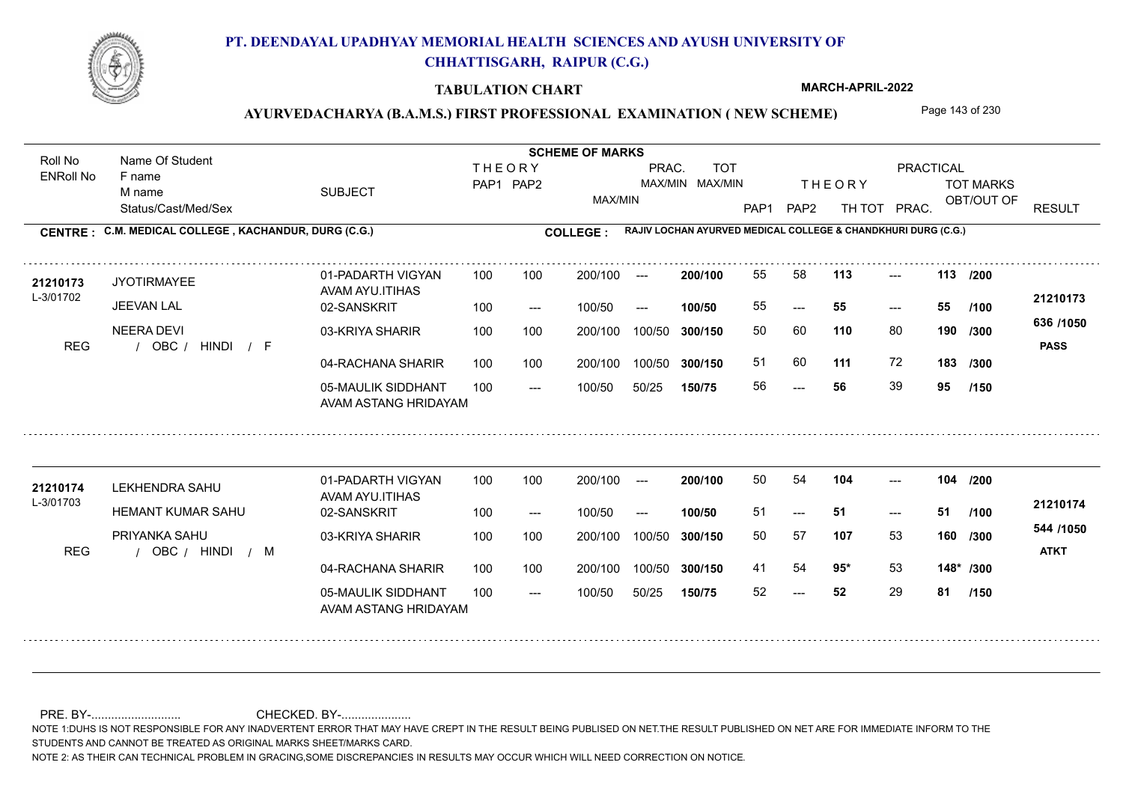

#### **TABULATION CHART**

**MARCH-APRIL-2022**

### AYURVEDACHARYA (B.A.M.S.) FIRST PROFESSIONAL EXAMINATION (NEW SCHEME) Page 143 of 230

Status/Cast/Med/Sex SUBJECT TOT MARKS OBT/OUT OF PRACTICAL THE ORY TOT MARKS PAP1 PAP2 TH TOT PRAC. Roll No Name Of Student ENRoll No **CENTRE : COLLEGE : C.M. MEDICAL COLLEGE , KACHANDUR, DURG (C.G.) RAJIV LOCHAN AYURVED MEDICAL COLLEGE & CHANDKHURI DURG (C.G.) THEORY** PAP1 PAP2 MAX/MIN PRAC. MAX/MIN MAX/MIN TOT RESULT **Name Of Student Contract of Student Act of Student SCHEME OF MARKS** F name M name 01-PADARTH VIGYAN AVAM AYU.ITIHAS 05-MAULIK SIDDHANT AVAM ASTANG HRIDAYAM 04-RACHANA SHARIR 100 100 03-KRIYA SHARIR REG / OBC / HINDI / F --- --- --- **113 113 /200** 02-SANSKRIT 100 --- 100/50 --- 100 100 200/100 100/50 300/150 100/50 50/25 **150/75 300/150** 100/50 100 200/100 ---100/50 **300/150 200/100 100/50** 100 100 200/100 100/50 300/150  $- - 55$  $- -$  100/50 L-3/01702 JYOTIRMAYEE JEEVAN LAL NEERA DEVI **110** 80 **/300 111** 72 **183 636 /1050** HINDI F **PASS 21210173 <sup>21210173</sup>** <sup>55</sup> <sup>58</sup> 55 **55 55** 50 60 **190** 51 60 **111** 72 56 **56** 39 **95 /100 /300 /150** 01-PADARTH VIGYAN AVAM AYU.ITIHAS 05-MAULIK SIDDHANT 100 AVAM ASTANG HRIDAYAM 04-RACHANA SHARIR 100 100 03-KRIYA SHARIR
100 100 REG / OBC / HINDI / M --- --- --- **104 104 /200** 02-SANSKRIT 100 --- 100/50 --- 200/100 100/50 **300/150** 100/50 50/25 **150/75 300/150** 100/50 200/100 100 200/100 ---**200/100 100/50**  $- - 51$ 200/100 100/50 200/100 100/50  $- -$  100/50 L-3/01703 LEKHENDRA SAHU HEMANT KUMAR SAHU PRIYANKA SAHU **107** 53 **/300 95\*** 53 **148\* /300 544 /1050** HINDI M **ATKT 21210174 <sup>21210174</sup>** <sup>50</sup> <sup>54</sup> 51 **51 51** 50 57 **160** 41 54 **95**\* 53 52 **52** 29 **81 /100 /150**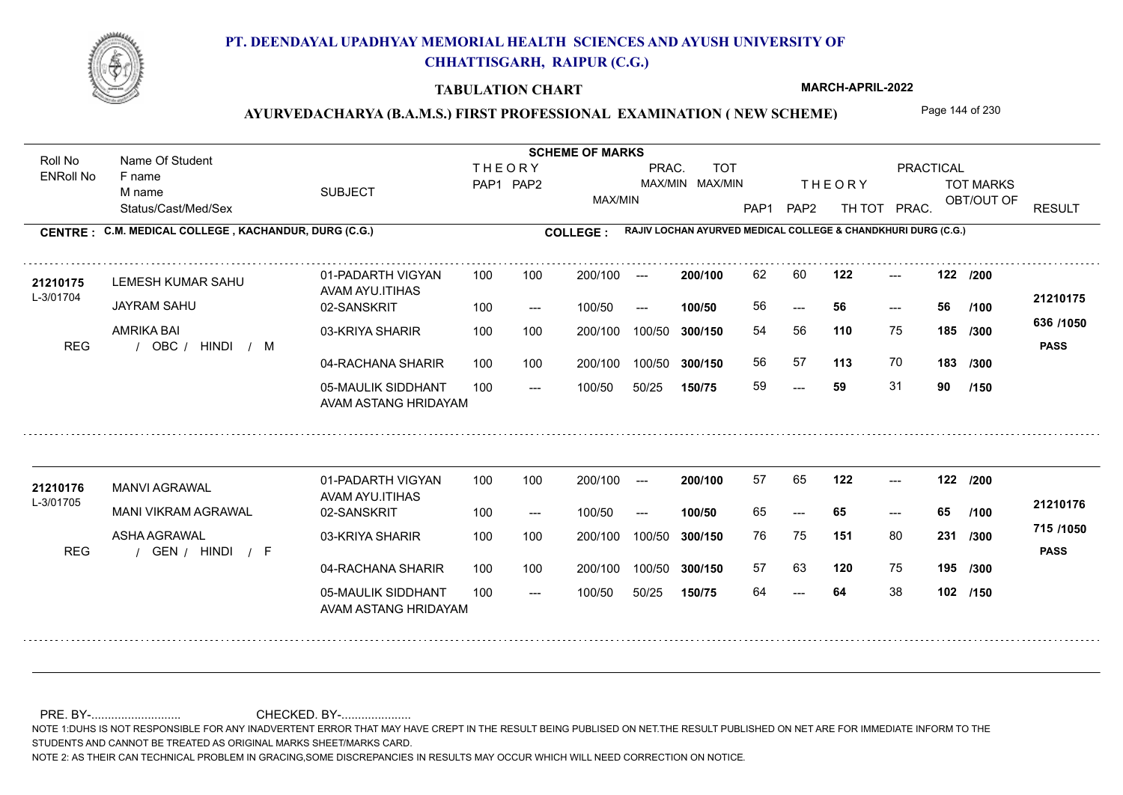

#### **TABULATION CHART**

**MARCH-APRIL-2022**

## AYURVEDACHARYA (B.A.M.S.) FIRST PROFESSIONAL EXAMINATION (NEW SCHEME) Page 144 of 230

Status/Cast/Med/Sex SUBJECT TOT MARKS OBT/OUT OF PRACTICAL THE ORY TOT MARKS PAP1 PAP2 TH TOT PRAC. Roll No Name Of Student ENRoll No **CENTRE : COLLEGE : C.M. MEDICAL COLLEGE , KACHANDUR, DURG (C.G.) RAJIV LOCHAN AYURVED MEDICAL COLLEGE & CHANDKHURI DURG (C.G.) THEORY** PAP1 PAP2 MAX/MIN PRAC. MAX/MIN MAX/MIN TOT RESULT **Name Of Student Contract of Student Act of Student SCHEME OF MARKS** F name M name 01-PADARTH VIGYAN AVAM AYU.ITIHAS 05-MAULIK SIDDHANT AVAM ASTANG HRIDAYAM 04-RACHANA SHARIR 100 100 03-KRIYA SHARIR REG / OBC / HINDI / M --- --- --- **122 122 /200** 02-SANSKRIT 100 --- 100/50 --- 100 100 200/100 100/50 300/150 100/50 50/25 **150/75 300/150** 100/50 100 200/100 ---100/50 **300/150 200/100 100/50** 100 100 200/100 100/50 300/150  $- - 56$  $- -$  100/50 L-3/01704 LEMESH KUMAR SAHU JAYRAM SAHU AMRIKA BAI **110** 75 54 56 **185 /300 113** 70 **183 636 /1050** HINDI M **PASS 21210175** 21**210175** LEMESH KUMAR SAHU 01-PADARTH VIGYAN 100 100 200/100 --- **200/100** 62 60 **122** ---56 **56 56** 56 57 **113** 70 59 **59** 31 **90 /100 /300 /150** 01-PADARTH VIGYAN AVAM AYU.ITIHAS 05-MAULIK SIDDHANT 100 AVAM ASTANG HRIDAYAM 04-RACHANA SHARIR 100 100 03-KRIYA SHARIR
100 100 REG / GEN / HINDI / F --- --- --- **122 122 /200** 02-SANSKRIT 100 --- 100/50 --- 200/100 100/50 **300/150** 100/50 50/25 **150/75 300/150** 100/50 200/100 100 200/100 ---**200/100 100/50** --- 200/100 100/50 200/100 100/50  $- -$  100/50 L-3/01705 MANVI AGRAWAL MANI VIKRAM AGRAWAL ASHA AGRAWAL **151** 80 **231** /300 **11011030 120** 75 **195 /300 715 /1050** HINDI F **PASS 21210176 <sup>21210176</sup>** <sup>57</sup> <sup>65</sup> 65 **65 65** 76 75 **231** 57 63 64 **64** 38 **102 /150 /100**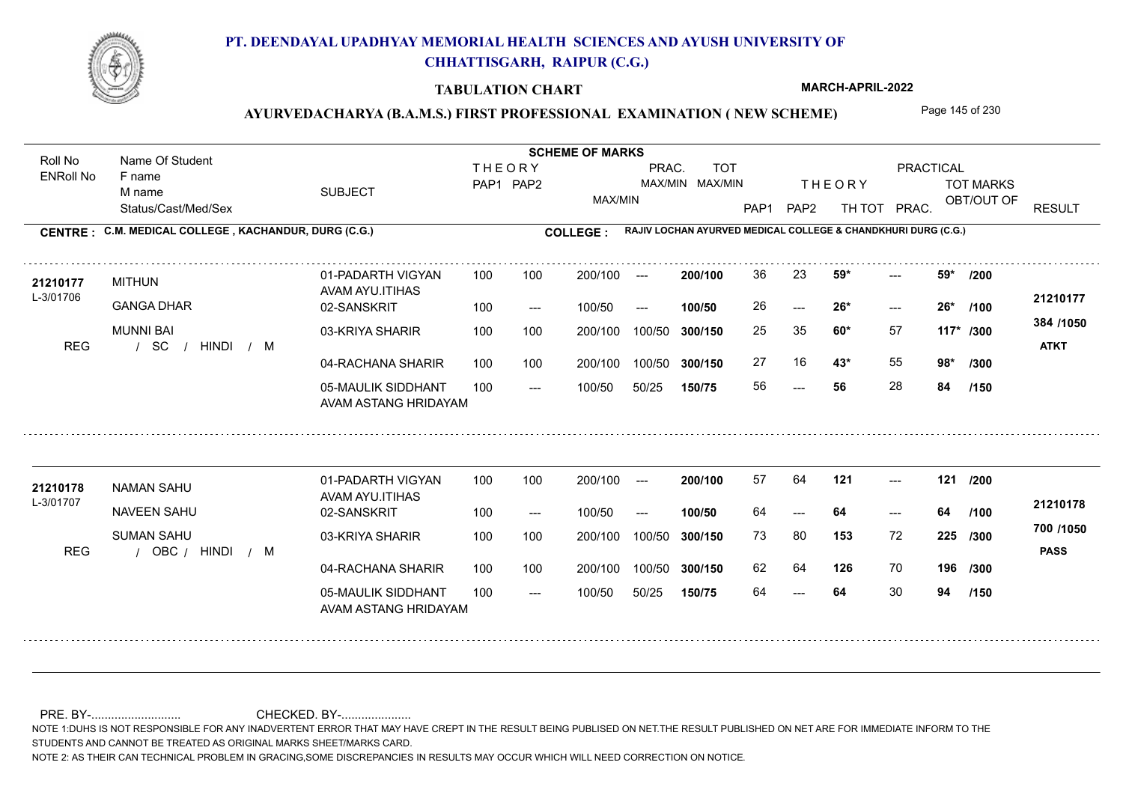

### **TABULATION CHART**

**MARCH-APRIL-2022**

## AYURVEDACHARYA (B.A.M.S.) FIRST PROFESSIONAL EXAMINATION (NEW SCHEME) Page 145 of 230

Status/Cast/Med/Sex SUBJECT TOT MARKS OBT/OUT OF PRACTICAL THE ORY TOT MARKS PAP1 PAP2 TH TOT PRAC. Roll No Name Of Student ENRoll No **CENTRE : COLLEGE : C.M. MEDICAL COLLEGE , KACHANDUR, DURG (C.G.) RAJIV LOCHAN AYURVED MEDICAL COLLEGE & CHANDKHURI DURG (C.G.) THEORY** PAP1 PAP2 MAX/MIN PRAC. MAX/MIN MAX/MIN TOT RESULT **Name Of Student Contract of Student Act of Student SCHEME OF MARKS** F name M name 01-PADARTH VIGYAN AVAM AYU.ITIHAS 05-MAULIK SIDDHANT AVAM ASTANG HRIDAYAM 04-RACHANA SHARIR 100 100 03-KRIYA SHARIR 100 100 / / / REG SC ---  $-26*$  $- - 59*$ 02-SANSKRIT 100 --- 100/50 --- 100 100 200/100 100/50 300/150 100/50 50/25 **150/75 300/150** 100/50 100 200/100 ---100/50 **300/150 200/100 100/50** 100 100 200/100 100/50 300/150  $-26*$  $- -$  100/50 L-3/01706 MITHUN GANGA DHAR MUNNI BAI **59\* 59\* /200 60\*** 57 25 35 **117\* /300 43\*** 55 **98\* /300 384 /1050** HINDI M **ATKT 21210177 21210177** MITHUN 01-PADARTH VIGYAN 100 100 200/100 --- **200/100** 36 23 **59\*** ---26 **26\* 26\*** 27 16 **43**\* 55 56 **56** 28 **84 /100 /150** 01-PADARTH VIGYAN AVAM AYU.ITIHAS 05-MAULIK SIDDHANT 100 AVAM ASTANG HRIDAYAM 04-RACHANA SHARIR 100 100 03-KRIYA SHARIR
100 100 REG / OBC / HINDI / M --- --- --- **121 121 /200** 02-SANSKRIT 100 --- 100/50 --- 200/100 100/50 **300/150** 100/50 50/25 **150/75 300/150** 100/50 200/100 100 200/100 ---**200/100 100/50**  $- - 64$ 200/100 100/50 200/100 100/50  $- -$  100/50 L-3/01707 NAMAN SAHU NAVEEN SAHU SUMAN SAHU **153** 72 73 80 **225 /300 126** 70 **196 /300 700 /1050** HINDI M **PASS 21210178** 21210178 NAMAN SAHU 01-PADARTH VIGYAN 100 100 200/100 --- **200/100 57 64 121** ---64 **64 64** 62 64 64 **64** 30 **94 /100 /150**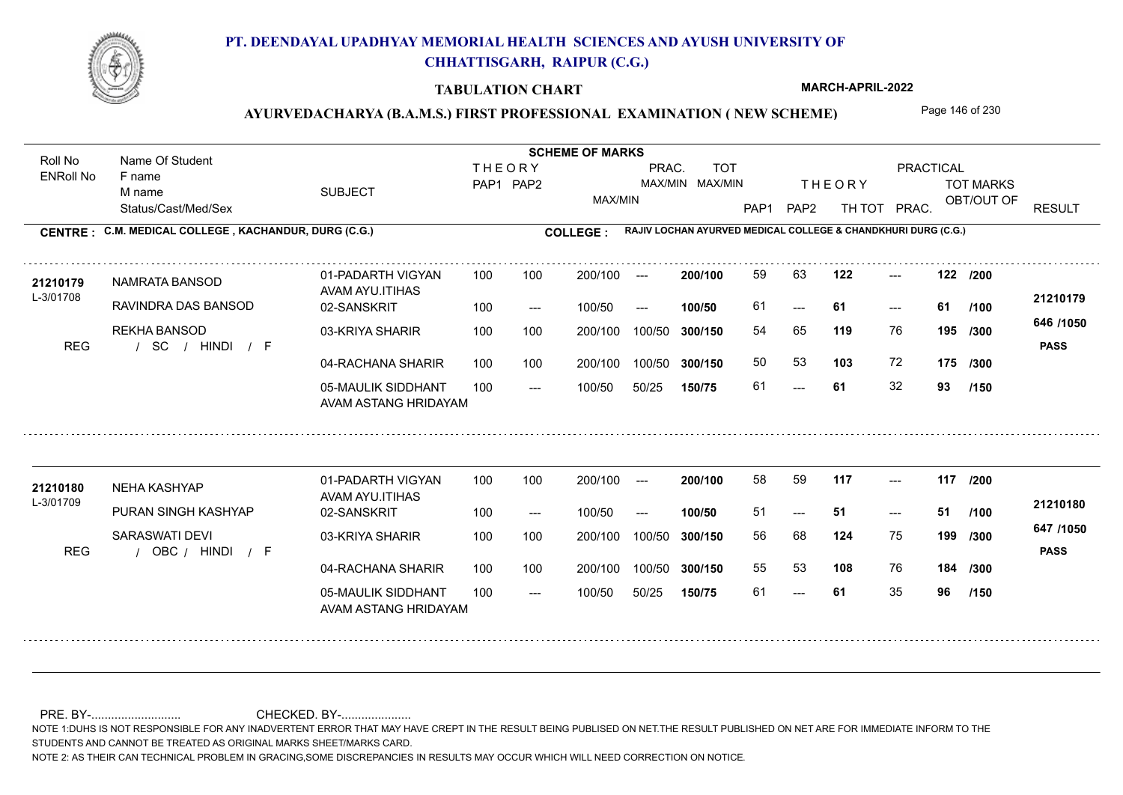

### **TABULATION CHART**

**MARCH-APRIL-2022**

## AYURVEDACHARYA (B.A.M.S.) FIRST PROFESSIONAL EXAMINATION (NEW SCHEME) Page 146 of 230

Status/Cast/Med/Sex SUBJECT TOT MARKS OBT/OUT OF PRACTICAL THE ORY TOT MARKS PAP1 PAP2 TH TOT PRAC. Roll No Name Of Student ENRoll No **CENTRE : COLLEGE : C.M. MEDICAL COLLEGE , KACHANDUR, DURG (C.G.) RAJIV LOCHAN AYURVED MEDICAL COLLEGE & CHANDKHURI DURG (C.G.) THEORY** PAP1 PAP2 MAX/MIN PRAC. MAX/MIN MAX/MIN TOT RESULT **Name Of Student Contract of Student Act of Student SCHEME OF MARKS** F name M name 01-PADARTH VIGYAN AVAM AYU.ITIHAS 05-MAULIK SIDDHANT AVAM ASTANG HRIDAYAM 04-RACHANA SHARIR 100 100 03-KRIYA SHARIR 100 100 / / / REG SC ---  $- - 61$ --- **122 122 /200** 02-SANSKRIT 100 --- 100/50 --- 100 100 200/100 100/50 300/150 100/50 50/25 **150/75 300/150** 100/50 100 200/100 ---100/50 **300/150 200/100 100/50** 100 100 200/100 100/50 300/150  $- - 61$  $- -$  100/50 L-3/01708 NAMRATA BANSOD RAVINDRA DAS BANSOD REKHA BANSOD **119** 76 54 65 **195 /300 103** 72 **175 /300 646 /1050** HINDI F **PASS 21210179** 21210179 NAMRATA BANSOD 01-PADARTH VIGYAN 100 100 200/100 --- **200/100 59 63 122 ---**-61 **61 61** 50 53 61 **61** 32 **93 /100 /150** 01-PADARTH VIGYAN AVAM AYU.ITIHAS 05-MAULIK SIDDHANT 100 AVAM ASTANG HRIDAYAM 04-RACHANA SHARIR 100 100 03-KRIYA SHARIR
100 100 REG / OBC / HINDI / F --- 61 --- --- **117 117 /200** 02-SANSKRIT 100 --- 100/50 --- 200/100 100/50 **300/150** 100/50 50/25 **150/75 300/150** 100/50 200/100 100 200/100 ---**200/100 100/50**  $- - 51$ 200/100 100/50 200/100 100/50  $- -$  100/50 L-3/01709 NEHA KASHYAP PURAN SINGH KASHYAP SARASWATI DEVI **124** 75 **/300 108** 76 **184 /300 647 /1050** HINDI F **PASS 21210180** 21**210180** NEHA KASHYAP 01-PADARTH VIGYAN 100 100 200/100 --- **200/100 58 59 117** ---51 **51 51** 56 68 **199** 55 53 61 **61** 35 **96 /100 /150**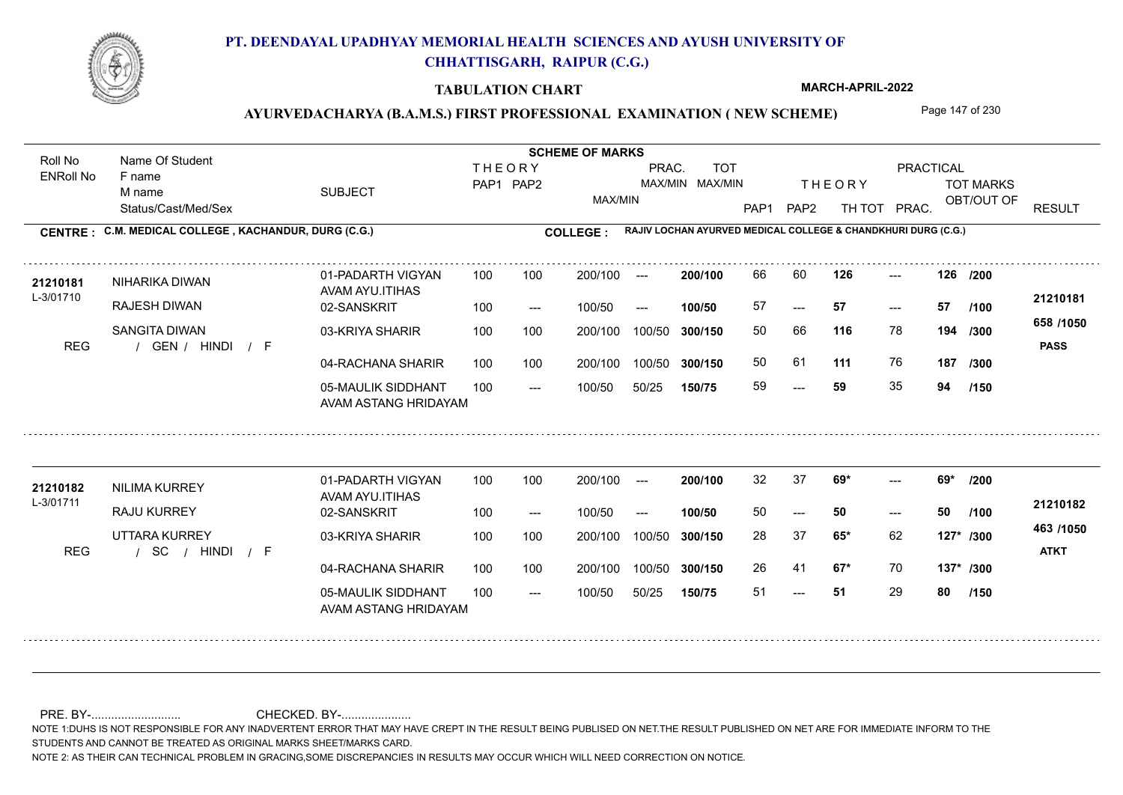

### **TABULATION CHART**

**MARCH-APRIL-2022**

## AYURVEDACHARYA (B.A.M.S.) FIRST PROFESSIONAL EXAMINATION (NEW SCHEME) Page 147 of 230

Status/Cast/Med/Sex SUBJECT TOT MARKS OBT/OUT OF PRACTICAL THE ORY TOT MARKS PAP1 PAP2 TH TOT PRAC. Roll No Name Of Student ENRoll No **CENTRE : COLLEGE : C.M. MEDICAL COLLEGE , KACHANDUR, DURG (C.G.) RAJIV LOCHAN AYURVED MEDICAL COLLEGE & CHANDKHURI DURG (C.G.) THEORY** PAP1 PAP2 MAX/MIN PRAC. MAX/MIN MAX/MIN TOT RESULT **Name Of Student Contract of Student Act of Student SCHEME OF MARKS** F name M name 01-PADARTH VIGYAN AVAM AYU.ITIHAS 05-MAULIK SIDDHANT AVAM ASTANG HRIDAYAM 04-RACHANA SHARIR 100 100 03-KRIYA SHARIR 100 100 REG / GEN / HINDI / F --- --- --- **126 126 /200** 02-SANSKRIT  $100/50$ 100 100 200/100 100/50 300/150 100/50 50/25 **150/75 300/150** 100/50 100 200/100 ---100/50 --- **100/50** 100/50 **300/150 200/100** 100 100 200/100 100/50 300/150  $- - 57$  $- -$  100/50 L-3/01710 NIHARIKA DIWAN RAJESH DIWAN SANGITA DIWAN **116** 78 50 66 **194 /300 111** 76 **187 658 /1050** HINDI F **PASS 21210181 <sup>21210181</sup>** <sup>66</sup> <sup>60</sup> 57 **57 57** 50 61 59 **59** 35 **94 /100 /300 /150** 01-PADARTH VIGYAN AVAM AYU.ITIHAS 05-MAULIK SIDDHANT 100 AVAM ASTANG HRIDAYAM 04-RACHANA SHARIR 100 100 03-KRIYA SHARIR
100 100 / / / REG SC --- 51 ---  $- - 69*$ 02-SANSKRIT 100 --- 100/50 --- 200/100 100/50 **300/150** 100/50 50/25 **150/75 300/150** 100/50 200/100 100 200/100 ---**200/100 100/50** --- 200/100 100/50 200/100 100/50  $- -$  100/50 L-3/01711 NILIMA KURREY RAJU KURREY UTTARA KURREY **69\* 69\* /200 65\*** 62 28 37 **127\* /300 67\*** 70 **137\* /300 463 /1050** HINDI F **ATKT 21210182** 21210182 NILIMA KURREY 01-PADARTH VIGYAN 100 100 200/100 --- **200/100** 32 37 **69\*** ---50 **50 50** 26 41 51 **51** 29 **80 /100 /150**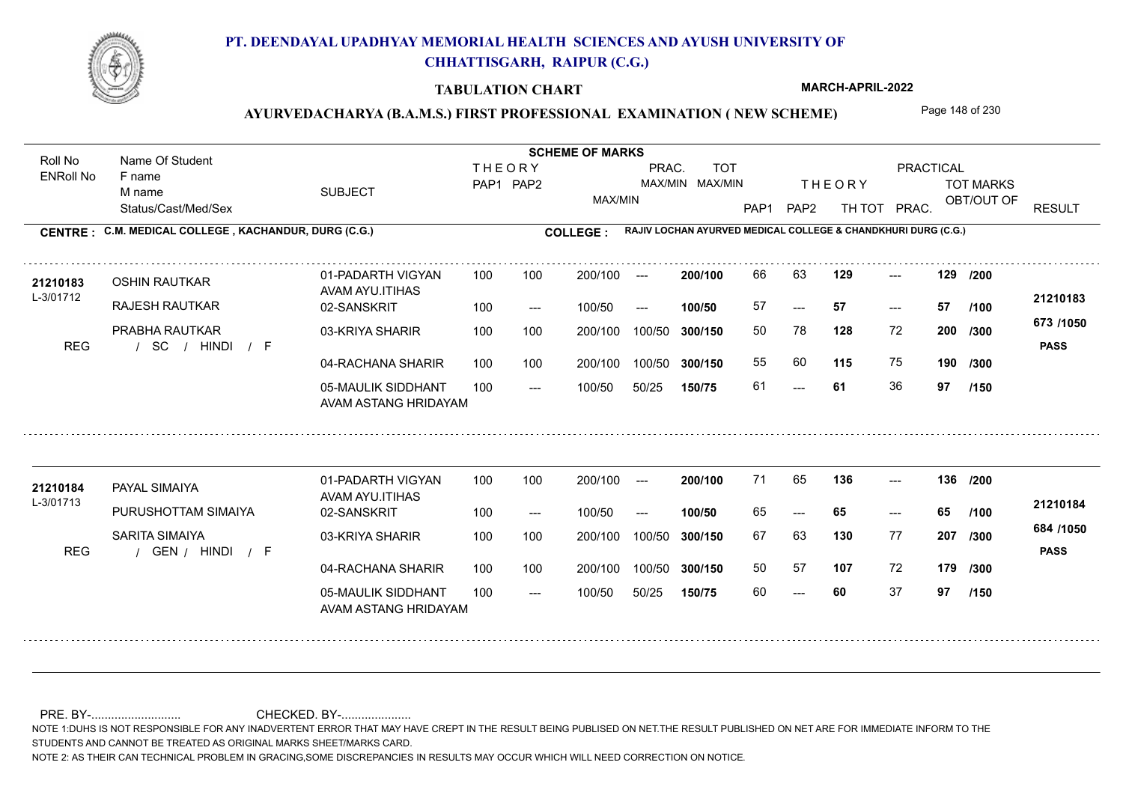

### **TABULATION CHART**

**MARCH-APRIL-2022**

## AYURVEDACHARYA (B.A.M.S.) FIRST PROFESSIONAL EXAMINATION (NEW SCHEME) Page 148 of 230

Status/Cast/Med/Sex SUBJECT TOT MARKS OBT/OUT OF PRACTICAL THE ORY TOT MARKS PAP1 PAP2 TH TOT PRAC. Roll No Name Of Student ENRoll No **CENTRE : COLLEGE : C.M. MEDICAL COLLEGE , KACHANDUR, DURG (C.G.) RAJIV LOCHAN AYURVED MEDICAL COLLEGE & CHANDKHURI DURG (C.G.) THEORY** PAP1 PAP2 MAX/MIN PRAC. MAX/MIN MAX/MIN TOT RESULT **Name Of Student Contract of Student Act of Student SCHEME OF MARKS** F name M name 01-PADARTH VIGYAN AVAM AYU.ITIHAS 05-MAULIK SIDDHANT AVAM ASTANG HRIDAYAM 04-RACHANA SHARIR 100 100 03-KRIYA SHARIR 100 100 / / / REG SC --- --- --- 02-SANSKRIT 100 --- 100/50 --- 100 100 200/100 100/50 300/150 100/50 50/25 **150/75 300/150** 100/50 100 200/100 ---100/50 **300/150 200/100 100/50** 100 100 200/100 100/50 300/150  $- - 57$  $- -$  100/50 L-3/01712 OSHIN RAUTKAR RAJESH RAUTKAR PRABHA RAUTKAR **129 129 /200 128** 72 **/300 115** 75 **190 673 /1050** HINDI F **PASS 21210183** 21210183 OSHIN RAUTKAR 01-PADARTH VIGYAN 100 100 200/100 --- 200/100 66 63 **129** ---57 **57 57** 50 78 **200** 55 60 **115** 75 61 **61** 36 **97 /100 /300 /150** 01-PADARTH VIGYAN AVAM AYU.ITIHAS 05-MAULIK SIDDHANT 100 AVAM ASTANG HRIDAYAM 04-RACHANA SHARIR 100 100 03-KRIYA SHARIR
100 100 REG / GEN / HINDI / F --- --- --- **136 136 /200** 02-SANSKRIT 100 --- 100/50 --- 200/100 100/50 **300/150** 100/50 50/25 **150/75 300/150** 100/50 200/100 100 200/100 ---**200/100 100/50** --- 200/100 100/50 200/100 100/50  $- -$  100/50 L-3/01713 PAYAL SIMAIYA **21210184** PURUSHOTTAM SIMAIYA SARITA SIMAIYA **130** 77 **/300 107** 72 **179 /300 684 /1050** HINDI F **PASS 21210184**  $136$  ---65 **65 65** 67 63 **207** 50 57 60 **60** 37 **97 /100 /150**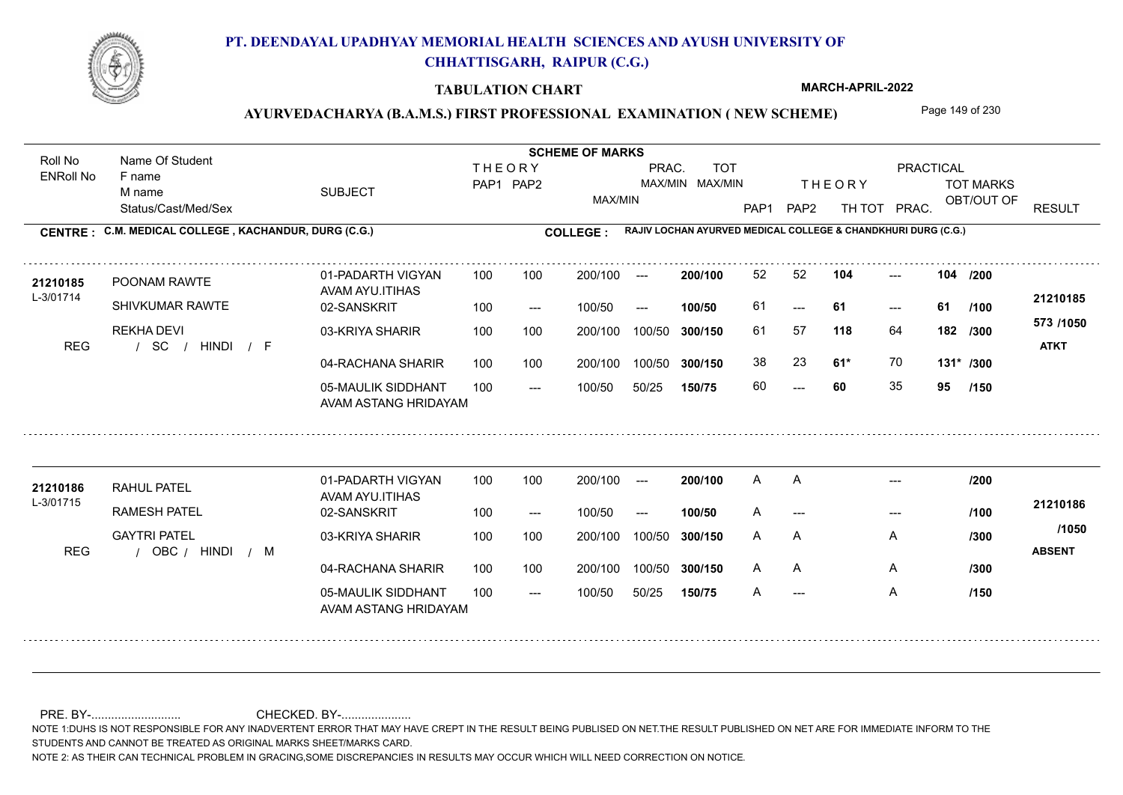

### **TABULATION CHART**

**MARCH-APRIL-2022**

## AYURVEDACHARYA (B.A.M.S.) FIRST PROFESSIONAL EXAMINATION (NEW SCHEME) Page 149 of 230

Status/Cast/Med/Sex SUBJECT TOT MARKS OBT/OUT OF PRACTICAL THE ORY TOT MARKS PAP1 PAP2 TH TOT PRAC. Roll No Name Of Student ENRoll No **CENTRE : COLLEGE : C.M. MEDICAL COLLEGE , KACHANDUR, DURG (C.G.) RAJIV LOCHAN AYURVED MEDICAL COLLEGE & CHANDKHURI DURG (C.G.) THEORY** PAP1 PAP2 MAX/MIN PRAC. MAX/MIN MAX/MIN TOT RESULT **Name Of Student Contract of Student Act of Student SCHEME OF MARKS** F name M name 01-PADARTH VIGYAN AVAM AYU.ITIHAS 05-MAULIK SIDDHANT AVAM ASTANG HRIDAYAM 04-RACHANA SHARIR 100 100 03-KRIYA SHARIR 100 100 / / / REG SC ---  $- - 61$ --- **104 104 /200** 02-SANSKRIT  $100/50$ 100 100 200/100 100/50 300/150 100/50 50/25 **150/75 300/150** 100/50 100 200/100 ---100/50 --- **100/50** 100/50 **300/150 200/100** 100 100 200/100 100/50 300/150  $- - 61$  $- -$  100/50 L-3/01714 POONAM RAWTE SHIVKUMAR RAWTE REKHA DEVI **118** 64 61 57 **182 /300 61\*** 70 **131\* /300 573 /1050** HINDI F **ATKT 21210185 <sup>21210185</sup>** <sup>52</sup> <sup>52</sup> 61 **61 61** 38 23 **61\*** 70 60 **60** 35 **95 /100 /150** 01-PADARTH VIGYAN AVAM AYU.ITIHAS 05-MAULIK SIDDHANT 100 AVAM ASTANG HRIDAYAM 04-RACHANA SHARIR 100 100 03-KRIYA SHARIR
100 100 REG / OBC / HINDI / M --- --- --- 02-SANSKRIT 100 --- 100/50 --- 200/100 100/50 **300/150** 100/50 50/25 **150/75 300/150** 100/50 200/100 100 200/100 ---**200/100 100/50** --- 200/100 100/50 200/100 100/50  $- -$  100/50 L-3/01715 RAHUL PATEL **21210186** RAMESH PATEL GAYTRI PATEL A **/300** A **/300** HINDI M **ABSENT 21210186** A A A --- --- ---A A A A A --- A /150 **/200 /100 /150 /1050**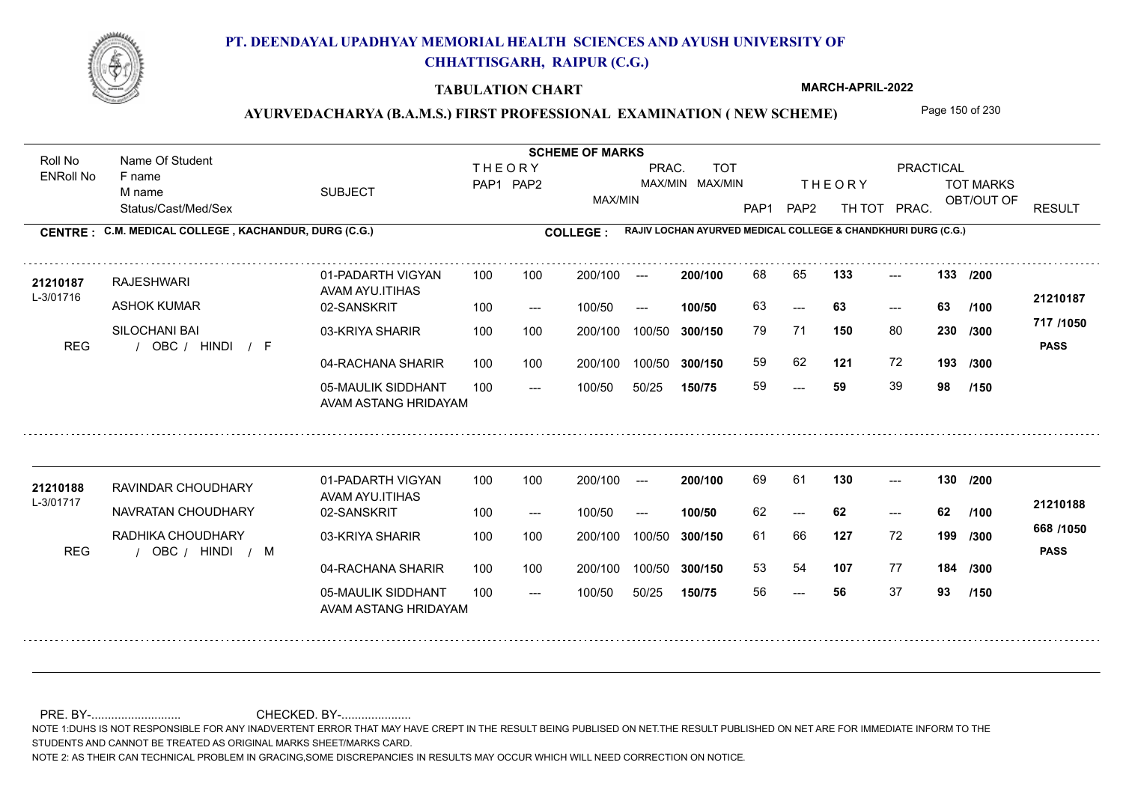

### **TABULATION CHART**

**MARCH-APRIL-2022**

## AYURVEDACHARYA (B.A.M.S.) FIRST PROFESSIONAL EXAMINATION (NEW SCHEME) Page 150 of 230

Status/Cast/Med/Sex SUBJECT TOT MARKS OBT/OUT OF PRACTICAL THE ORY TOT MARKS PAP1 PAP2 TH TOT PRAC. Roll No Name Of Student ENRoll No **CENTRE : COLLEGE : C.M. MEDICAL COLLEGE , KACHANDUR, DURG (C.G.) RAJIV LOCHAN AYURVED MEDICAL COLLEGE & CHANDKHURI DURG (C.G.) THEORY** PAP1 PAP2 MAX/MIN PRAC. MAX/MIN MAX/MIN TOT RESULT **Name Of Student Contract of Student Act of Student SCHEME OF MARKS** F name M name 01-PADARTH VIGYAN AVAM AYU.ITIHAS 05-MAULIK SIDDHANT AVAM ASTANG HRIDAYAM 04-RACHANA SHARIR 100 100 03-KRIYA SHARIR 100 100 REG / OBC / HINDI / F ---  $- - 63$ --- **133 133 /200** 02-SANSKRIT 100 --- 100/50 --- 100 100 200/100 100/50 300/150 100/50 50/25 **150/75 300/150** 100/50 100 200/100 ---100/50 **300/150 200/100 100/50** 100 100 200/100 100/50 300/150  $-$  63  $- -$  100/50 L-3/01716 RAJESHWARI ASHOK KUMAR SILOCHANI BAI **150** 80 **/300 121** 72 **193 717 /1050** HINDI F **PASS 21210187** 21210187 RAJESHWARI 01-PADARTH VIGYAN 100 100 200/100 --- 200/100 68 65 133 ---63 **63 63** 79 71 **230** 59 62 59 **59** 39 **98 /100 /300 /150** 01-PADARTH VIGYAN AVAM AYU.ITIHAS 05-MAULIK SIDDHANT 100 AVAM ASTANG HRIDAYAM 04-RACHANA SHARIR 100 100 03-KRIYA SHARIR
100 100 REG / OBC / HINDI / M --- ---  $-$  130 02-SANSKRIT 100 --- 100/50 --- 200/100 100/50 **300/150** 100/50 50/25 **150/75 300/150** 100/50 200/100 100 200/100 ---**200/100 100/50** --- 200/100 100/50 200/100 100/50  $- -$  100/50 L-3/01717 RAVINDAR CHOUDHARY NAVRATAN CHOUDHARY RADHIKA CHOUDHARY **130 130 /200 127** 72 **/300 107** 77 **184 /300 668 /1050** HINDI M **PASS 21210188** 21**210188** RAVINDAR CHOUDHARY 01-PADARTH VIGYAN 100 100 200/100 --- **200/100** 69 61 **130** ---62 **62 62** 61 66 **199** 53 54 56 **56** 37 **93 /100 /150**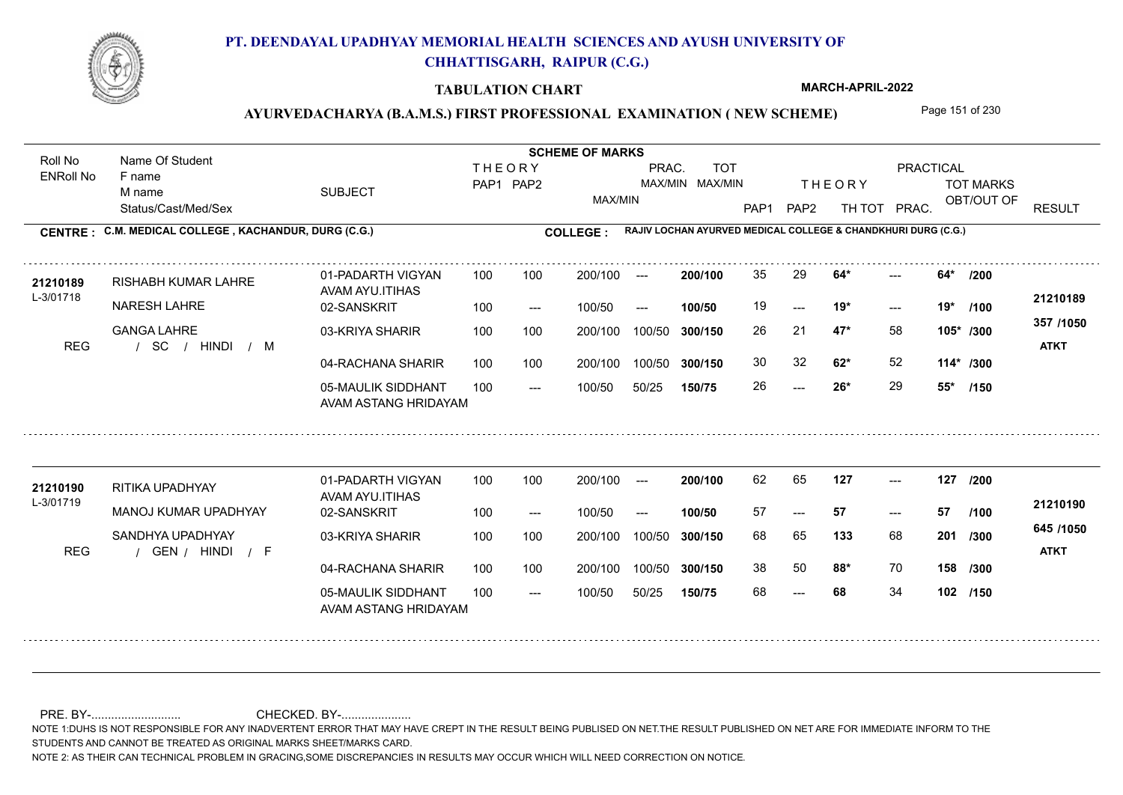

### **TABULATION CHART**

**MARCH-APRIL-2022**

## AYURVEDACHARYA (B.A.M.S.) FIRST PROFESSIONAL EXAMINATION (NEW SCHEME) Page 151 of 230

Status/Cast/Med/Sex SUBJECT TOT MARKS OBT/OUT OF PRACTICAL THE ORY TOT MARKS PAP1 PAP2 TH TOT PRAC. Roll No Name Of Student ENRoll No **CENTRE : COLLEGE : C.M. MEDICAL COLLEGE , KACHANDUR, DURG (C.G.) RAJIV LOCHAN AYURVED MEDICAL COLLEGE & CHANDKHURI DURG (C.G.) THEORY** PAP1 PAP2 MAX/MIN PRAC. MAX/MIN MAX/MIN TOT RESULT **Name Of Student Contract of Student Act of Student SCHEME OF MARKS** F name M name 01-PADARTH VIGYAN AVAM AYU.ITIHAS 05-MAULIK SIDDHANT AVAM ASTANG HRIDAYAM 04-RACHANA SHARIR 100 100 03-KRIYA SHARIR 100 100 / / / REG SC  $-26*$  $- -$  19\*  $- - 64*$ 02-SANSKRIT  $100/50$ 100 100 200/100 100/50 300/150 100/50 50/25 **150/75 300/150** 100/50 100 200/100 ---100/50 --- **100/50** 100/50 **300/150 200/100** 100 100 200/100 100/50 300/150  $- -$  19\*  $- -$  100/50 L-3/01718 RISHABH KUMAR LAHRE NARESH LAHRE GANGA LAHRE **64\* 64\* /200 47\*** 58 26 21 **105\* /300 62\*** 52 **114\* /300 357 /1050** HINDI M **ATKT 21210189 <sup>21210189</sup>** <sup>35</sup> <sup>29</sup> 19 **19\* 19\*** 30 32 **62**\* 52 26 **26\*** 29 **55\* /100 /150** 01-PADARTH VIGYAN AVAM AYU.ITIHAS 05-MAULIK SIDDHANT 100 AVAM ASTANG HRIDAYAM 04-RACHANA SHARIR 100 100 03-KRIYA SHARIR
100 100 REG / GEN / HINDI / F --- --- --- **127 127 /200** 02-SANSKRIT 100 --- 100/50 --- 200/100 100/50 **300/150** 100/50 50/25 **150/75 300/150** 100/50 200/100 100 200/100 ---**200/100 100/50** --- 200/100 100/50 200/100 100/50  $- -$  100/50 L-3/01719 RITIKA UPADHYAY MANOJ KUMAR UPADHYAY SANDHYA UPADHYAY **133** 68 **201** /300 **88\*** 70 **158 /300 645 /1050** HINDI F **ATKT 21210190 <sup>21210190</sup>** <sup>62</sup> <sup>65</sup> 57 **57 57** 68 65 **201** 38 50 **88\*** 70 68 **68** 34 **102 /150 /100**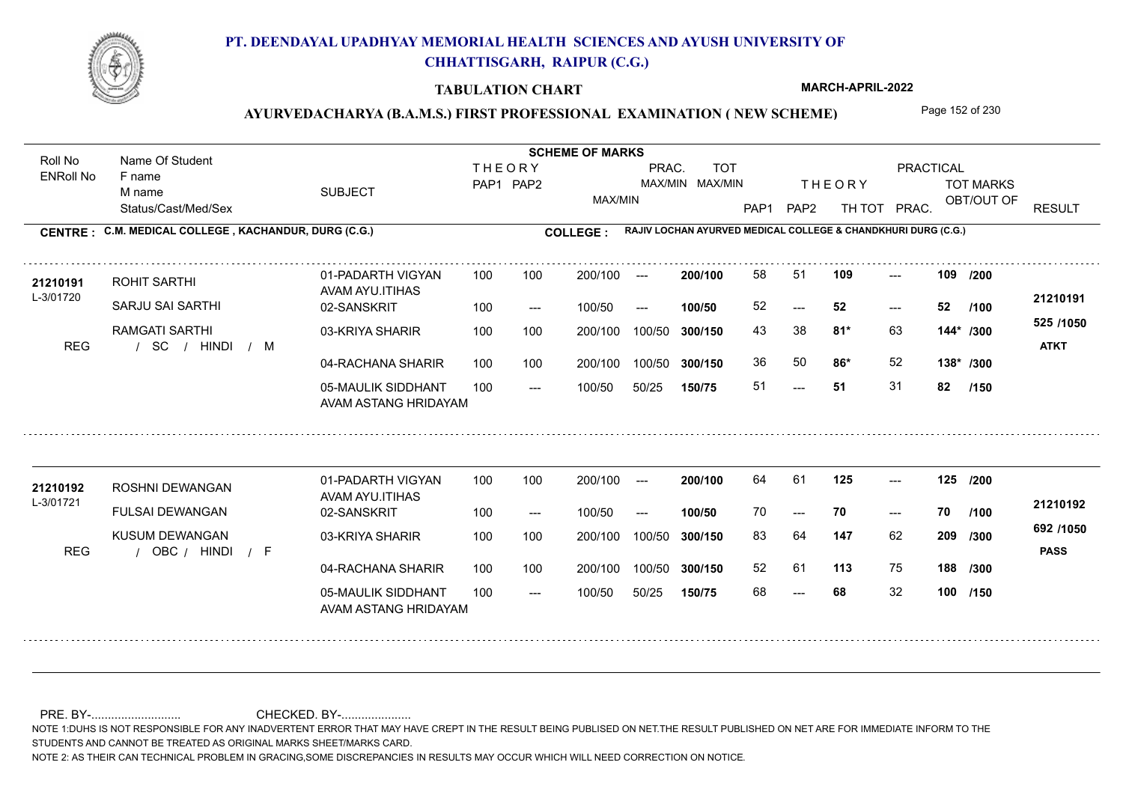

### **TABULATION CHART**

**MARCH-APRIL-2022**

## AYURVEDACHARYA (B.A.M.S.) FIRST PROFESSIONAL EXAMINATION (NEW SCHEME) Page 152 of 230

Status/Cast/Med/Sex SUBJECT TOT MARKS OBT/OUT OF PRACTICAL THE ORY TOT MARKS PAP1 PAP2 TH TOT PRAC. Roll No Name Of Student ENRoll No **CENTRE : COLLEGE : C.M. MEDICAL COLLEGE , KACHANDUR, DURG (C.G.) RAJIV LOCHAN AYURVED MEDICAL COLLEGE & CHANDKHURI DURG (C.G.) THEORY** PAP1 PAP2 MAX/MIN PRAC. MAX/MIN MAX/MIN TOT RESULT **Name Of Student Contract of Student Act of Student SCHEME OF MARKS** F name M name 01-PADARTH VIGYAN AVAM AYU.ITIHAS 05-MAULIK SIDDHANT AVAM ASTANG HRIDAYAM 04-RACHANA SHARIR 100 100 03-KRIYA SHARIR 100 100 / / / REG SC ---  $-52$ --- 02-SANSKRIT 100 --- 100/50 --- 100 100 200/100 100/50 300/150 100/50 50/25 **150/75 300/150** 100/50 100 200/100 ---100/50 **300/150 200/100 100/50** 100 100 200/100 100/50 300/150  $- - 52$  $- -$  100/50 L-3/01720 ROHIT SARTHI SARJU SAI SARTHI RAMGATI SARTHI **109 109 81\*** 63 43 38 **144\* /300 86\*** 52 **138\* /300 525 /1050** HINDI M **ATKT 21210191 <sup>21210191</sup>** <sup>58</sup> <sup>51</sup> 52 **52 52** 36 50 **86\*** 52 51 **51** 31 **82 /200 /100 /150** 01-PADARTH VIGYAN AVAM AYU.ITIHAS 05-MAULIK SIDDHANT 100 AVAM ASTANG HRIDAYAM 04-RACHANA SHARIR 100 100 03-KRIYA SHARIR
100 100 REG / OBC / HINDI / F --- --- --- **125 125 /200** 02-SANSKRIT 100 --- 100/50 --- 200/100 100/50 **300/150** 100/50 50/25 **150/75 300/150** 100/50 200/100 100 200/100 ---**200/100 100/50** --- 200/100 100/50 200/100 100/50  $- -$  100/50 L-3/01721 ROSHNI DEWANGAN FULSAI DEWANGAN KUSUM DEWANGAN **147** 62 **209** /300 **113** 75 **188 /300 692 /1050** HINDI F **PASS 21210192** 21210192 ROSHNI DEWANGAN 01-PADARTH VIGYAN 100 100 200/100 --- **200/100** 64 61 **125** ---70 **70 70** 83 64 **209** 52 61 68 **68** 32 **100 /100 /150**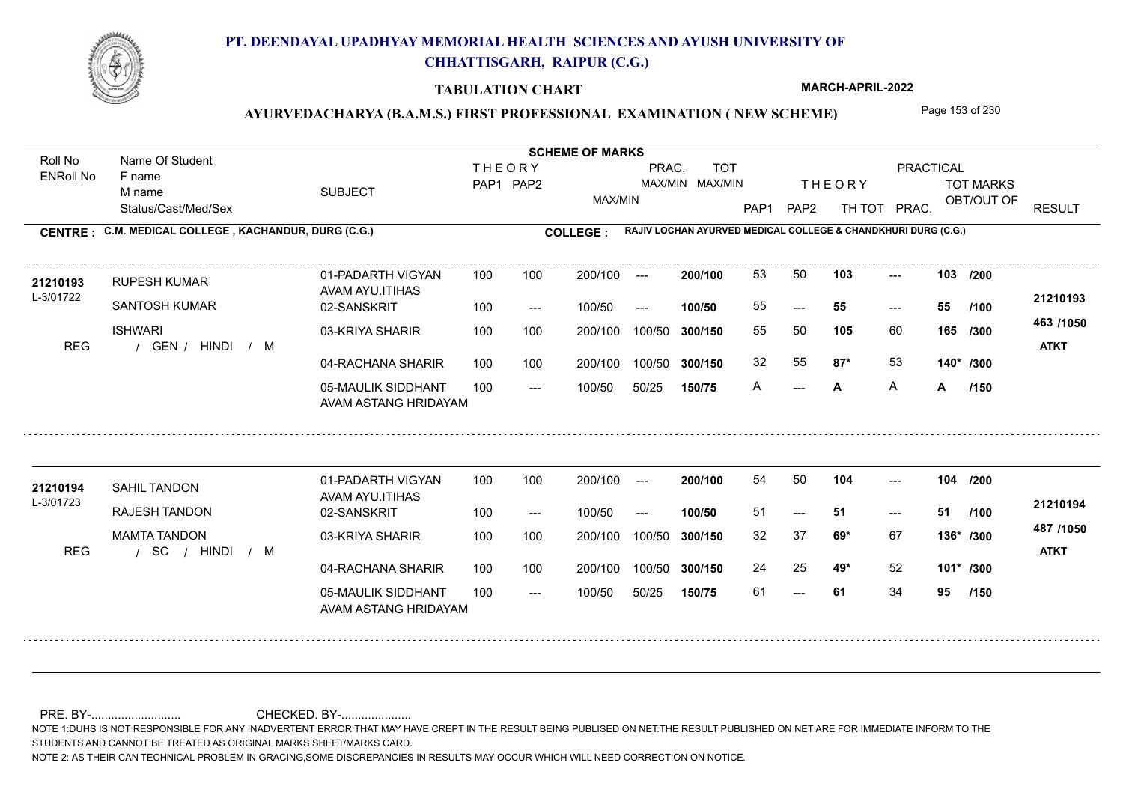

### **TABULATION CHART**

**MARCH-APRIL-2022**

## AYURVEDACHARYA (B.A.M.S.) FIRST PROFESSIONAL EXAMINATION (NEW SCHEME) Page 153 of 230

Status/Cast/Med/Sex SUBJECT TOT MARKS OBT/OUT OF PRACTICAL THE ORY TOT MARKS PAP1 PAP2 TH TOT PRAC. Roll No Name Of Student ENRoll No **CENTRE : COLLEGE : C.M. MEDICAL COLLEGE , KACHANDUR, DURG (C.G.) RAJIV LOCHAN AYURVED MEDICAL COLLEGE & CHANDKHURI DURG (C.G.) THEORY** PAP1 PAP2 MAX/MIN PRAC. MAX/MIN MAX/MIN TOT RESULT **Name Of Student Contract of Student Act of Student SCHEME OF MARKS** F name M name 01-PADARTH VIGYAN AVAM AYU.ITIHAS 05-MAULIK SIDDHANT AVAM ASTANG HRIDAYAM 04-RACHANA SHARIR 100 100 03-KRIYA SHARIR 100 100 REG / GEN / HINDI / M --- **A** --- --- **103 103 /200** 02-SANSKRIT 100 --- 100/50 --- 100 100 200/100 100/50 300/150 100/50 50/25 **150/75 300/150** 100/50 100 200/100 ---100/50 **300/150 200/100 100/50** 100 100 200/100 100/50 300/150  $- - 55$  $- -$  100/50 L-3/01722 RUPESH KUMAR SANTOSH KUMAR ISHWARI **105** 60 55 50 **165 /300 87\*** 53 **140\* /300 463 /1050** HINDI M **ATKT 21210193** 21**210193** RUPESH KUMAR 01-PADARTH VIGYAN 100 100 200/100 --- **200/100** 53 50 **103** ---55 **55 55** 32 55 **87\*** 53 A **A** A **A /100 /150** 01-PADARTH VIGYAN AVAM AYU.ITIHAS 05-MAULIK SIDDHANT 100 AVAM ASTANG HRIDAYAM 04-RACHANA SHARIR 100 100 03-KRIYA SHARIR
100 100 / / / REG SC --- 61 --- --- **104 104 /200** 02-SANSKRIT 100 --- 100/50 --- 200/100 100/50 **300/150** 100/50 50/25 **150/75 300/150** 100/50 200/100 100 200/100 ---**200/100 100/50**  $- - 51$ 200/100 100/50 200/100 100/50  $- -$  100/50 L-3/01723 SAHIL TANDON RAJESH TANDON MAMTA TANDON **69\*** 67 32 37 **136\* /300 49\*** 52 **101\* /300 487 /1050** HINDI M **ATKT 21210194 <sup>21210194</sup>** <sup>54</sup> <sup>50</sup> 51 **51 51** 24 25 **49\*** 52 61 **61** 34 **95 /100 /150**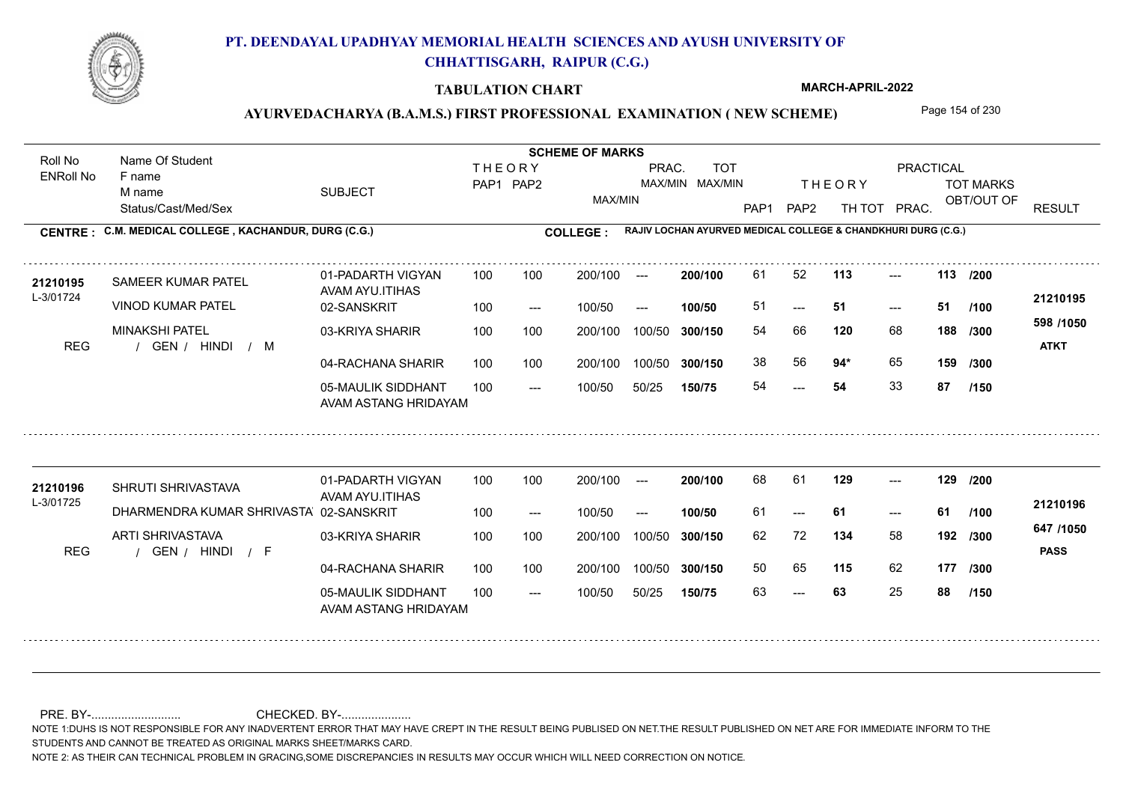

### **TABULATION CHART**

**MARCH-APRIL-2022**

## AYURVEDACHARYA (B.A.M.S.) FIRST PROFESSIONAL EXAMINATION (NEW SCHEME) Page 154 of 230

Status/Cast/Med/Sex SUBJECT TOT MARKS OBT/OUT OF PRACTICAL THE ORY TOT MARKS PAP1 PAP2 TH TOT PRAC. Roll No Name Of Student ENRoll No **CENTRE : COLLEGE : C.M. MEDICAL COLLEGE , KACHANDUR, DURG (C.G.) RAJIV LOCHAN AYURVED MEDICAL COLLEGE & CHANDKHURI DURG (C.G.) THEORY** PAP1 PAP2 MAX/MIN PRAC. MAX/MIN MAX/MIN TOT RESULT **Name Of Student Contract of Student Act of Student SCHEME OF MARKS** F name M name 01-PADARTH VIGYAN AVAM AYU.ITIHAS 05-MAULIK SIDDHANT AVAM ASTANG HRIDAYAM 04-RACHANA SHARIR 100 100 03-KRIYA SHARIR REG / GEN / HINDI / M 54  $-51$ --- **113 113 /200** 02-SANSKRIT 100 --- 100/50 --- 100 100 200/100 100/50 300/150 100/50 50/25 **150/75 300/150** 100/50 100 200/100 ---100/50 **300/150 200/100 100/50** 100 100 200/100 100/50 300/150  $- - 51$  $- -$  100/50 L-3/01724 SAMEER KUMAR PATEL VINOD KUMAR PATEL MINAKSHI PATEL **120** 68 **/300 94\*** 65 **159 598 /1050** HINDI M **ATKT 21210195 <sup>21210195</sup>** <sup>61</sup> <sup>52</sup> 51 **51 51** 54 66 **188** 38 56 **94**\* 65 54 **54** 33 **87 /100 /300 /150** 01-PADARTH VIGYAN AVAM AYU.ITIHAS 05-MAULIK SIDDHANT 100 AVAM ASTANG HRIDAYAM 04-RACHANA SHARIR 100 100 03-KRIYA SHARIR
100 100 REG / GEN / HINDI / F --- 63 --- --- 02-SANSKRIT DHARMENDRA KUMAR SHRIVASTAVA 100 --- 100/50 --- 200/100 100/50 **300/150** 100/50 50/25 **150/75 300/150** 100/50 200/100 100 200/100 ---**200/100 100/50** --- 200/100 100/50 200/100 100/50  $- -$  100/50 L-3/01725 SHRUTI SHRIVASTAVA ARTI SHRIVASTAVA **129 129 /200 134** 58 62 72 **192 /300 115** 62 **177 /300 647 /1050** HINDI F **PASS 21210196 <sup>21210196</sup>** <sup>68</sup> <sup>61</sup> 61 **61 61** 50 65 63 **63** 25 **88 /100 /150**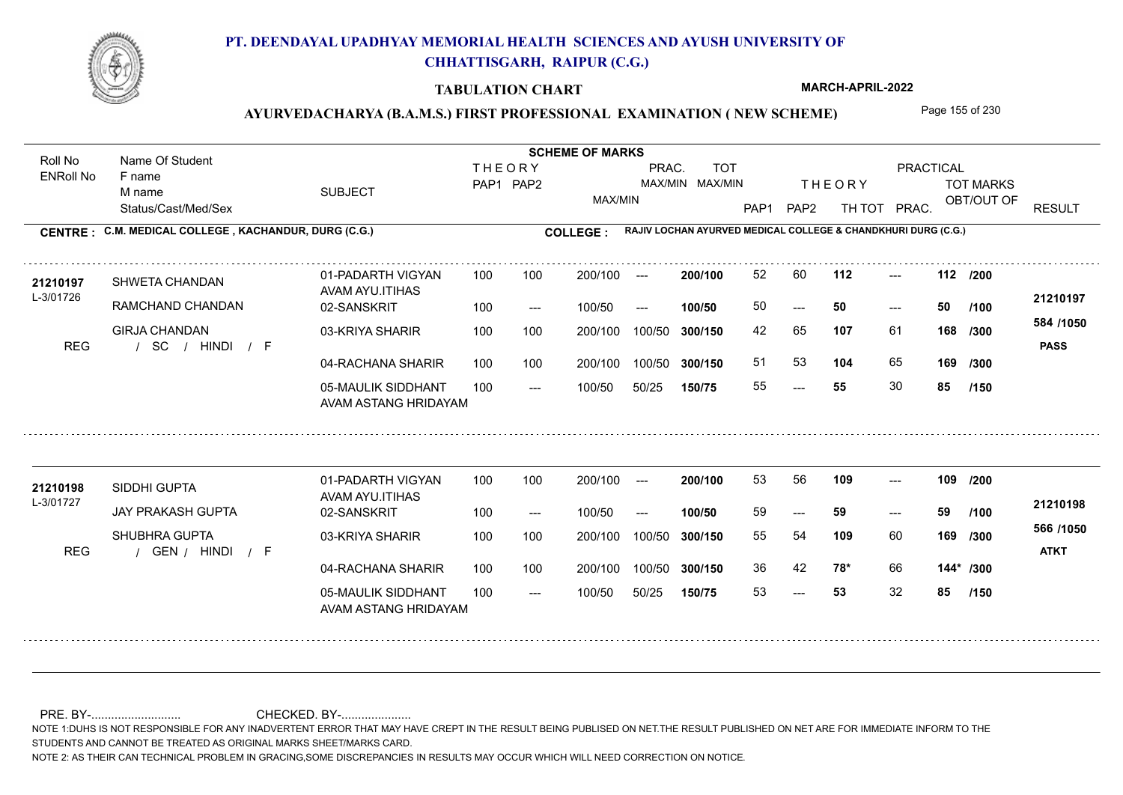

### **TABULATION CHART**

**MARCH-APRIL-2022**

## AYURVEDACHARYA (B.A.M.S.) FIRST PROFESSIONAL EXAMINATION (NEW SCHEME) Page 155 of 230

Status/Cast/Med/Sex SUBJECT TOT MARKS OBT/OUT OF PRACTICAL THE ORY TOT MARKS PAP1 PAP2 TH TOT PRAC. Roll No Name Of Student ENRoll No **CENTRE : COLLEGE : C.M. MEDICAL COLLEGE , KACHANDUR, DURG (C.G.) RAJIV LOCHAN AYURVED MEDICAL COLLEGE & CHANDKHURI DURG (C.G.) THEORY** PAP1 PAP2 MAX/MIN PRAC. MAX/MIN MAX/MIN TOT RESULT **Name Of Student Contract of Student Act of Student SCHEME OF MARKS** F name M name 01-PADARTH VIGYAN AVAM AYU.ITIHAS 05-MAULIK SIDDHANT AVAM ASTANG HRIDAYAM 04-RACHANA SHARIR 100 100 03-KRIYA SHARIR / / / REG SC ---  $- - 50$ --- **112 112 /200** 02-SANSKRIT 100 --- 100/50 --- 100 100 200/100 100/50 300/150 100/50 50/25 **150/75 300/150** 100/50 100 200/100 ---100/50 **300/150 200/100 100/50** 100 100 200/100 100/50 300/150  $- - 50$  $- -$  100/50 L-3/01726 SHWETA CHANDAN RAMCHAND CHANDAN GIRJA CHANDAN **107** 61 **/300 104** 65 **169 584 /1050** HINDI F **PASS 21210197 <sup>21210197</sup>** <sup>52</sup> <sup>60</sup> 50 **50 50** 42 65 **168** 51 53 **104** 65 55 **55** 30 **85 /100 /300 /150** 01-PADARTH VIGYAN AVAM AYU.ITIHAS 05-MAULIK SIDDHANT 100 AVAM ASTANG HRIDAYAM 04-RACHANA SHARIR 100 100 03-KRIYA SHARIR REG / GEN / HINDI / F --- 53 --- --- 02-SANSKRIT 100 --- 100/50 --- 200/100 100/50 **300/150** 100/50 50/25 **150/75 300/150** 100/50 200/100 100 200/100 ---**200/100 100/50** --- 200/100 100/50 200/100 100/50  $- -$  100/50 L-3/01727 SIDDHI GUPTA JAY PRAKASH GUPTA SHUBHRA GUPTA **109 109 /200 109** 60 **/300 78\*** 66 **144\* /300 566 /1050** HINDI F **ATKT 21210198 <sup>21210198</sup>** <sup>53</sup> <sup>56</sup> 59 **59 59** 55 54 **169** 36 42 **78\*** 66 53 **53** 32 **85 /100 /150**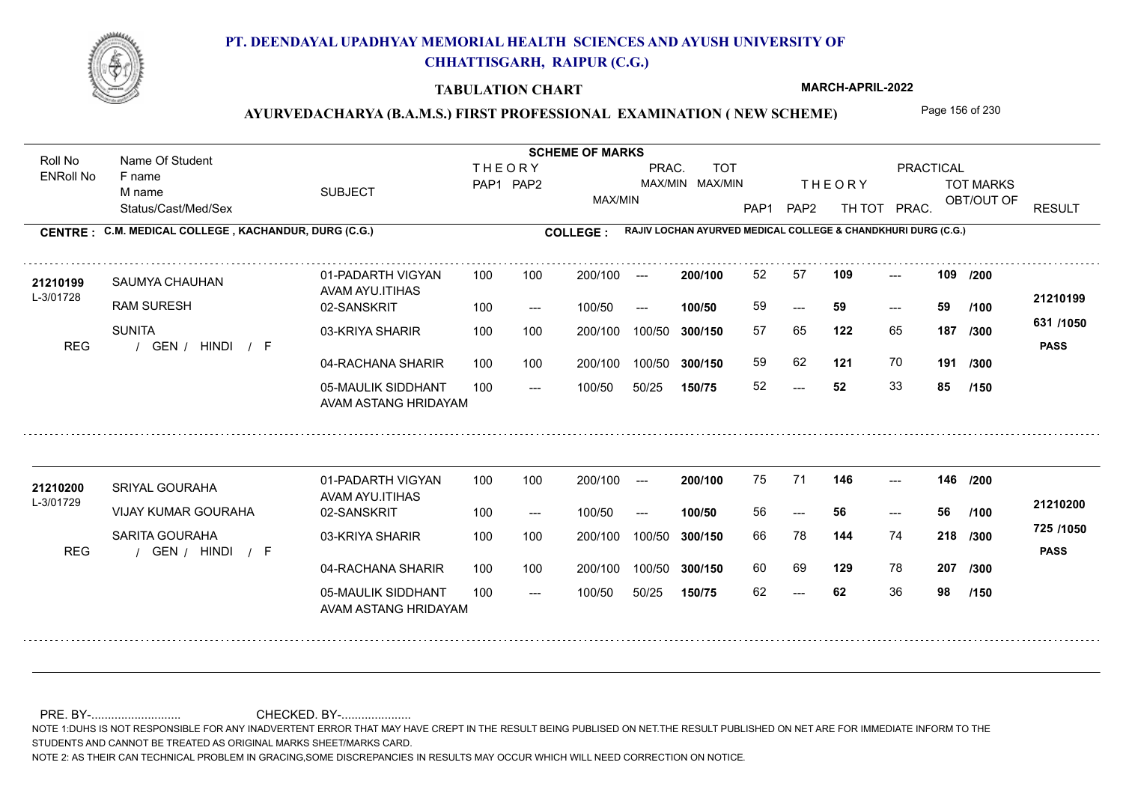

### **TABULATION CHART**

**MARCH-APRIL-2022**

## AYURVEDACHARYA (B.A.M.S.) FIRST PROFESSIONAL EXAMINATION (NEW SCHEME) Page 156 of 230

Status/Cast/Med/Sex SUBJECT TOT MARKS OBT/OUT OF PRACTICAL THE ORY TOT MARKS PAP1 PAP2 TH TOT PRAC. Roll No Name Of Student ENRoll No **CENTRE : COLLEGE : C.M. MEDICAL COLLEGE , KACHANDUR, DURG (C.G.) RAJIV LOCHAN AYURVED MEDICAL COLLEGE & CHANDKHURI DURG (C.G.) THEORY** PAP1 PAP2 MAX/MIN PRAC. MAX/MIN MAX/MIN TOT RESULT **Name Of Student Contract of Student Act of Student SCHEME OF MARKS** F name M name 01-PADARTH VIGYAN AVAM AYU.ITIHAS 05-MAULIK SIDDHANT AVAM ASTANG HRIDAYAM 04-RACHANA SHARIR 100 100 03-KRIYA SHARIR REG / GEN / HINDI / F  $-52$ --- --- 02-SANSKRIT 100 --- 100/50 --- 100 100 200/100 100/50 300/150 100/50 50/25 **150/75 300/150** 100/50 100 200/100 ---100/50 **300/150 200/100 100/50** 100 100 200/100 100/50 300/150 ---  $- -$  100/50 L-3/01728 SAUMYA CHAUHAN RAM SURESH SUNITA **109 109 /200 122** 65 **/300 121** 70 **191 631 /1050** HINDI F **PASS 21210199 <sup>21210199</sup>** <sup>52</sup> <sup>57</sup> 59 **59 59** 57 65 **187** 59 62 52 **52** 33 **85 /100 /300 /150** 01-PADARTH VIGYAN AVAM AYU.ITIHAS 05-MAULIK SIDDHANT 100 AVAM ASTANG HRIDAYAM 04-RACHANA SHARIR 100 100 03-KRIYA SHARIR REG / GEN / HINDI / F --- --- --- **146 146 /200** 02-SANSKRIT 100 --- 100/50 --- 200/100 100/50 **300/150** 100/50 50/25 **150/75 300/150** 100/50 200/100 100 200/100 ---**200/100 100/50** --- 200/100 100/50 200/100 100/50  $- -$  100/50 L-3/01729 SRIYAL GOURAHA VIJAY KUMAR GOURAHA SARITA GOURAHA **144** 74 66 78 **218 /300 129** 78 **207 /300 725 /1050** HINDI F **PASS 21210200 <sup>21210200</sup>** <sup>75</sup> <sup>71</sup> 56 **56 56** 60 69 129 78 62 **62** 36 **98 /100 /150**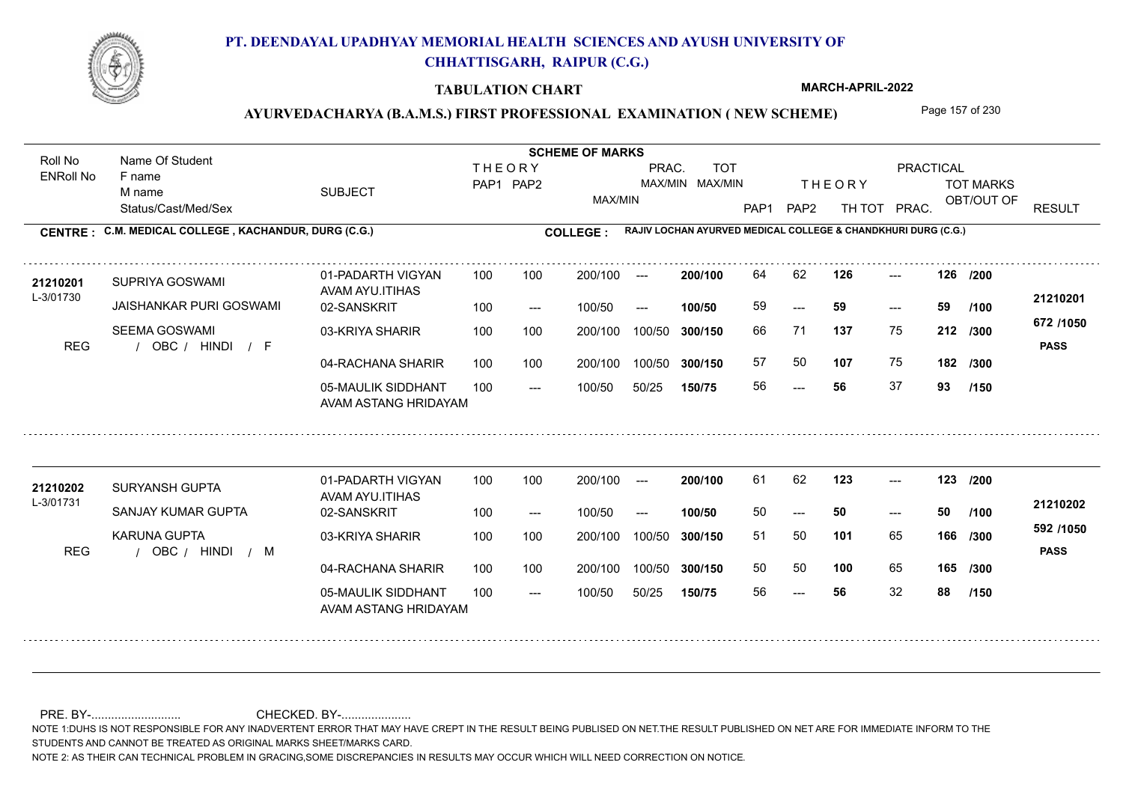

### **TABULATION CHART**

**MARCH-APRIL-2022**

## AYURVEDACHARYA (B.A.M.S.) FIRST PROFESSIONAL EXAMINATION (NEW SCHEME) Page 157 of 230

Status/Cast/Med/Sex SUBJECT TOT MARKS OBT/OUT OF PRACTICAL THE ORY TOT MARKS PAP1 PAP2 TH TOT PRAC. Roll No Name Of Student ENRoll No **CENTRE : COLLEGE : C.M. MEDICAL COLLEGE , KACHANDUR, DURG (C.G.) RAJIV LOCHAN AYURVED MEDICAL COLLEGE & CHANDKHURI DURG (C.G.) THEORY** PAP1 PAP2 MAX/MIN PRAC. MAX/MIN MAX/MIN TOT RESULT **Name Of Student Contract of Student Act of Student SCHEME OF MARKS** F name M name 01-PADARTH VIGYAN AVAM AYU.ITIHAS 05-MAULIK SIDDHANT AVAM ASTANG HRIDAYAM 04-RACHANA SHARIR 100 100 03-KRIYA SHARIR REG / OBC / HINDI / F --- --- --- **126 126 /200** 02-SANSKRIT 100 --- 100/50 --- 100 100 200/100 100/50 300/150 100/50 50/25 **150/75 300/150** 100/50 100 200/100 ---100/50 **300/150 200/100 100/50** 100 100 200/100 100/50 300/150 ---  $- -$  100/50 L-3/01730 SUPRIYA GOSWAMI JAISHANKAR PURI GOSWAMI SEEMA GOSWAMI **137** 75 66 71 **212 /300 107** 75 **182 672 /1050** HINDI F **PASS 21210201 <sup>21210201</sup>** <sup>64</sup> <sup>62</sup> 59 **59 59** 57 50 **107** 75 56 **56** 37 **93 /100 /300 /150** 01-PADARTH VIGYAN AVAM AYU.ITIHAS 05-MAULIK SIDDHANT 100 AVAM ASTANG HRIDAYAM 04-RACHANA SHARIR 100 100 03-KRIYA SHARIR REG / OBC / HINDI / M --- --- --- **123 123 /200** 02-SANSKRIT 100 --- 100/50 --- 200/100 100/50 **300/150** 100/50 50/25 **150/75 300/150** 100/50 200/100 100 200/100 ---**200/100 100/50** --- 200/100 100/50 200/100 100/50  $- -$  100/50 L-3/01731 SURYANSH GUPTA SANJAY KUMAR GUPTA KARUNA GUPTA **101** 65 **/300 100** 65 **165 /300 592 /1050** HINDI M **PASS 21210202 <sup>21210202</sup>** <sup>61</sup> <sup>62</sup> 50 **50 50** 51 50 **166** 50 50 56 **56** 32 **88 /100 /150**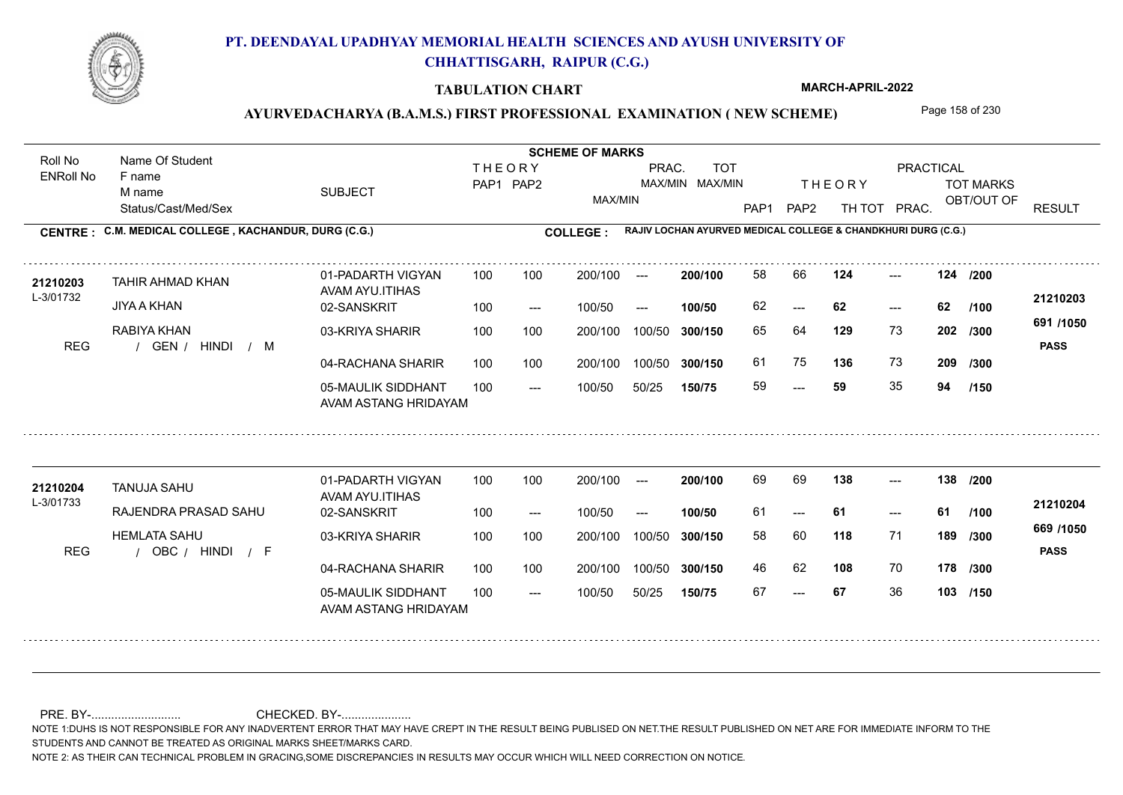

### **TABULATION CHART**

**MARCH-APRIL-2022**

## AYURVEDACHARYA (B.A.M.S.) FIRST PROFESSIONAL EXAMINATION (NEW SCHEME) Page 158 of 230

Status/Cast/Med/Sex SUBJECT TOT MARKS OBT/OUT OF PRACTICAL THE ORY TOT MARKS PAP1 PAP2 TH TOT PRAC. Roll No Name Of Student ENRoll No **CENTRE : COLLEGE : C.M. MEDICAL COLLEGE , KACHANDUR, DURG (C.G.) RAJIV LOCHAN AYURVED MEDICAL COLLEGE & CHANDKHURI DURG (C.G.) THEORY** PAP1 PAP2 MAX/MIN PRAC. MAX/MIN MAX/MIN TOT RESULT **Name Of Student Contract of Student Act of Student SCHEME OF MARKS** F name M name 01-PADARTH VIGYAN AVAM AYU.ITIHAS 05-MAULIK SIDDHANT AVAM ASTANG HRIDAYAM 04-RACHANA SHARIR 100 100 03-KRIYA SHARIR REG / GEN / HINDI / M --- --- --- **124 124 /200** 02-SANSKRIT 100 --- 100/50 --- 100 100 200/100 100/50 300/150 100/50 50/25 **150/75 300/150** 100/50 100 200/100 ---100/50 **300/150 200/100 100/50** 100 100 200/100 100/50 300/150  $- - 62$  $- -$  100/50 L-3/01732 TAHIR AHMAD KHAN JIYA A KHAN RABIYA KHAN **129** 73 65 64 **202 /300 136** 73 **209 691 /1050** HINDI M **PASS 21210203 <sup>21210203</sup>** <sup>58</sup> <sup>66</sup> 62 **62 62** 61 75 **136** 73 59 **59** 35 **94 /100 /300 /150** 01-PADARTH VIGYAN AVAM AYU.ITIHAS 05-MAULIK SIDDHANT 100 AVAM ASTANG HRIDAYAM 04-RACHANA SHARIR 100 100 03-KRIYA SHARIR REG / OBC / HINDI / F --- --- --- **138 138 /200** 02-SANSKRIT 100 --- 100/50 --- 200/100 100/50 **300/150** 100/50 50/25 **150/75 300/150** 100/50 200/100 100 200/100 ---**200/100 100/50** --- 200/100 100/50 200/100 100/50  $- -$  100/50 L-3/01733 TANUJA SAHU RAJENDRA PRASAD SAHU HEMLATA SAHU **118** 71 **/300 108** 70 **178 /300 669 /1050** HINDI F **PASS 21210204** 21**210204** TANUJA SAHU 01-PADARTH VIGYAN 100 100 200/100 --- **200/100** 69 69 1**38** ---61 **61 61** 58 60 **189** 46 62 **108** 70 67 **67** 36 **103 /150 /100**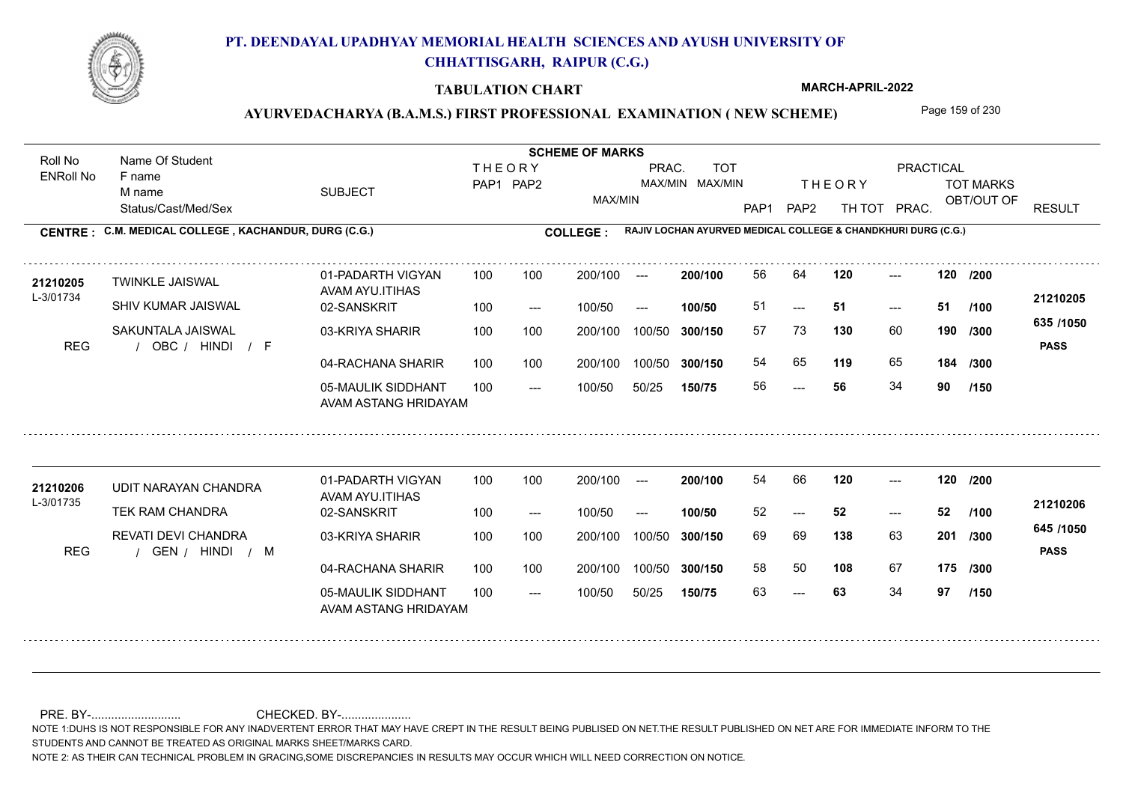

### **TABULATION CHART**

**MARCH-APRIL-2022**

## AYURVEDACHARYA (B.A.M.S.) FIRST PROFESSIONAL EXAMINATION (NEW SCHEME) Page 159 of 230

Status/Cast/Med/Sex SUBJECT TOT MARKS OBT/OUT OF PRACTICAL THE ORY TOT MARKS PAP1 PAP2 TH TOT PRAC. Roll No Name Of Student ENRoll No **CENTRE : COLLEGE : C.M. MEDICAL COLLEGE , KACHANDUR, DURG (C.G.) RAJIV LOCHAN AYURVED MEDICAL COLLEGE & CHANDKHURI DURG (C.G.) THEORY** PAP1 PAP2 MAX/MIN PRAC. MAX/MIN MAX/MIN TOT RESULT **Name Of Student Contract of Student Act of Student SCHEME OF MARKS** F name M name 01-PADARTH VIGYAN AVAM AYU.ITIHAS 05-MAULIK SIDDHANT AVAM ASTANG HRIDAYAM 04-RACHANA SHARIR 100 100 03-KRIYA SHARIR REG / OBC / HINDI / F ---  $-51$ --- 02-SANSKRIT 100 --- 100/50 --- 100 100 200/100 100/50 300/150 100/50 50/25 **150/75 300/150** 100/50 100 200/100 ---100/50 **300/150 200/100 100/50** 100 100 200/100 100/50 300/150  $- - 51$  $- -$  100/50 L-3/01734 TWINKLE JAISWAL SHIV KUMAR JAISWAL SAKUNTALA JAISWAL **120 120 /200 130** 60 **190** /300 **<sup>cool</sup>1000 119** 65 **184 635 /1050** HINDI F **PASS 21210205 <sup>21210205</sup>** <sup>56</sup> <sup>64</sup> 51 **51 51** 57 73 **190** 54 65 **119** 65 56 **56** 34 **90 /100 /300 /150** 01-PADARTH VIGYAN AVAM AYU.ITIHAS 05-MAULIK SIDDHANT 100 AVAM ASTANG HRIDAYAM 04-RACHANA SHARIR 100 100 03-KRIYA SHARIR REG / GEN / HINDI / M --- 63 --- --- 02-SANSKRIT 100 --- 100/50 --- 200/100 100/50 **300/150** 100/50 50/25 **150/75 300/150** 100/50 200/100 100 200/100 ---**200/100 100/50** --- 200/100 100/50 200/100 100/50  $- -$  100/50 L-3/01735 UDIT NARAYAN CHANDRA TEK RAM CHANDRA REVATI DEVI CHANDRA **120 120 /200 138** 63 **201** /300 **108** 67 **175 /300 645 /1050** HINDI M **PASS 21210206** 21210206 UDIT NARAYAN CHANDRA 01-PADARTH VIGYAN 100 100 200/100 --- **200/100 54 66 120 ---**52 **52 52** 69 69 **201** 58 50 63 **63** 34 **97 /100 /150**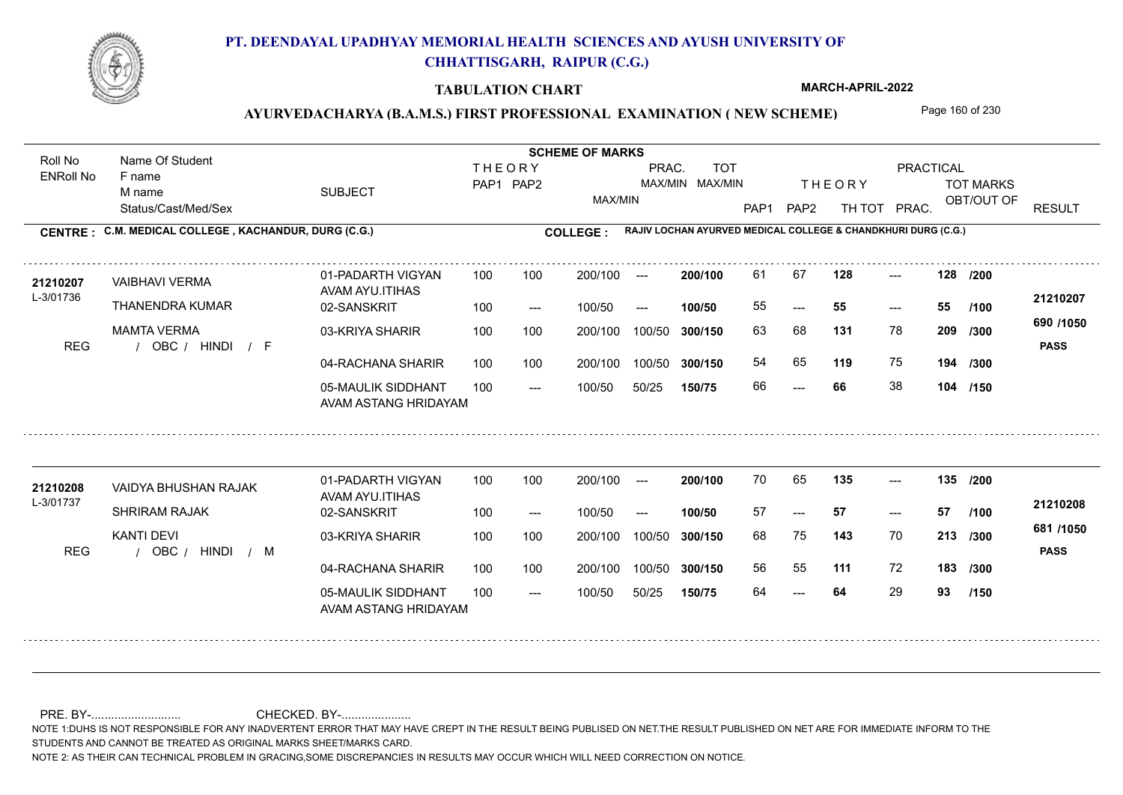

### **TABULATION CHART**

**MARCH-APRIL-2022**

## AYURVEDACHARYA (B.A.M.S.) FIRST PROFESSIONAL EXAMINATION (NEW SCHEME) Page 160 of 230

Status/Cast/Med/Sex SUBJECT TOT MARKS OBT/OUT OF PRACTICAL THE ORY TOT MARKS PAP1 PAP2 TH TOT PRAC. Roll No Name Of Student ENRoll No **CENTRE : COLLEGE : C.M. MEDICAL COLLEGE , KACHANDUR, DURG (C.G.) RAJIV LOCHAN AYURVED MEDICAL COLLEGE & CHANDKHURI DURG (C.G.) THEORY** PAP1 PAP2 MAX/MIN PRAC. MAX/MIN MAX/MIN TOT RESULT **Name Of Student Contract of Student Act of Student SCHEME OF MARKS** F name M name 01-PADARTH VIGYAN AVAM AYU.ITIHAS 05-MAULIK SIDDHANT AVAM ASTANG HRIDAYAM 04-RACHANA SHARIR 100 100 03-KRIYA SHARIR REG / OBC / HINDI / F --- --- --- 02-SANSKRIT 100 --- 100/50 --- 100 100 200/100 100/50 300/150 100/50 50/25 **150/75 300/150** 100/50 100 200/100 ---100/50 **300/150 200/100 100/50** 100 100 200/100 100/50 300/150  $- - 55$  $- -$  100/50 L-3/01736 VAIBHAVI VERMA THANENDRA KUMAR MAMTA VERMA **128 128 /200 131** 78 **/300 119** 75 **194 690 /1050** HINDI F **PASS 21210207** 21210207 VAIBHAVI VERMA 01-PADARTH VIGYAN 100 100 200/100 --- 200/100 61 67 **128** ---55 **55 55** 63 68 **209** 54 65 **119** 75 66 **66** 38 **104 /150 /100 /300** 01-PADARTH VIGYAN AVAM AYU.ITIHAS 05-MAULIK SIDDHANT 100 AVAM ASTANG HRIDAYAM 04-RACHANA SHARIR 100 100 03-KRIYA SHARIR REG / OBC / HINDI / M --- --- --- **135 135 /200** 02-SANSKRIT 100 --- 100/50 --- 200/100 100/50 **300/150** 100/50 50/25 **150/75 300/150** 100/50 200/100 100 200/100 ---**200/100 100/50** --- 200/100 100/50 200/100 100/50  $- -$  100/50 L-3/01737 VAIDYA BHUSHAN RAJAK SHRIRAM RAJAK KANTI DEVI **143** 70 68 75 **213 /300 111** 72 **183 /300 681 /1050** HINDI M **PASS 21210208** 21210208 VAIDYA BHUSHAN RAJAK 01-PADARTH VIGYAN 100 100 200/100 --- **200/100 7**0 65 **135** ---57 **57 57** 56 55 64 **64** 29 **93 /100 /150**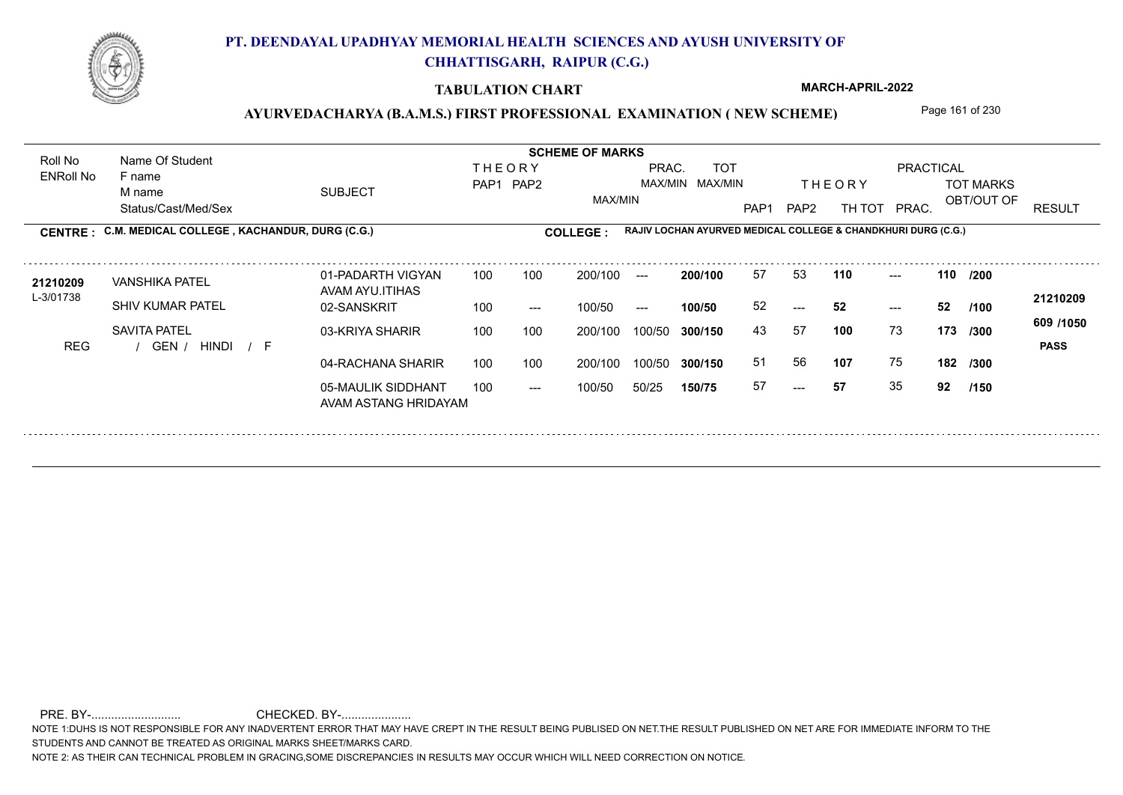

### **TABULATION CHART**

**MARCH-APRIL-2022**

### AYURVEDACHARYA (B.A.M.S.) FIRST PROFESSIONAL EXAMINATION (NEW SCHEME) Page 161 of 230

Status/Cast/Med/Sex SUBJECT TOT MARKS OBT/OUT OF PRACTICAL THE ORY TOT MARKS PAP1 PAP2 TH TOT PRAC. Roll No Name Of Student ENRoll No **CENTRE : COLLEGE : THEORY** PAP1 PAP2 MAX/MIN PRAC. MAX/MIN MAX/MIN TOT RESULT **Name Of Student Contract of Student Act of Student SCHEME OF MARKS RAJIV LOCHAN AYURVED MEDICAL COLLEGE & CHANDKHURI DURG (C.G.)** F name M name 01-PADARTH VIGYAN AVAM AYU.ITIHAS 05-MAULIK SIDDHANT AVAM ASTANG HRIDAYAM 04-RACHANA SHARIR 100 100 03-KRIYA SHARIR REG / GEN / HINDI / F ---  $-52$ --- **110 110 /200** 02-SANSKRIT 100 --- 100/50 --- 200/100 100/50 **300/150** 100/50 50/25 **150/75 300/150** 100/50 100 200/100 ---**200/100 100/50** 100 100 200/100 100/50 300/150  $- - 52$ 200/100 100/50  $- -$  100/50 L-3/01738 VANSHIKA PATEL SHIV KUMAR PATEL SAVITA PATEL **100** 73 43 57 **173 /300 107** 75 **182 /300 609 /1050** HINDI F **PASS 21210209** 21**210209** VANSHIKA PATEL 01-PADARTH VIGYAN 100 100 200/100 --- **200/100 57 53 110 ---**-52 **52 52** 51 56 57 **57** 35 **92 /150 /100**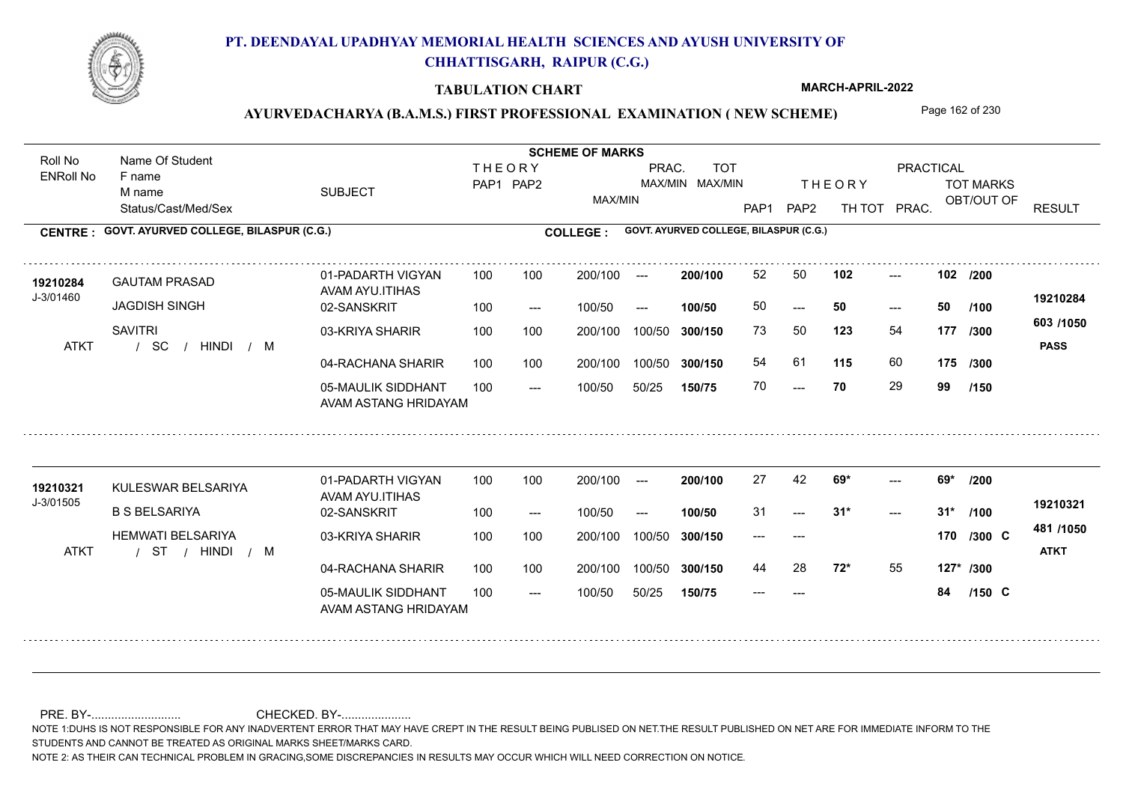

### **TABULATION CHART**

**MARCH-APRIL-2022**

## AYURVEDACHARYA (B.A.M.S.) FIRST PROFESSIONAL EXAMINATION (NEW SCHEME) Page 162 of 230

Status/Cast/Med/Sex SUBJECT TOT MARKS OBT/OUT OF PRACTICAL THE ORY TOT MARKS PAP1 PAP2 TH TOT PRAC. Roll No Name Of Student ENRoll No **CENTRE : COLLEGE : GOVT. AYURVED COLLEGE, BILASPUR (C.G.) GOVT. AYURVED COLLEGE, BILASPUR (C.G.) THEORY** PAP1 PAP2 MAX/MIN PRAC. MAX/MIN MAX/MIN TOT RESULT **Name Of Student Contract of Student Act of Student SCHEME OF MARKS** F name M name 01-PADARTH VIGYAN AVAM AYU.ITIHAS 05-MAULIK SIDDHANT AVAM ASTANG HRIDAYAM 04-RACHANA SHARIR 100 100 03-KRIYA SHARIR / / / ATKT SC  $- - 70$  $- - 50$ --- **102 102 /200** 02-SANSKRIT  $100/50$ 100 100 200/100 100/50 300/150 100/50 50/25 **150/75 300/150** 100/50 100 200/100 ---100/50 --- **100/50** 100/50 **300/150 200/100** 100 100 200/100 100/50 300/150  $- - 50$  $- -$  100/50 J-3/01460 GAUTAM PRASAD JAGDISH SINGH **SAVITRI 123** 54 73 50 **177 /300 115** 60 **175 /300 603 /1050** HINDI M **PASS 19210284 <sup>19210284</sup>** <sup>52</sup> <sup>50</sup> 50 **50 50** 54 61 **115** 60 70 **70** 29 **99 /100 /150** 01-PADARTH VIGYAN AVAM AYU.ITIHAS 05-MAULIK SIDDHANT 100 AVAM ASTANG HRIDAYAM 04-RACHANA SHARIR 100 100 03-KRIYA SHARIR / / / ATKT ST ---  $-2$  31\*  $- - 69*$ 02-SANSKRIT 100 --- 100/50 --- 200/100 100/50 **300/150** 100/50 50/25 **150/75 300/150** 100/50 200/100 100 200/100 ---**200/100 100/50**  $-2$  31\* 200/100 100/50 200/100 100/50  $- -$  100/50 J-3/01505 19210321 KULESWAR BELSARIYA<br>AMALAM ATTU B S BELSARIYA HEMWATI BELSARIYA **69\* 69\* /200 72\*** 55 **127\* /300 481 /1050** HINDI M **ATKT 19210321** 27 42 **69\*** ---31 **31\* 31\*** --- --- **170 C /300** 44 28 **72<sup>\*</sup>** 55 --- **84 C /100 /150**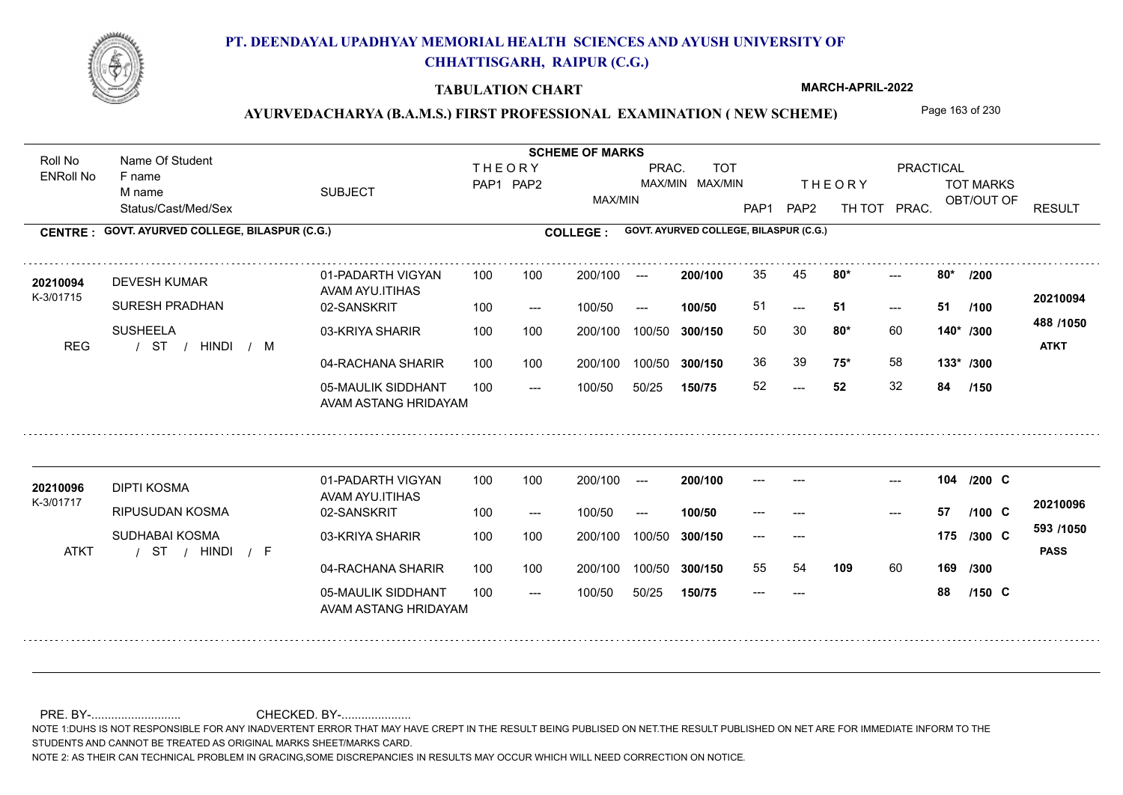

### **TABULATION CHART**

**MARCH-APRIL-2022**

## AYURVEDACHARYA (B.A.M.S.) FIRST PROFESSIONAL EXAMINATION (NEW SCHEME) Page 163 of 230

Status/Cast/Med/Sex SUBJECT TOT MARKS OBT/OUT OF PRACTICAL THE ORY TOT MARKS PAP1 PAP2 TH TOT PRAC. Roll No Name Of Student ENRoll No **CENTRE : COLLEGE : GOVT. AYURVED COLLEGE, BILASPUR (C.G.) GOVT. AYURVED COLLEGE, BILASPUR (C.G.) THEORY** PAP1 PAP2 MAX/MIN PRAC. MAX/MIN MAX/MIN TOT RESULT **Name Of Student Contract of Student Act of Student SCHEME OF MARKS** F name M name 01-PADARTH VIGYAN AVAM AYU.ITIHAS 05-MAULIK SIDDHANT AVAM ASTANG HRIDAYAM 04-RACHANA SHARIR 100 100 03-KRIYA SHARIR 100 100 / / / REG ST  $-52$  $-51$  $-2$  80\* 02-SANSKRIT  $100/50$ 100 100 200/100 100/50 300/150 100/50 50/25 **150/75 300/150** 100/50 100 200/100 ---100/50 --- **100/50** 100/50 **300/150 200/100** 100 100 200/100 100/50 300/150  $- - 51$  $- -$  100/50 K-3/01715 DEVESH KUMAR SURESH PRADHAN SUSHEELA **80\* 80\* /200 80\*** 60 50 30 **140\* /300 75\*** 58 **133\* /300 488 /1050** HINDI M **ATKT 20210094 <sup>20210094</sup>** <sup>35</sup> <sup>45</sup> 51 **51 51** 36 39 **75\*** 58 52 **52** 32 **84 /100 /150** 01-PADARTH VIGYAN AVAM AYU.ITIHAS 05-MAULIK SIDDHANT 100 AVAM ASTANG HRIDAYAM 04-RACHANA SHARIR 100 100 03-KRIYA SHARIR / / / ATKT ST --- --- --- **104** --- --- **C /200** 02-SANSKRIT 100 --- 100/50 --- 200/100 100/50 **300/150** 100/50 50/25 **150/75 300/150** 100/50 200/100 100 200/100 ---**200/100 100/50** --- 200/100 100/50 200/100 100/50  $- -$  100/50 K-3/01717 DIPTI KOSMA **20210096** RIPUSUDAN KOSMA SUDHABAI KOSMA **109** 60 **169 /300 593 /1050** HINDI F **PASS 20210096** --- **57 C** --- --- **175 C /300** 55 54 **109** 60 --- **88 C /100 /150**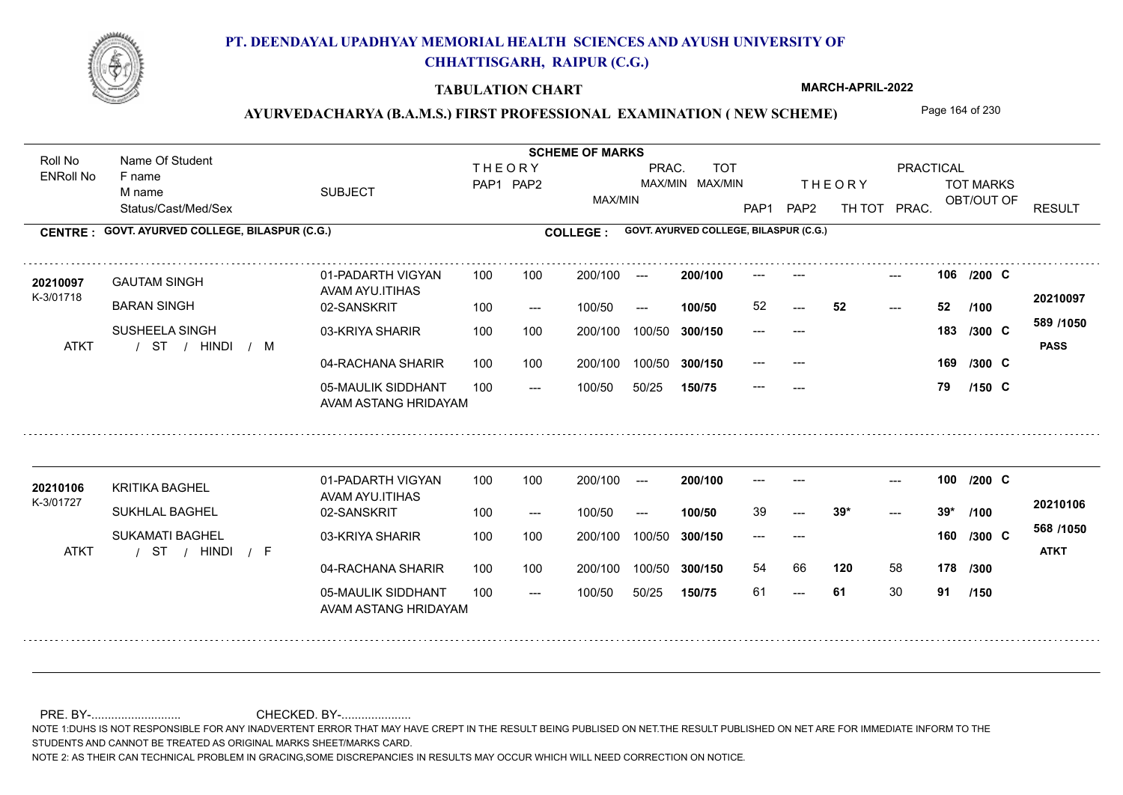

### **TABULATION CHART**

**MARCH-APRIL-2022**

## AYURVEDACHARYA (B.A.M.S.) FIRST PROFESSIONAL EXAMINATION (NEW SCHEME) Page 164 of 230

Status/Cast/Med/Sex SUBJECT TOT MARKS OBT/OUT OF PRACTICAL THE ORY TOT MARKS PAP1 PAP2 TH TOT PRAC. Roll No Name Of Student ENRoll No **CENTRE : COLLEGE : GOVT. AYURVED COLLEGE, BILASPUR (C.G.) GOVT. AYURVED COLLEGE, BILASPUR (C.G.) THEORY** PAP1 PAP2 MAX/MIN PRAC. MAX/MIN MAX/MIN TOT RESULT **Name Of Student Contract of Student Act of Student SCHEME OF MARKS** F name M name 01-PADARTH VIGYAN AVAM AYU.ITIHAS 05-MAULIK SIDDHANT AVAM ASTANG HRIDAYAM 04-RACHANA SHARIR 100 100 03-KRIYA SHARIR 100 100 / / / ATKT ST ---  $-52$ --- **106** --- --- **C /200** 02-SANSKRIT  $100/50$ 200/100 100/50 **300/150** 100/50 50/25 **150/75 300/150** 100/50 100 200/100 ---100/50 --- **100/50 200/100** 100 100 200/100 100/50 300/150 52 200/100 100/50  $- -$  100/50 K-3/01718 GAUTAM SINGH **20210097** BARAN SINGH SUSHEELA SINGH **169 /300 589 /1050** HINDI M **PASS 20210097** 52 **52 52** --- --- **183 C /300** --- --- 169 /300 C --- **79 C /100 /150** 01-PADARTH VIGYAN AVAM AYU.ITIHAS 05-MAULIK SIDDHANT 100 AVAM ASTANG HRIDAYAM 04-RACHANA SHARIR 100 100 03-KRIYA SHARIR / / / ATKT ST --- 61  $-2$  39\* --- **100** --- --- **C /200** 02-SANSKRIT 100 --- 100/50 --- 200/100 100/50 **300/150** 100/50 50/25 **150/75 300/150** 100/50 200/100 100 200/100 ---**200/100 100/50**  $-2$  39\* 200/100 100/50 200/100 100/50  $- -$  100/50 K-3/01727 KRITIKA BAGHEL **20210106** SUKHLAL BAGHEL SUKAMATI BAGHEL **120** 58 **178 /300 568 /1050** HINDI F **ATKT 20210106** 39 **39\* 39\*** --- --- **160 C /300** 54 66 61 **61** 30 **91 /100 /150**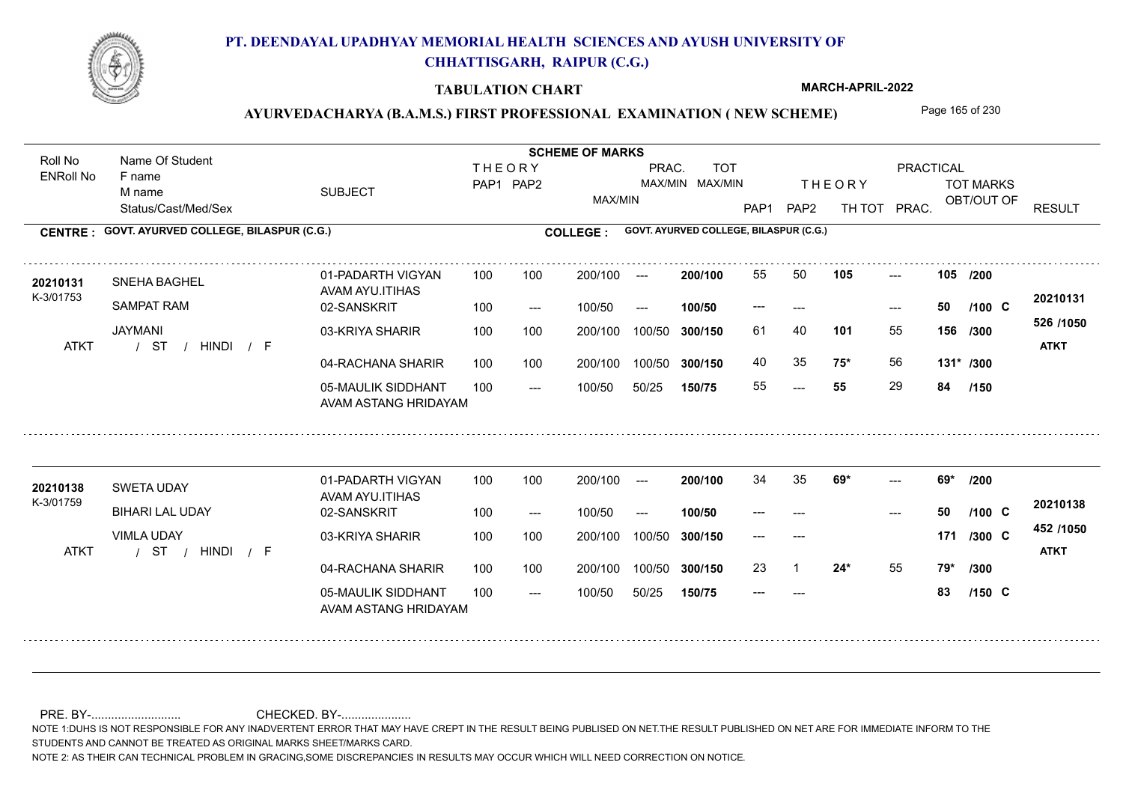

### **TABULATION CHART**

**MARCH-APRIL-2022**

## AYURVEDACHARYA (B.A.M.S.) FIRST PROFESSIONAL EXAMINATION (NEW SCHEME) Page 165 of 230

Status/Cast/Med/Sex SUBJECT TOT MARKS OBT/OUT OF **PRACTICAL** THE ORY TOT MARKS PAP1 PAP2 TH TOT PRAC. Roll No Name Of Student ENRoll No **CENTRE : COLLEGE : GOVT. AYURVED COLLEGE, BILASPUR (C.G.) GOVT. AYURVED COLLEGE, BILASPUR (C.G.) THEORY** PAP1 PAP2 MAX/MIN PRAC. MAX/MIN MAX/MIN TOT RESULT **Name Of Student Contract of Student Act of Student SCHEME OF MARKS** F name M name 01-PADARTH VIGYAN AVAM AYU.ITIHAS 05-MAULIK SIDDHANT AVAM ASTANG HRIDAYAM 04-RACHANA SHARIR 100 100 03-KRIYA SHARIR 100 100 / / / ATKT ST --- --- --- **105 105 /200** 02-SANSKRIT  $100/50$ 100 100 200/100 100/50 300/150 100/50 50/25 **150/75 300/150** 100/50 100 200/100 ---100/50 --- **100/50** 100/50 **300/150 200/100** 100 100 200/100 100/50 300/150  $- - 50$  $- -$  100/50 K-3/01753 SNEHA BAGHEL SAMPAT RAM JAYMANI **101** 55 61 40 **156 /300 75\*** 56 **131\* /300 526 /1050** HINDI F **ATKT 20210131 <sup>20210131</sup>** <sup>55</sup> <sup>50</sup> --- **50 C /100** 40 35 **75\*** 56 55 **55** 29 **84 /150** 01-PADARTH VIGYAN AVAM AYU.ITIHAS 05-MAULIK SIDDHANT 100 AVAM ASTANG HRIDAYAM 04-RACHANA SHARIR 100 100 03-KRIYA SHARIR / / / ATKT ST --- --- --- 02-SANSKRIT 100 --- 100/50 --- 200/100 100/50 **300/150** 100/50 50/25 **150/75 300/150** 100/50 200/100 100 200/100 ---**200/100 100/50** --- 200/100 100/50 200/100 100/50  $- -$  100/50 K-3/01759 SWETA UDAY BIHARI LAL UDAY VIMLA UDAY **69\* 69\* /200 24\*** 55 **79\* /300 452 /1050** HINDI F **ATKT 20210138 20210138** SWETA UDAY 01-PADARTH VIGYAN 100 100 200/100 --- **200/100** 34 35 **69\*** ------ **50 C** --- --- **171 C** 23 1 **24\*** 55 --- **83 C /100 /300 /150**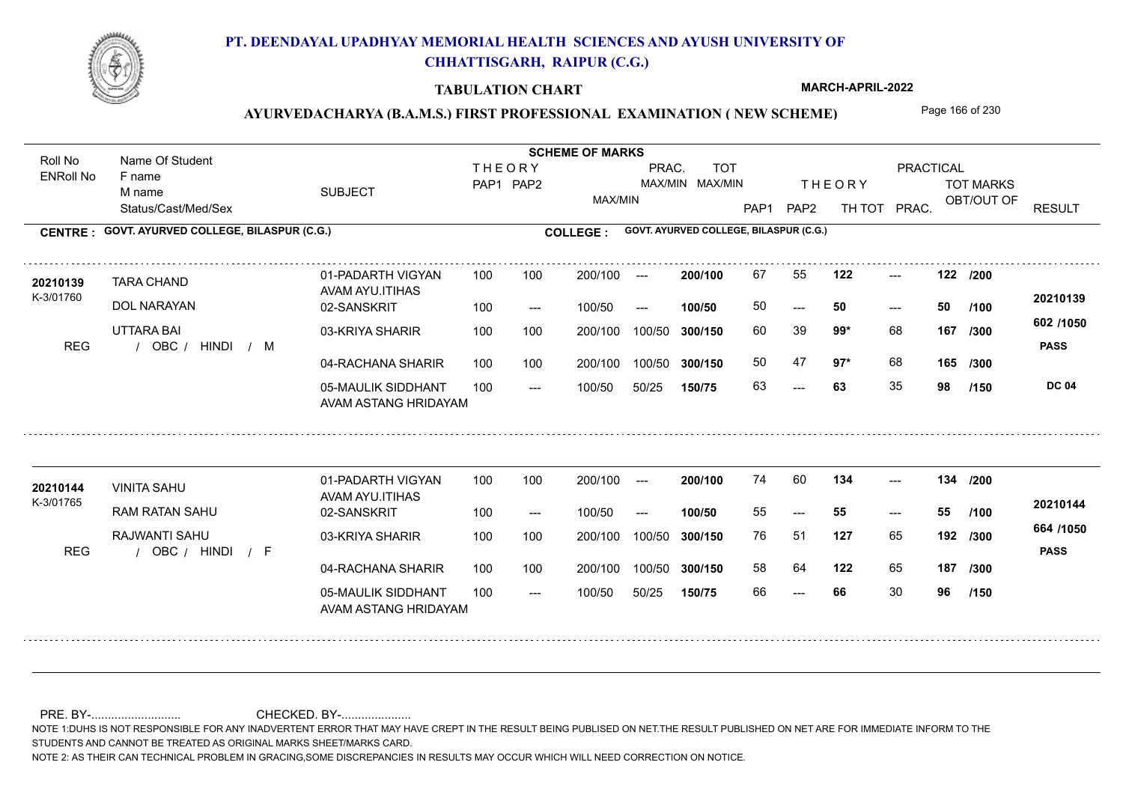

### **TABULATION CHART**

**MARCH-APRIL-2022**

## AYURVEDACHARYA (B.A.M.S.) FIRST PROFESSIONAL EXAMINATION (NEW SCHEME) Page 166 of 230

Status/Cast/Med/Sex SUBJECT TOT MARKS OBT/OUT OF **PRACTICAL** THE ORY TOT MARKS PAP1 PAP2 TH TOT PRAC. Roll No Name Of Student ENRoll No **CENTRE : COLLEGE : GOVT. AYURVED COLLEGE, BILASPUR (C.G.) GOVT. AYURVED COLLEGE, BILASPUR (C.G.) THEORY** PAP1 PAP2 MAX/MIN PRAC. MAX/MIN MAX/MIN TOT RESULT **Name Of Student Contract of Student Act of Student SCHEME OF MARKS** F name M name 01-PADARTH VIGYAN AVAM AYU.ITIHAS 05-MAULIK SIDDHANT AVAM ASTANG HRIDAYAM 04-RACHANA SHARIR 100 100 03-KRIYA SHARIR 100 100 REG / OBC / HINDI / M  $- - 63$  $- - 50$ --- **122 122 /200** 02-SANSKRIT / HINDI M 100 --- 100/50 --- 100 100 200/100 100/50 300/150 100/50 50/25 **150/75 300/150** 100/50 100 200/100 ---100/50 **300/150 200/100 100/50** 100 100 200/100 100/50 300/150  $- - 50$  $- -$  100/50 K-3/01760 TARA CHAND DOL NARAYAN UTTARA BAI **99\*** 68 60 39 **167 /300 97\*** 68 **165 602 /1050 PASS DC 04 /150 20210139 <sup>20210139</sup>** <sup>67</sup> <sup>55</sup> 50 **50 50** 50 47 63 **63** 35 **98 /100 /300** 01-PADARTH VIGYAN AVAM AYU.ITIHAS 05-MAULIK SIDDHANT 100 AVAM ASTANG HRIDAYAM 04-RACHANA SHARIR 100 100 03-KRIYA SHARIR REG / OBC / HINDI / F --- --- --- **134 134 /200** 02-SANSKRIT 100 --- 100/50 --- 200/100 100/50 **300/150** 100/50 50/25 **150/75 300/150** 100/50 200/100 100 200/100 ---**200/100 100/50** --- 200/100 100/50 200/100 100/50  $- -$  100/50 K-3/01765 VINITA SAHU **20210144** RAM RATAN SAHU RAJWANTI SAHU **127** 65 76 51 **192 /300 122** 65 **187 /300 664 /1050** HINDI F **PASS 20210144**  $134$  ---55 **55 55** 58 64 66 **66** 30 **96 /100 /150**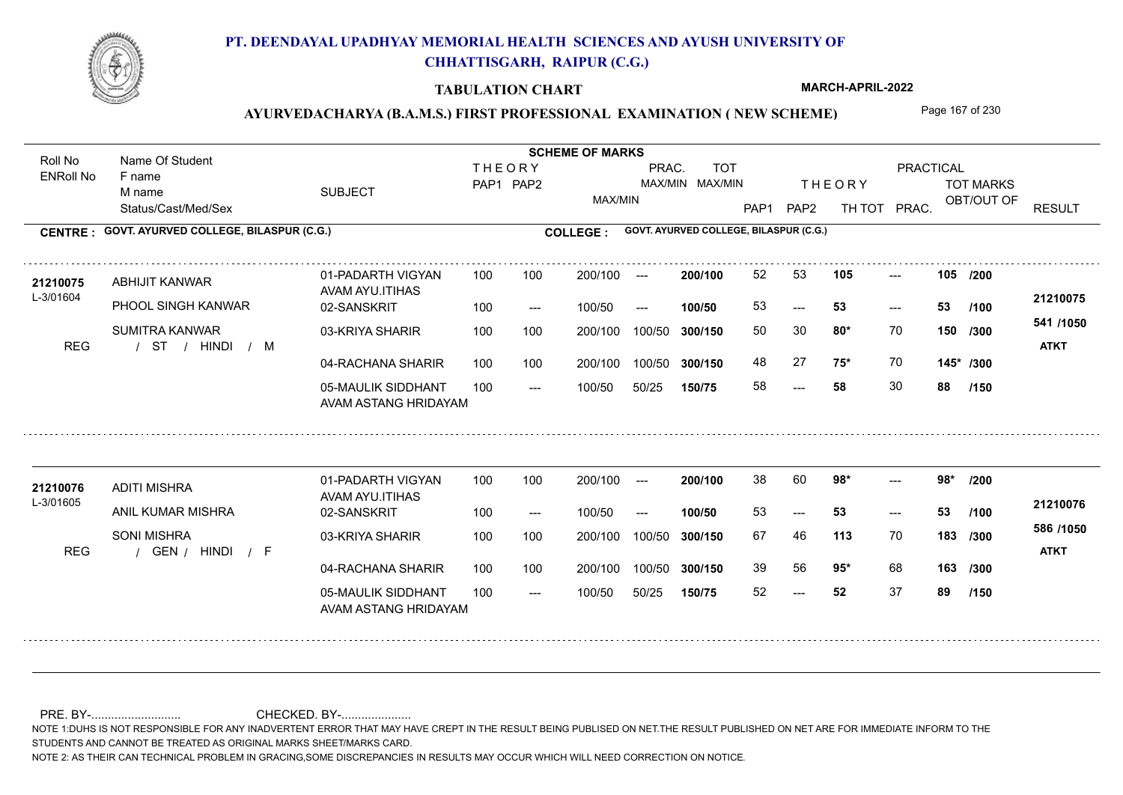

### **TABULATION CHART**

**MARCH-APRIL-2022**

## AYURVEDACHARYA (B.A.M.S.) FIRST PROFESSIONAL EXAMINATION (NEW SCHEME) Page 167 of 230

Status/Cast/Med/Sex SUBJECT TOT MARKS OBT/OUT OF **PRACTICAL** THE ORY TOT MARKS PAP1 PAP2 TH TOT PRAC. Roll No Name Of Student ENRoll No **CENTRE : COLLEGE : GOVT. AYURVED COLLEGE, BILASPUR (C.G.) GOVT. AYURVED COLLEGE, BILASPUR (C.G.) THEORY** PAP1 PAP2 MAX/MIN PRAC. MAX/MIN MAX/MIN TOT RESULT **Name Of Student Contract of Student Act of Student SCHEME OF MARKS** F name M name 01-PADARTH VIGYAN AVAM AYU.ITIHAS 05-MAULIK SIDDHANT AVAM ASTANG HRIDAYAM 04-RACHANA SHARIR 100 100 03-KRIYA SHARIR 100 100 / / / REG ST ---  $-53$ --- **105 105 /200** 02-SANSKRIT 100 --- 100/50 --- 100 100 200/100 100/50 300/150 100/50 50/25 **150/75 300/150** 100/50 100 200/100 ---100/50 **300/150 200/100 100/50** 100 100 200/100 100/50 300/150  $-$  53  $- -$  100/50 L-3/01604 ABHIJIT KANWAR PHOOL SINGH KANWAR SUMITRA KANWAR **80\*** 70 **/300 75\*** 70 **145\* /300 541 /1050** HINDI M **ATKT 21210075 <sup>21210075</sup>** <sup>52</sup> <sup>53</sup> 53 **53 53** 50 30 **150** 48 27 **75\*** 70 58 **58** 30 **88 /100 /150** 01-PADARTH VIGYAN AVAM AYU.ITIHAS 05-MAULIK SIDDHANT 100 AVAM ASTANG HRIDAYAM 04-RACHANA SHARIR 100 100 03-KRIYA SHARIR REG / GEN / HINDI / F --- --- 53  $-$  98\* 02-SANSKRIT 100 --- 100/50 --- 200/100 100/50 **300/150** 100/50 50/25 **150/75 300/150** 100/50 200/100 100 200/100 ---**200/100 100/50** --- 200/100 100/50 200/100 100/50  $- -$  100/50 L-3/01605 ADITI MISHRA ANIL KUMAR MISHRA SONI MISHRA **98\* 98\* /200 113** 70 **183** /300 **1000 95\*** 68 **163 /300 586 /1050** HINDI F **ATKT 21210076 <sup>21210076</sup>** <sup>38</sup> <sup>60</sup> 53 **53 53** 67 46 **183** 39 56 **95**\* 68 52 **52** 37 **89 /100 /150**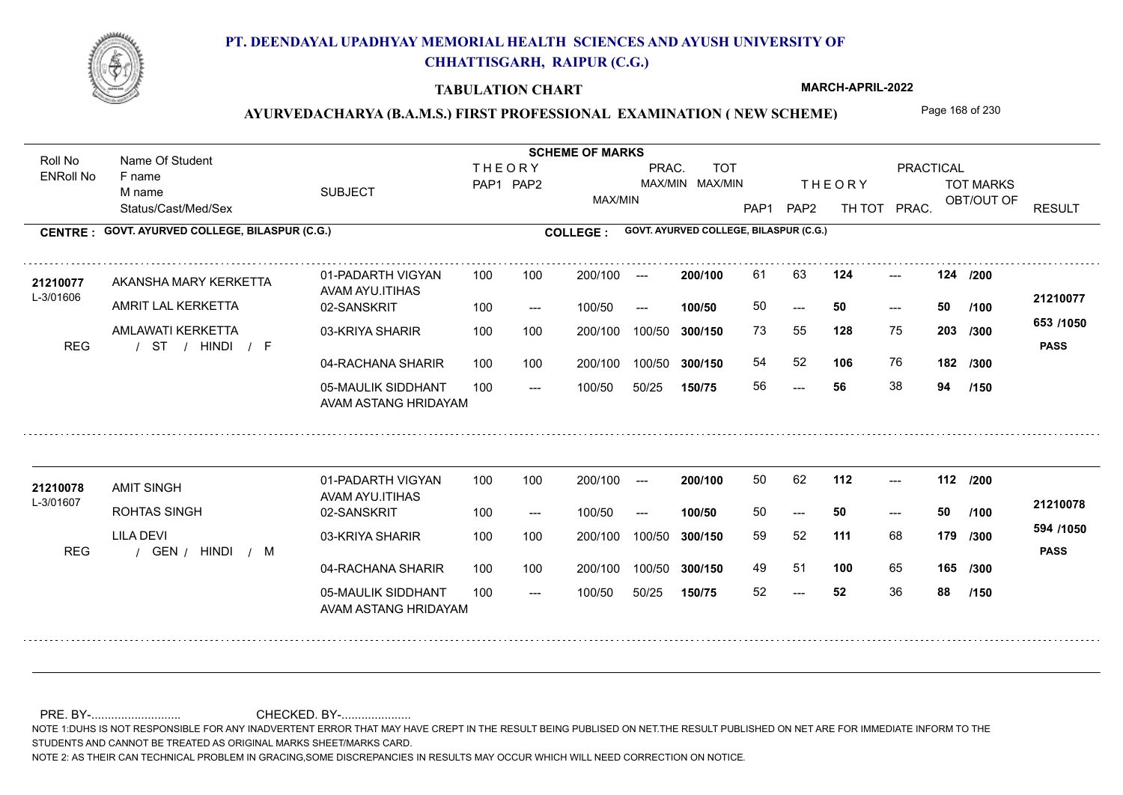

### **TABULATION CHART**

**MARCH-APRIL-2022**

## AYURVEDACHARYA (B.A.M.S.) FIRST PROFESSIONAL EXAMINATION (NEW SCHEME) Page 168 of 230

Status/Cast/Med/Sex SUBJECT TOT MARKS OBT/OUT OF **PRACTICAL** THE ORY TOT MARKS PAP1 PAP2 TH TOT PRAC. Roll No Name Of Student ENRoll No **CENTRE : COLLEGE : GOVT. AYURVED COLLEGE, BILASPUR (C.G.) GOVT. AYURVED COLLEGE, BILASPUR (C.G.) THEORY** PAP1 PAP2 MAX/MIN PRAC. MAX/MIN MAX/MIN TOT RESULT **Name Of Student Contract of Student Act of Student SCHEME OF MARKS** F name M name 01-PADARTH VIGYAN AVAM AYU.ITIHAS 05-MAULIK SIDDHANT AVAM ASTANG HRIDAYAM 04-RACHANA SHARIR 100 100 03-KRIYA SHARIR 100 100 / / / REG ST ---  $- - 50$ --- **124 124 /200** 02-SANSKRIT 100 --- 100/50 --- 100 100 200/100 100/50 300/150 100/50 50/25 **150/75 300/150** 100/50 100 200/100 ---100/50 **300/150 200/100 100/50** 100 100 200/100 100/50 300/150  $- - 50$  $- -$  100/50 L-3/01606 AKANSHA MARY KERKETTA AMRIT LAL KERKETTA AMLAWATI KERKETTA **128** 75 **/300 106** 76 **182 653 /1050** HINDI F **PASS 21210077** 21210077 AKANSHA MARY KERKETTA 01-PADARTH VIGYAN 100 100 200/100 --- **200/100 61 63 124** ---50 **50 50** 73 55 **203** 54 52 **106** 76 56 **56** 38 **94 /100 /300 /150** 01-PADARTH VIGYAN AVAM AYU.ITIHAS 05-MAULIK SIDDHANT 100 AVAM ASTANG HRIDAYAM 04-RACHANA SHARIR 100 100 03-KRIYA SHARIR REG / GEN / HINDI / M --- --- --- **112 112 /200** 02-SANSKRIT 100 --- 100/50 --- 200/100 100/50 **300/150** 100/50 50/25 **150/75 300/150** 100/50 200/100 100 200/100 ---**200/100 100/50** --- 200/100 100/50 200/100 100/50  $- -$  100/50 L-3/01607 AMIT SINGH ROHTAS SINGH LILA DEVI **111** 68 59 52 **179 /300 100** 65 **165 /300 594 /1050** HINDI M **PASS 21210078** 21210078 AMIT SINGH 01-PADARTH VIGYAN 100 100 200/100 --- **200/100 50 62 112 ---**-50 **50 50** 49 51 **100** 65 52 **52** 36 **88 /100 /150**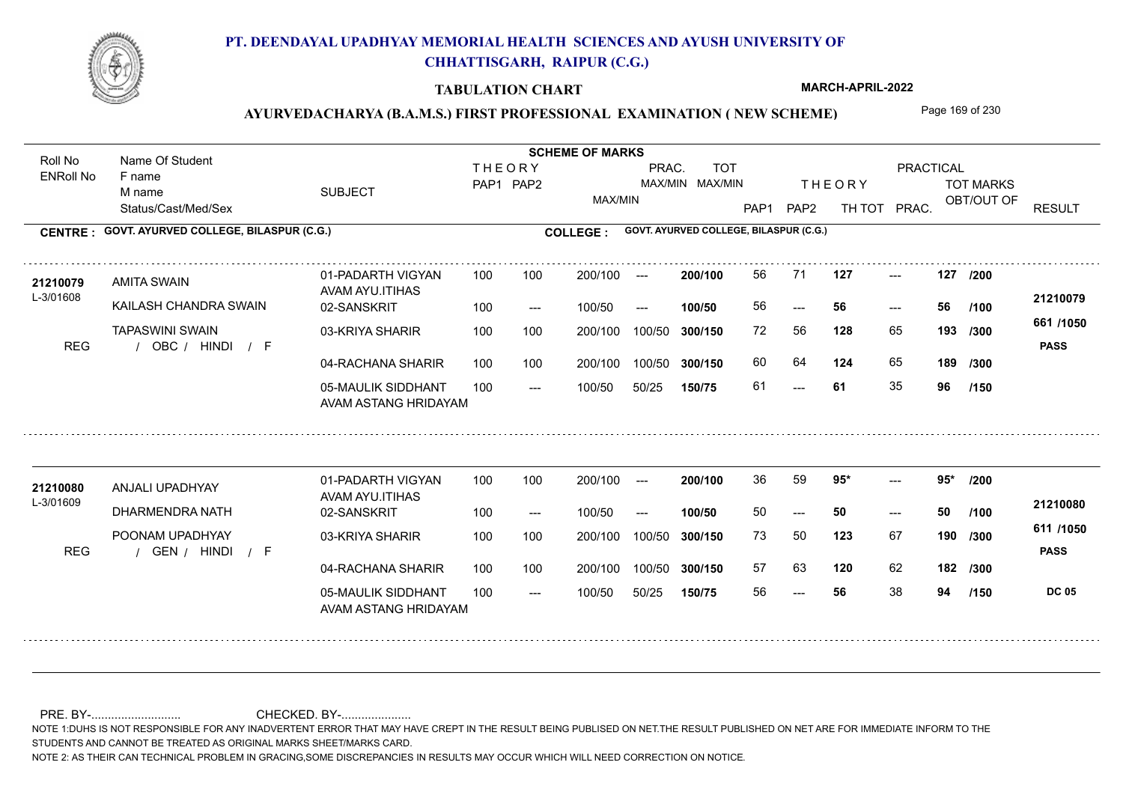

### **TABULATION CHART**

**MARCH-APRIL-2022**

## AYURVEDACHARYA (B.A.M.S.) FIRST PROFESSIONAL EXAMINATION (NEW SCHEME) Page 169 of 230

Status/Cast/Med/Sex SUBJECT TOT MARKS OBT/OUT OF **PRACTICAL** THE ORY TOT MARKS PAP1 PAP2 TH TOT PRAC. Roll No Name Of Student ENRoll No **CENTRE : COLLEGE : GOVT. AYURVED COLLEGE, BILASPUR (C.G.) GOVT. AYURVED COLLEGE, BILASPUR (C.G.) THEORY** PAP1 PAP2 MAX/MIN PRAC. MAX/MIN MAX/MIN TOT RESULT **Name Of Student Contract of Student Act of Student SCHEME OF MARKS** F name M name 01-PADARTH VIGYAN AVAM AYU.ITIHAS 05-MAULIK SIDDHANT AVAM ASTANG HRIDAYAM 04-RACHANA SHARIR 100 100 03-KRIYA SHARIR 100 100 REG / OBC / HINDI / F --- --- --- **127 127 /200** 02-SANSKRIT 100 --- 100/50 --- 100 100 200/100 100/50 300/150 100/50 50/25 **150/75 300/150** 100/50 100 200/100 ---100/50 **300/150 200/100 100/50** 100 100 200/100 100/50 300/150  $- - 56$  $- -$  100/50 L-3/01608 AMITA SWAIN KAILASH CHANDRA SWAIN TAPASWINI SWAIN **128** 65 **/300 124** 65 **189 661 /1050** HINDI F **PASS 21210079** 21210079 AMITA SWAIN 01-PADARTH VIGYAN 100 100 200/100 --- **200/100 56 71 127 ---**-56 **56 56** 72 56 **193** 60 64 **124** 65 61 **61** 35 **96 /100 /300 /150** 01-PADARTH VIGYAN AVAM AYU.ITIHAS 05-MAULIK SIDDHANT 100 AVAM ASTANG HRIDAYAM 04-RACHANA SHARIR 100 100 03-KRIYA SHARIR REG / GEN / HINDI / F --- ---  $- - 95$ 02-SANSKRIT 100 --- 100/50 --- 200/100 100/50 **300/150** 100/50 50/25 **150/75 300/150** 100/50 200/100 100 200/100 ---**200/100 100/50** --- 200/100 100/50 200/100 100/50  $- -$  100/50 L-3/01609 ANJALI UPADHYAY DHARMENDRA NATH POONAM UPADHYAY **95\* 95\* /200 123** 67 **190** /300 **11111000 120** 62 **182 /300 611 /1050 PASS DC 05 /150 21210080 <sup>21210080</sup>** <sup>36</sup> <sup>59</sup> 50 **50 50** 73 50 **190** 57 63 56 **56** 38 **94 /100**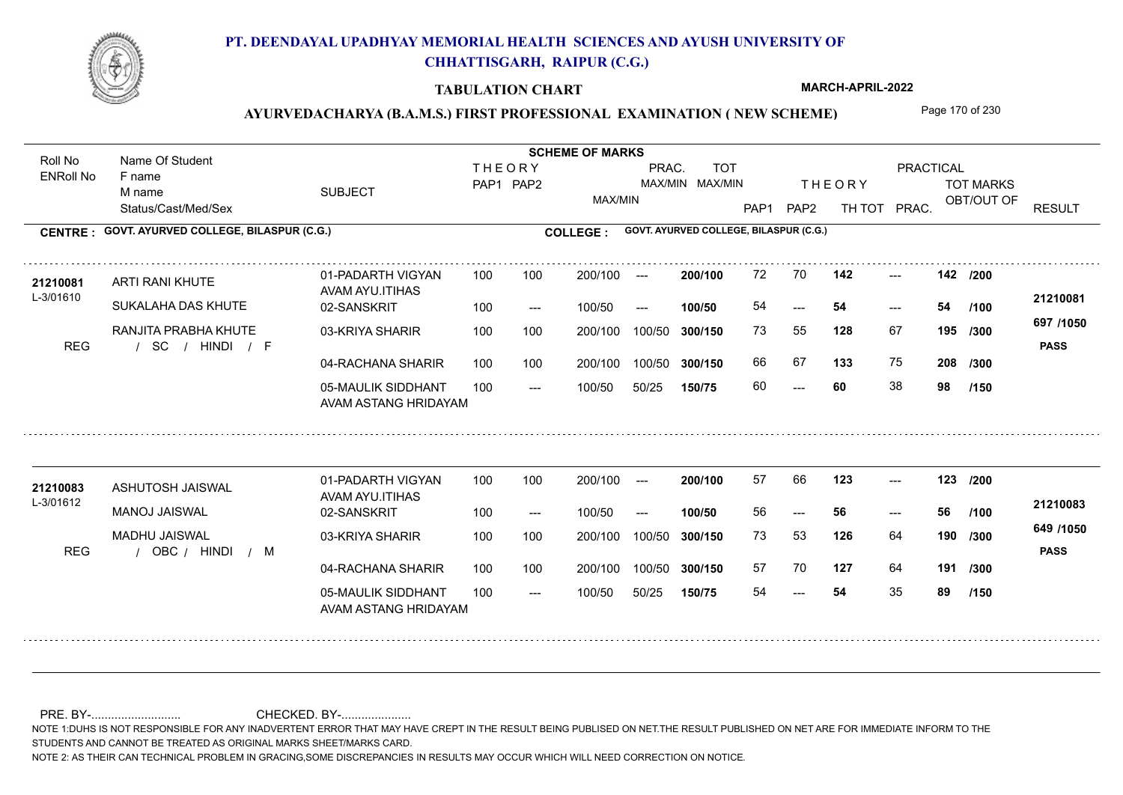

### **TABULATION CHART**

**MARCH-APRIL-2022**

## AYURVEDACHARYA (B.A.M.S.) FIRST PROFESSIONAL EXAMINATION (NEW SCHEME) Page 170 of 230

Status/Cast/Med/Sex SUBJECT TOT MARKS OBT/OUT OF **PRACTICAL** THE ORY TOT MARKS PAP1 PAP2 TH TOT PRAC. Roll No Name Of Student ENRoll No **CENTRE : COLLEGE : GOVT. AYURVED COLLEGE, BILASPUR (C.G.) GOVT. AYURVED COLLEGE, BILASPUR (C.G.) THEORY** PAP1 PAP2 MAX/MIN PRAC. MAX/MIN MAX/MIN TOT RESULT **Name Of Student Contract of Student Act of Student SCHEME OF MARKS** F name M name 01-PADARTH VIGYAN AVAM AYU.ITIHAS 05-MAULIK SIDDHANT AVAM ASTANG HRIDAYAM 04-RACHANA SHARIR 100 100 03-KRIYA SHARIR 100 100 / / / REG SC --- --- --- **142 142 /200** 02-SANSKRIT 100 --- 100/50 --- 100 100 200/100 100/50 300/150 100/50 50/25 **150/75 300/150** 100/50 100 200/100 ---100/50 **300/150 200/100 100/50** 100 100 200/100 100/50 300/150  $- - 54$  $- -$  100/50 L-3/01610 ARTI RANI KHUTE **21210081** SUKALAHA DAS KHUTE RANJITA PRABHA KHUTE **128** 67 73 55 **195 /300 133** 75 **208 697 /1050** HINDI F **PASS 21210081**  $142$   $-$ 54 **54 54** 66 67 **133** 75 60 **60** 38 **98 /100 /300 /150** 01-PADARTH VIGYAN AVAM AYU.ITIHAS 05-MAULIK SIDDHANT 100 AVAM ASTANG HRIDAYAM 04-RACHANA SHARIR 100 100 03-KRIYA SHARIR
100 100 REG / OBC / HINDI / M --- --- --- **123 123 /200** 02-SANSKRIT 100 --- 100/50 --- 200/100 100/50 **300/150** 100/50 50/25 **150/75 300/150** 100/50 200/100 100 200/100 ---**200/100 100/50** --- 200/100 100/50 200/100 100/50  $- -$  100/50 L-3/01612 ASHUTOSH JAISWAL MANOJ JAISWAL MADHU JAISWAL **126** 64 **/300 127** 64 **191 /300 649 /1050** HINDI M **PASS 21210083 <sup>21210083</sup>** <sup>57</sup> <sup>66</sup> 56 **56 56** 73 53 **190** 57 70 54 **54** 35 **89 /100 /150**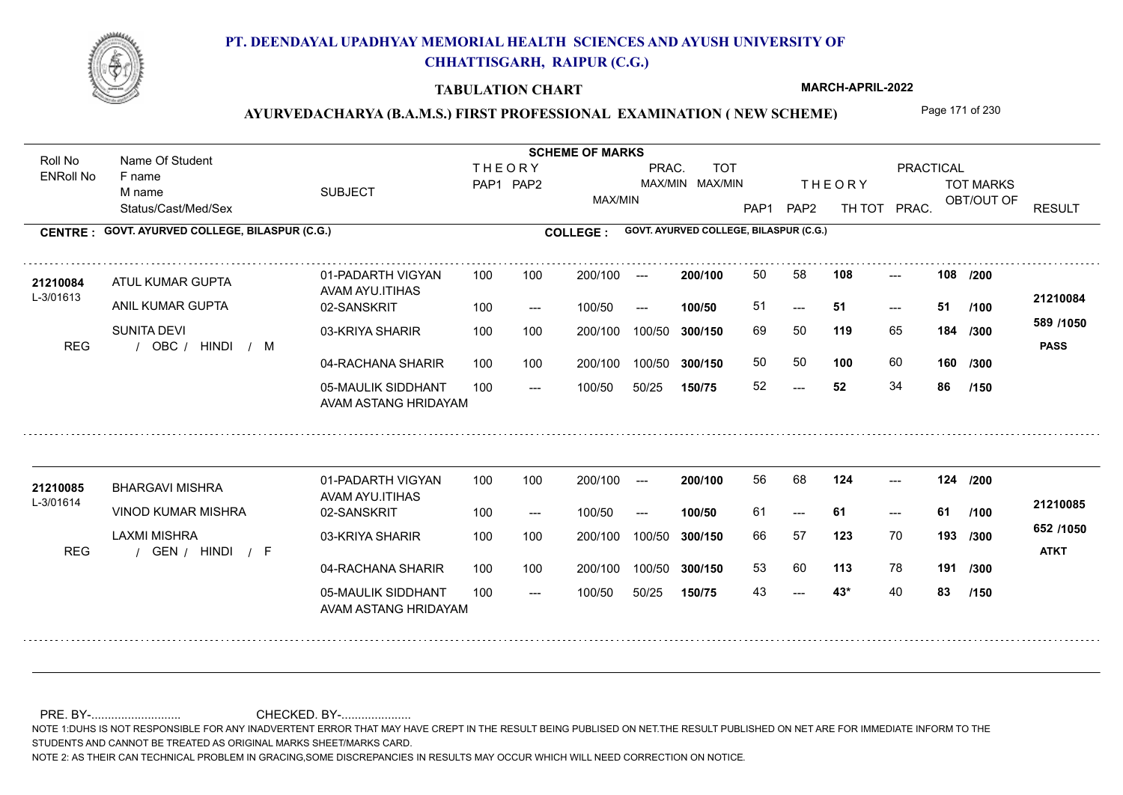

### **TABULATION CHART**

**MARCH-APRIL-2022**

## AYURVEDACHARYA (B.A.M.S.) FIRST PROFESSIONAL EXAMINATION (NEW SCHEME) Page 171 of 230

Status/Cast/Med/Sex SUBJECT TOT MARKS OBT/OUT OF **PRACTICAL** THE ORY TOT MARKS PAP1 PAP2 TH TOT PRAC. Roll No Name Of Student ENRoll No **CENTRE : COLLEGE : GOVT. AYURVED COLLEGE, BILASPUR (C.G.) GOVT. AYURVED COLLEGE, BILASPUR (C.G.) THEORY** PAP1 PAP2 MAX/MIN PRAC. MAX/MIN MAX/MIN TOT RESULT **Name Of Student Contract of Student Act of Student SCHEME OF MARKS** F name M name 01-PADARTH VIGYAN AVAM AYU.ITIHAS 05-MAULIK SIDDHANT AVAM ASTANG HRIDAYAM 04-RACHANA SHARIR 100 100 03-KRIYA SHARIR 100 100 REG / OBC / HINDI / M  $-52$  $-51$ --- 02-SANSKRIT 100 --- 100/50 --- 100 100 200/100 100/50 300/150 100/50 50/25 **150/75 300/150** 100/50 100 200/100 ---100/50 **300/150 200/100 100/50** 100 100 200/100 100/50 300/150  $- - 51$  $- -$  100/50 L-3/01613 ATUL KUMAR GUPTA ANIL KUMAR GUPTA SUNITA DEVI **108 108 119** 65 69 50 **184 /300 100** 60 **160 589 /1050** HINDI M **PASS 21210084** 21210084 ATUL KUMAR GUPTA 01-PADARTH VIGYAN 100 100 200/100 --- **200/100** 50 58 **108** ---51 **51 51** 50 50 52 **52** 34 **86 /200 /100 /300 /150** 01-PADARTH VIGYAN AVAM AYU.ITIHAS 05-MAULIK SIDDHANT 100 AVAM ASTANG HRIDAYAM 04-RACHANA SHARIR 100 100 03-KRIYA SHARIR
100 100 REG / GEN / HINDI / F  $- - 43*$ --- --- **124 124 /200** 02-SANSKRIT 100 --- 100/50 --- 200/100 100/50 **300/150** 100/50 50/25 **150/75 300/150** 100/50 200/100 100 200/100 ---**200/100 100/50** --- 200/100 100/50 200/100 100/50  $- -$  100/50 L-3/01614 BHARGAVI MISHRA VINOD KUMAR MISHRA LAXMI MISHRA **123** 70 66 57 **193 /300 113** 78 **191 /300 652 /1050** HINDI F **ATKT 21210085 <sup>21210085</sup>** <sup>56</sup> <sup>68</sup> 61 **61 61** 53 60 43 **43\*** 40 **83 /100 /150**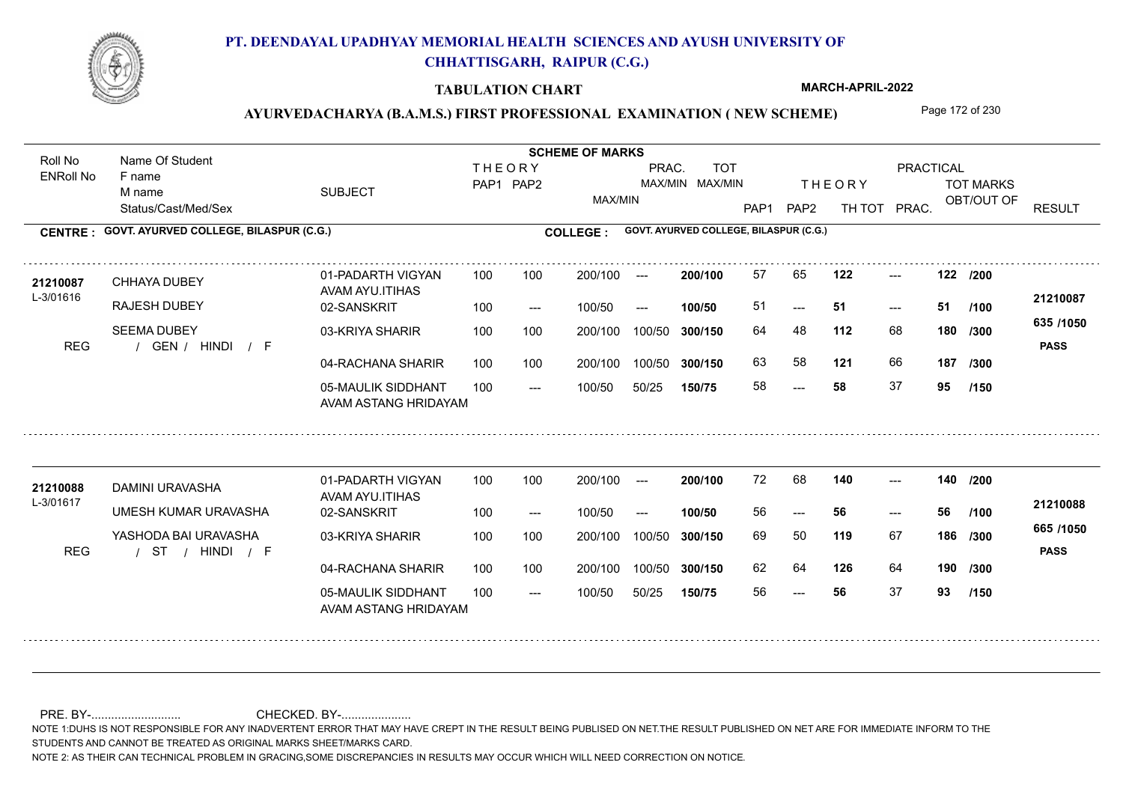

### **TABULATION CHART**

**MARCH-APRIL-2022**

## AYURVEDACHARYA (B.A.M.S.) FIRST PROFESSIONAL EXAMINATION (NEW SCHEME) Page 172 of 230

Status/Cast/Med/Sex SUBJECT TOT MARKS OBT/OUT OF **PRACTICAL** THE ORY TOT MARKS PAP1 PAP2 TH TOT PRAC. Roll No Name Of Student ENRoll No **CENTRE : COLLEGE : GOVT. AYURVED COLLEGE, BILASPUR (C.G.) GOVT. AYURVED COLLEGE, BILASPUR (C.G.) THEORY** PAP1 PAP2 MAX/MIN PRAC. MAX/MIN MAX/MIN TOT RESULT **Name Of Student Contract of Student Act of Student SCHEME OF MARKS** F name M name 01-PADARTH VIGYAN AVAM AYU.ITIHAS 05-MAULIK SIDDHANT AVAM ASTANG HRIDAYAM 04-RACHANA SHARIR 100 100 03-KRIYA SHARIR 100 100 REG / GEN / HINDI / F ---  $-51$ --- **122 122 /200** 02-SANSKRIT  $100/50$ 100 100 200/100 100/50 300/150 100/50 50/25 **150/75 300/150** 100/50 100 200/100 ---100/50 --- **100/50** 100/50 **300/150 200/100** 100 100 200/100 100/50 300/150  $- - 51$  $- -$  100/50 L-3/01616 CHHAYA DUBEY RAJESH DUBEY SEEMA DUBEY **112** 68 **/300 121** 66 **187 635 /1050** HINDI F **PASS 21210087 <sup>21210087</sup>** <sup>57</sup> <sup>65</sup> 51 **51 51** 64 48 **180** 63 58 **121** 66 58 **58** 37 **95 /100 /300 /150** 01-PADARTH VIGYAN AVAM AYU.ITIHAS 05-MAULIK SIDDHANT 100 AVAM ASTANG HRIDAYAM 04-RACHANA SHARIR 100 100 03-KRIYA SHARIR
100 100 / / / REG ST --- --- --- 02-SANSKRIT 100 --- 100/50 --- 200/100 100/50 **300/150** 100/50 50/25 **150/75 300/150** 100/50 200/100 100 200/100 ---**200/100 100/50** --- 200/100 100/50 200/100 100/50  $- -$  100/50 L-3/01617 DAMINI URAVASHA **21210088** UMESH KUMAR URAVASHA YASHODA BAI URAVASHA **140 140 /200 119** 67 **/300 126** 64 **190 /300 665 /1050** HINDI F **PASS 21210088** 72 68 56 **56 56** 69 50 **186** 62 64 56 **56** 37 **93 /100 /150**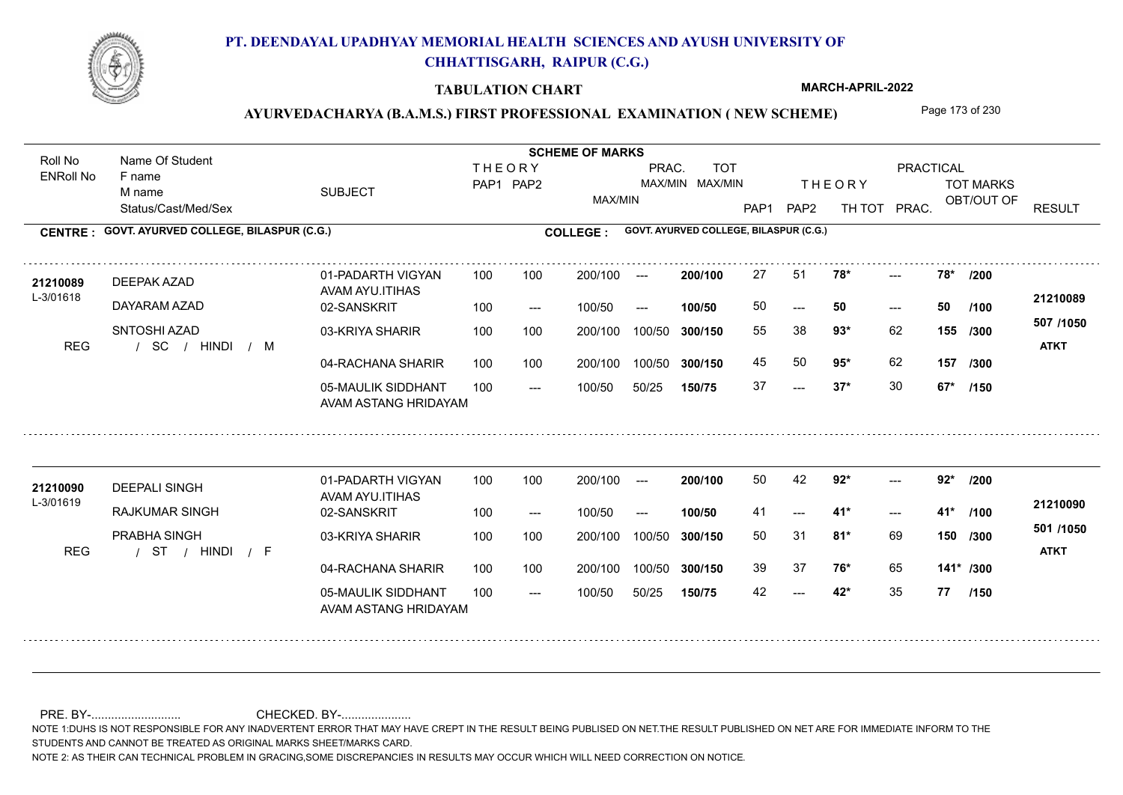

### **TABULATION CHART**

**MARCH-APRIL-2022**

## AYURVEDACHARYA (B.A.M.S.) FIRST PROFESSIONAL EXAMINATION (NEW SCHEME) Page 173 of 230

Status/Cast/Med/Sex SUBJECT TOT MARKS OBT/OUT OF **PRACTICAL** THE ORY TOT MARKS PAP1 PAP2 TH TOT PRAC. Roll No Name Of Student ENRoll No **CENTRE : COLLEGE : GOVT. AYURVED COLLEGE, BILASPUR (C.G.) GOVT. AYURVED COLLEGE, BILASPUR (C.G.) THEORY** PAP1 PAP2 MAX/MIN PRAC. MAX/MIN MAX/MIN TOT RESULT **Name Of Student Contract of Student Act of Student SCHEME OF MARKS** F name M name 01-PADARTH VIGYAN AVAM AYU.ITIHAS 05-MAULIK SIDDHANT AVAM ASTANG HRIDAYAM 04-RACHANA SHARIR 100 100 03-KRIYA SHARIR 100 100 / / / REG SC  $-2$  37\*  $- - 50$  $-28$ \* 02-SANSKRIT  $100/50$ 100 100 200/100 100/50 300/150 100/50 50/25 **150/75 300/150** 100/50 100 200/100 ---100/50 --- **100/50** 100/50 **300/150 200/100** 100 100 200/100 100/50 300/150  $- - 50$  $- -$  100/50 L-3/01618 DEEPAK AZAD **21210089** DAYARAM AZAD SNTOSHI AZAD **78\* 78\* /200 93\*** 62 55 38 **155 /300 95\*** 62 **157 507 /1050** HINDI M **ATKT 21210089** 27 51 **78\*** ---50 **50 50** 45 50 **95**\* 62 37 **37\*** 30 **67\* /100 /300 /150** 01-PADARTH VIGYAN AVAM AYU.ITIHAS 05-MAULIK SIDDHANT 100 AVAM ASTANG HRIDAYAM 04-RACHANA SHARIR 100 100 03-KRIYA SHARIR
100 100 / / / REG ST  $- - 42$ \*  $- - 41$ \*  $-2$  92\* 02-SANSKRIT 100 --- 100/50 --- 200/100 100/50 **300/150** 100/50 50/25 **150/75 300/150** 100/50 200/100 100 200/100 ---**200/100 100/50**  $- - 41$  \* 200/100 100/50 200/100 100/50  $- -$  100/50 L-3/01619 DEEPALI SINGH RAJKUMAR SINGH PRABHA SINGH **92\* 92\* /200 81\*** 69 **/300 76\*** 65 **141\* /300 501 /1050** HINDI F **ATKT 21210090 <sup>21210090</sup>** <sup>50</sup> <sup>42</sup> 41 **41\* 41\*** 50 31 **150** 39 37 **76\*** 65 42 **42\*** 35 **77 /100 /150**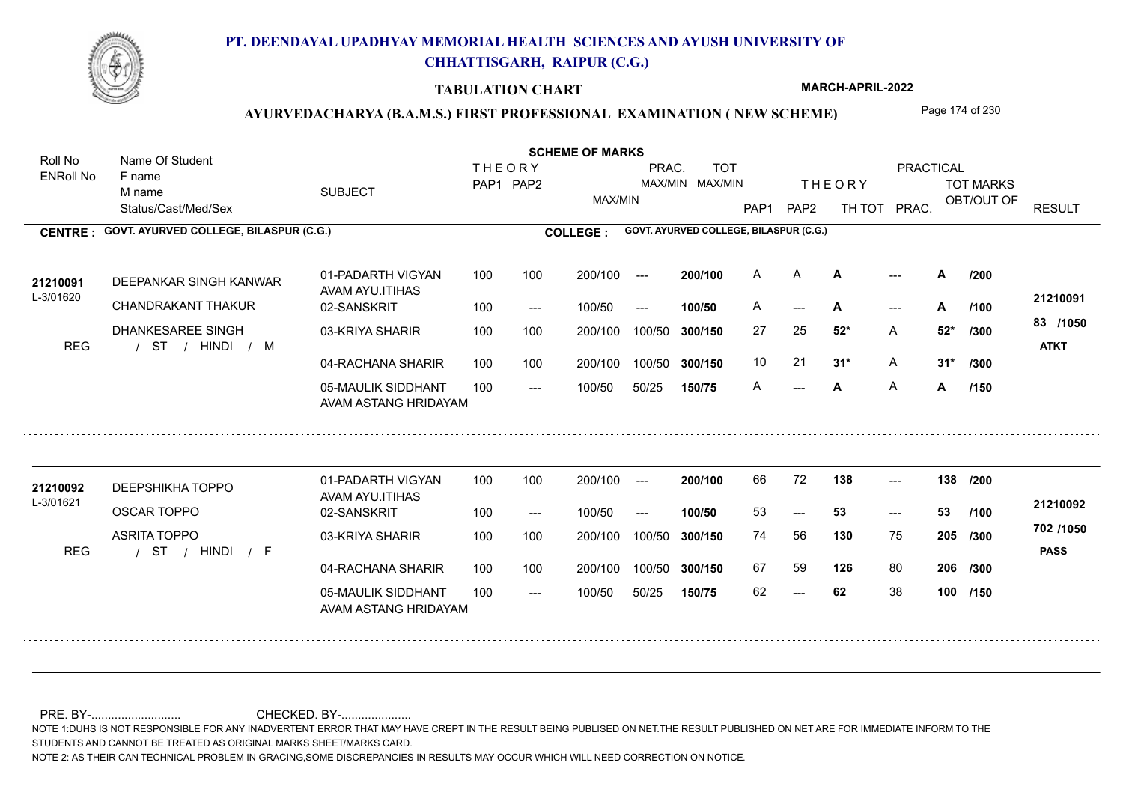

### **TABULATION CHART**

**MARCH-APRIL-2022**

## AYURVEDACHARYA (B.A.M.S.) FIRST PROFESSIONAL EXAMINATION (NEW SCHEME) Page 174 of 230

Status/Cast/Med/Sex SUBJECT TOT MARKS OBT/OUT OF **PRACTICAL** THE ORY TOT MARKS PAP1 PAP2 TH TOT PRAC. Roll No Name Of Student ENRoll No **CENTRE : COLLEGE : GOVT. AYURVED COLLEGE, BILASPUR (C.G.) GOVT. AYURVED COLLEGE, BILASPUR (C.G.) THEORY** PAP1 PAP2 MAX/MIN PRAC. MAX/MIN MAX/MIN TOT RESULT **Name Of Student Contract of Student Act of Student SCHEME OF MARKS** F name M name 01-PADARTH VIGYAN AVAM AYU.ITIHAS 05-MAULIK SIDDHANT AVAM ASTANG HRIDAYAM 04-RACHANA SHARIR 100 100 03-KRIYA SHARIR 100 100 / / / REG ST --- **A** ---  $\mathsf{A}$ 02-SANSKRIT 100 --- 100/50 --- 100 100 200/100 100/50 300/150 100/50 50/25 **150/75 300/150** 100/50 100 200/100 ---100/50 **300/150 200/100 100/50** 100 100 200/100 100/50 300/150 --- **/100**  $- -$  100/50 L-3/01620 DEEPANKAR SINGH KANWAR **21210091** CHANDRAKANT THAKUR DHANKESAREE SINGH **A**  $\rightarrow$  **A**  $/200$ **52\*** A **/300 31\*** A **31\* /300 83 /1050** HINDI M **ATKT 21210091** A **A A** --- **A** A --- **A** --- **A** /100 <del>-</del>11-10001 27 25 **52\*** 10 21 **31**\* A A **A** A **A /200 /150** 01-PADARTH VIGYAN AVAM AYU.ITIHAS 05-MAULIK SIDDHANT 100 AVAM ASTANG HRIDAYAM 04-RACHANA SHARIR 100 100 03-KRIYA SHARIR
100 100 / / / REG ST --- --- 53 --- **138 138 /200** 02-SANSKRIT 100 --- 100/50 --- 200/100 100/50 **300/150** 100/50 50/25 **150/75 300/150** 100/50 200/100 100 200/100 ---**200/100 100/50** --- 200/100 100/50 200/100 100/50  $- -$  100/50 L-3/01621 DEEPSHIKHA TOPPO OSCAR TOPPO ASRITA TOPPO **130** 75 74 56 **205 /300 126** 80 **206 /300 702 /1050** HINDI F **PASS 21210092** 21210092 DEEPSHIKHA TOPPO 01-PADARTH VIGYAN 100 100 200/100 --- **200/100** 66 72 **138** ---53 **53 53** 67 59 126 80 62 **62** 38 **100 /100 /150**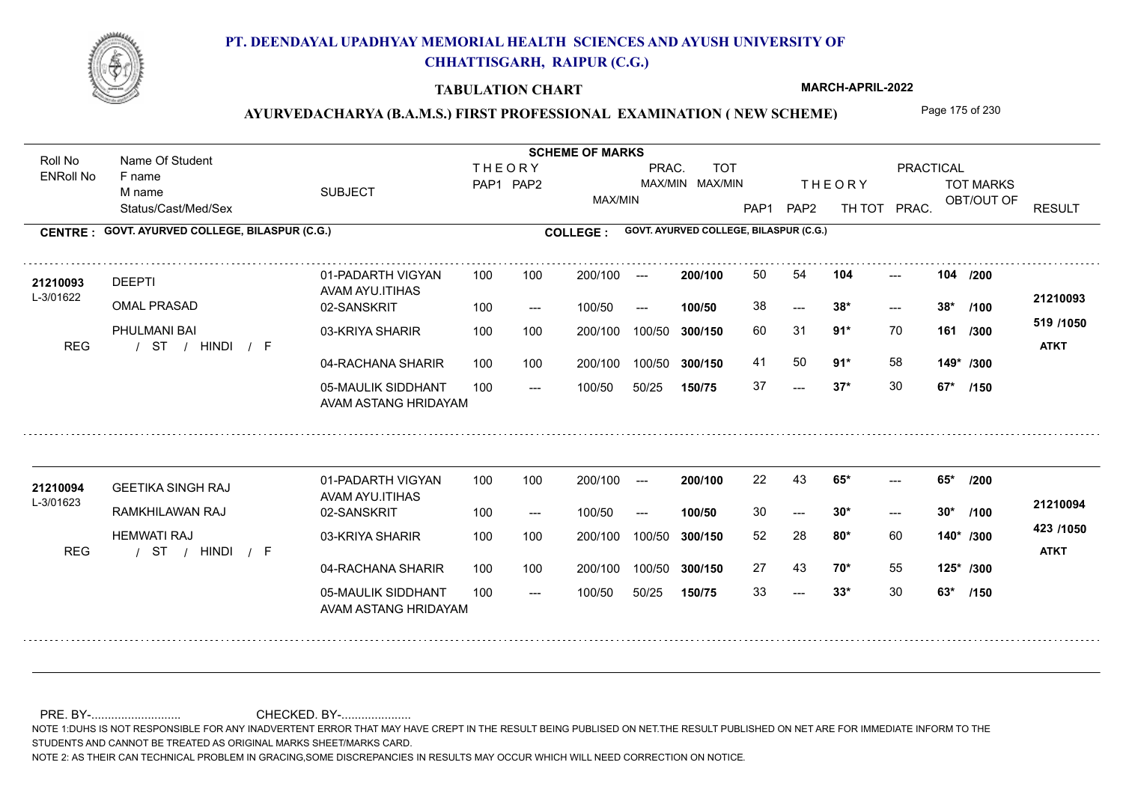

### **TABULATION CHART**

**MARCH-APRIL-2022**

## AYURVEDACHARYA (B.A.M.S.) FIRST PROFESSIONAL EXAMINATION (NEW SCHEME) Page 175 of 230

Status/Cast/Med/Sex SUBJECT TOT MARKS OBT/OUT OF **PRACTICAL** THE ORY TOT MARKS PAP1 PAP2 TH TOT PRAC. Roll No Name Of Student ENRoll No **CENTRE : COLLEGE : GOVT. AYURVED COLLEGE, BILASPUR (C.G.) GOVT. AYURVED COLLEGE, BILASPUR (C.G.) THEORY** PAP1 PAP2 MAX/MIN PRAC. MAX/MIN MAX/MIN TOT RESULT **Name Of Student Contract of Student Act of Student SCHEME OF MARKS** F name M name 01-PADARTH VIGYAN AVAM AYU.ITIHAS 05-MAULIK SIDDHANT AVAM ASTANG HRIDAYAM 04-RACHANA SHARIR 100 100 03-KRIYA SHARIR 100 100 / / / REG ST  $-2$  37\*  $- - 38*$ --- 02-SANSKRIT  $100/50$ 100 100 200/100 100/50 300/150 100/50 50/25 **150/75 300/150** 100/50 100 200/100 ---100/50 --- **100/50** 100/50 **300/150 200/100** 100 100 200/100 100/50 300/150  $- - 38$ \*  $- -$  100/50 L-3/01622 DEEPTI OMAL PRASAD PHULMANI BAI **104 104 91\*** 70 60 31 **161 /300 91\*** 58 **149\* /300 519 /1050** HINDI F **ATKT 21210093 <sup>21210093</sup>** <sup>50</sup> <sup>54</sup> 38 **38\* 38\*** 41 50 **91**\* 58 37 **37\*** 30 **67\* /200 /100 /150** 01-PADARTH VIGYAN AVAM AYU.ITIHAS 05-MAULIK SIDDHANT 100 AVAM ASTANG HRIDAYAM 04-RACHANA SHARIR 100 100 03-KRIYA SHARIR
100 100 / / / REG ST  $-2$  33\*  $- - 30*$  $- - 65$ 02-SANSKRIT 100 --- 100/50 --- 200/100 100/50 **300/150** 100/50 50/25 **150/75 300/150** 100/50 200/100 100 200/100 ---**200/100 100/50**  $-2$  30\* 200/100 100/50 200/100 100/50  $- -$  100/50 L-3/01623 GEETIKA SINGH RAJ **21210094** RAMKHILAWAN RAJ HEMWATI RAJ **65\* 65\* /200 80\*** 60 52 28 **140\* /300 70\*** 55 **125\* /300 423 /1050** HINDI F **ATKT 21210094** 22 43 **65\*** ---30 **30\* 30\*** 27 43 **70\*** 55 33 **33\*** 30 **63\* /100 /150**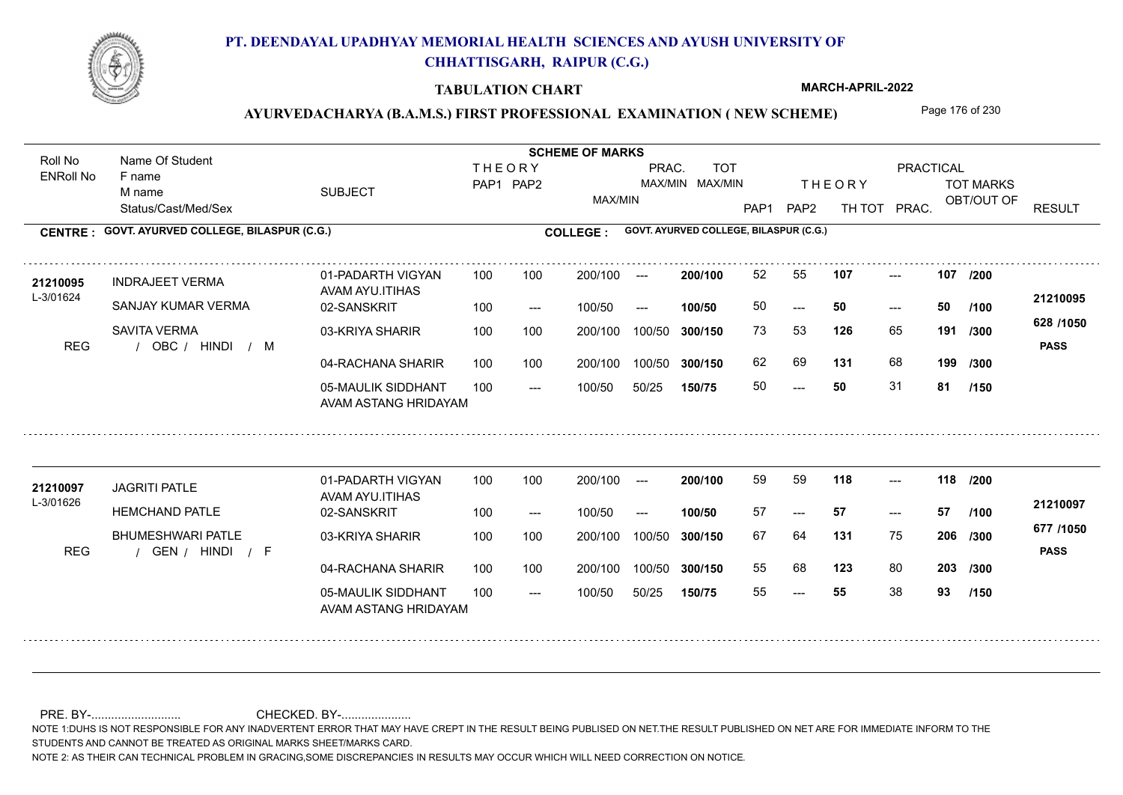

### **TABULATION CHART**

**MARCH-APRIL-2022**

## AYURVEDACHARYA (B.A.M.S.) FIRST PROFESSIONAL EXAMINATION (NEW SCHEME) Page 176 of 230

Status/Cast/Med/Sex SUBJECT TOT MARKS OBT/OUT OF **PRACTICAL** THE ORY TOT MARKS PAP1 PAP2 TH TOT PRAC. Roll No Name Of Student ENRoll No **CENTRE : COLLEGE : GOVT. AYURVED COLLEGE, BILASPUR (C.G.) GOVT. AYURVED COLLEGE, BILASPUR (C.G.) THEORY** PAP1 PAP2 MAX/MIN PRAC. MAX/MIN MAX/MIN TOT RESULT **Name Of Student Contract of Student Act of Student SCHEME OF MARKS** F name M name 01-PADARTH VIGYAN AVAM AYU.ITIHAS 05-MAULIK SIDDHANT AVAM ASTANG HRIDAYAM 04-RACHANA SHARIR 100 100 03-KRIYA SHARIR 100 100 REG / OBC / HINDI / M  $- - 50$  $- - 50$ --- 02-SANSKRIT  $100/50$ 100 100 200/100 100/50 300/150 100/50 50/25 **150/75 300/150** 100/50 100 200/100 ---100/50 --- **100/50** 100/50 **300/150 200/100** 100 100 200/100 100/50 300/150  $- - 50$  $- -$  100/50 L-3/01624 INDRAJEET VERMA SANJAY KUMAR VERMA SAVITA VERMA **107 107 126** 65 **/300 131** 68 **199 628 /1050** HINDI M **PASS 21210095** 21210095 INDRAJEET VERMA 01-PADARTH VIGYAN 100 100 200/100 --- **200/100 52 55 107 ---**-50 **50 50** 73 53 **191** 62 69 **131** 68 50 **50** 31 **81 /200 /100 /300 /150** 01-PADARTH VIGYAN AVAM AYU.ITIHAS 05-MAULIK SIDDHANT 100 AVAM ASTANG HRIDAYAM 04-RACHANA SHARIR 100 100 03-KRIYA SHARIR
100 100 REG / GEN / HINDI / F --- --- --- **118 118 /200** 02-SANSKRIT 100 --- 100/50 --- 200/100 100/50 **300/150** 100/50 50/25 **150/75 300/150** 100/50 200/100 100 200/100 ---**200/100 100/50** --- 200/100 100/50 200/100 100/50  $- -$  100/50 L-3/01626 JAGRITI PATLE **HEMCHAND PATLE** BHUMESHWARI PATLE **131** 75 **/300 123** 80 **203 /300 677 /1050** HINDI F **PASS 21210097 <sup>21210097</sup>** <sup>59</sup> <sup>59</sup> 57 **57 57** 67 64 **206** 55 68 55 **55** 38 **93 /100 /150**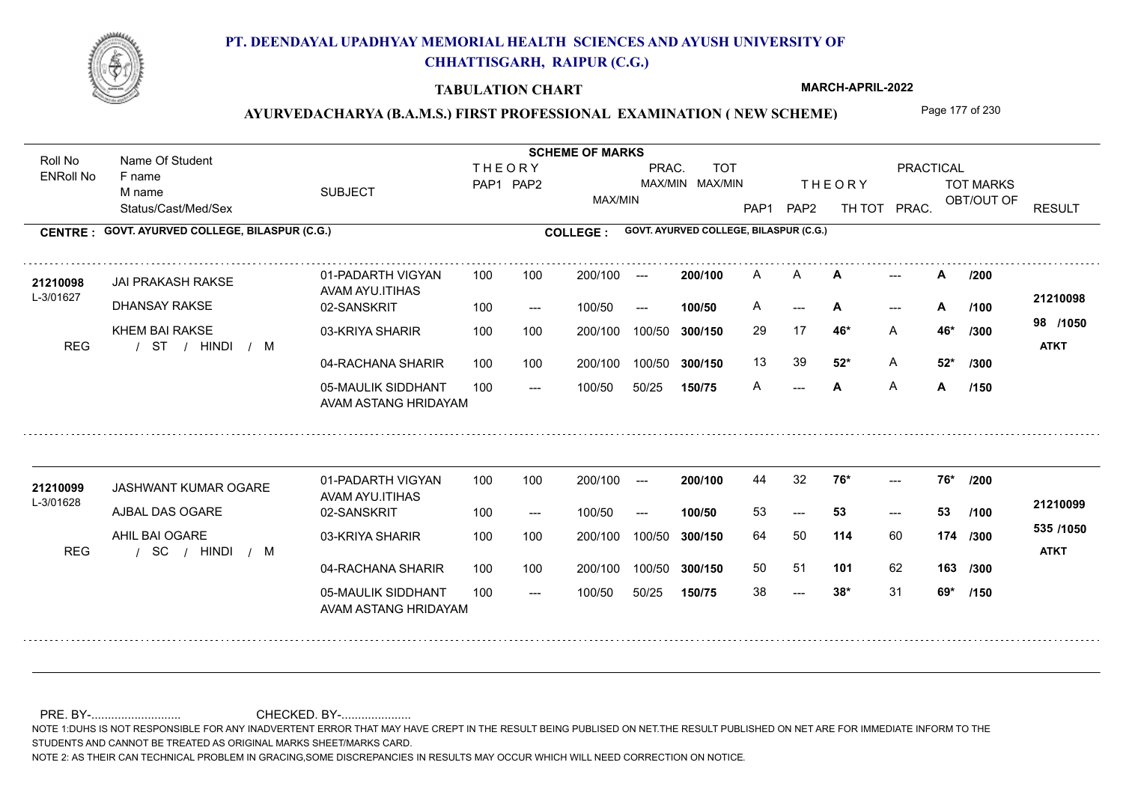

### **TABULATION CHART**

**MARCH-APRIL-2022**

## AYURVEDACHARYA (B.A.M.S.) FIRST PROFESSIONAL EXAMINATION (NEW SCHEME) Page 177 of 230

Status/Cast/Med/Sex SUBJECT TOT MARKS OBT/OUT OF **PRACTICAL** THE ORY TOT MARKS PAP1 PAP2 TH TOT PRAC. Roll No Name Of Student ENRoll No **CENTRE : COLLEGE : GOVT. AYURVED COLLEGE, BILASPUR (C.G.) GOVT. AYURVED COLLEGE, BILASPUR (C.G.) THEORY** PAP1 PAP2 MAX/MIN PRAC. MAX/MIN MAX/MIN TOT RESULT **Name Of Student Contract of Student Act of Student SCHEME OF MARKS** F name M name 01-PADARTH VIGYAN AVAM AYU.ITIHAS 05-MAULIK SIDDHANT AVAM ASTANG HRIDAYAM 04-RACHANA SHARIR 100 100 03-KRIYA SHARIR 100 100 / / / REG ST --- **A** ---  $\mathsf{A}$ 02-SANSKRIT 100 --- 100/50 --- 100 100 200/100 100/50 300/150 100/50 50/25 **150/75 300/150** 100/50 100 200/100 ---100/50 **300/150 200/100 100/50** 100 100 200/100 100/50 300/150 --- **/100**  $- -$  100/50 L-3/01627 JAI PRAKASH RAKSE **21210098** DHANSAY RAKSE KHEM BAI RAKSE **A**  $\rightarrow$  **A**  $/200$ **46\*** A **/300 52\*** A **52\* /300 98 /1050** HINDI M **ATKT 21210098** A **A A** --- **A** A --- **A** --- **A** /100 <del>-</del>11-10000 29 17 **46\*** 13 39 **52<sup>\*</sup>** A A **A** A **A /200 /150** 01-PADARTH VIGYAN AVAM AYU.ITIHAS 05-MAULIK SIDDHANT 100 AVAM ASTANG HRIDAYAM 04-RACHANA SHARIR 100 100 03-KRIYA SHARIR
100 100 / / / REG SC  $- - 38$ \* --- 53  $- - 76*$ 02-SANSKRIT 100 --- 100/50 --- 200/100 100/50 **300/150** 100/50 50/25 **150/75 300/150** 100/50 200/100 100 200/100 ---**200/100 100/50**  $-53$ 200/100 100/50 200/100 100/50  $- -$  100/50 L-3/01628 JASHWANT KUMAR OGARE **21210099** AJBAL DAS OGARE AHIL BAI OGARE **76\* 76\* /200 114** 60 64 50 **174 /300 101** 62 **163 /300 535 /1050** HINDI M **ATKT 21210099** 44 32 **76**\* ---53 **53 53** 50 51 38 **38\*** 31 **69\* /100 /150**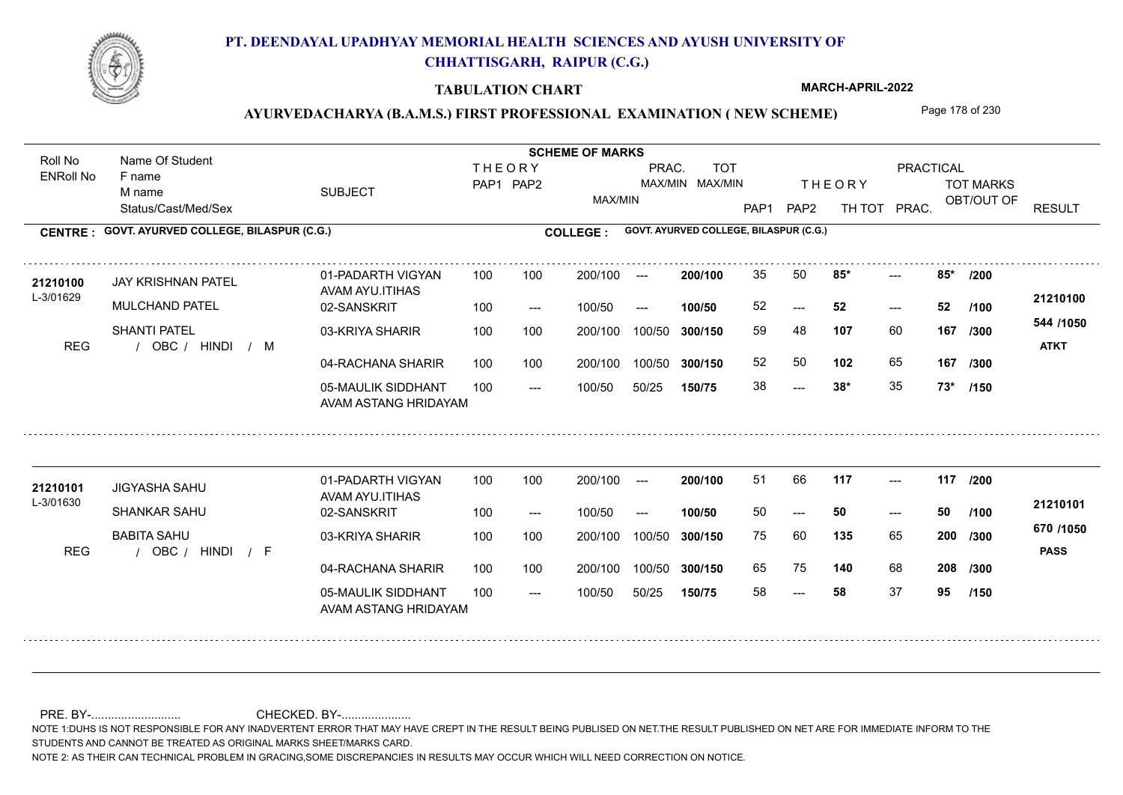

### **TABULATION CHART**

**MARCH-APRIL-2022**

## AYURVEDACHARYA (B.A.M.S.) FIRST PROFESSIONAL EXAMINATION (NEW SCHEME) Page 178 of 230

Status/Cast/Med/Sex SUBJECT TOT MARKS OBT/OUT OF PRACTICAL THE ORY TOT MARKS PAP1 PAP2 TH TOT PRAC. Roll No Name Of Student ENRoll No **CENTRE : COLLEGE : GOVT. AYURVED COLLEGE, BILASPUR (C.G.) GOVT. AYURVED COLLEGE, BILASPUR (C.G.) THEORY** PAP1 PAP2 MAX/MIN PRAC. MAX/MIN MAX/MIN TOT RESULT **Name Of Student Contract of Student Act of Student SCHEME OF MARKS** F name M name 01-PADARTH VIGYAN AVAM AYU.ITIHAS 05-MAULIK SIDDHANT AVAM ASTANG HRIDAYAM 04-RACHANA SHARIR 100 100 03-KRIYA SHARIR 100 100 REG / OBC / HINDI / M  $-28*$ ---  $- - 85$ 02-SANSKRIT 100 --- 100/50 --- 100 100 200/100 100/50 300/150 100/50 50/25 **150/75 300/150** 100/50 100 200/100 ---100/50 **300/150 200/100 100/50** 100 100 200/100 100/50 300/150  $- - 52$  $- -$  100/50 L-3/01629 JAY KRISHNAN PATEL MULCHAND PATEL SHANTI PATEL **85\* 85\* /200 107** 60 59 48 **167 /300 102** 65 **167 544 /1050** HINDI M **ATKT 21210100 <sup>21210100</sup>** <sup>35</sup> <sup>50</sup> 52 **52 52** 52 50 **102** 65 38 **38\*** 35 **73\* /100 /300 /150** 01-PADARTH VIGYAN AVAM AYU.ITIHAS 05-MAULIK SIDDHANT 100 AVAM ASTANG HRIDAYAM 04-RACHANA SHARIR 100 100 03-KRIYA SHARIR
100 100 REG / OBC / HINDI / F --- --- --- **117 117 /200** 02-SANSKRIT 100 --- 100/50 --- 200/100 100/50 **300/150** 100/50 50/25 **150/75 300/150** 100/50 200/100 100 200/100 ---**200/100 100/50** --- 200/100 100/50 200/100 100/50  $- -$  100/50 L-3/01630 JIGYASHA SAHU SHANKAR SAHU BABITA SAHU **135** 65 **/300 140** 68 **208 /300 670 /1050** HINDI F **PASS 21210101 <sup>21210101</sup>** <sup>51</sup> <sup>66</sup> 50 **50 50** 75 60 **200** 65 75 140 68 58 **58** 37 **95 /100 /150**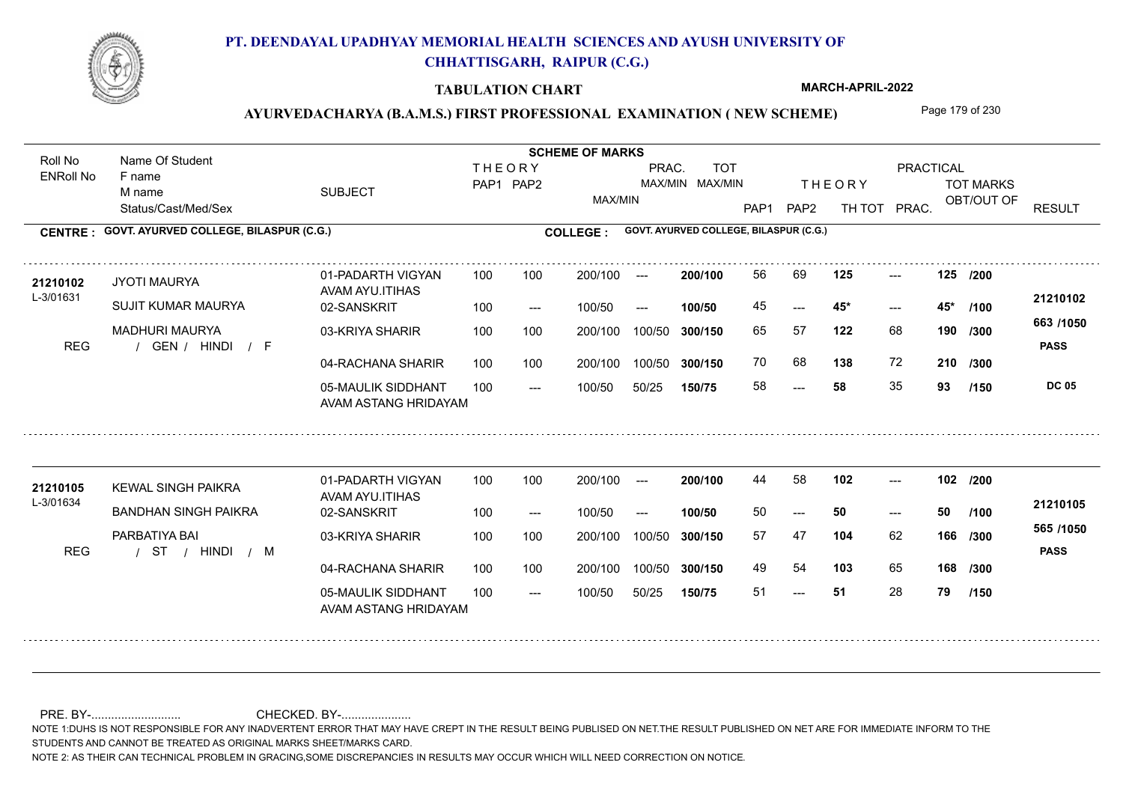

### **TABULATION CHART**

**MARCH-APRIL-2022**

## AYURVEDACHARYA (B.A.M.S.) FIRST PROFESSIONAL EXAMINATION (NEW SCHEME) Page 179 of 230

Status/Cast/Med/Sex SUBJECT TOT MARKS OBT/OUT OF PRACTICAL THE ORY TOT MARKS PAP1 PAP2 TH TOT PRAC. Roll No Name Of Student ENRoll No **CENTRE : COLLEGE : GOVT. AYURVED COLLEGE, BILASPUR (C.G.) GOVT. AYURVED COLLEGE, BILASPUR (C.G.) THEORY** PAP1 PAP2 MAX/MIN PRAC. MAX/MIN MAX/MIN TOT RESULT **Name Of Student Contract of Student Act of Student SCHEME OF MARKS** F name M name 01-PADARTH VIGYAN AVAM AYU.ITIHAS 05-MAULIK SIDDHANT AVAM ASTANG HRIDAYAM 04-RACHANA SHARIR 100 100 03-KRIYA SHARIR 100 100 REG / GEN / HINDI / F ---  $- - 45$ \* --- **125 125 /200** 02-SANSKRIT 100 --- 100/50 --- 100 100 200/100 100/50 300/150 100/50 50/25 **150/75 300/150** 100/50 100 200/100 ---100/50 **300/150 200/100 100/50** 100 100 200/100 100/50 300/150  $- - 45$ \*  $- -$  100/50 L-3/01631 JYOTI MAURYA SUJIT KUMAR MAURYA MADHURI MAURYA **122** 68 **190** /300 **122 138** 72 **210 663 /1050 PASS DC 05 /150 21210102 <sup>21210102</sup>** <sup>56</sup> <sup>69</sup> 45 **45\* 45\*** 65 57 **190** 70 68 **138** 72 58 **58** 35 **93 /100 /300** 01-PADARTH VIGYAN AVAM AYU.ITIHAS 05-MAULIK SIDDHANT 100 AVAM ASTANG HRIDAYAM 04-RACHANA SHARIR 100 100 03-KRIYA SHARIR / / / REG ST --- 51 --- --- **102 102 /200** 02-SANSKRIT 100 --- 100/50 --- 200/100 100/50 **300/150** 100/50 50/25 **150/75 300/150** 100/50 200/100 100 200/100 ---**200/100 100/50** --- 200/100 100/50 200/100 100/50  $- -$  100/50 L-3/01634 21210105 KEWAL SINGH PAIKRA<br>ALAM ANALASI BANDHAN SINGH PAIKRA PARBATIYA BAI **104** 62 **/300 103** 65 **168 /300 565 /1050** HINDI M **PASS 21210105**  $102$  ---50 **50 50** 57 47 **166** 49 54 **103** 65 51 **51** 28 **79 /100 /150**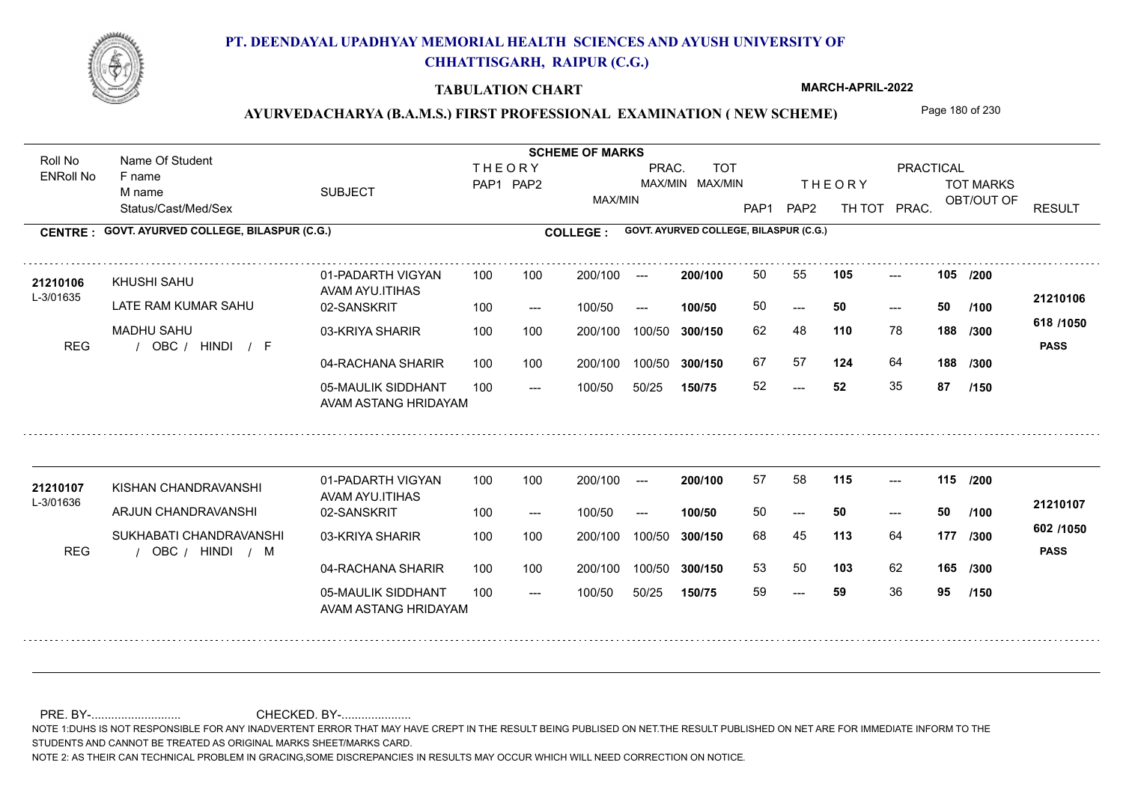

### **TABULATION CHART**

**MARCH-APRIL-2022**

## AYURVEDACHARYA (B.A.M.S.) FIRST PROFESSIONAL EXAMINATION (NEW SCHEME) Page 180 of 230

Status/Cast/Med/Sex SUBJECT TOT MARKS OBT/OUT OF PRACTICAL THE ORY TOT MARKS PAP1 PAP2 TH TOT PRAC. Roll No Name Of Student ENRoll No **CENTRE : COLLEGE : GOVT. AYURVED COLLEGE, BILASPUR (C.G.) GOVT. AYURVED COLLEGE, BILASPUR (C.G.) THEORY** PAP1 PAP2 MAX/MIN PRAC. MAX/MIN MAX/MIN TOT RESULT **Name Of Student Contract of Student Act of Student SCHEME OF MARKS** F name M name 01-PADARTH VIGYAN AVAM AYU.ITIHAS 05-MAULIK SIDDHANT AVAM ASTANG HRIDAYAM 04-RACHANA SHARIR 100 100 03-KRIYA SHARIR 100 100 REG / OBC / HINDI / F  $-52$  $- - 50$ --- **105 105 /200** 02-SANSKRIT 100 --- 100/50 --- 100 100 200/100 100/50 300/150 100/50 50/25 **150/75 300/150** 100/50 100 200/100 ---100/50 **300/150 200/100 100/50** 100 100 200/100 100/50 300/150  $- - 50$  $- -$  100/50 L-3/01635 KHUSHI SAHU LATE RAM KUMAR SAHU MADHU SAHU **110** 78 **/300 124** 64 **188 618 /1050** HINDI F **PASS 21210106** 21210106 KHUSHI SAHU 01-PADARTH VIGYAN 100 100 200/100 --- **200/100 50 55 105 ---**-50 **50 50** 62 48 **188** 67 57 **124** 64 52 **52** 35 **87 /100 /300 /150** 01-PADARTH VIGYAN AVAM AYU.ITIHAS 05-MAULIK SIDDHANT 100 AVAM ASTANG HRIDAYAM 04-RACHANA SHARIR 100 100 03-KRIYA SHARIR REG / OBC / HINDI / M --- --- --- **115 115 /200** 02-SANSKRIT 100 --- 100/50 --- 200/100 100/50 **300/150** 100/50 50/25 **150/75 300/150** 100/50 200/100 100 200/100 ---**200/100 100/50** --- 200/100 100/50 200/100 100/50  $- -$  100/50 L-3/01636 KISHAN CHANDRAVANSHI ARJUN CHANDRAVANSHI SUKHABATI CHANDRAVANSHI **113** 64 68 45 **177 /300 103** 62 **165 /300 602 /1050** HINDI M **PASS 21210107 <sup>21210107</sup>** <sup>57</sup> <sup>58</sup> 50 **50 50** 53 50 **103** 62 59 **59** 36 **95 /100 /150**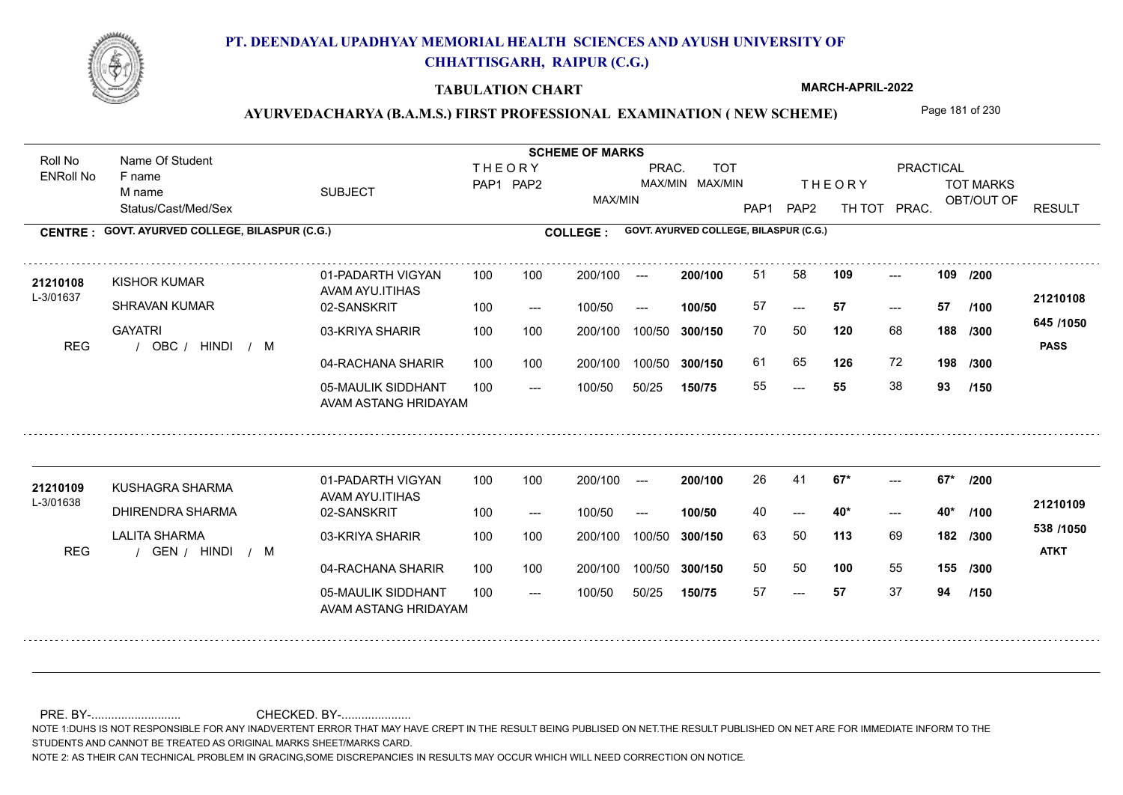

### **TABULATION CHART**

**MARCH-APRIL-2022**

# AYURVEDACHARYA (B.A.M.S.) FIRST PROFESSIONAL EXAMINATION (NEW SCHEME) Page 181 of 230

Status/Cast/Med/Sex SUBJECT TOT MARKS OBT/OUT OF PRACTICAL THE ORY TOT MARKS PAP1 PAP2 TH TOT PRAC. Roll No Name Of Student ENRoll No **CENTRE : COLLEGE : GOVT. AYURVED COLLEGE, BILASPUR (C.G.) GOVT. AYURVED COLLEGE, BILASPUR (C.G.) THEORY** PAP1 PAP2 MAX/MIN PRAC. MAX/MIN MAX/MIN TOT RESULT **Name Of Student Contract of Student Act of Student SCHEME OF MARKS** F name M name 01-PADARTH VIGYAN AVAM AYU.ITIHAS 05-MAULIK SIDDHANT AVAM ASTANG HRIDAYAM 04-RACHANA SHARIR 100 100 03-KRIYA SHARIR REG / OBC / HINDI / M --- --- --- 02-SANSKRIT 100 --- 100/50 --- 100 100 200/100 100/50 300/150 100/50 50/25 **150/75 300/150** 100/50 100 200/100 ---100/50 **300/150 200/100 100/50** 100 100 200/100 100/50 300/150  $- - 57$  $- -$  100/50 L-3/01637 KISHOR KUMAR SHRAVAN KUMAR **GAYATRI 109 109 120** 68 **/300 126** 72 **198 645 /1050** HINDI M **PASS 21210108 <sup>21210108</sup>** <sup>51</sup> <sup>58</sup> 57 **57 57** 70 50 **188** 61 65 **126** 72 55 **55** 38 **93 /200 /100 /300 /150** 01-PADARTH VIGYAN AVAM AYU.ITIHAS 05-MAULIK SIDDHANT 100 AVAM ASTANG HRIDAYAM 04-RACHANA SHARIR 100 100 03-KRIYA SHARIR
100 100 REG / GEN / HINDI / M ---  $- - 40*$  $- - 67*$ 02-SANSKRIT 100 --- 100/50 --- 200/100 100/50 **300/150** 100/50 50/25 **150/75 300/150** 100/50 200/100 100 200/100 ---**200/100 100/50**  $- - 40*$ 200/100 100/50 200/100 100/50  $- -$  100/50 L-3/01638 KUSHAGRA SHARMA DHIRENDRA SHARMA LALITA SHARMA **67\* 67\* /200 113** 69 63 50 **182 /300 100** 55 **155 /300 538 /1050** HINDI M **ATKT 21210109 <sup>21210109</sup>** <sup>26</sup> <sup>41</sup> 40 **40\* 40\*** 50 50 57 **57** 37 **94 /100 /150**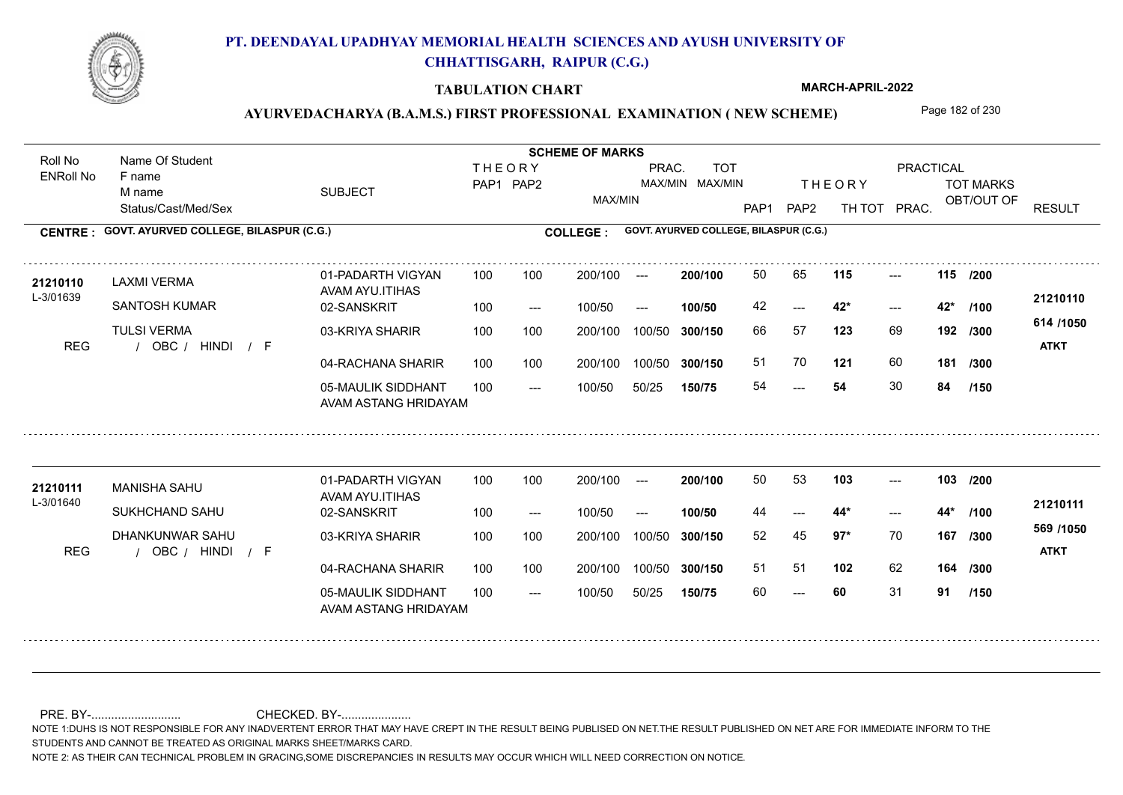

### **TABULATION CHART**

**MARCH-APRIL-2022**

# AYURVEDACHARYA (B.A.M.S.) FIRST PROFESSIONAL EXAMINATION (NEW SCHEME) Page 182 of 230

Status/Cast/Med/Sex SUBJECT TOT MARKS OBT/OUT OF PRACTICAL THE ORY TOT MARKS PAP1 PAP2 TH TOT PRAC. Roll No Name Of Student ENRoll No **CENTRE : COLLEGE : GOVT. AYURVED COLLEGE, BILASPUR (C.G.) GOVT. AYURVED COLLEGE, BILASPUR (C.G.) THEORY** PAP1 PAP2 MAX/MIN PRAC. MAX/MIN MAX/MIN TOT RESULT **Name Of Student Contract of Student Act of Student SCHEME OF MARKS** F name M name 01-PADARTH VIGYAN AVAM AYU.ITIHAS 05-MAULIK SIDDHANT AVAM ASTANG HRIDAYAM 04-RACHANA SHARIR 100 100 03-KRIYA SHARIR REG / OBC / HINDI / F ---  $- - 42^*$ --- **115 115 /200** 02-SANSKRIT 100 --- 100/50 --- 100 100 200/100 100/50 300/150 100/50 50/25 **150/75 300/150** 100/50 100 200/100 ---100/50 **300/150 200/100 100/50** 100 100 200/100 100/50 300/150  $- - 42$  $- -$  100/50 L-3/01639 LAXMI VERMA SANTOSH KUMAR **TULSI VERMA 123** 69 66 57 **192 /300 121** 60 **181 614 /1050** HINDI F **ATKT 21210110** 21210110 LAXMI VERMA 01-PADARTH VIGYAN 100 100 200/100 --- **200/100** 50 65 **115** ---42 **42\* 42\*** 51 70 **121** 60 54 **54** 30 **84 /100 /300 /150** 01-PADARTH VIGYAN AVAM AYU.ITIHAS 05-MAULIK SIDDHANT 100 AVAM ASTANG HRIDAYAM 04-RACHANA SHARIR 100 100 03-KRIYA SHARIR
100 100 REG / OBC / HINDI / F ---  $- - 44*$ --- **103 103 /200** 02-SANSKRIT 100 --- 100/50 --- 200/100 100/50 **300/150** 100/50 50/25 **150/75 300/150** 100/50 200/100 100 200/100 ---**200/100 100/50**  $- - 44$ \* 200/100 100/50 200/100 100/50  $- -$  100/50 L-3/01640 MANISHA SAHU SUKHCHAND SAHU DHANKUNWAR SAHU **97\*** 70 **/300 102** 62 **164 /300 569 /1050** HINDI F **ATKT 21210111** 21210111 MANISHA SAHU 01-PADARTH VIGYAN 100 100 200/100 --- **200/100** 50 53 1**03** ---44 **44\* 44\*** 52 45 **167** 51 51 60 **60** 31 **91 /100 /150**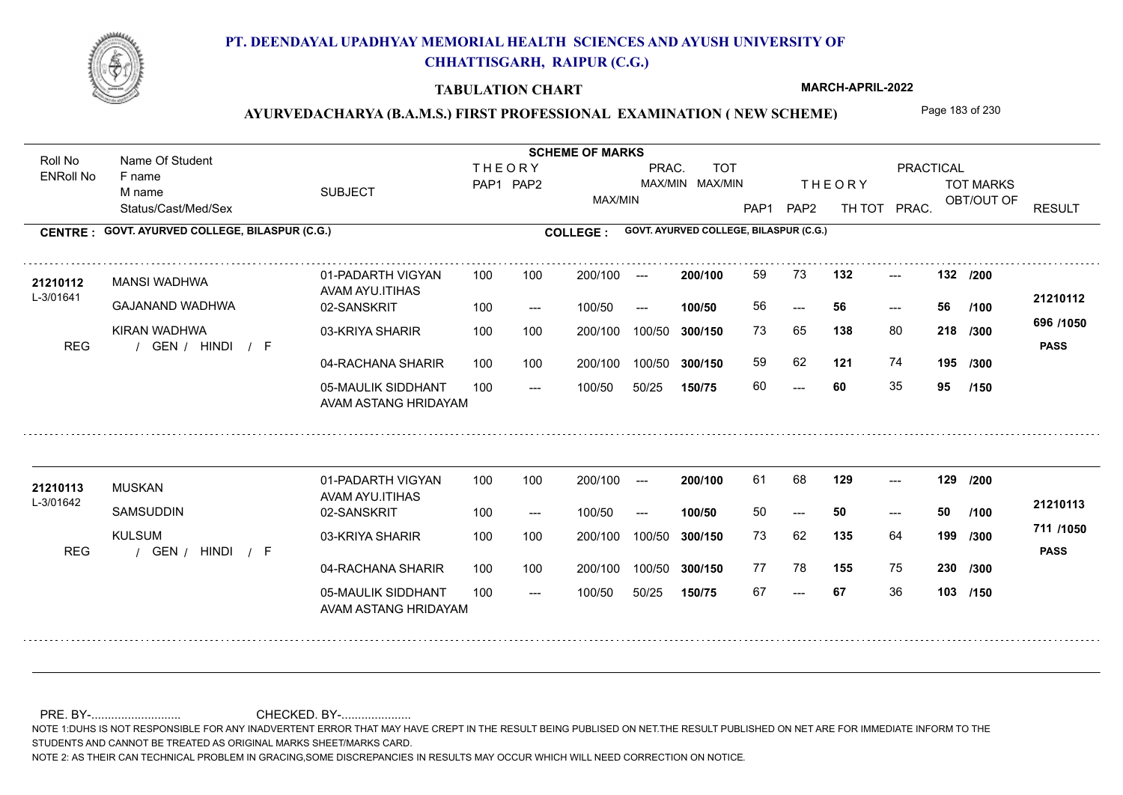

### **TABULATION CHART**

**MARCH-APRIL-2022**

# AYURVEDACHARYA (B.A.M.S.) FIRST PROFESSIONAL EXAMINATION (NEW SCHEME) Page 183 of 230

Status/Cast/Med/Sex SUBJECT TOT MARKS OBT/OUT OF PRACTICAL THE ORY TOT MARKS PAP1 PAP2 TH TOT PRAC. Roll No Name Of Student ENRoll No **CENTRE : COLLEGE : GOVT. AYURVED COLLEGE, BILASPUR (C.G.) GOVT. AYURVED COLLEGE, BILASPUR (C.G.) THEORY** PAP1 PAP2 MAX/MIN PRAC. MAX/MIN MAX/MIN TOT RESULT **Name Of Student Contract of Student Act of Student SCHEME OF MARKS** F name M name 01-PADARTH VIGYAN AVAM AYU.ITIHAS 05-MAULIK SIDDHANT AVAM ASTANG HRIDAYAM 04-RACHANA SHARIR 100 100 03-KRIYA SHARIR REG / GEN / HINDI / F --- --- --- **132 132 /200** 02-SANSKRIT  $100/50$ 100 100 200/100 100/50 300/150 100/50 50/25 **150/75 300/150** 100/50 100 200/100 ---100/50 --- **100/50** 100/50 **300/150 200/100** 100 100 200/100 100/50 300/150  $- - 56$  $- -$  100/50 L-3/01641 MANSI WADHWA GAJANAND WADHWA KIRAN WADHWA **138** 80 **218** /300 **138 121** 74 **195 696 /1050** HINDI F **PASS 21210112** 21210112 MANSI WADHWA 01-PADARTH VIGYAN 100 100 200/100 --- **200/100** 59 73 **132** ---56 **56 56** 73 65 **218** 59 62 60 **60** 35 **95 /100 /300 /150** 01-PADARTH VIGYAN AVAM AYU.ITIHAS 05-MAULIK SIDDHANT 100 AVAM ASTANG HRIDAYAM 04-RACHANA SHARIR 100 100 03-KRIYA SHARIR
100 100 REG / GEN / HINDI / F --- --- --- 02-SANSKRIT 100 --- 100/50 --- 200/100 100/50 **300/150** 100/50 50/25 **150/75 300/150** 100/50 200/100 100 200/100 ---**200/100 100/50** --- 200/100 100/50 200/100 100/50  $- -$  100/50 L-3/01642 MUSKAN **SAMSUDDIN** KULSUM **129 129 /200 135** 64 **/300 155** 75 **230 /300 711 /1050** HINDI F **PASS 21210113 <sup>21210113</sup>** <sup>61</sup> <sup>68</sup> 50 **50 50** 73 62 **199** 77 78 155 75 67 **67** 36 **103 /150 /100**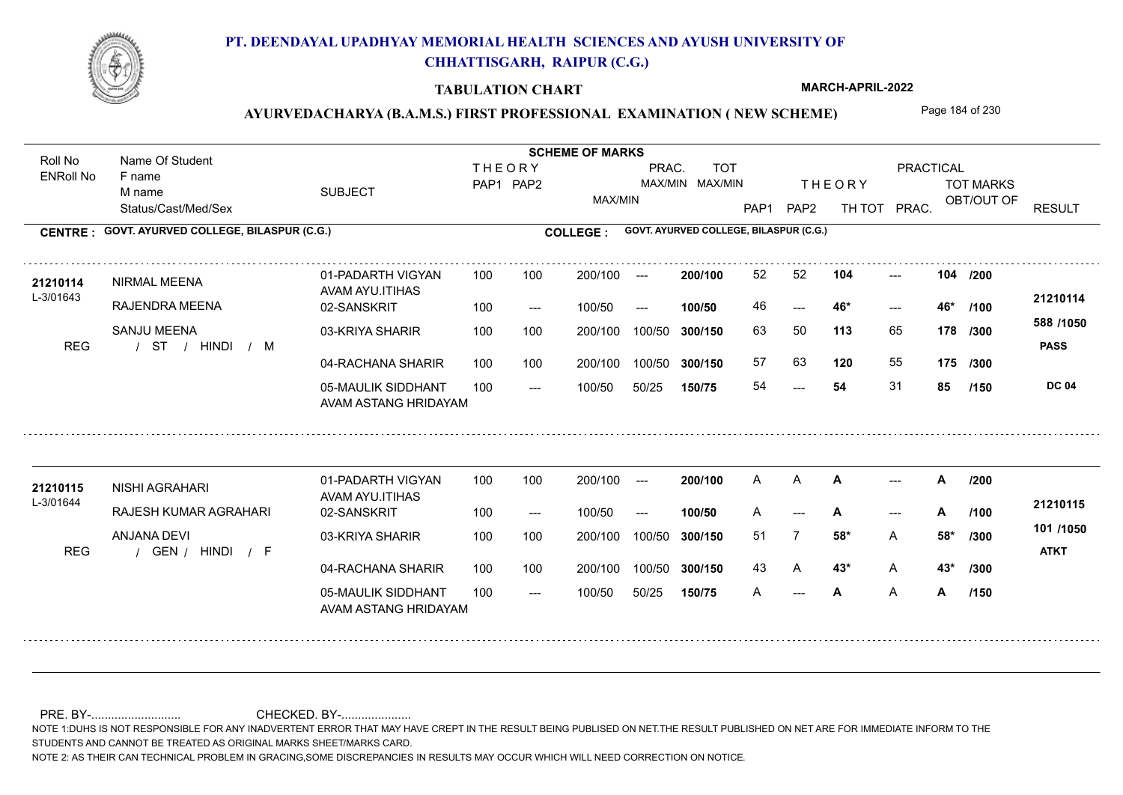

### **TABULATION CHART**

**MARCH-APRIL-2022**

## AYURVEDACHARYA (B.A.M.S.) FIRST PROFESSIONAL EXAMINATION (NEW SCHEME) Page 184 of 230

Status/Cast/Med/Sex SUBJECT TOT MARKS OBT/OUT OF PRACTICAL THE ORY TOT MARKS PAP1 PAP2 TH TOT PRAC. Roll No Name Of Student ENRoll No **CENTRE : COLLEGE : GOVT. AYURVED COLLEGE, BILASPUR (C.G.) GOVT. AYURVED COLLEGE, BILASPUR (C.G.) THEORY** PAP1 PAP2 MAX/MIN PRAC. MAX/MIN MAX/MIN TOT RESULT **Name Of Student Contract of Student Act of Student SCHEME OF MARKS** F name M name 01-PADARTH VIGYAN AVAM AYU.ITIHAS 05-MAULIK SIDDHANT AVAM ASTANG HRIDAYAM 04-RACHANA SHARIR 100 100 03-KRIYA SHARIR / / / REG ST HINDI M ---  $- - 46*$ --- 02-SANSKRIT 100 --- 100/50 --- 100 100 200/100 100/50 300/150 100/50 50/25 **150/75 300/150** 100/50 100 200/100 ---100/50 **300/150 200/100 100/50** 100 100 200/100 100/50 300/150  $- - 46*$  $- -$  100/50 L-3/01643 NIRMAL MEENA RAJENDRA MEENA SANJU MEENA **104 104 113** 65 63 50 **178 /300 120** 55 **175 /300 588 /1050 PASS DC 04 /150 21210114 <sup>21210114</sup>** <sup>52</sup> <sup>52</sup> 46 **46\* 46\*** 57 63 **120** 55 54 **54** 31 **85 /200 /100** 01-PADARTH VIGYAN AVAM AYU.ITIHAS 05-MAULIK SIDDHANT 100 AVAM ASTANG HRIDAYAM 04-RACHANA SHARIR 100 100 03-KRIYA SHARIR
100 100 REG / GEN / HINDI / F  $\mathsf{A}$ --- --- 02-SANSKRIT 100 --- 100/50 --- 200/100 100/50 **300/150** 100/50 50/25 **150/75 300/150** 100/50 200/100 100 200/100 ---**200/100 100/50** --- **/100** 200/100 100/50 200/100 100/50  $- -$  100/50 L-3/01644 **21210115** NISHI AGRAHARI RAJESH KUMAR AGRAHARI ANJANA DEVI **A**  $\rightarrow$  **A**  $/200$ **58\*** A **/300 43\*** A **43\* /300 101 /1050** HINDI F **ATKT 21210115** A **A A** --- **A** A --- **A** --- **A** /100 <del>-</del>1210110 51 7 **58\*** 43 A **43<sup>\*</sup>** A **43**<sup>\*</sup> A **A** A **A /200 /150**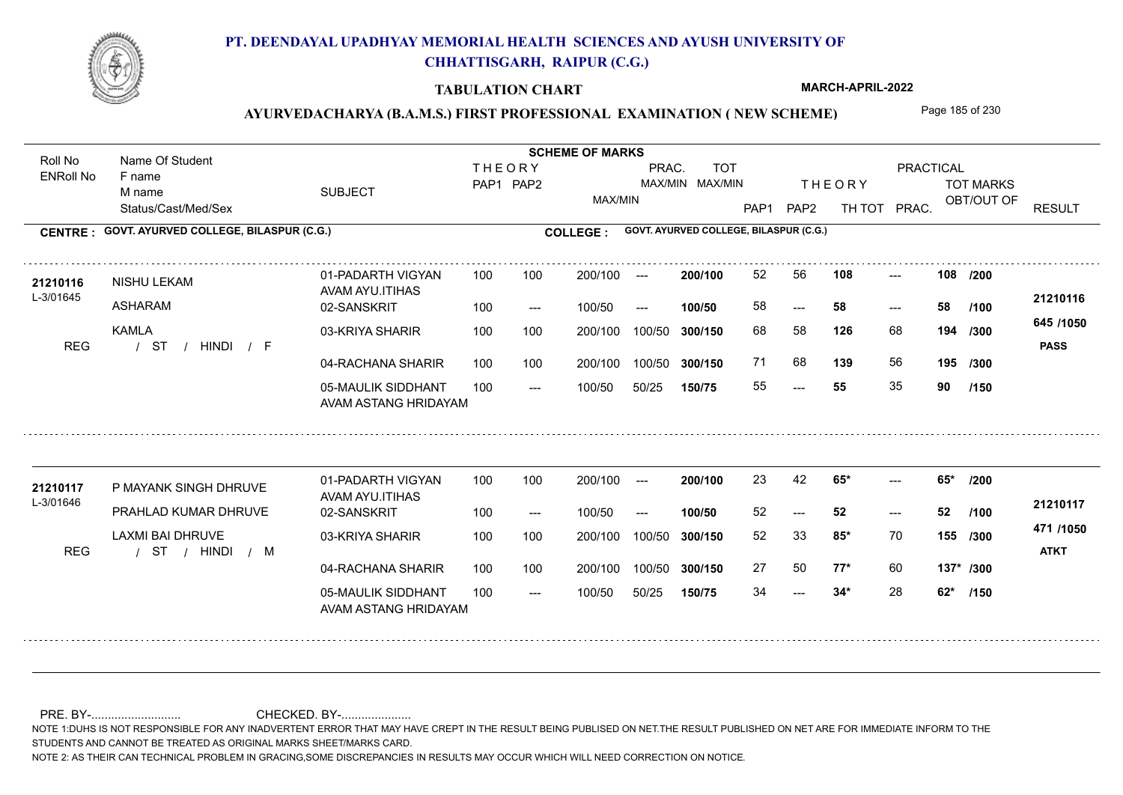

### **TABULATION CHART**

**MARCH-APRIL-2022**

## AYURVEDACHARYA (B.A.M.S.) FIRST PROFESSIONAL EXAMINATION (NEW SCHEME) Page 185 of 230

Status/Cast/Med/Sex SUBJECT TOT MARKS OBT/OUT OF PRACTICAL THE ORY TOT MARKS PAP1 PAP2 TH TOT PRAC. Roll No Name Of Student ENRoll No **CENTRE : COLLEGE : GOVT. AYURVED COLLEGE, BILASPUR (C.G.) GOVT. AYURVED COLLEGE, BILASPUR (C.G.) THEORY** PAP1 PAP2 MAX/MIN PRAC. MAX/MIN MAX/MIN TOT RESULT **Name Of Student Contract of Student Act of Student SCHEME OF MARKS** F name M name 01-PADARTH VIGYAN AVAM AYU.ITIHAS 05-MAULIK SIDDHANT AVAM ASTANG HRIDAYAM 04-RACHANA SHARIR 100 100 03-KRIYA SHARIR / / / REG ST --- --- --- 02-SANSKRIT 100 --- 100/50 --- 100 100 200/100 100/50 300/150 100/50 50/25 **150/75 300/150** 100/50 100 200/100 ---100/50 **300/150 200/100 100/50** 100 100 200/100 100/50 300/150  $- - 58$  $- -$  100/50 L-3/01645 NISHU LEKAM ASHARAM KAMLA **108 108 126** 68 68 58 **194 /300 139** 56 **195 645 /1050** HINDI F **PASS 21210116 <sup>21210116</sup>** <sup>52</sup> <sup>56</sup> 58 **58 58** 71 68 **139** 56 55 **55** 35 **90 /200 /100 /300 /150** 01-PADARTH VIGYAN AVAM AYU.ITIHAS 05-MAULIK SIDDHANT 100 AVAM ASTANG HRIDAYAM 04-RACHANA SHARIR 100 100 03-KRIYA SHARIR
100 100 / / / REG ST  $- - 34*$ ---  $- - 65*$ 02-SANSKRIT 100 --- 100/50 --- 200/100 100/50 **300/150** 100/50 50/25 **150/75 300/150** 100/50 200/100 100 200/100 ---**200/100 100/50** --- 200/100 100/50 200/100 100/50  $- -$  100/50 L-3/01646 P MAYANK SINGH DHRUVE PRAHLAD KUMAR DHRUVE LAXMI BAI DHRUVE **65\* 65\* /200 85\*** 70 52 33 **155 /300 77\*** 60 **137\* /300 471 /1050** HINDI M **ATKT 21210117** 21210117 P MAYANK SINGH DHRUVE 01-PADARTH VIGYAN 100 100 200/100 --- **200/100 2**3 42 **65\*** ---52 **52 52** 27 50 **77\*** 60 34 **34\*** 28 **62\* /100 /150**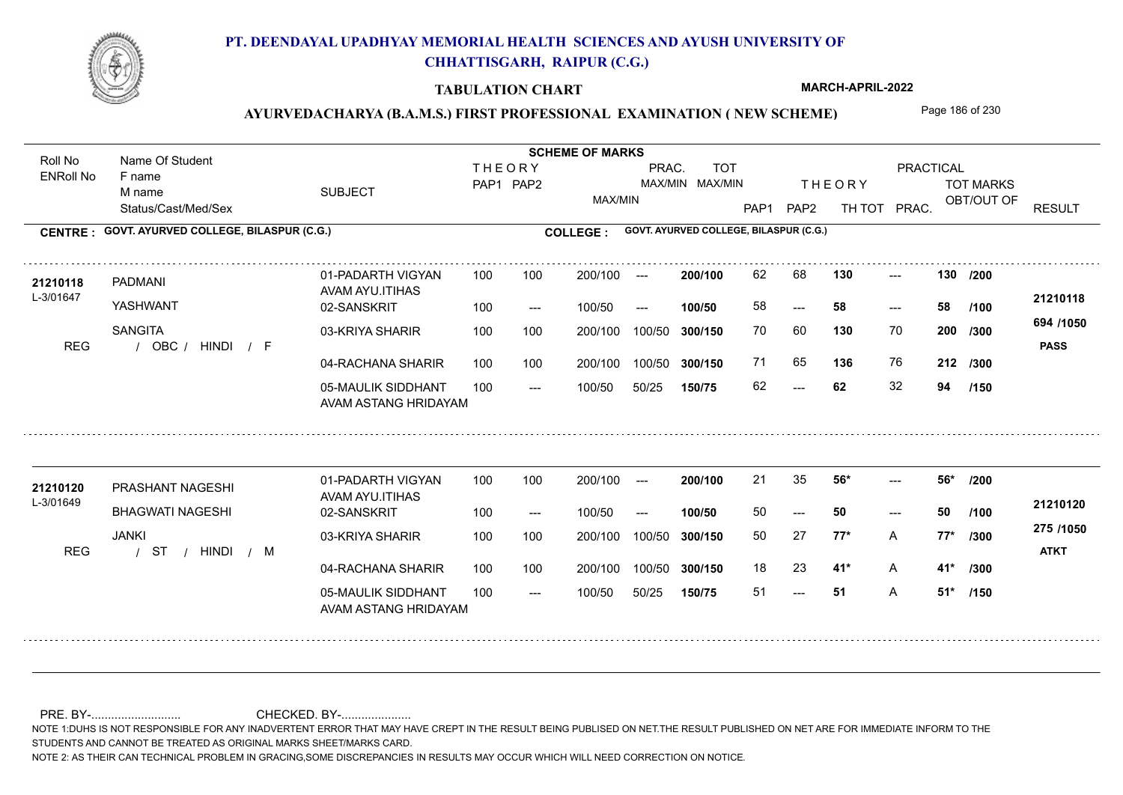

### **TABULATION CHART**

**MARCH-APRIL-2022**

## AYURVEDACHARYA (B.A.M.S.) FIRST PROFESSIONAL EXAMINATION (NEW SCHEME) Page 186 of 230

Status/Cast/Med/Sex SUBJECT TOT MARKS OBT/OUT OF PRACTICAL THE ORY TOT MARKS PAP1 PAP2 TH TOT PRAC. Roll No Name Of Student ENRoll No **CENTRE : COLLEGE : GOVT. AYURVED COLLEGE, BILASPUR (C.G.) GOVT. AYURVED COLLEGE, BILASPUR (C.G.) THEORY** PAP1 PAP2 MAX/MIN PRAC. MAX/MIN MAX/MIN TOT RESULT **Name Of Student Contract of Student Act of Student SCHEME OF MARKS** F name M name 01-PADARTH VIGYAN AVAM AYU.ITIHAS 05-MAULIK SIDDHANT AVAM ASTANG HRIDAYAM 04-RACHANA SHARIR 100 100 03-KRIYA SHARIR REG / OBC / HINDI / F  $- - 62$ ---  $-2$  130 02-SANSKRIT 100 --- 100/50 --- 100 100 200/100 100/50 300/150 100/50 50/25 **150/75 300/150** 100/50 100 200/100 ---100/50 **300/150 200/100 100/50** 100 100 200/100 100/50 300/150  $- - 58$  $- -$  100/50 L-3/01647 PADMANI YASHWANT **SANGITA 130 130 130** 70 **/300 136** 76 **212 /300 694 /1050** HINDI F **PASS 21210118 <sup>21210118</sup>** <sup>62</sup> <sup>68</sup> 58 **58 58** 70 60 **200** 71 65 **136** 76 62 **62** 32 **94 /200 /100 /150** 01-PADARTH VIGYAN AVAM AYU.ITIHAS 05-MAULIK SIDDHANT 100 AVAM ASTANG HRIDAYAM 04-RACHANA SHARIR 100 100 03-KRIYA SHARIR
100 100 / / / REG ST --- 51 ---  $- - 56*$ 02-SANSKRIT 100 --- 100/50 --- 200/100 100/50 **300/150** 100/50 50/25 **150/75 300/150** 100/50 200/100 100 200/100 ---**200/100 100/50** --- 200/100 100/50 200/100 100/50  $- -$  100/50 L-3/01649 PRASHANT NAGESHI **21210120** BHAGWATI NAGESHI JANKI **56\* 56\* /200 77\*** A **/300 41\*** A **41\* /300 275 /1050** HINDI M **ATKT 21210120** 21 35 **56\*** ---50 **50 50** 50 27 **77\*** 18 23 **41**\* A 51 **51** A **51\* /100 /150**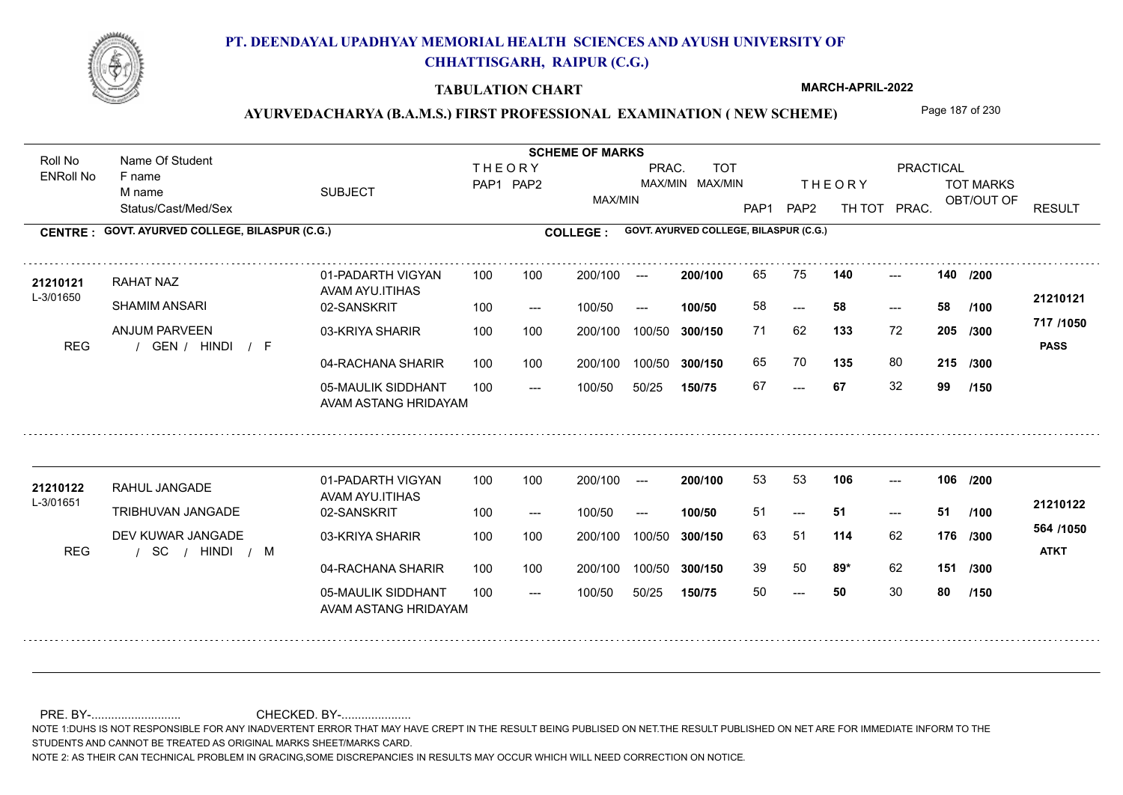

### **TABULATION CHART**

**MARCH-APRIL-2022**

## AYURVEDACHARYA (B.A.M.S.) FIRST PROFESSIONAL EXAMINATION (NEW SCHEME) Page 187 of 230

Status/Cast/Med/Sex SUBJECT TOT MARKS OBT/OUT OF PRACTICAL THE ORY TOT MARKS PAP1 PAP2 TH TOT PRAC. Roll No Name Of Student ENRoll No **CENTRE : COLLEGE : GOVT. AYURVED COLLEGE, BILASPUR (C.G.) GOVT. AYURVED COLLEGE, BILASPUR (C.G.) THEORY** PAP1 PAP2 MAX/MIN PRAC. MAX/MIN MAX/MIN TOT RESULT **Name Of Student Contract of Student Act of Student SCHEME OF MARKS** F name M name 01-PADARTH VIGYAN AVAM AYU.ITIHAS 05-MAULIK SIDDHANT AVAM ASTANG HRIDAYAM 04-RACHANA SHARIR 100 100 03-KRIYA SHARIR REG / GEN / HINDI / F --- --- --- 02-SANSKRIT  $100/50$ 100 100 200/100 100/50 300/150 100/50 50/25 **150/75 300/150** 100/50 100 200/100 ---100/50 --- **100/50** 100/50 **300/150 200/100** 100 100 200/100 100/50 300/150  $- - 58$  $- -$  100/50 L-3/01650 RAHAT NAZ SHAMIM ANSARI ANJUM PARVEEN **140 140 133** 72 **/300 135** 80 **215 /300 717 /1050** HINDI F **PASS 21210121 <sup>21210121</sup>** <sup>65</sup> <sup>75</sup> 58 **58 58** 71 62 **205** 65 70 **135** 80 67 **67** 32 **99 /200 /100 /150** 01-PADARTH VIGYAN AVAM AYU.ITIHAS 05-MAULIK SIDDHANT 100 AVAM ASTANG HRIDAYAM 04-RACHANA SHARIR 100 100 03-KRIYA SHARIR
100 100 / / / REG SC  $- - 50$ --- --- **106 106 /200** 02-SANSKRIT 100 --- 100/50 --- 200/100 100/50 **300/150** 100/50 50/25 **150/75 300/150** 100/50 200/100 100 200/100 ---**200/100 100/50**  $- - 51$ 200/100 100/50 200/100 100/50  $- -$  100/50 L-3/01651 RAHUL JANGADE TRIBHUVAN JANGADE DEV KUWAR JANGADE **114** 62 63 51 **176 /300 89\*** 62 **151 /300 564 /1050** HINDI M **ATKT 21210122 <sup>21210122</sup>** <sup>53</sup> <sup>53</sup> 51 **51 51** 39 50 **89\*** 62 50 **50** 30 **80 /100 /150**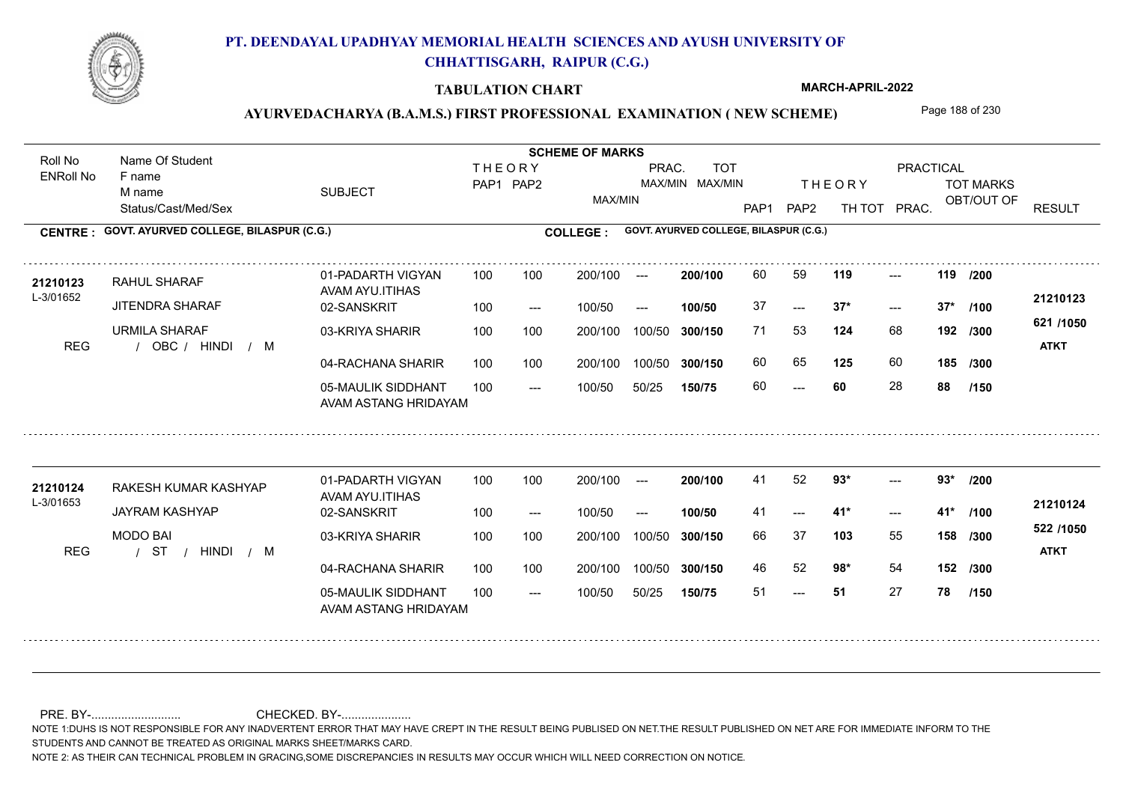

### **TABULATION CHART**

**MARCH-APRIL-2022**

# AYURVEDACHARYA (B.A.M.S.) FIRST PROFESSIONAL EXAMINATION (NEW SCHEME) Page 188 of 230

Status/Cast/Med/Sex SUBJECT TOT MARKS OBT/OUT OF PRACTICAL THE ORY TOT MARKS PAP1 PAP2 TH TOT PRAC. Roll No Name Of Student ENRoll No **CENTRE : COLLEGE : GOVT. AYURVED COLLEGE, BILASPUR (C.G.) GOVT. AYURVED COLLEGE, BILASPUR (C.G.) THEORY** PAP1 PAP2 MAX/MIN PRAC. MAX/MIN MAX/MIN TOT RESULT **Name Of Student Contract of Student Act of Student SCHEME OF MARKS** F name M name 01-PADARTH VIGYAN AVAM AYU.ITIHAS 05-MAULIK SIDDHANT AVAM ASTANG HRIDAYAM 04-RACHANA SHARIR 100 100 03-KRIYA SHARIR REG / OBC / HINDI / M  $- - 60$  $- - 37*$ --- **119 119 /200** 02-SANSKRIT  $100/50$ 100 100 200/100 100/50 300/150 100/50 50/25 **150/75 300/150** 100/50 100 200/100 ---100/50 --- **100/50** 100/50 **300/150 200/100** 100 100 200/100 100/50 300/150  $-2$  37\*  $- -$  100/50 L-3/01652 RAHUL SHARAF JITENDRA SHARAF URMILA SHARAF **124** 68 71 53 **192 /300 125** 60 **185 621 /1050** HINDI M **ATKT 21210123 <sup>21210123</sup>** <sup>60</sup> <sup>59</sup> 37 **37\* 37\*** 60 65 **125** 60 60 **60** 28 **88 /100 /300 /150** 01-PADARTH VIGYAN AVAM AYU.ITIHAS 05-MAULIK SIDDHANT 100 AVAM ASTANG HRIDAYAM 04-RACHANA SHARIR 100 100 03-KRIYA SHARIR
100 100 / / / REG ST --- 51  $- - 41*$  $-2$  93\* 02-SANSKRIT 100 --- 100/50 --- 200/100 100/50 **300/150** 100/50 50/25 **150/75 300/150** 100/50 200/100 100 200/100 ---**200/100 100/50**  $- - 41$  \* 200/100 100/50 200/100 100/50  $- -$  100/50 L-3/01653 RAKESH KUMAR KASHYAP **21210124** JAYRAM KASHYAP MODO BAI **93\* 93\* /200 103** 55 66 37 **158 /300 98\*** 54 **152 /300 522 /1050** HINDI M **ATKT 21210124** 41 52 **93**\* ---41 **41\* 41\*** 46 52 **98**\* 54 51 **51** 27 **78 /100 /150**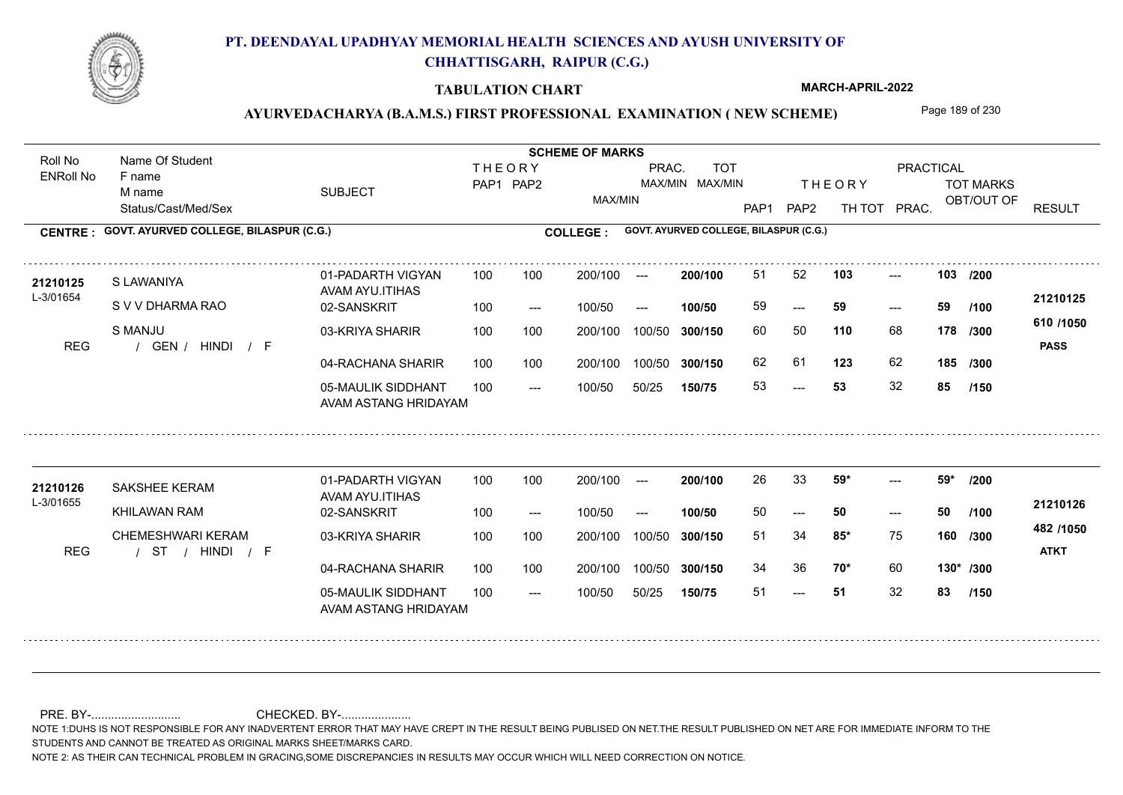

### **TABULATION CHART**

**MARCH-APRIL-2022**

## AYURVEDACHARYA (B.A.M.S.) FIRST PROFESSIONAL EXAMINATION (NEW SCHEME) Page 189 of 230

Status/Cast/Med/Sex SUBJECT TOT MARKS OBT/OUT OF PRACTICAL THE ORY TOT MARKS PAP1 PAP2 TH TOT PRAC. Roll No Name Of Student ENRoll No **CENTRE : COLLEGE : GOVT. AYURVED COLLEGE, BILASPUR (C.G.) GOVT. AYURVED COLLEGE, BILASPUR (C.G.) THEORY** PAP1 PAP2 MAX/MIN PRAC. MAX/MIN MAX/MIN TOT RESULT **Name Of Student Contract of Student Act of Student SCHEME OF MARKS** F name M name 01-PADARTH VIGYAN AVAM AYU.ITIHAS 05-MAULIK SIDDHANT AVAM ASTANG HRIDAYAM 04-RACHANA SHARIR 100 100 03-KRIYA SHARIR REG / GEN / HINDI / F  $-53$ --- --- 103 02-SANSKRIT 100 --- 100/50 --- 100 100 200/100 100/50 300/150 100/50 50/25 **150/75 300/150** 100/50 100 200/100 ---100/50 **300/150 200/100 100/50** 100 100 200/100 100/50 300/150  $- - 59$  $- -$  100/50 L-3/01654 S LAWANIYA S V V DHARMA RAO S MANJU **103 103 110** 68 **/300 123** 62 **185 610 /1050** HINDI F **PASS 21210125 <sup>21210125</sup>** <sup>51</sup> <sup>52</sup> 59 **59 59** 60 50 **178** 62 61 53 **53** 32 **85 /200 /100 /300 /150** 01-PADARTH VIGYAN AVAM AYU.ITIHAS 05-MAULIK SIDDHANT 100 AVAM ASTANG HRIDAYAM 04-RACHANA SHARIR 100 100 03-KRIYA SHARIR
100 100 / / / REG ST --- 51 ---  $-59*$ 02-SANSKRIT 100 --- 100/50 --- 200/100 100/50 **300/150** 100/50 50/25 **150/75 300/150** 100/50 200/100 100 200/100 ---**200/100 100/50** --- 200/100 100/50 200/100 100/50  $- -$  100/50 L-3/01655 SAKSHEE KERAM KHILAWAN RAM CHEMESHWARI KERAM **59\* 59\* /200 85\*** 75 **/300 70\*** 60 **130\* /300 482 /1050** HINDI F **ATKT 21210126 21210126** SAKSHEE KERAM 01-PADARTH VIGYAN 100 100 200/100 --- **200/100** 26 33 **59\*** ---50 **50 50** 51 34 **85\*** 75 **160** /**300** <sup>101</sup> 100 34 36 **70**\* 60 51 **51** 32 **83 /100 /150**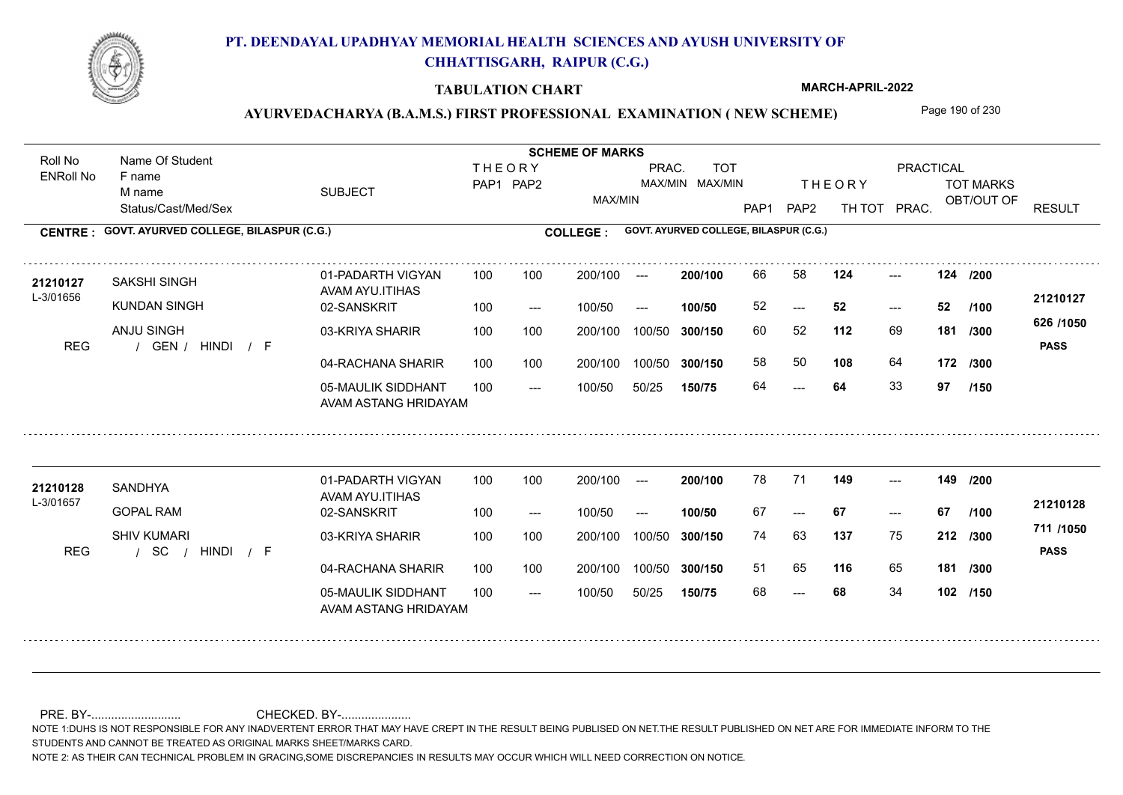

### **TABULATION CHART**

**MARCH-APRIL-2022**

## AYURVEDACHARYA (B.A.M.S.) FIRST PROFESSIONAL EXAMINATION (NEW SCHEME) Page 190 of 230

Status/Cast/Med/Sex SUBJECT TOT MARKS OBT/OUT OF **PRACTICAL** THE ORY TOT MARKS PAP1 PAP2 TH TOT PRAC. Roll No Name Of Student ENRoll No **CENTRE : COLLEGE : GOVT. AYURVED COLLEGE, BILASPUR (C.G.) GOVT. AYURVED COLLEGE, BILASPUR (C.G.) THEORY** PAP1 PAP2 MAX/MIN PRAC. MAX/MIN MAX/MIN TOT RESULT **Name Of Student Contract of Student Act of Student SCHEME OF MARKS** F name M name 01-PADARTH VIGYAN AVAM AYU.ITIHAS 05-MAULIK SIDDHANT AVAM ASTANG HRIDAYAM 04-RACHANA SHARIR 100 100 03-KRIYA SHARIR REG / GEN / HINDI / F 64  $-52$ --- **124 124 /200** 02-SANSKRIT  $100/50$ 100 100 200/100 100/50 300/150 100/50 50/25 **150/75 300/150** 100/50 100 200/100 ---100/50 --- **100/50** 100/50 **300/150 200/100** 100 100 200/100 100/50 300/150  $- - 52$  $- -$  100/50 L-3/01656 SAKSHI SINGH KUNDAN SINGH ANJU SINGH **112** 69 60 52 **181 /300 108** 64 **172 /300 626 /1050** HINDI F **PASS 21210127 <sup>21210127</sup>** <sup>66</sup> <sup>58</sup> 52 **52 52** 58 50 64 **64** 33 **97 /100 /150** 01-PADARTH VIGYAN AVAM AYU.ITIHAS 05-MAULIK SIDDHANT 100 AVAM ASTANG HRIDAYAM 04-RACHANA SHARIR 100 100 03-KRIYA SHARIR
100 100 / / / REG SC --- --- --- **149 149 /200** 02-SANSKRIT 100 --- 100/50 --- 200/100 100/50 **300/150** 100/50 50/25 **150/75 300/150** 100/50 200/100 100 200/100 ---**200/100 100/50** --- 200/100 100/50 200/100 100/50  $- -$  100/50 L-3/01657 SANDHYA GOPAL RAM SHIV KUMARI **137** 75 74 63 **212 /300 116** 65 **181 /300 711 /1050** HINDI F **PASS 21210128 <sup>21210128</sup>** <sup>78</sup> <sup>71</sup> 67 **67 67** 51 65 68 **68** 34 **102 /150 /100**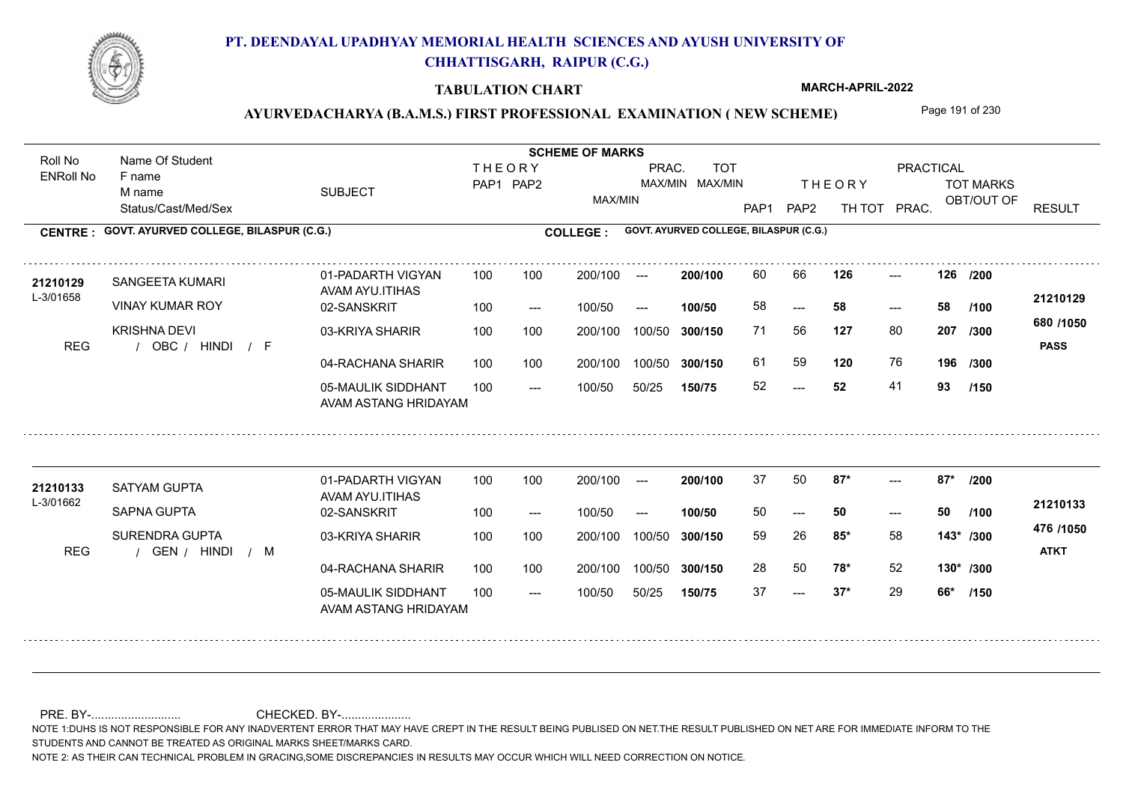

### **TABULATION CHART**

**MARCH-APRIL-2022**

## AYURVEDACHARYA (B.A.M.S.) FIRST PROFESSIONAL EXAMINATION (NEW SCHEME) Page 191 of 230

Status/Cast/Med/Sex SUBJECT TOT MARKS OBT/OUT OF **PRACTICAL** THE ORY TOT MARKS PAP1 PAP2 TH TOT PRAC. Roll No Name Of Student ENRoll No **CENTRE : COLLEGE : GOVT. AYURVED COLLEGE, BILASPUR (C.G.) GOVT. AYURVED COLLEGE, BILASPUR (C.G.) THEORY** PAP1 PAP2 MAX/MIN PRAC. MAX/MIN MAX/MIN TOT RESULT **Name Of Student Contract of Student Act of Student SCHEME OF MARKS** F name M name 01-PADARTH VIGYAN AVAM AYU.ITIHAS 05-MAULIK SIDDHANT AVAM ASTANG HRIDAYAM 04-RACHANA SHARIR 100 100 03-KRIYA SHARIR REG / OBC / HINDI / F  $-52$ --- --- **126 126 /200** 02-SANSKRIT  $100/50$ 100 100 200/100 100/50 300/150 100/50 50/25 **150/75 300/150** 100/50 100 200/100 ---100/50 --- **100/50** 100/50 **300/150 200/100** 100 100 200/100 100/50 300/150  $- - 58$  $- -$  100/50 L-3/01658 SANGEETA KUMARI VINAY KUMAR ROY KRISHNA DEVI **127** 80 **207** /300 **1200 120** 76 **196 680 /1050** HINDI F **PASS 21210129** 21210129 SANGEETA KUMARI 01-PADARTH VIGYAN 100 100 200/100 --- 200/100 60 66 **126** ---58 **58 58** 71 56 **207** 61 59 **120** 76 52 **52** 41 **93 /100 /300 /150** 01-PADARTH VIGYAN AVAM AYU.ITIHAS 05-MAULIK SIDDHANT 100 AVAM ASTANG HRIDAYAM 04-RACHANA SHARIR 100 100 03-KRIYA SHARIR
100 100 REG / GEN / HINDI / M  $- - 37*$ ---  $-2$  87\* 02-SANSKRIT 100 --- 100/50 --- 200/100 100/50 **300/150** 100/50 50/25 **150/75 300/150** 100/50 200/100 100 200/100 ---**200/100 100/50** --- 200/100 100/50 200/100 100/50  $- -$  100/50 L-3/01662 SATYAM GUPTA SAPNA GUPTA SURENDRA GUPTA **87\* 87\* /200 85\*** 58 59 26 **143\* /300 78\*** 52 **130\* /300 476 /1050** HINDI M **ATKT 21210133 <sup>21210133</sup>** <sup>37</sup> <sup>50</sup> 50 **50 50** 28 50 **78\*** 52 37 **37\*** 29 **66\* /100 /150**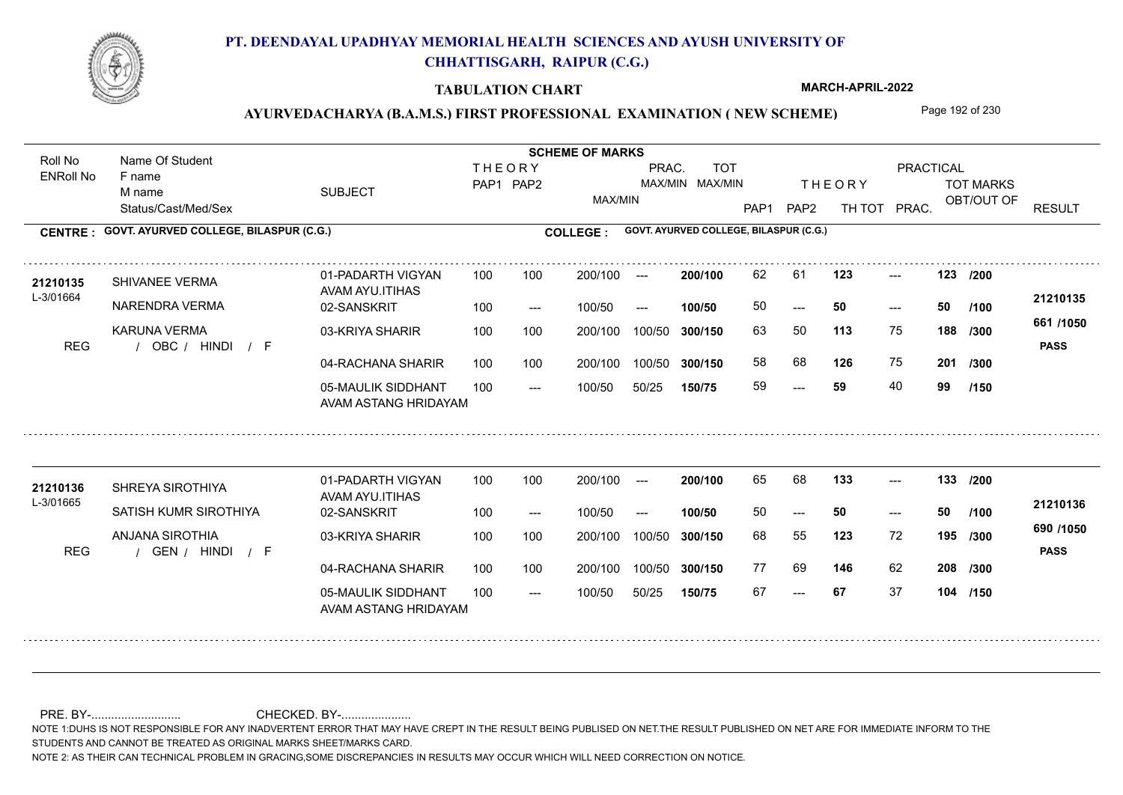

### **TABULATION CHART**

**MARCH-APRIL-2022**

# AYURVEDACHARYA (B.A.M.S.) FIRST PROFESSIONAL EXAMINATION (NEW SCHEME) Page 192 of 230

Status/Cast/Med/Sex SUBJECT TOT MARKS OBT/OUT OF **PRACTICAL** THE ORY TOT MARKS PAP1 PAP2 TH TOT PRAC. Roll No Name Of Student ENRoll No **CENTRE : COLLEGE : GOVT. AYURVED COLLEGE, BILASPUR (C.G.) GOVT. AYURVED COLLEGE, BILASPUR (C.G.) THEORY** PAP1 PAP2 MAX/MIN PRAC. MAX/MIN MAX/MIN TOT RESULT **Name Of Student Contract of Student Act of Student SCHEME OF MARKS** F name M name 01-PADARTH VIGYAN AVAM AYU.ITIHAS 05-MAULIK SIDDHANT AVAM ASTANG HRIDAYAM 04-RACHANA SHARIR 100 100 03-KRIYA SHARIR REG / OBC / HINDI / F ---  $- - 50$ --- 123 02-SANSKRIT 100 --- 100/50 --- 100 100 200/100 100/50 300/150 100/50 50/25 **150/75 300/150** 100/50 100 200/100 ---100/50 **300/150 200/100 100/50** 100 100 200/100 100/50 300/150  $- - 50$  $- -$  100/50 L-3/01664 SHIVANEE VERMA NARENDRA VERMA KARUNA VERMA **123 123 /200 113** 75 **/300 126** 75 **201 661 /1050** HINDI F **PASS 21210135 <sup>21210135</sup>** <sup>62</sup> <sup>61</sup> 50 **50 50** 63 50 **188** 58 68 **126** 75 59 **59** 40 **99 /100 /300 /150** 01-PADARTH VIGYAN AVAM AYU.ITIHAS 05-MAULIK SIDDHANT 100 AVAM ASTANG HRIDAYAM 04-RACHANA SHARIR 100 100 03-KRIYA SHARIR
100 100 REG / GEN / HINDI / F --- --- --- **133 133 /200** 02-SANSKRIT 100 --- 100/50 --- 200/100 100/50 **300/150** 100/50 50/25 **150/75 300/150** 100/50 200/100 100 200/100 ---**200/100 100/50** --- 200/100 100/50 200/100 100/50  $- -$  100/50 L-3/01665 SHREYA SIROTHIYA SATISH KUMR SIROTHIYA ANJANA SIROTHIA **123** 72 68 55 **195 /300 146** 62 **208 /300 690 /1050** HINDI F **PASS 21210136** 21210136 SHREYA SIROTHIYA 01-PADARTH VIGYAN 100 100 200/100 --- **200/100** 65 68 **133** ---50 **50 50** 77 69 146 62 67 **67** 37 **104 /150 /100**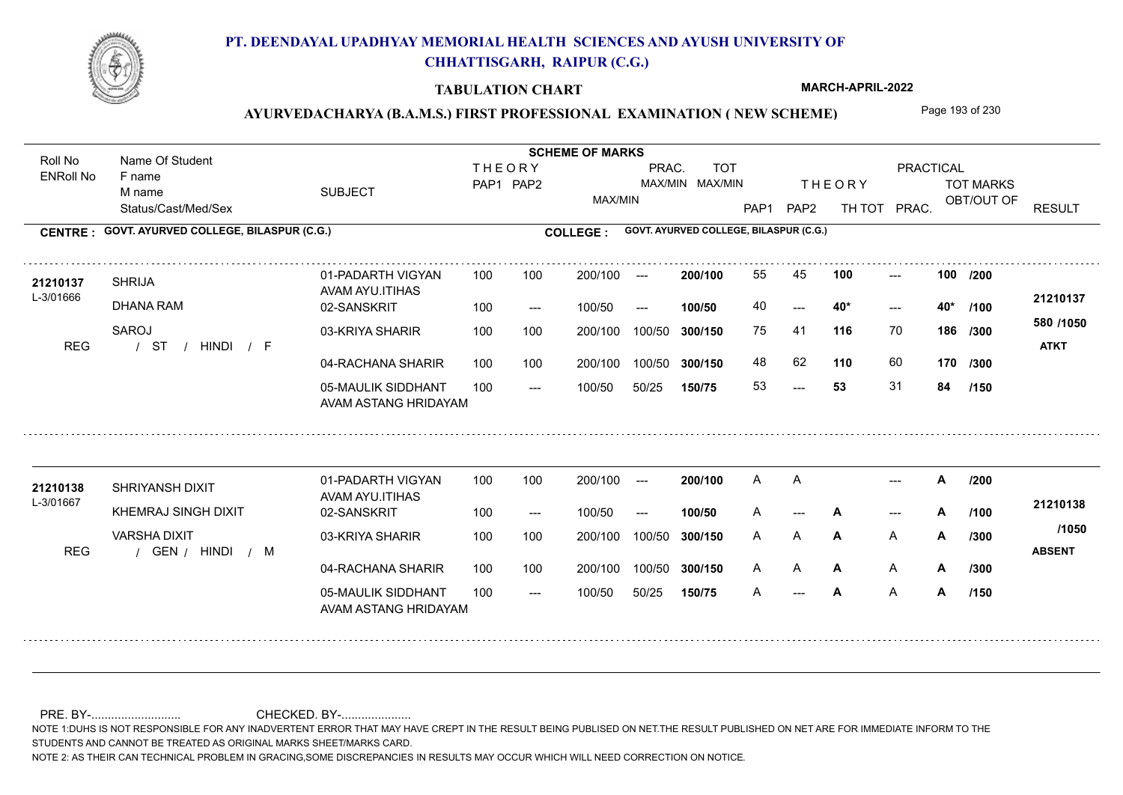

### **TABULATION CHART**

**MARCH-APRIL-2022**

# AYURVEDACHARYA (B.A.M.S.) FIRST PROFESSIONAL EXAMINATION (NEW SCHEME) Page 193 of 230

Status/Cast/Med/Sex SUBJECT TOT MARKS OBT/OUT OF **PRACTICAL** THE ORY TOT MARKS PAP1 PAP2 TH TOT PRAC. Roll No Name Of Student ENRoll No **CENTRE : COLLEGE : GOVT. AYURVED COLLEGE, BILASPUR (C.G.) GOVT. AYURVED COLLEGE, BILASPUR (C.G.) THEORY** PAP1 PAP2 MAX/MIN PRAC. MAX/MIN MAX/MIN TOT RESULT **Name Of Student Contract of Student Act of Student SCHEME OF MARKS** F name M name 01-PADARTH VIGYAN AVAM AYU.ITIHAS 05-MAULIK SIDDHANT AVAM ASTANG HRIDAYAM 04-RACHANA SHARIR 100 100 03-KRIYA SHARIR / / / REG ST  $-53$  $- - 40*$ --- 02-SANSKRIT 100 --- 100/50 --- 100 100 200/100 100/50 300/150 100/50 50/25 **150/75 300/150** 100/50 100 200/100 ---100/50 **300/150 200/100 100/50** 100 100 200/100 100/50 300/150  $- - 40*$  $- -$  100/50 L-3/01666 SHRIJA DHANA RAM SAROJ **100 100 116** 70 **/300 110** 60 **170 580 /1050** HINDI F **ATKT 21210137 <sup>21210137</sup>** <sup>55</sup> <sup>45</sup> 40 **40\* 40\*** 75 41 **186** 48 62 **110** 60 53 **53** 31 **84 /200 /100 /300 /150** 01-PADARTH VIGYAN AVAM AYU.ITIHAS 05-MAULIK SIDDHANT 100 AVAM ASTANG HRIDAYAM 04-RACHANA SHARIR 100 100 03-KRIYA SHARIR
100 100 REG / GEN / HINDI / M  $\mathsf{A}$ --- --- 02-SANSKRIT 100 --- 100/50 --- 200/100 100/50 **300/150** 100/50 50/25 **150/75 300/150** 100/50 200/100 100 200/100 ---**200/100 100/50** --- 200/100 100/50 200/100 100/50  $- -$  100/50 L-3/01667 SHRIYANSH DIXIT **21210138** KHEMRAJ SINGH DIXIT VARSHA DIXIT **A /200 A** A **/300 A** A **A** HINDI M **ABSENT 21210138** A A A --- **A** --- **A** /100 <del>-</del>1210100 A **A A A A /300** A A /1000 A A **A A** A A **A** A **A /100 /300 /150 /1050**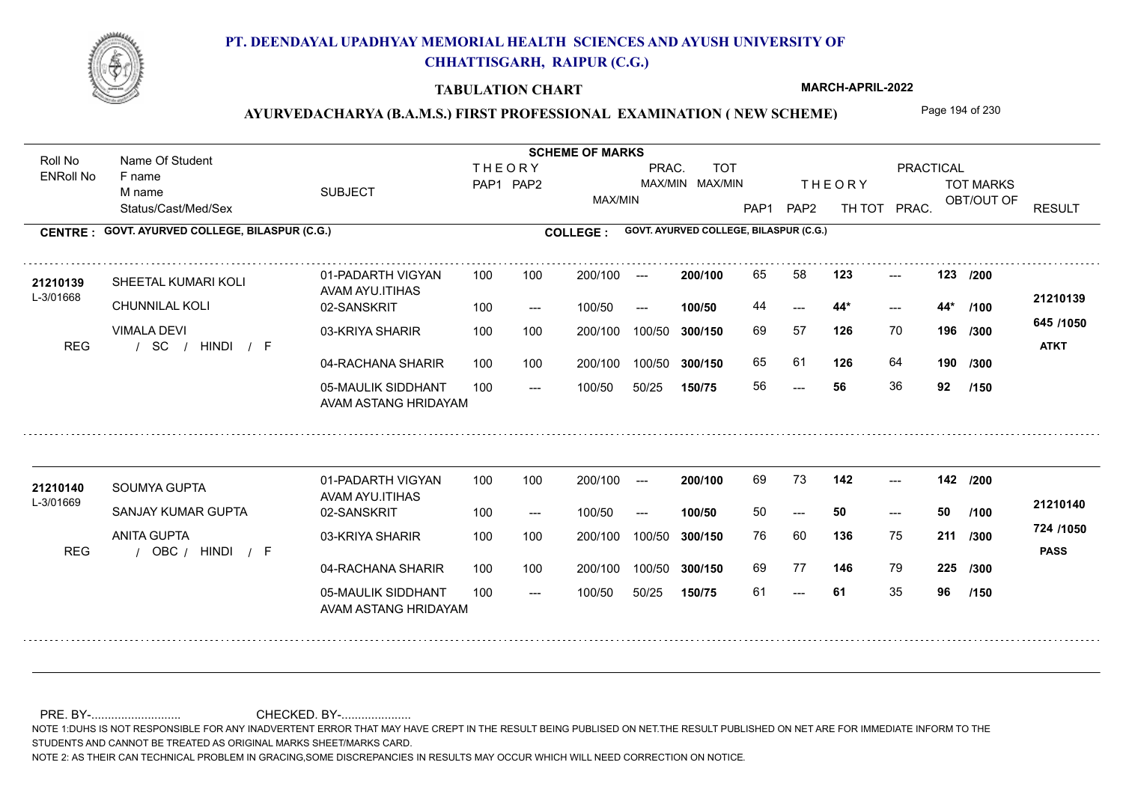

### **TABULATION CHART**

**MARCH-APRIL-2022**

# AYURVEDACHARYA (B.A.M.S.) FIRST PROFESSIONAL EXAMINATION (NEW SCHEME) Page 194 of 230

Status/Cast/Med/Sex SUBJECT TOT MARKS OBT/OUT OF **PRACTICAL** THE ORY TOT MARKS PAP1 PAP2 TH TOT PRAC. Roll No Name Of Student ENRoll No **CENTRE : COLLEGE : GOVT. AYURVED COLLEGE, BILASPUR (C.G.) GOVT. AYURVED COLLEGE, BILASPUR (C.G.) THEORY** PAP1 PAP2 MAX/MIN PRAC. MAX/MIN MAX/MIN TOT RESULT **Name Of Student Contract of Student Act of Student SCHEME OF MARKS** F name M name 01-PADARTH VIGYAN AVAM AYU.ITIHAS 05-MAULIK SIDDHANT AVAM ASTANG HRIDAYAM 04-RACHANA SHARIR 100 100 03-KRIYA SHARIR / / / REG SC ---  $- - 44*$ --- **123 123 /200** 02-SANSKRIT 100 --- 100/50 --- 100 100 200/100 100/50 300/150 100/50 50/25 **150/75 300/150** 100/50 100 200/100 ---100/50 **300/150 200/100 100/50** 100 100 200/100 100/50 300/150  $- - 44*$  $- -$  100/50 L-3/01668 SHEETAL KUMARI KOLI CHUNNILAL KOLI VIMALA DEVI **126** 70 69 57 **196 /300 126** 64 **190 645 /1050** HINDI F **ATKT 21210139 <sup>21210139</sup>** <sup>65</sup> <sup>58</sup> 44 **44\* 44\*** 65 61 56 **56** 36 **92 /100 /300 /150** 01-PADARTH VIGYAN AVAM AYU.ITIHAS 05-MAULIK SIDDHANT 100 AVAM ASTANG HRIDAYAM 04-RACHANA SHARIR 100 100 03-KRIYA SHARIR
100 100 REG / OBC / HINDI / F --- 61 --- --- **142 142 /200** 02-SANSKRIT 100 --- 100/50 --- 200/100 100/50 **300/150** 100/50 50/25 **150/75 300/150** 100/50 200/100 100 200/100 ---**200/100 100/50** --- 200/100 100/50 200/100 100/50  $- -$  100/50 L-3/01669 SOUMYA GUPTA SANJAY KUMAR GUPTA ANITA GUPTA **136** 75 **/300 146** 79 **225 /300 724 /1050** HINDI F **PASS 21210140 <sup>21210140</sup>** <sup>69</sup> <sup>73</sup> 50 **50 50** 76 60 **211** 69 77 146 79 61 **61** 35 **96 /100 /150**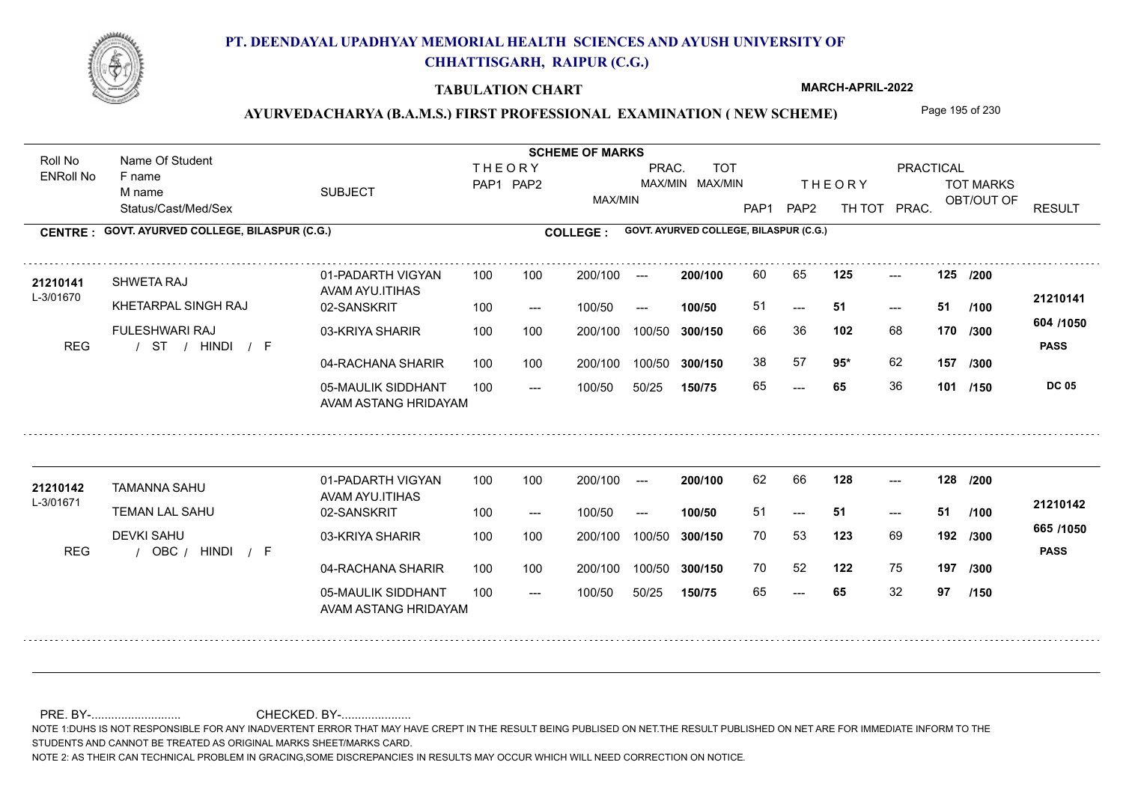

### **TABULATION CHART**

**MARCH-APRIL-2022**

## AYURVEDACHARYA (B.A.M.S.) FIRST PROFESSIONAL EXAMINATION (NEW SCHEME) Page 195 of 230

Status/Cast/Med/Sex SUBJECT TOT MARKS OBT/OUT OF **PRACTICAL** THE ORY TOT MARKS PAP1 PAP2 TH TOT PRAC. Roll No Name Of Student ENRoll No **CENTRE : COLLEGE : GOVT. AYURVED COLLEGE, BILASPUR (C.G.) GOVT. AYURVED COLLEGE, BILASPUR (C.G.) THEORY** PAP1 PAP2 MAX/MIN PRAC. MAX/MIN MAX/MIN TOT RESULT **Name Of Student Contract of Student Act of Student SCHEME OF MARKS** F name M name 01-PADARTH VIGYAN AVAM AYU.ITIHAS 05-MAULIK SIDDHANT AVAM ASTANG HRIDAYAM 04-RACHANA SHARIR 100 100 03-KRIYA SHARIR REG / ST / HINDI / F ---  $-51$ --- **125 125 /200** 02-SANSKRIT 100 --- 100/50 --- 100 100 200/100 100/50 300/150 100/50 50/25 **150/75 300/150** 100/50 100 200/100 ---100/50 **300/150 200/100 100/50** 100 100 200/100 100/50 300/150  $- - 51$  $- -$  100/50 L-3/01670 SHWETA RAJ KHETARPAL SINGH RAJ FULESHWARI RAJ **102** 68 **/300 95\*** 62 **157 /300 604 /1050 PASS DC 05 /150 21210141** 21210141 SHWETA RAJ 01-PADARTH VIGYAN 100 100 200/100 --- **200/100** 60 65 **125** ---51 **51 51** 66 36 **170** 38 57 **95**\* 62 65 **65** 36 **101 /100** 01-PADARTH VIGYAN AVAM AYU.ITIHAS 05-MAULIK SIDDHANT 100 AVAM ASTANG HRIDAYAM 04-RACHANA SHARIR 100 100 03-KRIYA SHARIR
100 100 REG / OBC / HINDI / F --- --- --- **128 128 /200** 02-SANSKRIT 100 --- 100/50 --- 200/100 100/50 **300/150** 100/50 50/25 **150/75 300/150** 100/50 200/100 100 200/100 ---**200/100 100/50**  $- - 51$ 200/100 100/50 200/100 100/50  $- -$  100/50 L-3/01671 TAMANNA SAHU TEMAN LAL SAHU DEVKI SAHU **123** 69 70 53 **192 /300 122** 75 **197 /300 665 /1050** HINDI F **PASS 21210142** 21210142 TAMANNA SAHU 01-PADARTH VIGYAN 100 100 200/100 --- **200/100 62 66 128 ---**-51 **51 51** 70 52 122 75 65 **65** 32 **97 /100 /150**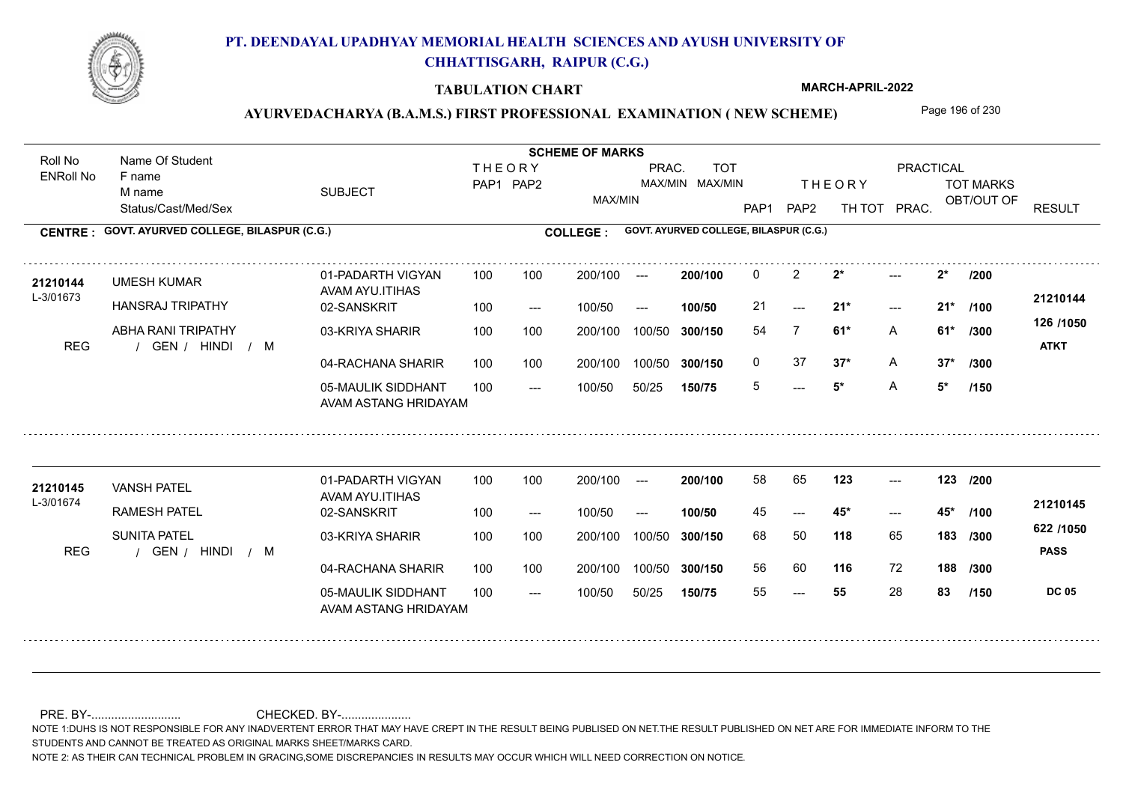

### **TABULATION CHART**

**MARCH-APRIL-2022**

# AYURVEDACHARYA (B.A.M.S.) FIRST PROFESSIONAL EXAMINATION (NEW SCHEME) Page 196 of 230

Status/Cast/Med/Sex SUBJECT TOT MARKS OBT/OUT OF **PRACTICAL** THE ORY TOT MARKS PAP1 PAP2 TH TOT PRAC. Roll No Name Of Student ENRoll No **CENTRE : COLLEGE : GOVT. AYURVED COLLEGE, BILASPUR (C.G.) GOVT. AYURVED COLLEGE, BILASPUR (C.G.) THEORY** PAP1 PAP2 MAX/MIN PRAC. MAX/MIN MAX/MIN TOT RESULT **Name Of Student Contract of Student Act of Student SCHEME OF MARKS** F name M name 01-PADARTH VIGYAN AVAM AYU.ITIHAS 05-MAULIK SIDDHANT AVAM ASTANG HRIDAYAM 04-RACHANA SHARIR 100 100 03-KRIYA SHARIR REG / GEN / HINDI / M  $- - 5^*$  $-21*$  $2^*$ 02-SANSKRIT  $100/50$ 100 100 200/100 100/50 300/150 100/50 50/25 **150/75 300/150** 100/50 100 200/100 ---100/50 --- **100/50** 100/50 **300/150 200/100** 100 100 200/100 100/50 300/150  $-21*$  $- -$  100/50 L-3/01673 UMESH KUMAR HANSRAJ TRIPATHY ABHA RANI TRIPATHY **2\* 2\* /200 61\*** A **/300 37\*** A **37\* /300 126 /1050** HINDI M **ATKT 21210144** 21210144 UMESH KUMAR 01-PADARTH VIGYAN 100 100 200/100 --- **200/100** 0 2 2\* ---21 **21\* 21\*** 54 7 **61\*** 0 37 **37\*** A 5 **5\*** A **5\* /100 /150** 01-PADARTH VIGYAN AVAM AYU.ITIHAS 05-MAULIK SIDDHANT 100 AVAM ASTANG HRIDAYAM 04-RACHANA SHARIR 100 100 03-KRIYA SHARIR
100 100 REG (GEN / HINDI / M ---  $- - 45$ \* --- **123 123 /200** 02-SANSKRIT 100 --- 100/50 --- 200/100 100/50 **300/150** 100/50 50/25 **150/75 300/150** 100/50 200/100 100 200/100 ---**200/100 100/50**  $- - 45$ 200/100 100/50 200/100 100/50  $- -$  100/50 L-3/01674 VANSH PATEL RAMESH PATEL SUNITA PATEL **118** 65 68 50 **183 /300 116** 72 **188 /300 622 /1050 PASS DC 05 /150 21210145** 21**210145** VANSH PATEL 01-PADARTH VIGYAN 100 100 200/100 --- **200/100 58 65 123** ---45 **45\* 45\*** 56 60 55 **55** 28 **83 /100**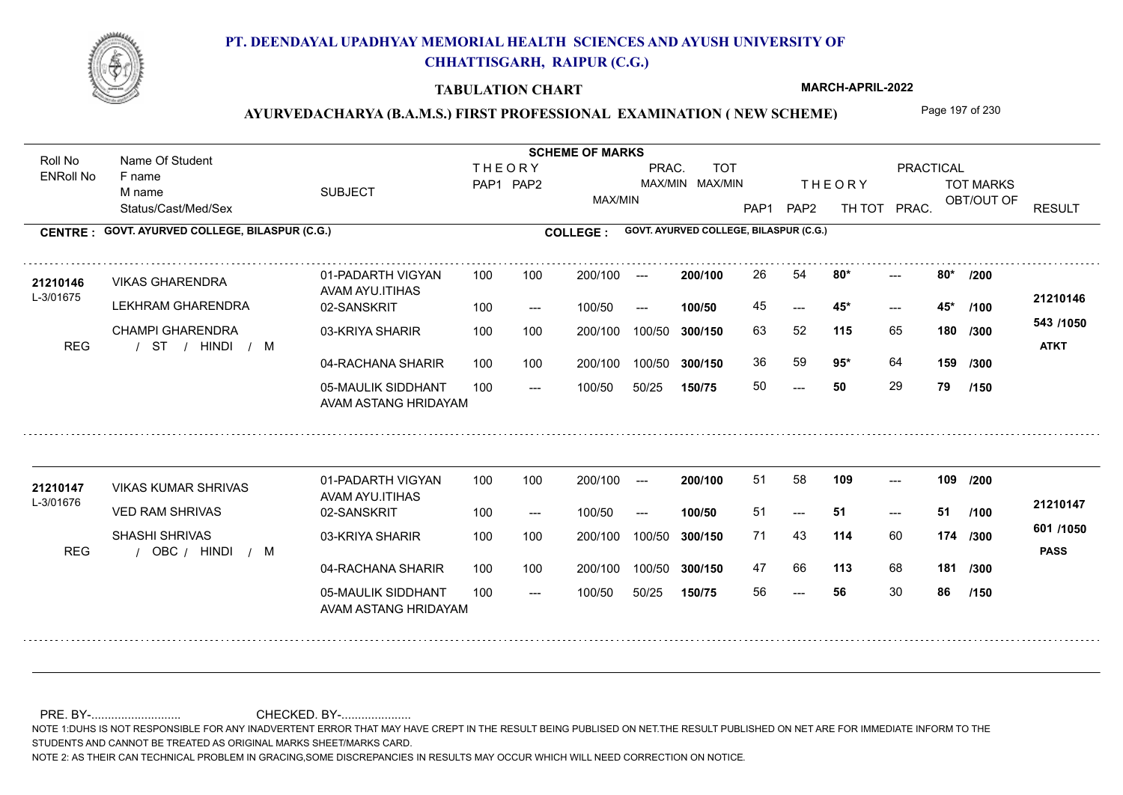

### **TABULATION CHART**

**MARCH-APRIL-2022**

# AYURVEDACHARYA (B.A.M.S.) FIRST PROFESSIONAL EXAMINATION (NEW SCHEME) Page 197 of 230

Status/Cast/Med/Sex SUBJECT TOT MARKS OBT/OUT OF **PRACTICAL** THE ORY TOT MARKS PAP1 PAP2 TH TOT PRAC. Roll No Name Of Student ENRoll No **CENTRE : COLLEGE : GOVT. AYURVED COLLEGE, BILASPUR (C.G.) GOVT. AYURVED COLLEGE, BILASPUR (C.G.) THEORY** PAP1 PAP2 MAX/MIN PRAC. MAX/MIN MAX/MIN TOT RESULT **Name Of Student Contract of Student Act of Student SCHEME OF MARKS** F name M name 01-PADARTH VIGYAN AVAM AYU.ITIHAS 05-MAULIK SIDDHANT AVAM ASTANG HRIDAYAM 04-RACHANA SHARIR 100 100 03-KRIYA SHARIR / / / REG ST  $- - 50$  $- - 45$ \*  $-2$  80\* 02-SANSKRIT 100 --- 100/50 --- 100 100 200/100 100/50 300/150 100/50 50/25 **150/75 300/150** 100/50 100 200/100 ---100/50 **300/150 200/100 100/50** 100 100 200/100 100/50 300/150  $- - 45$ \*  $- -$  100/50 L-3/01675 VIKAS GHARENDRA LEKHRAM GHARENDRA CHAMPI GHARENDRA **80\* 80\* /200 115** 65 **/300 95\*** 64 **159 543 /1050** HINDI M **ATKT 21210146** 21210146 VIKAS GHARENDRA 01-PADARTH VIGYAN 100 100 200/100 --- **200/100 2**6 54 **80\*** ---45 **45\* 45\*** 63 52 **180** 36 59 **95**\* 64 50 **50** 29 **79 /100 /300 /150** 01-PADARTH VIGYAN AVAM AYU.ITIHAS 05-MAULIK SIDDHANT 100 AVAM ASTANG HRIDAYAM 04-RACHANA SHARIR 100 100 03-KRIYA SHARIR
100 100 REG / OBC / HINDI / M --- --- --- 02-SANSKRIT 100 --- 100/50 --- 200/100 100/50 **300/150** 100/50 50/25 **150/75 300/150** 100/50 200/100 100 200/100 ---**200/100 100/50**  $- - 51$ 200/100 100/50 200/100 100/50  $- -$  100/50 L-3/01676 VIKAS KUMAR SHRIVAS VED RAM SHRIVAS SHASHI SHRIVAS **109 109 /200 114** 60 71 43 **174 /300 113** 68 **181 /300 601 /1050** HINDI M **PASS 21210147** 21210147 VIKAS KUMAR SHRIVAS 01-PADARTH VIGYAN 100 100 200/100 --- 200/100 51 58 109 ---51 **51 51** 47 66 113 68 56 **56** 30 **86 /100 /150**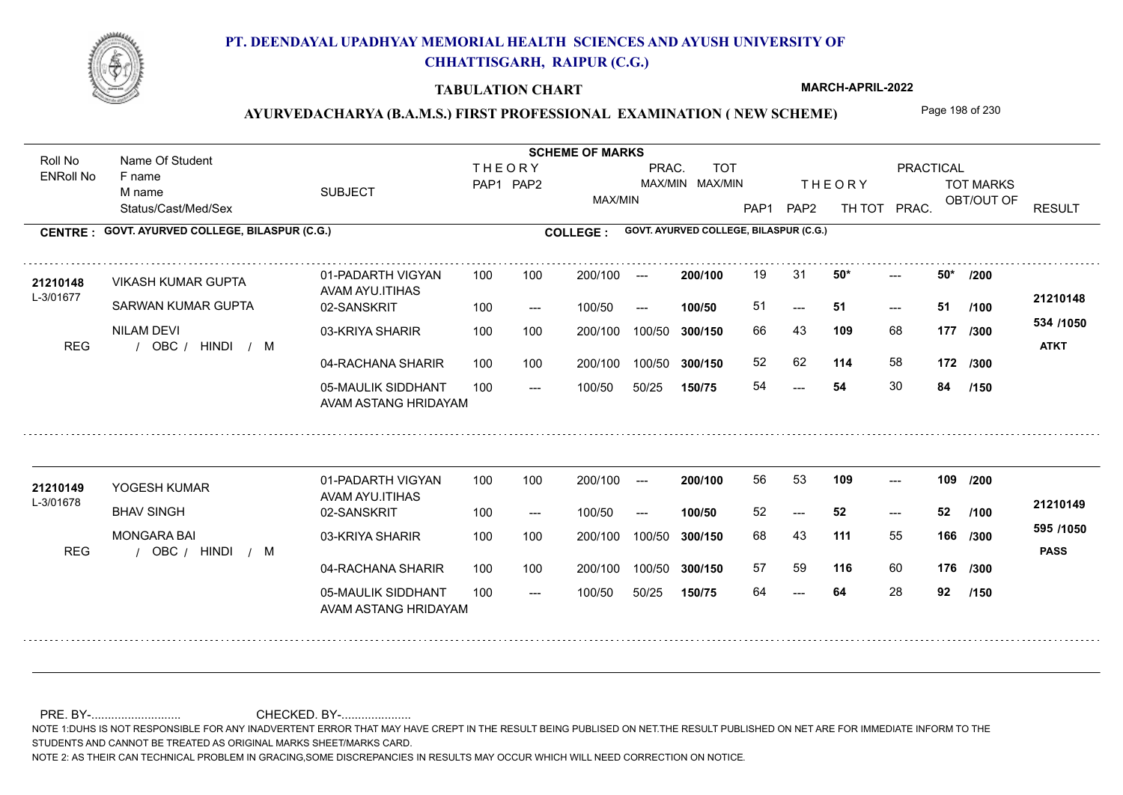

### **TABULATION CHART**

**MARCH-APRIL-2022**

# AYURVEDACHARYA (B.A.M.S.) FIRST PROFESSIONAL EXAMINATION (NEW SCHEME) Page 198 of 230

Status/Cast/Med/Sex SUBJECT TOT MARKS OBT/OUT OF **PRACTICAL** THE ORY TOT MARKS PAP1 PAP2 TH TOT PRAC. Roll No Name Of Student ENRoll No **CENTRE : COLLEGE : GOVT. AYURVED COLLEGE, BILASPUR (C.G.) GOVT. AYURVED COLLEGE, BILASPUR (C.G.) THEORY** PAP1 PAP2 MAX/MIN PRAC. MAX/MIN MAX/MIN TOT RESULT **Name Of Student Contract of Student Act of Student SCHEME OF MARKS** F name M name 01-PADARTH VIGYAN AVAM AYU.ITIHAS 05-MAULIK SIDDHANT AVAM ASTANG HRIDAYAM 04-RACHANA SHARIR 100 100 03-KRIYA SHARIR REG / OBC / HINDI / M 54  $-51$  $- - 50*$ 02-SANSKRIT 100 --- 100/50 --- 100 100 200/100 100/50 300/150 100/50 50/25 **150/75 300/150** 100/50 100 200/100 ---100/50 **300/150 200/100 100/50** 100 100 200/100 100/50 300/150  $- - 51$  $- -$  100/50 L-3/01677 VIKASH KUMAR GUPTA SARWAN KUMAR GUPTA NILAM DEVI **50\* 50\* /200 109** 68 66 43 **177 /300 114** 58 **172 /300 534 /1050** HINDI M **ATKT 21210148** 21210148 VIKASH KUMAR GUPTA 01-PADARTH VIGYAN 100 100 200/100 --- **200/100 1**9 31 **50\*** ---51 **51 51** 52 62 54 **54** 30 **84 /100 /150** 01-PADARTH VIGYAN AVAM AYU.ITIHAS 05-MAULIK SIDDHANT 100 AVAM ASTANG HRIDAYAM 04-RACHANA SHARIR 100 100 03-KRIYA SHARIR REG / OBC / HINDI / M --- --- --- 02-SANSKRIT 100 --- 100/50 --- 200/100 100/50 **300/150** 100/50 50/25 **150/75 300/150** 100/50 200/100 100 200/100 ---**200/100 100/50** --- 200/100 100/50 200/100 100/50  $- -$  100/50 L-3/01678 YOGESH KUMAR BHAV SINGH MONGARA BAI **109 109 /200 111** 55 **/300 116** 60 **176 /300 595 /1050** HINDI M **PASS 21210149** 21**210149** YOGESH KUMAR 01-PADARTH VIGYAN 100 100 200/100 --- **200/100** 56 53 **109** ---52 **52 52** 68 43 **166** 57 59 64 **64** 28 **92 /100 /150**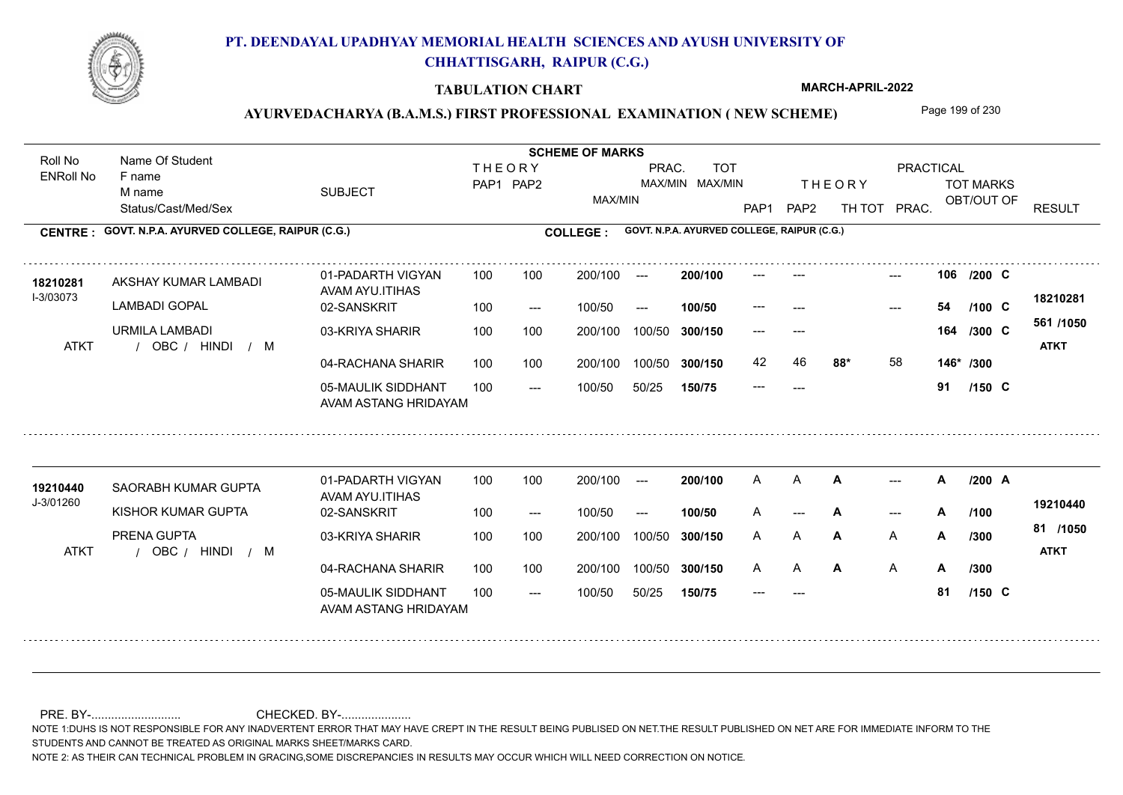

### **TABULATION CHART**

**MARCH-APRIL-2022**

## AYURVEDACHARYA (B.A.M.S.) FIRST PROFESSIONAL EXAMINATION (NEW SCHEME) Page 199 of 230

Status/Cast/Med/Sex SUBJECT TOT MARKS OBT/OUT OF **PRACTICAL** THE ORY TOT MARKS PAP1 PAP2 TH TOT PRAC. Roll No Name Of Student ENRoll No **CENTRE : COLLEGE : GOVT. N.P.A. AYURVED COLLEGE, RAIPUR (C.G.) GOVT. N.P.A. AYURVED COLLEGE, RAIPUR (C.G.) THEORY** PAP1 PAP2 MAX/MIN PRAC. MAX/MIN MAX/MIN TOT RESULT **Name Of Student Contract of Student Act of Student SCHEME OF MARKS** F name M name 01-PADARTH VIGYAN AVAM AYU.ITIHAS 05-MAULIK SIDDHANT AVAM ASTANG HRIDAYAM 04-RACHANA SHARIR 100 100 03-KRIYA SHARIR / / / ATKT OBC --- --- --- **106** --- --- **C /200** 02-SANSKRIT  $100/50$ 100 100 200/100 100/50 300/150 100/50 50/25 **150/75 300/150** 100/50 100 200/100 ---100/50 --- **100/50** 100/50 **300/150 200/100** 100 100 200/100 100/50 300/150 ---  $- -$  100/50 I-3/03073 AKSHAY KUMAR LAMBADI **18210281** LAMBADI GOPAL URMILA LAMBADI **88\*** 58 **146\* /300 561 /1050** HINDI M **ATKT 18210281** --- **54 C /100** --- --- **164 C /300** 42 46 **88\*** 58 --- **91 C /150** 01-PADARTH VIGYAN AVAM AYU.ITIHAS 05-MAULIK SIDDHANT 100 AVAM ASTANG HRIDAYAM 04-RACHANA SHARIR 100 100 03-KRIYA SHARIR / / / ATKT OBC --- --- --- 02-SANSKRIT 100 --- 100/50 --- 200/100 100/50 **300/150** 100/50 50/25 **150/75 300/150** 100/50 200/100 100 200/100 ---**200/100 100/50** --- 200/100 100/50 200/100 100/50  $- -$  100/50 J-3/01260 SAORABH KUMAR GUPTA **19210440** KISHOR KUMAR GUPTA PRENA GUPTA **A A /200 A** A **/300 A** A **A 81 /1050** HINDI M **ATKT 19210440** A A **A** A --- **A** --- **A** /100 <sup>10210440</sup> A **A A A A /300** A A **A A** A --- **81 C /100 /300 /150**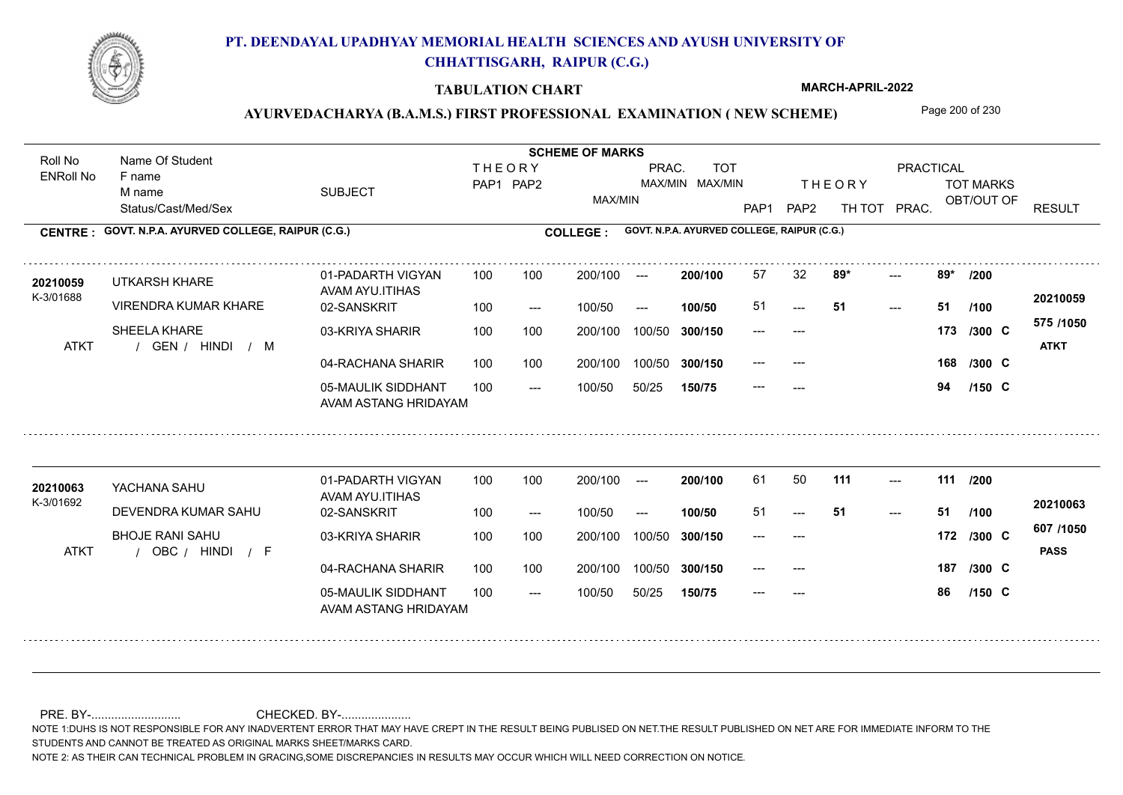

### **TABULATION CHART**

**MARCH-APRIL-2022**

# AYURVEDACHARYA (B.A.M.S.) FIRST PROFESSIONAL EXAMINATION (NEW SCHEME) Page 200 of 230

|                             | Name Of Student                             |                                            |                            |       | <b>SCHEME OF MARKS</b>                 |        |                                             |               |                            |     |                                      |            |          |                          |
|-----------------------------|---------------------------------------------|--------------------------------------------|----------------------------|-------|----------------------------------------|--------|---------------------------------------------|---------------|----------------------------|-----|--------------------------------------|------------|----------|--------------------------|
| Roll No<br><b>ENRoll No</b> | F name<br>M name                            | <b>SUBJECT</b>                             | <b>THEORY</b><br>PAP1 PAP2 |       | <b>TOT</b><br>PRAC.<br>MAX/MIN MAX/MIN |        |                                             | <b>THEORY</b> |                            |     | <b>PRACTICAL</b><br><b>TOT MARKS</b> |            |          |                          |
|                             | Status/Cast/Med/Sex                         |                                            |                            |       | MAX/MIN                                |        |                                             | PAP1          | PAP <sub>2</sub><br>TH TOT |     | PRAC.                                | OBT/OUT OF |          | <b>RESULT</b>            |
| <b>CENTRE:</b>              | GOVT. N.P.A. AYURVED COLLEGE, RAIPUR (C.G.) |                                            |                            |       | <b>COLLEGE:</b>                        |        | GOVT. N.P.A. AYURVED COLLEGE, RAIPUR (C.G.) |               |                            |     |                                      |            |          |                          |
| 20210059<br>K-3/01688       | UTKARSH KHARE                               | 01-PADARTH VIGYAN<br>AVAM AYU.ITIHAS       | 100                        | 100   | 200/100                                | $---$  | 200/100                                     | 57            | 32                         | 89* | ---<br>$---$                         | 89*        | /200     |                          |
|                             | <b>VIRENDRA KUMAR KHARE</b>                 | 02-SANSKRIT                                | 100                        | $---$ | 100/50                                 | $---$  | 100/50                                      | 51            | ---                        | -51 |                                      | 51         | /100     | 20210059                 |
| <b>ATKT</b>                 | SHEELA KHARE<br>GEN / HINDI<br>$/$ M        | 03-KRIYA SHARIR                            | 100                        | 100   | 200/100                                | 100/50 | 300/150                                     | ---           | ---                        |     |                                      | 173        | $/300$ C | 575 /1050<br><b>ATKT</b> |
|                             |                                             | 04-RACHANA SHARIR                          | 100                        | 100   | 200/100                                | 100/50 | 300/150                                     | ---           |                            |     |                                      | 168        | $/300$ C |                          |
|                             |                                             | 05-MAULIK SIDDHANT<br>AVAM ASTANG HRIDAYAM | 100                        | $---$ | 100/50                                 | 50/25  | 150/75                                      |               | ---                        |     |                                      | 94         | $/150$ C |                          |
|                             |                                             | 01-PADARTH VIGYAN                          | 100                        | 100   | 200/100                                | $---$  | 200/100                                     | 61            | 50                         | 111 | $---$                                | 111        | /200     |                          |
| 20210063<br>K-3/01692       | YACHANA SAHU                                | AVAM AYU.ITIHAS                            |                            |       |                                        |        |                                             |               |                            |     |                                      |            |          | 20210063                 |
|                             | DEVENDRA KUMAR SAHU                         | 02-SANSKRIT                                | 100                        | $---$ | 100/50                                 | $---$  | 100/50                                      | 51            |                            | -51 | $---$                                | 51         | /100     |                          |
| <b>ATKT</b>                 | <b>BHOJE RANI SAHU</b><br>OBC / HINDI / F   | 03-KRIYA SHARIR                            | 100                        | 100   | 200/100                                | 100/50 | 300/150                                     | ---           | $---$                      |     |                                      | 172        | /300 C   | 607 /1050<br><b>PASS</b> |
|                             |                                             | 04-RACHANA SHARIR                          | 100                        | 100   | 200/100                                | 100/50 | 300/150                                     | ---           | $---$                      |     |                                      | 187        | $/300$ C |                          |
|                             |                                             | 05-MAULIK SIDDHANT<br>AVAM ASTANG HRIDAYAM | 100                        | $---$ | 100/50                                 | 50/25  | 150/75                                      | ---           | $---$                      |     |                                      | 86         | $/150$ C |                          |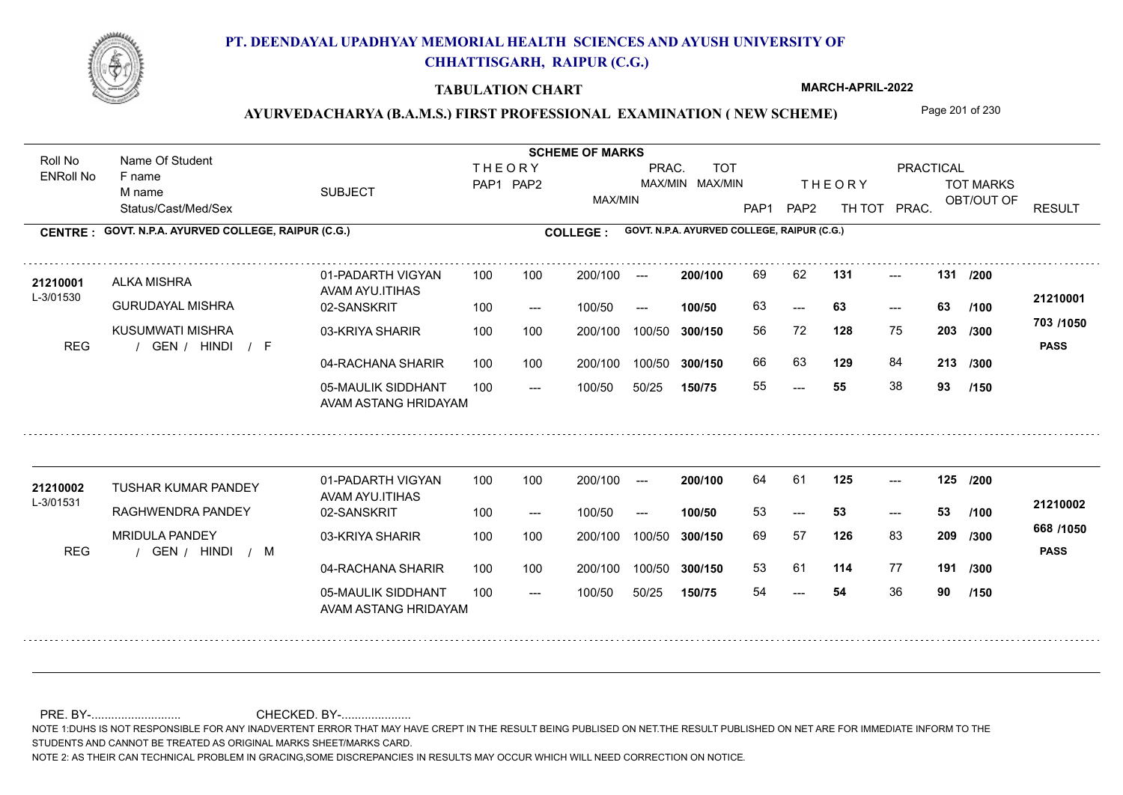

### **TABULATION CHART**

**MARCH-APRIL-2022**

## AYURVEDACHARYA (B.A.M.S.) FIRST PROFESSIONAL EXAMINATION (NEW SCHEME) Page 201 of 230

Status/Cast/Med/Sex SUBJECT TOT MARKS OBT/OUT OF **PRACTICAL** THE ORY TOT MARKS PAP1 PAP2 TH TOT PRAC. Roll No Name Of Student ENRoll No **CENTRE : COLLEGE : GOVT. N.P.A. AYURVED COLLEGE, RAIPUR (C.G.) GOVT. N.P.A. AYURVED COLLEGE, RAIPUR (C.G.) THEORY** PAP1 PAP2 MAX/MIN PRAC. MAX/MIN MAX/MIN TOT RESULT **Name Of Student Contract of Student Act of Student SCHEME OF MARKS** F name M name 01-PADARTH VIGYAN AVAM AYU.ITIHAS 05-MAULIK SIDDHANT AVAM ASTANG HRIDAYAM 04-RACHANA SHARIR 100 100 03-KRIYA SHARIR REG / GEN / HINDI / F ---  $- - 63$ --- **131 131 /200** 02-SANSKRIT 100 --- 100/50 --- 100 100 200/100 100/50 300/150 100/50 50/25 **150/75 300/150** 100/50 100 200/100 ---100/50 **300/150 200/100 100/50** 100 100 200/100 100/50 300/150  $-$  63  $- -$  100/50 L-3/01530 ALKA MISHRA GURUDAYAL MISHRA KUSUMWATI MISHRA **128** 75 **/300 129** 84 **213 /300 703 /1050** HINDI F **PASS 21210001** 21210001 ALKA MISHRA 01-PADARTH VIGYAN 100 100 200/100 --- **200/100** 69 62 **131** ---63 **63 63** 56 72 **203** 66 63 **129** 84 55 **55** 38 **93 /100 /150** 01-PADARTH VIGYAN AVAM AYU.ITIHAS 05-MAULIK SIDDHANT 100 AVAM ASTANG HRIDAYAM 04-RACHANA SHARIR 100 100 03-KRIYA SHARIR REG / GEN / HINDI / M --- --- 53 --- **125 125 /200** 02-SANSKRIT 100 --- 100/50 --- 200/100 100/50 **300/150** 100/50 50/25 **150/75 300/150** 100/50 200/100 100 200/100 ---**200/100 100/50**  $-53$ 200/100 100/50 200/100 100/50  $- -$  100/50 L-3/01531 TUSHAR KUMAR PANDEY RAGHWENDRA PANDEY MRIDULA PANDEY **126** 83 **/300 114** 77 **191 /300 668 /1050** HINDI M **PASS 21210002** 21210002 TUSHAR KUMAR PANDEY 01-PADARTH VIGYAN 100 100 200/100 --- **200/100 64 61 125** ---53 **53 53** 69 57 **209** 53 61 54 **54** 36 **90 /100 /150**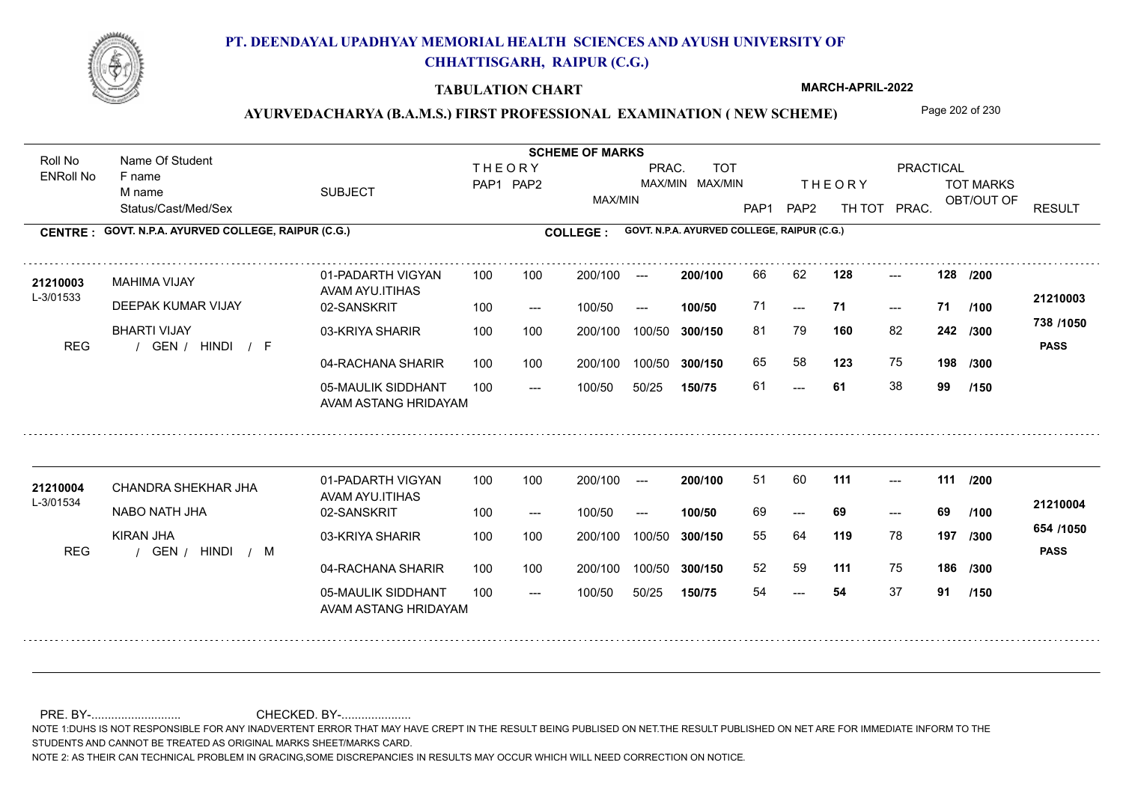

### **TABULATION CHART**

**MARCH-APRIL-2022**

## AYURVEDACHARYA (B.A.M.S.) FIRST PROFESSIONAL EXAMINATION (NEW SCHEME) Page 202 of 230

Status/Cast/Med/Sex SUBJECT TOT MARKS OBT/OUT OF **PRACTICAL** THE ORY TOT MARKS PAP1 PAP2 TH TOT PRAC. Roll No Name Of Student ENRoll No **CENTRE : COLLEGE : GOVT. N.P.A. AYURVED COLLEGE, RAIPUR (C.G.) GOVT. N.P.A. AYURVED COLLEGE, RAIPUR (C.G.) THEORY** PAP1 PAP2 MAX/MIN PRAC. MAX/MIN MAX/MIN TOT RESULT **Name Of Student Contract of Student Act of Student SCHEME OF MARKS** F name M name 01-PADARTH VIGYAN AVAM AYU.ITIHAS 05-MAULIK SIDDHANT AVAM ASTANG HRIDAYAM 04-RACHANA SHARIR 100 100 03-KRIYA SHARIR REG / GEN / HINDI / F --- --- --- 02-SANSKRIT  $100/50$ 100 100 200/100 100/50 300/150 100/50 50/25 **150/75 300/150** 100/50 100 200/100 ---100/50 --- **100/50** 100/50 **300/150 200/100** 100 100 200/100 100/50 300/150  $- - 71$  $- -$  100/50 L-3/01533 MAHIMA VIJAY DEEPAK KUMAR VIJAY BHARTI VIJAY **128 128 160** 82 81 79 **242 /300 123** 75 **198 738 /1050** HINDI F **PASS 21210003** 21210003 MAHIMA VIJAY 01-PADARTH VIGYAN 100 100 200/100 --- **200/100** 66 62 **128** ---71 **71 71** 65 58 **123** 75 61 **61** 38 **99 /200 /100 /300 /150** 01-PADARTH VIGYAN AVAM AYU.ITIHAS 05-MAULIK SIDDHANT 100 AVAM ASTANG HRIDAYAM 04-RACHANA SHARIR 100 100 03-KRIYA SHARIR REG / GEN / HINDI / M --- --- --- **111 111 /200** 02-SANSKRIT 100 --- 100/50 --- 200/100 100/50 **300/150** 100/50 50/25 **150/75 300/150** 100/50 200/100 100 200/100 ---**200/100 100/50** --- 200/100 100/50 200/100 100/50  $- -$  100/50 L-3/01534 CHANDRA SHEKHAR JHA NABO NATH JHA KIRAN JHA **119** 78 **/300 111** 75 **186 /300 654 /1050** HINDI M **PASS 21210004 <sup>21210004</sup>** <sup>51</sup> <sup>60</sup> 69 **69 69** 55 64 **197** 52 59 54 **54** 37 **91 /100 /150**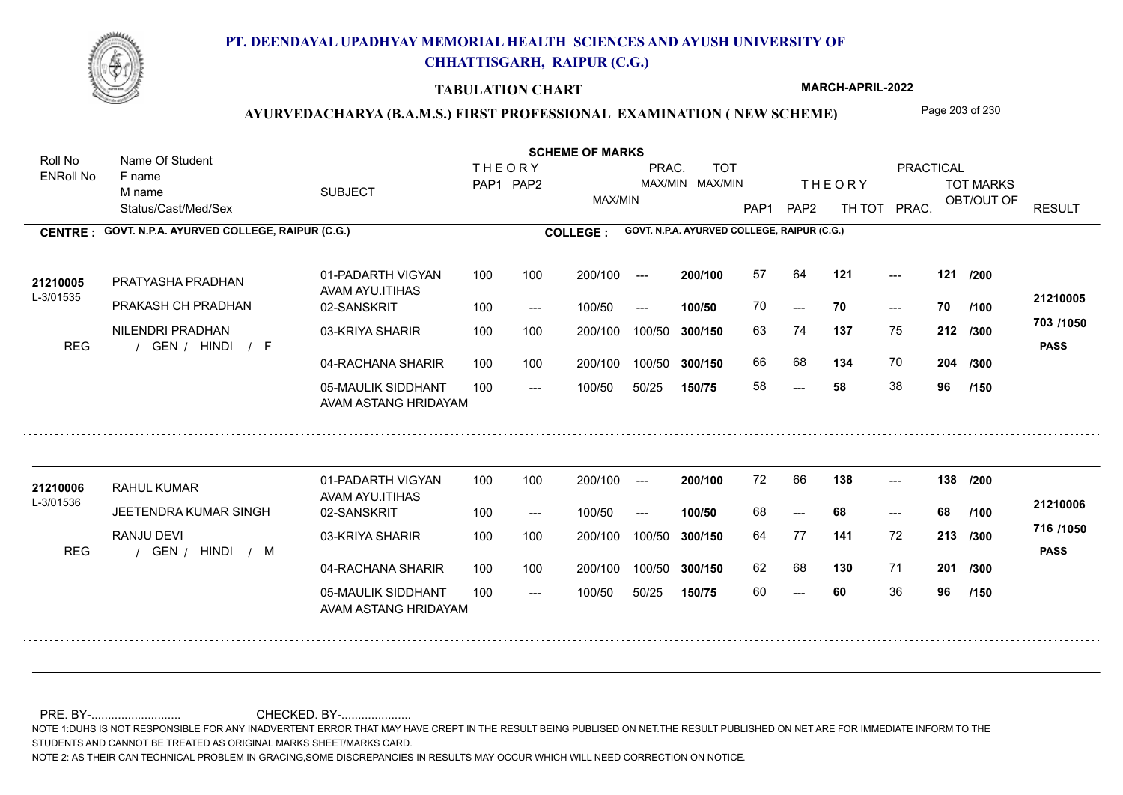

### **TABULATION CHART**

**MARCH-APRIL-2022**

## AYURVEDACHARYA (B.A.M.S.) FIRST PROFESSIONAL EXAMINATION (NEW SCHEME) Page 203 of 230

Status/Cast/Med/Sex SUBJECT TOT MARKS OBT/OUT OF **PRACTICAL** THE ORY TOT MARKS PAP1 PAP2 TH TOT PRAC. Roll No Name Of Student ENRoll No **CENTRE : COLLEGE : GOVT. N.P.A. AYURVED COLLEGE, RAIPUR (C.G.) GOVT. N.P.A. AYURVED COLLEGE, RAIPUR (C.G.) THEORY** PAP1 PAP2 MAX/MIN PRAC. MAX/MIN MAX/MIN TOT RESULT **Name Of Student Contract of Student Act of Student SCHEME OF MARKS** F name M name 01-PADARTH VIGYAN AVAM AYU.ITIHAS 05-MAULIK SIDDHANT AVAM ASTANG HRIDAYAM 04-RACHANA SHARIR 100 100 03-KRIYA SHARIR REG / GEN / HINDI / F ---  $- - 70$ --- **121 121 /200** 02-SANSKRIT 100 --- 100/50 --- 100 100 200/100 100/50 300/150 100/50 50/25 **150/75 300/150** 100/50 100 200/100 ---100/50 **300/150 200/100 100/50** 100 100 200/100 100/50 300/150  $- - 70$  $- -$  100/50 L-3/01535 PRATYASHA PRADHAN PRAKASH CH PRADHAN NILENDRI PRADHAN **137** 75 63 74 **212 /300 134** 70 **204 703 /1050** HINDI F **PASS 21210005 <sup>21210005</sup>** <sup>57</sup> <sup>64</sup> 70 **70 70** 66 68 **134** 70 58 **58** 38 **96 /100 /300 /150** 01-PADARTH VIGYAN AVAM AYU.ITIHAS 05-MAULIK SIDDHANT 100 AVAM ASTANG HRIDAYAM 04-RACHANA SHARIR 100 100 03-KRIYA SHARIR REG / GEN / HINDI / M --- --- --- **138 138 /200** 02-SANSKRIT 100 --- 100/50 --- 200/100 100/50 **300/150** 100/50 50/25 **150/75 300/150** 100/50 200/100 100 200/100 ---**200/100 100/50** --- 200/100 100/50 200/100 100/50  $- -$  100/50 L-3/01536 RAHUL KUMAR **21210006** JEETENDRA KUMAR SINGH RANJU DEVI **141** 72 64 77 **213 /300 130** 71 **201 /300 716 /1050** HINDI M **PASS 21210006**  $138$  ---68 **68 68** 62 68 60 **60** 36 **96 /100 /150**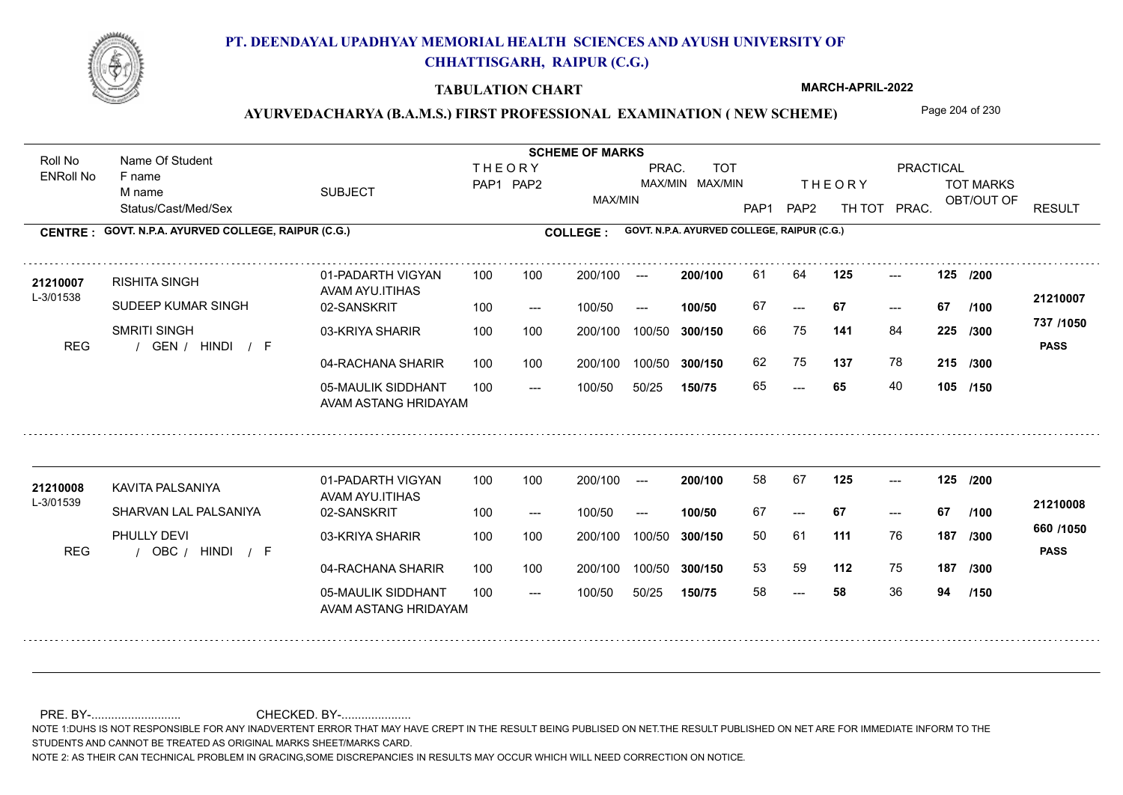

### **TABULATION CHART**

**MARCH-APRIL-2022**

## AYURVEDACHARYA (B.A.M.S.) FIRST PROFESSIONAL EXAMINATION (NEW SCHEME) Page 204 of 230

Status/Cast/Med/Sex SUBJECT TOT MARKS OBT/OUT OF **PRACTICAL** THE ORY TOT MARKS PAP1 PAP2 TH TOT PRAC. Roll No Name Of Student ENRoll No **CENTRE : COLLEGE : GOVT. N.P.A. AYURVED COLLEGE, RAIPUR (C.G.) GOVT. N.P.A. AYURVED COLLEGE, RAIPUR (C.G.) THEORY** PAP1 PAP2 MAX/MIN PRAC. MAX/MIN MAX/MIN TOT RESULT **Name Of Student Contract of Student Act of Student SCHEME OF MARKS** F name M name 01-PADARTH VIGYAN AVAM AYU.ITIHAS 05-MAULIK SIDDHANT AVAM ASTANG HRIDAYAM 04-RACHANA SHARIR 100 100 03-KRIYA SHARIR REG / GEN / HINDI / F --- --- --- **125 125 /200** 02-SANSKRIT 100 --- 100/50 --- 100 100 200/100 100/50 300/150 100/50 50/25 **150/75 300/150** 100/50 100 200/100 ---100/50 **300/150 200/100 100/50** 100 100 200/100 100/50 300/150  $- - 67$  $- -$  100/50 L-3/01538 RISHITA SINGH SUDEEP KUMAR SINGH SMRITI SINGH **141** 84 **/300 137** 78 **215 /300 737 /1050** HINDI F **PASS 21210007** 21210007 RISHITA SINGH 01-PADARTH VIGYAN 100 100 200/100 --- **200/100 61 64 125 ---**-67 **67 67** 66 75 **225** 62 75 **137** 78 65 **65** 40 **105 /150 /100** 01-PADARTH VIGYAN AVAM AYU.ITIHAS 05-MAULIK SIDDHANT 100 AVAM ASTANG HRIDAYAM 04-RACHANA SHARIR 100 100 03-KRIYA SHARIR REG / OBC / HINDI / F --- --- --- **125 125 /200** 02-SANSKRIT 100 --- 100/50 --- 200/100 100/50 **300/150** 100/50 50/25 **150/75 300/150** 100/50 200/100 100 200/100 ---**200/100 100/50** --- 200/100 100/50 200/100 100/50  $- -$  100/50 L-3/01539 KAVITA PALSANIYA SHARVAN LAL PALSANIYA PHULLY DEVI **111** 76 **/300 112** 75 **187 /300 660 /1050** HINDI F **PASS 21210008 <sup>21210008</sup>** <sup>58</sup> <sup>67</sup> 67 **67 67** 50 61 **187** 53 59 58 **58** 36 **94 /100 /150**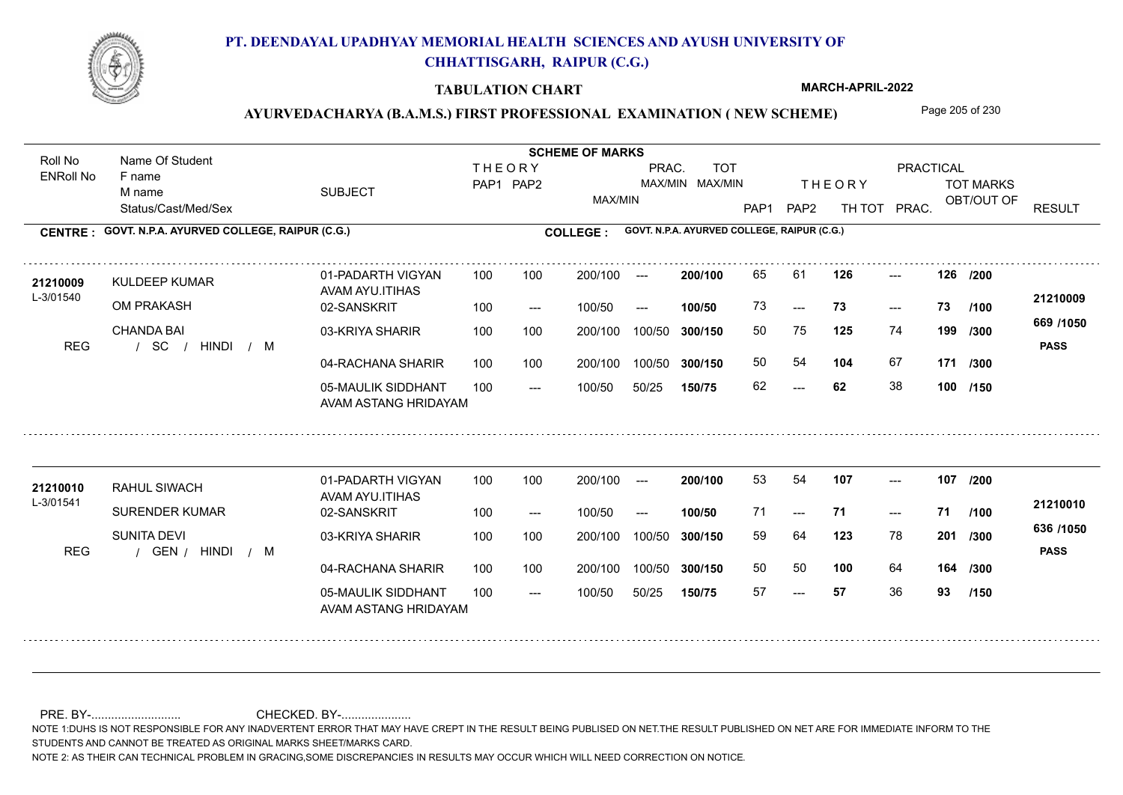

### **TABULATION CHART**

**MARCH-APRIL-2022**

## AYURVEDACHARYA (B.A.M.S.) FIRST PROFESSIONAL EXAMINATION (NEW SCHEME) Page 205 of 230

Status/Cast/Med/Sex SUBJECT TOT MARKS OBT/OUT OF **PRACTICAL** THE ORY TOT MARKS PAP1 PAP2 TH TOT PRAC. Roll No Name Of Student ENRoll No **CENTRE : COLLEGE : GOVT. N.P.A. AYURVED COLLEGE, RAIPUR (C.G.) GOVT. N.P.A. AYURVED COLLEGE, RAIPUR (C.G.) THEORY** PAP1 PAP2 MAX/MIN PRAC. MAX/MIN MAX/MIN TOT RESULT **Name Of Student Contract of Student Act of Student SCHEME OF MARKS** F name M name 01-PADARTH VIGYAN AVAM AYU.ITIHAS 05-MAULIK SIDDHANT AVAM ASTANG HRIDAYAM 04-RACHANA SHARIR 100 100 03-KRIYA SHARIR / / / REG SC  $- - 62$  $-23$ --- **126 126 /200** 02-SANSKRIT  $100/50$ 100 100 200/100 100/50 300/150 100/50 50/25 **150/75 300/150** 100/50 100 200/100 ---100/50 --- **100/50** 100/50 **300/150 200/100** 100 100 200/100 100/50 300/150  $-$  73  $- -$  100/50 L-3/01540 KULDEEP KUMAR OM PRAKASH CHANDA BAI **125** 74 **/300 104** 67 **171 669 /1050** HINDI M **PASS 21210009 <sup>21210009</sup>** <sup>65</sup> <sup>61</sup> 73 **73 73** 50 75 **199** 50 54 **104** 67 62 **62** 38 **100 /150 /100 /300** 01-PADARTH VIGYAN AVAM AYU.ITIHAS 05-MAULIK SIDDHANT 100 AVAM ASTANG HRIDAYAM 04-RACHANA SHARIR 100 100 03-KRIYA SHARIR
100 100 REG / GEN / HINDI / M --- --- --- **107 107 /200** 02-SANSKRIT 100 --- 100/50 --- 200/100 100/50 **300/150** 100/50 50/25 **150/75 300/150** 100/50 200/100 100 200/100 ---**200/100 100/50** --- 200/100 100/50 200/100 100/50  $- -$  100/50 L-3/01541 RAHUL SIWACH SURENDER KUMAR SUNITA DEVI **123** 78 **/300 100** 64 **164 /300 636 /1050** HINDI M **PASS 21210010 <sup>21210010</sup>** <sup>53</sup> <sup>54</sup> 71 **71 71** 59 64 **201** 50 50 57 **57** 36 **93 /100 /150**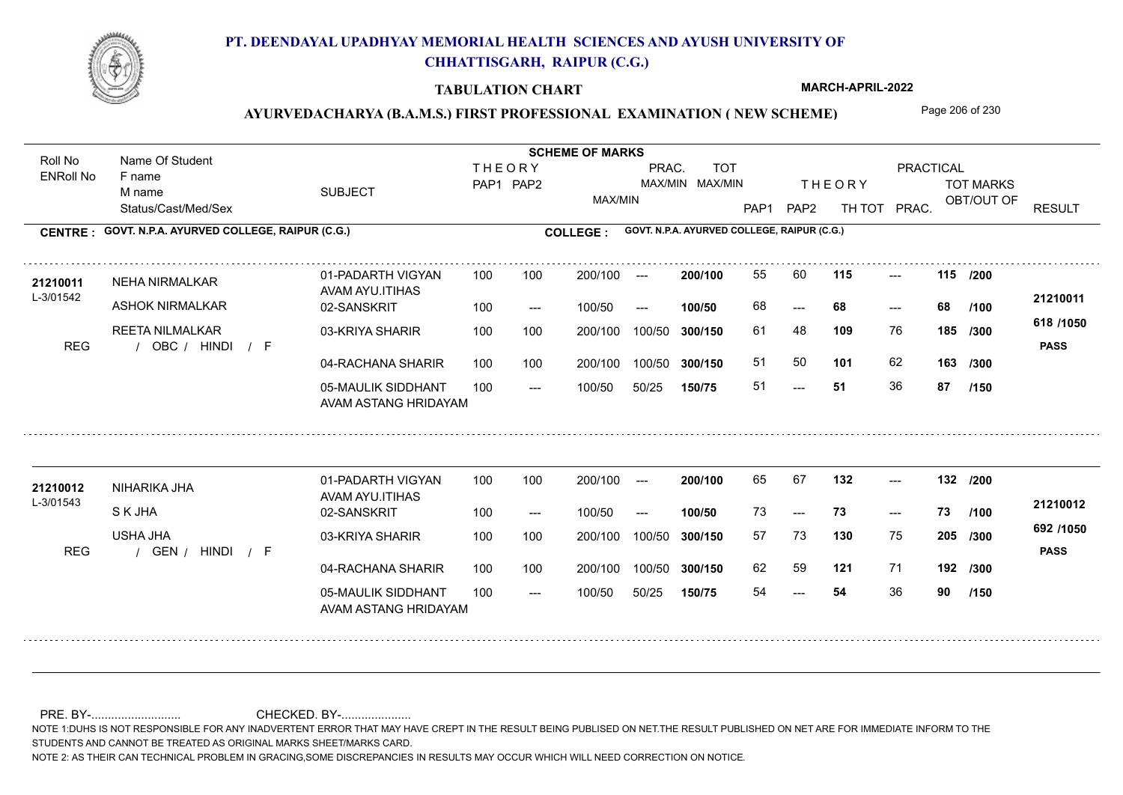

### **TABULATION CHART**

**MARCH-APRIL-2022**

# AYURVEDACHARYA (B.A.M.S.) FIRST PROFESSIONAL EXAMINATION (NEW SCHEME) Page 206 of 230

Status/Cast/Med/Sex SUBJECT TOT MARKS OBT/OUT OF PRACTICAL THE ORY TOT MARKS PAP1 PAP2 TH TOT PRAC. Roll No Name Of Student ENRoll No **CENTRE : COLLEGE : GOVT. N.P.A. AYURVED COLLEGE, RAIPUR (C.G.) GOVT. N.P.A. AYURVED COLLEGE, RAIPUR (C.G.) THEORY** PAP1 PAP2 MAX/MIN PRAC. MAX/MIN MAX/MIN TOT RESULT **Name Of Student Contract of Student Act of Student SCHEME OF MARKS** F name M name 01-PADARTH VIGYAN AVAM AYU.ITIHAS 05-MAULIK SIDDHANT AVAM ASTANG HRIDAYAM 04-RACHANA SHARIR 100 100 03-KRIYA SHARIR REG / OBC / HINDI / F --- --- --- **115 115 /200** 02-SANSKRIT 100 --- 100/50 --- 100 100 200/100 100/50 300/150 100/50 50/25 **150/75 300/150** 100/50 100 200/100 ---100/50 **300/150 200/100 100/50** 100 100 200/100 100/50 300/150 ---  $- -$  100/50 L-3/01542 NEHA NIRMALKAR ASHOK NIRMALKAR REETA NILMALKAR **109** 76 61 48 **185 /300 101** 62 **163 618 /1050** HINDI F **PASS 21210011 <sup>21210011</sup>** <sup>55</sup> <sup>60</sup> 68 **68 68** 51 50 **101** 62 51 **51** 36 **87 /100 /300 /150** 01-PADARTH VIGYAN AVAM AYU.ITIHAS 05-MAULIK SIDDHANT 100 AVAM ASTANG HRIDAYAM 04-RACHANA SHARIR 100 100 03-KRIYA SHARIR
100 100 REG / GEN / HINDI / F --- --- --- **132 132 /200** 02-SANSKRIT 100 --- 100/50 --- 200/100 100/50 **300/150** 100/50 50/25 **150/75 300/150** 100/50 200/100 100 200/100 ---**200/100 100/50**  $- - 73$ 200/100 100/50 200/100 100/50  $- -$  100/50 L-3/01543 NIHARIKA JHA S K JHA USHA JHA **130** 75 57 73 **205 /300 121** 71 **192 /300 692 /1050** HINDI F **PASS 21210012 <sup>21210012</sup>** <sup>65</sup> <sup>67</sup> 73 **73 73** 62 59 **121** 71 54 **54** 36 **90 /100 /150**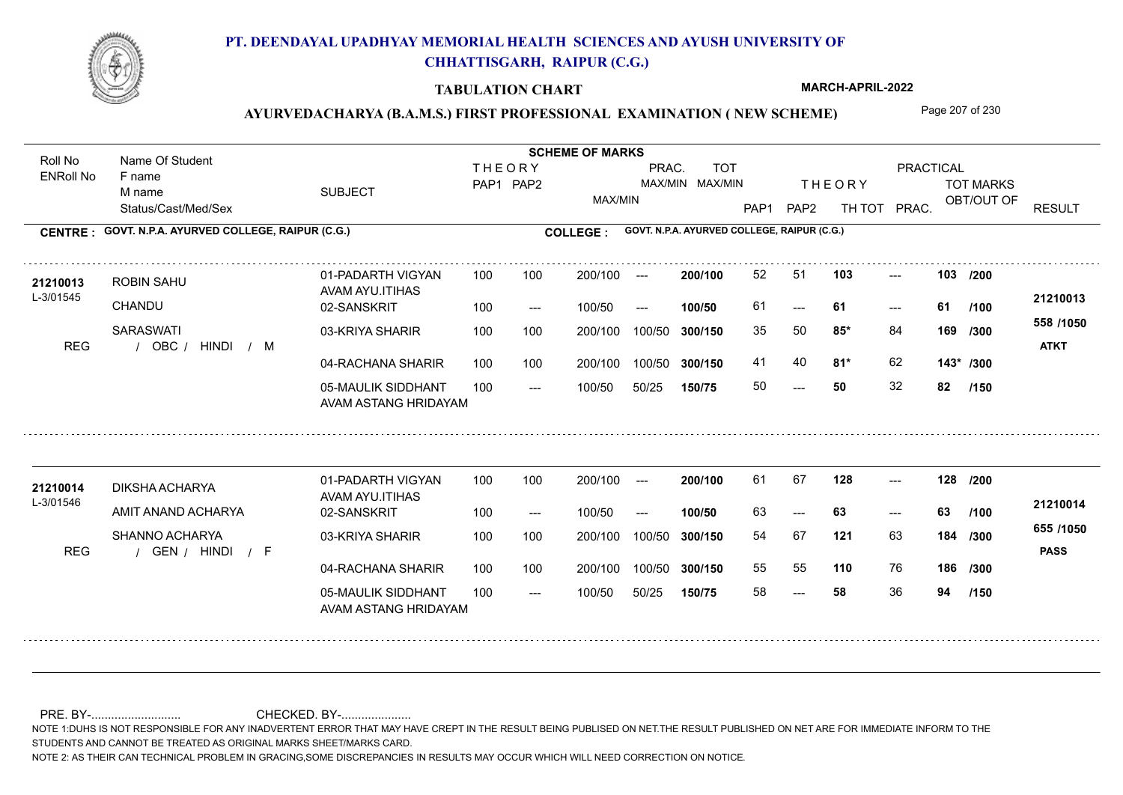

### **TABULATION CHART**

**MARCH-APRIL-2022**

## AYURVEDACHARYA (B.A.M.S.) FIRST PROFESSIONAL EXAMINATION (NEW SCHEME) Page 207 of 230

Status/Cast/Med/Sex SUBJECT TOT MARKS OBT/OUT OF PRACTICAL THE ORY TOT MARKS PAP1 PAP2 TH TOT PRAC. Roll No Name Of Student ENRoll No **CENTRE : COLLEGE : GOVT. N.P.A. AYURVED COLLEGE, RAIPUR (C.G.) GOVT. N.P.A. AYURVED COLLEGE, RAIPUR (C.G.) THEORY** PAP1 PAP2 MAX/MIN PRAC. MAX/MIN MAX/MIN TOT RESULT **Name Of Student Contract of Student Act of Student SCHEME OF MARKS** F name M name 01-PADARTH VIGYAN AVAM AYU.ITIHAS 05-MAULIK SIDDHANT AVAM ASTANG HRIDAYAM 04-RACHANA SHARIR 100 100 03-KRIYA SHARIR REG / OBC / HINDI / M  $- - 50$  $- - 61$ --- 02-SANSKRIT  $/ M$ 100 --- 100/50 --- 100 100 200/100 100/50 300/150 100/50 50/25 **150/75 300/150** 100/50 100 200/100 ---100/50 **300/150 200/100 100/50** 100 100 200/100 100/50 300/150  $- - 61$  $- -$  100/50 L-3/01545 ROBIN SAHU **CHANDU SARASWATI 103 103 85\*** 84 **/300 81\*** 62 **143\* /300 558 /1050** HINDI M **ATKT 21210013 <sup>21210013</sup>** <sup>52</sup> <sup>51</sup> 61 **61 61** 35 50 **85\*** 84 **169 /300 1000** 41 40 **81\*** 62 50 **50** 32 **82 /200 /100 /150** 01-PADARTH VIGYAN AVAM AYU.ITIHAS 05-MAULIK SIDDHANT 100 AVAM ASTANG HRIDAYAM 04-RACHANA SHARIR 100 100 03-KRIYA SHARIR
100 100 REG / GEN / HINDI / F --- --- --- **128 128 /200** 02-SANSKRIT 100 --- 100/50 --- 200/100 100/50 **300/150** 100/50 50/25 **150/75 300/150** 100/50 200/100 100 200/100 ---**200/100 100/50**  $- - 63$ 200/100 100/50 200/100 100/50  $- -$  100/50 L-3/01546 DIKSHA ACHARYA AMIT ANAND ACHARYA SHANNO ACHARYA **121** 63 **184** /300 **<sup>300</sup>** 1030 **110** 76 **186 /300 655 /1050** HINDI F **PASS 21210014 <sup>21210014</sup>** <sup>61</sup> <sup>67</sup> 63 **63 63** 54 67 **184** 55 55 58 **58** 36 **94 /100 /150**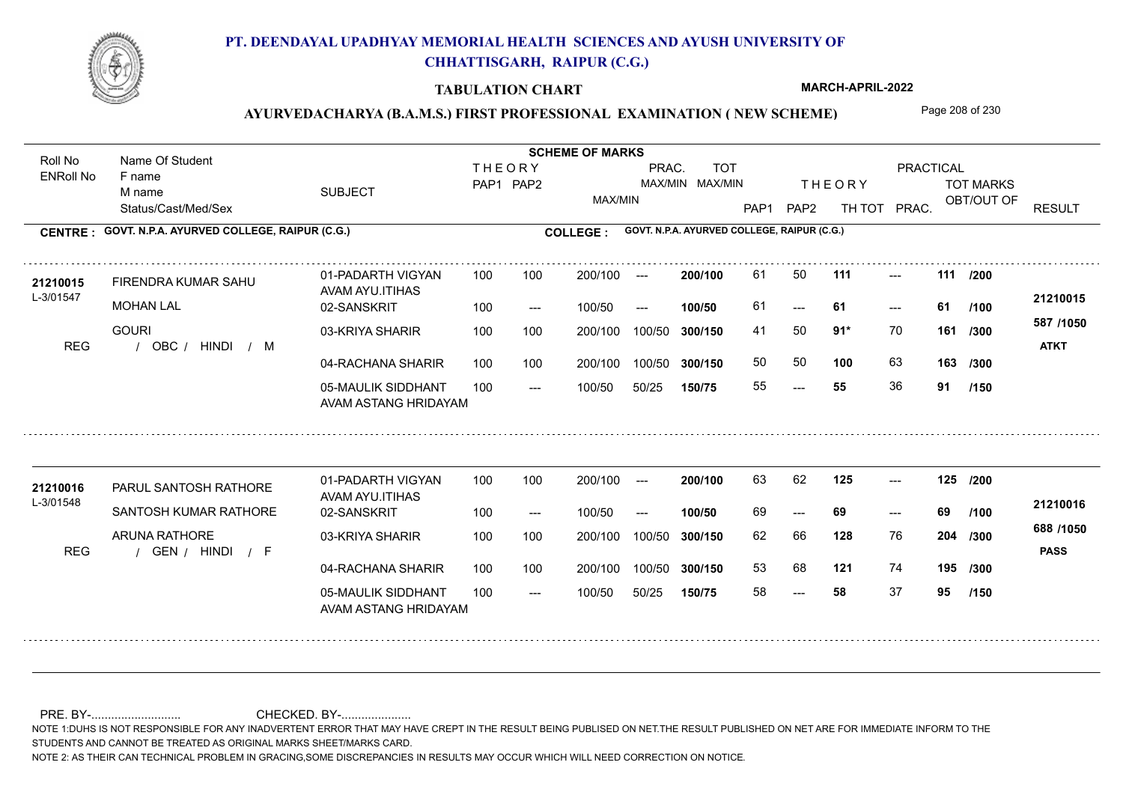

### **TABULATION CHART**

**MARCH-APRIL-2022**

## AYURVEDACHARYA (B.A.M.S.) FIRST PROFESSIONAL EXAMINATION (NEW SCHEME) Page 208 of 230

Status/Cast/Med/Sex SUBJECT TOT MARKS OBT/OUT OF PRACTICAL THE ORY TOT MARKS PAP1 PAP2 TH TOT PRAC. Roll No Name Of Student ENRoll No **CENTRE : COLLEGE : GOVT. N.P.A. AYURVED COLLEGE, RAIPUR (C.G.) GOVT. N.P.A. AYURVED COLLEGE, RAIPUR (C.G.) THEORY** PAP1 PAP2 MAX/MIN PRAC. MAX/MIN MAX/MIN TOT RESULT **Name Of Student Contract of Student Act of Student SCHEME OF MARKS** F name M name 01-PADARTH VIGYAN AVAM AYU.ITIHAS 05-MAULIK SIDDHANT AVAM ASTANG HRIDAYAM 04-RACHANA SHARIR 100 100 03-KRIYA SHARIR REG / OBC / HINDI / M ---  $- - 61$ --- **111 111 /200** 02-SANSKRIT 100 --- 100/50 --- 100 100 200/100 100/50 300/150 100/50 50/25 **150/75 300/150** 100/50 100 200/100 ---100/50 **300/150 200/100 100/50** 100 100 200/100 100/50 300/150  $- - 61$  $- -$  100/50 L-3/01547 FIRENDRA KUMAR SAHU MOHAN LAL GOURI **91\*** 70 **/300 100** 63 **163 587 /1050** HINDI M **ATKT 21210015 <sup>21210015</sup>** <sup>61</sup> <sup>50</sup> 61 **61 61** 41 50 **161** 50 50 55 **55** 36 **91 /100 /300 /150** 01-PADARTH VIGYAN AVAM AYU.ITIHAS 05-MAULIK SIDDHANT 100 AVAM ASTANG HRIDAYAM 04-RACHANA SHARIR 100 100 03-KRIYA SHARIR
100 100 REG / GEN / HINDI / F --- --- --- **125 125 /200** 02-SANSKRIT 100 --- 100/50 --- 200/100 100/50 **300/150** 100/50 50/25 **150/75 300/150** 100/50 200/100 100 200/100 ---**200/100 100/50** --- 200/100 100/50 200/100 100/50  $- -$  100/50 L-3/01548 PARUL SANTOSH RATHORE SANTOSH KUMAR RATHORE ARUNA RATHORE **128** 76 **204** /300 **121** 74 **195 /300 688 /1050** HINDI F **PASS 21210016** 21210016 PARUL SANTOSH RATHORE 01-PADARTH VIGYAN 100 100 200/100 --- **200/100** 63 62 **125** ---69 **69 69** 62 66 **204** 53 68 58 **58** 37 **95 /100 /150**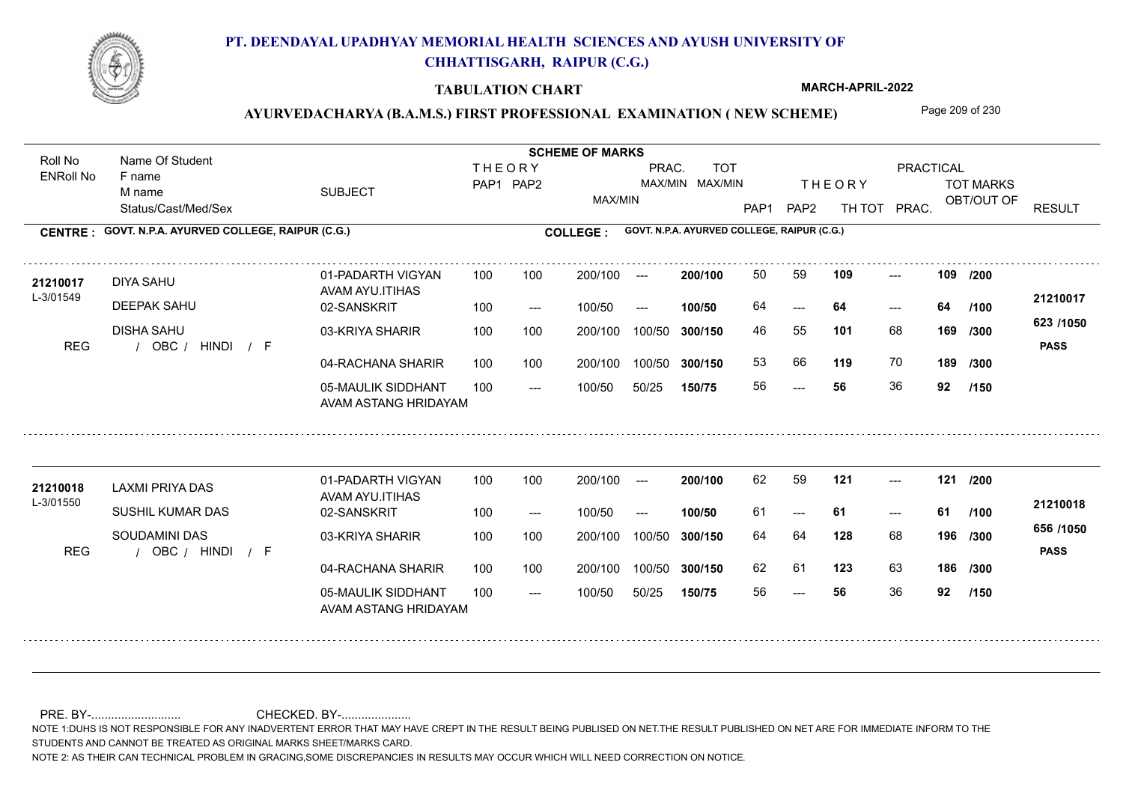

### **TABULATION CHART**

**MARCH-APRIL-2022**

## AYURVEDACHARYA (B.A.M.S.) FIRST PROFESSIONAL EXAMINATION (NEW SCHEME) Page 209 of 230

Status/Cast/Med/Sex SUBJECT TOT MARKS OBT/OUT OF PRACTICAL THE ORY TOT MARKS PAP1 PAP2 TH TOT PRAC. Roll No Name Of Student ENRoll No **CENTRE : COLLEGE : GOVT. N.P.A. AYURVED COLLEGE, RAIPUR (C.G.) GOVT. N.P.A. AYURVED COLLEGE, RAIPUR (C.G.) THEORY** PAP1 PAP2 MAX/MIN PRAC. MAX/MIN MAX/MIN TOT RESULT **Name Of Student Contract of Student Act of Student SCHEME OF MARKS** F name M name 01-PADARTH VIGYAN AVAM AYU.ITIHAS 05-MAULIK SIDDHANT AVAM ASTANG HRIDAYAM 04-RACHANA SHARIR 100 100 03-KRIYA SHARIR REG / OBC / HINDI / F --- --- --- 02-SANSKRIT 100 --- 100/50 --- 100 100 200/100 100/50 300/150 100/50 50/25 **150/75 300/150** 100/50 100 200/100 ---100/50 **300/150 200/100 100/50** 100 100 200/100 100/50 300/150  $- - 64$  $- -$  100/50 L-3/01549 DIYA SAHU DEEPAK SAHU DISHA SAHU **109 109 101** 68 **/300 119** 70 **189 623 /1050** HINDI F **PASS 21210017** 21**210017** DIYA SAHU 01-PADARTH VIGYAN 100 100 200/100 --- **200/100** 50 59 **109** ---64 **64 64** 46 55 **169** 53 66 **119** 70 56 **56** 36 **92 /200 /100 /300 /150** 01-PADARTH VIGYAN AVAM AYU.ITIHAS 05-MAULIK SIDDHANT 100 AVAM ASTANG HRIDAYAM 04-RACHANA SHARIR 100 100 03-KRIYA SHARIR
100 100 REG / OBC / HINDI / F --- --- --- **121 121 /200** 02-SANSKRIT 100 --- 100/50 --- 200/100 100/50 **300/150** 100/50 50/25 **150/75 300/150** 100/50 200/100 100 200/100 ---**200/100 100/50** --- 200/100 100/50 200/100 100/50  $- -$  100/50 L-3/01550 LAXMI PRIYA DAS SUSHIL KUMAR DAS SOUDAMINI DAS **128** 68 64 64 **196 /300 123** 63 **186 /300 656 /1050** HINDI F **PASS 21210018** 21210018 LAXMI PRIYA DAS 01-PADARTH VIGYAN 100 100 200/100 --- **200/100** 62 59 **121** ----61 **61 61** 62 61 123 63 56 **56** 36 **92 /100 /150**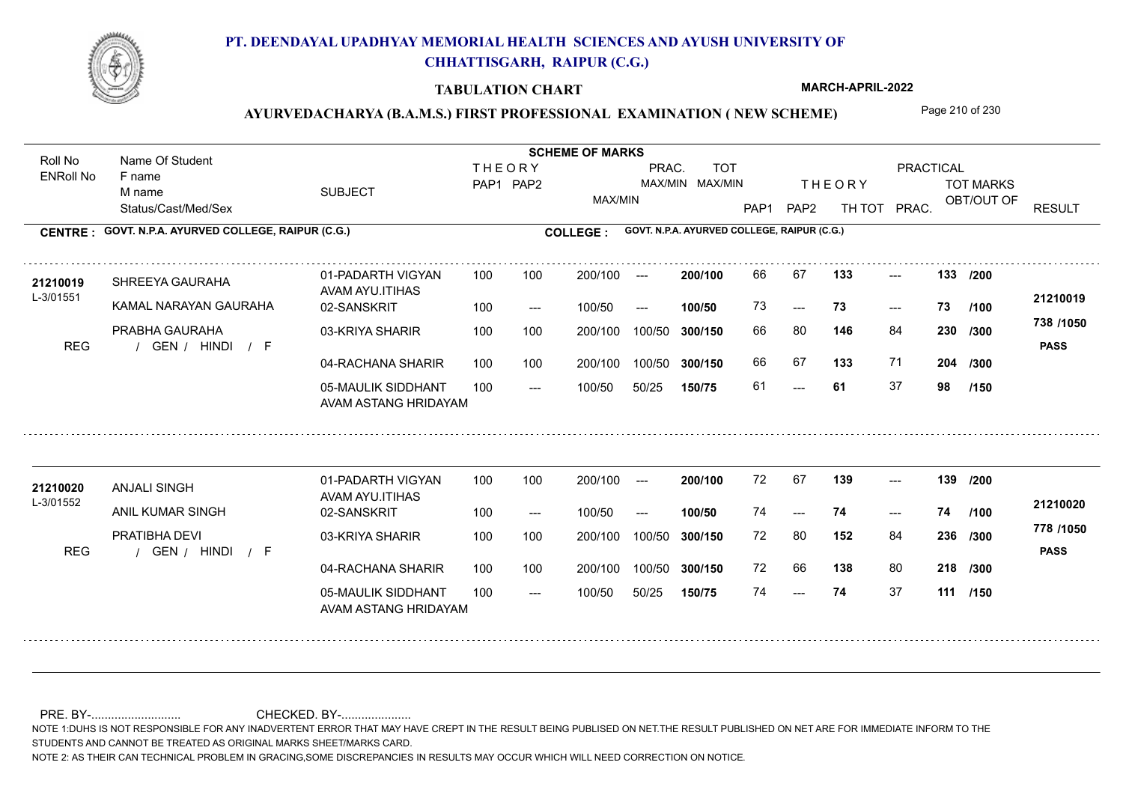

### **TABULATION CHART**

**MARCH-APRIL-2022**

## AYURVEDACHARYA (B.A.M.S.) FIRST PROFESSIONAL EXAMINATION (NEW SCHEME) Page 210 of 230

Status/Cast/Med/Sex SUBJECT TOT MARKS OBT/OUT OF PRACTICAL THE ORY TOT MARKS PAP1 PAP2 TH TOT PRAC. Roll No Name Of Student ENRoll No **CENTRE : COLLEGE : GOVT. N.P.A. AYURVED COLLEGE, RAIPUR (C.G.) GOVT. N.P.A. AYURVED COLLEGE, RAIPUR (C.G.) THEORY** PAP1 PAP2 MAX/MIN PRAC. MAX/MIN MAX/MIN TOT RESULT **Name Of Student Contract of Student Act of Student SCHEME OF MARKS** F name M name 01-PADARTH VIGYAN AVAM AYU.ITIHAS 05-MAULIK SIDDHANT AVAM ASTANG HRIDAYAM 04-RACHANA SHARIR 100 100 03-KRIYA SHARIR REG / GEN / HINDI / F ---  $-23$ --- **133 133 /200** 02-SANSKRIT  $100/50$ 100 100 200/100 100/50 300/150 100/50 50/25 **150/75 300/150** 100/50 100 200/100 ---100/50 --- **100/50** 100/50 **300/150 200/100** 100 100 200/100 100/50 300/150  $-$  73  $- -$  100/50 L-3/01551 SHREEYA GAURAHA KAMAL NARAYAN GAURAHA PRABHA GAURAHA **146** 84 **/300 133** 71 **204 738 /1050** HINDI F **PASS 21210019 <sup>21210019</sup>** <sup>66</sup> <sup>67</sup> 73 **73 73** 66 80 **230** 66 67 **133** 71 61 **61** 37 **98 /100 /300 /150** 01-PADARTH VIGYAN AVAM AYU.ITIHAS 05-MAULIK SIDDHANT 100 AVAM ASTANG HRIDAYAM 04-RACHANA SHARIR 100 100 03-KRIYA SHARIR
100 100 REG / GEN / HINDI / F --- --- --- **139 139 /200** 02-SANSKRIT 100 --- 100/50 --- 200/100 100/50 **300/150** 100/50 50/25 **150/75 300/150** 100/50 200/100 100 200/100 ---**200/100 100/50**  $- - 74$ 200/100 100/50 200/100 100/50  $- -$  100/50 L-3/01552 ANJALI SINGH **21210020** ANIL KUMAR SINGH PRATIBHA DEVI **152** 84 **/300 138** 80 **218 /300 778 /1050** HINDI F **PASS 21210020** 72 67 **139** ---74 **74 74** 72 80 **236** 72 66 74 **74** 37 **111 /150 /100**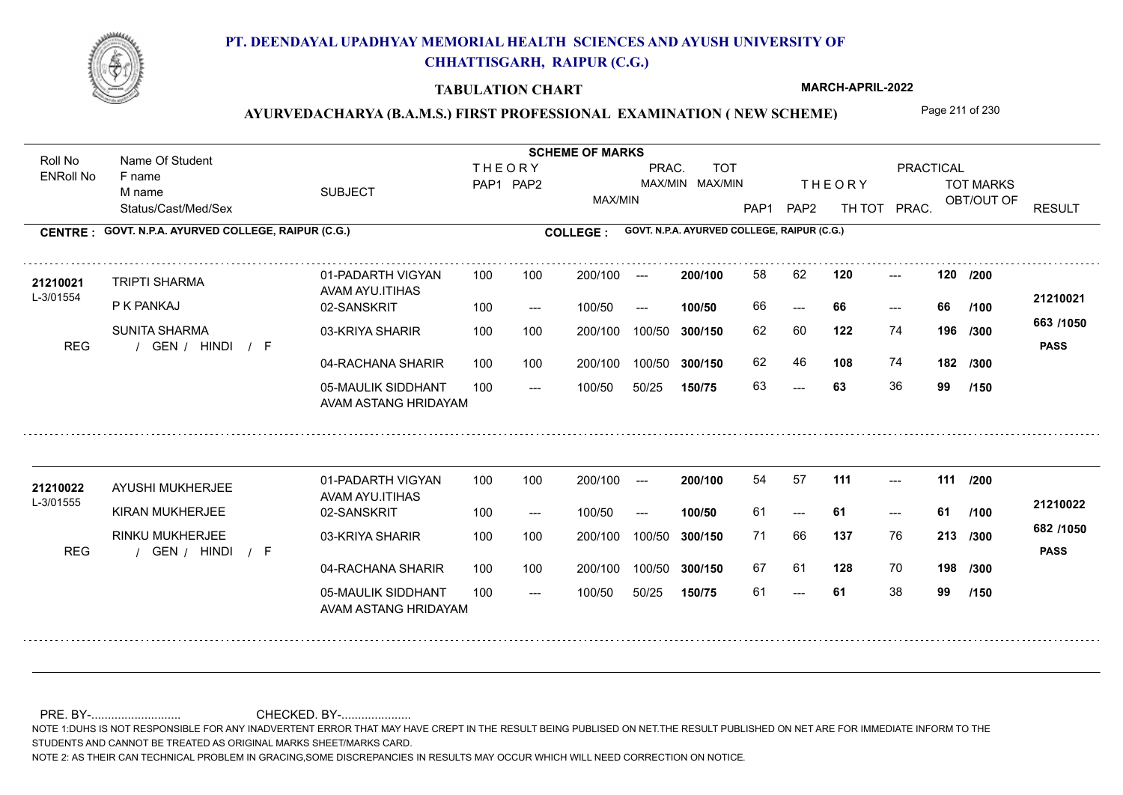

### **TABULATION CHART**

**MARCH-APRIL-2022**

## AYURVEDACHARYA (B.A.M.S.) FIRST PROFESSIONAL EXAMINATION (NEW SCHEME) Page 211 of 230

Status/Cast/Med/Sex SUBJECT TOT MARKS OBT/OUT OF PRACTICAL THE ORY TOT MARKS PAP1 PAP2 TH TOT PRAC. Roll No Name Of Student ENRoll No **CENTRE : COLLEGE : GOVT. N.P.A. AYURVED COLLEGE, RAIPUR (C.G.) GOVT. N.P.A. AYURVED COLLEGE, RAIPUR (C.G.) THEORY** PAP1 PAP2 MAX/MIN PRAC. MAX/MIN MAX/MIN TOT RESULT **Name Of Student Contract of Student Act of Student SCHEME OF MARKS** F name M name 01-PADARTH VIGYAN AVAM AYU.ITIHAS 05-MAULIK SIDDHANT AVAM ASTANG HRIDAYAM 04-RACHANA SHARIR 100 100 03-KRIYA SHARIR
100 100 REG / GEN / HINDI / F  $- - 63$ --- --- 02-SANSKRIT 100 --- 100/50 --- 100 100 200/100 100/50 300/150 100/50 50/25 **150/75 300/150** 100/50 100 200/100 ---100/50 **300/150 200/100 100/50** 100 100 200/100 100/50 300/150 ---  $- -$  100/50 L-3/01554 TRIPTI SHARMA P K PANKAJ SUNITA SHARMA **120 120 122** 74 62 60 **196 /300 108** 74 **182 663 /1050** HINDI F **PASS 21210021 <sup>21210021</sup>** <sup>58</sup> <sup>62</sup> 66 **66 66** 62 46 63 **63** 36 **99 /200 /100 /300 /150** 01-PADARTH VIGYAN AVAM AYU.ITIHAS 05-MAULIK SIDDHANT 100 AVAM ASTANG HRIDAYAM 04-RACHANA SHARIR 100 100 03-KRIYA SHARIR
100 100 REG / GEN / HINDI / F --- --- --- **111 111 /200** 02-SANSKRIT 100 --- 100/50 --- 200/100 100/50 **300/150** 100/50 50/25 **150/75 300/150** 100/50 200/100 100 200/100 ---**200/100 100/50** --- 200/100 100/50 200/100 100/50  $- -$  100/50 L-3/01555 AYUSHI MUKHERJEE KIRAN MUKHERJEE RINKU MUKHERJEE **137** 76 71 66 **213 /300 128** 70 **198 /300 682 /1050** HINDI F **PASS 21210022** 21210022 AYUSHI MUKHERJEE 01-PADARTH VIGYAN 100 100 200/100 --- **200/100 54 57 111** ---61 **61 61** 67 61 61 **61** 38 **99 /100 /150**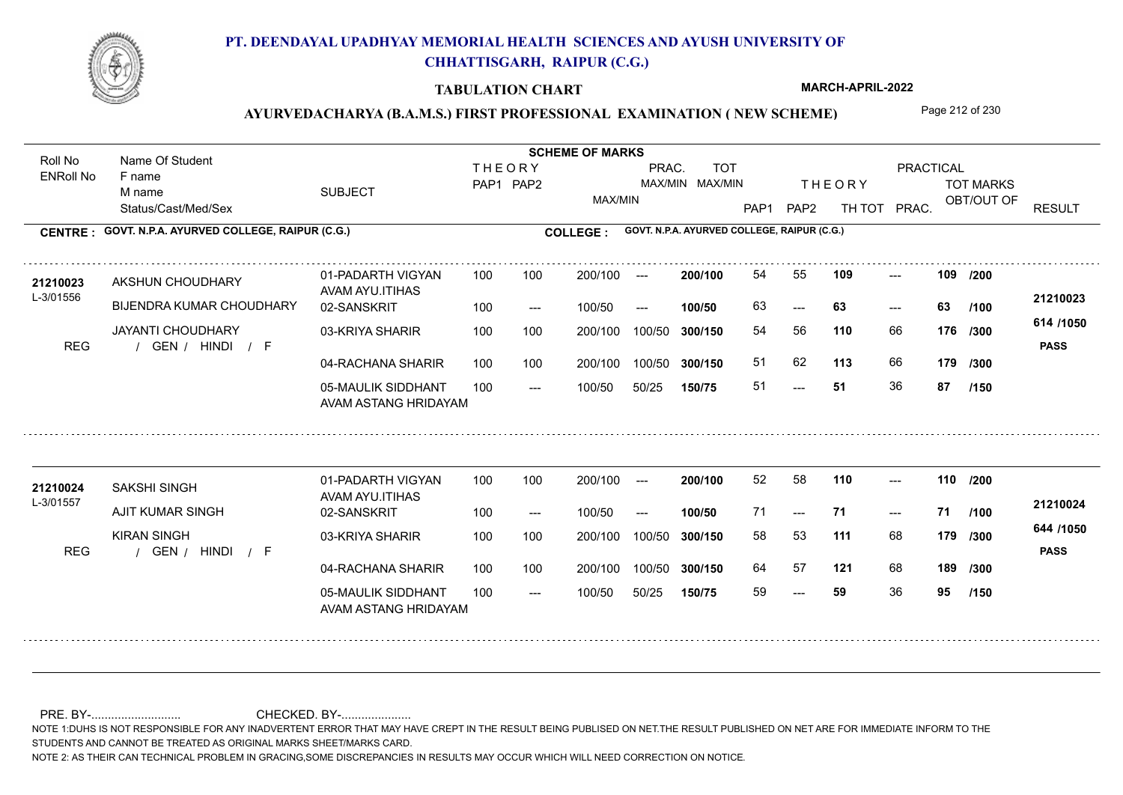

### **TABULATION CHART**

**MARCH-APRIL-2022**

## AYURVEDACHARYA (B.A.M.S.) FIRST PROFESSIONAL EXAMINATION (NEW SCHEME) Page 212 of 230

Status/Cast/Med/Sex SUBJECT TOT MARKS OBT/OUT OF PRACTICAL THE ORY TOT MARKS PAP1 PAP2 TH TOT PRAC. Roll No Name Of Student ENRoll No **CENTRE : COLLEGE : GOVT. N.P.A. AYURVED COLLEGE, RAIPUR (C.G.) GOVT. N.P.A. AYURVED COLLEGE, RAIPUR (C.G.) THEORY** PAP1 PAP2 MAX/MIN PRAC. MAX/MIN MAX/MIN TOT RESULT **Name Of Student Contract of Student Act of Student SCHEME OF MARKS** F name M name 01-PADARTH VIGYAN AVAM AYU.ITIHAS 05-MAULIK SIDDHANT AVAM ASTANG HRIDAYAM 04-RACHANA SHARIR 100 100 03-KRIYA SHARIR REG / GEN / HINDI / F ---  $- - 63$ --- 02-SANSKRIT 100 --- 100/50 --- 100 100 200/100 100/50 300/150 100/50 50/25 **150/75 300/150** 100/50 100 200/100 ---100/50 **300/150 200/100 100/50** 100 100 200/100 100/50 300/150  $-$  63  $- -$  100/50 L-3/01556 AKSHUN CHOUDHARY BIJENDRA KUMAR CHOUDHARY JAYANTI CHOUDHARY **109 109 110** 66 54 56 **176 /300 113** 66 **179 614 /1050** HINDI F **PASS 21210023** 21210023 AKSHUN CHOUDHARY 01-PADARTH VIGYAN 100 100 200/100 --- **200/100 54 55 109 ---**-63 **63 63** 51 62 **113** 66 51 **51** 36 **87 /200 /100 /300 /150** 01-PADARTH VIGYAN AVAM AYU.ITIHAS 05-MAULIK SIDDHANT 100 AVAM ASTANG HRIDAYAM 04-RACHANA SHARIR 100 100 03-KRIYA SHARIR
100 100 REG / GEN / HINDI / F --- --- --- **110 110 /200** 02-SANSKRIT 100 --- 100/50 --- 200/100 100/50 **300/150** 100/50 50/25 **150/75 300/150** 100/50 200/100 100 200/100 ---**200/100 100/50** --- 200/100 100/50 200/100 100/50  $- -$  100/50 L-3/01557 SAKSHI SINGH AJIT KUMAR SINGH KIRAN SINGH **111** 68 58 53 **179 /300 121** 68 **189 /300 644 /1050** HINDI F **PASS 21210024 <sup>21210024</sup>** <sup>52</sup> <sup>58</sup> 71 **71 71** 64 57 **121** 68 59 **59** 36 **95 /100 /150**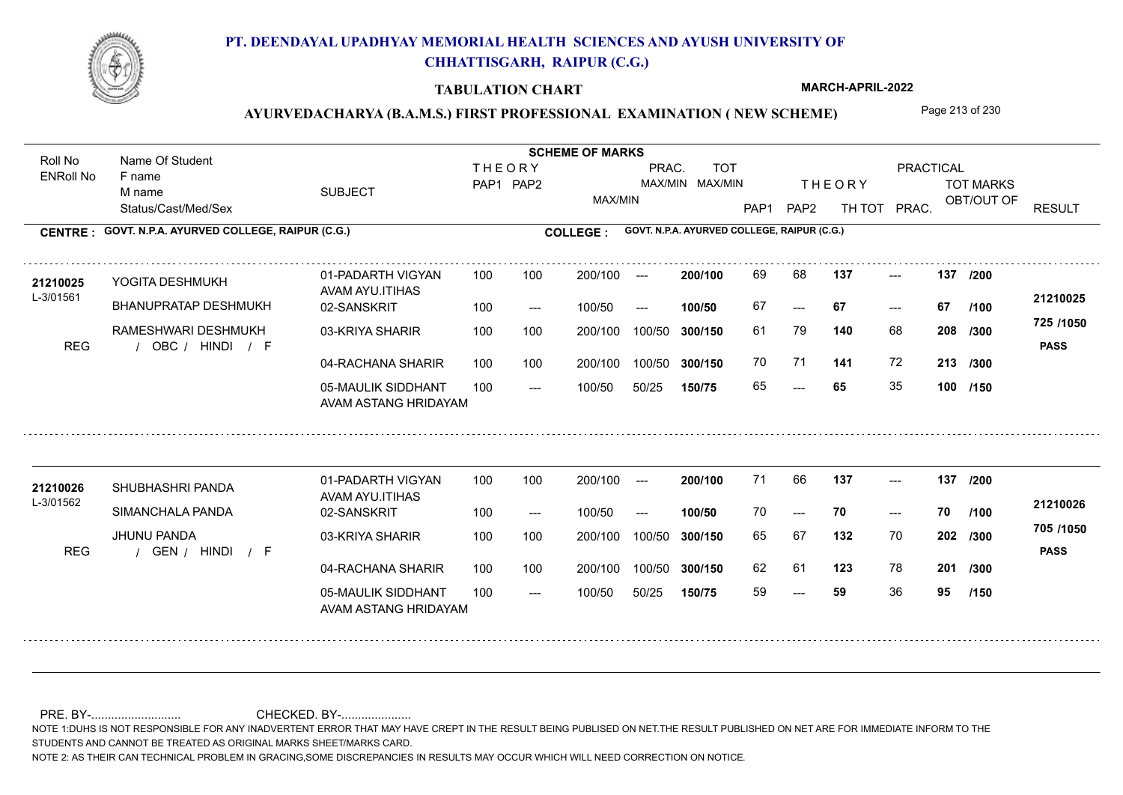

### **TABULATION CHART**

**MARCH-APRIL-2022**

## AYURVEDACHARYA (B.A.M.S.) FIRST PROFESSIONAL EXAMINATION (NEW SCHEME) Page 213 of 230

Status/Cast/Med/Sex SUBJECT TOT MARKS OBT/OUT OF PRACTICAL THE ORY TOT MARKS PAP1 PAP2 TH TOT PRAC. Roll No Name Of Student ENRoll No **CENTRE : COLLEGE : GOVT. N.P.A. AYURVED COLLEGE, RAIPUR (C.G.) GOVT. N.P.A. AYURVED COLLEGE, RAIPUR (C.G.) THEORY** PAP1 PAP2 MAX/MIN PRAC. MAX/MIN MAX/MIN TOT RESULT **Name Of Student Contract of Student Act of Student SCHEME OF MARKS** F name M name 01-PADARTH VIGYAN AVAM AYU.ITIHAS 05-MAULIK SIDDHANT AVAM ASTANG HRIDAYAM 04-RACHANA SHARIR 100 100 03-KRIYA SHARIR REG / OBC / HINDI / F --- --- --- **137 137 /200** 02-SANSKRIT 100 --- 100/50 --- 100 100 200/100 100/50 300/150 100/50 50/25 **150/75 300/150** 100/50 100 200/100 ---100/50 **300/150 200/100 100/50** 100 100 200/100 100/50 300/150  $- - 67$  $- -$  100/50 L-3/01561 YOGITA DESHMUKH BHANUPRATAP DESHMUKH RAMESHWARI DESHMUKH **140** 68 **/300 141** 72 **213 /300 725 /1050** HINDI F **PASS 21210025** 21210025 YOGITA DESHMUKH 01-PADARTH VIGYAN 100 100 200/100 --- **200/100 69 68 137** ---67 **67 67** 61 79 **208** 70 71 **141** 72 65 **65** 35 **100 /150 /100** 01-PADARTH VIGYAN AVAM AYU.ITIHAS 05-MAULIK SIDDHANT 100 AVAM ASTANG HRIDAYAM 04-RACHANA SHARIR 100 100 03-KRIYA SHARIR
100 100 REG / GEN / HINDI / F --- --- --- **137 137 /200** 02-SANSKRIT 100 --- 100/50 --- 200/100 100/50 **300/150** 100/50 50/25 **150/75 300/150** 100/50 200/100 100 200/100 ---**200/100 100/50** --- 200/100 100/50 200/100 100/50  $- -$  100/50 L-3/01562 SHUBHASHRI PANDA **21210026** SIMANCHALA PANDA JHUNU PANDA **132** 70 65 67 **202 /300 123** 78 **201 /300 705 /1050** HINDI F **PASS 21210026**  $137$  ---70 **70 70** 62 61 59 **59** 36 **95 /100 /150**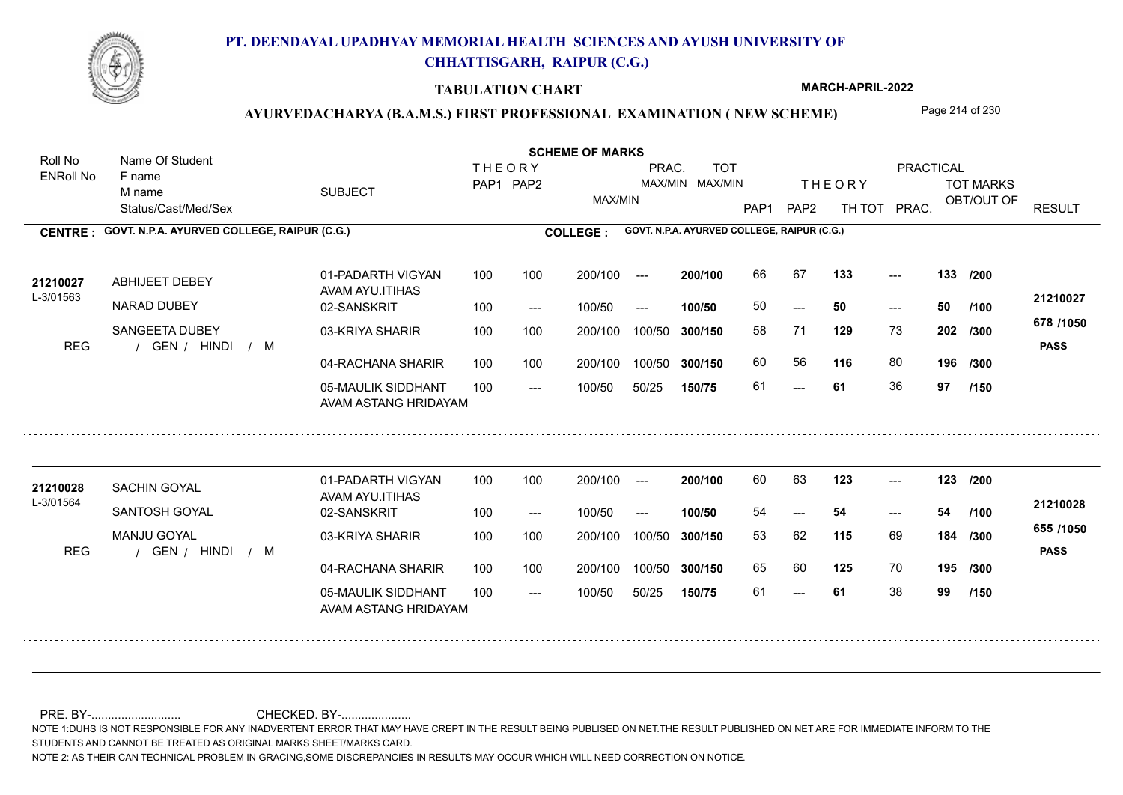

### **TABULATION CHART**

**MARCH-APRIL-2022**

# AYURVEDACHARYA (B.A.M.S.) FIRST PROFESSIONAL EXAMINATION (NEW SCHEME) Page 214 of 230

Status/Cast/Med/Sex SUBJECT TOT MARKS OBT/OUT OF PRACTICAL THE ORY TOT MARKS PAP1 PAP2 TH TOT PRAC. Roll No Name Of Student ENRoll No **CENTRE : COLLEGE : GOVT. N.P.A. AYURVED COLLEGE, RAIPUR (C.G.) GOVT. N.P.A. AYURVED COLLEGE, RAIPUR (C.G.) THEORY** PAP1 PAP2 MAX/MIN PRAC. MAX/MIN MAX/MIN TOT RESULT **Name Of Student Contract of Student Act of Student SCHEME OF MARKS** F name M name 01-PADARTH VIGYAN AVAM AYU.ITIHAS 05-MAULIK SIDDHANT AVAM ASTANG HRIDAYAM 04-RACHANA SHARIR 100 100 03-KRIYA SHARIR REG / GEN / HINDI / M ---  $- - 50$ --- **133 133 /200** 02-SANSKRIT 100 --- 100/50 --- 100 100 200/100 100/50 300/150 100/50 50/25 **150/75 300/150** 100/50 100 200/100 ---100/50 **300/150 200/100 100/50** 100 100 200/100 100/50 300/150  $- - 50$  $- -$  100/50 L-3/01563 ABHIJEET DEBEY NARAD DUBEY SANGEETA DUBEY **129** 73 58 71 **202 /300 116** 80 **196 678 /1050** HINDI M **PASS 21210027 <sup>21210027</sup>** <sup>66</sup> <sup>67</sup> 50 **50 50** 60 56 61 **61** 36 **97 /100 /300 /150** 01-PADARTH VIGYAN AVAM AYU.ITIHAS 05-MAULIK SIDDHANT 100 AVAM ASTANG HRIDAYAM 04-RACHANA SHARIR 100 100 03-KRIYA SHARIR
100 100 REG / GEN / HINDI / M --- --- --- **123 123 /200** 02-SANSKRIT 100 --- 100/50 --- 200/100 100/50 **300/150** 100/50 50/25 **150/75 300/150** 100/50 200/100 100 200/100 ---**200/100 100/50** --- 200/100 100/50 200/100 100/50  $- -$  100/50 L-3/01564 SACHIN GOYAL SANTOSH GOYAL MANJU GOYAL **115** 69 **184** /300 **<sup>cool</sup>1000 125** 70 **195 /300 655 /1050** HINDI M **PASS 21210028 <sup>21210028</sup>** <sup>60</sup> <sup>63</sup> 54 **54 54** 53 62 **184** 65 60 125 70 61 **61** 38 **99 /100 /150**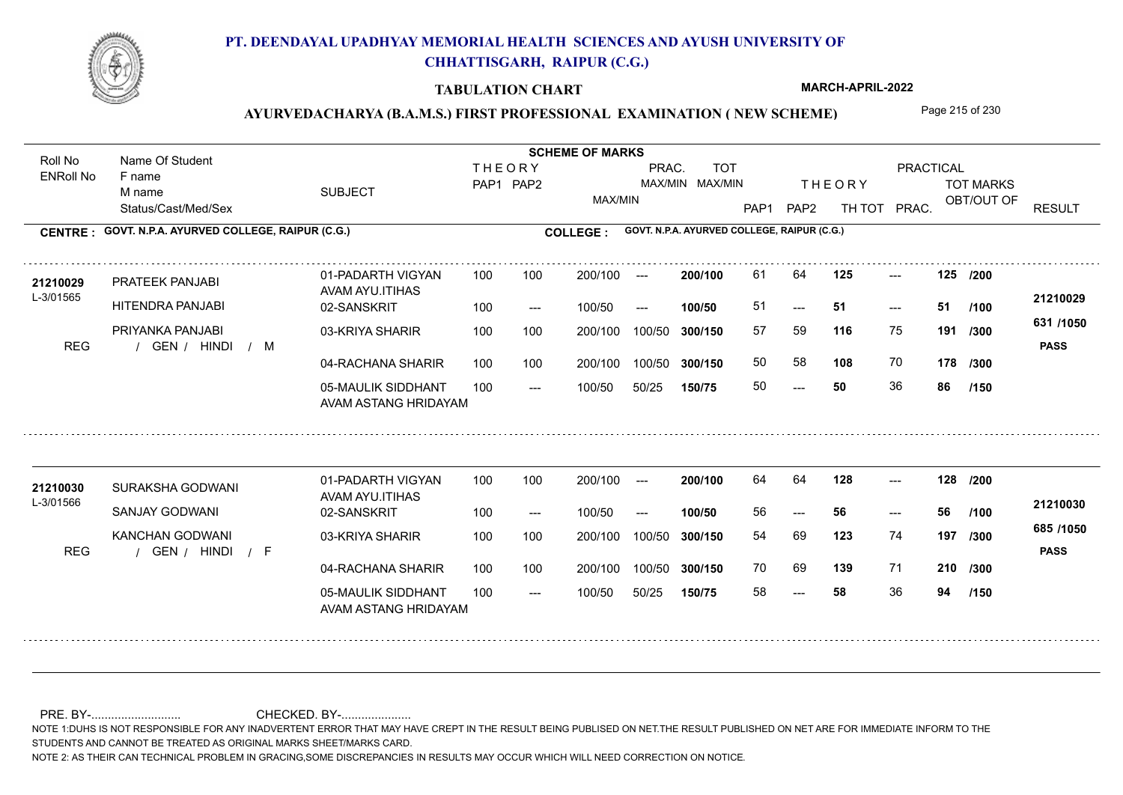

### **TABULATION CHART**

**MARCH-APRIL-2022**

## AYURVEDACHARYA (B.A.M.S.) FIRST PROFESSIONAL EXAMINATION (NEW SCHEME) Page 215 of 230

Status/Cast/Med/Sex SUBJECT TOT MARKS OBT/OUT OF PRACTICAL THE ORY TOT MARKS PAP1 PAP2 TH TOT PRAC. Roll No Name Of Student ENRoll No **CENTRE : COLLEGE : GOVT. N.P.A. AYURVED COLLEGE, RAIPUR (C.G.) GOVT. N.P.A. AYURVED COLLEGE, RAIPUR (C.G.) THEORY** PAP1 PAP2 MAX/MIN PRAC. MAX/MIN MAX/MIN TOT RESULT **Name Of Student Contract of Student Act of Student SCHEME OF MARKS** F name M name 01-PADARTH VIGYAN AVAM AYU.ITIHAS 05-MAULIK SIDDHANT AVAM ASTANG HRIDAYAM 04-RACHANA SHARIR 100 100 03-KRIYA SHARIR REG / GEN / HINDI / M  $- - 50$  $-51$ --- **125 125 /200** 02-SANSKRIT 100 --- 100/50 --- 100 100 200/100 100/50 300/150 100/50 50/25 **150/75 300/150** 100/50 100 200/100 ---100/50 **300/150 200/100 100/50** 100 100 200/100 100/50 300/150  $- - 51$  $- -$  100/50 L-3/01565 PRATEEK PANJABI HITENDRA PANJABI PRIYANKA PANJABI **116** 75 **/300 108** 70 **178 631 /1050** HINDI M **PASS 21210029** 21210029 PRATEEK PANJABI 01-PADARTH VIGYAN 100 100 200/100 --- **200/100 61 64 125 ---**-51 **51 51** 57 59 **191** 50 58 50 **50** 36 **86 /100 /300 /150** 01-PADARTH VIGYAN AVAM AYU.ITIHAS 05-MAULIK SIDDHANT 100 AVAM ASTANG HRIDAYAM 04-RACHANA SHARIR 100 100 03-KRIYA SHARIR REG / GEN / HINDI / F --- --- --- **128 128 /200** 02-SANSKRIT 100 --- 100/50 --- 200/100 100/50 **300/150** 100/50 50/25 **150/75 300/150** 100/50 200/100 100 200/100 ---**200/100 100/50** --- 200/100 100/50 200/100 100/50  $- -$  100/50 L-3/01566 SURAKSHA GODWANI SANJAY GODWANI KANCHAN GODWANI **123** 74 **/300 139** 71 **210 /300 685 /1050** HINDI F **PASS 21210030 <sup>21210030</sup>** <sup>64</sup> <sup>64</sup> 56 **56 56** 54 69 **197** 70 69 139 71 58 **58** 36 **94 /100 /150**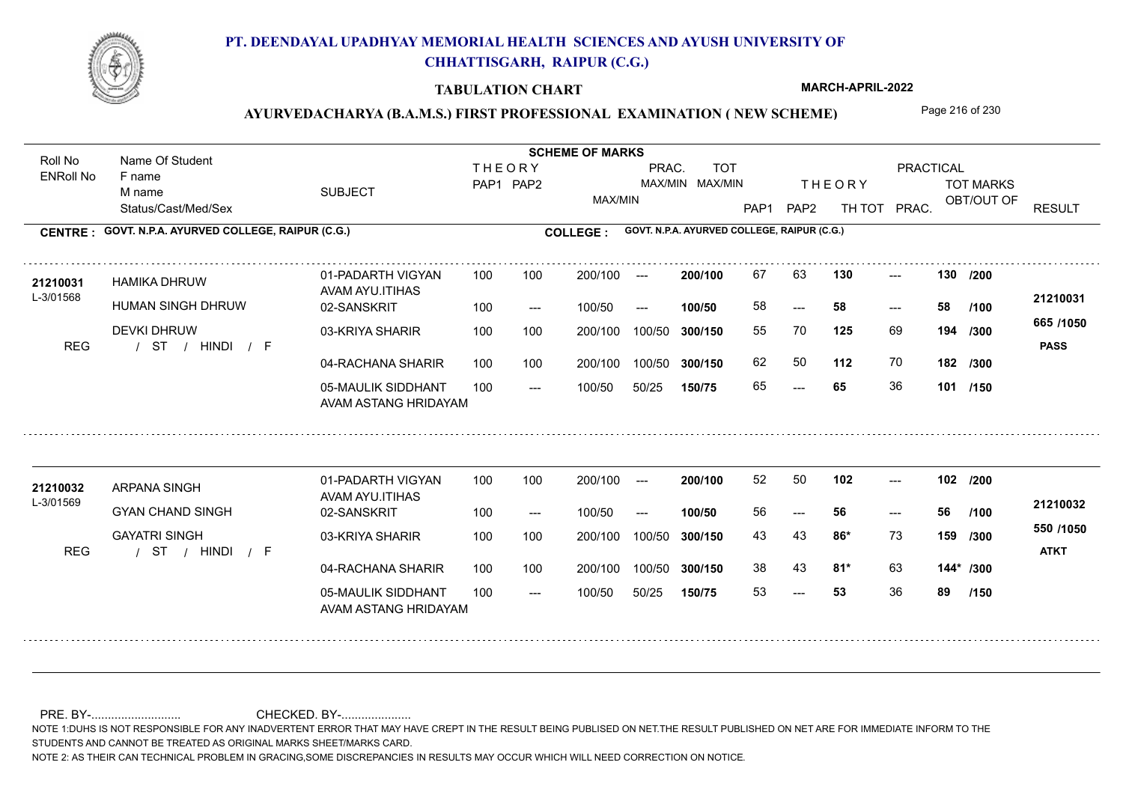

### **TABULATION CHART**

**MARCH-APRIL-2022**

## AYURVEDACHARYA (B.A.M.S.) FIRST PROFESSIONAL EXAMINATION (NEW SCHEME) Page 216 of 230

Status/Cast/Med/Sex SUBJECT TOT MARKS OBT/OUT OF PRACTICAL THE ORY TOT MARKS PAP1 PAP2 TH TOT PRAC. Roll No Name Of Student ENRoll No **CENTRE : COLLEGE : GOVT. N.P.A. AYURVED COLLEGE, RAIPUR (C.G.) GOVT. N.P.A. AYURVED COLLEGE, RAIPUR (C.G.) THEORY** PAP1 PAP2 MAX/MIN PRAC. MAX/MIN MAX/MIN TOT RESULT **Name Of Student Contract of Student Act of Student SCHEME OF MARKS** F name M name 01-PADARTH VIGYAN AVAM AYU.ITIHAS 05-MAULIK SIDDHANT AVAM ASTANG HRIDAYAM 04-RACHANA SHARIR 100 100 03-KRIYA SHARIR DEVKI DHRUW / / / REG ST --- --- --- 02-SANSKRIT 100 --- 100/50 --- 100 100 200/100 100/50 300/150 100/50 50/25 **150/75 300/150** 100/50 100 200/100 ---100/50 **300/150 200/100 100/50** 100 100 200/100 100/50 300/150  $- - 58$  $- -$  100/50 L-3/01568 HAMIKA DHRUW HUMAN SINGH DHRUW **130 130 125** 69 55 70 **194 /300 112** 70 **182 /300 665 /1050** HINDI F **PASS 21210031** 21210031 HAMIKA DHRUW 01-PADARTH VIGYAN 100 100 200/100 --- **200/100** 67 63 **130** ---58 **58 58** 62 50 65 **65** 36 **101 /150 /200 /100** 01-PADARTH VIGYAN AVAM AYU.ITIHAS 05-MAULIK SIDDHANT 100 AVAM ASTANG HRIDAYAM 04-RACHANA SHARIR 100 100 03-KRIYA SHARIR / / / REG ST --- 53 --- --- **102 102 /200** 02-SANSKRIT 100 --- 100/50 --- 200/100 100/50 **300/150** 100/50 50/25 **150/75 300/150** 100/50 200/100 100 200/100 ---**200/100 100/50** --- 200/100 100/50 200/100 100/50  $- -$  100/50 L-3/01569 ARPANA SINGH GYAN CHAND SINGH GAYATRI SINGH **86\*** 73 **/300 81\*** 63 **144\* /300 550 /1050** HINDI F **ATKT 21210032 <sup>21210032</sup>** <sup>52</sup> <sup>50</sup> 56 **56 56** 43 43 **159** 38 43 **81\*** 63 53 **53** 36 **89 /100 /150**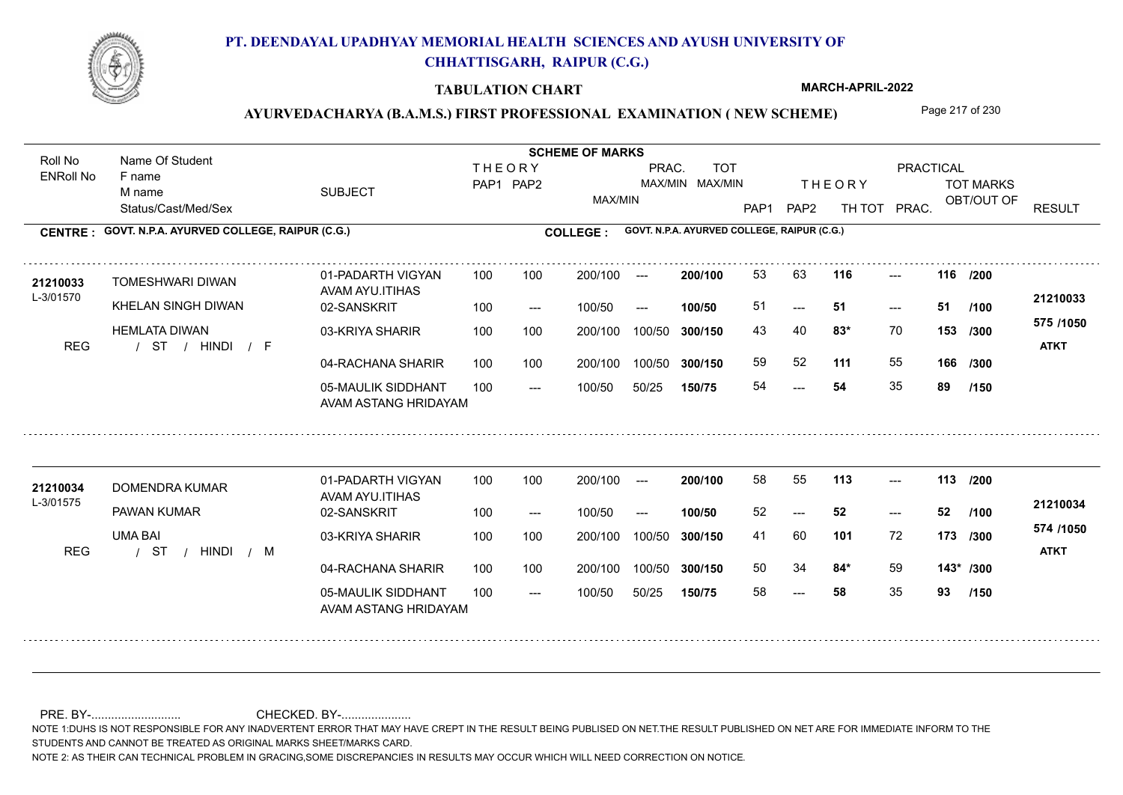

#### **TABULATION CHART**

**MARCH-APRIL-2022**

## AYURVEDACHARYA (B.A.M.S.) FIRST PROFESSIONAL EXAMINATION (NEW SCHEME) Page 217 of 230

Status/Cast/Med/Sex SUBJECT TOT MARKS OBT/OUT OF PRACTICAL THE ORY TOT MARKS PAP1 PAP2 TH TOT PRAC. Roll No Name Of Student ENRoll No **CENTRE : COLLEGE : GOVT. N.P.A. AYURVED COLLEGE, RAIPUR (C.G.) GOVT. N.P.A. AYURVED COLLEGE, RAIPUR (C.G.) THEORY** PAP1 PAP2 MAX/MIN PRAC. MAX/MIN MAX/MIN TOT RESULT **Name Of Student Contract of Student SCHEME OF MARKS**<br>
THE OR Y F name M name 01-PADARTH VIGYAN AVAM AYU.ITIHAS 05-MAULIK SIDDHANT AVAM ASTANG HRIDAYAM 04-RACHANA SHARIR 100 100 03-KRIYA SHARIR 100 100 / / / REG ST 54  $-51$ --- **116 116 /200** 02-SANSKRIT  $100/50$ 100 100 200/100 100/50 300/150 100/50 50/25 **150/75 300/150** 100/50 100 200/100 ---100/50 --- **100/50** 100/50 **300/150 200/100** 100 100 200/100 100/50 300/150  $- - 51$  $- -$  100/50 L-3/01570 TOMESHWARI DIWAN KHELAN SINGH DIWAN HEMLATA DIWAN **83\*** 70 **/300 111** 55 **166 575 /1050** HINDI F **ATKT 21210033 <sup>21210033</sup>** <sup>53</sup> <sup>63</sup> 51 **51 51** 43 40 **153** 59 52 54 **54** 35 **89 /100 /300 /150** 01-PADARTH VIGYAN AVAM AYU.ITIHAS 05-MAULIK SIDDHANT 100 AVAM ASTANG HRIDAYAM 04-RACHANA SHARIR 100 100 03-KRIYA SHARIR
100 100 / / / REG ST --- --- --- **113 113 /200** 02-SANSKRIT 100 --- 100/50 --- 200/100 100/50 **300/150** 100/50 50/25 **150/75 300/150** 100/50 200/100 100 200/100 ---**200/100 100/50** --- 200/100 100/50 200/100 100/50  $- -$  100/50 L-3/01575 DOMENDRA KUMAR PAWAN KUMAR UMA BAI **101** 72 41 60 **173 /300 84\*** 59 **143\* /300 574 /1050** HINDI M **ATKT 21210034** 21210034 DOMENDRA KUMAR 01-PADARTH VIGYAN 100 100 200/100 --- **200/100** 58 55 **113** ---52 **52 52** 50 34 **84\*** 59 58 **58** 35 **93 /100 /150**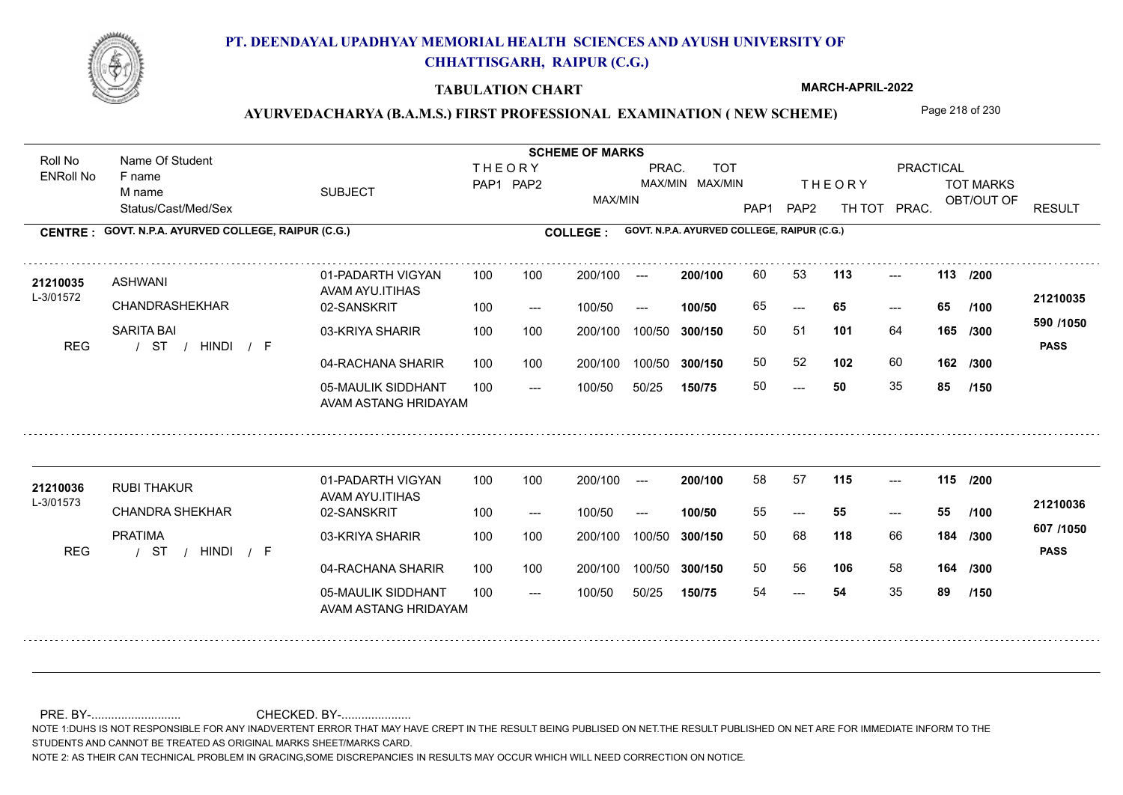

#### **TABULATION CHART**

**MARCH-APRIL-2022**

### AYURVEDACHARYA (B.A.M.S.) FIRST PROFESSIONAL EXAMINATION (NEW SCHEME) Page 218 of 230

Status/Cast/Med/Sex SUBJECT TOT MARKS OBT/OUT OF PRACTICAL THE ORY TOT MARKS PAP1 PAP2 TH TOT PRAC. Roll No Name Of Student ENRoll No **CENTRE : COLLEGE : GOVT. N.P.A. AYURVED COLLEGE, RAIPUR (C.G.) GOVT. N.P.A. AYURVED COLLEGE, RAIPUR (C.G.) THEORY** PAP1 PAP2 MAX/MIN PRAC. MAX/MIN MAX/MIN TOT RESULT **Name Of Student Contract of Student SCHEME OF MARKS**<br>
THE OR Y F name M name 01-PADARTH VIGYAN AVAM AYU.ITIHAS 05-MAULIK SIDDHANT AVAM ASTANG HRIDAYAM 04-RACHANA SHARIR 100 100 03-KRIYA SHARIR 100 100 / / / REG ST  $- - 50$ --- --- **113 113 /200** 02-SANSKRIT 100 --- 100/50 --- 100 100 200/100 100/50 300/150 100/50 50/25 **150/75 300/150** 100/50 100 200/100 ---100/50 **300/150 200/100 100/50** 100 100 200/100 100/50 300/150  $- - 65$  $- -$  100/50 L-3/01572 ASHWANI CHANDRASHEKHAR SARITA BAI **101** 64 50 51 **165 /300 102** 60 **162 590 /1050** HINDI F **PASS 21210035 <sup>21210035</sup>** <sup>60</sup> <sup>53</sup> 65 **65 65** 50 52 50 **50** 35 **85 /100 /300 /150** 01-PADARTH VIGYAN AVAM AYU.ITIHAS 05-MAULIK SIDDHANT 100 AVAM ASTANG HRIDAYAM 04-RACHANA SHARIR 100 100 03-KRIYA SHARIR
100 100 / / / REG ST --- --- --- **115 115 /200** 02-SANSKRIT 100 --- 100/50 --- 200/100 100/50 **300/150** 100/50 50/25 **150/75 300/150** 100/50 200/100 100 200/100 ---**200/100 100/50** --- 200/100 100/50 200/100 100/50  $- -$  100/50 L-3/01573 RUBI THAKUR CHANDRA SHEKHAR PRATIMA **118** 66 **106** 58 **164 /300 607 /1050** HINDI F **PASS 21210036 <sup>21210036</sup>** <sup>58</sup> <sup>57</sup> 55 **55 55** 50 68 **184** 50 56 **106** 58 54 **54** 35 **89 /100 /300 /150**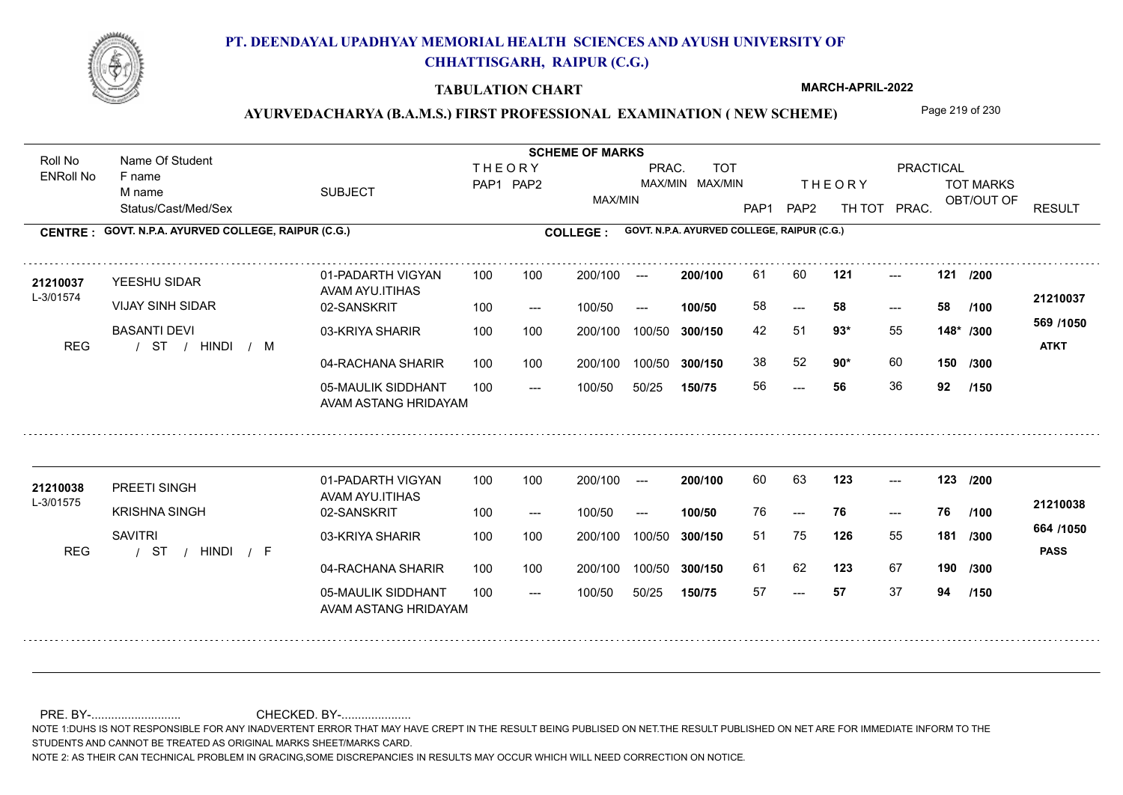

#### **TABULATION CHART**

**MARCH-APRIL-2022**

## AYURVEDACHARYA (B.A.M.S.) FIRST PROFESSIONAL EXAMINATION (NEW SCHEME) Page 219 of 230

Status/Cast/Med/Sex SUBJECT TOT MARKS OBT/OUT OF PRACTICAL THE ORY TOT MARKS PAP1 PAP2 TH TOT PRAC. Roll No Name Of Student ENRoll No **CENTRE : COLLEGE : GOVT. N.P.A. AYURVED COLLEGE, RAIPUR (C.G.) GOVT. N.P.A. AYURVED COLLEGE, RAIPUR (C.G.) THEORY** PAP1 PAP2 MAX/MIN PRAC. MAX/MIN MAX/MIN TOT RESULT **Name Of Student Contract of Student SCHEME OF MARKS**<br>
THE OR Y F name M name 01-PADARTH VIGYAN AVAM AYU.ITIHAS 05-MAULIK SIDDHANT AVAM ASTANG HRIDAYAM 04-RACHANA SHARIR 100 100 03-KRIYA SHARIR 100 100 / / / REG ST --- --- --- **121 121 /200** 02-SANSKRIT  $100/50$ 100 100 200/100 100/50 300/150 100/50 50/25 **150/75 300/150** 100/50 100 200/100 ---100/50 --- **100/50** 100/50 **300/150 200/100** 100 100 200/100 100/50 300/150  $- - 58$  $- -$  100/50 L-3/01574 YEESHU SIDAR VIJAY SINH SIDAR BASANTI DEVI **93\*** 55 42 51 **148\* /300 90\*** 60 **150 569 /1050** HINDI M **ATKT 21210037** 21210037 YEESHU SIDAR 01-PADARTH VIGYAN 100 100 200/100 --- **200/100** 61 60 **121** ---58 **58 58** 38 52 **90**\* 60 56 **56** 36 **92 /100 /300 /150** 01-PADARTH VIGYAN AVAM AYU.ITIHAS 05-MAULIK SIDDHANT 100 AVAM ASTANG HRIDAYAM 04-RACHANA SHARIR 100 100 03-KRIYA SHARIR
100 100 / / / REG ST --- --- --- **123 123 /200** 02-SANSKRIT 100 --- 100/50 --- 200/100 100/50 **300/150** 100/50 50/25 **150/75 300/150** 100/50 200/100 100 200/100 ---**200/100 100/50** --- 200/100 100/50 200/100 100/50  $- -$  100/50 L-3/01575 PREETI SINGH KRISHNA SINGH **SAVITRI 126** 55 **/300 123** 67 **190 /300 664 /1050** HINDI F **PASS 21210038** 21210038 PREETI SINGH 01-PADARTH VIGYAN 100 100 200/100 --- **200/100** 60 63 **123** ---76 **76 76** 51 75 **181** 61 62 123 67 57 **57** 37 **94 /100 /150**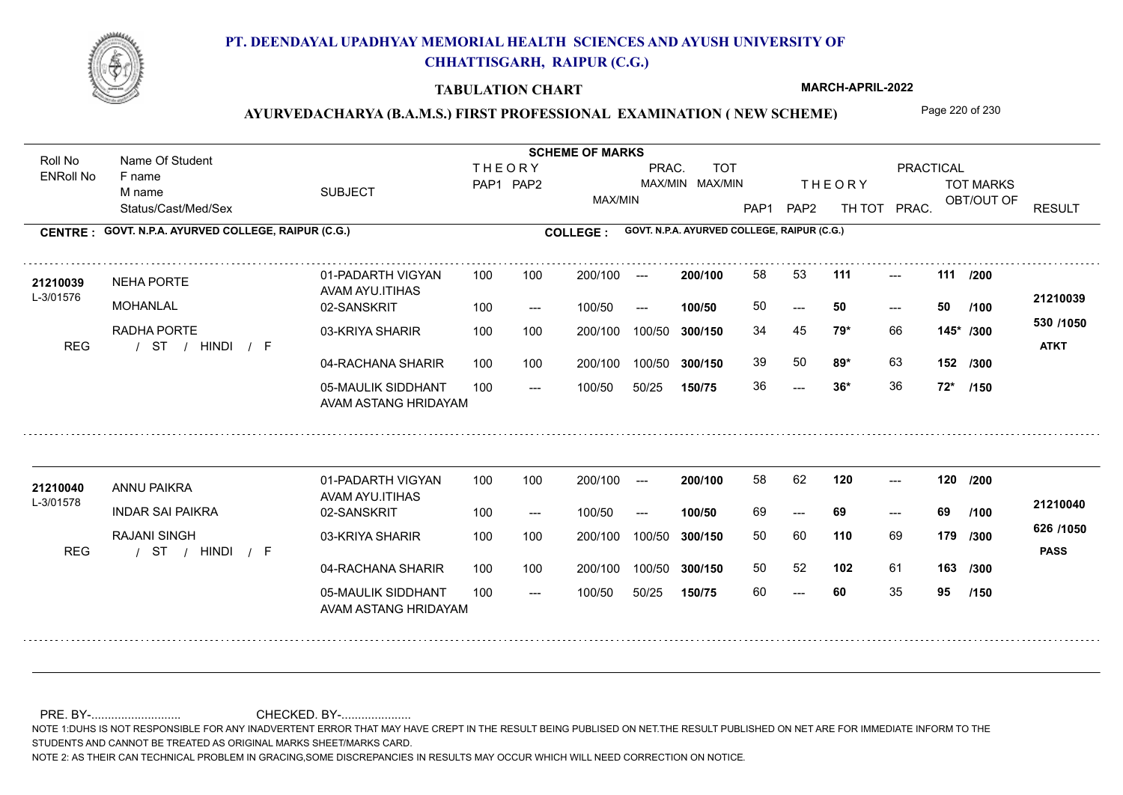

#### **TABULATION CHART**

**MARCH-APRIL-2022**

## AYURVEDACHARYA (B.A.M.S.) FIRST PROFESSIONAL EXAMINATION (NEW SCHEME) Page 220 of 230

Status/Cast/Med/Sex SUBJECT TOT MARKS OBT/OUT OF PRACTICAL THE ORY TOT MARKS PAP1 PAP2 TH TOT PRAC. Roll No Name Of Student ENRoll No **CENTRE : COLLEGE : GOVT. N.P.A. AYURVED COLLEGE, RAIPUR (C.G.) GOVT. N.P.A. AYURVED COLLEGE, RAIPUR (C.G.) THEORY** PAP1 PAP2 MAX/MIN PRAC. MAX/MIN MAX/MIN TOT RESULT **Name Of Student Contract of Student SCHEME OF MARKS**<br>
THE OR Y F name M name 01-PADARTH VIGYAN AVAM AYU.ITIHAS 05-MAULIK SIDDHANT AVAM ASTANG HRIDAYAM 04-RACHANA SHARIR 100 100 03-KRIYA SHARIR
100 100 / / / REG ST  $-2.5$  36\*  $- - 50$ --- **111 111 /200** 02-SANSKRIT  $100/50$ 100 100 200/100 100/50 300/150 100/50 50/25 **150/75 300/150** 100/50 100 200/100 ---100/50 --- **100/50** 100/50 **300/150 200/100** 100 100 200/100 100/50 300/150  $- - 50$  $- -$  100/50 L-3/01576 NEHA PORTE MOHANI AI RADHA PORTE **79\*** 66 34 45 **145\* /300 89\*** 63 **152 /300 530 /1050** HINDI F **ATKT 21210039** 21**210039** NEHA PORTE 01-PADARTH VIGYAN 100 100 200/100 --- **200/100** 58 53 **111** ---50 **50 50** 39 50 **89\*** 63 36 **36\*** 36 **72\* /100 /150** 01-PADARTH VIGYAN AVAM AYU.ITIHAS 05-MAULIK SIDDHANT 100 AVAM ASTANG HRIDAYAM 04-RACHANA SHARIR 100 100 03-KRIYA SHARIR
100 100 / / / REG ST --- --- --- 02-SANSKRIT 100 --- 100/50 --- 200/100 100/50 **300/150** 100/50 50/25 **150/75 300/150** 100/50 200/100 100 200/100 ---**200/100 100/50** --- 200/100 100/50 200/100 100/50  $- -$  100/50 L-3/01578 ANNU PAIKRA INDAR SAI PAIKRA RAJANI SINGH **120 120 /200 110** 69 50 60 **179 /300 102** 61 **163 /300 626 /1050** HINDI F **PASS 21210040 <sup>21210040</sup>** <sup>58</sup> <sup>62</sup> 69 **69 69** 50 52 60 **60** 35 **95 /100 /150**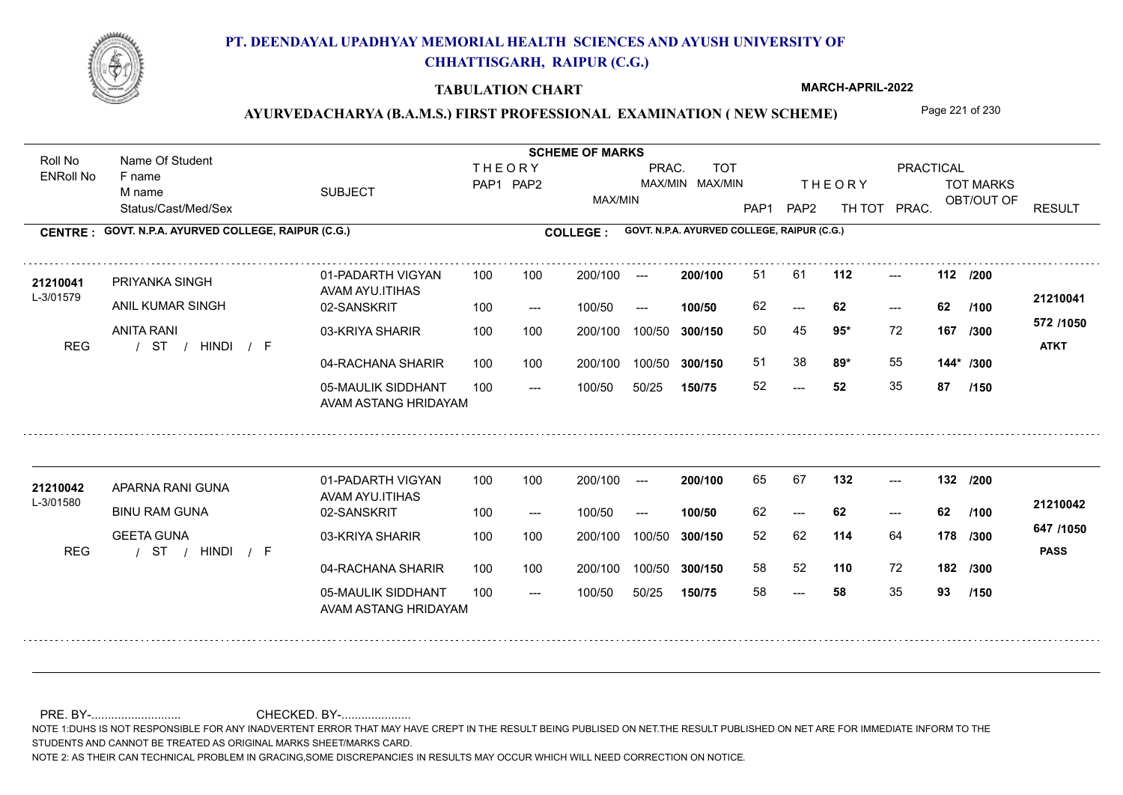

#### **TABULATION CHART**

**MARCH-APRIL-2022**

## AYURVEDACHARYA (B.A.M.S.) FIRST PROFESSIONAL EXAMINATION (NEW SCHEME) Page 221 of 230

Status/Cast/Med/Sex SUBJECT TOT MARKS OBT/OUT OF PRACTICAL THE ORY TOT MARKS PAP1 PAP2 TH TOT PRAC. Roll No Name Of Student ENRoll No **CENTRE : COLLEGE : GOVT. N.P.A. AYURVED COLLEGE, RAIPUR (C.G.) GOVT. N.P.A. AYURVED COLLEGE, RAIPUR (C.G.) THEORY** PAP1 PAP2 MAX/MIN PRAC. MAX/MIN MAX/MIN TOT RESULT **Name Of Student Contract of Student Act of Student SCHEME OF MARKS** F name M name 01-PADARTH VIGYAN AVAM AYU.ITIHAS 05-MAULIK SIDDHANT AVAM ASTANG HRIDAYAM 04-RACHANA SHARIR 100 100 03-KRIYA SHARIR 100 100 / / / REG ST  $-52$ --- --- **112 112 /200** 02-SANSKRIT  $100/50$ 100 100 200/100 100/50 300/150 100/50 50/25 **150/75 300/150** 100/50 100 200/100 ---100/50 --- **100/50** 100/50 **300/150 200/100** 100 100 200/100 100/50 300/150  $- - 62$  $- -$  100/50 L-3/01579 PRIYANKA SINGH ANIL KUMAR SINGH ANITA RANI **95\*** 72 50 45 **167 /300 89\*** 55 **144\* /300 572 /1050** HINDI F **ATKT 21210041** 21210041 PRIYANKA SINGH 01-PADARTH VIGYAN 100 100 200/100 --- **200/100 51 61 112** ---62 **62 62** 51 38 **89\*** 55 52 **52** 35 **87 /100 /150** 01-PADARTH VIGYAN AVAM AYU.ITIHAS 05-MAULIK SIDDHANT 100 AVAM ASTANG HRIDAYAM 04-RACHANA SHARIR 100 100 03-KRIYA SHARIR / / / REG ST --- --- --- **132 132 /200** 02-SANSKRIT 100 --- 100/50 --- 200/100 100/50 **300/150** 100/50 50/25 **150/75 300/150** 100/50 200/100 100 200/100 ---**200/100 100/50** --- 200/100 100/50 200/100 100/50  $- -$  100/50 L-3/01580 APARNA RANI GUNA BINU RAM GUNA GEETA GUNA **114** 64 52 62 **178 /300 110** 72 **182 /300 647 /1050** HINDI F **PASS 21210042** 21210042 APARNA RANI GUNA 01-PADARTH VIGYAN 100 100 200/100 --- **200/100 65 67 132 ---**----62 **62 62** 58 52 58 **58** 35 **93 /100 /150**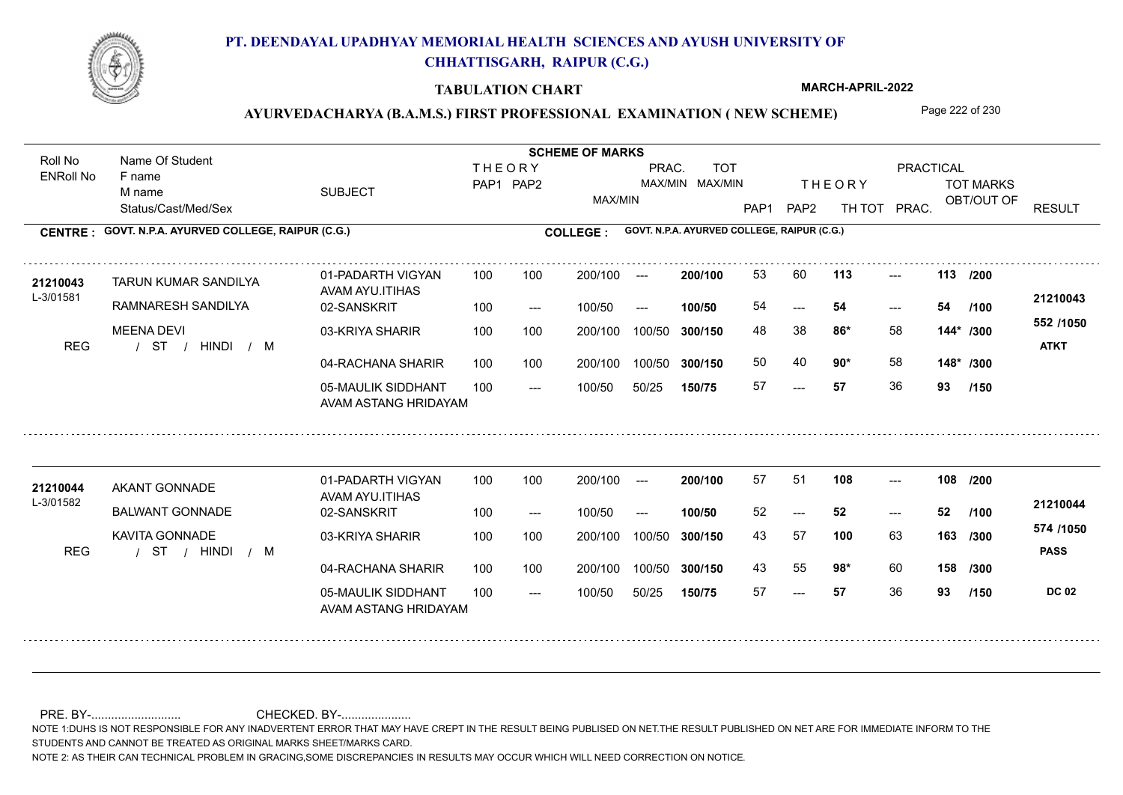

#### **TABULATION CHART**

**MARCH-APRIL-2022**

## AYURVEDACHARYA (B.A.M.S.) FIRST PROFESSIONAL EXAMINATION (NEW SCHEME) Page 222 of 230

Status/Cast/Med/Sex SUBJECT TOT MARKS OBT/OUT OF PRACTICAL THE ORY TOT MARKS PAP1 PAP2 TH TOT PRAC. Roll No Name Of Student ENRoll No **CENTRE : COLLEGE : GOVT. N.P.A. AYURVED COLLEGE, RAIPUR (C.G.) GOVT. N.P.A. AYURVED COLLEGE, RAIPUR (C.G.) THEORY** PAP1 PAP2 MAX/MIN PRAC. MAX/MIN MAX/MIN TOT RESULT **Name Of Student Contract of Student Act of Student SCHEME OF MARKS** F name M name 01-PADARTH VIGYAN AVAM AYU.ITIHAS 05-MAULIK SIDDHANT AVAM ASTANG HRIDAYAM 04-RACHANA SHARIR 100 100 03-KRIYA SHARIR 100 100 / / / REG ST --- --- --- **113 113 /200** 02-SANSKRIT 100 --- 100/50 --- 100 100 200/100 100/50 300/150 100/50 50/25 **150/75 300/150** 100/50 100 200/100 ---100/50 **300/150 200/100 100/50** 100 100 200/100 100/50 300/150  $- - 54$  $- -$  100/50 L-3/01581 TARUN KUMAR SANDILYA RAMNARESH SANDILYA MEENA DEVI **86\*** 58 48 38 **144\* /300 90\*** 58 **148\* /300 552 /1050** HINDI M **ATKT 21210043 <sup>21210043</sup>** <sup>53</sup> <sup>60</sup> 54 **54 54** 50 40 **90\*** 58 57 **57** 36 **93 /100 /150** 01-PADARTH VIGYAN AVAM AYU.ITIHAS 05-MAULIK SIDDHANT 100 AVAM ASTANG HRIDAYAM 04-RACHANA SHARIR 100 100 03-KRIYA SHARIR / / / REG ST HINDI M --- --- --- 02-SANSKRIT 100 --- 100/50 --- 200/100 100/50 **300/150** 100/50 50/25 **150/75 300/150** 100/50 200/100 100 200/100 ---**200/100 100/50** --- 200/100 100/50 200/100 100/50  $- -$  100/50 L-3/01582 AKANT GONNADE BALWANT GONNADE KAVITA GONNADE **108 108 /200 100** 63 **/300 98\*** 60 **158 /300 574 /1050 PASS DC 02 /150 21210044** 21210044 AKANT GONNADE 01-PADARTH VIGYAN 100 100 200/100 --- **200/100 57 51 108 ---**-52 **52 52** 43 57 **163** 43 55 **98**\* 60 57 **57** 36 **93 /100**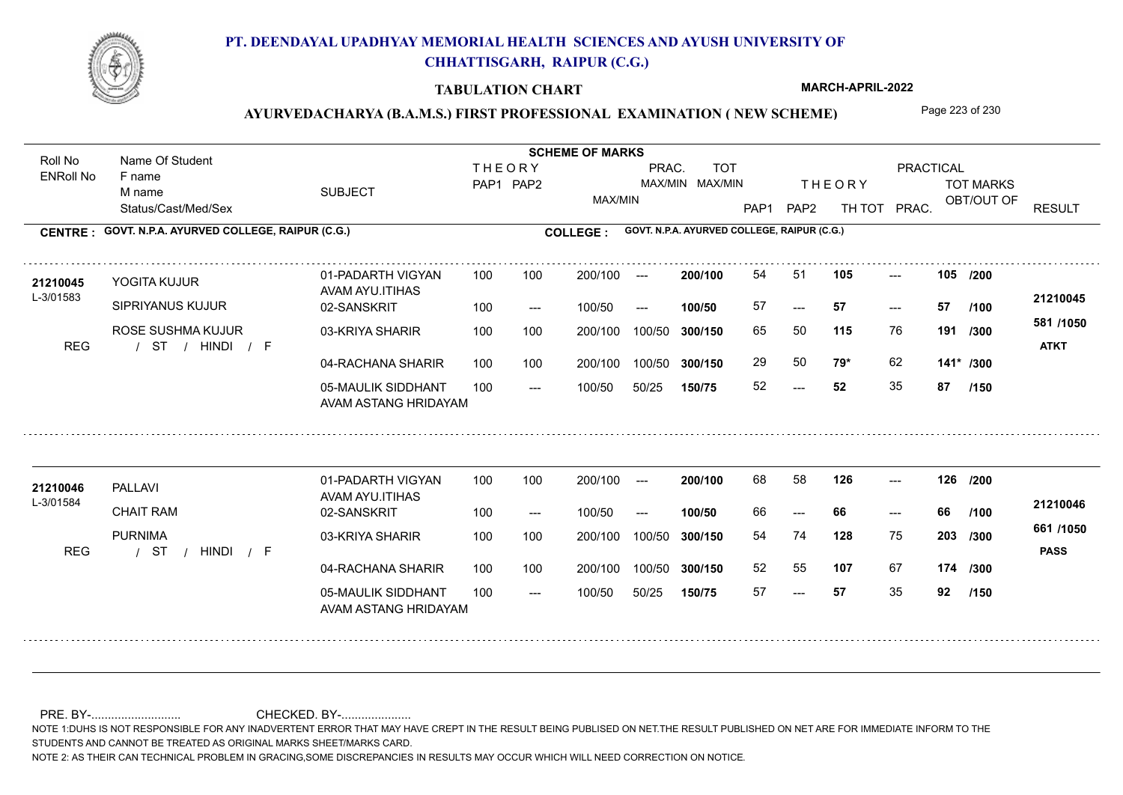

#### **TABULATION CHART**

**MARCH-APRIL-2022**

## AYURVEDACHARYA (B.A.M.S.) FIRST PROFESSIONAL EXAMINATION (NEW SCHEME) Page 223 of 230

Status/Cast/Med/Sex SUBJECT TOT MARKS OBT/OUT OF PRACTICAL THE ORY TOT MARKS PAP1 PAP2 TH TOT PRAC. Roll No Name Of Student ENRoll No **CENTRE : COLLEGE : GOVT. N.P.A. AYURVED COLLEGE, RAIPUR (C.G.) GOVT. N.P.A. AYURVED COLLEGE, RAIPUR (C.G.) THEORY** PAP1 PAP2 MAX/MIN PRAC. MAX/MIN MAX/MIN TOT RESULT **Name Of Student Contract of Student Act of Student SCHEME OF MARKS** F name M name 01-PADARTH VIGYAN AVAM AYU.ITIHAS 05-MAULIK SIDDHANT AVAM ASTANG HRIDAYAM 04-RACHANA SHARIR 100 100 03-KRIYA SHARIR 100 100 / / / REG ST  $-52$ --- --- **105 105 /200** 02-SANSKRIT  $100/50$ 100 100 200/100 100/50 300/150 100/50 50/25 **150/75 300/150** 100/50 100 200/100 ---100/50 --- **100/50** 100/50 **300/150 200/100** 100 100 200/100 100/50 300/150  $- - 57$  $- -$  100/50 L-3/01583 YOGITA KUJUR SIPRIYANUS KUJUR ROSE SUSHMA KUJUR **115** 76 65 50 **191 /300 79\*** 62 **141\* /300 581 /1050** HINDI F **ATKT 21210045** 21**210045** YOGITA KUJUR 01-PADARTH VIGYAN 100 100 200/100 --- **200/100 54 51 105 ---**-57 **57 57** 29 50 **79\*** 62 52 **52** 35 **87 /100 /150** 01-PADARTH VIGYAN AVAM AYU.ITIHAS 05-MAULIK SIDDHANT 100 AVAM ASTANG HRIDAYAM 04-RACHANA SHARIR 100 100 03-KRIYA SHARIR / / / REG ST --- --- --- **126 126 /200** 02-SANSKRIT 100 --- 100/50 --- 200/100 100/50 **300/150** 100/50 50/25 **150/75 300/150** 100/50 200/100 100 200/100 ---**200/100 100/50** --- 200/100 100/50 200/100 100/50  $- -$  100/50 L-3/01584 PALLAVI CHAIT RAM PURNIMA **128** 75 **/300 107** 67 **174 /300 661 /1050** HINDI F **PASS 21210046 <sup>21210046</sup>** <sup>68</sup> <sup>58</sup> 66 **66 66** 54 74 **203** 52 55 57 **57** 35 **92 /100 /150**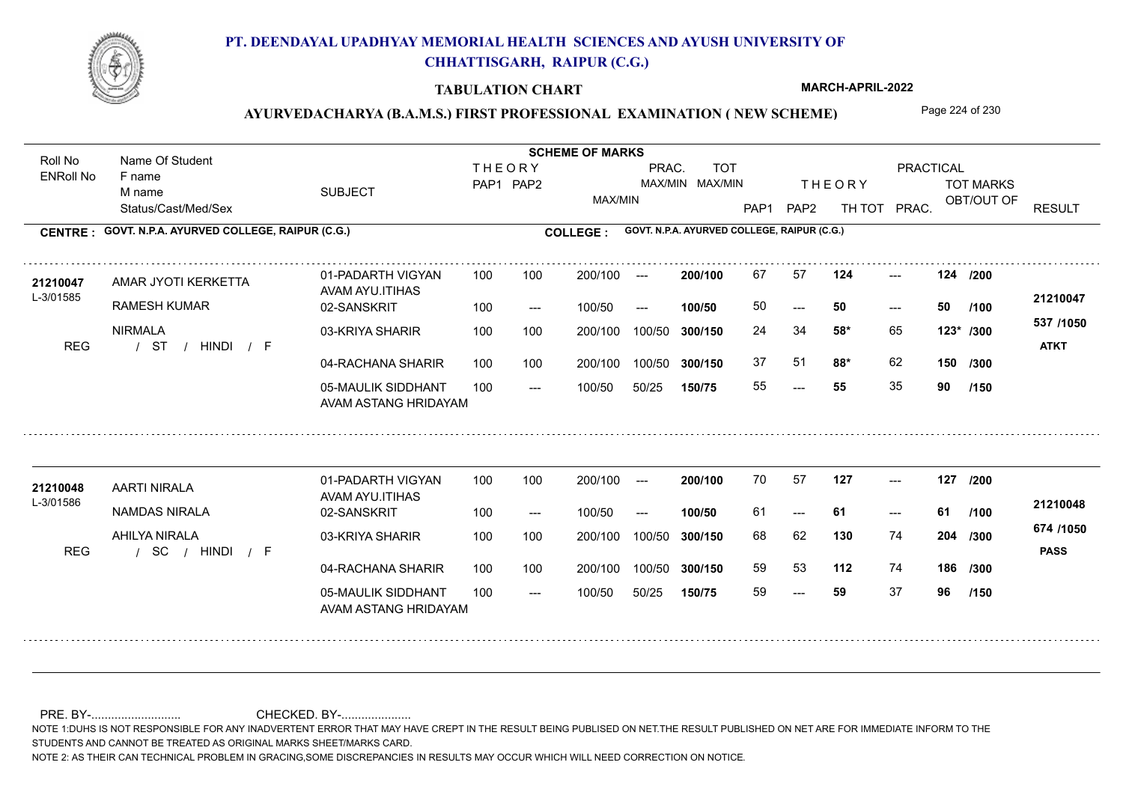

#### **TABULATION CHART**

**MARCH-APRIL-2022**

## AYURVEDACHARYA (B.A.M.S.) FIRST PROFESSIONAL EXAMINATION (NEW SCHEME) Page 224 of 230

Status/Cast/Med/Sex SUBJECT TOT MARKS OBT/OUT OF PRACTICAL THE ORY TOT MARKS PAP1 PAP2 TH TOT PRAC. Roll No Name Of Student ENRoll No **CENTRE : COLLEGE : GOVT. N.P.A. AYURVED COLLEGE, RAIPUR (C.G.) GOVT. N.P.A. AYURVED COLLEGE, RAIPUR (C.G.) THEORY** PAP1 PAP2 MAX/MIN PRAC. MAX/MIN MAX/MIN TOT RESULT **Name Of Student Contract of Student Act of Student SCHEME OF MARKS** F name M name 01-PADARTH VIGYAN AVAM AYU.ITIHAS 05-MAULIK SIDDHANT AVAM ASTANG HRIDAYAM 04-RACHANA SHARIR 100 100 03-KRIYA SHARIR 100 100 / / / REG ST ---  $- - 50$ --- **124 124 /200** 02-SANSKRIT 100 --- 100/50 --- 100 100 200/100 100/50 300/150 100/50 50/25 **150/75 300/150** 100/50 100 200/100 ---100/50 **300/150 200/100 100/50** 100 100 200/100 100/50 300/150  $- - 50$  $- -$  100/50 L-3/01585 AMAR JYOTI KERKETTA RAMESH KUMAR NIRMALA **58\*** 65 24 34 **123\* /300 88\*** 62 **150 537 /1050** HINDI F **ATKT 21210047** 21210047 AMAR JYOTI KERKETTA 01-PADARTH VIGYAN 100 100 200/100 --- **200/100** 67 57 **124** ---50 **50 50** 37 51 **88\*** 62 55 **55** 35 **90 /100 /300 /150** 01-PADARTH VIGYAN AVAM AYU.ITIHAS 05-MAULIK SIDDHANT 100 AVAM ASTANG HRIDAYAM 04-RACHANA SHARIR 100 100 03-KRIYA SHARIR / / / REG SC --- --- --- **127 127 /200** 02-SANSKRIT 100 --- 100/50 --- 200/100 100/50 **300/150** 100/50 50/25 **150/75 300/150** 100/50 200/100 100 200/100 ---**200/100 100/50** --- 200/100 100/50 200/100 100/50  $- -$  100/50 L-3/01586 AARTI NIRALA NAMDAS NIRALA AHILYA NIRALA **130** 74 **/300 112** 74 **186 /300 674 /1050** HINDI F **PASS 21210048** 21210048 AARTI NIRALA 01-PADARTH VIGYAN 100 100 200/100 --- **200/100 7**0 57 **127** ---61 **61 61** 68 62 **204** 59 53 59 **59** 37 **96 /100 /150**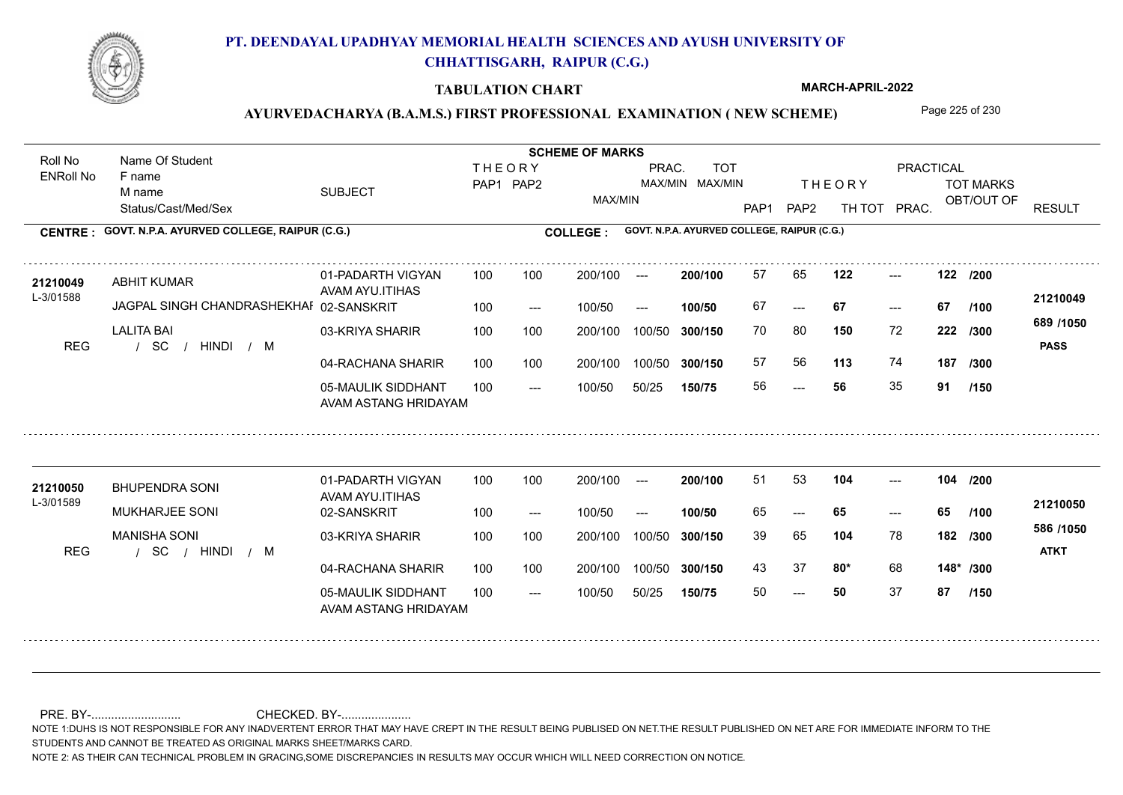

#### **TABULATION CHART**

**MARCH-APRIL-2022**

## AYURVEDACHARYA (B.A.M.S.) FIRST PROFESSIONAL EXAMINATION (NEW SCHEME) Page 225 of 230

Status/Cast/Med/Sex SUBJECT TOT MARKS OBT/OUT OF PRACTICAL THE ORY TOT MARKS PAP1 PAP2 TH TOT PRAC. Roll No Name Of Student ENRoll No **CENTRE : COLLEGE : GOVT. N.P.A. AYURVED COLLEGE, RAIPUR (C.G.) GOVT. N.P.A. AYURVED COLLEGE, RAIPUR (C.G.) THEORY** PAP1 PAP2 MAX/MIN PRAC. MAX/MIN MAX/MIN TOT RESULT **Name Of Student Contract of Student Act of Student SCHEME OF MARKS** F name M name 01-PADARTH VIGYAN AVAM AYU.ITIHAS 05-MAULIK SIDDHANT AVAM ASTANG HRIDAYAM 04-RACHANA SHARIR 100 100 03-KRIYA SHARIR 100 100 / / / REG SC --- --- --- **122 122 /200** 02-SANSKRIT L-3/01588 JAGPAL SINGH CHANDRASHEKHAR 100 --- 100/50 --- 100 100 200/100 100/50 300/150 100/50 50/25 **150/75 300/150** 100/50 100 200/100 ---100/50 **300/150 200/100 100/50** 100 100 200/100 100/50 300/150  $- - 67$  $- -$  100/50 ABHIT KUMAR LALITA BAI **150** 72 **/300 113** 74 **187 689 /1050** HINDI M **PASS 21210049** 21210049 ABHIT KUMAR 01-PADARTH VIGYAN 100 100 200/100 --- **200/100 57 65 122 ---**-67 **67 67** 70 80 **222** 57 56 **113** 74 56 **56** 35 **91 /100 /300 /150** 01-PADARTH VIGYAN AVAM AYU.ITIHAS 05-MAULIK SIDDHANT 100 AVAM ASTANG HRIDAYAM 04-RACHANA SHARIR 100 100 03-KRIYA SHARIR / / / REG SC  $- - 50$ --- --- **104 104 /200** 02-SANSKRIT 100 --- 100/50 --- 200/100 100/50 **300/150** 100/50 50/25 **150/75 300/150** 100/50 200/100 100 200/100 ---**200/100 100/50** --- 200/100 100/50 200/100 100/50  $- -$  100/50 L-3/01589 BHUPENDRA SONI MUKHARJEE SONI MANISHA SONI **104** 78 39 65 **182 /300 80\*** 68 **148\* /300 586 /1050** HINDI M **ATKT 21210050 <sup>21210050</sup>** <sup>51</sup> <sup>53</sup> 65 **65 65** 43 37 **80\*** 68 50 **50** 37 **87 /100 /150**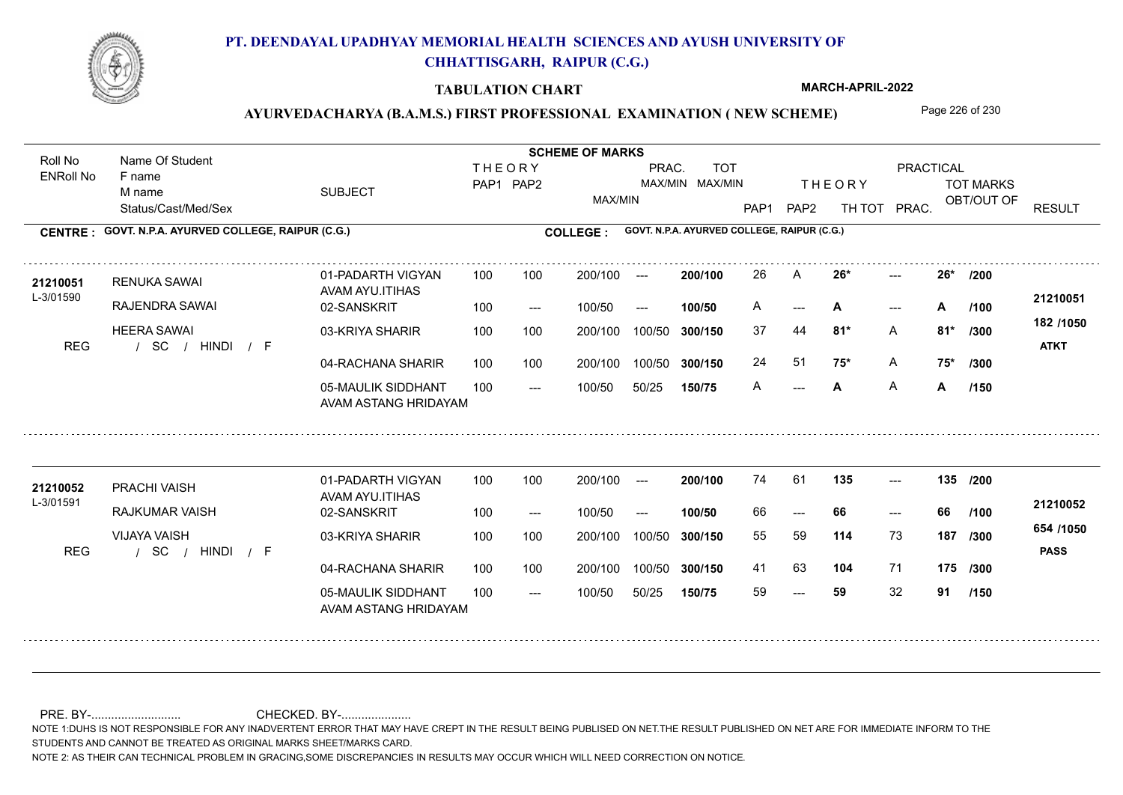

#### **TABULATION CHART**

**MARCH-APRIL-2022**

## AYURVEDACHARYA (B.A.M.S.) FIRST PROFESSIONAL EXAMINATION (NEW SCHEME) Page 226 of 230

Status/Cast/Med/Sex SUBJECT TOT MARKS OBT/OUT OF PRACTICAL THE ORY TOT MARKS PAP1 PAP2 TH TOT PRAC. Roll No Name Of Student ENRoll No **CENTRE : COLLEGE : GOVT. N.P.A. AYURVED COLLEGE, RAIPUR (C.G.) GOVT. N.P.A. AYURVED COLLEGE, RAIPUR (C.G.) THEORY** PAP1 PAP2 MAX/MIN PRAC. MAX/MIN MAX/MIN TOT RESULT **Name Of Student Contract of Student Act of Student SCHEME OF MARKS** F name M name 01-PADARTH VIGYAN AVAM AYU.ITIHAS 05-MAULIK SIDDHANT AVAM ASTANG HRIDAYAM 04-RACHANA SHARIR 100 100 03-KRIYA SHARIR 100 100 / / / REG SC --- **A** --- --- 02-SANSKRIT 100 --- 100/50 --- 100 100 200/100 100/50 300/150 100/50 50/25 **150/75 300/150** 100/50 100 200/100 ---100/50 **300/150 200/100 100/50** 100 100 200/100 100/50 300/150  $A$  $- -$  100/50 L-3/01590 RENUKA SAWAI RAJENDRA SAWAI HEERA SAWAI **26\* 26\* /200 81\*** A **/300 75\*** A **75\* /300 182 /1050** HINDI F **ATKT 21210051 <sup>21210051</sup>** <sup>26</sup> <sup>A</sup> A --- **A** --- **A** /100 <del>-</del>11-10001 37 44 **81\*** 24 51 **75\*** A A **A** A **A /100 /150** 01-PADARTH VIGYAN AVAM AYU.ITIHAS 05-MAULIK SIDDHANT 100 AVAM ASTANG HRIDAYAM 04-RACHANA SHARIR 100 100 03-KRIYA SHARIR / / / REG SC --- --- --- **135 135 /200** 02-SANSKRIT 100 --- 100/50 --- 200/100 100/50 **300/150** 100/50 50/25 **150/75 300/150** 100/50 200/100 100 200/100 ---**200/100 100/50** --- 200/100 100/50 200/100 100/50  $- -$  100/50 L-3/01591 PRACHI VAISH **21210052** RAJKUMAR VAISH VIJAYA VAISH **114** 73 **/300 104** 71 **175 /300 654 /1050** HINDI F **PASS 21210052**  $135$  ---66 **66 66** 55 59 **187** 41 63 **104** 71 59 **59** 32 **91 /100 /150**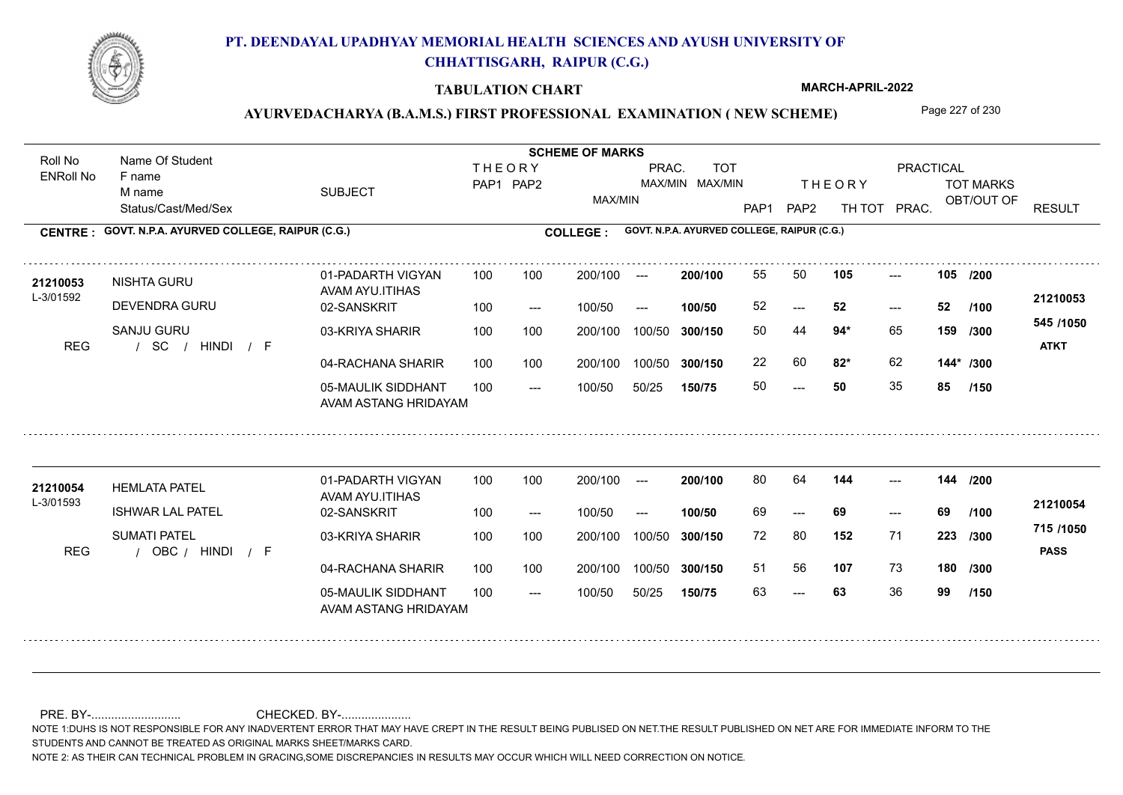

#### **TABULATION CHART**

**MARCH-APRIL-2022**

## AYURVEDACHARYA (B.A.M.S.) FIRST PROFESSIONAL EXAMINATION (NEW SCHEME) Page 227 of 230

Status/Cast/Med/Sex SUBJECT TOT MARKS OBT/OUT OF PRACTICAL THE ORY TOT MARKS PAP1 PAP2 TH TOT PRAC. Roll No Name Of Student ENRoll No **CENTRE : COLLEGE : GOVT. N.P.A. AYURVED COLLEGE, RAIPUR (C.G.) GOVT. N.P.A. AYURVED COLLEGE, RAIPUR (C.G.) THEORY** PAP1 PAP2 MAX/MIN PRAC. MAX/MIN MAX/MIN TOT RESULT **Name Of Student Contract of Student Act of Student SCHEME OF MARKS** F name M name 01-PADARTH VIGYAN AVAM AYU.ITIHAS 05-MAULIK SIDDHANT AVAM ASTANG HRIDAYAM 04-RACHANA SHARIR 100 100 03-KRIYA SHARIR 100 100 / / / REG SC  $- - 50$  $-52$ --- **105 105 /200** 02-SANSKRIT 100 --- 100/50 --- 100 100 200/100 100/50 300/150 100/50 50/25 **150/75 300/150** 100/50 100 200/100 ---100/50 **300/150 200/100 100/50** 100 100 200/100 100/50 300/150  $- - 52$  $- -$  100/50 L-3/01592 NISHTA GURU DEVENDRA GURU SANJU GURU **94\*** 65 **/300 82\*** 62 **144\* /300 545 /1050** HINDI F **ATKT 21210053** 21**210053** NISHTA GURU 01-PADARTH VIGYAN 100 100 200/100 --- **200/100 55 50 105 ---**-52 **52 52** 50 44 **159** 22 60 **82**\* 62 50 **50** 35 **85 /100 /150** 01-PADARTH VIGYAN AVAM AYU.ITIHAS 05-MAULIK SIDDHANT 100 AVAM ASTANG HRIDAYAM 04-RACHANA SHARIR 100 100 03-KRIYA SHARIR REG / OBC / HINDI / F --- 63 --- --- **144 144 /200** 02-SANSKRIT 100 --- 100/50 --- 200/100 100/50 **300/150** 100/50 50/25 **150/75 300/150** 100/50 200/100 100 200/100 ---**200/100 100/50** --- 200/100 100/50 200/100 100/50  $- -$  100/50 L-3/01593 HEMLATA PATEL ISHWAR LAL PATEL SUMATI PATEL **152** 71 **/300 107** 73 **180 /300 715 /1050** HINDI F **PASS 21210054 <sup>21210054</sup>** <sup>80</sup> <sup>64</sup> 69 **69 69** 72 80 **223** 51 56 **107** 73 63 **63** 36 **99 /100 /150**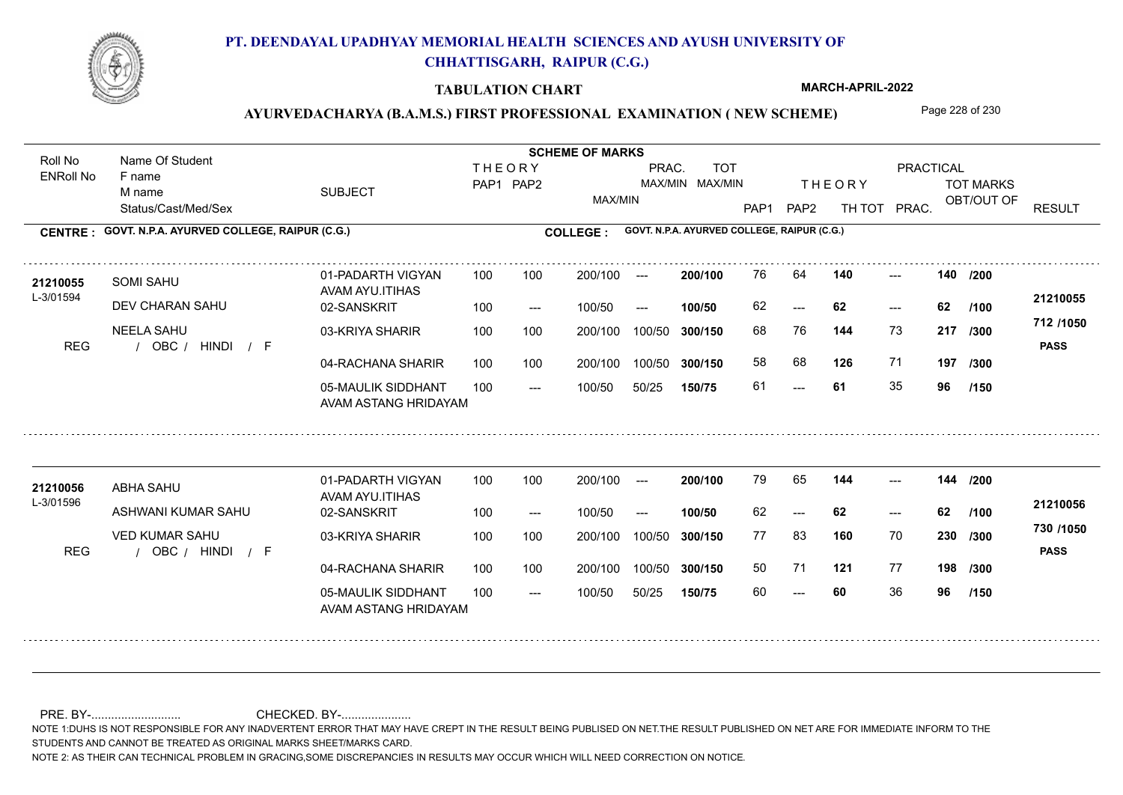

#### **TABULATION CHART**

**MARCH-APRIL-2022**

## AYURVEDACHARYA (B.A.M.S.) FIRST PROFESSIONAL EXAMINATION (NEW SCHEME) Page 228 of 230

Status/Cast/Med/Sex SUBJECT TOT MARKS OBT/OUT OF PRACTICAL THE ORY TOT MARKS PAP1 PAP2 TH TOT PRAC. Roll No Name Of Student ENRoll No **CENTRE : COLLEGE : GOVT. N.P.A. AYURVED COLLEGE, RAIPUR (C.G.) GOVT. N.P.A. AYURVED COLLEGE, RAIPUR (C.G.) THEORY** PAP1 PAP2 MAX/MIN PRAC. MAX/MIN MAX/MIN TOT RESULT **Name Of Student Contract of Student Act of Student SCHEME OF MARKS** F name M name 01-PADARTH VIGYAN AVAM AYU.ITIHAS 05-MAULIK SIDDHANT AVAM ASTANG HRIDAYAM 04-RACHANA SHARIR 100 100 03-KRIYA SHARIR 100 100 REG / OBC / HINDI / F --- --- --- 02-SANSKRIT 100 --- 100/50 --- 100 100 200/100 100/50 300/150 100/50 50/25 **150/75 300/150** 100/50 100 200/100 ---100/50 **300/150 200/100 100/50** 100 100 200/100 100/50 300/150  $- - 62$  $- -$  100/50 L-3/01594 SOMI SAHU DEV CHARAN SAHU NEELA SAHU **140 140 144** 73 68 76 **217 /300 126** 71 **197 712 /1050** HINDI F **PASS 21210055** 21210055 SOMI SAHU 01-PADARTH VIGYAN 100 100 200/100 --- **200/100 7**6 64 **140** ---62 **62 62** 58 68 **126** 71 61 **61** 35 **96 /200 /100 /300 /150** 01-PADARTH VIGYAN AVAM AYU.ITIHAS 05-MAULIK SIDDHANT 100 AVAM ASTANG HRIDAYAM 04-RACHANA SHARIR 100 100 03-KRIYA SHARIR REG / OBC / HINDI / F --- --- --- **144 144 /200** 02-SANSKRIT 100 --- 100/50 --- 200/100 100/50 **300/150** 100/50 50/25 **150/75 300/150** 100/50 200/100 100 200/100 ---**200/100 100/50** --- 200/100 100/50 200/100 100/50  $- -$  100/50 L-3/01596 ABHA SAHU ASHWANI KUMAR SAHU VED KUMAR SAHU **160** 70 **/300 121** 77 **198 /300 730 /1050** HINDI F **PASS 21210056 <sup>21210056</sup>** <sup>79</sup> <sup>65</sup> 62 **62 62** 77 83 **230** 50 71 60 **60** 36 **96 /100 /150**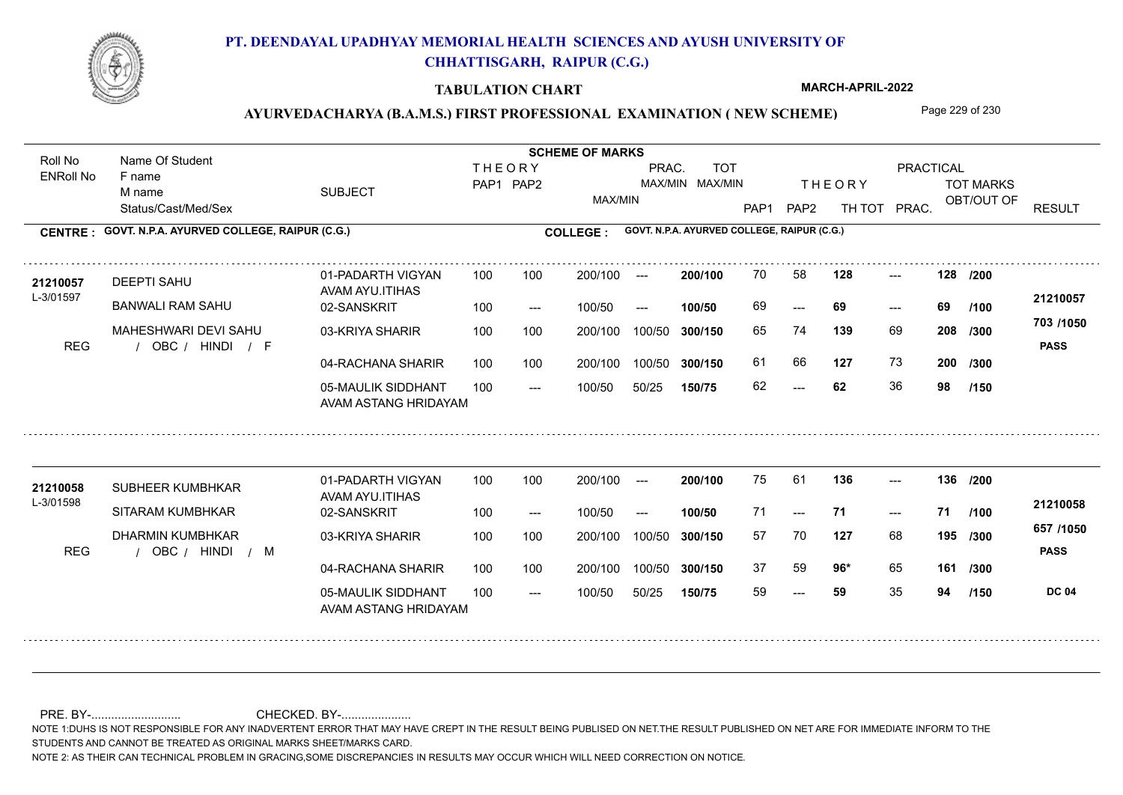

#### **TABULATION CHART**

**MARCH-APRIL-2022**

## AYURVEDACHARYA (B.A.M.S.) FIRST PROFESSIONAL EXAMINATION (NEW SCHEME) Page 229 of 230

Status/Cast/Med/Sex SUBJECT TOT MARKS OBT/OUT OF PRACTICAL THE ORY TOT MARKS PAP1 PAP2 TH TOT PRAC. Roll No Name Of Student ENRoll No **CENTRE : COLLEGE : GOVT. N.P.A. AYURVED COLLEGE, RAIPUR (C.G.) GOVT. N.P.A. AYURVED COLLEGE, RAIPUR (C.G.) THEORY** PAP1 PAP2 MAX/MIN PRAC. MAX/MIN MAX/MIN TOT RESULT **Name Of Student Contract of Student Act of Student SCHEME OF MARKS** F name M name 01-PADARTH VIGYAN AVAM AYU.ITIHAS 05-MAULIK SIDDHANT AVAM ASTANG HRIDAYAM 04-RACHANA SHARIR 100 100 03-KRIYA SHARIR REG / OBC / HINDI / F  $- - 62$ --- --- 02-SANSKRIT 100 --- 100/50 --- 100 100 200/100 100/50 300/150 100/50 50/25 **150/75 300/150** 100/50 100 200/100 ---100/50 **300/150 200/100 100/50** 100 100 200/100 100/50 300/150 ---  $- -$  100/50 L-3/01597 DEEPTI SAHU BANWALI RAM SAHU MAHESHWARI DEVI SAHU **128 128 139** 69 **/300 127** 73 **200 703 /1050** HINDI F **PASS 21210057** 21**210057** DEEPTI SAHU 01-PADARTH VIGYAN 100 100 200/100 --- **200/100 7**0 58 **128** ---69 **69 69** 65 74 **208** 61 66 **127** 73 62 **62** 36 **98 /200 /100 /300 /150** 01-PADARTH VIGYAN AVAM AYU.ITIHAS 05-MAULIK SIDDHANT 100 AVAM ASTANG HRIDAYAM 04-RACHANA SHARIR 100 100 03-KRIYA SHARIR REG ( OBC / HINDI / M --- --- --- **136 136 /200** 02-SANSKRIT 100 --- 100/50 --- 200/100 100/50 **300/150** 100/50 50/25 **150/75 300/150** 100/50 200/100 100 200/100 ---**200/100 100/50** --- 200/100 100/50 200/100 100/50  $- -$  100/50 L-3/01598 SUBHEER KUMBHKAR SITARAM KUMBHKAR DHARMIN KUMBHKAR **127** 68 57 70 **195 /300 96\*** 65 **161 /300 657 /1050 PASS DC 04 /150 21210058 <sup>21210058</sup>** <sup>75</sup> <sup>61</sup> 71 **71 71** 37 59 **96**\* 65 59 **59** 35 **94 /100**